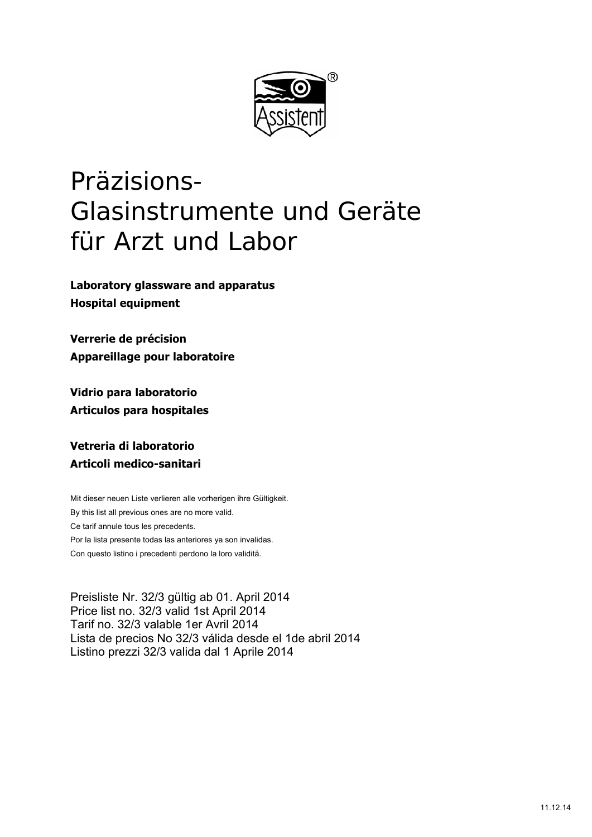

# Präzisions-Glasinstrumente und Geräte für Arzt und Labor

**Laboratory glassware and apparatus Hospital equipment** 

**Verrerie de précision Appareillage pour laboratoire** 

**Vidrio para laboratorio Articulos para hospitales** 

**Vetreria di laboratorio Articoli medico-sanitari** 

Mit dieser neuen Liste verlieren alle vorherigen ihre Gültigkeit. By this list all previous ones are no more valid. Ce tarif annule tous les precedents. Por la lista presente todas las anteriores ya son invalidas. Con questo listino i precedenti perdono la loro validitä.

Preisliste Nr. 32/3 gültig ab 01. April 2014 Price list no. 32/3 valid 1st April 2014 Tarif no. 32/3 valable 1er Avril 2014 Lista de precios No 32/3 válida desde el 1de abril 2014 Listino prezzi 32/3 valida dal 1 Aprile 2014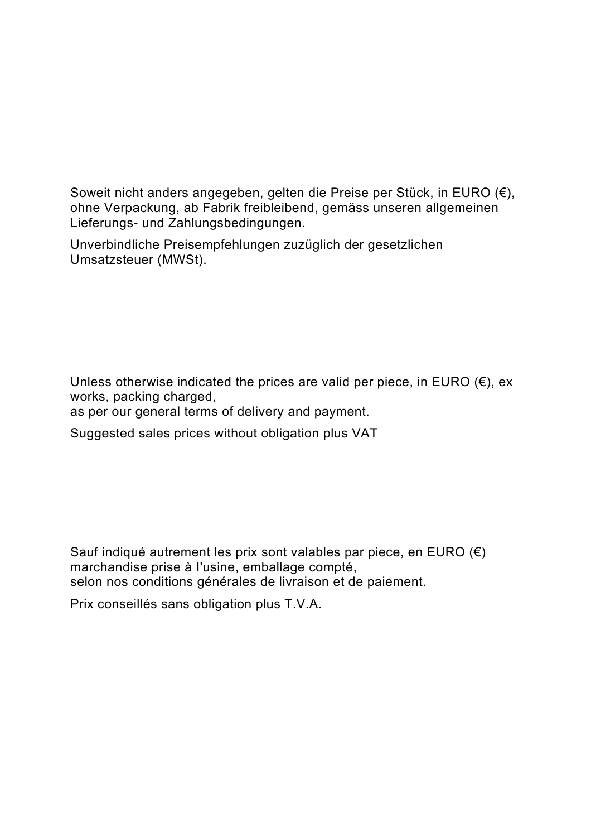Soweit nicht anders angegeben, gelten die Preise per Stück, in EURO (€), ohne Verpackung, ab Fabrik freibleibend, gemäss unseren allgemeinen Lieferungs- und Zahlungsbedingungen.

Unverbindliche Preisempfehlungen zuzüglich der gesetzlichen Umsatzsteuer (MWSt).

Unless otherwise indicated the prices are valid per piece, in EURO  $(\epsilon)$ , ex works, packing charged,

as per our general terms of delivery and payment.

Suggested sales prices without obligation plus VAT

Sauf indiqué autrement les prix sont valables par piece, en EURO  $(€)$ marchandise prise à I'usine, emballage compté, selon nos conditions générales de livraison et de paiement.

Prix conseillés sans obligation plus T.V.A.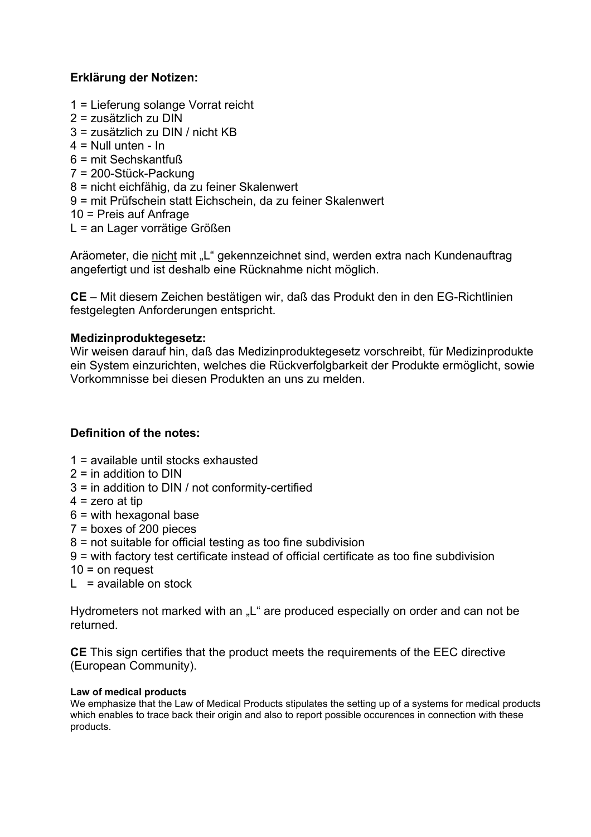# **Erklärung der Notizen:**

- 1 = Lieferung solange Vorrat reicht
- 2 = zusätzlich zu DIN
- 3 = zusätzlich zu DIN / nicht KB
- $4 =$  Null unten In
- 6 = mit Sechskantfuß
- 7 = 200-Stück-Packung
- 8 = nicht eichfähig, da zu feiner Skalenwert
- 9 = mit Prüfschein statt Eichschein, da zu feiner Skalenwert
- 10 = Preis auf Anfrage
- L = an Lager vorrätige Größen

Aräometer, die nicht mit "L" gekennzeichnet sind, werden extra nach Kundenauftrag angefertigt und ist deshalb eine Rücknahme nicht möglich.

**CE** – Mit diesem Zeichen bestätigen wir, daß das Produkt den in den EG-Richtlinien festgelegten Anforderungen entspricht.

# **Medizinproduktegesetz:**

Wir weisen darauf hin, daß das Medizinproduktegesetz vorschreibt, für Medizinprodukte ein System einzurichten, welches die Rückverfolgbarkeit der Produkte ermöglicht, sowie Vorkommnisse bei diesen Produkten an uns zu melden.

# **Definition of the notes:**

- 1 = available until stocks exhausted
- $2 =$  in addition to DIN
- 3 = in addition to DIN / not conformity-certified
- $4 =$ zero at tip
- 6 = with hexagonal base
- 7 = boxes of 200 pieces
- 8 = not suitable for official testing as too fine subdivision
- 9 = with factory test certificate instead of official certificate as too fine subdivision
- $10 =$  on request
- $L =$ available on stock

Hydrometers not marked with an "L" are produced especially on order and can not be returned.

**CE** This sign certifies that the product meets the requirements of the EEC directive (European Community).

## **Law of medical products**

We emphasize that the Law of Medical Products stipulates the setting up of a systems for medical products which enables to trace back their origin and also to report possible occurences in connection with these products.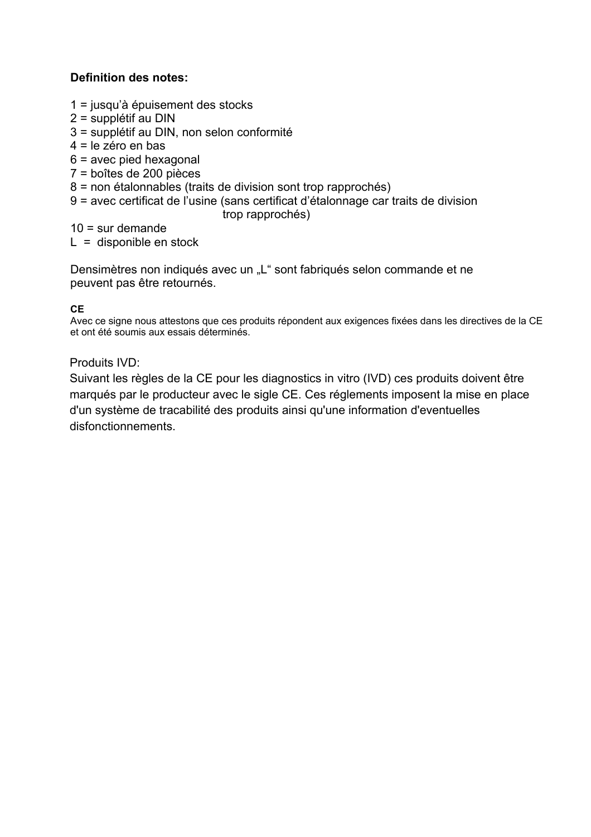# **Definition des notes:**

- 1 = jusqu'à épuisement des stocks
- 2 = supplétif au DIN
- 3 = supplétif au DIN, non selon conformité
- 4 = le zéro en bas
- 6 = avec pied hexagonal
- 7 = boîtes de 200 pièces
- 8 = non étalonnables (traits de division sont trop rapprochés)
- 9 = avec certificat de l'usine (sans certificat d'étalonnage car traits de division trop rapprochés)

 $10 = \text{sur}$  demande

 $L =$  disponible en stock

Densimètres non indiqués avec un "L" sont fabriqués selon commande et ne peuvent pas être retournés.

# **CE**

Avec ce signe nous attestons que ces produits répondent aux exigences fixées dans les directives de la CE et ont été soumis aux essais déterminés.

Produits IVD:

Suivant les règles de la CE pour les diagnostics in vitro (IVD) ces produits doivent être marqués par le producteur avec le sigle CE. Ces réglements imposent la mise en place d'un système de tracabilité des produits ainsi qu'une information d'eventuelles disfonctionnements.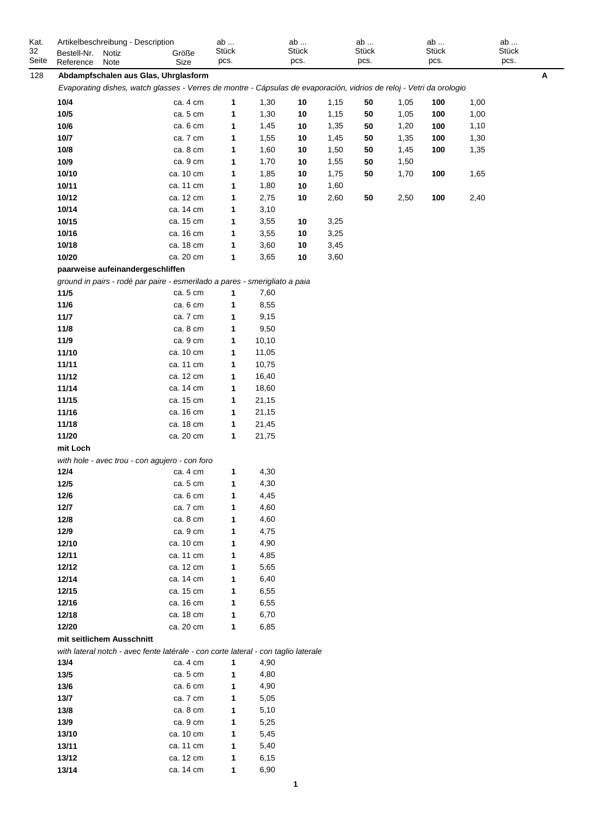| Kat.<br>32<br>Seite | Artikelbeschreibung - Description<br>Bestell-Nr.<br>Reference | Notiz<br>Note | Größe<br>Size                                                                                                        | ab<br>Stück<br>pcs. |       | ab<br>Stück<br>pcs. |      | ab<br><b>Stück</b><br>pcs. |      | ab<br>Stück<br>pcs. |      | ab<br>Stück<br>pcs. |
|---------------------|---------------------------------------------------------------|---------------|----------------------------------------------------------------------------------------------------------------------|---------------------|-------|---------------------|------|----------------------------|------|---------------------|------|---------------------|
| 128                 |                                                               |               | Abdampfschalen aus Glas, Uhrglasform                                                                                 |                     |       |                     |      |                            |      |                     |      | A                   |
|                     |                                                               |               | Evaporating dishes, watch glasses - Verres de montre - Cápsulas de evaporación, vidrios de reloj - Vetri da orologio |                     |       |                     |      |                            |      |                     |      |                     |
|                     | 10/4                                                          |               | ca. 4 cm                                                                                                             | 1                   | 1,30  | 10                  | 1,15 | 50                         | 1,05 | 100                 | 1,00 |                     |
|                     | 10/5                                                          |               | ca. 5 cm                                                                                                             | 1                   | 1,30  | 10                  | 1,15 | 50                         | 1,05 | 100                 | 1,00 |                     |
|                     | 10/6                                                          |               | ca. 6 cm                                                                                                             | 1                   | 1,45  | 10                  | 1,35 | 50                         | 1,20 | 100                 | 1,10 |                     |
|                     | 10/7                                                          |               | ca. 7 cm                                                                                                             | 1                   | 1,55  | 10                  | 1,45 | 50                         | 1,35 | 100                 | 1,30 |                     |
|                     | 10/8                                                          |               | ca. 8 cm                                                                                                             | 1                   | 1,60  | 10                  | 1,50 | 50                         | 1,45 | 100                 | 1,35 |                     |
|                     | 10/9                                                          |               | ca. 9 cm                                                                                                             | 1                   | 1,70  | 10                  | 1,55 | 50                         | 1,50 |                     |      |                     |
|                     | 10/10                                                         |               | ca. 10 cm                                                                                                            | 1                   | 1,85  | 10                  | 1,75 | 50                         | 1,70 | 100                 | 1,65 |                     |
|                     | 10/11                                                         |               | ca. 11 cm                                                                                                            | 1                   | 1,80  | 10                  | 1,60 |                            |      |                     |      |                     |
|                     | 10/12                                                         |               | ca. 12 cm                                                                                                            | 1                   | 2,75  | 10                  | 2,60 | 50                         | 2,50 | 100                 | 2,40 |                     |
|                     | 10/14                                                         |               | ca. 14 cm                                                                                                            | 1                   | 3,10  |                     |      |                            |      |                     |      |                     |
|                     | 10/15                                                         |               | ca. 15 cm                                                                                                            | 1                   | 3,55  | 10                  | 3,25 |                            |      |                     |      |                     |
|                     | 10/16                                                         |               | ca. 16 cm                                                                                                            | 1                   | 3,55  | 10                  | 3,25 |                            |      |                     |      |                     |
|                     | 10/18                                                         |               | ca. 18 cm                                                                                                            | 1                   | 3,60  | 10                  | 3,45 |                            |      |                     |      |                     |
|                     | 10/20                                                         |               | ca. 20 cm                                                                                                            | 1                   | 3,65  | 10                  | 3,60 |                            |      |                     |      |                     |
|                     | paarweise aufeinandergeschliffen                              |               |                                                                                                                      |                     |       |                     |      |                            |      |                     |      |                     |
|                     |                                                               |               |                                                                                                                      |                     |       |                     |      |                            |      |                     |      |                     |
|                     |                                                               |               | ground in pairs - rodé par paire - esmerilado a pares - smerigliato a paia                                           |                     |       |                     |      |                            |      |                     |      |                     |
|                     | 11/5                                                          |               | ca. 5 cm                                                                                                             | 1                   | 7,60  |                     |      |                            |      |                     |      |                     |
|                     | $11/6$                                                        |               | ca. 6 cm                                                                                                             | 1                   | 8,55  |                     |      |                            |      |                     |      |                     |
|                     | 11/7                                                          |               | ca. 7 cm                                                                                                             | 1                   | 9,15  |                     |      |                            |      |                     |      |                     |
|                     | 11/8                                                          |               | ca. 8 cm                                                                                                             | 1                   | 9,50  |                     |      |                            |      |                     |      |                     |
|                     | 11/9                                                          |               | ca. 9 cm                                                                                                             | 1                   | 10,10 |                     |      |                            |      |                     |      |                     |
|                     | 11/10                                                         |               | ca. 10 cm                                                                                                            | 1                   | 11,05 |                     |      |                            |      |                     |      |                     |
|                     | 11/11                                                         |               | ca. 11 cm                                                                                                            | 1                   | 10,75 |                     |      |                            |      |                     |      |                     |
|                     | 11/12                                                         |               | ca. 12 cm                                                                                                            | 1                   | 16,40 |                     |      |                            |      |                     |      |                     |
|                     | 11/14                                                         |               | ca. 14 cm                                                                                                            | 1                   | 18,60 |                     |      |                            |      |                     |      |                     |
|                     | 11/15                                                         |               | ca. 15 cm                                                                                                            | 1                   | 21,15 |                     |      |                            |      |                     |      |                     |
|                     | 11/16                                                         |               | ca. 16 cm                                                                                                            | 1                   | 21,15 |                     |      |                            |      |                     |      |                     |
|                     | 11/18                                                         |               | ca. 18 cm                                                                                                            | 1                   | 21,45 |                     |      |                            |      |                     |      |                     |
|                     | 11/20                                                         |               | ca. 20 cm                                                                                                            | 1                   | 21,75 |                     |      |                            |      |                     |      |                     |
|                     | mit Loch                                                      |               |                                                                                                                      |                     |       |                     |      |                            |      |                     |      |                     |
|                     |                                                               |               | with hole - avec trou - con agujero - con foro                                                                       |                     |       |                     |      |                            |      |                     |      |                     |
|                     | 12/4                                                          |               | ca. 4 cm                                                                                                             | 1                   | 4,30  |                     |      |                            |      |                     |      |                     |
|                     | 12/5                                                          |               | ca. 5 cm                                                                                                             | 1                   | 4,30  |                     |      |                            |      |                     |      |                     |
|                     | 12/6                                                          |               | ca. 6 cm                                                                                                             | 1                   | 4,45  |                     |      |                            |      |                     |      |                     |
|                     | 12/7                                                          |               | ca. 7 cm                                                                                                             | 1                   | 4,60  |                     |      |                            |      |                     |      |                     |
|                     | 12/8                                                          |               | ca. 8 cm                                                                                                             | 1                   | 4,60  |                     |      |                            |      |                     |      |                     |
|                     | 12/9                                                          |               | ca. 9 cm                                                                                                             | 1                   | 4,75  |                     |      |                            |      |                     |      |                     |
|                     | 12/10                                                         |               | ca. 10 cm                                                                                                            | 1                   | 4,90  |                     |      |                            |      |                     |      |                     |
|                     | 12/11                                                         |               | ca. 11 cm                                                                                                            | 1                   | 4,85  |                     |      |                            |      |                     |      |                     |
|                     |                                                               |               | ca. 12 cm                                                                                                            | 1                   | 5,65  |                     |      |                            |      |                     |      |                     |
|                     | 12/12                                                         |               |                                                                                                                      |                     |       |                     |      |                            |      |                     |      |                     |
|                     | 12/14                                                         |               | ca. 14 cm                                                                                                            | 1                   | 6,40  |                     |      |                            |      |                     |      |                     |
|                     | 12/15                                                         |               | ca. 15 cm                                                                                                            | 1                   | 6,55  |                     |      |                            |      |                     |      |                     |
|                     | 12/16                                                         |               | ca. 16 cm                                                                                                            | 1                   | 6,55  |                     |      |                            |      |                     |      |                     |
|                     | 12/18                                                         |               | ca. 18 cm                                                                                                            | 1                   | 6,70  |                     |      |                            |      |                     |      |                     |
|                     | 12/20                                                         |               | ca. 20 cm                                                                                                            | 1                   | 6,85  |                     |      |                            |      |                     |      |                     |
|                     | mit seitlichem Ausschnitt                                     |               |                                                                                                                      |                     |       |                     |      |                            |      |                     |      |                     |
|                     |                                                               |               | with lateral notch - avec fente latérale - con corte lateral - con taglio laterale                                   |                     |       |                     |      |                            |      |                     |      |                     |
|                     | 13/4                                                          |               | ca. 4 cm                                                                                                             | 1                   | 4,90  |                     |      |                            |      |                     |      |                     |
|                     | 13/5                                                          |               | ca. 5 cm                                                                                                             | 1                   | 4,80  |                     |      |                            |      |                     |      |                     |
|                     | 13/6                                                          |               | ca. 6 cm                                                                                                             | 1                   | 4,90  |                     |      |                            |      |                     |      |                     |
|                     | 13/7                                                          |               | ca. 7 cm                                                                                                             | 1                   | 5,05  |                     |      |                            |      |                     |      |                     |
|                     | 13/8                                                          |               | ca. 8 cm                                                                                                             | 1                   | 5,10  |                     |      |                            |      |                     |      |                     |
|                     | 13/9                                                          |               | ca. 9 cm                                                                                                             | 1                   | 5,25  |                     |      |                            |      |                     |      |                     |
|                     | 13/10                                                         |               | ca. 10 cm                                                                                                            | 1                   | 5,45  |                     |      |                            |      |                     |      |                     |
|                     | 13/11                                                         |               | ca. 11 cm                                                                                                            | 1                   | 5,40  |                     |      |                            |      |                     |      |                     |
|                     | 13/12                                                         |               | ca. 12 cm                                                                                                            | 1                   | 6,15  |                     |      |                            |      |                     |      |                     |
|                     | 13/14                                                         |               | ca. 14 cm                                                                                                            | 1                   | 6,90  |                     |      |                            |      |                     |      |                     |
|                     |                                                               |               |                                                                                                                      |                     |       |                     |      |                            |      |                     |      |                     |

**1**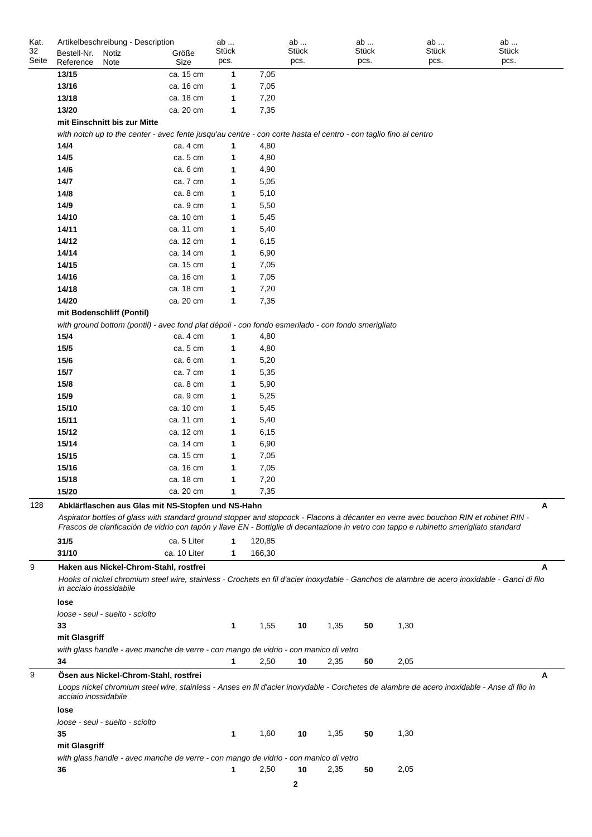| Kat.  | Artikelbeschreibung - Description |                                                                                                                                         | ab    |        | ab    |      | ab           | ab           | ab                                                                                                                                              |
|-------|-----------------------------------|-----------------------------------------------------------------------------------------------------------------------------------------|-------|--------|-------|------|--------------|--------------|-------------------------------------------------------------------------------------------------------------------------------------------------|
| 32    | Bestell-Nr.<br>Notiz              | Größe                                                                                                                                   | Stück |        | Stück |      | <b>Stück</b> | <b>Stück</b> | Stück                                                                                                                                           |
| Seite | Reference<br>Note                 | Size                                                                                                                                    | pcs.  |        | pcs.  |      | pcs.         | pcs.         | pcs.                                                                                                                                            |
|       | 13/15                             | ca. 15 cm                                                                                                                               | 1     | 7,05   |       |      |              |              |                                                                                                                                                 |
|       | 13/16                             | ca. 16 cm                                                                                                                               | 1     | 7,05   |       |      |              |              |                                                                                                                                                 |
|       | 13/18                             | ca. 18 cm                                                                                                                               | 1     | 7,20   |       |      |              |              |                                                                                                                                                 |
|       | 13/20                             | ca. 20 cm                                                                                                                               | 1     | 7,35   |       |      |              |              |                                                                                                                                                 |
|       | mit Einschnitt bis zur Mitte      |                                                                                                                                         |       |        |       |      |              |              |                                                                                                                                                 |
|       |                                   | with notch up to the center - avec fente jusqu'au centre - con corte hasta el centro - con taglio fino al centro                        |       |        |       |      |              |              |                                                                                                                                                 |
|       | 14/4                              | ca. 4 cm                                                                                                                                | 1     | 4,80   |       |      |              |              |                                                                                                                                                 |
|       | 14/5                              | ca. 5 cm                                                                                                                                | 1     | 4,80   |       |      |              |              |                                                                                                                                                 |
|       | 14/6                              | ca. 6 cm                                                                                                                                | 1     | 4,90   |       |      |              |              |                                                                                                                                                 |
|       | 14/7                              | ca. 7 cm                                                                                                                                | 1     | 5,05   |       |      |              |              |                                                                                                                                                 |
|       | 14/8                              | ca. 8 cm                                                                                                                                | 1     | 5,10   |       |      |              |              |                                                                                                                                                 |
|       | 14/9                              | ca. 9 cm                                                                                                                                | 1     | 5,50   |       |      |              |              |                                                                                                                                                 |
|       | 14/10                             | ca. 10 cm                                                                                                                               | 1     | 5,45   |       |      |              |              |                                                                                                                                                 |
|       | 14/11                             | ca. 11 cm                                                                                                                               | 1     | 5,40   |       |      |              |              |                                                                                                                                                 |
|       | 14/12                             | ca. 12 cm                                                                                                                               | 1     | 6,15   |       |      |              |              |                                                                                                                                                 |
|       | 14/14                             | ca. 14 cm                                                                                                                               | 1     | 6,90   |       |      |              |              |                                                                                                                                                 |
|       | 14/15                             | ca. 15 cm                                                                                                                               | 1     | 7,05   |       |      |              |              |                                                                                                                                                 |
|       | 14/16                             | ca. 16 cm                                                                                                                               | 1     | 7,05   |       |      |              |              |                                                                                                                                                 |
|       | 14/18                             | ca. 18 cm                                                                                                                               | 1     | 7,20   |       |      |              |              |                                                                                                                                                 |
|       | 14/20                             | ca. 20 cm                                                                                                                               | 1     | 7,35   |       |      |              |              |                                                                                                                                                 |
|       | mit Bodenschliff (Pontil)         |                                                                                                                                         |       |        |       |      |              |              |                                                                                                                                                 |
|       |                                   | with ground bottom (pontil) - avec fond plat dépoli - con fondo esmerilado - con fondo smerigliato                                      |       |        |       |      |              |              |                                                                                                                                                 |
|       | 15/4                              | ca. 4 cm                                                                                                                                | 1     | 4,80   |       |      |              |              |                                                                                                                                                 |
|       | 15/5                              | ca. 5 cm                                                                                                                                | 1     | 4,80   |       |      |              |              |                                                                                                                                                 |
|       | 15/6                              | ca. 6 cm                                                                                                                                | 1     | 5,20   |       |      |              |              |                                                                                                                                                 |
|       | 15/7                              | ca. 7 cm                                                                                                                                | 1     | 5,35   |       |      |              |              |                                                                                                                                                 |
|       | 15/8                              | ca. 8 cm                                                                                                                                | 1     | 5,90   |       |      |              |              |                                                                                                                                                 |
|       | 15/9                              | ca. 9 cm                                                                                                                                | 1     | 5,25   |       |      |              |              |                                                                                                                                                 |
|       | 15/10                             | ca. 10 cm                                                                                                                               | 1     | 5,45   |       |      |              |              |                                                                                                                                                 |
|       | 15/11                             | ca. 11 cm                                                                                                                               | 1     | 5,40   |       |      |              |              |                                                                                                                                                 |
|       | 15/12                             | ca. 12 cm                                                                                                                               | 1     | 6,15   |       |      |              |              |                                                                                                                                                 |
|       | 15/14                             | ca. 14 cm                                                                                                                               | 1     | 6,90   |       |      |              |              |                                                                                                                                                 |
|       | 15/15                             | ca. 15 cm                                                                                                                               | 1     | 7,05   |       |      |              |              |                                                                                                                                                 |
|       | 15/16                             | ca. 16 cm                                                                                                                               | 1     | 7,05   |       |      |              |              |                                                                                                                                                 |
|       | 15/18                             | ca. 18 cm                                                                                                                               |       | 7,20   |       |      |              |              |                                                                                                                                                 |
|       | 15/20                             | ca. 20 cm                                                                                                                               | 1     | 7,35   |       |      |              |              |                                                                                                                                                 |
| 128   |                                   | Abklärflaschen aus Glas mit NS-Stopfen und NS-Hahn                                                                                      |       |        |       |      |              |              | А                                                                                                                                               |
|       |                                   |                                                                                                                                         |       |        |       |      |              |              | Aspirator bottles of glass with standard ground stopper and stopcock - Flacons à décanter en verre avec bouchon RIN et robinet RIN -            |
|       |                                   | Frascos de clarificación de vidrio con tapón y llave EN - Bottiglie di decantazione in vetro con tappo e rubinetto smerigliato standard |       |        |       |      |              |              |                                                                                                                                                 |
|       | 31/5                              | ca. 5 Liter                                                                                                                             | 1     | 120,85 |       |      |              |              |                                                                                                                                                 |
|       | 31/10                             | ca. 10 Liter                                                                                                                            | 1     | 166,30 |       |      |              |              |                                                                                                                                                 |
| 9     |                                   |                                                                                                                                         |       |        |       |      |              |              |                                                                                                                                                 |
|       |                                   | Haken aus Nickel-Chrom-Stahl, rostfrei                                                                                                  |       |        |       |      |              |              | А                                                                                                                                               |
|       | in acciaio inossidabile           |                                                                                                                                         |       |        |       |      |              |              | Hooks of nickel chromium steel wire, stainless - Crochets en fil d'acier inoxydable - Ganchos de alambre de acero inoxidable - Ganci di filo    |
|       | lose                              |                                                                                                                                         |       |        |       |      |              |              |                                                                                                                                                 |
|       | loose - seul - suelto - sciolto   |                                                                                                                                         |       |        |       |      |              |              |                                                                                                                                                 |
|       | 33                                |                                                                                                                                         | 1     | 1,55   | 10    | 1,35 | 50           | 1,30         |                                                                                                                                                 |
|       | mit Glasgriff                     |                                                                                                                                         |       |        |       |      |              |              |                                                                                                                                                 |
|       |                                   |                                                                                                                                         |       |        |       |      |              |              |                                                                                                                                                 |
|       | 34                                | with glass handle - avec manche de verre - con mango de vidrio - con manico di vetro                                                    | 1     | 2,50   | 10    | 2,35 | 50           | 2,05         |                                                                                                                                                 |
|       |                                   |                                                                                                                                         |       |        |       |      |              |              |                                                                                                                                                 |
| 9     | acciaio inossidabile<br>lose      | Ösen aus Nickel-Chrom-Stahl, rostfrei                                                                                                   |       |        |       |      |              |              | Α<br>Loops nickel chromium steel wire, stainless - Anses en fil d'acier inoxydable - Corchetes de alambre de acero inoxidable - Anse di filo in |
|       | loose - seul - suelto - sciolto   |                                                                                                                                         |       |        |       |      |              |              |                                                                                                                                                 |
|       | 35                                |                                                                                                                                         | 1     | 1,60   | 10    | 1,35 | 50           | 1,30         |                                                                                                                                                 |
|       | mit Glasgriff                     |                                                                                                                                         |       |        |       |      |              |              |                                                                                                                                                 |
|       |                                   | with glass handle - avec manche de verre - con mango de vidrio - con manico di vetro                                                    |       |        |       |      |              |              |                                                                                                                                                 |
|       | 36                                |                                                                                                                                         | 1     | 2,50   | 10    | 2,35 | 50           | 2,05         |                                                                                                                                                 |
|       |                                   |                                                                                                                                         |       |        | 2     |      |              |              |                                                                                                                                                 |
|       |                                   |                                                                                                                                         |       |        |       |      |              |              |                                                                                                                                                 |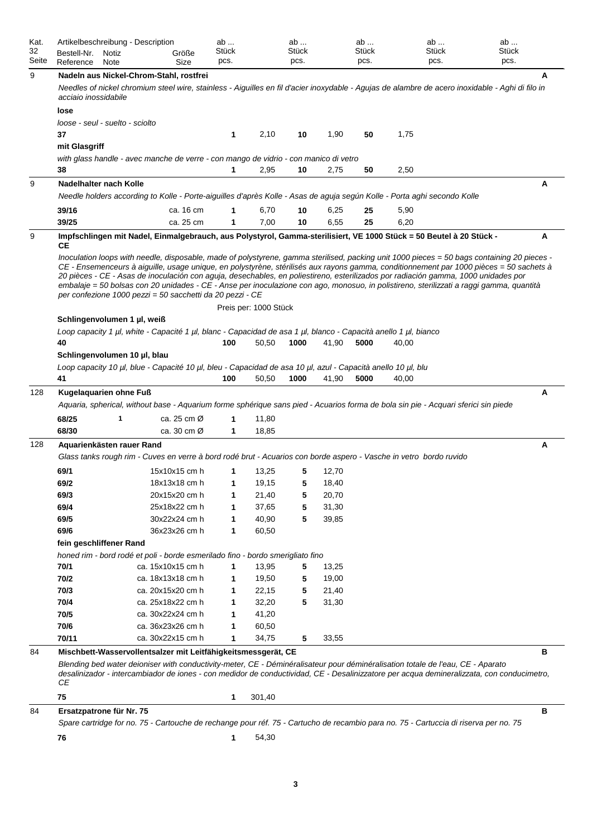| Kat.<br>32<br>Seite | Artikelbeschreibung - Description<br>Bestell-Nr.<br>Reference                                                                                | Notiz<br>Note |                                        | Größe<br>Size                          | ab<br>Stück<br>pcs. |                       | ab<br>Stück<br>pcs. |       | ab<br>Stück<br>pcs. |       | ab<br><b>Stück</b><br>pcs. | ab<br><b>Stück</b><br>pcs.                                                                                                                                                                                                                                                                                                                                                                                                   |   |
|---------------------|----------------------------------------------------------------------------------------------------------------------------------------------|---------------|----------------------------------------|----------------------------------------|---------------------|-----------------------|---------------------|-------|---------------------|-------|----------------------------|------------------------------------------------------------------------------------------------------------------------------------------------------------------------------------------------------------------------------------------------------------------------------------------------------------------------------------------------------------------------------------------------------------------------------|---|
| 9                   | Nadeln aus Nickel-Chrom-Stahl, rostfrei<br>acciaio inossidabile<br>lose                                                                      |               |                                        |                                        |                     |                       |                     |       |                     |       |                            | Needles of nickel chromium steel wire, stainless - Aiguilles en fil d'acier inoxydable - Agujas de alambre de acero inoxidable - Aghi di filo in                                                                                                                                                                                                                                                                             | A |
|                     | loose - seul - suelto - sciolto<br>37                                                                                                        |               |                                        |                                        | 1                   | 2,10                  | 10                  | 1,90  | 50                  | 1,75  |                            |                                                                                                                                                                                                                                                                                                                                                                                                                              |   |
|                     | mit Glasgriff<br>with glass handle - avec manche de verre - con mango de vidrio - con manico di vetro                                        |               |                                        |                                        |                     |                       |                     |       |                     |       |                            |                                                                                                                                                                                                                                                                                                                                                                                                                              |   |
|                     | 38                                                                                                                                           |               |                                        |                                        | 1                   | 2,95                  | 10                  | 2,75  | 50                  | 2,50  |                            |                                                                                                                                                                                                                                                                                                                                                                                                                              |   |
| 9                   | Nadelhalter nach Kolle                                                                                                                       |               |                                        |                                        |                     |                       |                     |       |                     |       |                            |                                                                                                                                                                                                                                                                                                                                                                                                                              | A |
|                     | Needle holders according to Kolle - Porte-aiguilles d'après Kolle - Asas de aguja según Kolle - Porta aghi secondo Kolle                     |               |                                        |                                        |                     |                       |                     |       |                     |       |                            |                                                                                                                                                                                                                                                                                                                                                                                                                              |   |
|                     | 39/16                                                                                                                                        |               |                                        | ca. 16 cm                              |                     | 6,70                  | 10                  | 6,25  | 25                  | 5,90  |                            |                                                                                                                                                                                                                                                                                                                                                                                                                              |   |
|                     | 39/25                                                                                                                                        |               |                                        | ca. 25 cm                              | 1                   | 7,00                  | 10                  | 6,55  | 25                  | 6,20  |                            |                                                                                                                                                                                                                                                                                                                                                                                                                              |   |
| 9                   | Impfschlingen mit Nadel, Einmalgebrauch, aus Polystyrol, Gamma-sterilisiert, VE 1000 Stück = 50 Beutel à 20 Stück -<br>CЕ                    |               |                                        |                                        |                     |                       |                     |       |                     |       |                            | Inoculation loops with needle, disposable, made of polystyrene, gamma sterilised, packing unit 1000 pieces = 50 bags containing 20 pieces -<br>CE - Ensemenceurs à aiguille, usage unique, en polystyrène, stérilisés aux rayons gamma, conditionnement par 1000 pièces = 50 sachets à<br>20 pièces - CE - Asas de inoculación con aguja, desechables, en poliestireno, esterilizados por radiación gamma, 1000 unidades por | Α |
|                     | per confezione 1000 pezzi = 50 sacchetti da 20 pezzi - CE<br>Schlingenvolumen 1 µl, weiß                                                     |               |                                        |                                        |                     | Preis per: 1000 Stück |                     |       |                     |       |                            | embalaje = 50 bolsas con 20 unidades - CE - Anse per inoculazione con ago, monosuo, in polistireno, sterilizzati a raggi gamma, quantità                                                                                                                                                                                                                                                                                     |   |
|                     | Loop capacity 1 µl, white - Capacité 1 µl, blanc - Capacidad de asa 1 µl, blanco - Capacità anello 1 µl, bianco                              |               |                                        |                                        |                     |                       |                     |       |                     |       |                            |                                                                                                                                                                                                                                                                                                                                                                                                                              |   |
|                     | 40                                                                                                                                           |               |                                        |                                        | 100                 | 50,50                 | 1000                | 41,90 | 5000                | 40,00 |                            |                                                                                                                                                                                                                                                                                                                                                                                                                              |   |
|                     | Schlingenvolumen 10 µl, blau<br>Loop capacity 10 µl, blue - Capacité 10 µl, bleu - Capacidad de asa 10 µl, azul - Capacità anello 10 µl, blu |               |                                        |                                        |                     |                       |                     |       |                     |       |                            |                                                                                                                                                                                                                                                                                                                                                                                                                              |   |
|                     | 41                                                                                                                                           |               |                                        |                                        | 100                 | 50,50                 | 1000                | 41,90 | 5000                | 40,00 |                            |                                                                                                                                                                                                                                                                                                                                                                                                                              |   |
| 128                 | Kugelaquarien ohne Fuß                                                                                                                       |               |                                        |                                        |                     |                       |                     |       |                     |       |                            | Aquaria, spherical, without base - Aquarium forme sphérique sans pied - Acuarios forma de bola sin pie - Acquari sferici sin piede                                                                                                                                                                                                                                                                                           | Α |
|                     |                                                                                                                                              | 1             |                                        |                                        |                     |                       |                     |       |                     |       |                            |                                                                                                                                                                                                                                                                                                                                                                                                                              |   |
|                     | 68/25<br>68/30                                                                                                                               |               |                                        | ca. 25 cm Ø<br>ca. 30 cm $\varnothing$ | 1<br>1              | 11,80<br>18,85        |                     |       |                     |       |                            |                                                                                                                                                                                                                                                                                                                                                                                                                              |   |
| 128                 | Aquarienkästen rauer Rand                                                                                                                    |               |                                        |                                        |                     |                       |                     |       |                     |       |                            |                                                                                                                                                                                                                                                                                                                                                                                                                              | Α |
|                     | Glass tanks rough rim - Cuves en verre à bord rodé brut - Acuarios con borde aspero - Vasche in vetro bordo ruvido                           |               |                                        |                                        |                     |                       |                     |       |                     |       |                            |                                                                                                                                                                                                                                                                                                                                                                                                                              |   |
|                     | 69/1                                                                                                                                         |               |                                        | 15x10x15 cm h                          | 1                   | 13,25                 | 5                   | 12,70 |                     |       |                            |                                                                                                                                                                                                                                                                                                                                                                                                                              |   |
|                     | 69/2                                                                                                                                         |               |                                        | 18x13x18 cm h                          | 1                   | 19,15                 | 5                   | 18,40 |                     |       |                            |                                                                                                                                                                                                                                                                                                                                                                                                                              |   |
|                     | 69/3                                                                                                                                         |               |                                        | 20x15x20 cm h                          | 1                   | 21,40                 | 5                   | 20,70 |                     |       |                            |                                                                                                                                                                                                                                                                                                                                                                                                                              |   |
|                     | 69/4                                                                                                                                         |               |                                        | 25x18x22 cm h                          | 1                   | 37,65                 | 5                   | 31,30 |                     |       |                            |                                                                                                                                                                                                                                                                                                                                                                                                                              |   |
|                     | 69/5                                                                                                                                         |               |                                        | 30x22x24 cm h                          | 1                   | 40,90                 | 5                   | 39,85 |                     |       |                            |                                                                                                                                                                                                                                                                                                                                                                                                                              |   |
|                     | 69/6                                                                                                                                         |               |                                        | 36x23x26 cm h                          | 1                   | 60,50                 |                     |       |                     |       |                            |                                                                                                                                                                                                                                                                                                                                                                                                                              |   |
|                     | fein geschliffener Rand                                                                                                                      |               |                                        |                                        |                     |                       |                     |       |                     |       |                            |                                                                                                                                                                                                                                                                                                                                                                                                                              |   |
|                     | honed rim - bord rodé et poli - borde esmerilado fino - bordo smerigliato fino                                                               |               |                                        |                                        |                     |                       |                     |       |                     |       |                            |                                                                                                                                                                                                                                                                                                                                                                                                                              |   |
|                     | 70/1                                                                                                                                         |               | ca. 15x10x15 cm h                      |                                        | 1                   | 13,95                 | 5                   | 13,25 |                     |       |                            |                                                                                                                                                                                                                                                                                                                                                                                                                              |   |
|                     | 70/2                                                                                                                                         |               | ca. 18x13x18 cm h                      |                                        | 1                   | 19,50                 | 5                   | 19,00 |                     |       |                            |                                                                                                                                                                                                                                                                                                                                                                                                                              |   |
|                     | 70/3                                                                                                                                         |               | ca. 20x15x20 cm h                      |                                        | 1                   | 22,15                 | 5                   | 21,40 |                     |       |                            |                                                                                                                                                                                                                                                                                                                                                                                                                              |   |
|                     | 70/4                                                                                                                                         |               | ca. 25x18x22 cm h                      |                                        | 1                   | 32,20                 | 5                   | 31,30 |                     |       |                            |                                                                                                                                                                                                                                                                                                                                                                                                                              |   |
|                     | 70/5<br>70/6                                                                                                                                 |               | ca. 30x22x24 cm h<br>ca. 36x23x26 cm h |                                        | 1<br>1              | 41,20<br>60,50        |                     |       |                     |       |                            |                                                                                                                                                                                                                                                                                                                                                                                                                              |   |
|                     | 70/11                                                                                                                                        |               | ca. 30x22x15 cm h                      |                                        | 1                   | 34,75                 | 5                   | 33,55 |                     |       |                            |                                                                                                                                                                                                                                                                                                                                                                                                                              |   |
| 84                  |                                                                                                                                              |               |                                        |                                        |                     |                       |                     |       |                     |       |                            |                                                                                                                                                                                                                                                                                                                                                                                                                              | в |
|                     | Mischbett-Wasservollentsalzer mit Leitfähigkeitsmessgerät, CE<br>СE                                                                          |               |                                        |                                        |                     |                       |                     |       |                     |       |                            | Blending bed water deioniser with conductivity-meter, CE - Déminéralisateur pour déminéralisation totale de l'eau, CE - Aparato<br>desalinizador - intercambiador de iones - con medidor de conductividad, CE - Desalinizzatore per acqua demineralizzata, con conducimetro,                                                                                                                                                 |   |
|                     | 75                                                                                                                                           |               |                                        |                                        | 1                   | 301,40                |                     |       |                     |       |                            |                                                                                                                                                                                                                                                                                                                                                                                                                              |   |
| 84                  | Ersatzpatrone für Nr. 75                                                                                                                     |               |                                        |                                        |                     |                       |                     |       |                     |       |                            | Spare cartridge for no. 75 - Cartouche de rechange pour réf. 75 - Cartucho de recambio para no. 75 - Cartuccia di riserva per no. 75                                                                                                                                                                                                                                                                                         | в |
|                     | 76                                                                                                                                           |               |                                        |                                        | 1                   | 54,30                 |                     |       |                     |       |                            |                                                                                                                                                                                                                                                                                                                                                                                                                              |   |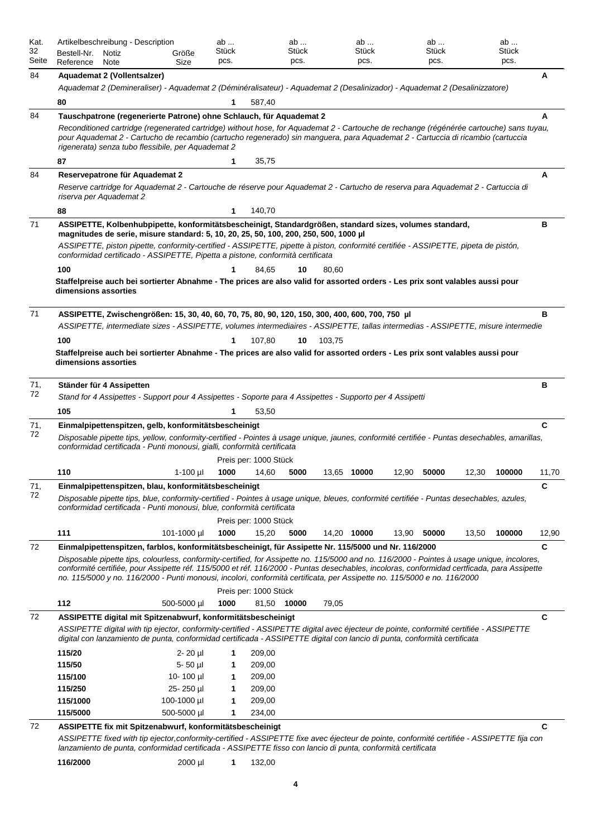| Kat.<br>32 |                          | Artikelbeschreibung - Description                                                                                                                                                                                                                                                                                                                                                                                                                                                                                              |                          | ab<br>Stück |                       | ab<br>Stück |        | ab<br>Stück |       | ab<br>Stück |       | ab<br>Stück |       |
|------------|--------------------------|--------------------------------------------------------------------------------------------------------------------------------------------------------------------------------------------------------------------------------------------------------------------------------------------------------------------------------------------------------------------------------------------------------------------------------------------------------------------------------------------------------------------------------|--------------------------|-------------|-----------------------|-------------|--------|-------------|-------|-------------|-------|-------------|-------|
| Seite      | Bestell-Nr.<br>Reference | Notiz<br>Note                                                                                                                                                                                                                                                                                                                                                                                                                                                                                                                  | Größe<br>Size            | pcs.        |                       | pcs.        |        | pcs.        |       | pcs.        |       | pcs.        |       |
| 84         |                          | Aquademat 2 (Vollentsalzer)                                                                                                                                                                                                                                                                                                                                                                                                                                                                                                    |                          |             |                       |             |        |             |       |             |       |             | A     |
|            |                          | Aquademat 2 (Demineraliser) - Aquademat 2 (Déminéralisateur) - Aquademat 2 (Desalinizador) - Aquademat 2 (Desalinizzatore)                                                                                                                                                                                                                                                                                                                                                                                                     |                          |             |                       |             |        |             |       |             |       |             |       |
|            | 80                       |                                                                                                                                                                                                                                                                                                                                                                                                                                                                                                                                |                          | 1           | 587,40                |             |        |             |       |             |       |             |       |
| 84         |                          | Tauschpatrone (regenerierte Patrone) ohne Schlauch, für Aquademat 2                                                                                                                                                                                                                                                                                                                                                                                                                                                            |                          |             |                       |             |        |             |       |             |       |             | A     |
|            |                          | Reconditioned cartridge (regenerated cartridge) without hose, for Aquademat 2 - Cartouche de rechange (régénérée cartouche) sans tuyau,                                                                                                                                                                                                                                                                                                                                                                                        |                          |             |                       |             |        |             |       |             |       |             |       |
|            |                          | pour Aquademat 2 - Cartucho de recambio (cartucho regenerado) sin manguera, para Aquademat 2 - Cartuccia di ricambio (cartuccia<br>rigenerata) senza tubo flessibile, per Aquademat 2                                                                                                                                                                                                                                                                                                                                          |                          |             |                       |             |        |             |       |             |       |             |       |
|            | 87                       |                                                                                                                                                                                                                                                                                                                                                                                                                                                                                                                                |                          | 1           | 35,75                 |             |        |             |       |             |       |             |       |
| 84         |                          | Reservepatrone für Aquademat 2                                                                                                                                                                                                                                                                                                                                                                                                                                                                                                 |                          |             |                       |             |        |             |       |             |       |             | A     |
|            | riserva per Aquademat 2  | Reserve cartridge for Aquademat 2 - Cartouche de réserve pour Aquademat 2 - Cartucho de reserva para Aquademat 2 - Cartuccia di                                                                                                                                                                                                                                                                                                                                                                                                |                          |             |                       |             |        |             |       |             |       |             |       |
|            | 88                       |                                                                                                                                                                                                                                                                                                                                                                                                                                                                                                                                |                          | 1           | 140,70                |             |        |             |       |             |       |             |       |
| 71         |                          | ASSIPETTE, Kolbenhubpipette, konformitätsbescheinigt, Standardgrößen, standard sizes, volumes standard,<br>magnitudes de serie, misure standard: 5, 10, 20, 25, 50, 100, 200, 250, 500, 1000 µl                                                                                                                                                                                                                                                                                                                                |                          |             |                       |             |        |             |       |             |       |             | в     |
|            |                          | ASSIPETTE, piston pipette, conformity-certified - ASSIPETTE, pipette à piston, conformité certifiée - ASSIPETTE, pipeta de pistón,<br>conformidad certificado - ASSIPETTE, Pipetta a pistone, conformità certificata                                                                                                                                                                                                                                                                                                           |                          |             |                       |             |        |             |       |             |       |             |       |
|            | 100                      |                                                                                                                                                                                                                                                                                                                                                                                                                                                                                                                                |                          | 1           | 84,65                 | 10          | 80,60  |             |       |             |       |             |       |
|            | dimensions assorties     | Staffelpreise auch bei sortierter Abnahme - The prices are also valid for assorted orders - Les prix sont valables aussi pour                                                                                                                                                                                                                                                                                                                                                                                                  |                          |             |                       |             |        |             |       |             |       |             |       |
| 71         |                          | ASSIPETTE, Zwischengrößen: 15, 30, 40, 60, 70, 75, 80, 90, 120, 150, 300, 400, 600, 700, 750 µl                                                                                                                                                                                                                                                                                                                                                                                                                                |                          |             |                       |             |        |             |       |             |       |             | в     |
|            |                          | ASSIPETTE, intermediate sizes - ASSIPETTE, volumes intermediaires - ASSIPETTE, tallas intermedias - ASSIPETTE, misure intermedie                                                                                                                                                                                                                                                                                                                                                                                               |                          |             |                       |             |        |             |       |             |       |             |       |
|            | 100                      |                                                                                                                                                                                                                                                                                                                                                                                                                                                                                                                                |                          | 1           | 107,80                | 10          | 103,75 |             |       |             |       |             |       |
|            |                          | Staffelpreise auch bei sortierter Abnahme - The prices are also valid for assorted orders - Les prix sont valables aussi pour                                                                                                                                                                                                                                                                                                                                                                                                  |                          |             |                       |             |        |             |       |             |       |             |       |
|            | dimensions assorties     |                                                                                                                                                                                                                                                                                                                                                                                                                                                                                                                                |                          |             |                       |             |        |             |       |             |       |             |       |
| 71,        |                          | Ständer für 4 Assipetten                                                                                                                                                                                                                                                                                                                                                                                                                                                                                                       |                          |             |                       |             |        |             |       |             |       |             | в     |
| 72         |                          | Stand for 4 Assipettes - Support pour 4 Assipettes - Soporte para 4 Assipettes - Supporto per 4 Assipetti                                                                                                                                                                                                                                                                                                                                                                                                                      |                          |             |                       |             |        |             |       |             |       |             |       |
|            | 105                      |                                                                                                                                                                                                                                                                                                                                                                                                                                                                                                                                |                          | 1           | 53,50                 |             |        |             |       |             |       |             |       |
| 71,        |                          | Einmalpipettenspitzen, gelb, konformitätsbescheinigt                                                                                                                                                                                                                                                                                                                                                                                                                                                                           |                          |             |                       |             |        |             |       |             |       |             | C     |
| 72         |                          | Disposable pipette tips, yellow, conformity-certified - Pointes à usage unique, jaunes, conformité certifiée - Puntas desechables, amarillas,<br>conformidad certificada - Punti monousi, gialli, conformità certificata                                                                                                                                                                                                                                                                                                       |                          |             |                       |             |        |             |       |             |       |             |       |
|            |                          |                                                                                                                                                                                                                                                                                                                                                                                                                                                                                                                                |                          |             | Preis per: 1000 Stück |             |        |             |       |             |       |             |       |
|            | 110                      |                                                                                                                                                                                                                                                                                                                                                                                                                                                                                                                                | $1-100$ µl               | 1000        | 14,60                 | 5000        |        | 13,65 10000 | 12,90 | 50000       | 12,30 | 100000      | 11,70 |
| 71,        |                          | Einmalpipettenspitzen, blau, konformitätsbescheinigt                                                                                                                                                                                                                                                                                                                                                                                                                                                                           |                          |             |                       |             |        |             |       |             |       |             | С     |
| 72         |                          | Disposable pipette tips, blue, conformity-certified - Pointes à usage unique, bleues, conformité certifiée - Puntas desechables, azules,<br>conformidad certificada - Punti monousi, blue, conformità certificata                                                                                                                                                                                                                                                                                                              |                          |             |                       |             |        |             |       |             |       |             |       |
|            |                          |                                                                                                                                                                                                                                                                                                                                                                                                                                                                                                                                |                          |             | Preis per: 1000 Stück |             |        |             |       |             |       |             |       |
|            | 111                      |                                                                                                                                                                                                                                                                                                                                                                                                                                                                                                                                | 101-1000 µl              | 1000        | 15,20                 | 5000        |        | 14,20 10000 | 13,90 | 50000       | 13,50 | 100000      | 12,90 |
| 72         |                          | Einmalpipettenspitzen, farblos, konformitätsbescheinigt, für Assipette Nr. 115/5000 und Nr. 116/2000<br>Disposable pipette tips, colourless, conformity-certified, for Assipette no. 115/5000 and no. 116/2000 - Pointes à usage unique, incolores,<br>conformité certifiée, pour Assipette réf. 115/5000 et réf. 116/2000 - Puntas desechables, incoloras, conformidad certficada, para Assipette<br>no. 115/5000 y no. 116/2000 - Punti monousi, incolori, conformità certificata, per Assipette no. 115/5000 e no. 116/2000 |                          |             |                       |             |        |             |       |             |       |             | С     |
|            |                          |                                                                                                                                                                                                                                                                                                                                                                                                                                                                                                                                |                          |             | Preis per: 1000 Stück |             |        |             |       |             |       |             |       |
|            | 112                      |                                                                                                                                                                                                                                                                                                                                                                                                                                                                                                                                | 500-5000 µl              | 1000        | 81,50                 | 10000       | 79,05  |             |       |             |       |             |       |
| 72         |                          | ASSIPETTE digital mit Spitzenabwurf, konformitätsbescheinigt                                                                                                                                                                                                                                                                                                                                                                                                                                                                   |                          |             |                       |             |        |             |       |             |       |             | C     |
|            |                          | ASSIPETTE digital with tip ejector, conformity-certified - ASSIPETTE digital avec éjecteur de pointe, conformité certifiée - ASSIPETTE<br>digital con lanzamiento de punta, conformidad certificada - ASSIPETTE digital con lancio di punta, conformità certificata                                                                                                                                                                                                                                                            |                          |             |                       |             |        |             |       |             |       |             |       |
|            | 115/20                   |                                                                                                                                                                                                                                                                                                                                                                                                                                                                                                                                | $2 - 20$ µ               | 1           | 209,00                |             |        |             |       |             |       |             |       |
|            | 115/50                   |                                                                                                                                                                                                                                                                                                                                                                                                                                                                                                                                | $5 - 50$ µl              | 1           | 209,00                |             |        |             |       |             |       |             |       |
|            | 115/100                  |                                                                                                                                                                                                                                                                                                                                                                                                                                                                                                                                | 10-100 $\mu$ l           | 1           | 209,00                |             |        |             |       |             |       |             |       |
|            | 115/250<br>115/1000      |                                                                                                                                                                                                                                                                                                                                                                                                                                                                                                                                | 25-250 µl<br>100-1000 µl | 1<br>1      | 209,00<br>209,00      |             |        |             |       |             |       |             |       |
|            | 115/5000                 |                                                                                                                                                                                                                                                                                                                                                                                                                                                                                                                                | 500-5000 µl              | 1           | 234,00                |             |        |             |       |             |       |             |       |
| 72         |                          | ASSIPETTE fix mit Spitzenabwurf, konformitätsbescheinigt                                                                                                                                                                                                                                                                                                                                                                                                                                                                       |                          |             |                       |             |        |             |       |             |       |             | C     |
|            |                          | ASSIPETTE fixed with tip ejector,conformity-certified - ASSIPETTE fixe avec éjecteur de pointe, conformité certifiée - ASSIPETTE fija con<br>lanzamiento de punta, conformidad certificada - ASSIPETTE fisso con lancio di punta, conformità certificata                                                                                                                                                                                                                                                                       |                          |             |                       |             |        |             |       |             |       |             |       |
|            | 116/2000                 |                                                                                                                                                                                                                                                                                                                                                                                                                                                                                                                                | 2000 µl                  | 1           | 132,00                |             |        |             |       |             |       |             |       |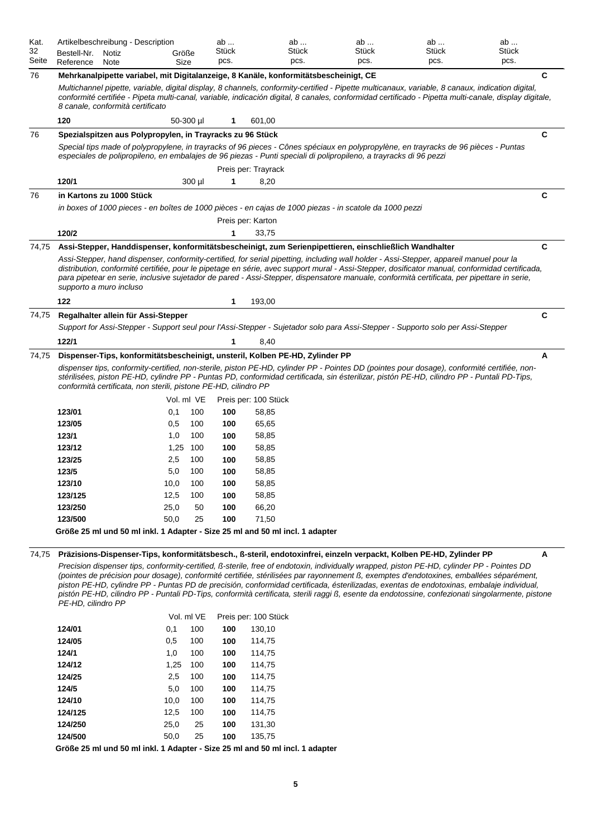| Kat.<br>32<br>Seite | Bestell-Nr.<br>Reference         | Notiz<br>Note | Artikelbeschreibung - Description                                                    | Größe<br>Size | ab<br>Stück<br>pcs. |                      | ab<br>Stück<br>pcs. | ab<br>Stück<br>pcs.                                                                                                                                                                                                                                                                                                                                                                                                                                                                                                                                                                  | ab<br>Stück<br>pcs. | ab<br>Stück<br>pcs. |             |
|---------------------|----------------------------------|---------------|--------------------------------------------------------------------------------------|---------------|---------------------|----------------------|---------------------|--------------------------------------------------------------------------------------------------------------------------------------------------------------------------------------------------------------------------------------------------------------------------------------------------------------------------------------------------------------------------------------------------------------------------------------------------------------------------------------------------------------------------------------------------------------------------------------|---------------------|---------------------|-------------|
| 76                  |                                  |               | Mehrkanalpipette variabel, mit Digitalanzeige, 8 Kanäle, konformitätsbescheinigt, CE |               |                     |                      |                     |                                                                                                                                                                                                                                                                                                                                                                                                                                                                                                                                                                                      |                     |                     | C           |
|                     | 8 canale, conformità certificato |               |                                                                                      |               |                     |                      |                     | Multichannel pipette, variable, digital display, 8 channels, conformity-certified - Pipette multicanaux, variable, 8 canaux, indication digital,<br>conformité certifiée - Pipeta multi-canal, variable, indicación digital, 8 canales, conformidad certificado - Pipetta multi-canale, display digitale,                                                                                                                                                                                                                                                                            |                     |                     |             |
|                     | 120                              |               |                                                                                      | 50-300 µl     | 1                   | 601,00               |                     |                                                                                                                                                                                                                                                                                                                                                                                                                                                                                                                                                                                      |                     |                     |             |
| 76                  |                                  |               | Spezialspitzen aus Polypropylen, in Trayracks zu 96 Stück                            |               |                     |                      |                     |                                                                                                                                                                                                                                                                                                                                                                                                                                                                                                                                                                                      |                     |                     | C           |
|                     |                                  |               |                                                                                      |               |                     |                      |                     | Special tips made of polypropylene, in trayracks of 96 pieces - Cônes spéciaux en polypropylène, en trayracks de 96 pièces - Puntas<br>especiales de polipropileno, en embalajes de 96 piezas - Punti speciali di polipropileno, a trayracks di 96 pezzi                                                                                                                                                                                                                                                                                                                             |                     |                     |             |
|                     |                                  |               |                                                                                      |               |                     | Preis per: Trayrack  |                     |                                                                                                                                                                                                                                                                                                                                                                                                                                                                                                                                                                                      |                     |                     |             |
|                     | 120/1                            |               |                                                                                      | 300 µl        | 1                   | 8,20                 |                     |                                                                                                                                                                                                                                                                                                                                                                                                                                                                                                                                                                                      |                     |                     |             |
| 76                  | in Kartons zu 1000 Stück         |               |                                                                                      |               |                     |                      |                     |                                                                                                                                                                                                                                                                                                                                                                                                                                                                                                                                                                                      |                     |                     | С           |
|                     |                                  |               |                                                                                      |               |                     |                      |                     | in boxes of 1000 pieces - en boîtes de 1000 pièces - en cajas de 1000 piezas - in scatole da 1000 pezzi                                                                                                                                                                                                                                                                                                                                                                                                                                                                              |                     |                     |             |
|                     |                                  |               |                                                                                      |               |                     | Preis per: Karton    |                     |                                                                                                                                                                                                                                                                                                                                                                                                                                                                                                                                                                                      |                     |                     |             |
|                     | 120/2                            |               |                                                                                      |               | 1                   | 33,75                |                     |                                                                                                                                                                                                                                                                                                                                                                                                                                                                                                                                                                                      |                     |                     |             |
| 74,75               |                                  |               |                                                                                      |               |                     |                      |                     | Assi-Stepper, Handdispenser, konformitätsbescheinigt, zum Serienpipettieren, einschließlich Wandhalter                                                                                                                                                                                                                                                                                                                                                                                                                                                                               |                     |                     | С           |
|                     | supporto a muro incluso          |               |                                                                                      |               |                     |                      |                     | Assi-Stepper, hand dispenser, conformity-certified, for serial pipetting, including wall holder - Assi-Stepper, appareil manuel pour la<br>distribution, conformité certifiée, pour le pipetage en série, avec support mural - Assi-Stepper, dosificator manual, conformidad certificada,<br>para pipetear en serie, inclusive sujetador de pared - Assi-Stepper, dispensatore manuale, conformità certificata, per pipettare in serie,                                                                                                                                              |                     |                     |             |
|                     | 122                              |               |                                                                                      |               | 1                   | 193,00               |                     |                                                                                                                                                                                                                                                                                                                                                                                                                                                                                                                                                                                      |                     |                     |             |
| 74,75               |                                  |               | Regalhalter allein für Assi-Stepper                                                  |               |                     |                      |                     |                                                                                                                                                                                                                                                                                                                                                                                                                                                                                                                                                                                      |                     |                     | $\mathbf c$ |
|                     |                                  |               |                                                                                      |               |                     |                      |                     | Support for Assi-Stepper - Support seul pour l'Assi-Stepper - Sujetador solo para Assi-Stepper - Supporto solo per Assi-Stepper                                                                                                                                                                                                                                                                                                                                                                                                                                                      |                     |                     |             |
|                     | 122/1                            |               |                                                                                      |               | 1                   | 8,40                 |                     |                                                                                                                                                                                                                                                                                                                                                                                                                                                                                                                                                                                      |                     |                     |             |
| 74,75               |                                  |               | Dispenser-Tips, konformitätsbescheinigt, unsteril, Kolben PE-HD, Zylinder PP         |               |                     |                      |                     |                                                                                                                                                                                                                                                                                                                                                                                                                                                                                                                                                                                      |                     |                     | A           |
|                     |                                  |               | conformità certificata, non sterili, pistone PE-HD, cilindro PP                      | Vol. ml VE    |                     | Preis per: 100 Stück |                     | dispenser tips, conformity-certified, non-sterile, piston PE-HD, cylinder PP - Pointes DD (pointes pour dosage), conformité certifiée, non-<br>stérilisées, piston PE-HD, cylindre PP - Puntas PD, conformidad certificada, sin ésterilizar, pistón PE-HD, cilindro PP - Puntali PD-Tips,                                                                                                                                                                                                                                                                                            |                     |                     |             |
|                     | 123/01                           |               | 0,1                                                                                  | 100           | 100                 | 58,85                |                     |                                                                                                                                                                                                                                                                                                                                                                                                                                                                                                                                                                                      |                     |                     |             |
|                     | 123/05                           |               | 0,5                                                                                  | 100           | 100                 | 65,65                |                     |                                                                                                                                                                                                                                                                                                                                                                                                                                                                                                                                                                                      |                     |                     |             |
|                     | 123/1                            |               | 1,0                                                                                  | 100           | 100                 | 58,85                |                     |                                                                                                                                                                                                                                                                                                                                                                                                                                                                                                                                                                                      |                     |                     |             |
|                     | 123/12                           |               | 1,25                                                                                 | 100           | 100                 | 58,85                |                     |                                                                                                                                                                                                                                                                                                                                                                                                                                                                                                                                                                                      |                     |                     |             |
|                     | 123/25                           |               | 2,5                                                                                  | 100           | 100                 | 58,85                |                     |                                                                                                                                                                                                                                                                                                                                                                                                                                                                                                                                                                                      |                     |                     |             |
|                     | 123/5                            |               | 5,0                                                                                  | 100           | 100                 | 58,85                |                     |                                                                                                                                                                                                                                                                                                                                                                                                                                                                                                                                                                                      |                     |                     |             |
|                     | 123/10                           |               | 10,0                                                                                 | 100           | 100                 | 58,85                |                     |                                                                                                                                                                                                                                                                                                                                                                                                                                                                                                                                                                                      |                     |                     |             |
|                     | 123/125                          |               | 12,5                                                                                 | 100           | 100                 | 58,85                |                     |                                                                                                                                                                                                                                                                                                                                                                                                                                                                                                                                                                                      |                     |                     |             |
|                     | 123/250                          |               | 25,0                                                                                 | 50            | 100                 | 66,20                |                     |                                                                                                                                                                                                                                                                                                                                                                                                                                                                                                                                                                                      |                     |                     |             |
|                     | 123/500                          |               | 50,0                                                                                 | 25            | 100                 | 71,50                |                     |                                                                                                                                                                                                                                                                                                                                                                                                                                                                                                                                                                                      |                     |                     |             |
|                     |                                  |               | Größe 25 ml und 50 ml inkl. 1 Adapter - Size 25 ml and 50 ml incl. 1 adapter         |               |                     |                      |                     |                                                                                                                                                                                                                                                                                                                                                                                                                                                                                                                                                                                      |                     |                     |             |
| 74,75               |                                  |               |                                                                                      |               |                     |                      |                     | Präzisions-Dispenser-Tips, konformitätsbesch., ß-steril, endotoxinfrei, einzeln verpackt, Kolben PE-HD, Zylinder PP                                                                                                                                                                                                                                                                                                                                                                                                                                                                  |                     |                     | А           |
|                     | PE-HD, cilindro PP               |               |                                                                                      |               |                     |                      |                     | Precision dispenser tips, conformity-certified, ß-sterile, free of endotoxin, individually wrapped, piston PE-HD, cylinder PP - Pointes DD<br>(pointes de précision pour dosage), conformité certifiée, stérilisées par rayonnement ß, exemptes d'endotoxines, emballées séparément,<br>piston PE-HD, cylindre PP - Puntas PD de precisión, conformidad certificada, ésterilizadas, exentas de endotoxinas, embalaje individual,<br>pistón PE-HD, cilindro PP - Puntali PD-Tips, conformità certificata, sterili raggi ß, esente da endotossine, confezionati singolarmente, pistone |                     |                     |             |
|                     |                                  |               |                                                                                      | Vol. ml VE    |                     | Preis per: 100 Stück |                     |                                                                                                                                                                                                                                                                                                                                                                                                                                                                                                                                                                                      |                     |                     |             |
|                     | 124/01                           |               | 0,1                                                                                  | 100           | 100                 | 130,10               |                     |                                                                                                                                                                                                                                                                                                                                                                                                                                                                                                                                                                                      |                     |                     |             |
|                     | 124/05                           |               | 0,5                                                                                  | 100           | 100                 | 114,75               |                     |                                                                                                                                                                                                                                                                                                                                                                                                                                                                                                                                                                                      |                     |                     |             |
|                     | 124/1                            |               | 1,0                                                                                  | 100           | 100                 | 114,75               |                     |                                                                                                                                                                                                                                                                                                                                                                                                                                                                                                                                                                                      |                     |                     |             |
|                     | 124/12                           |               | 1,25                                                                                 | 100           | 100                 | 114,75               |                     |                                                                                                                                                                                                                                                                                                                                                                                                                                                                                                                                                                                      |                     |                     |             |
|                     | 124/25                           |               | 2,5                                                                                  | 100           | 100                 | 114,75               |                     |                                                                                                                                                                                                                                                                                                                                                                                                                                                                                                                                                                                      |                     |                     |             |
|                     | 124/5                            |               | 5,0                                                                                  | 100           | 100                 | 114,75               |                     |                                                                                                                                                                                                                                                                                                                                                                                                                                                                                                                                                                                      |                     |                     |             |
|                     | 124/10                           |               | 10,0                                                                                 | 100           | 100                 | 114,75               |                     |                                                                                                                                                                                                                                                                                                                                                                                                                                                                                                                                                                                      |                     |                     |             |
|                     | 124/125                          |               | 12,5                                                                                 | 100           | 100                 | 114,75               |                     |                                                                                                                                                                                                                                                                                                                                                                                                                                                                                                                                                                                      |                     |                     |             |

**Größe 25 ml und 50 ml inkl. 1 Adapter - Size 25 ml and 50 ml incl. 1 adapter**

**124/250** 25,0 25 **100** 131,30 **124/500** 50,0 25 **100** 135,75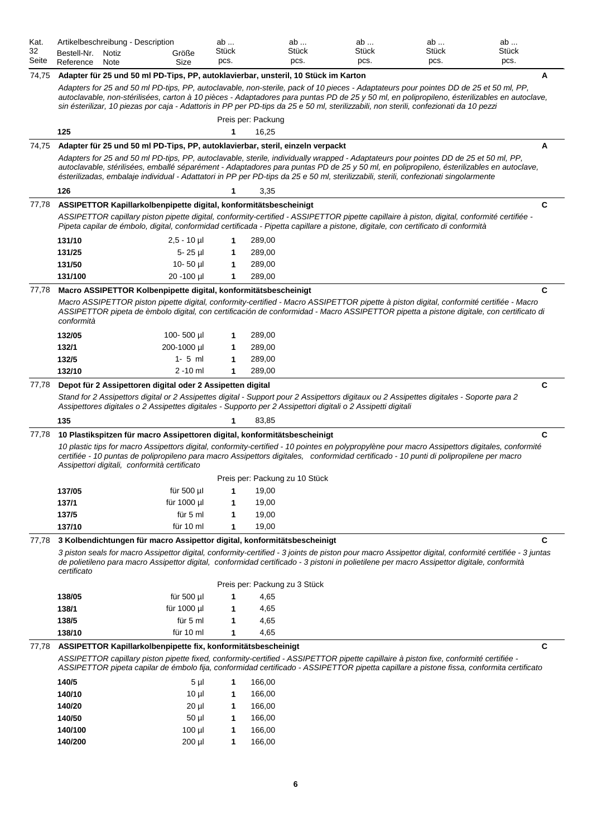| Kat.<br>32<br>Seite | Bestell-Nr.<br>Reference | Artikelbeschreibung - Description<br>Notiz<br>Note                                 | Größe<br>Size  | ab<br>Stück<br>pcs. |                             | ab<br>Stück<br>pcs.            | ab<br>Stück<br>pcs.                                                                                          | ab<br>Stück<br>pcs.                                                                                                                                                                                                                                                                                                                                                                                                      | ab<br>Stück<br>pcs.                                                                                                                                   |
|---------------------|--------------------------|------------------------------------------------------------------------------------|----------------|---------------------|-----------------------------|--------------------------------|--------------------------------------------------------------------------------------------------------------|--------------------------------------------------------------------------------------------------------------------------------------------------------------------------------------------------------------------------------------------------------------------------------------------------------------------------------------------------------------------------------------------------------------------------|-------------------------------------------------------------------------------------------------------------------------------------------------------|
| 74,75               |                          | Adapter für 25 und 50 ml PD-Tips, PP, autoklavierbar, unsteril, 10 Stück im Karton |                |                     |                             |                                |                                                                                                              | Adapters for 25 and 50 ml PD-tips, PP, autoclavable, non-sterile, pack of 10 pieces - Adaptateurs pour pointes DD de 25 et 50 ml, PP,<br>sin ésterilizar, 10 piezas por caja - Adattoris in PP per PD-tips da 25 e 50 ml, sterilizzabili, non sterili, confezionati da 10 pezzi                                                                                                                                          | Α<br>autoclavable, non-stérilisées, carton à 10 pièces - Adaptadores para puntas PD de 25 y 50 ml, en polipropileno, ésterilizables en autoclave,     |
|                     | 125                      |                                                                                    |                | 1                   | Preis per: Packung<br>16,25 |                                |                                                                                                              |                                                                                                                                                                                                                                                                                                                                                                                                                          |                                                                                                                                                       |
| 74,75               |                          | Adapter für 25 und 50 ml PD-Tips, PP, autoklavierbar, steril, einzeln verpackt     |                |                     |                             |                                |                                                                                                              |                                                                                                                                                                                                                                                                                                                                                                                                                          | Α                                                                                                                                                     |
|                     |                          |                                                                                    |                |                     |                             |                                |                                                                                                              | Adapters for 25 and 50 ml PD-tips, PP, autoclavable, sterile, individually wrapped - Adaptateurs pour pointes DD de 25 et 50 ml, PP,<br>autoclavable, stérilisées, emballé séparément - Adaptadores para puntas PD de 25 y 50 ml, en polipropileno, ésterilizables en autoclave,<br>ésterilizadas, embalaje individual - Adattatori in PP per PD-tips da 25 e 50 ml, sterilizzabili, sterili, confezionati singolarmente |                                                                                                                                                       |
|                     | 126                      |                                                                                    |                | 1                   | 3,35                        |                                |                                                                                                              |                                                                                                                                                                                                                                                                                                                                                                                                                          |                                                                                                                                                       |
| 77,78               |                          | ASSIPETTOR Kapillarkolbenpipette digital, konformitätsbescheinigt                  |                |                     |                             |                                |                                                                                                              | ASSIPETTOR capillary piston pipette digital, conformity-certified - ASSIPETTOR pipette capillaire à piston, digital, conformité certifiée -<br>Pipeta capilar de émbolo, digital, conformidad certificada - Pipetta capillare a pistone, digitale, con certificato di conformità                                                                                                                                         | C                                                                                                                                                     |
|                     | 131/10                   |                                                                                    | $2,5 - 10$ µl  | 1                   | 289,00                      |                                |                                                                                                              |                                                                                                                                                                                                                                                                                                                                                                                                                          |                                                                                                                                                       |
|                     | 131/25                   |                                                                                    | 5-25 µl        | 1                   | 289,00                      |                                |                                                                                                              |                                                                                                                                                                                                                                                                                                                                                                                                                          |                                                                                                                                                       |
|                     | 131/50                   |                                                                                    | $10 - 50$ µ    | 1                   | 289,00                      |                                |                                                                                                              |                                                                                                                                                                                                                                                                                                                                                                                                                          |                                                                                                                                                       |
|                     | 131/100                  |                                                                                    | 20 - 100 µl    | $\mathbf{1}$        | 289,00                      |                                |                                                                                                              |                                                                                                                                                                                                                                                                                                                                                                                                                          |                                                                                                                                                       |
| 77,78               |                          | Macro ASSIPETTOR Kolbenpipette digital, konformitätsbescheinigt                    |                |                     |                             |                                |                                                                                                              |                                                                                                                                                                                                                                                                                                                                                                                                                          | C                                                                                                                                                     |
|                     | conformità               |                                                                                    |                |                     |                             |                                |                                                                                                              | Macro ASSIPETTOR piston pipette digital, conformity-certified - Macro ASSIPETTOR pipette à piston digital, conformité certifiée - Macro<br>ASSIPETTOR pipeta de èmbolo digital, con certificación de conformidad - Macro ASSIPETTOR pipetta a pistone digitale, con certificato di                                                                                                                                       |                                                                                                                                                       |
|                     | 132/05                   |                                                                                    | 100-500 µl     | 1                   | 289,00                      |                                |                                                                                                              |                                                                                                                                                                                                                                                                                                                                                                                                                          |                                                                                                                                                       |
|                     | 132/1                    |                                                                                    | 200-1000 µl    | 1                   | 289,00                      |                                |                                                                                                              |                                                                                                                                                                                                                                                                                                                                                                                                                          |                                                                                                                                                       |
|                     | 132/5                    |                                                                                    | $1 - 5$ ml     | 1                   | 289,00                      |                                |                                                                                                              |                                                                                                                                                                                                                                                                                                                                                                                                                          |                                                                                                                                                       |
|                     | 132/10                   |                                                                                    | $2 - 10$ ml    | 1                   | 289,00                      |                                |                                                                                                              |                                                                                                                                                                                                                                                                                                                                                                                                                          |                                                                                                                                                       |
| 77,78               |                          | Depot für 2 Assipettoren digital oder 2 Assipetten digital                         |                |                     |                             |                                |                                                                                                              |                                                                                                                                                                                                                                                                                                                                                                                                                          | C                                                                                                                                                     |
|                     |                          |                                                                                    |                |                     |                             |                                | Assipettores digitales o 2 Assipettes digitales - Supporto per 2 Assipettori digitali o 2 Assipetti digitali | Stand for 2 Assipettors digital or 2 Assipettes digital - Support pour 2 Assipettors digitaux ou 2 Assipettes digitales - Soporte para 2                                                                                                                                                                                                                                                                                 |                                                                                                                                                       |
|                     | 135                      |                                                                                    |                | 1                   | 83,85                       |                                |                                                                                                              |                                                                                                                                                                                                                                                                                                                                                                                                                          |                                                                                                                                                       |
| 77,78               |                          | 10 Plastikspitzen für macro Assipettoren digital, konformitätsbescheinigt          |                |                     |                             |                                |                                                                                                              |                                                                                                                                                                                                                                                                                                                                                                                                                          | C                                                                                                                                                     |
|                     |                          | Assipettori digitali, conformità certificato                                       |                |                     |                             |                                |                                                                                                              | 10 plastic tips for macro Assipettors digital, conformity-certified - 10 pointes en polypropylène pour macro Assipettors digitales, conformité<br>certifiée - 10 puntas de polipropileno para macro Assipettors digitales, conformidad certificado - 10 punti di polipropilene per macro                                                                                                                                 |                                                                                                                                                       |
|                     |                          |                                                                                    |                |                     |                             | Preis per: Packung zu 10 Stück |                                                                                                              |                                                                                                                                                                                                                                                                                                                                                                                                                          |                                                                                                                                                       |
|                     | 137/05                   |                                                                                    | für 500 µl     | 1                   | 19,00                       |                                |                                                                                                              |                                                                                                                                                                                                                                                                                                                                                                                                                          |                                                                                                                                                       |
|                     | 137/1                    |                                                                                    | für 1000 µl    | 1                   | 19,00                       |                                |                                                                                                              |                                                                                                                                                                                                                                                                                                                                                                                                                          |                                                                                                                                                       |
|                     | 137/5                    |                                                                                    | für 5 ml       | 1                   | 19,00                       |                                |                                                                                                              |                                                                                                                                                                                                                                                                                                                                                                                                                          |                                                                                                                                                       |
|                     | 137/10                   |                                                                                    | für 10 ml      | 1                   | 19,00                       |                                |                                                                                                              |                                                                                                                                                                                                                                                                                                                                                                                                                          |                                                                                                                                                       |
| 77,78               |                          | 3 Kolbendichtungen für macro Assipettor digital, konformitätsbescheinigt           |                |                     |                             |                                |                                                                                                              |                                                                                                                                                                                                                                                                                                                                                                                                                          | C                                                                                                                                                     |
|                     | certificato              |                                                                                    |                |                     |                             |                                |                                                                                                              | de polietileno para macro Assipettor digital, conformidad certificado - 3 pistoni in polietilene per macro Assipettor digitale, conformità                                                                                                                                                                                                                                                                               | 3 piston seals for macro Assipettor digital, conformity-certified - 3 joints de piston pour macro Assipettor digital, conformité certifiée - 3 juntas |
|                     |                          |                                                                                    |                |                     |                             | Preis per: Packung zu 3 Stück  |                                                                                                              |                                                                                                                                                                                                                                                                                                                                                                                                                          |                                                                                                                                                       |
|                     | 138/05                   |                                                                                    | für 500 µl     | 1                   | 4,65                        |                                |                                                                                                              |                                                                                                                                                                                                                                                                                                                                                                                                                          |                                                                                                                                                       |
|                     | 138/1                    |                                                                                    | für 1000 µl    | 1                   | 4,65                        |                                |                                                                                                              |                                                                                                                                                                                                                                                                                                                                                                                                                          |                                                                                                                                                       |
|                     | 138/5                    |                                                                                    | für 5 ml       | 1                   | 4,65                        |                                |                                                                                                              |                                                                                                                                                                                                                                                                                                                                                                                                                          |                                                                                                                                                       |
|                     | 138/10                   |                                                                                    | für 10 ml      | 1                   | 4,65                        |                                |                                                                                                              |                                                                                                                                                                                                                                                                                                                                                                                                                          |                                                                                                                                                       |
| 77,78               |                          | ASSIPETTOR Kapillarkolbenpipette fix, konformitätsbescheinigt                      |                |                     |                             |                                |                                                                                                              | ASSIPETTOR capillary piston pipette fixed, conformity-certified - ASSIPETTOR pipette capillaire à piston fixe, conformité certifiée -                                                                                                                                                                                                                                                                                    | C                                                                                                                                                     |
|                     |                          |                                                                                    |                |                     |                             |                                |                                                                                                              | ASSIPETTOR pipeta capilar de émbolo fija, conformidad certificado - ASSIPETTOR pipetta capillare a pistone fissa, conformita certificato                                                                                                                                                                                                                                                                                 |                                                                                                                                                       |
|                     | 140/5                    |                                                                                    | 5 <sub>µ</sub> | 1                   | 166,00                      |                                |                                                                                                              |                                                                                                                                                                                                                                                                                                                                                                                                                          |                                                                                                                                                       |
|                     | 140/10                   |                                                                                    | $10 \mu$       | 1                   | 166,00                      |                                |                                                                                                              |                                                                                                                                                                                                                                                                                                                                                                                                                          |                                                                                                                                                       |
|                     | 140/20                   |                                                                                    | $20 \mu$       | 1                   | 166,00                      |                                |                                                                                                              |                                                                                                                                                                                                                                                                                                                                                                                                                          |                                                                                                                                                       |
|                     | 140/50                   |                                                                                    | $50$ µ         | 1                   | 166,00                      |                                |                                                                                                              |                                                                                                                                                                                                                                                                                                                                                                                                                          |                                                                                                                                                       |
|                     | 140/100                  |                                                                                    | $100$ µ        | 1                   | 166,00                      |                                |                                                                                                              |                                                                                                                                                                                                                                                                                                                                                                                                                          |                                                                                                                                                       |
|                     | 140/200                  |                                                                                    | 200 µl         | 1                   | 166,00                      |                                |                                                                                                              |                                                                                                                                                                                                                                                                                                                                                                                                                          |                                                                                                                                                       |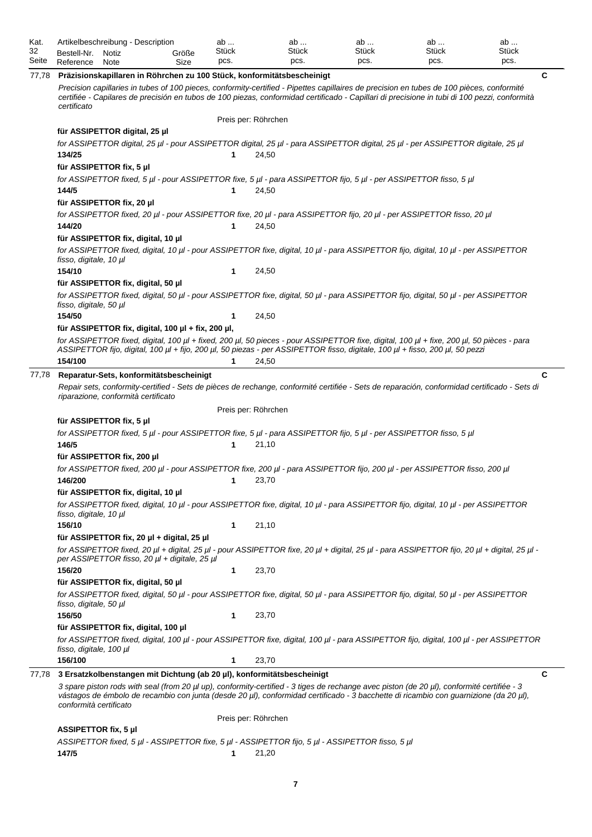| Kat.<br>32 | Bestell-Nr.                        | Artikelbeschreibung - Description                                      | Größe | ab<br>Stück |                     | ab<br>Stück | ab<br>Stück                                                                                     | ab<br>Stück                                                                                                                                                                                                                                                                                | ab<br>Stück |
|------------|------------------------------------|------------------------------------------------------------------------|-------|-------------|---------------------|-------------|-------------------------------------------------------------------------------------------------|--------------------------------------------------------------------------------------------------------------------------------------------------------------------------------------------------------------------------------------------------------------------------------------------|-------------|
| Seite      | Reference                          | Notiz<br>Note                                                          | Size  | pcs.        |                     | pcs.        | pcs.                                                                                            | pcs.                                                                                                                                                                                                                                                                                       | pcs.        |
| 77,78      |                                    | Präzisionskapillaren in Röhrchen zu 100 Stück, konformitätsbescheinigt |       |             |                     |             |                                                                                                 |                                                                                                                                                                                                                                                                                            | C           |
|            | certificato                        |                                                                        |       |             |                     |             |                                                                                                 | Precision capillaries in tubes of 100 pieces, conformity-certified - Pipettes capillaires de precision en tubes de 100 pièces, conformité<br>certifiée - Capilares de precisión en tubos de 100 piezas, conformidad certificado - Capillari di precisione in tubi di 100 pezzi, conformità |             |
|            |                                    |                                                                        |       |             | Preis per: Röhrchen |             |                                                                                                 |                                                                                                                                                                                                                                                                                            |             |
|            |                                    | für ASSIPETTOR digital, 25 µl                                          |       |             |                     |             |                                                                                                 |                                                                                                                                                                                                                                                                                            |             |
|            |                                    |                                                                        |       |             |                     |             |                                                                                                 | for ASSIPETTOR digital, 25 µl - pour ASSIPETTOR digital, 25 µl - para ASSIPETTOR digital, 25 µl - per ASSIPETTOR digitale, 25 µl                                                                                                                                                           |             |
|            | 134/25                             |                                                                        |       | 1           | 24,50               |             |                                                                                                 |                                                                                                                                                                                                                                                                                            |             |
|            |                                    | für ASSIPETTOR fix, 5 µl                                               |       |             |                     |             |                                                                                                 |                                                                                                                                                                                                                                                                                            |             |
|            | 144/5                              |                                                                        |       | 1           | 24,50               |             |                                                                                                 | for ASSIPETTOR fixed, 5 μl - pour ASSIPETTOR fixe, 5 μl - para ASSIPETTOR fijo, 5 μl - per ASSIPETTOR fisso, 5 μl                                                                                                                                                                          |             |
|            |                                    | für ASSIPETTOR fix, 20 µl                                              |       |             |                     |             |                                                                                                 |                                                                                                                                                                                                                                                                                            |             |
|            |                                    |                                                                        |       |             |                     |             |                                                                                                 | for ASSIPETTOR fixed, 20 µl - pour ASSIPETTOR fixe, 20 µl - para ASSIPETTOR fijo, 20 µl - per ASSIPETTOR fisso, 20 µl                                                                                                                                                                      |             |
|            | 144/20                             |                                                                        |       | 1           | 24,50               |             |                                                                                                 |                                                                                                                                                                                                                                                                                            |             |
|            |                                    | für ASSIPETTOR fix, digital, 10 µl                                     |       |             |                     |             |                                                                                                 |                                                                                                                                                                                                                                                                                            |             |
|            | fisso, digitale, 10 µl             |                                                                        |       |             |                     |             |                                                                                                 | for ASSIPETTOR fixed, digital, 10 µl - pour ASSIPETTOR fixe, digital, 10 µl - para ASSIPETTOR fijo, digital, 10 µl - per ASSIPETTOR                                                                                                                                                        |             |
|            | 154/10                             |                                                                        |       | 1           | 24,50               |             |                                                                                                 |                                                                                                                                                                                                                                                                                            |             |
|            |                                    | für ASSIPETTOR fix, digital, 50 µl                                     |       |             |                     |             |                                                                                                 |                                                                                                                                                                                                                                                                                            |             |
|            | fisso, digitale, 50 µl             |                                                                        |       |             |                     |             |                                                                                                 | for ASSIPETTOR fixed, digital, 50 µl - pour ASSIPETTOR fixe, digital, 50 µl - para ASSIPETTOR fijo, digital, 50 µl - per ASSIPETTOR                                                                                                                                                        |             |
|            | 154/50                             |                                                                        |       | 1           | 24,50               |             |                                                                                                 |                                                                                                                                                                                                                                                                                            |             |
|            |                                    | für ASSIPETTOR fix, digital, 100 µl + fix, 200 µl,                     |       |             |                     |             |                                                                                                 |                                                                                                                                                                                                                                                                                            |             |
|            |                                    |                                                                        |       |             |                     |             |                                                                                                 | for ASSIPETTOR fixed, digital, 100 µl + fixed, 200 µl, 50 pieces - pour ASSIPETTOR fixe, digital, 100 µl + fixe, 200 µl, 50 pièces - para<br>ASSIPETTOR fijo, digital, 100 µl + fijo, 200 µl, 50 piezas - per ASSIPETTOR fisso, digitale, 100 µl + fisso, 200 µl, 50 pezzi                 |             |
|            | 154/100                            |                                                                        |       | 1           | 24,50               |             |                                                                                                 |                                                                                                                                                                                                                                                                                            |             |
| 77,78      |                                    | Reparatur-Sets, konformitätsbescheinigt                                |       |             |                     |             |                                                                                                 |                                                                                                                                                                                                                                                                                            | C           |
|            |                                    | riparazione, conformità certificato                                    |       |             |                     |             |                                                                                                 | Repair sets, conformity-certified - Sets de pièces de rechange, conformité certifiée - Sets de reparación, conformidad certificado - Sets di                                                                                                                                               |             |
|            |                                    |                                                                        |       |             | Preis per: Röhrchen |             |                                                                                                 |                                                                                                                                                                                                                                                                                            |             |
|            |                                    | für ASSIPETTOR fix, 5 µl                                               |       |             |                     |             |                                                                                                 |                                                                                                                                                                                                                                                                                            |             |
|            |                                    |                                                                        |       |             |                     |             |                                                                                                 | for ASSIPETTOR fixed, 5 µl - pour ASSIPETTOR fixe, 5 µl - para ASSIPETTOR fijo, 5 µl - per ASSIPETTOR fisso, 5 µl                                                                                                                                                                          |             |
|            | 146/5                              |                                                                        |       | 1           | 21,10               |             |                                                                                                 |                                                                                                                                                                                                                                                                                            |             |
|            | 146/200                            | für ASSIPETTOR fix, 200 µl                                             |       | 1           | 23,70               |             |                                                                                                 | for ASSIPETTOR fixed, 200 µl - pour ASSIPETTOR fixe, 200 µl - para ASSIPETTOR fijo, 200 µl - per ASSIPETTOR fisso, 200 µl                                                                                                                                                                  |             |
|            |                                    | für ASSIPETTOR fix, digital, 10 µl                                     |       |             |                     |             |                                                                                                 |                                                                                                                                                                                                                                                                                            |             |
|            | fisso, digitale, 10 µl             |                                                                        |       |             |                     |             |                                                                                                 | for ASSIPETTOR fixed, digital, 10 µl - pour ASSIPETTOR fixe, digital, 10 µl - para ASSIPETTOR fijo, digital, 10 µl - per ASSIPETTOR                                                                                                                                                        |             |
|            | 156/10                             |                                                                        |       | 1           | 21,10               |             |                                                                                                 |                                                                                                                                                                                                                                                                                            |             |
|            |                                    | für ASSIPETTOR fix, 20 µl + digital, 25 µl                             |       |             |                     |             |                                                                                                 |                                                                                                                                                                                                                                                                                            |             |
|            |                                    | per ASSIPETTOR fisso, 20 µl + digitale, 25 µl                          |       |             |                     |             |                                                                                                 | for ASSIPETTOR fixed, 20 µl + digital, 25 µl - pour ASSIPETTOR fixe, 20 µl + digital, 25 µl - para ASSIPETTOR fijo, 20 µl + digital, 25 µl -                                                                                                                                               |             |
|            | 156/20                             |                                                                        |       | 1           | 23,70               |             |                                                                                                 |                                                                                                                                                                                                                                                                                            |             |
|            |                                    | für ASSIPETTOR fix, digital, 50 µl                                     |       |             |                     |             |                                                                                                 |                                                                                                                                                                                                                                                                                            |             |
|            | fisso, digitale, 50 µl             |                                                                        |       |             |                     |             |                                                                                                 | for ASSIPETTOR fixed, digital, 50 µl - pour ASSIPETTOR fixe, digital, 50 µl - para ASSIPETTOR fijo, digital, 50 µl - per ASSIPETTOR                                                                                                                                                        |             |
|            | 156/50                             |                                                                        |       | 1           | 23,70               |             |                                                                                                 |                                                                                                                                                                                                                                                                                            |             |
|            |                                    | für ASSIPETTOR fix, digital, 100 µl                                    |       |             |                     |             |                                                                                                 | for ASSIPETTOR fixed, digital, 100 µl - pour ASSIPETTOR fixe, digital, 100 µl - para ASSIPETTOR fijo, digital, 100 µl - per ASSIPETTOR                                                                                                                                                     |             |
|            | fisso, digitale, 100 µl<br>156/100 |                                                                        |       | 1           | 23,70               |             |                                                                                                 |                                                                                                                                                                                                                                                                                            |             |
|            |                                    |                                                                        |       |             |                     |             |                                                                                                 |                                                                                                                                                                                                                                                                                            |             |
| 77,78      |                                    | 3 Ersatzkolbenstangen mit Dichtung (ab 20 µl), konformitätsbescheinigt |       |             |                     |             |                                                                                                 |                                                                                                                                                                                                                                                                                            | С           |
|            | conformità certificato             |                                                                        |       |             |                     |             |                                                                                                 | 3 spare piston rods with seal (from 20 µl up), conformity-certified - 3 tiges de rechange avec piston (de 20 µl), conformité certifiée - 3<br>vástagos de émbolo de recambio con junta (desde 20 µl), conformidad certificado - 3 bacchette di ricambio con guarnizione (da 20 µl),        |             |
|            |                                    |                                                                        |       |             | Preis per: Röhrchen |             |                                                                                                 |                                                                                                                                                                                                                                                                                            |             |
|            | ASSIPETTOR fix, 5 µl               |                                                                        |       |             |                     |             |                                                                                                 |                                                                                                                                                                                                                                                                                            |             |
|            | 147/5                              |                                                                        |       |             | 21,20               |             | ASSIPETTOR fixed, 5 µl - ASSIPETTOR fixe, 5 µl - ASSIPETTOR fijo, 5 µl - ASSIPETTOR fisso, 5 µl |                                                                                                                                                                                                                                                                                            |             |
|            |                                    |                                                                        |       |             |                     |             |                                                                                                 |                                                                                                                                                                                                                                                                                            |             |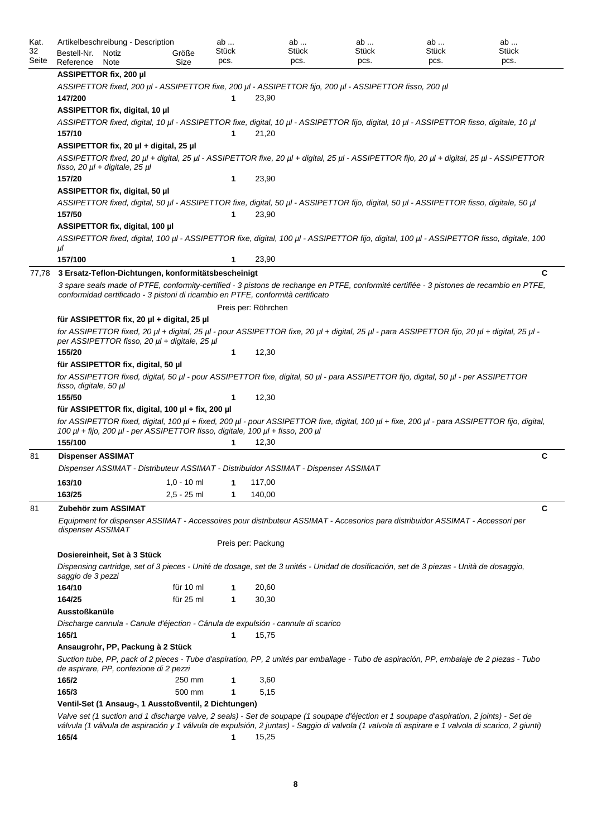| Kat.<br>32 | Artikelbeschreibung - Description<br>Bestell-Nr.<br>Notiz                      | Größe                      | ab<br>Stück | ab<br>Stück                                                                                                                                                                                                                 | ab<br>Stück | ab<br>Stück | ab<br><b>Stück</b> |
|------------|--------------------------------------------------------------------------------|----------------------------|-------------|-----------------------------------------------------------------------------------------------------------------------------------------------------------------------------------------------------------------------------|-------------|-------------|--------------------|
| Seite      | Reference<br>Note                                                              | Size                       | pcs.        | pcs.                                                                                                                                                                                                                        | pcs.        | pcs.        | pcs.               |
|            | ASSIPETTOR fix, 200 µl                                                         |                            |             |                                                                                                                                                                                                                             |             |             |                    |
|            | 147/200                                                                        |                            | 1           | ASSIPETTOR fixed, 200 µl - ASSIPETTOR fixe, 200 µl - ASSIPETTOR fijo, 200 µl - ASSIPETTOR fisso, 200 µl<br>23,90                                                                                                            |             |             |                    |
|            | ASSIPETTOR fix, digital, 10 µl                                                 |                            |             |                                                                                                                                                                                                                             |             |             |                    |
|            |                                                                                |                            |             | ASSIPETTOR fixed, digital, 10 µl - ASSIPETTOR fixe, digital, 10 µl - ASSIPETTOR fijo, digital, 10 µl - ASSIPETTOR fisso, digitale, 10 µl                                                                                    |             |             |                    |
|            | 157/10                                                                         |                            | 1           | 21,20                                                                                                                                                                                                                       |             |             |                    |
|            | ASSIPETTOR fix, 20 µl + digital, 25 µl                                         |                            |             |                                                                                                                                                                                                                             |             |             |                    |
|            | fisso, 20 $\mu$ l + digitale, 25 $\mu$ l                                       |                            |             | ASSIPETTOR fixed, 20 µl + digital, 25 µl - ASSIPETTOR fixe, 20 µl + digital, 25 µl - ASSIPETTOR fijo, 20 µl + digital, 25 µl - ASSIPETTOR                                                                                   |             |             |                    |
|            | 157/20                                                                         |                            | 1           | 23,90                                                                                                                                                                                                                       |             |             |                    |
|            | ASSIPETTOR fix, digital, 50 µl                                                 |                            |             |                                                                                                                                                                                                                             |             |             |                    |
|            |                                                                                |                            |             | ASSIPETTOR fixed, digital, 50 µl - ASSIPETTOR fixe, digital, 50 µl - ASSIPETTOR fijo, digital, 50 µl - ASSIPETTOR fisso, digitale, 50 µl                                                                                    |             |             |                    |
|            | 157/50                                                                         |                            | 1           | 23,90                                                                                                                                                                                                                       |             |             |                    |
|            | ASSIPETTOR fix, digital, 100 µl                                                |                            |             |                                                                                                                                                                                                                             |             |             |                    |
|            |                                                                                |                            |             | ASSIPETTOR fixed, digital, 100 µl - ASSIPETTOR fixe, digital, 100 µl - ASSIPETTOR fijo, digital, 100 µl - ASSIPETTOR fisso, digitale, 100                                                                                   |             |             |                    |
|            | μl                                                                             |                            |             |                                                                                                                                                                                                                             |             |             |                    |
|            | 157/100                                                                        |                            | 1           | 23,90                                                                                                                                                                                                                       |             |             |                    |
| 77,78      | 3 Ersatz-Teflon-Dichtungen, konformitätsbescheinigt                            |                            |             |                                                                                                                                                                                                                             |             |             | C                  |
|            |                                                                                |                            |             | 3 spare seals made of PTFE, conformity-certified - 3 pistons de rechange en PTFE, conformité certifiée - 3 pistones de recambio en PTFE,<br>conformidad certificado - 3 pistoni di ricambio en PTFE, conformità certificato |             |             |                    |
|            |                                                                                |                            |             | Preis per: Röhrchen                                                                                                                                                                                                         |             |             |                    |
|            | für ASSIPETTOR fix, 20 µl + digital, 25 µl                                     |                            |             |                                                                                                                                                                                                                             |             |             |                    |
|            | per ASSIPETTOR fisso, 20 µl + digitale, 25 µl                                  |                            |             | for ASSIPETTOR fixed, 20 µl + digital, 25 µl - pour ASSIPETTOR fixe, 20 µl + digital, 25 µl - para ASSIPETTOR fijo, 20 µl + digital, 25 µl -                                                                                |             |             |                    |
|            | 155/20                                                                         |                            | 1           | 12,30                                                                                                                                                                                                                       |             |             |                    |
|            | für ASSIPETTOR fix, digital, 50 µl                                             |                            |             |                                                                                                                                                                                                                             |             |             |                    |
|            | fisso, digitale, 50 µl                                                         |                            |             | for ASSIPETTOR fixed, digital, 50 µl - pour ASSIPETTOR fixe, digital, 50 µl - para ASSIPETTOR fijo, digital, 50 µl - per ASSIPETTOR                                                                                         |             |             |                    |
|            | 155/50                                                                         |                            | 1           | 12,30                                                                                                                                                                                                                       |             |             |                    |
|            | für ASSIPETTOR fix, digital, 100 $\mu$ l + fix, 200 $\mu$ l                    |                            |             |                                                                                                                                                                                                                             |             |             |                    |
|            | 100 µl + fijo, 200 µl - per ASSIPETTOR fisso, digitale, 100 µl + fisso, 200 µl |                            |             | for ASSIPETTOR fixed, digital, 100 µl + fixed, 200 µl - pour ASSIPETTOR fixe, digital, 100 µl + fixe, 200 µl - para ASSIPETTOR fijo, digital,                                                                               |             |             |                    |
|            | 155/100                                                                        |                            | 1           | 12,30                                                                                                                                                                                                                       |             |             |                    |
| 81         | <b>Dispenser ASSIMAT</b>                                                       |                            |             |                                                                                                                                                                                                                             |             |             | C                  |
|            |                                                                                |                            |             | Dispenser ASSIMAT - Distributeur ASSIMAT - Distribuidor ASSIMAT - Dispenser ASSIMAT                                                                                                                                         |             |             |                    |
|            | 163/10                                                                         | $1,0 - 10$ ml $1 - 117,00$ |             |                                                                                                                                                                                                                             |             |             |                    |
|            | 163/25                                                                         | $2,5 - 25$ ml              |             | 140,00                                                                                                                                                                                                                      |             |             |                    |
|            |                                                                                |                            | 1           |                                                                                                                                                                                                                             |             |             |                    |
| 81         | Zubehör zum ASSIMAT<br>dispenser ASSIMAT                                       |                            |             | Equipment for dispenser ASSIMAT - Accessoires pour distributeur ASSIMAT - Accesorios para distribuidor ASSIMAT - Accessori per                                                                                              |             |             | C                  |
|            |                                                                                |                            |             | Preis per: Packung                                                                                                                                                                                                          |             |             |                    |
|            | Dosiereinheit, Set à 3 Stück                                                   |                            |             |                                                                                                                                                                                                                             |             |             |                    |
|            | saggio de 3 pezzi                                                              |                            |             | Dispensing cartridge, set of 3 pieces - Unité de dosage, set de 3 unités - Unidad de dosificación, set de 3 piezas - Unità de dosaggio,                                                                                     |             |             |                    |
|            | 164/10                                                                         | für 10 ml                  | 1           | 20,60                                                                                                                                                                                                                       |             |             |                    |
|            | 164/25                                                                         | für 25 ml                  | 1           | 30,30                                                                                                                                                                                                                       |             |             |                    |
|            | Ausstoßkanüle                                                                  |                            |             |                                                                                                                                                                                                                             |             |             |                    |
|            |                                                                                |                            |             | Discharge cannula - Canule d'éjection - Cánula de expulsión - cannule di scarico                                                                                                                                            |             |             |                    |
|            | 165/1                                                                          |                            | 1           | 15,75                                                                                                                                                                                                                       |             |             |                    |
|            | Ansaugrohr, PP, Packung à 2 Stück                                              |                            |             |                                                                                                                                                                                                                             |             |             |                    |
|            | de aspirare, PP, confezione di 2 pezzi                                         |                            |             | Suction tube, PP, pack of 2 pieces - Tube d'aspiration, PP, 2 unités par emballage - Tubo de aspiración, PP, embalaje de 2 piezas - Tubo                                                                                    |             |             |                    |
|            | 165/2                                                                          | 250 mm                     | 1           | 3,60                                                                                                                                                                                                                        |             |             |                    |
|            | 165/3                                                                          | 500 mm                     | 1           | 5,15                                                                                                                                                                                                                        |             |             |                    |
|            | Ventil-Set (1 Ansaug-, 1 Ausstoßventil, 2 Dichtungen)                          |                            |             |                                                                                                                                                                                                                             |             |             |                    |
|            |                                                                                |                            |             | Valve set (1 suction and 1 discharge valve, 2 seals) - Set de soupape (1 soupape d'éjection et 1 soupape d'aspiration, 2 joints) - Set de                                                                                   |             |             |                    |
|            |                                                                                |                            |             | válvula (1 válvula de aspiración y 1 válvula de expulsión, 2 juntas) - Saggio di valvola (1 valvola di aspirare e 1 valvola di scarico, 2 giunti)                                                                           |             |             |                    |
|            | 165/4                                                                          |                            | 1           | 15,25                                                                                                                                                                                                                       |             |             |                    |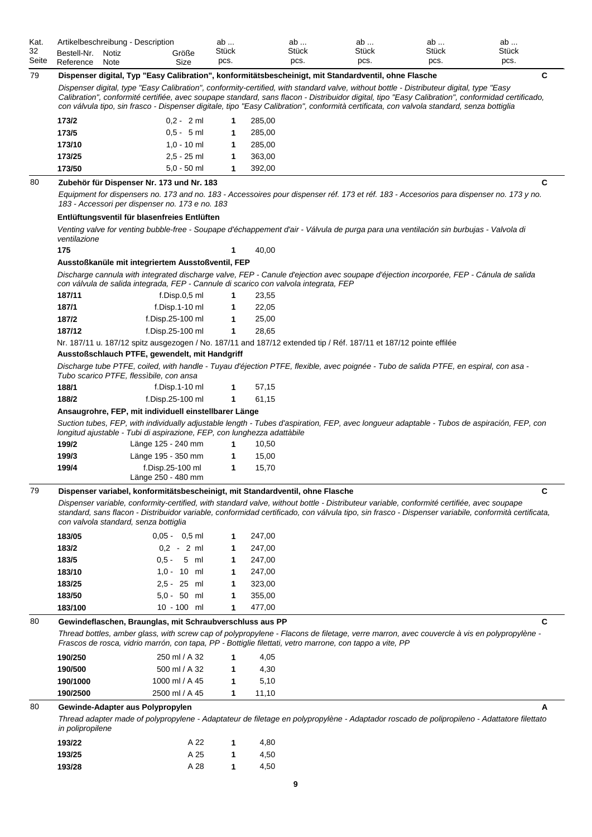| Kat.  | Artikelbeschreibung - Description |       |       | av    | ab           | ab           | ab    | ab           |
|-------|-----------------------------------|-------|-------|-------|--------------|--------------|-------|--------------|
| 32    | Bestell-Nr.                       | Notiz | Größe | Stück | <b>Stück</b> | <b>Stück</b> | Stück | <b>Stück</b> |
| Seite | Reference                         | Note  | Size  | pcs.  | pcs.         | pcs.         | pcs.  | pcs.         |

| Seite | Reference        | Note                                  | Size                                                                                 | pcs.         |                  | pcs. | pcs.                                                                                                                                                                                                                                                                                                                                                                                                                                      | pcs. | pcs. |
|-------|------------------|---------------------------------------|--------------------------------------------------------------------------------------|--------------|------------------|------|-------------------------------------------------------------------------------------------------------------------------------------------------------------------------------------------------------------------------------------------------------------------------------------------------------------------------------------------------------------------------------------------------------------------------------------------|------|------|
| 79    |                  |                                       |                                                                                      |              |                  |      | Dispenser digital, Typ "Easy Calibration", konformitätsbescheinigt, mit Standardventil, ohne Flasche                                                                                                                                                                                                                                                                                                                                      |      | C    |
|       |                  |                                       |                                                                                      |              |                  |      | Dispenser digital, type "Easy Calibration", conformity-certified, with standard valve, without bottle - Distributeur digital, type "Easy<br>Calibration", conformité certifiée, avec soupape standard, sans flacon - Distribuidor digital, tipo "Easy Calibration", conformidad certificado,<br>con válvula tipo, sin frasco - Dispenser digitale, tipo "Easy Calibration", conformità certificata, con valvola standard, senza bottiglia |      |      |
|       | 173/2            |                                       | $0.2 - 2$ ml                                                                         | 1            | 285,00           |      |                                                                                                                                                                                                                                                                                                                                                                                                                                           |      |      |
|       | 173/5            |                                       | $0.5 - 5$ ml                                                                         | 1            | 285,00           |      |                                                                                                                                                                                                                                                                                                                                                                                                                                           |      |      |
|       | 173/10           |                                       | $1,0 - 10$ ml                                                                        | 1            | 285,00           |      |                                                                                                                                                                                                                                                                                                                                                                                                                                           |      |      |
|       | 173/25           |                                       | $2,5 - 25$ ml                                                                        | 1            | 363,00           |      |                                                                                                                                                                                                                                                                                                                                                                                                                                           |      |      |
|       | 173/50           |                                       | $5.0 - 50$ ml                                                                        | 1            | 392,00           |      |                                                                                                                                                                                                                                                                                                                                                                                                                                           |      |      |
| 80    |                  |                                       | Zubehör für Dispenser Nr. 173 und Nr. 183                                            |              |                  |      |                                                                                                                                                                                                                                                                                                                                                                                                                                           |      | C    |
|       |                  |                                       | 183 - Accessori per dispenser no. 173 e no. 183                                      |              |                  |      | Equipment for dispensers no. 173 and no. 183 - Accessoires pour dispenser réf. 173 et réf. 183 - Accesorios para dispenser no. 173 y no.                                                                                                                                                                                                                                                                                                  |      |      |
|       |                  |                                       | Entlüftungsventil für blasenfreies Entlüften                                         |              |                  |      |                                                                                                                                                                                                                                                                                                                                                                                                                                           |      |      |
|       | ventilazione     |                                       |                                                                                      |              |                  |      | Venting valve for venting bubble-free - Soupape d'échappement d'air - Válvula de purga para una ventilación sin burbujas - Valvola di                                                                                                                                                                                                                                                                                                     |      |      |
|       | 175              |                                       |                                                                                      |              | 40,00            |      |                                                                                                                                                                                                                                                                                                                                                                                                                                           |      |      |
|       |                  |                                       | Ausstoßkanüle mit integriertem Ausstoßventil, FEP                                    |              |                  |      |                                                                                                                                                                                                                                                                                                                                                                                                                                           |      |      |
|       |                  |                                       | con válvula de salida integrada, FEP - Cannule di scarico con valvola integrata, FEP |              |                  |      | Discharge cannula with integrated discharge valve, FEP - Canule d'ejection avec soupape d'éjection incorporée, FEP - Cánula de salida                                                                                                                                                                                                                                                                                                     |      |      |
|       | 187/11           |                                       | f.Disp.0,5 ml                                                                        | 1            | 23,55            |      |                                                                                                                                                                                                                                                                                                                                                                                                                                           |      |      |
|       | 187/1            |                                       | $f.D$ isp.1-10 ml                                                                    | 1            | 22,05            |      |                                                                                                                                                                                                                                                                                                                                                                                                                                           |      |      |
|       | 187/2<br>187/12  |                                       | f.Disp.25-100 ml<br>f.Disp.25-100 ml                                                 | 1<br>1       | 25,00<br>28,65   |      |                                                                                                                                                                                                                                                                                                                                                                                                                                           |      |      |
|       |                  |                                       |                                                                                      |              |                  |      | Nr. 187/11 u. 187/12 spitz ausgezogen / No. 187/11 and 187/12 extended tip / Réf. 187/11 et 187/12 pointe effilée                                                                                                                                                                                                                                                                                                                         |      |      |
|       |                  |                                       | Ausstoßschlauch PTFE, gewendelt, mit Handgriff                                       |              |                  |      |                                                                                                                                                                                                                                                                                                                                                                                                                                           |      |      |
|       |                  |                                       | Tubo scarico PTFE, flessìbile, con ansa                                              |              |                  |      | Discharge tube PTFE, coiled, with handle - Tuyau d'éjection PTFE, flexible, avec poignée - Tubo de salida PTFE, en espiral, con asa -                                                                                                                                                                                                                                                                                                     |      |      |
|       | 188/1            |                                       | $f.D$ isp.1-10 $ml$                                                                  | 1            | 57,15            |      |                                                                                                                                                                                                                                                                                                                                                                                                                                           |      |      |
|       | 188/2            |                                       | f.Disp.25-100 ml                                                                     | 1            | 61,15            |      |                                                                                                                                                                                                                                                                                                                                                                                                                                           |      |      |
|       |                  |                                       | Ansaugrohre, FEP, mit individuell einstellbarer Länge                                |              |                  |      |                                                                                                                                                                                                                                                                                                                                                                                                                                           |      |      |
|       |                  |                                       | longitud ajustable - Tubi di aspirazione, FEP, con lunghezza adattàbile              |              |                  |      | Suction tubes, FEP, with individually adjustable length - Tubes d'aspiration, FEP, avec longueur adaptable - Tubos de aspiración, FEP, con                                                                                                                                                                                                                                                                                                |      |      |
|       | 199/2            |                                       | Länge 125 - 240 mm                                                                   | 1            | 10,50            |      |                                                                                                                                                                                                                                                                                                                                                                                                                                           |      |      |
|       | 199/3            |                                       | Länge 195 - 350 mm                                                                   | 1            | 15,00            |      |                                                                                                                                                                                                                                                                                                                                                                                                                                           |      |      |
|       | 199/4            |                                       | f.Disp.25-100 ml<br>Länge 250 - 480 mm                                               | 1            | 15,70            |      |                                                                                                                                                                                                                                                                                                                                                                                                                                           |      |      |
| 79    |                  |                                       | Dispenser variabel, konformitätsbescheinigt, mit Standardventil, ohne Flasche        |              |                  |      |                                                                                                                                                                                                                                                                                                                                                                                                                                           |      | C    |
|       |                  | con valvola standard, senza bottiglia |                                                                                      |              |                  |      | Dispenser variable, conformity-certified, with standard valve, without bottle - Distributeur variable, conformité certifiée, avec soupape<br>standard, sans flacon - Distribuidor variable, conformidad certificado, con válvula tipo, sin frasco - Dispenser variabile, conformità certificata,                                                                                                                                          |      |      |
|       | 183/05           |                                       | $0.05 - 0.5$ ml                                                                      | 1            | 247,00           |      |                                                                                                                                                                                                                                                                                                                                                                                                                                           |      |      |
|       | 183/2            |                                       | $0,2 - 2$ ml                                                                         | 1            | 247,00           |      |                                                                                                                                                                                                                                                                                                                                                                                                                                           |      |      |
|       | 183/5            |                                       | $0.5 - 5$ ml                                                                         | 1            | 247,00           |      |                                                                                                                                                                                                                                                                                                                                                                                                                                           |      |      |
|       | 183/10           |                                       | $1,0 - 10$ ml                                                                        | 1            | 247,00           |      |                                                                                                                                                                                                                                                                                                                                                                                                                                           |      |      |
|       | 183/25<br>183/50 |                                       | 2,5 - 25 ml<br>$5.0 - 50$ ml                                                         | 1<br>1       | 323,00<br>355,00 |      |                                                                                                                                                                                                                                                                                                                                                                                                                                           |      |      |
|       | 183/100          |                                       | 10 - 100 ml                                                                          | 1            | 477,00           |      |                                                                                                                                                                                                                                                                                                                                                                                                                                           |      |      |
| 80    |                  |                                       | Gewindeflaschen, Braunglas, mit Schraubverschluss aus PP                             |              |                  |      |                                                                                                                                                                                                                                                                                                                                                                                                                                           |      | C    |
|       |                  |                                       |                                                                                      |              |                  |      | Thread bottles, amber glass, with screw cap of polypropylene - Flacons de filetage, verre marron, avec couvercle à vis en polypropylène -<br>Frascos de rosca, vidrio marrón, con tapa, PP - Bottiglie filettati, vetro marrone, con tappo a vite, PP                                                                                                                                                                                     |      |      |
|       | 190/250          |                                       | 250 ml / A 32                                                                        | 1            | 4,05             |      |                                                                                                                                                                                                                                                                                                                                                                                                                                           |      |      |
|       | 190/500          |                                       | 500 ml / A 32                                                                        | 1            | 4,30             |      |                                                                                                                                                                                                                                                                                                                                                                                                                                           |      |      |
|       | 190/1000         |                                       | 1000 ml / A 45                                                                       | 1            | 5,10             |      |                                                                                                                                                                                                                                                                                                                                                                                                                                           |      |      |
|       | 190/2500         |                                       | 2500 ml / A 45                                                                       | 1            | 11,10            |      |                                                                                                                                                                                                                                                                                                                                                                                                                                           |      |      |
| 80    |                  |                                       | Gewinde-Adapter aus Polypropylen                                                     |              |                  |      |                                                                                                                                                                                                                                                                                                                                                                                                                                           |      |      |
|       | in polipropilene |                                       |                                                                                      |              |                  |      | Thread adapter made of polypropylene - Adaptateur de filetage en polypropylène - Adaptador roscado de polipropileno - Adattatore filettato                                                                                                                                                                                                                                                                                                |      |      |
|       | 193/22           |                                       | A 22                                                                                 | 1            | 4,80             |      |                                                                                                                                                                                                                                                                                                                                                                                                                                           |      |      |
|       | 193/25           |                                       | A 25                                                                                 | $\mathbf{1}$ | 4,50             |      |                                                                                                                                                                                                                                                                                                                                                                                                                                           |      |      |

J.

**193/28** A 28 **1** 4,50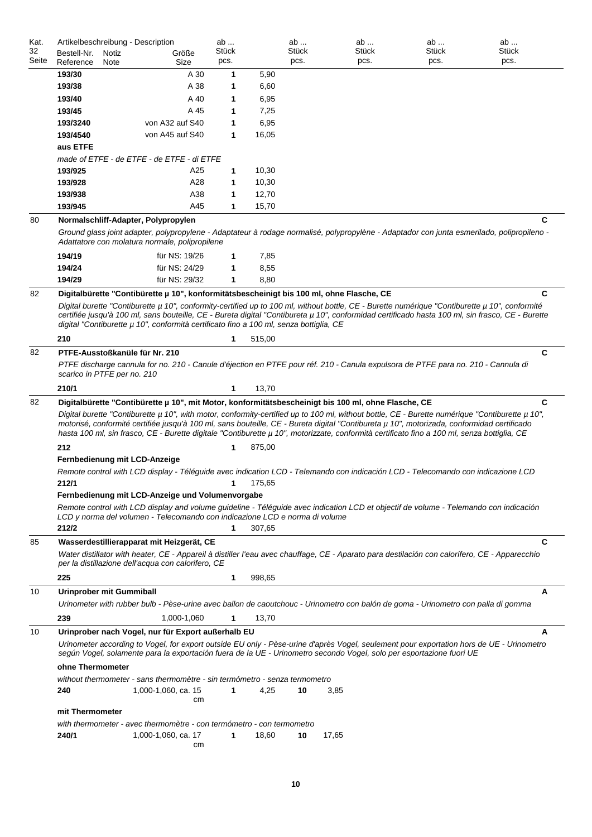| Kat.<br>32 | Artikelbeschreibung - Description<br>Bestell-Nr. | Notiz | Größe                                                                                                                                                                                                                                                                                                                                                                                                                                                                                                                                               | ab<br>Stück | ab<br>Stück    |       | ab<br>Stück | ab<br><b>Stück</b> | ab<br><b>Stück</b>                                                                                                                                    |
|------------|--------------------------------------------------|-------|-----------------------------------------------------------------------------------------------------------------------------------------------------------------------------------------------------------------------------------------------------------------------------------------------------------------------------------------------------------------------------------------------------------------------------------------------------------------------------------------------------------------------------------------------------|-------------|----------------|-------|-------------|--------------------|-------------------------------------------------------------------------------------------------------------------------------------------------------|
| Seite      | Reference                                        | Note  | Size                                                                                                                                                                                                                                                                                                                                                                                                                                                                                                                                                | pcs.        | pcs.           |       | pcs.        | pcs.               | pcs.                                                                                                                                                  |
|            | 193/30                                           |       | A 30                                                                                                                                                                                                                                                                                                                                                                                                                                                                                                                                                | 1           | 5,90           |       |             |                    |                                                                                                                                                       |
|            | 193/38                                           |       | A 38                                                                                                                                                                                                                                                                                                                                                                                                                                                                                                                                                | 1           | 6,60           |       |             |                    |                                                                                                                                                       |
|            | 193/40                                           |       | A 40                                                                                                                                                                                                                                                                                                                                                                                                                                                                                                                                                | 1           | 6,95           |       |             |                    |                                                                                                                                                       |
|            | 193/45                                           |       | A 45                                                                                                                                                                                                                                                                                                                                                                                                                                                                                                                                                | 1           | 7,25           |       |             |                    |                                                                                                                                                       |
|            | 193/3240                                         |       | von A32 auf S40                                                                                                                                                                                                                                                                                                                                                                                                                                                                                                                                     | 1           | 6,95           |       |             |                    |                                                                                                                                                       |
|            | 193/4540                                         |       | von A45 auf S40                                                                                                                                                                                                                                                                                                                                                                                                                                                                                                                                     | 1           | 16,05          |       |             |                    |                                                                                                                                                       |
|            | aus ETFE                                         |       |                                                                                                                                                                                                                                                                                                                                                                                                                                                                                                                                                     |             |                |       |             |                    |                                                                                                                                                       |
|            |                                                  |       | made of ETFE - de ETFE - de ETFE - di ETFE                                                                                                                                                                                                                                                                                                                                                                                                                                                                                                          |             |                |       |             |                    |                                                                                                                                                       |
|            | 193/925                                          |       | A25                                                                                                                                                                                                                                                                                                                                                                                                                                                                                                                                                 | 1           | 10,30          |       |             |                    |                                                                                                                                                       |
|            | 193/928                                          |       | A28                                                                                                                                                                                                                                                                                                                                                                                                                                                                                                                                                 | 1           | 10,30          |       |             |                    |                                                                                                                                                       |
|            | 193/938<br>193/945                               |       | A38<br>A45                                                                                                                                                                                                                                                                                                                                                                                                                                                                                                                                          | 1           | 12,70<br>15,70 |       |             |                    |                                                                                                                                                       |
|            |                                                  |       |                                                                                                                                                                                                                                                                                                                                                                                                                                                                                                                                                     | 1           |                |       |             |                    |                                                                                                                                                       |
| 80         |                                                  |       | Normalschliff-Adapter, Polypropylen                                                                                                                                                                                                                                                                                                                                                                                                                                                                                                                 |             |                |       |             |                    | C                                                                                                                                                     |
|            |                                                  |       | Adattatore con molatura normale, polipropilene                                                                                                                                                                                                                                                                                                                                                                                                                                                                                                      |             |                |       |             |                    | Ground glass joint adapter, polypropylene - Adaptateur à rodage normalisé, polypropylène - Adaptador con junta esmerilado, polipropileno -            |
|            | 194/19                                           |       | für NS: 19/26                                                                                                                                                                                                                                                                                                                                                                                                                                                                                                                                       | 1           | 7,85           |       |             |                    |                                                                                                                                                       |
|            | 194/24                                           |       | für NS: 24/29                                                                                                                                                                                                                                                                                                                                                                                                                                                                                                                                       | 1           | 8,55           |       |             |                    |                                                                                                                                                       |
|            | 194/29                                           |       | für NS: 29/32                                                                                                                                                                                                                                                                                                                                                                                                                                                                                                                                       | 1           | 8,80           |       |             |                    |                                                                                                                                                       |
| 82         | 210                                              |       | Digitalbürette "Contibürette µ 10", konformitätsbescheinigt bis 100 ml, ohne Flasche, CE<br>Digital burette "Contiburette µ 10", conformity-certified up to 100 ml, without bottle, CE - Burette numérique "Contiburette µ 10", conformité<br>digital "Contiburette µ 10", conformità certificato fino a 100 ml, senza bottiglia, CE                                                                                                                                                                                                                | 1           | 515,00         |       |             |                    | C<br>certifiée jusqu'à 100 ml, sans bouteille, CE - Bureta digital "Contibureta µ 10", conformidad certificado hasta 100 ml, sin frasco, CE - Burette |
| 82         |                                                  |       | PTFE-Ausstoßkanüle für Nr. 210                                                                                                                                                                                                                                                                                                                                                                                                                                                                                                                      |             |                |       |             |                    | C                                                                                                                                                     |
|            | scarico in PTFE per no. 210                      |       | PTFE discharge cannula for no. 210 - Canule d'éjection en PTFE pour réf. 210 - Canula expulsora de PTFE para no. 210 - Cannula di                                                                                                                                                                                                                                                                                                                                                                                                                   |             |                |       |             |                    |                                                                                                                                                       |
|            | 210/1                                            |       |                                                                                                                                                                                                                                                                                                                                                                                                                                                                                                                                                     | 1           | 13,70          |       |             |                    |                                                                                                                                                       |
| 82         |                                                  |       | Digitalbürette "Contibürette µ 10", mit Motor, konformitätsbescheinigt bis 100 ml, ohne Flasche, CE<br>Digital burette "Contiburette µ 10", with motor, conformity-certified up to 100 ml, without bottle, CE - Burette numérique "Contiburette µ 10",<br>motorisé, conformité certifiée jusqu'à 100 ml, sans bouteille, CE - Bureta digital "Contibureta µ 10", motorizada, conformidad certificado<br>hasta 100 ml, sin frasco, CE - Burette digitale "Contiburette µ 10", motorizzate, conformità certificato fino a 100 ml, senza bottiglia, CE |             |                |       |             |                    | C                                                                                                                                                     |
|            | 212                                              |       |                                                                                                                                                                                                                                                                                                                                                                                                                                                                                                                                                     | 1           | 875,00         |       |             |                    |                                                                                                                                                       |
|            | Fernbedienung mit LCD-Anzeige                    |       |                                                                                                                                                                                                                                                                                                                                                                                                                                                                                                                                                     |             |                |       |             |                    |                                                                                                                                                       |
|            | 212/1                                            |       | Remote control with LCD display - Téléguide avec indication LCD - Telemando con indicación LCD - Telecomando con indicazione LCD                                                                                                                                                                                                                                                                                                                                                                                                                    |             | 175,65         |       |             |                    |                                                                                                                                                       |
|            | 212/2                                            |       | Fernbedienung mit LCD-Anzeige und Volumenvorgabe<br>Remote control with LCD display and volume guideline - Téléguide avec indication LCD et objectif de volume - Telemando con indicación<br>LCD y norma del volumen - Telecomando con indicazione LCD e norma di volume                                                                                                                                                                                                                                                                            | 1           | 307,65         |       |             |                    |                                                                                                                                                       |
| 85         |                                                  |       | Wasserdestillierapparat mit Heizgerät, CE                                                                                                                                                                                                                                                                                                                                                                                                                                                                                                           |             |                |       |             |                    | С                                                                                                                                                     |
|            | 225                                              |       | Water distillator with heater, CE - Appareil à distiller l'eau avec chauffage, CE - Aparato para destilación con calorífero, CE - Apparecchio<br>per la distillazione dell'acqua con calorifero, CE                                                                                                                                                                                                                                                                                                                                                 | 1           | 998,65         |       |             |                    |                                                                                                                                                       |
| 10         | Urinprober mit Gummiball                         |       |                                                                                                                                                                                                                                                                                                                                                                                                                                                                                                                                                     |             |                |       |             |                    | A                                                                                                                                                     |
|            |                                                  |       | Urinometer with rubber bulb - Pèse-urine avec ballon de caoutchouc - Urinometro con balón de goma - Urinometro con palla di gomma                                                                                                                                                                                                                                                                                                                                                                                                                   |             |                |       |             |                    |                                                                                                                                                       |
|            | 239                                              |       | 1,000-1,060                                                                                                                                                                                                                                                                                                                                                                                                                                                                                                                                         | 1           | 13,70          |       |             |                    |                                                                                                                                                       |
| 10         |                                                  |       | Urinprober nach Vogel, nur für Export außerhalb EU<br>Urinometer according to Vogel, for export outside EU only - Pèse-urine d'après Vogel, seulement pour exportation hors de UE - Urinometro<br>según Vogel, solamente para la exportación fuera de la UE - Urinometro secondo Vogel, solo per esportazione fuori UE                                                                                                                                                                                                                              |             |                |       |             |                    | A                                                                                                                                                     |
|            | ohne Thermometer                                 |       |                                                                                                                                                                                                                                                                                                                                                                                                                                                                                                                                                     |             |                |       |             |                    |                                                                                                                                                       |
|            | 240                                              |       | without thermometer - sans thermomètre - sin termómetro - senza termometro<br>1,000-1,060, ca. 15<br>сm                                                                                                                                                                                                                                                                                                                                                                                                                                             | 1           | 4,25<br>10     | 3,85  |             |                    |                                                                                                                                                       |
|            | mit Thermometer                                  |       |                                                                                                                                                                                                                                                                                                                                                                                                                                                                                                                                                     |             |                |       |             |                    |                                                                                                                                                       |
|            | 240/1                                            |       | with thermometer - avec thermomètre - con termómetro - con termometro<br>1,000-1,060, ca. 17<br>cm                                                                                                                                                                                                                                                                                                                                                                                                                                                  | 1           | 18,60<br>10    | 17,65 |             |                    |                                                                                                                                                       |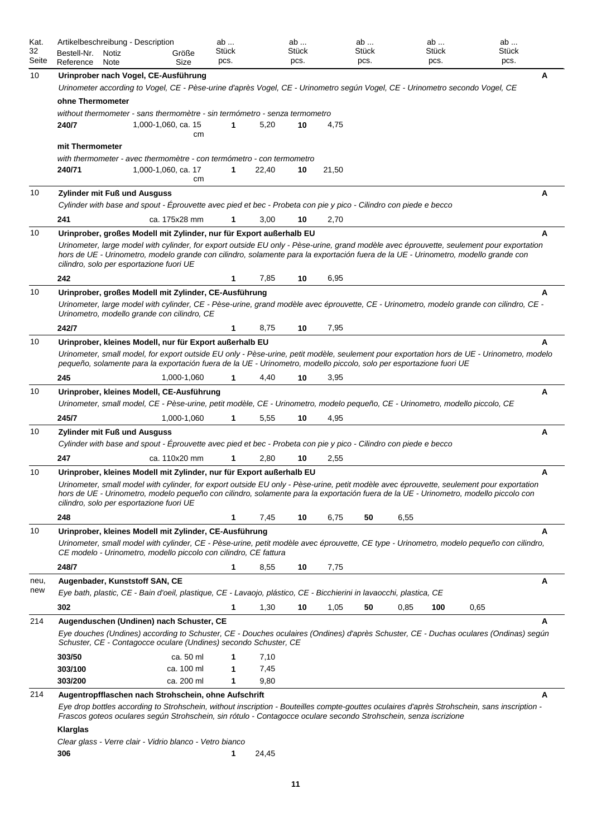| Kat.        | Artikelbeschreibung - Description                                                                                                                                                                                                                                                                                            |                     | ab            |       | ab            |       | ab            |      | ab            |      | ab            |
|-------------|------------------------------------------------------------------------------------------------------------------------------------------------------------------------------------------------------------------------------------------------------------------------------------------------------------------------------|---------------------|---------------|-------|---------------|-------|---------------|------|---------------|------|---------------|
| 32<br>Seite | Bestell-Nr.<br>Notiz                                                                                                                                                                                                                                                                                                         | Größe               | Stück<br>pcs. |       | Stück<br>pcs. |       | Stück<br>pcs. |      | Stück<br>pcs. |      | Stück<br>pcs. |
|             | Reference<br>Note                                                                                                                                                                                                                                                                                                            | Size                |               |       |               |       |               |      |               |      |               |
| 10          | Urinprober nach Vogel, CE-Ausführung                                                                                                                                                                                                                                                                                         |                     |               |       |               |       |               |      |               |      | A             |
|             | Urinometer according to Vogel, CE - Pèse-urine d'après Vogel, CE - Urinometro según Vogel, CE - Urinometro secondo Vogel, CE                                                                                                                                                                                                 |                     |               |       |               |       |               |      |               |      |               |
|             | ohne Thermometer                                                                                                                                                                                                                                                                                                             |                     |               |       |               |       |               |      |               |      |               |
|             | without thermometer - sans thermomètre - sin termómetro - senza termometro<br>240/7                                                                                                                                                                                                                                          | 1,000-1,060, ca. 15 | 1             | 5,20  | 10            | 4,75  |               |      |               |      |               |
|             |                                                                                                                                                                                                                                                                                                                              | cm                  |               |       |               |       |               |      |               |      |               |
|             | mit Thermometer                                                                                                                                                                                                                                                                                                              |                     |               |       |               |       |               |      |               |      |               |
|             | with thermometer - avec thermomètre - con termómetro - con termometro                                                                                                                                                                                                                                                        |                     |               |       |               |       |               |      |               |      |               |
|             | 240/71                                                                                                                                                                                                                                                                                                                       | 1,000-1,060, ca. 17 | 1             | 22,40 | 10            | 21,50 |               |      |               |      |               |
|             |                                                                                                                                                                                                                                                                                                                              | cm                  |               |       |               |       |               |      |               |      |               |
| 10          | Zylinder mit Fuß und Ausguss                                                                                                                                                                                                                                                                                                 |                     |               |       |               |       |               |      |               |      | A             |
|             | Cylinder with base and spout - Eprouvette avec pied et bec - Probeta con pie y pico - Cilindro con piede e becco                                                                                                                                                                                                             |                     |               |       |               |       |               |      |               |      |               |
|             | 241                                                                                                                                                                                                                                                                                                                          | ca. 175x28 mm       |               | 3,00  | 10            | 2,70  |               |      |               |      |               |
| 10          | Urinprober, großes Modell mit Zylinder, nur für Export außerhalb EU                                                                                                                                                                                                                                                          |                     |               |       |               |       |               |      |               |      | A             |
|             | Urinometer, large model with cylinder, for export outside EU only - Pèse-urine, grand modèle avec éprouvette, seulement pour exportation<br>hors de UE - Urinometro, modelo grande con cilindro, solamente para la exportación fuera de la UE - Urinometro, modello grande con<br>cilindro, solo per esportazione fuori UE   |                     |               |       |               |       |               |      |               |      |               |
|             | 242                                                                                                                                                                                                                                                                                                                          |                     | 1             | 7,85  | 10            | 6,95  |               |      |               |      |               |
| 10          | Urinprober, großes Modell mit Zylinder, CE-Ausführung                                                                                                                                                                                                                                                                        |                     |               |       |               |       |               |      |               |      | A             |
|             | Urinometer, large model with cylinder, CE - Pèse-urine, grand modèle avec éprouvette, CE - Urinometro, modelo grande con cilindro, CE -<br>Urinometro, modello grande con cilindro, CE                                                                                                                                       |                     |               |       |               |       |               |      |               |      |               |
|             | 242/7                                                                                                                                                                                                                                                                                                                        |                     | 1             | 8,75  | 10            | 7,95  |               |      |               |      |               |
| 10          | Urinprober, kleines Modell, nur für Export außerhalb EU                                                                                                                                                                                                                                                                      |                     |               |       |               |       |               |      |               |      |               |
|             | Urinometer, small model, for export outside EU only - Pèse-urine, petit modèle, seulement pour exportation hors de UE - Urinometro, modelo                                                                                                                                                                                   |                     |               |       |               |       |               |      |               |      |               |
|             | pequeño, solamente para la exportación fuera de la UE - Urinometro, modello piccolo, solo per esportazione fuori UE                                                                                                                                                                                                          |                     |               |       |               |       |               |      |               |      |               |
|             | 245                                                                                                                                                                                                                                                                                                                          | 1,000-1,060         | 1             | 4,40  | 10            | 3,95  |               |      |               |      |               |
| 10          | Urinprober, kleines Modell, CE-Ausführung                                                                                                                                                                                                                                                                                    |                     |               |       |               |       |               |      |               |      | Α             |
|             | Urinometer, small model, CE - Pèse-urine, petit modèle, CE - Urinometro, modelo pequeño, CE - Urinometro, modello piccolo, CE                                                                                                                                                                                                |                     |               |       |               |       |               |      |               |      |               |
|             | 245/7                                                                                                                                                                                                                                                                                                                        | 1,000-1,060         | 1             | 5,55  | 10            | 4,95  |               |      |               |      |               |
| 10          | <b>Zylinder mit Fuß und Ausguss</b>                                                                                                                                                                                                                                                                                          |                     |               |       |               |       |               |      |               |      | A             |
|             | Cylinder with base and spout - Eprouvette avec pied et bec - Probeta con pie y pico - Cilindro con piede e becco                                                                                                                                                                                                             |                     |               |       |               |       |               |      |               |      |               |
|             | 247                                                                                                                                                                                                                                                                                                                          | ca. 110x20 mm       | 1             | 2,80  | 10            | 2,55  |               |      |               |      |               |
| 10          | Urinprober, kleines Modell mit Zylinder, nur für Export außerhalb EU                                                                                                                                                                                                                                                         |                     |               |       |               |       |               |      |               |      | A             |
|             | Urinometer, small model with cylinder, for export outside EU only - Pèse-urine, petit modèle avec éprouvette, seulement pour exportation<br>hors de UE - Urinometro, modelo pequeño con cilindro, solamente para la exportación fuera de la UE - Urinometro, modello piccolo con<br>cilindro, solo per esportazione fuori UE |                     |               |       |               |       |               |      |               |      |               |
|             | 248                                                                                                                                                                                                                                                                                                                          |                     | 1             | 7,45  | 10            | 6,75  | 50            | 6,55 |               |      |               |
| 10          | Urinprober, kleines Modell mit Zylinder, CE-Ausführung                                                                                                                                                                                                                                                                       |                     |               |       |               |       |               |      |               |      | A             |
|             | Urinometer, small model with cylinder, CE - Pèse-urine, petit modèle avec éprouvette, CE type - Urinometro, modelo pequeño con cilindro,<br>CE modelo - Urinometro, modello piccolo con cilindro, CE fattura                                                                                                                 |                     |               |       |               |       |               |      |               |      |               |
|             | 248/7                                                                                                                                                                                                                                                                                                                        |                     | 1             | 8,55  | 10            | 7,75  |               |      |               |      |               |
| neu,        | Augenbader, Kunststoff SAN, CE                                                                                                                                                                                                                                                                                               |                     |               |       |               |       |               |      |               |      | A             |
| new         | Eye bath, plastic, CE - Bain d'oeil, plastique, CE - Lavaojo, plástico, CE - Bicchierini in lavaocchi, plastica, CE                                                                                                                                                                                                          |                     |               |       |               |       |               |      |               |      |               |
|             | 302                                                                                                                                                                                                                                                                                                                          |                     | 1             | 1,30  | 10            | 1,05  | 50            | 0,85 | 100           | 0,65 |               |
| 214         | Augenduschen (Undinen) nach Schuster, CE                                                                                                                                                                                                                                                                                     |                     |               |       |               |       |               |      |               |      | A             |
|             | Eye douches (Undines) according to Schuster, CE - Douches oculaires (Ondines) d'après Schuster, CE - Duchas oculares (Ondinas) según<br>Schuster, CE - Contagocce oculare (Undines) secondo Schuster, CE                                                                                                                     |                     |               |       |               |       |               |      |               |      |               |
|             | 303/50                                                                                                                                                                                                                                                                                                                       | ca. 50 ml           |               | 7,10  |               |       |               |      |               |      |               |
|             | 303/100                                                                                                                                                                                                                                                                                                                      | ca. 100 ml          |               | 7,45  |               |       |               |      |               |      |               |
|             | 303/200                                                                                                                                                                                                                                                                                                                      | ca. 200 ml          |               | 9,80  |               |       |               |      |               |      |               |
| 214         | Augentropfflaschen nach Strohschein, ohne Aufschrift                                                                                                                                                                                                                                                                         |                     |               |       |               |       |               |      |               |      | A             |
|             | Eye drop bottles according to Strohschein, without inscription - Bouteilles compte-gouttes oculaires d'après Strohschein, sans inscription -<br>Frascos goteos oculares según Strohschein, sin rótulo - Contagocce oculare secondo Strohschein, senza iscrizione                                                             |                     |               |       |               |       |               |      |               |      |               |
|             | Klarglas                                                                                                                                                                                                                                                                                                                     |                     |               |       |               |       |               |      |               |      |               |
|             | Clear glass - Verre clair - Vidrio blanco - Vetro bianco<br>306                                                                                                                                                                                                                                                              |                     | 1             | 24,45 |               |       |               |      |               |      |               |
|             |                                                                                                                                                                                                                                                                                                                              |                     |               |       |               |       |               |      |               |      |               |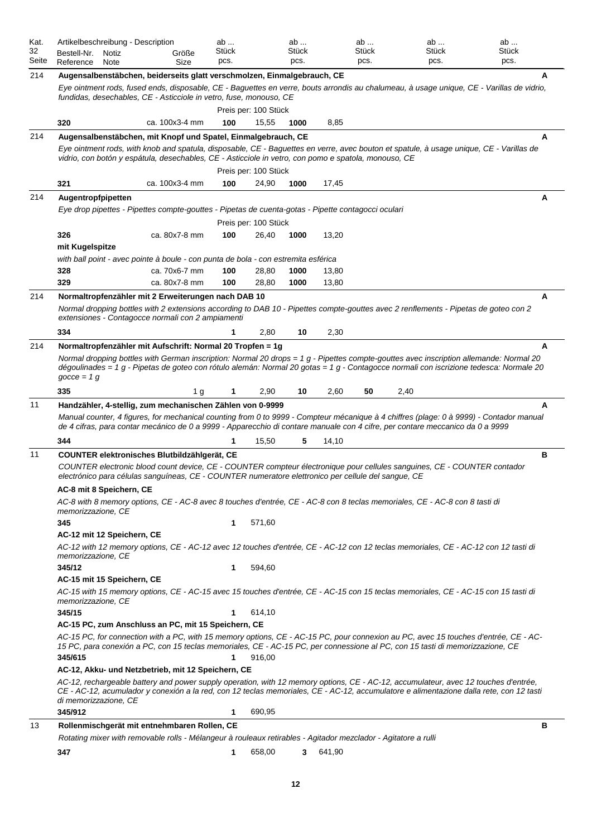| Kat.<br>32<br>Seite | Artikelbeschreibung - Description<br>Bestell-Nr.<br>Reference                                                                                                                              | Notiz<br>Note | Größe<br>Size  | ab<br>Stück<br>pcs. |                               | ab<br>Stück<br>pcs. |        | ab<br><b>Stück</b><br>pcs. |      | ab<br>Stück<br>pcs. | ab<br>Stück<br>pcs.                                                                                                                                                                                                                                                                |   |
|---------------------|--------------------------------------------------------------------------------------------------------------------------------------------------------------------------------------------|---------------|----------------|---------------------|-------------------------------|---------------------|--------|----------------------------|------|---------------------|------------------------------------------------------------------------------------------------------------------------------------------------------------------------------------------------------------------------------------------------------------------------------------|---|
| 214                 | Augensalbenstäbchen, beiderseits glatt verschmolzen, Einmalgebrauch, CE                                                                                                                    |               |                |                     |                               |                     |        |                            |      |                     |                                                                                                                                                                                                                                                                                    |   |
|                     | fundidas, desechables, CE - Asticciole in vetro, fuse, monouso, CE                                                                                                                         |               |                |                     |                               |                     |        |                            |      |                     | Eye ointment rods, fused ends, disposable, CE - Baguettes en verre, bouts arrondis au chalumeau, à usage unique, CE - Varillas de vidrio,                                                                                                                                          |   |
|                     |                                                                                                                                                                                            |               |                |                     | Preis per: 100 Stück          |                     |        |                            |      |                     |                                                                                                                                                                                                                                                                                    |   |
|                     | 320                                                                                                                                                                                        |               | ca. 100x3-4 mm | 100                 | 15,55                         | 1000                | 8,85   |                            |      |                     |                                                                                                                                                                                                                                                                                    |   |
| 214                 | Augensalbenstäbchen, mit Knopf und Spatel, Einmalgebrauch, CE                                                                                                                              |               |                |                     |                               |                     |        |                            |      |                     |                                                                                                                                                                                                                                                                                    |   |
|                     | vidrio, con botón y espátula, desechables, CE - Asticciole in vetro, con pomo e spatola, monouso, CE                                                                                       |               |                |                     |                               |                     |        |                            |      |                     | Eye ointment rods, with knob and spatula, disposable, CE - Baguettes en verre, avec bouton et spatule, à usage unique, CE - Varillas de                                                                                                                                            |   |
|                     | 321                                                                                                                                                                                        |               | ca. 100x3-4 mm | 100                 | Preis per: 100 Stück<br>24,90 | 1000                | 17,45  |                            |      |                     |                                                                                                                                                                                                                                                                                    |   |
| 214                 | Augentropfpipetten                                                                                                                                                                         |               |                |                     |                               |                     |        |                            |      |                     |                                                                                                                                                                                                                                                                                    | Α |
|                     | Eye drop pipettes - Pipettes compte-gouttes - Pipetas de cuenta-gotas - Pipette contagocci oculari                                                                                         |               |                |                     |                               |                     |        |                            |      |                     |                                                                                                                                                                                                                                                                                    |   |
|                     |                                                                                                                                                                                            |               |                |                     | Preis per: 100 Stück          |                     |        |                            |      |                     |                                                                                                                                                                                                                                                                                    |   |
|                     | 326                                                                                                                                                                                        |               | ca. 80x7-8 mm  | 100                 | 26,40                         | 1000                | 13,20  |                            |      |                     |                                                                                                                                                                                                                                                                                    |   |
|                     | mit Kugelspitze                                                                                                                                                                            |               |                |                     |                               |                     |        |                            |      |                     |                                                                                                                                                                                                                                                                                    |   |
|                     | with ball point - avec pointe à boule - con punta de bola - con estremita esférica                                                                                                         |               |                |                     |                               |                     |        |                            |      |                     |                                                                                                                                                                                                                                                                                    |   |
|                     | 328                                                                                                                                                                                        |               | ca. 70x6-7 mm  | 100                 | 28,80                         | 1000                | 13,80  |                            |      |                     |                                                                                                                                                                                                                                                                                    |   |
|                     | 329                                                                                                                                                                                        |               | ca. 80x7-8 mm  | 100                 | 28,80                         | 1000                | 13,80  |                            |      |                     |                                                                                                                                                                                                                                                                                    |   |
| 214                 | Normaltropfenzähler mit 2 Erweiterungen nach DAB 10                                                                                                                                        |               |                |                     |                               |                     |        |                            |      |                     | Normal dropping bottles with 2 extensions according to DAB 10 - Pipettes compte-gouttes avec 2 renflements - Pipetas de goteo con 2                                                                                                                                                | A |
|                     | extensiones - Contagocce normali con 2 ampiamenti<br>334                                                                                                                                   |               |                |                     | 2,80                          | 10                  | 2,30   |                            |      |                     |                                                                                                                                                                                                                                                                                    |   |
| 214                 |                                                                                                                                                                                            |               |                |                     |                               |                     |        |                            |      |                     |                                                                                                                                                                                                                                                                                    | A |
|                     | Normaltropfenzähler mit Aufschrift: Normal 20 Tropfen = 1g<br>$gocce = 1 g$                                                                                                                |               |                |                     |                               |                     |        |                            |      |                     | Normal dropping bottles with German inscription: Normal 20 drops = $1 g -$ Pipettes compte-gouttes avec inscription allemande: Normal 20<br>dégoulinades = 1 g - Pipetas de goteo con rótulo alemán: Normal 20 gotas = 1 g - Contagocce normali con iscrizione tedesca: Normale 20 |   |
|                     | 335                                                                                                                                                                                        |               | 1 <sub>g</sub> |                     | 2,90                          | 10                  | 2,60   | 50                         | 2,40 |                     |                                                                                                                                                                                                                                                                                    |   |
| 11                  | Handzähler, 4-stellig, zum mechanischen Zählen von 0-9999<br>de 4 cifras, para contar mecánico de 0 a 9999 - Apparecchio di contare manuale con 4 cifre, per contare meccanico da 0 a 9999 |               |                |                     |                               |                     |        |                            |      |                     | Manual counter, 4 figures, for mechanical counting from 0 to 9999 - Compteur mécanique à 4 chiffres (plage: 0 à 9999) - Contador manual                                                                                                                                            | A |
|                     | 344                                                                                                                                                                                        |               |                |                     | 15,50                         | 5                   | 14,10  |                            |      |                     |                                                                                                                                                                                                                                                                                    |   |
| 11                  | COUNTER elektronisches Blutbildzählgerät, CE<br>electrónico para células sanguíneas, CE - COUNTER numeratore elettronico per cellule del sangue, CE                                        |               |                |                     |                               |                     |        |                            |      |                     | COUNTER electronic blood count device, CE - COUNTER compteur électronique pour cellules sanguines, CE - COUNTER contador                                                                                                                                                           | в |
|                     | AC-8 mit 8 Speichern, CE                                                                                                                                                                   |               |                |                     |                               |                     |        |                            |      |                     |                                                                                                                                                                                                                                                                                    |   |
|                     | AC-8 with 8 memory options, CE - AC-8 avec 8 touches d'entrée, CE - AC-8 con 8 teclas memoriales, CE - AC-8 con 8 tasti di<br>memorizzazione, CE                                           |               |                |                     |                               |                     |        |                            |      |                     |                                                                                                                                                                                                                                                                                    |   |
|                     | 345                                                                                                                                                                                        |               |                | 1                   | 571,60                        |                     |        |                            |      |                     |                                                                                                                                                                                                                                                                                    |   |
|                     | AC-12 mit 12 Speichern, CE<br>memorizzazione, CE                                                                                                                                           |               |                |                     |                               |                     |        |                            |      |                     | AC-12 with 12 memory options, CE - AC-12 avec 12 touches d'entrée, CE - AC-12 con 12 teclas memoriales, CE - AC-12 con 12 tasti di                                                                                                                                                 |   |
|                     | 345/12                                                                                                                                                                                     |               |                | 1                   | 594,60                        |                     |        |                            |      |                     |                                                                                                                                                                                                                                                                                    |   |
|                     | AC-15 mit 15 Speichern, CE<br>memorizzazione, CE                                                                                                                                           |               |                |                     |                               |                     |        |                            |      |                     | AC-15 with 15 memory options, CE - AC-15 avec 15 touches d'entrée, CE - AC-15 con 15 teclas memoriales, CE - AC-15 con 15 tasti di                                                                                                                                                 |   |
|                     | 345/15                                                                                                                                                                                     |               |                | 1                   | 614,10                        |                     |        |                            |      |                     |                                                                                                                                                                                                                                                                                    |   |
|                     | AC-15 PC, zum Anschluss an PC, mit 15 Speichern, CE                                                                                                                                        |               |                |                     |                               |                     |        |                            |      |                     |                                                                                                                                                                                                                                                                                    |   |
|                     | 15 PC, para conexión a PC, con 15 teclas memoriales, CE - AC-15 PC, per connessione al PC, con 15 tasti di memorizzazione, CE<br>345/615                                                   |               |                | $\mathbf{1}$        | 916,00                        |                     |        |                            |      |                     | AC-15 PC, for connection with a PC, with 15 memory options, CE - AC-15 PC, pour connexion au PC, avec 15 touches d'entrée, CE - AC-                                                                                                                                                |   |
|                     | AC-12, Akku- und Netzbetrieb, mit 12 Speichern, CE                                                                                                                                         |               |                |                     |                               |                     |        |                            |      |                     |                                                                                                                                                                                                                                                                                    |   |
|                     | di memorizzazione, CE                                                                                                                                                                      |               |                |                     |                               |                     |        |                            |      |                     | AC-12, rechargeable battery and power supply operation, with 12 memory options, CE - AC-12, accumulateur, avec 12 touches d'entrée,<br>CE - AC-12, acumulador y conexión a la red, con 12 teclas memoriales, CE - AC-12, accumulatore e alimentazione dalla rete, con 12 tasti     |   |
|                     | 345/912                                                                                                                                                                                    |               |                | 1                   | 690,95                        |                     |        |                            |      |                     |                                                                                                                                                                                                                                                                                    |   |
| 13                  | Rollenmischgerät mit entnehmbaren Rollen, CE<br>Rotating mixer with removable rolls - Mélangeur à rouleaux retirables - Agitador mezclador - Agitatore a rulli                             |               |                |                     |                               |                     |        |                            |      |                     |                                                                                                                                                                                                                                                                                    | в |
|                     | 347                                                                                                                                                                                        |               |                | 1                   | 658,00                        | 3                   | 641,90 |                            |      |                     |                                                                                                                                                                                                                                                                                    |   |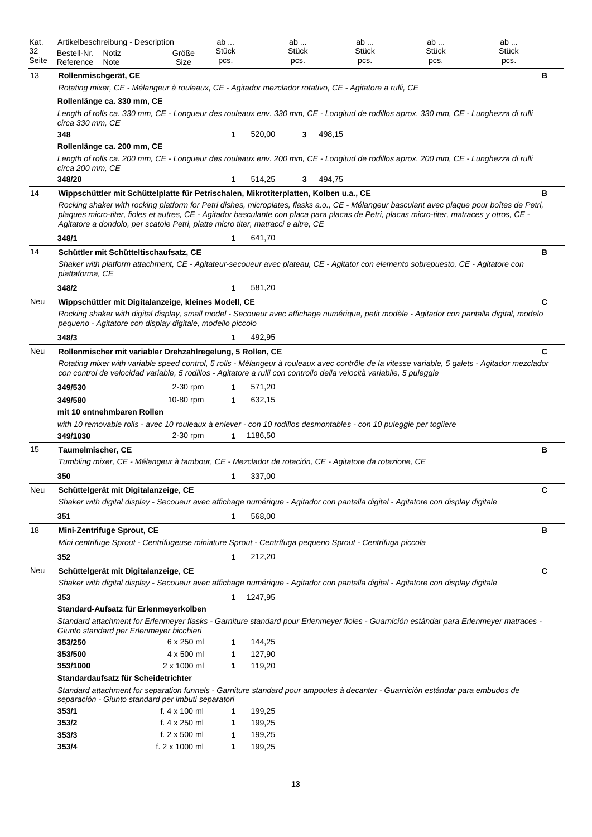| Kat.        |                                                                                                                                                                                                              | Artikelbeschreibung - Description                                                                                    |                                               | ab            |                  | ab            |        | ab            | ab                                                                                                                                                                                                                                                                                        | ab            |   |  |  |  |
|-------------|--------------------------------------------------------------------------------------------------------------------------------------------------------------------------------------------------------------|----------------------------------------------------------------------------------------------------------------------|-----------------------------------------------|---------------|------------------|---------------|--------|---------------|-------------------------------------------------------------------------------------------------------------------------------------------------------------------------------------------------------------------------------------------------------------------------------------------|---------------|---|--|--|--|
| 32<br>Seite | Bestell-Nr.<br>Notiz                                                                                                                                                                                         |                                                                                                                      | Größe                                         | Stück<br>pcs. |                  | Stück<br>pcs. |        | Stück<br>pcs. | Stück<br>pcs.                                                                                                                                                                                                                                                                             | Stück<br>pcs. |   |  |  |  |
|             | Reference<br>Note                                                                                                                                                                                            |                                                                                                                      | Size                                          |               |                  |               |        |               |                                                                                                                                                                                                                                                                                           |               |   |  |  |  |
| 13          | Rollenmischgerät, CE                                                                                                                                                                                         |                                                                                                                      |                                               |               |                  |               |        |               |                                                                                                                                                                                                                                                                                           |               | в |  |  |  |
|             | Rotating mixer, CE - Mélangeur à rouleaux, CE - Agitador mezclador rotativo, CE - Agitatore a rulli, CE<br>Rollenlänge ca. 330 mm, CE                                                                        |                                                                                                                      |                                               |               |                  |               |        |               |                                                                                                                                                                                                                                                                                           |               |   |  |  |  |
|             |                                                                                                                                                                                                              |                                                                                                                      |                                               |               |                  |               |        |               | Length of rolls ca. 330 mm, CE - Longueur des rouleaux env. 330 mm, CE - Longitud de rodillos aprox. 330 mm, CE - Lunghezza di rulli                                                                                                                                                      |               |   |  |  |  |
|             | circa 330 mm, CE                                                                                                                                                                                             |                                                                                                                      |                                               |               |                  |               |        |               |                                                                                                                                                                                                                                                                                           |               |   |  |  |  |
|             | 348                                                                                                                                                                                                          |                                                                                                                      |                                               | 1             | 520,00           | 3             | 498,15 |               |                                                                                                                                                                                                                                                                                           |               |   |  |  |  |
|             | Rollenlänge ca. 200 mm, CE                                                                                                                                                                                   |                                                                                                                      |                                               |               |                  |               |        |               |                                                                                                                                                                                                                                                                                           |               |   |  |  |  |
|             | circa 200 mm, CE                                                                                                                                                                                             |                                                                                                                      |                                               |               |                  |               |        |               | Length of rolls ca. 200 mm, CE - Longueur des rouleaux env. 200 mm, CE - Longitud de rodillos aprox. 200 mm, CE - Lunghezza di rulli                                                                                                                                                      |               |   |  |  |  |
|             | 348/20                                                                                                                                                                                                       |                                                                                                                      |                                               | 1             | 514,25           | 3             | 494,75 |               |                                                                                                                                                                                                                                                                                           |               |   |  |  |  |
| 14          |                                                                                                                                                                                                              | Wippschüttler mit Schüttelplatte für Petrischalen, Mikrotiterplatten, Kolben u.a., CE                                |                                               |               |                  |               |        |               |                                                                                                                                                                                                                                                                                           |               | B |  |  |  |
|             |                                                                                                                                                                                                              | Agitatore a dondolo, per scatole Petri, piatte micro titer, matracci e altre, CE                                     |                                               |               |                  |               |        |               | Rocking shaker with rocking platform for Petri dishes, microplates, flasks a.o., CE - Mélangeur basculant avec plaque pour boîtes de Petri,<br>plaques micro-titer, fioles et autres, CE - Agitador basculante con placa para placas de Petri, placas micro-titer, matraces y otros, CE - |               |   |  |  |  |
|             | 348/1                                                                                                                                                                                                        |                                                                                                                      |                                               | 1             | 641,70           |               |        |               |                                                                                                                                                                                                                                                                                           |               |   |  |  |  |
| 14          |                                                                                                                                                                                                              | Schüttler mit Schütteltischaufsatz, CE                                                                               |                                               |               |                  |               |        |               |                                                                                                                                                                                                                                                                                           |               | в |  |  |  |
|             | piattaforma, CE                                                                                                                                                                                              |                                                                                                                      |                                               |               |                  |               |        |               | Shaker with platform attachment, CE - Agitateur-secoueur avec plateau, CE - Agitator con elemento sobrepuesto, CE - Agitatore con                                                                                                                                                         |               |   |  |  |  |
|             | 348/2                                                                                                                                                                                                        |                                                                                                                      |                                               | 1             | 581,20           |               |        |               |                                                                                                                                                                                                                                                                                           |               |   |  |  |  |
| Neu         |                                                                                                                                                                                                              | Wippschüttler mit Digitalanzeige, kleines Modell, CE                                                                 |                                               |               |                  |               |        |               |                                                                                                                                                                                                                                                                                           |               | C |  |  |  |
|             |                                                                                                                                                                                                              |                                                                                                                      |                                               |               |                  |               |        |               | Rocking shaker with digital display, small model - Secoueur avec affichage numérique, petit modèle - Agitador con pantalla digital, modelo                                                                                                                                                |               |   |  |  |  |
|             |                                                                                                                                                                                                              | pequeno - Agitatore con display digitale, modello piccolo                                                            |                                               |               |                  |               |        |               |                                                                                                                                                                                                                                                                                           |               |   |  |  |  |
|             | 348/3                                                                                                                                                                                                        |                                                                                                                      |                                               |               | 492,95           |               |        |               |                                                                                                                                                                                                                                                                                           |               | C |  |  |  |
| Neu         | Rollenmischer mit variabler Drehzahlregelung, 5 Rollen, CE<br>Rotating mixer with variable speed control, 5 rolls - Mélangeur à rouleaux avec contrôle de la vitesse variable, 5 galets - Agitador mezclador |                                                                                                                      |                                               |               |                  |               |        |               |                                                                                                                                                                                                                                                                                           |               |   |  |  |  |
|             |                                                                                                                                                                                                              | con control de velocidad variable, 5 rodillos - Agitatore a rulli con controllo della velocità variabile, 5 puleggie |                                               |               |                  |               |        |               |                                                                                                                                                                                                                                                                                           |               |   |  |  |  |
|             | 349/530                                                                                                                                                                                                      |                                                                                                                      | 2-30 rpm                                      | 1             | 571,20           |               |        |               |                                                                                                                                                                                                                                                                                           |               |   |  |  |  |
|             | 349/580                                                                                                                                                                                                      |                                                                                                                      | 10-80 rpm                                     | 1             | 632,15           |               |        |               |                                                                                                                                                                                                                                                                                           |               |   |  |  |  |
|             | mit 10 entnehmbaren Rollen                                                                                                                                                                                   |                                                                                                                      |                                               |               |                  |               |        |               |                                                                                                                                                                                                                                                                                           |               |   |  |  |  |
|             | with 10 removable rolls - avec 10 rouleaux à enlever - con 10 rodillos desmontables - con 10 puleggie per togliere<br>349/1030<br>1186,50<br>2-30 rpm<br>1                                                   |                                                                                                                      |                                               |               |                  |               |        |               |                                                                                                                                                                                                                                                                                           |               |   |  |  |  |
|             |                                                                                                                                                                                                              |                                                                                                                      |                                               |               |                  |               |        |               |                                                                                                                                                                                                                                                                                           |               |   |  |  |  |
| 15          | Taumelmischer, CE                                                                                                                                                                                            |                                                                                                                      |                                               |               |                  |               |        |               |                                                                                                                                                                                                                                                                                           |               | в |  |  |  |
|             |                                                                                                                                                                                                              | Tumbling mixer, CE - Mélangeur à tambour, CE - Mezclador de rotación, CE - Agitatore da rotazione, CE                |                                               |               |                  |               |        |               |                                                                                                                                                                                                                                                                                           |               |   |  |  |  |
|             | 350                                                                                                                                                                                                          |                                                                                                                      |                                               | 1             | 337,00           |               |        |               |                                                                                                                                                                                                                                                                                           |               |   |  |  |  |
| Neu         |                                                                                                                                                                                                              | Schüttelgerät mit Digitalanzeige, CE                                                                                 |                                               |               |                  |               |        |               |                                                                                                                                                                                                                                                                                           |               | C |  |  |  |
|             |                                                                                                                                                                                                              |                                                                                                                      |                                               |               |                  |               |        |               | Shaker with digital display - Secoueur avec affichage numérique - Agitador con pantalla digital - Agitatore con display digitale                                                                                                                                                          |               |   |  |  |  |
|             | 351                                                                                                                                                                                                          |                                                                                                                      |                                               | 1             | 568,00           |               |        |               |                                                                                                                                                                                                                                                                                           |               |   |  |  |  |
| 18          | Mini-Zentrifuge Sprout, CE                                                                                                                                                                                   |                                                                                                                      |                                               |               |                  |               |        |               |                                                                                                                                                                                                                                                                                           |               | в |  |  |  |
|             |                                                                                                                                                                                                              | Mini centrifuge Sprout - Centrifugeuse miniature Sprout - Centrifuga pequeno Sprout - Centrifuga piccola             |                                               |               |                  |               |        |               |                                                                                                                                                                                                                                                                                           |               |   |  |  |  |
|             | 352                                                                                                                                                                                                          |                                                                                                                      |                                               | 1             | 212,20           |               |        |               |                                                                                                                                                                                                                                                                                           |               |   |  |  |  |
| Neu         |                                                                                                                                                                                                              | Schüttelgerät mit Digitalanzeige, CE                                                                                 |                                               |               |                  |               |        |               |                                                                                                                                                                                                                                                                                           |               | C |  |  |  |
|             |                                                                                                                                                                                                              |                                                                                                                      |                                               |               |                  |               |        |               | Shaker with digital display - Secoueur avec affichage numérique - Agitador con pantalla digital - Agitatore con display digitale                                                                                                                                                          |               |   |  |  |  |
|             | 353                                                                                                                                                                                                          |                                                                                                                      |                                               | 1             | 1247,95          |               |        |               |                                                                                                                                                                                                                                                                                           |               |   |  |  |  |
|             |                                                                                                                                                                                                              | Standard-Aufsatz für Erlenmeyerkolben                                                                                |                                               |               |                  |               |        |               |                                                                                                                                                                                                                                                                                           |               |   |  |  |  |
|             |                                                                                                                                                                                                              |                                                                                                                      |                                               |               |                  |               |        |               | Standard attachment for Erlenmeyer flasks - Garniture standard pour Erlenmeyer fioles - Guarnición estándar para Erlenmeyer matraces -                                                                                                                                                    |               |   |  |  |  |
|             |                                                                                                                                                                                                              | Giunto standard per Erlenmeyer bicchieri                                                                             |                                               |               |                  |               |        |               |                                                                                                                                                                                                                                                                                           |               |   |  |  |  |
|             |                                                                                                                                                                                                              |                                                                                                                      |                                               |               |                  |               |        |               |                                                                                                                                                                                                                                                                                           |               |   |  |  |  |
|             | 353/250                                                                                                                                                                                                      | 6 x 250 ml<br>144,25<br>1                                                                                            |                                               |               |                  |               |        |               |                                                                                                                                                                                                                                                                                           |               |   |  |  |  |
|             | 353/500                                                                                                                                                                                                      |                                                                                                                      | 4 x 500 ml                                    | 1             | 127,90           |               |        |               |                                                                                                                                                                                                                                                                                           |               |   |  |  |  |
|             | 353/1000                                                                                                                                                                                                     |                                                                                                                      | 2 x 1000 ml                                   | 1             | 119,20           |               |        |               |                                                                                                                                                                                                                                                                                           |               |   |  |  |  |
|             |                                                                                                                                                                                                              | Standardaufsatz für Scheidetrichter                                                                                  |                                               |               |                  |               |        |               |                                                                                                                                                                                                                                                                                           |               |   |  |  |  |
|             |                                                                                                                                                                                                              | separación - Giunto standard per imbuti separatori                                                                   |                                               |               |                  |               |        |               | Standard attachment for separation funnels - Garniture standard pour ampoules à decanter - Guarnición estándar para embudos de                                                                                                                                                            |               |   |  |  |  |
|             | 353/1                                                                                                                                                                                                        |                                                                                                                      | f. $4 \times 100$ ml                          | 1             | 199,25           |               |        |               |                                                                                                                                                                                                                                                                                           |               |   |  |  |  |
|             | 353/2                                                                                                                                                                                                        |                                                                                                                      | f. 4 x 250 ml                                 | 1             | 199,25           |               |        |               |                                                                                                                                                                                                                                                                                           |               |   |  |  |  |
|             | 353/3<br>353/4                                                                                                                                                                                               |                                                                                                                      | f. $2 \times 500$ ml<br>f. $2 \times 1000$ ml | 1<br>1        | 199,25<br>199,25 |               |        |               |                                                                                                                                                                                                                                                                                           |               |   |  |  |  |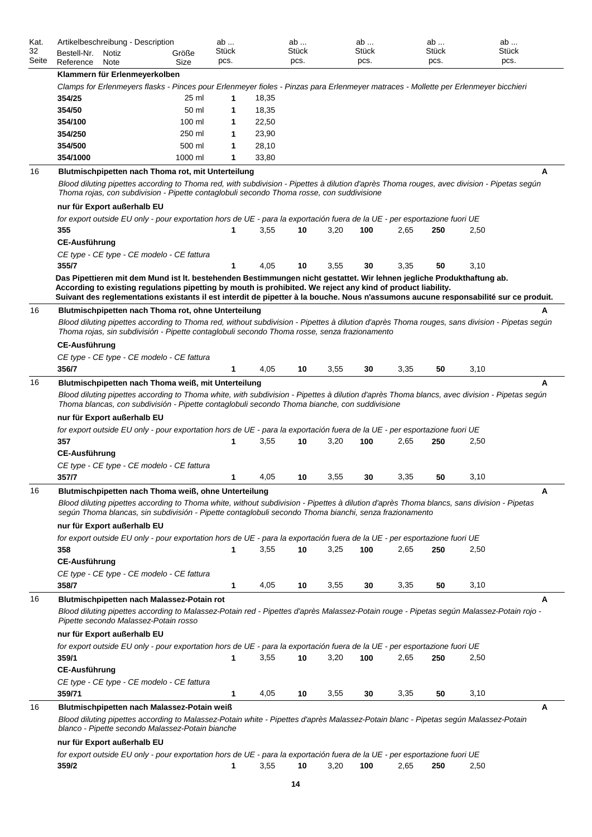| Kat.                 | Artikelbeschreibung - Description                                                                                                                                                                                                                   |               | ab<br>Stück |       | ab<br>Stück |      | ab<br><b>Stück</b> |      | ab            |      | ab<br><b>Stück</b> |
|----------------------|-----------------------------------------------------------------------------------------------------------------------------------------------------------------------------------------------------------------------------------------------------|---------------|-------------|-------|-------------|------|--------------------|------|---------------|------|--------------------|
| 32<br>Seite          | Bestell-Nr.<br>Notiz<br>Reference<br>Note                                                                                                                                                                                                           | Größe<br>Size | pcs.        |       | pcs.        |      | pcs.               |      | Stück<br>pcs. |      | pcs.               |
|                      | Klammern für Erlenmeyerkolben                                                                                                                                                                                                                       |               |             |       |             |      |                    |      |               |      |                    |
|                      | Clamps for Erlenmeyers flasks - Pinces pour Erlenmeyer fioles - Pinzas para Erlenmeyer matraces - Mollette per Erlenmeyer bicchieri                                                                                                                 |               |             |       |             |      |                    |      |               |      |                    |
|                      | 354/25                                                                                                                                                                                                                                              | 25 ml         | 1           | 18,35 |             |      |                    |      |               |      |                    |
|                      | 354/50                                                                                                                                                                                                                                              | 50 ml         | 1           | 18,35 |             |      |                    |      |               |      |                    |
|                      | 354/100                                                                                                                                                                                                                                             | 100 ml        | 1           | 22,50 |             |      |                    |      |               |      |                    |
|                      | 354/250                                                                                                                                                                                                                                             | 250 ml        | 1           | 23,90 |             |      |                    |      |               |      |                    |
|                      | 354/500                                                                                                                                                                                                                                             | 500 ml        | 1           | 28,10 |             |      |                    |      |               |      |                    |
|                      | 354/1000                                                                                                                                                                                                                                            | 1000 ml       | 1           | 33,80 |             |      |                    |      |               |      |                    |
| 16                   | Blutmischpipetten nach Thoma rot, mit Unterteilung                                                                                                                                                                                                  |               |             |       |             |      |                    |      |               |      | A                  |
|                      | Blood diluting pipettes according to Thoma red, with subdivision - Pipettes à dilution d'après Thoma rouges, avec division - Pipetas según<br>Thoma rojas, con subdivision - Pipette contaglobuli secondo Thoma rosse, con suddivisione             |               |             |       |             |      |                    |      |               |      |                    |
|                      | nur für Export außerhalb EU                                                                                                                                                                                                                         |               |             |       |             |      |                    |      |               |      |                    |
|                      | for export outside EU only - pour exportation hors de UE - para la exportación fuera de la UE - per esportazione fuori UE                                                                                                                           |               |             |       |             |      |                    |      |               |      |                    |
|                      | 355                                                                                                                                                                                                                                                 |               | 1           | 3,55  | 10          | 3,20 | 100                | 2,65 | 250           | 2,50 |                    |
|                      | <b>CE-Ausführung</b>                                                                                                                                                                                                                                |               |             |       |             |      |                    |      |               |      |                    |
|                      | CE type - CE type - CE modelo - CE fattura                                                                                                                                                                                                          |               |             |       |             |      |                    |      |               |      |                    |
|                      | 355/7                                                                                                                                                                                                                                               |               | 1           | 4,05  | 10          | 3,55 | 30                 | 3,35 | 50            | 3,10 |                    |
|                      | Das Pipettieren mit dem Mund ist It. bestehenden Bestimmungen nicht gestattet. Wir lehnen jegliche Produkthaftung ab.                                                                                                                               |               |             |       |             |      |                    |      |               |      |                    |
|                      | According to existing regulations pipetting by mouth is prohibited. We reject any kind of product liability.                                                                                                                                        |               |             |       |             |      |                    |      |               |      |                    |
|                      | Suivant des reglementations existants il est interdit de pipetter à la bouche. Nous n'assumons aucune responsabilité sur ce produit.                                                                                                                |               |             |       |             |      |                    |      |               |      |                    |
| 16                   | Blutmischpipetten nach Thoma rot, ohne Unterteilung                                                                                                                                                                                                 |               |             |       |             |      |                    |      |               |      | А                  |
|                      | Blood diluting pipettes according to Thoma red, without subdivision - Pipettes à dilution d'après Thoma rouges, sans division - Pipetas según<br>Thoma rojas, sin subdivisión - Pipette contaglobuli secondo Thoma rosse, senza frazionamento       |               |             |       |             |      |                    |      |               |      |                    |
|                      |                                                                                                                                                                                                                                                     |               |             |       |             |      |                    |      |               |      |                    |
|                      | <b>CE-Ausführung</b>                                                                                                                                                                                                                                |               |             |       |             |      |                    |      |               |      |                    |
|                      | CE type - CE type - CE modelo - CE fattura                                                                                                                                                                                                          |               |             |       |             |      |                    |      |               |      |                    |
|                      |                                                                                                                                                                                                                                                     |               |             |       |             |      |                    |      |               |      |                    |
|                      | 356/7                                                                                                                                                                                                                                               |               | 1           | 4,05  | 10          | 3,55 | 30                 | 3,35 | 50            | 3,10 |                    |
|                      | Blutmischpipetten nach Thoma weiß, mit Unterteilung                                                                                                                                                                                                 |               |             |       |             |      |                    |      |               |      | А                  |
|                      | Blood diluting pipettes according to Thoma white, with subdivision - Pipettes à dilution d'après Thoma blancs, avec division - Pipetas según                                                                                                        |               |             |       |             |      |                    |      |               |      |                    |
|                      | Thoma blancas, con subdivisión - Pipette contaglobuli secondo Thoma bianche, con suddivisione                                                                                                                                                       |               |             |       |             |      |                    |      |               |      |                    |
|                      | nur für Export außerhalb EU                                                                                                                                                                                                                         |               |             |       |             |      |                    |      |               |      |                    |
|                      | for export outside EU only - pour exportation hors de UE - para la exportación fuera de la UE - per esportazione fuori UE                                                                                                                           |               |             |       |             |      |                    |      |               |      |                    |
|                      | 357                                                                                                                                                                                                                                                 |               | 1           | 3,55  | 10          | 3,20 | 100                | 2,65 | 250           | 2,50 |                    |
|                      | <b>CE-Ausführung</b>                                                                                                                                                                                                                                |               |             |       |             |      |                    |      |               |      |                    |
|                      | CE type - CE type - CE modelo - CE fattura                                                                                                                                                                                                          |               |             |       |             |      |                    |      |               |      |                    |
|                      | 357/7                                                                                                                                                                                                                                               |               | 1           | 4,05  | 10          | 3,55 | 30                 | 3,35 | 50            | 3,10 |                    |
|                      | Blutmischpipetten nach Thoma weiß, ohne Unterteilung                                                                                                                                                                                                |               |             |       |             |      |                    |      |               |      | A                  |
|                      | Blood diluting pipettes according to Thoma white, without subdivision - Pipettes à dilution d'après Thoma blancs, sans division - Pipetas<br>según Thoma blancas, sin subdivisión - Pipette contaglobuli secondo Thoma bianchi, senza frazionamento |               |             |       |             |      |                    |      |               |      |                    |
|                      | nur für Export außerhalb EU                                                                                                                                                                                                                         |               |             |       |             |      |                    |      |               |      |                    |
|                      | for export outside EU only - pour exportation hors de UE - para la exportación fuera de la UE - per esportazione fuori UE                                                                                                                           |               |             |       |             |      |                    |      |               |      |                    |
|                      | 358                                                                                                                                                                                                                                                 |               | 1           | 3,55  | 10          | 3,25 | 100                | 2,65 | 250           | 2,50 |                    |
|                      | <b>CE-Ausführung</b>                                                                                                                                                                                                                                |               |             |       |             |      |                    |      |               |      |                    |
|                      | CE type - CE type - CE modelo - CE fattura                                                                                                                                                                                                          |               |             |       |             |      |                    |      |               |      |                    |
|                      | 358/7                                                                                                                                                                                                                                               |               | $\mathbf 1$ | 4,05  | 10          | 3,55 | 30                 | 3,35 | 50            | 3,10 |                    |
|                      | Blutmischpipetten nach Malassez-Potain rot                                                                                                                                                                                                          |               |             |       |             |      |                    |      |               |      | A                  |
|                      |                                                                                                                                                                                                                                                     |               |             |       |             |      |                    |      |               |      |                    |
|                      | Blood diluting pipettes according to Malassez-Potain red - Pipettes d'après Malassez-Potain rouge - Pipetas según Malassez-Potain rojo -<br>Pipette secondo Malassez-Potain rosso                                                                   |               |             |       |             |      |                    |      |               |      |                    |
|                      | nur für Export außerhalb EU                                                                                                                                                                                                                         |               |             |       |             |      |                    |      |               |      |                    |
|                      | for export outside EU only - pour exportation hors de UE - para la exportación fuera de la UE - per esportazione fuori UE                                                                                                                           |               |             |       |             |      |                    |      |               |      |                    |
|                      | 359/1                                                                                                                                                                                                                                               |               | 1           | 3,55  | 10          | 3,20 | 100                | 2,65 | 250           | 2,50 |                    |
|                      |                                                                                                                                                                                                                                                     |               |             |       |             |      |                    |      |               |      |                    |
|                      | <b>CE-Ausführung</b>                                                                                                                                                                                                                                |               |             |       |             |      |                    |      |               |      |                    |
|                      | CE type - CE type - CE modelo - CE fattura                                                                                                                                                                                                          |               | 1           |       |             |      |                    |      |               |      |                    |
|                      | 359/71                                                                                                                                                                                                                                              |               |             | 4,05  | 10          | 3,55 | 30                 | 3,35 | 50            | 3,10 |                    |
|                      | Blutmischpipetten nach Malassez-Potain weiß<br>Blood diluting pipettes according to Malassez-Potain white - Pipettes d'après Malassez-Potain blanc - Pipetas según Malassez-Potain<br>blanco - Pipette secondo Malassez-Potain bianche              |               |             |       |             |      |                    |      |               |      | A                  |
|                      |                                                                                                                                                                                                                                                     |               |             |       |             |      |                    |      |               |      |                    |
|                      | nur für Export außerhalb EU                                                                                                                                                                                                                         |               |             |       |             |      |                    |      |               |      |                    |
| 16<br>16<br>16<br>16 | for export outside EU only - pour exportation hors de UE - para la exportación fuera de la UE - per esportazione fuori UE<br>359/2                                                                                                                  |               | 1           | 3,55  | 10          | 3,20 | 100                | 2,65 | 250           | 2,50 |                    |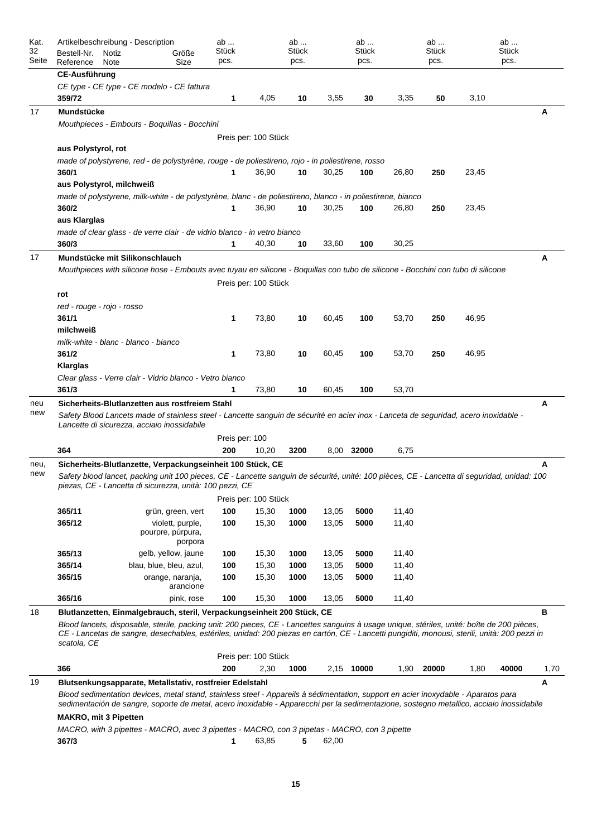| Kat.<br>32<br>Seite | Artikelbeschreibung - Description<br>Bestell-Nr.<br>Notiz<br>Größe<br>Reference<br>Size<br>Note                                                                                                                                                                                                             |                         |                                       | ab<br>Stück<br>pcs. |                      | ab<br>Stück<br>pcs. |                | ab<br>Stück<br>pcs. |                | ab<br><b>Stück</b><br>pcs. |       | ab<br><b>Stück</b><br>pcs. |      |
|---------------------|-------------------------------------------------------------------------------------------------------------------------------------------------------------------------------------------------------------------------------------------------------------------------------------------------------------|-------------------------|---------------------------------------|---------------------|----------------------|---------------------|----------------|---------------------|----------------|----------------------------|-------|----------------------------|------|
|                     | <b>CE-Ausführung</b>                                                                                                                                                                                                                                                                                        |                         |                                       |                     |                      |                     |                |                     |                |                            |       |                            |      |
|                     | CE type - CE type - CE modelo - CE fattura                                                                                                                                                                                                                                                                  |                         |                                       |                     |                      |                     |                |                     |                |                            |       |                            |      |
|                     | 359/72                                                                                                                                                                                                                                                                                                      |                         |                                       | 1                   | 4,05                 | 10                  | 3,55           | 30                  | 3,35           | 50                         | 3,10  |                            |      |
| 17                  | Mundstücke                                                                                                                                                                                                                                                                                                  |                         |                                       |                     |                      |                     |                |                     |                |                            |       |                            | Α    |
|                     | Mouthpieces - Embouts - Boquillas - Bocchini                                                                                                                                                                                                                                                                |                         |                                       |                     |                      |                     |                |                     |                |                            |       |                            |      |
|                     |                                                                                                                                                                                                                                                                                                             |                         |                                       |                     | Preis per: 100 Stück |                     |                |                     |                |                            |       |                            |      |
|                     | aus Polystyrol, rot                                                                                                                                                                                                                                                                                         |                         |                                       |                     |                      |                     |                |                     |                |                            |       |                            |      |
|                     | made of polystyrene, red - de polystyrène, rouge - de poliestireno, rojo - in poliestirene, rosso                                                                                                                                                                                                           |                         |                                       |                     |                      |                     |                |                     |                |                            |       |                            |      |
|                     | 360/1                                                                                                                                                                                                                                                                                                       |                         |                                       |                     | 36,90                | 10                  | 30,25          | 100                 | 26,80          | 250                        | 23,45 |                            |      |
|                     | aus Polystyrol, milchweiß<br>made of polystyrene, milk-white - de polystyrène, blanc - de poliestireno, blanco - in poliestirene, bianco                                                                                                                                                                    |                         |                                       |                     |                      |                     |                |                     |                |                            |       |                            |      |
|                     | 360/2                                                                                                                                                                                                                                                                                                       |                         |                                       |                     | 36,90                | 10                  | 30,25          | 100                 | 26,80          | 250                        | 23,45 |                            |      |
|                     | aus Klarglas                                                                                                                                                                                                                                                                                                |                         |                                       |                     |                      |                     |                |                     |                |                            |       |                            |      |
|                     | made of clear glass - de verre clair - de vidrio blanco - in vetro bianco                                                                                                                                                                                                                                   |                         |                                       |                     |                      |                     |                |                     |                |                            |       |                            |      |
|                     | 360/3                                                                                                                                                                                                                                                                                                       |                         |                                       | 1                   | 40,30                | 10                  | 33,60          | 100                 | 30,25          |                            |       |                            |      |
| 17                  | Mundstücke mit Silikonschlauch                                                                                                                                                                                                                                                                              |                         |                                       |                     |                      |                     |                |                     |                |                            |       |                            | А    |
|                     | Mouthpieces with silicone hose - Embouts avec tuyau en silicone - Boquillas con tubo de silicone - Bocchini con tubo di silicone                                                                                                                                                                            |                         |                                       |                     |                      |                     |                |                     |                |                            |       |                            |      |
|                     |                                                                                                                                                                                                                                                                                                             |                         |                                       |                     | Preis per: 100 Stück |                     |                |                     |                |                            |       |                            |      |
|                     | rot                                                                                                                                                                                                                                                                                                         |                         |                                       |                     |                      |                     |                |                     |                |                            |       |                            |      |
|                     | red - rouge - rojo - rosso                                                                                                                                                                                                                                                                                  |                         |                                       |                     |                      |                     |                |                     |                |                            |       |                            |      |
|                     | 361/1                                                                                                                                                                                                                                                                                                       |                         |                                       | 1                   | 73,80                | 10                  | 60,45          | 100                 | 53,70          | 250                        | 46,95 |                            |      |
|                     | milchweiß<br>milk-white - blanc - blanco - bianco                                                                                                                                                                                                                                                           |                         |                                       |                     |                      |                     |                |                     |                |                            |       |                            |      |
|                     | 361/2                                                                                                                                                                                                                                                                                                       |                         |                                       | 1                   | 73,80                | 10                  | 60,45          | 100                 | 53,70          | 250                        | 46,95 |                            |      |
|                     | Klarglas                                                                                                                                                                                                                                                                                                    |                         |                                       |                     |                      |                     |                |                     |                |                            |       |                            |      |
|                     | Clear glass - Verre clair - Vidrio blanco - Vetro bianco                                                                                                                                                                                                                                                    |                         |                                       |                     |                      |                     |                |                     |                |                            |       |                            |      |
|                     | 361/3                                                                                                                                                                                                                                                                                                       |                         |                                       | 1                   | 73,80                | 10                  | 60,45          | 100                 | 53,70          |                            |       |                            |      |
| neu                 | Sicherheits-Blutlanzetten aus rostfreiem Stahl                                                                                                                                                                                                                                                              |                         |                                       |                     |                      |                     |                |                     |                |                            |       |                            | A    |
| new                 | Safety Blood Lancets made of stainless steel - Lancette sanguin de sécurité en acier inox - Lanceta de seguridad, acero inoxidable -<br>Lancette di sicurezza, acciaio inossidabile                                                                                                                         |                         |                                       |                     |                      |                     |                |                     |                |                            |       |                            |      |
|                     |                                                                                                                                                                                                                                                                                                             |                         |                                       | Preis per: 100      |                      |                     |                |                     |                |                            |       |                            |      |
|                     | 364                                                                                                                                                                                                                                                                                                         |                         |                                       | 200                 | 10,20                | 3200                |                | 8,00 32000          | 6,75           |                            |       |                            |      |
| neu,                | Sicherheits-Blutlanzette, Verpackungseinheit 100 Stück, CE                                                                                                                                                                                                                                                  |                         |                                       |                     |                      |                     |                |                     |                |                            |       |                            | A    |
| new                 | Safety blood lancet, packing unit 100 pieces, CE - Lancette sanguin de sécurité, unité: 100 pièces, CE - Lancetta di seguridad, unidad: 100<br>piezas, CE - Lancetta di sicurezza, unità: 100 pezzi, CE                                                                                                     |                         |                                       |                     |                      |                     |                |                     |                |                            |       |                            |      |
|                     |                                                                                                                                                                                                                                                                                                             |                         |                                       |                     | Preis per: 100 Stück |                     |                |                     |                |                            |       |                            |      |
|                     | 365/11<br>365/12                                                                                                                                                                                                                                                                                            |                         | grün, green, vert<br>violett, purple, | 100<br>100          | 15,30<br>15,30       | 1000<br>1000        | 13,05<br>13,05 | 5000<br>5000        | 11,40<br>11,40 |                            |       |                            |      |
|                     |                                                                                                                                                                                                                                                                                                             | pourpre, púrpura,       |                                       |                     |                      |                     |                |                     |                |                            |       |                            |      |
|                     |                                                                                                                                                                                                                                                                                                             |                         | porpora                               |                     |                      |                     |                |                     |                |                            |       |                            |      |
|                     | 365/13                                                                                                                                                                                                                                                                                                      |                         | gelb, yellow, jaune                   | 100                 | 15,30                | 1000                | 13,05          | 5000                | 11,40          |                            |       |                            |      |
|                     | 365/14                                                                                                                                                                                                                                                                                                      | blau, blue, bleu, azul, |                                       | 100                 | 15,30                | 1000                | 13,05          | 5000                | 11,40          |                            |       |                            |      |
|                     | 365/15                                                                                                                                                                                                                                                                                                      |                         | orange, naranja,<br>arancione         | 100                 | 15,30                | 1000                | 13,05          | 5000                | 11,40          |                            |       |                            |      |
|                     | 365/16                                                                                                                                                                                                                                                                                                      |                         | pink, rose                            | 100                 | 15,30                | 1000                | 13,05          | 5000                | 11,40          |                            |       |                            |      |
| 18                  | Blutlanzetten, Einmalgebrauch, steril, Verpackungseinheit 200 Stück, CE                                                                                                                                                                                                                                     |                         |                                       |                     |                      |                     |                |                     |                |                            |       |                            | в    |
|                     | Blood lancets, disposable, sterile, packing unit: 200 pieces, CE - Lancettes sanguins à usage unique, stériles, unité: boîte de 200 pièces,<br>CE - Lancetas de sangre, desechables, estériles, unidad: 200 piezas en cartón, CE - Lancetti pungiditi, monousi, sterili, unità: 200 pezzi in<br>scatola, CE |                         |                                       |                     |                      |                     |                |                     |                |                            |       |                            |      |
|                     |                                                                                                                                                                                                                                                                                                             |                         |                                       |                     | Preis per: 100 Stück |                     |                |                     |                |                            |       |                            |      |
|                     | 366                                                                                                                                                                                                                                                                                                         |                         |                                       | 200                 | 2,30                 | 1000                |                | 2,15 10000          | 1,90           | 20000                      | 1,80  | 40000                      | 1,70 |
| 19                  | Blutsenkungsapparate, Metallstativ, rostfreier Edelstahl                                                                                                                                                                                                                                                    |                         |                                       |                     |                      |                     |                |                     |                |                            |       |                            | Α    |
|                     | Blood sedimentation devices, metal stand, stainless steel - Appareils à sédimentation, support en acier inoxydable - Aparatos para<br>sedimentación de sangre, soporte de metal, acero inoxidable - Apparecchi per la sedimentazione, sostegno metallico, acciaio inossidabile                              |                         |                                       |                     |                      |                     |                |                     |                |                            |       |                            |      |
|                     |                                                                                                                                                                                                                                                                                                             |                         |                                       |                     |                      |                     |                |                     |                |                            |       |                            |      |
|                     | <b>MAKRO, mit 3 Pipetten</b>                                                                                                                                                                                                                                                                                |                         |                                       |                     |                      |                     |                |                     |                |                            |       |                            |      |
|                     | MACRO, with 3 pipettes - MACRO, avec 3 pipettes - MACRO, con 3 pipetas - MACRO, con 3 pipette<br>367/3                                                                                                                                                                                                      |                         |                                       | 1                   | 63,85                | 5                   | 62,00          |                     |                |                            |       |                            |      |
|                     |                                                                                                                                                                                                                                                                                                             |                         |                                       |                     |                      |                     |                |                     |                |                            |       |                            |      |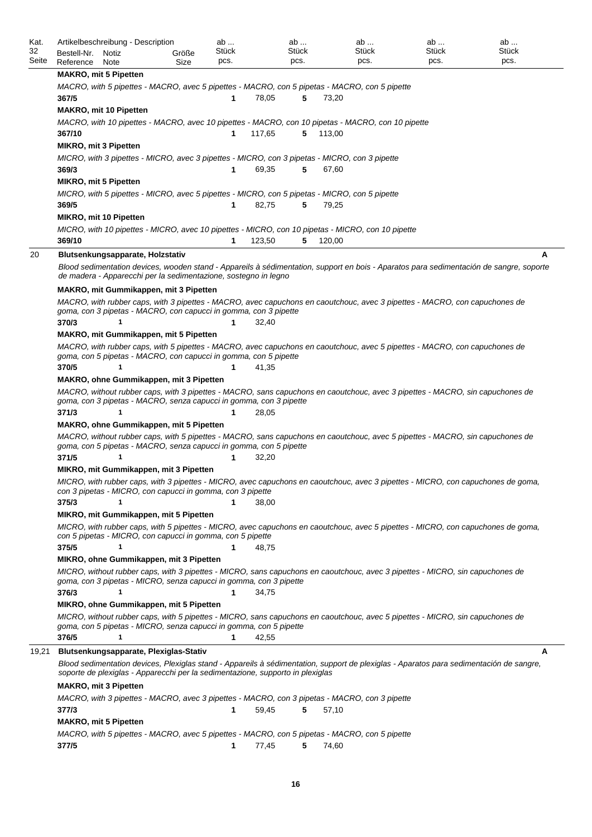| Kat.<br>32 | Bestell-Nr.                   | Artikelbeschreibung - Description<br>Notiz                                                                                                                                                          | Größe | ab<br>Stück  |        | ab<br>Stück |        | ab<br>Stück | ab<br>Stück | ab<br>Stück                                                                                                                             |
|------------|-------------------------------|-----------------------------------------------------------------------------------------------------------------------------------------------------------------------------------------------------|-------|--------------|--------|-------------|--------|-------------|-------------|-----------------------------------------------------------------------------------------------------------------------------------------|
| Seite      | Reference                     | Note                                                                                                                                                                                                | Size  | pcs.         |        | pcs.        |        | pcs.        | pcs.        | pcs.                                                                                                                                    |
|            | <b>MAKRO, mit 5 Pipetten</b>  |                                                                                                                                                                                                     |       |              |        |             |        |             |             |                                                                                                                                         |
|            | 367/5                         | MACRO, with 5 pipettes - MACRO, avec 5 pipettes - MACRO, con 5 pipetas - MACRO, con 5 pipette                                                                                                       |       | 1            | 78,05  | 5           | 73,20  |             |             |                                                                                                                                         |
|            | <b>MAKRO, mit 10 Pipetten</b> |                                                                                                                                                                                                     |       |              |        |             |        |             |             |                                                                                                                                         |
|            |                               | MACRO, with 10 pipettes - MACRO, avec 10 pipettes - MACRO, con 10 pipetas - MACRO, con 10 pipette                                                                                                   |       |              |        |             |        |             |             |                                                                                                                                         |
|            | 367/10                        |                                                                                                                                                                                                     |       | 1            | 117,65 | 5           | 113,00 |             |             |                                                                                                                                         |
|            | <b>MIKRO, mit 3 Pipetten</b>  |                                                                                                                                                                                                     |       |              |        |             |        |             |             |                                                                                                                                         |
|            |                               | MICRO, with 3 pipettes - MICRO, avec 3 pipettes - MICRO, con 3 pipetas - MICRO, con 3 pipette                                                                                                       |       |              |        |             |        |             |             |                                                                                                                                         |
|            | 369/3                         |                                                                                                                                                                                                     |       | 1            | 69,35  | 5           | 67,60  |             |             |                                                                                                                                         |
|            | <b>MIKRO, mit 5 Pipetten</b>  |                                                                                                                                                                                                     |       |              |        |             |        |             |             |                                                                                                                                         |
|            | 369/5                         | MICRO, with 5 pipettes - MICRO, avec 5 pipettes - MICRO, con 5 pipetas - MICRO, con 5 pipette                                                                                                       |       | 1            | 82,75  | 5           | 79,25  |             |             |                                                                                                                                         |
|            | <b>MIKRO, mit 10 Pipetten</b> |                                                                                                                                                                                                     |       |              |        |             |        |             |             |                                                                                                                                         |
|            |                               | MICRO, with 10 pipettes - MICRO, avec 10 pipettes - MICRO, con 10 pipetas - MICRO, con 10 pipette                                                                                                   |       |              |        |             |        |             |             |                                                                                                                                         |
|            | 369/10                        |                                                                                                                                                                                                     |       | 1            | 123,50 | 5           | 120,00 |             |             |                                                                                                                                         |
| 20         |                               | Blutsenkungsapparate, Holzstativ                                                                                                                                                                    |       |              |        |             |        |             |             | A                                                                                                                                       |
|            |                               |                                                                                                                                                                                                     |       |              |        |             |        |             |             | Blood sedimentation devices, wooden stand - Appareils à sédimentation, support en bois - Aparatos para sedimentación de sangre, soporte |
|            |                               | de madera - Apparecchi per la sedimentazione, sostegno in legno                                                                                                                                     |       |              |        |             |        |             |             |                                                                                                                                         |
|            |                               | MAKRO, mit Gummikappen, mit 3 Pipetten                                                                                                                                                              |       |              |        |             |        |             |             |                                                                                                                                         |
|            |                               | MACRO, with rubber caps, with 3 pipettes - MACRO, avec capuchons en caoutchouc, avec 3 pipettes - MACRO, con capuchones de                                                                          |       |              |        |             |        |             |             |                                                                                                                                         |
|            |                               | goma, con 3 pipetas - MACRO, con capucci in gomma, con 3 pipette                                                                                                                                    |       |              |        |             |        |             |             |                                                                                                                                         |
|            | 370/3                         | $\mathbf 1$                                                                                                                                                                                         |       | 1            | 32,40  |             |        |             |             |                                                                                                                                         |
|            |                               | MAKRO, mit Gummikappen, mit 5 Pipetten                                                                                                                                                              |       |              |        |             |        |             |             |                                                                                                                                         |
|            |                               | MACRO, with rubber caps, with 5 pipettes - MACRO, avec capuchons en caoutchouc, avec 5 pipettes - MACRO, con capuchones de<br>goma, con 5 pipetas - MACRO, con capucci in gomma, con 5 pipette      |       |              |        |             |        |             |             |                                                                                                                                         |
|            | 370/5                         |                                                                                                                                                                                                     |       | 1            | 41,35  |             |        |             |             |                                                                                                                                         |
|            |                               | <b>MAKRO, ohne Gummikappen, mit 3 Pipetten</b>                                                                                                                                                      |       |              |        |             |        |             |             |                                                                                                                                         |
|            |                               | MACRO, without rubber caps, with 3 pipettes - MACRO, sans capuchons en caoutchouc, avec 3 pipettes - MACRO, sin capuchones de                                                                       |       |              |        |             |        |             |             |                                                                                                                                         |
|            |                               | goma, con 3 pipetas - MACRO, senza capucci in gomma, con 3 pipette                                                                                                                                  |       |              |        |             |        |             |             |                                                                                                                                         |
|            | 371/3                         |                                                                                                                                                                                                     |       | 1            | 28,05  |             |        |             |             |                                                                                                                                         |
|            |                               | MAKRO, ohne Gummikappen, mit 5 Pipetten                                                                                                                                                             |       |              |        |             |        |             |             |                                                                                                                                         |
|            |                               | MACRO, without rubber caps, with 5 pipettes - MACRO, sans capuchons en caoutchouc, avec 5 pipettes - MACRO, sin capuchones de<br>goma, con 5 pipetas - MACRO, senza capucci in gomma, con 5 pipette |       |              |        |             |        |             |             |                                                                                                                                         |
|            | 371/5                         | 1                                                                                                                                                                                                   |       | 1            | 32,20  |             |        |             |             |                                                                                                                                         |
|            |                               | MIKRO, mit Gummikappen, mit 3 Pipetten                                                                                                                                                              |       |              |        |             |        |             |             |                                                                                                                                         |
|            |                               |                                                                                                                                                                                                     |       |              |        |             |        |             |             | MICRO, with rubber caps, with 3 pipettes - MICRO, avec capuchons en caoutchouc, avec 3 pipettes - MICRO, con capuchones de goma,        |
|            |                               | con 3 pipetas - MICRO, con capucci in gomma, con 3 pipette                                                                                                                                          |       |              |        |             |        |             |             |                                                                                                                                         |
|            | 375/3                         |                                                                                                                                                                                                     |       |              | 38,00  |             |        |             |             |                                                                                                                                         |
|            |                               | MIKRO, mit Gummikappen, mit 5 Pipetten                                                                                                                                                              |       |              |        |             |        |             |             |                                                                                                                                         |
|            |                               | con 5 pipetas - MICRO, con capucci in gomma, con 5 pipette                                                                                                                                          |       |              |        |             |        |             |             | MICRO, with rubber caps, with 5 pipettes - MICRO, avec capuchons en caoutchouc, avec 5 pipettes - MICRO, con capuchones de goma,        |
|            | 375/5                         | 1                                                                                                                                                                                                   |       | 1            | 48,75  |             |        |             |             |                                                                                                                                         |
|            |                               | MIKRO, ohne Gummikappen, mit 3 Pipetten                                                                                                                                                             |       |              |        |             |        |             |             |                                                                                                                                         |
|            |                               | MICRO, without rubber caps, with 3 pipettes - MICRO, sans capuchons en caoutchouc, avec 3 pipettes - MICRO, sin capuchones de                                                                       |       |              |        |             |        |             |             |                                                                                                                                         |
|            |                               | goma, con 3 pipetas - MICRO, senza capucci in gomma, con 3 pipette                                                                                                                                  |       |              |        |             |        |             |             |                                                                                                                                         |
|            | 376/3                         | 1                                                                                                                                                                                                   |       | 1            | 34,75  |             |        |             |             |                                                                                                                                         |
|            |                               | MIKRO, ohne Gummikappen, mit 5 Pipetten                                                                                                                                                             |       |              |        |             |        |             |             |                                                                                                                                         |
|            |                               | MICRO, without rubber caps, with 5 pipettes - MICRO, sans capuchons en caoutchouc, avec 5 pipettes - MICRO, sin capuchones de<br>goma, con 5 pipetas - MICRO, senza capucci in gomma, con 5 pipette |       |              |        |             |        |             |             |                                                                                                                                         |
|            | 376/5                         | 1                                                                                                                                                                                                   |       | $\mathbf{1}$ | 42,55  |             |        |             |             |                                                                                                                                         |
| 19,21      |                               | Blutsenkungsapparate, Plexiglas-Stativ                                                                                                                                                              |       |              |        |             |        |             |             | А                                                                                                                                       |
|            |                               |                                                                                                                                                                                                     |       |              |        |             |        |             |             | Blood sedimentation devices, Plexiglas stand - Appareils à sédimentation, support de plexiglas - Aparatos para sedimentación de sangre, |
|            |                               | soporte de plexiglas - Apparecchi per la sedimentazione, supporto in plexiglas                                                                                                                      |       |              |        |             |        |             |             |                                                                                                                                         |
|            | <b>MAKRO, mit 3 Pipetten</b>  |                                                                                                                                                                                                     |       |              |        |             |        |             |             |                                                                                                                                         |
|            | 377/3                         | MACRO, with 3 pipettes - MACRO, avec 3 pipettes - MACRO, con 3 pipetas - MACRO, con 3 pipette                                                                                                       |       | 1            | 59,45  | 5           | 57,10  |             |             |                                                                                                                                         |
|            | <b>MAKRO, mit 5 Pipetten</b>  |                                                                                                                                                                                                     |       |              |        |             |        |             |             |                                                                                                                                         |
|            |                               | MACRO, with 5 pipettes - MACRO, avec 5 pipettes - MACRO, con 5 pipetas - MACRO, con 5 pipette                                                                                                       |       |              |        |             |        |             |             |                                                                                                                                         |
|            | 377/5                         |                                                                                                                                                                                                     |       | 1            | 77,45  | 5           | 74,60  |             |             |                                                                                                                                         |
|            |                               |                                                                                                                                                                                                     |       |              |        |             |        |             |             |                                                                                                                                         |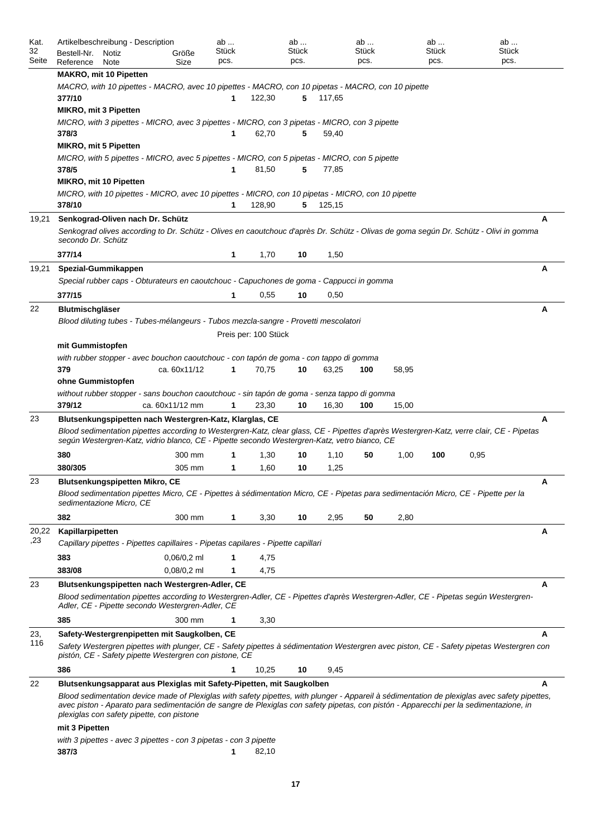| Kat.<br>32<br>Seite | Artikelbeschreibung - Description<br>Bestell-Nr.<br>Notiz<br>Größe<br>Reference<br>Size<br>Note                                                                                                                                                                                                                                     |               | ab<br><b>Stück</b><br>pcs. |        | ab<br><b>Stück</b><br>pcs. |        | ab<br>Stück<br>pcs. |       | ab<br><b>Stück</b><br>pcs. |      | ab<br><b>Stück</b><br>pcs. |   |  |  |  |
|---------------------|-------------------------------------------------------------------------------------------------------------------------------------------------------------------------------------------------------------------------------------------------------------------------------------------------------------------------------------|---------------|----------------------------|--------|----------------------------|--------|---------------------|-------|----------------------------|------|----------------------------|---|--|--|--|
|                     | <b>MAKRO, mit 10 Pipetten</b>                                                                                                                                                                                                                                                                                                       |               |                            |        |                            |        |                     |       |                            |      |                            |   |  |  |  |
|                     | MACRO, with 10 pipettes - MACRO, avec 10 pipettes - MACRO, con 10 pipetas - MACRO, con 10 pipette                                                                                                                                                                                                                                   |               |                            |        |                            |        |                     |       |                            |      |                            |   |  |  |  |
|                     | 377/10                                                                                                                                                                                                                                                                                                                              |               | 1                          | 122,30 | 5                          | 117,65 |                     |       |                            |      |                            |   |  |  |  |
|                     | <b>MIKRO, mit 3 Pipetten</b>                                                                                                                                                                                                                                                                                                        |               |                            |        |                            |        |                     |       |                            |      |                            |   |  |  |  |
|                     | MICRO, with 3 pipettes - MICRO, avec 3 pipettes - MICRO, con 3 pipetas - MICRO, con 3 pipette                                                                                                                                                                                                                                       |               |                            |        |                            |        |                     |       |                            |      |                            |   |  |  |  |
|                     | 378/3                                                                                                                                                                                                                                                                                                                               |               | 1                          | 62,70  | 5                          | 59,40  |                     |       |                            |      |                            |   |  |  |  |
|                     | <b>MIKRO, mit 5 Pipetten</b>                                                                                                                                                                                                                                                                                                        |               |                            |        |                            |        |                     |       |                            |      |                            |   |  |  |  |
|                     | MICRO, with 5 pipettes - MICRO, avec 5 pipettes - MICRO, con 5 pipetas - MICRO, con 5 pipette                                                                                                                                                                                                                                       |               |                            | 81,50  |                            |        |                     |       |                            |      |                            |   |  |  |  |
|                     | 378/5<br><b>MIKRO, mit 10 Pipetten</b>                                                                                                                                                                                                                                                                                              |               | 1                          |        | 5                          | 77,85  |                     |       |                            |      |                            |   |  |  |  |
|                     | MICRO, with 10 pipettes - MICRO, avec 10 pipettes - MICRO, con 10 pipetas - MICRO, con 10 pipette                                                                                                                                                                                                                                   |               |                            |        |                            |        |                     |       |                            |      |                            |   |  |  |  |
|                     | 378/10                                                                                                                                                                                                                                                                                                                              |               | 1                          | 128,90 | 5                          | 125,15 |                     |       |                            |      |                            |   |  |  |  |
| 19,21               | Senkograd-Oliven nach Dr. Schütz                                                                                                                                                                                                                                                                                                    |               |                            |        |                            |        |                     |       |                            |      |                            | A |  |  |  |
|                     | Senkograd olives according to Dr. Schütz - Olives en caoutchouc d'après Dr. Schütz - Olivas de goma según Dr. Schütz - Olivi in gomma<br>secondo Dr. Schütz                                                                                                                                                                         |               |                            |        |                            |        |                     |       |                            |      |                            |   |  |  |  |
|                     | 377/14                                                                                                                                                                                                                                                                                                                              |               | 1                          | 1,70   | 10                         | 1,50   |                     |       |                            |      |                            |   |  |  |  |
| 19,21               | Spezial-Gummikappen                                                                                                                                                                                                                                                                                                                 |               |                            |        |                            |        |                     |       |                            |      |                            | A |  |  |  |
|                     | Special rubber caps - Obturateurs en caoutchouc - Capuchones de goma - Cappucci in gomma                                                                                                                                                                                                                                            |               |                            |        |                            |        |                     |       |                            |      |                            |   |  |  |  |
|                     | 377/15                                                                                                                                                                                                                                                                                                                              |               | 1                          | 0,55   | 10                         | 0,50   |                     |       |                            |      |                            |   |  |  |  |
| 22                  | <b>Blutmischgläser</b>                                                                                                                                                                                                                                                                                                              |               |                            |        |                            |        |                     |       |                            |      |                            | A |  |  |  |
|                     | Blood diluting tubes - Tubes-mélangeurs - Tubos mezcla-sangre - Provetti mescolatori                                                                                                                                                                                                                                                |               |                            |        |                            |        |                     |       |                            |      |                            |   |  |  |  |
|                     |                                                                                                                                                                                                                                                                                                                                     |               |                            |        |                            |        |                     |       |                            |      |                            |   |  |  |  |
|                     | Preis per: 100 Stück<br>mit Gummistopfen                                                                                                                                                                                                                                                                                            |               |                            |        |                            |        |                     |       |                            |      |                            |   |  |  |  |
|                     | with rubber stopper - avec bouchon caoutchouc - con tapón de goma - con tappo di gomma                                                                                                                                                                                                                                              |               |                            |        |                            |        |                     |       |                            |      |                            |   |  |  |  |
|                     | 379                                                                                                                                                                                                                                                                                                                                 | ca. 60x11/12  | 1                          | 70,75  | 10                         | 63,25  | 100                 | 58,95 |                            |      |                            |   |  |  |  |
|                     | ohne Gummistopfen                                                                                                                                                                                                                                                                                                                   |               |                            |        |                            |        |                     |       |                            |      |                            |   |  |  |  |
|                     | without rubber stopper - sans bouchon caoutchouc - sin tapón de goma - senza tappo di gomma<br>379/12<br>ca. 60x11/12 mm<br>1<br>23,30<br>10<br>16,30<br>100<br>15,00                                                                                                                                                               |               |                            |        |                            |        |                     |       |                            |      |                            |   |  |  |  |
|                     |                                                                                                                                                                                                                                                                                                                                     |               |                            |        |                            |        |                     |       |                            |      |                            |   |  |  |  |
| 23                  | A<br>Blutsenkungspipetten nach Westergren-Katz, Klarglas, CE<br>Blood sedimentation pipettes according to Westergren-Katz, clear glass, CE - Pipettes d'après Westergren-Katz, verre clair, CE - Pipetas<br>según Westergren-Katz, vidrio blanco, CE - Pipette secondo Westergren-Katz, vetro bianco, CE                            |               |                            |        |                            |        |                     |       |                            |      |                            |   |  |  |  |
|                     | 380                                                                                                                                                                                                                                                                                                                                 | 300 mm        | 1                          | 1,30   | 10                         | 1,10   | 50                  | 1,00  | 100                        | 0,95 |                            |   |  |  |  |
|                     | 380/305                                                                                                                                                                                                                                                                                                                             | 305 mm        | 1                          | 1,60   | 10                         | 1,25   |                     |       |                            |      |                            |   |  |  |  |
| 23                  |                                                                                                                                                                                                                                                                                                                                     |               |                            |        |                            |        |                     |       |                            |      |                            |   |  |  |  |
|                     | Blutsenkungspipetten Mikro, CE<br>Blood sedimentation pipettes Micro, CE - Pipettes à sédimentation Micro, CE - Pipetas para sedimentación Micro, CE - Pipette per la<br>sedimentazione Micro, CE                                                                                                                                   |               |                            |        |                            |        |                     |       |                            |      |                            |   |  |  |  |
|                     | 382                                                                                                                                                                                                                                                                                                                                 | 300 mm        | 1                          | 3,30   | 10                         | 2,95   | 50                  | 2,80  |                            |      |                            |   |  |  |  |
| 20,22               | Kapillarpipetten                                                                                                                                                                                                                                                                                                                    |               |                            |        |                            |        |                     |       |                            |      |                            | A |  |  |  |
| ,23                 | Capillary pipettes - Pipettes capillaires - Pipetas capilares - Pipette capillari                                                                                                                                                                                                                                                   |               |                            |        |                            |        |                     |       |                            |      |                            |   |  |  |  |
|                     | 383                                                                                                                                                                                                                                                                                                                                 | $0,06/0,2$ ml | 1                          | 4,75   |                            |        |                     |       |                            |      |                            |   |  |  |  |
|                     | 383/08                                                                                                                                                                                                                                                                                                                              | $0,08/0,2$ ml | 1                          | 4,75   |                            |        |                     |       |                            |      |                            |   |  |  |  |
| 23                  | Blutsenkungspipetten nach Westergren-Adler, CE                                                                                                                                                                                                                                                                                      |               |                            |        |                            |        |                     |       |                            |      |                            | A |  |  |  |
|                     | Blood sedimentation pipettes according to Westergren-Adler, CE - Pipettes d'après Westergren-Adler, CE - Pipetas según Westergren-<br>Adler, CE - Pipette secondo Westergren-Adler, CE                                                                                                                                              |               |                            |        |                            |        |                     |       |                            |      |                            |   |  |  |  |
|                     | 385                                                                                                                                                                                                                                                                                                                                 | 300 mm        | 1                          | 3,30   |                            |        |                     |       |                            |      |                            |   |  |  |  |
| 23,                 | Safety-Westergrenpipetten mit Saugkolben, CE                                                                                                                                                                                                                                                                                        |               |                            |        |                            |        |                     |       |                            |      |                            | A |  |  |  |
| 116                 | Safety Westergren pipettes with plunger, CE - Safety pipettes à sédimentation Westergren avec piston, CE - Safety pipetas Westergren con<br>pistón, CE - Safety pipette Westergren con pistone, CE                                                                                                                                  |               |                            |        |                            |        |                     |       |                            |      |                            |   |  |  |  |
|                     | 386                                                                                                                                                                                                                                                                                                                                 |               | 1                          | 10,25  | 10                         | 9,45   |                     |       |                            |      |                            |   |  |  |  |
| 22                  | Blutsenkungsapparat aus Plexiglas mit Safety-Pipetten, mit Saugkolben                                                                                                                                                                                                                                                               |               |                            |        |                            |        |                     |       |                            |      |                            | A |  |  |  |
|                     | Blood sedimentation device made of Plexiglas with safety pipettes, with plunger - Appareil à sédimentation de plexiglas avec safety pipettes,<br>avec piston - Aparato para sedimentación de sangre de Plexiglas con safety pipetas, con pistón - Apparecchi per la sedimentazione, in<br>plexiglas con safety pipette, con pistone |               |                            |        |                            |        |                     |       |                            |      |                            |   |  |  |  |
|                     | mit 3 Pipetten                                                                                                                                                                                                                                                                                                                      |               |                            |        |                            |        |                     |       |                            |      |                            |   |  |  |  |
|                     | with 3 pipettes - avec 3 pipettes - con 3 pipetas - con 3 pipette<br>387/3                                                                                                                                                                                                                                                          |               | 1                          | 82,10  |                            |        |                     |       |                            |      |                            |   |  |  |  |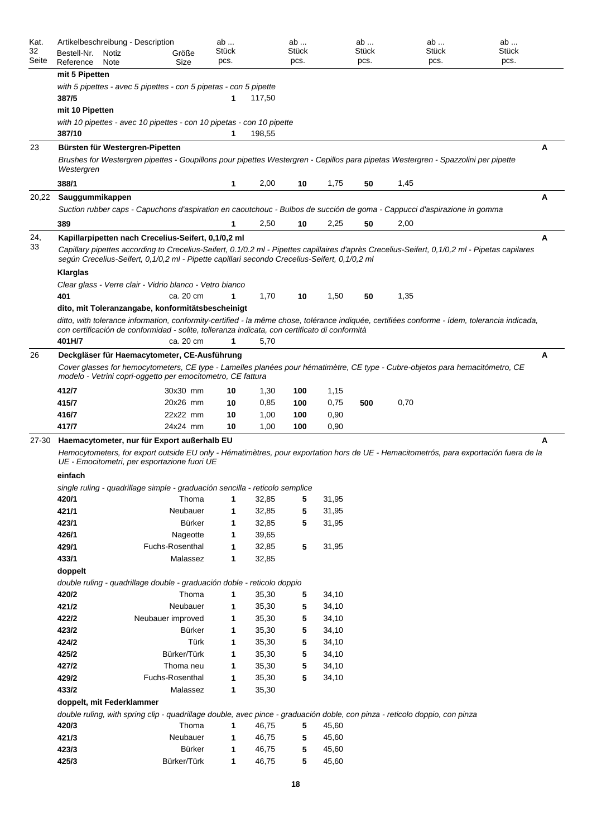| Kat.<br>32<br>Seite | Artikelbeschreibung - Description<br>Bestell-Nr.<br>Notiz<br>Reference<br>Note                                                                                                                                                               |                                                                                                                                                                                                                                                 | Größe<br>Size                | ab<br>Stück<br>pcs. |                | ab<br>Stück<br>pcs. |                | ab<br>Stück<br>pcs. | pcs. | ab<br>Stück | ab<br><b>Stück</b><br>pcs. |  |  |  |
|---------------------|----------------------------------------------------------------------------------------------------------------------------------------------------------------------------------------------------------------------------------------------|-------------------------------------------------------------------------------------------------------------------------------------------------------------------------------------------------------------------------------------------------|------------------------------|---------------------|----------------|---------------------|----------------|---------------------|------|-------------|----------------------------|--|--|--|
|                     | mit 5 Pipetten                                                                                                                                                                                                                               |                                                                                                                                                                                                                                                 |                              |                     |                |                     |                |                     |      |             |                            |  |  |  |
|                     | 387/5                                                                                                                                                                                                                                        | with 5 pipettes - avec 5 pipettes - con 5 pipetas - con 5 pipette                                                                                                                                                                               |                              | 1                   | 117,50         |                     |                |                     |      |             |                            |  |  |  |
|                     | mit 10 Pipetten                                                                                                                                                                                                                              |                                                                                                                                                                                                                                                 |                              |                     |                |                     |                |                     |      |             |                            |  |  |  |
|                     | 387/10                                                                                                                                                                                                                                       | with 10 pipettes - avec 10 pipettes - con 10 pipetas - con 10 pipette                                                                                                                                                                           |                              | 1                   | 198,55         |                     |                |                     |      |             |                            |  |  |  |
| 23                  |                                                                                                                                                                                                                                              | Bürsten für Westergren-Pipetten                                                                                                                                                                                                                 |                              |                     |                |                     |                |                     |      |             | A                          |  |  |  |
|                     | Westergren                                                                                                                                                                                                                                   | Brushes for Westergren pipettes - Goupillons pour pipettes Westergren - Cepillos para pipetas Westergren - Spazzolini per pipette                                                                                                               |                              |                     |                |                     |                |                     |      |             |                            |  |  |  |
|                     | 388/1                                                                                                                                                                                                                                        |                                                                                                                                                                                                                                                 |                              | 1                   | 2,00           | 10                  | 1,75           | 50                  | 1,45 |             |                            |  |  |  |
| 20,22               | Sauggummikappen                                                                                                                                                                                                                              |                                                                                                                                                                                                                                                 |                              |                     |                |                     |                |                     |      |             | A                          |  |  |  |
|                     |                                                                                                                                                                                                                                              | Suction rubber caps - Capuchons d'aspiration en caoutchouc - Bulbos de succión de goma - Cappucci d'aspirazione in gomma                                                                                                                        |                              |                     |                |                     |                |                     |      |             |                            |  |  |  |
|                     | 389                                                                                                                                                                                                                                          |                                                                                                                                                                                                                                                 |                              | 1                   | 2,50           | 10                  | 2,25           | 50                  | 2,00 |             |                            |  |  |  |
| 24,                 |                                                                                                                                                                                                                                              | Kapillarpipetten nach Crecelius-Seifert, 0,1/0,2 ml                                                                                                                                                                                             |                              |                     |                |                     |                |                     |      |             | A                          |  |  |  |
| 33                  |                                                                                                                                                                                                                                              | Capillary pipettes according to Crecelius-Seifert, 0.1/0.2 ml - Pipettes capillaires d'après Crecelius-Seifert, 0,1/0,2 ml - Pipetas capilares<br>seqún Crecelius-Seifert, 0,1/0,2 ml - Pipette capillari secondo Crecelius-Seifert, 0,1/0,2 ml |                              |                     |                |                     |                |                     |      |             |                            |  |  |  |
|                     | Klarglas                                                                                                                                                                                                                                     |                                                                                                                                                                                                                                                 |                              |                     |                |                     |                |                     |      |             |                            |  |  |  |
|                     | 401                                                                                                                                                                                                                                          | Clear glass - Verre clair - Vidrio blanco - Vetro bianco                                                                                                                                                                                        | ca. 20 cm                    | 1                   | 1,70           | 10                  | 1,50           | 50                  | 1,35 |             |                            |  |  |  |
|                     |                                                                                                                                                                                                                                              | dito, mit Toleranzangabe, konformitätsbescheinigt                                                                                                                                                                                               |                              |                     |                |                     |                |                     |      |             |                            |  |  |  |
|                     | 401H/7                                                                                                                                                                                                                                       | ditto, with tolerance information, conformity-certified - la même chose, tolérance indiquée, certifiées conforme - ídem, tolerancia indicada,<br>con certificación de conformidad - solite, tolleranza indicata, con certificato di conformità  | ca. 20 cm                    | 1                   | 5,70           |                     |                |                     |      |             |                            |  |  |  |
| 26                  |                                                                                                                                                                                                                                              |                                                                                                                                                                                                                                                 |                              |                     |                |                     |                |                     |      |             | A                          |  |  |  |
|                     | Deckgläser für Haemacytometer, CE-Ausführung<br>Cover glasses for hemocytometers, CE type - Lamelles planées pour hématimètre, CE type - Cubre-objetos para hemacitómetro, CE<br>modelo - Vetrini copri-oggetto per emocitometro, CE fattura |                                                                                                                                                                                                                                                 |                              |                     |                |                     |                |                     |      |             |                            |  |  |  |
|                     | 412/7                                                                                                                                                                                                                                        |                                                                                                                                                                                                                                                 | 30x30 mm                     | 10                  | 1,30           | 100                 | 1,15           |                     |      |             |                            |  |  |  |
|                     | 415/7                                                                                                                                                                                                                                        |                                                                                                                                                                                                                                                 | 20x26 mm                     | 10                  | 0,85           | 100                 | 0,75           | 500                 | 0,70 |             |                            |  |  |  |
|                     | 416/7                                                                                                                                                                                                                                        |                                                                                                                                                                                                                                                 | 22x22 mm                     | 10                  | 1,00           | 100                 | 0,90           |                     |      |             |                            |  |  |  |
|                     | 417/7                                                                                                                                                                                                                                        |                                                                                                                                                                                                                                                 | 24x24 mm                     | 10                  | 1,00           | 100                 | 0,90           |                     |      |             |                            |  |  |  |
| $27 - 30$           |                                                                                                                                                                                                                                              | Haemacytometer, nur für Export außerhalb EU                                                                                                                                                                                                     |                              |                     |                |                     |                |                     |      |             | A                          |  |  |  |
|                     |                                                                                                                                                                                                                                              | Hemocytometers, for export outside EU only - Hématimètres, pour exportation hors de UE - Hemacitometrós, para exportación fuera de la<br>UE - Emocitometri, per esportazione fuori UE                                                           |                              |                     |                |                     |                |                     |      |             |                            |  |  |  |
|                     | einfach                                                                                                                                                                                                                                      |                                                                                                                                                                                                                                                 |                              |                     |                |                     |                |                     |      |             |                            |  |  |  |
|                     |                                                                                                                                                                                                                                              | single ruling - quadrillage simple - graduación sencilla - reticolo semplice                                                                                                                                                                    |                              |                     |                |                     |                |                     |      |             |                            |  |  |  |
|                     | 420/1                                                                                                                                                                                                                                        |                                                                                                                                                                                                                                                 | Thoma                        | 1<br>1              | 32,85          | 5                   | 31,95          |                     |      |             |                            |  |  |  |
|                     | 421/1<br>423/1                                                                                                                                                                                                                               |                                                                                                                                                                                                                                                 | Neubauer<br>Bürker           | 1                   | 32,85<br>32,85 | 5<br>5              | 31,95<br>31,95 |                     |      |             |                            |  |  |  |
|                     | 426/1                                                                                                                                                                                                                                        |                                                                                                                                                                                                                                                 | Nageotte                     | 1                   | 39,65          |                     |                |                     |      |             |                            |  |  |  |
|                     | 429/1                                                                                                                                                                                                                                        |                                                                                                                                                                                                                                                 | Fuchs-Rosenthal              | 1                   | 32,85          | 5                   | 31,95          |                     |      |             |                            |  |  |  |
|                     | 433/1                                                                                                                                                                                                                                        |                                                                                                                                                                                                                                                 | Malassez                     | 1                   | 32,85          |                     |                |                     |      |             |                            |  |  |  |
|                     | doppelt                                                                                                                                                                                                                                      |                                                                                                                                                                                                                                                 |                              |                     |                |                     |                |                     |      |             |                            |  |  |  |
|                     |                                                                                                                                                                                                                                              | double ruling - quadrillage double - graduación doble - reticolo doppio                                                                                                                                                                         |                              |                     |                |                     |                |                     |      |             |                            |  |  |  |
|                     | 420/2                                                                                                                                                                                                                                        |                                                                                                                                                                                                                                                 | Thoma                        | 1                   | 35,30          | 5                   | 34,10          |                     |      |             |                            |  |  |  |
|                     | 421/2                                                                                                                                                                                                                                        |                                                                                                                                                                                                                                                 | Neubauer                     | 1                   | 35,30          | 5                   | 34,10          |                     |      |             |                            |  |  |  |
|                     | 422/2                                                                                                                                                                                                                                        |                                                                                                                                                                                                                                                 | Neubauer improved            | 1                   | 35,30          | 5                   | 34,10          |                     |      |             |                            |  |  |  |
|                     | 423/2                                                                                                                                                                                                                                        |                                                                                                                                                                                                                                                 | Bürker                       | 1                   | 35,30          | 5                   | 34,10          |                     |      |             |                            |  |  |  |
|                     | 424/2                                                                                                                                                                                                                                        |                                                                                                                                                                                                                                                 | Türk                         | 1                   | 35,30          | 5                   | 34,10          |                     |      |             |                            |  |  |  |
|                     | 425/2                                                                                                                                                                                                                                        |                                                                                                                                                                                                                                                 | Bürker/Türk                  | 1                   | 35,30          | 5                   | 34,10          |                     |      |             |                            |  |  |  |
|                     | 427/2<br>429/2                                                                                                                                                                                                                               |                                                                                                                                                                                                                                                 | Thoma neu<br>Fuchs-Rosenthal | 1<br>1              | 35,30<br>35,30 | 5<br>5              | 34,10<br>34,10 |                     |      |             |                            |  |  |  |
|                     | 433/2                                                                                                                                                                                                                                        |                                                                                                                                                                                                                                                 | Malassez                     | 1                   | 35,30          |                     |                |                     |      |             |                            |  |  |  |
|                     |                                                                                                                                                                                                                                              | doppelt, mit Federklammer                                                                                                                                                                                                                       |                              |                     |                |                     |                |                     |      |             |                            |  |  |  |
|                     |                                                                                                                                                                                                                                              | double ruling, with spring clip - quadrillage double, avec pince - graduación doble, con pinza - reticolo doppio, con pinza                                                                                                                     |                              |                     |                |                     |                |                     |      |             |                            |  |  |  |
|                     | 420/3                                                                                                                                                                                                                                        |                                                                                                                                                                                                                                                 | Thoma                        | 1                   | 46,75          | 5                   | 45,60          |                     |      |             |                            |  |  |  |
|                     | 421/3                                                                                                                                                                                                                                        |                                                                                                                                                                                                                                                 | Neubauer                     | $\mathbf{1}$        | 46,75          | 5                   | 45,60          |                     |      |             |                            |  |  |  |
|                     | 423/3                                                                                                                                                                                                                                        |                                                                                                                                                                                                                                                 | Bürker                       | $\mathbf{1}$        | 46,75          | 5                   | 45,60          |                     |      |             |                            |  |  |  |
|                     | 425/3                                                                                                                                                                                                                                        |                                                                                                                                                                                                                                                 | Bürker/Türk                  | $\mathbf{1}$        | 46,75          | 5                   | 45,60          |                     |      |             |                            |  |  |  |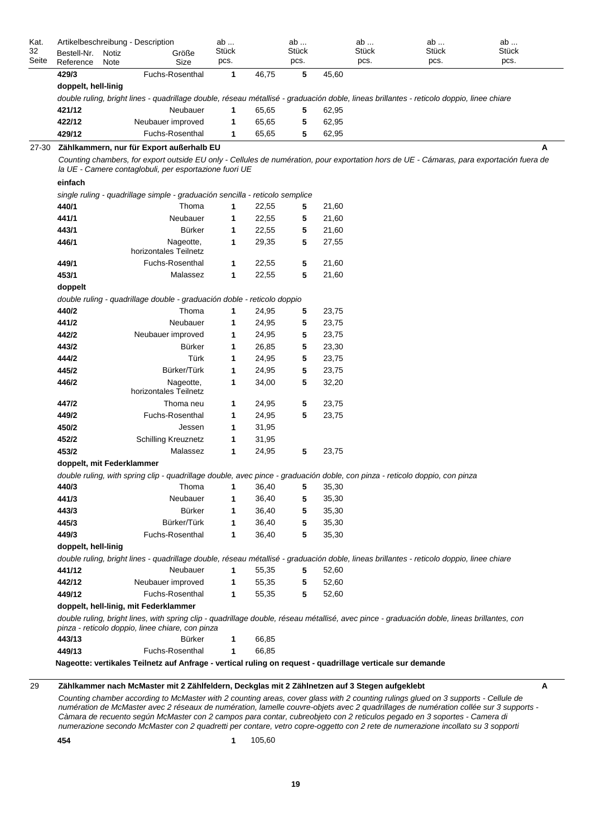| Seite | Artikelbeschreibung - Description<br>Bestell-Nr.<br>Notiz<br>Reference<br>Note | Größe<br>Size                                                                                                                                                                                                                            | ab<br>Stück<br>pcs. |       | ab<br><b>Stück</b><br>pcs. |       | ab<br>Stück<br>pcs. | ab<br>Stück<br>pcs. | ab<br><b>Stück</b><br>pcs. |
|-------|--------------------------------------------------------------------------------|------------------------------------------------------------------------------------------------------------------------------------------------------------------------------------------------------------------------------------------|---------------------|-------|----------------------------|-------|---------------------|---------------------|----------------------------|
|       | 429/3                                                                          | Fuchs-Rosenthal                                                                                                                                                                                                                          | 1                   | 46,75 | 5                          | 45,60 |                     |                     |                            |
|       | doppelt, hell-linig                                                            |                                                                                                                                                                                                                                          |                     |       |                            |       |                     |                     |                            |
|       |                                                                                | double ruling, bright lines - quadrillage double, réseau métallisé - graduación doble, lineas brillantes - reticolo doppio, linee chiare                                                                                                 |                     |       |                            |       |                     |                     |                            |
|       | 421/12                                                                         | Neubauer                                                                                                                                                                                                                                 | 1                   | 65,65 | 5                          | 62,95 |                     |                     |                            |
|       | 422/12                                                                         | Neubauer improved                                                                                                                                                                                                                        | 1                   | 65,65 | 5                          | 62,95 |                     |                     |                            |
|       | 429/12                                                                         | Fuchs-Rosenthal                                                                                                                                                                                                                          | 1                   | 65,65 | 5                          | 62,95 |                     |                     |                            |
| 27-30 |                                                                                | Zählkammern, nur für Export außerhalb EU                                                                                                                                                                                                 |                     |       |                            |       |                     |                     | A                          |
|       |                                                                                | Counting chambers, for export outside EU only - Cellules de numération, pour exportation hors de UE - Cámaras, para exportación fuera de<br>la UE - Camere contaglobuli, per esportazione fuori UE                                       |                     |       |                            |       |                     |                     |                            |
|       | einfach                                                                        |                                                                                                                                                                                                                                          |                     |       |                            |       |                     |                     |                            |
|       |                                                                                | single ruling - quadrillage simple - graduación sencilla - reticolo semplice                                                                                                                                                             |                     |       |                            |       |                     |                     |                            |
|       | 440/1                                                                          | Thoma                                                                                                                                                                                                                                    | 1                   | 22,55 | 5                          | 21,60 |                     |                     |                            |
|       | 441/1                                                                          | Neubauer                                                                                                                                                                                                                                 | 1                   | 22,55 | 5                          | 21,60 |                     |                     |                            |
|       | 443/1                                                                          | <b>Bürker</b>                                                                                                                                                                                                                            | 1                   | 22,55 | 5                          | 21,60 |                     |                     |                            |
|       | 446/1                                                                          | Nageotte,                                                                                                                                                                                                                                | 1                   | 29,35 | 5                          | 27,55 |                     |                     |                            |
|       |                                                                                | horizontales Teilnetz                                                                                                                                                                                                                    |                     |       |                            |       |                     |                     |                            |
|       | 449/1                                                                          | Fuchs-Rosenthal                                                                                                                                                                                                                          | 1                   | 22,55 | 5                          | 21,60 |                     |                     |                            |
|       | 453/1                                                                          | Malassez                                                                                                                                                                                                                                 | 1                   | 22,55 | 5                          | 21,60 |                     |                     |                            |
|       | doppelt                                                                        |                                                                                                                                                                                                                                          |                     |       |                            |       |                     |                     |                            |
|       |                                                                                | double ruling - quadrillage double - graduación doble - reticolo doppio                                                                                                                                                                  |                     |       |                            |       |                     |                     |                            |
|       | 440/2                                                                          | Thoma                                                                                                                                                                                                                                    | 1                   | 24,95 | 5                          | 23,75 |                     |                     |                            |
|       | 441/2                                                                          | Neubauer                                                                                                                                                                                                                                 | 1                   | 24,95 | 5                          | 23,75 |                     |                     |                            |
|       | 442/2                                                                          | Neubauer improved                                                                                                                                                                                                                        | 1                   | 24,95 | 5                          | 23,75 |                     |                     |                            |
|       | 443/2                                                                          | <b>Bürker</b>                                                                                                                                                                                                                            | 1                   | 26,85 | 5                          | 23,30 |                     |                     |                            |
|       | 444/2                                                                          | Türk                                                                                                                                                                                                                                     | 1                   | 24,95 | 5                          | 23,75 |                     |                     |                            |
|       | 445/2                                                                          | Bürker/Türk                                                                                                                                                                                                                              | 1                   | 24,95 | 5                          | 23,75 |                     |                     |                            |
|       | 446/2                                                                          | Nageotte,                                                                                                                                                                                                                                | 1                   | 34,00 | 5                          | 32,20 |                     |                     |                            |
|       |                                                                                | horizontales Teilnetz                                                                                                                                                                                                                    |                     |       |                            |       |                     |                     |                            |
|       | 447/2                                                                          | Thoma neu                                                                                                                                                                                                                                | 1                   | 24,95 | 5                          | 23,75 |                     |                     |                            |
|       | 449/2                                                                          | Fuchs-Rosenthal                                                                                                                                                                                                                          | 1                   | 24,95 | 5                          | 23,75 |                     |                     |                            |
|       | 450/2                                                                          | Jessen                                                                                                                                                                                                                                   | 1                   | 31,95 |                            |       |                     |                     |                            |
|       | 452/2                                                                          | <b>Schilling Kreuznetz</b>                                                                                                                                                                                                               | 1                   | 31,95 |                            |       |                     |                     |                            |
|       | 453/2                                                                          | Malassez                                                                                                                                                                                                                                 | 1                   | 24,95 | 5                          | 23,75 |                     |                     |                            |
|       | doppelt, mit Federklammer                                                      |                                                                                                                                                                                                                                          |                     |       |                            |       |                     |                     |                            |
|       |                                                                                | double ruling, with spring clip - quadrillage double, avec pince - graduación doble, con pinza - reticolo doppio, con pinza                                                                                                              |                     |       |                            |       |                     |                     |                            |
|       | 440/3                                                                          | Thoma                                                                                                                                                                                                                                    | 1                   | 36,40 | 5                          | 35,30 |                     |                     |                            |
|       | 441/3                                                                          | Neubauer                                                                                                                                                                                                                                 | 1                   | 36,40 | 5                          | 35,30 |                     |                     |                            |
|       | 443/3                                                                          | <b>Bürker</b>                                                                                                                                                                                                                            | 1                   | 36,40 | 5                          | 35,30 |                     |                     |                            |
|       | 445/3                                                                          | Bürker/Türk                                                                                                                                                                                                                              | $\mathbf{1}$        | 36,40 | 5                          | 35,30 |                     |                     |                            |
|       | 449/3                                                                          | Fuchs-Rosenthal                                                                                                                                                                                                                          | 1                   | 36,40 | 5                          | 35,30 |                     |                     |                            |
|       | doppelt, hell-linig                                                            |                                                                                                                                                                                                                                          |                     |       |                            |       |                     |                     |                            |
|       |                                                                                |                                                                                                                                                                                                                                          |                     |       |                            |       |                     |                     |                            |
|       | 441/12                                                                         | double ruling, bright lines - quadrillage double, réseau métallisé - graduación doble, lineas brillantes - reticolo doppio, linee chiare<br>Neubauer                                                                                     | $\mathbf{1}$        | 55,35 | 5                          |       |                     |                     |                            |
|       |                                                                                |                                                                                                                                                                                                                                          |                     |       |                            | 52,60 |                     |                     |                            |
|       | 442/12<br>449/12                                                               | Neubauer improved<br>Fuchs-Rosenthal                                                                                                                                                                                                     | 1                   | 55,35 | 5                          | 52,60 |                     |                     |                            |
|       |                                                                                |                                                                                                                                                                                                                                          | $\mathbf 1$         | 55,35 | 5                          | 52,60 |                     |                     |                            |
|       |                                                                                | doppelt, hell-linig, mit Federklammer<br>double ruling, bright lines, with spring clip - quadrillage double, réseau métallisé, avec pince - graduación doble, lineas brillantes, con<br>pinza - reticolo doppio, linee chiare, con pinza |                     |       |                            |       |                     |                     |                            |
|       | 443/13                                                                         | <b>Bürker</b>                                                                                                                                                                                                                            | 1                   |       |                            |       |                     |                     |                            |
|       |                                                                                |                                                                                                                                                                                                                                          |                     | 66,85 |                            |       |                     |                     |                            |
|       | 449/13                                                                         | Fuchs-Rosenthal                                                                                                                                                                                                                          | 1                   | 66,85 |                            |       |                     |                     |                            |

#### 29 **Zählkammer nach McMaster mit 2 Zählfeldern, Deckglas mit 2 Zählnetzen auf 3 Stegen aufgeklebt A**

*Counting chamber according to McMaster with 2 counting areas, cover glass with 2 counting rulings glued on 3 supports - Cellule de numération de McMaster avec 2 réseaux de numération, lamelle couvre-objets avec 2 quadrillages de numération collée sur 3 supports - Càmara de recuento según McMaster con 2 campos para contar, cubreobjeto con 2 reticulos pegado en 3 soportes - Camera di numerazione secondo McMaster con 2 quadretti per contare, vetro copre-oggetto con 2 rete de numerazione incollato su 3 sopporti*

**454 1** 105,60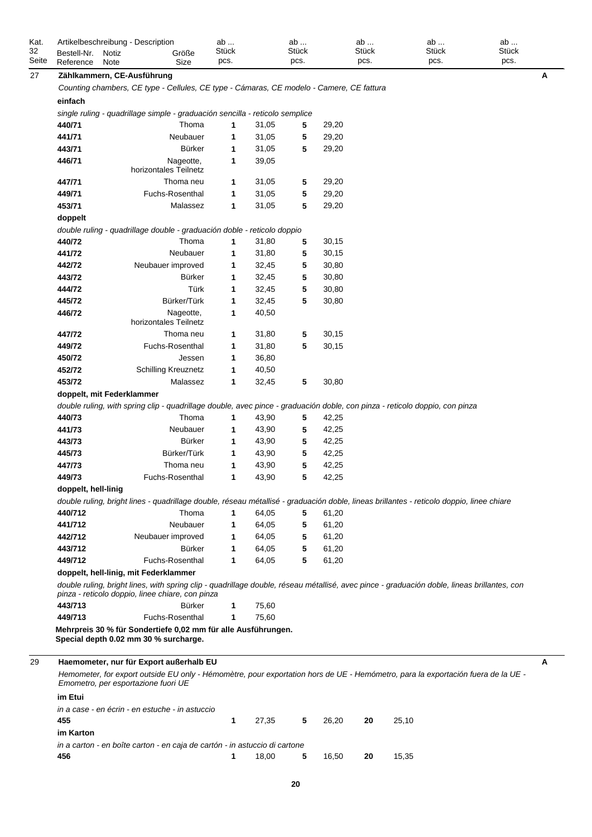| Kat.<br>32 | Bestell-Nr.         | Artikelbeschreibung - Description<br>Größe<br>Notiz                                                                                                                                             | ab<br><b>Stück</b> |       | ab<br><b>Stück</b> |       | ab<br><b>Stück</b> | ab<br><b>Stück</b> | ab<br><b>Stück</b> |
|------------|---------------------|-------------------------------------------------------------------------------------------------------------------------------------------------------------------------------------------------|--------------------|-------|--------------------|-------|--------------------|--------------------|--------------------|
| Seite      | Reference           | Note<br>Size                                                                                                                                                                                    | pcs.               |       | pcs.               |       | pcs.               | pcs.               | pcs.               |
| 27         |                     | Zählkammern, CE-Ausführung                                                                                                                                                                      |                    |       |                    |       |                    |                    | A                  |
|            |                     | Counting chambers, CE type - Cellules, CE type - Cámaras, CE modelo - Camere, CE fattura                                                                                                        |                    |       |                    |       |                    |                    |                    |
|            | einfach             |                                                                                                                                                                                                 |                    |       |                    |       |                    |                    |                    |
|            |                     | single ruling - quadrillage simple - graduación sencilla - reticolo semplice                                                                                                                    |                    |       |                    |       |                    |                    |                    |
|            | 440/71              | Thoma                                                                                                                                                                                           | 1                  | 31,05 | 5                  | 29,20 |                    |                    |                    |
|            | 441/71              | Neubauer                                                                                                                                                                                        | 1                  | 31,05 | 5                  | 29,20 |                    |                    |                    |
|            | 443/71              | <b>Bürker</b>                                                                                                                                                                                   | 1                  | 31,05 | 5                  | 29,20 |                    |                    |                    |
|            | 446/71              | Nageotte,<br>horizontales Teilnetz                                                                                                                                                              | 1                  | 39,05 |                    |       |                    |                    |                    |
|            | 447/71              | Thoma neu                                                                                                                                                                                       | 1                  | 31,05 | 5                  | 29,20 |                    |                    |                    |
|            | 449/71              | Fuchs-Rosenthal                                                                                                                                                                                 | 1                  | 31,05 | 5                  | 29,20 |                    |                    |                    |
|            | 453/71              | Malassez                                                                                                                                                                                        | 1                  | 31,05 | 5                  | 29,20 |                    |                    |                    |
|            | doppelt             |                                                                                                                                                                                                 |                    |       |                    |       |                    |                    |                    |
|            |                     | double ruling - quadrillage double - graduación doble - reticolo doppio                                                                                                                         |                    |       |                    |       |                    |                    |                    |
|            | 440/72              | Thoma                                                                                                                                                                                           | 1                  | 31,80 | 5                  | 30,15 |                    |                    |                    |
|            | 441/72              | Neubauer                                                                                                                                                                                        | 1                  | 31,80 | 5                  | 30,15 |                    |                    |                    |
|            | 442/72              | Neubauer improved                                                                                                                                                                               | 1                  | 32,45 | 5                  | 30,80 |                    |                    |                    |
|            | 443/72              | Bürker                                                                                                                                                                                          | 1                  | 32,45 | 5                  | 30,80 |                    |                    |                    |
|            | 444/72              | Türk                                                                                                                                                                                            | 1                  | 32,45 | 5                  | 30,80 |                    |                    |                    |
|            | 445/72              | Bürker/Türk                                                                                                                                                                                     | $\mathbf 1$        | 32,45 | 5                  | 30,80 |                    |                    |                    |
|            | 446/72              | Nageotte,<br>horizontales Teilnetz                                                                                                                                                              | $\mathbf 1$        | 40,50 |                    |       |                    |                    |                    |
|            | 447/72              | Thoma neu                                                                                                                                                                                       | 1                  | 31,80 | 5                  | 30,15 |                    |                    |                    |
|            | 449/72              | Fuchs-Rosenthal                                                                                                                                                                                 | 1                  | 31,80 | 5                  | 30,15 |                    |                    |                    |
|            | 450/72              | Jessen                                                                                                                                                                                          | 1                  | 36,80 |                    |       |                    |                    |                    |
|            | 452/72              | <b>Schilling Kreuznetz</b>                                                                                                                                                                      | 1                  | 40,50 |                    |       |                    |                    |                    |
|            | 453/72              | Malassez                                                                                                                                                                                        | 1                  | 32,45 | 5                  | 30,80 |                    |                    |                    |
|            |                     | doppelt, mit Federklammer                                                                                                                                                                       |                    |       |                    |       |                    |                    |                    |
|            |                     | double ruling, with spring clip - quadrillage double, avec pince - graduación doble, con pinza - reticolo doppio, con pinza                                                                     |                    |       |                    |       |                    |                    |                    |
|            | 440/73              | Thoma                                                                                                                                                                                           | 1                  | 43,90 | 5                  | 42,25 |                    |                    |                    |
|            | 441/73              | Neubauer                                                                                                                                                                                        | 1                  | 43,90 | 5                  | 42,25 |                    |                    |                    |
|            | 443/73              | <b>Bürker</b>                                                                                                                                                                                   | 1                  | 43,90 | 5                  | 42,25 |                    |                    |                    |
|            | 445/73              | Bürker/Türk                                                                                                                                                                                     | 1                  | 43,90 | 5                  | 42,25 |                    |                    |                    |
|            | 447/73              | Thoma neu                                                                                                                                                                                       | 1                  | 43,90 | 5                  | 42,25 |                    |                    |                    |
|            | 449/73              | Fuchs-Rosenthal                                                                                                                                                                                 | 1                  | 43,90 | 5                  | 42,25 |                    |                    |                    |
|            | doppelt, hell-linig |                                                                                                                                                                                                 |                    |       |                    |       |                    |                    |                    |
|            |                     | double ruling, bright lines - quadrillage double, réseau métallisé - graduación doble, lineas brillantes - reticolo doppio, linee chiare                                                        |                    |       |                    |       |                    |                    |                    |
|            | 440/712             | Thoma                                                                                                                                                                                           | 1                  | 64,05 | 5                  | 61,20 |                    |                    |                    |
|            | 441/712             | Neubauer                                                                                                                                                                                        | 1                  | 64,05 | 5                  | 61,20 |                    |                    |                    |
|            | 442/712             | Neubauer improved                                                                                                                                                                               | 1                  | 64,05 | 5                  | 61,20 |                    |                    |                    |
|            | 443/712             | Bürker                                                                                                                                                                                          | 1                  | 64,05 | 5                  | 61,20 |                    |                    |                    |
|            | 449/712             | Fuchs-Rosenthal                                                                                                                                                                                 | 1                  | 64,05 | 5                  | 61,20 |                    |                    |                    |
|            |                     | doppelt, hell-linig, mit Federklammer                                                                                                                                                           |                    |       |                    |       |                    |                    |                    |
|            |                     | double ruling, bright lines, with spring clip - quadrillage double, réseau métallisé, avec pince - graduación doble, lineas brillantes, con<br>pinza - reticolo doppio, linee chiare, con pinza |                    |       |                    |       |                    |                    |                    |
|            | 443/713             | Bürker                                                                                                                                                                                          | 1                  | 75,60 |                    |       |                    |                    |                    |
|            | 449/713             | Fuchs-Rosenthal                                                                                                                                                                                 | 1                  | 75,60 |                    |       |                    |                    |                    |
|            |                     | Mehrpreis 30 % für Sondertiefe 0,02 mm für alle Ausführungen.<br>Special depth 0.02 mm 30 % surcharge.                                                                                          |                    |       |                    |       |                    |                    |                    |
| 29         |                     | Haemometer, nur für Export außerhalb EU                                                                                                                                                         |                    |       |                    |       |                    |                    | A                  |
|            |                     | Hemometer, for export outside EU only - Hémomètre, pour exportation hors de UE - Hemómetro, para la exportación fuera de la UE -<br>Emometro, per esportazione fuori UE                         |                    |       |                    |       |                    |                    |                    |
|            | im Etui             |                                                                                                                                                                                                 |                    |       |                    |       |                    |                    |                    |
|            | 455                 | in a case - en écrin - en estuche - in astuccio                                                                                                                                                 | 1                  | 27,35 | 5                  | 26,20 | 20                 | 25,10              |                    |
|            | im Karton           |                                                                                                                                                                                                 |                    |       |                    |       |                    |                    |                    |

*in a carton - en boîte carton - en caja de cartón - in astuccio di cartone* **456 1** 18,00 **5** 16,50 **20** 15,35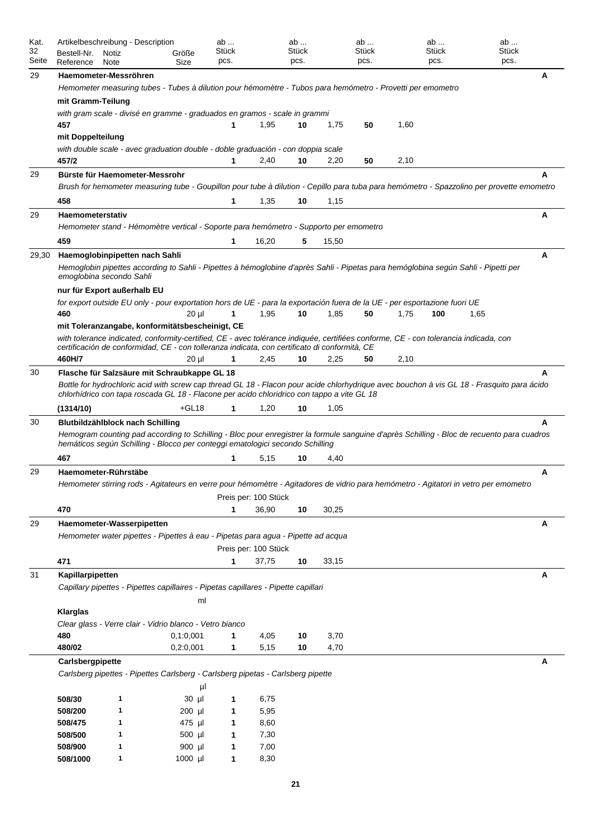| Kat.<br>32<br>Seite | Artikelbeschreibung - Description<br>Bestell-Nr.<br>Reference                                                             | Notiz<br>Note | Größe<br>Size    | ab<br>Stück<br>pcs. |                      | ab<br><b>Stück</b><br>pcs. |       | ab<br>Stück<br>pcs. |      | ab<br><b>Stück</b><br>pcs. | ab<br><b>Stück</b><br>pcs.                                                                                                                 |   |
|---------------------|---------------------------------------------------------------------------------------------------------------------------|---------------|------------------|---------------------|----------------------|----------------------------|-------|---------------------|------|----------------------------|--------------------------------------------------------------------------------------------------------------------------------------------|---|
| 29                  | Haemometer-Messröhren                                                                                                     |               |                  |                     |                      |                            |       |                     |      |                            |                                                                                                                                            | A |
|                     | Hemometer measuring tubes - Tubes à dilution pour hémomètre - Tubos para hemómetro - Provetti per emometro                |               |                  |                     |                      |                            |       |                     |      |                            |                                                                                                                                            |   |
|                     | mit Gramm-Teilung                                                                                                         |               |                  |                     |                      |                            |       |                     |      |                            |                                                                                                                                            |   |
|                     | with gram scale - divisé en gramme - graduados en gramos - scale in grammi                                                |               |                  |                     |                      |                            |       |                     |      |                            |                                                                                                                                            |   |
|                     | 457                                                                                                                       |               |                  |                     | 1,95                 | 10                         | 1,75  | 50                  | 1,60 |                            |                                                                                                                                            |   |
|                     | mit Doppelteilung                                                                                                         |               |                  |                     |                      |                            |       |                     |      |                            |                                                                                                                                            |   |
|                     | with double scale - avec graduation double - doble graduación - con doppia scale<br>457/2                                 |               |                  | 1                   | 2,40                 | 10                         | 2,20  | 50                  | 2,10 |                            |                                                                                                                                            |   |
| 29                  | Bürste für Haemometer-Messrohr                                                                                            |               |                  |                     |                      |                            |       |                     |      |                            |                                                                                                                                            | A |
|                     |                                                                                                                           |               |                  |                     |                      |                            |       |                     |      |                            | Brush for hemometer measuring tube - Goupillon pour tube à dilution - Cepillo para tuba para hemómetro - Spazzolino per provette emometro  |   |
|                     | 458                                                                                                                       |               |                  | 1                   | 1,35                 | 10                         | 1,15  |                     |      |                            |                                                                                                                                            |   |
| 29                  | Haemometerstativ                                                                                                          |               |                  |                     |                      |                            |       |                     |      |                            |                                                                                                                                            | A |
|                     | Hemometer stand - Hémomètre vertical - Soporte para hemómetro - Supporto per emometro                                     |               |                  |                     |                      |                            |       |                     |      |                            |                                                                                                                                            |   |
|                     | 459                                                                                                                       |               |                  | 1                   | 16,20                | 5                          | 15,50 |                     |      |                            |                                                                                                                                            |   |
| 29,30               | Haemoglobinpipetten nach Sahli                                                                                            |               |                  |                     |                      |                            |       |                     |      |                            |                                                                                                                                            | Α |
|                     | emoglobina secondo Sahli                                                                                                  |               |                  |                     |                      |                            |       |                     |      |                            | Hemoglobin pipettes according to Sahli - Pipettes à hémoglobine d'après Sahli - Pipetas para hemóglobina según Sahli - Pipetti per         |   |
|                     | nur für Export außerhalb EU                                                                                               |               |                  |                     |                      |                            |       |                     |      |                            |                                                                                                                                            |   |
|                     | for export outside EU only - pour exportation hors de UE - para la exportación fuera de la UE - per esportazione fuori UE |               |                  |                     |                      |                            |       |                     |      |                            |                                                                                                                                            |   |
|                     | 460<br>mit Toleranzangabe, konformitätsbescheinigt, CE                                                                    |               | $20 \mu$         | 1                   | 1,95                 | 10                         | 1,85  | 50                  | 1,75 | 100                        | 1,65                                                                                                                                       |   |
|                     |                                                                                                                           |               |                  |                     |                      |                            |       |                     |      |                            | with tolerance indicated, conformity-certified, CE - avec tolérance indiquée, certifiées conforme, CE - con tolerancia indicada, con       |   |
|                     | certificación de conformidad, CE - con tolleranza indicata, con certificato di conformità, CE                             |               |                  |                     |                      |                            |       |                     |      |                            |                                                                                                                                            |   |
|                     | 460H/7                                                                                                                    |               | $20 \mu$         | 1                   | 2,45                 | 10                         | 2,25  | 50                  | 2,10 |                            |                                                                                                                                            |   |
| 30                  | Flasche für Salzsäure mit Schraubkappe GL 18                                                                              |               |                  |                     |                      |                            |       |                     |      |                            |                                                                                                                                            | A |
|                     | chlorhídrico con tapa roscada GL 18 - Flacone per acido chloridrico con tappo a vite GL 18                                |               |                  |                     |                      |                            |       |                     |      |                            | Bottle for hydrochloric acid with screw cap thread GL 18 - Flacon pour acide chlorhydrique avec bouchon à vis GL 18 - Frasquito para ácido |   |
|                     | (1314/10)                                                                                                                 |               | $+GL18$          | 1                   | 1,20                 | 10                         | 1,05  |                     |      |                            |                                                                                                                                            |   |
| 30                  | Blutbildzählblock nach Schilling<br>hemáticos según Schilling - Blocco per conteggi ematologici secondo Schilling         |               |                  |                     |                      |                            |       |                     |      |                            | Hemogram counting pad according to Schilling - Bloc pour enregistrer la formule sanguine d'après Schilling - Bloc de recuento para cuadros | A |
|                     | 467                                                                                                                       |               |                  | 1                   | 5,15                 | 10                         | 4,40  |                     |      |                            |                                                                                                                                            |   |
| 29                  | Haemometer-Rührstäbe                                                                                                      |               |                  |                     |                      |                            |       |                     |      |                            |                                                                                                                                            | A |
|                     |                                                                                                                           |               |                  |                     |                      |                            |       |                     |      |                            | Hemometer stirring rods - Agitateurs en verre pour hémomètre - Agitadores de vidrio para hemómetro - Agitatori in vetro per emometro       |   |
|                     |                                                                                                                           |               |                  |                     | Preis per: 100 Stück |                            |       |                     |      |                            |                                                                                                                                            |   |
|                     | 470                                                                                                                       |               |                  | 1                   | 36,90                | 10                         | 30,25 |                     |      |                            |                                                                                                                                            |   |
| 29                  | Haemometer-Wasserpipetten                                                                                                 |               |                  |                     |                      |                            |       |                     |      |                            |                                                                                                                                            | Α |
|                     | Hemometer water pipettes - Pipettes à eau - Pipetas para aqua - Pipette ad acqua                                          |               |                  |                     |                      |                            |       |                     |      |                            |                                                                                                                                            |   |
|                     |                                                                                                                           |               |                  |                     | Preis per: 100 Stück |                            |       |                     |      |                            |                                                                                                                                            |   |
|                     | 471                                                                                                                       |               |                  | $\mathbf 1$         | 37,75                | 10                         | 33,15 |                     |      |                            |                                                                                                                                            |   |
| 31                  | Kapillarpipetten<br>Capillary pipettes - Pipettes capillaires - Pipetas capillares - Pipette capillari                    |               |                  |                     |                      |                            |       |                     |      |                            |                                                                                                                                            | Α |
|                     |                                                                                                                           |               | ml               |                     |                      |                            |       |                     |      |                            |                                                                                                                                            |   |
|                     | Klarglas                                                                                                                  |               |                  |                     |                      |                            |       |                     |      |                            |                                                                                                                                            |   |
|                     | Clear glass - Verre clair - Vidrio blanco - Vetro bianco                                                                  |               |                  |                     |                      |                            |       |                     |      |                            |                                                                                                                                            |   |
|                     | 480                                                                                                                       |               | 0, 1:0, 001      | $\mathbf{1}$        | 4,05                 | 10                         | 3,70  |                     |      |                            |                                                                                                                                            |   |
|                     | 480/02                                                                                                                    |               | 0,2:0,001        | 1                   | 5,15                 | 10                         | 4,70  |                     |      |                            |                                                                                                                                            |   |
|                     | Carlsbergpipette                                                                                                          |               |                  |                     |                      |                            |       |                     |      |                            |                                                                                                                                            | Α |
|                     | Carlsberg pipettes - Pipettes Carlsberg - Carlsberg pipetas - Carlsberg pipette                                           |               |                  |                     |                      |                            |       |                     |      |                            |                                                                                                                                            |   |
|                     | 508/30                                                                                                                    | 1             | μl<br>$30$ $\mu$ | 1                   | 6,75                 |                            |       |                     |      |                            |                                                                                                                                            |   |
|                     | 508/200                                                                                                                   | 1             | 200 µl           | 1                   | 5,95                 |                            |       |                     |      |                            |                                                                                                                                            |   |
|                     | 508/475                                                                                                                   | 1             | 475 µl           | 1                   | 8,60                 |                            |       |                     |      |                            |                                                                                                                                            |   |
|                     | 508/500                                                                                                                   | 1             | 500 µl           | 1                   | 7,30                 |                            |       |                     |      |                            |                                                                                                                                            |   |
|                     | 508/900                                                                                                                   | 1             | 900 µl           | 1                   | 7,00                 |                            |       |                     |      |                            |                                                                                                                                            |   |
|                     | 508/1000                                                                                                                  | 1             | 1000 µl          | 1                   | 8,30                 |                            |       |                     |      |                            |                                                                                                                                            |   |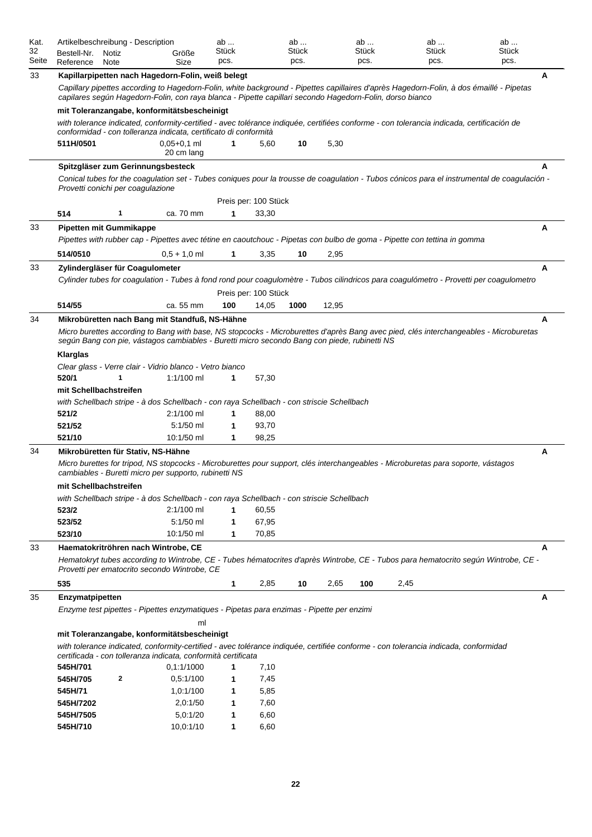| Kat.<br>32<br>Seite | Artikelbeschreibung - Description<br>Bestell-Nr.<br>Notiz                                                                                                     | Größe                       | ab<br>Stück<br>pcs. |                      | ab<br>Stück<br>pcs. |       | ab<br>Stück<br>pcs. | ab<br>Stück<br>pcs.                                                                                                                         | ab<br>Stück<br>pcs. |  |  |  |  |  |
|---------------------|---------------------------------------------------------------------------------------------------------------------------------------------------------------|-----------------------------|---------------------|----------------------|---------------------|-------|---------------------|---------------------------------------------------------------------------------------------------------------------------------------------|---------------------|--|--|--|--|--|
| 33                  | Reference<br>Note                                                                                                                                             | Size                        |                     |                      |                     |       |                     |                                                                                                                                             | A                   |  |  |  |  |  |
|                     | Kapillarpipetten nach Hagedorn-Folin, weiß belegt<br>capilares según Hagedorn-Folin, con raya blanca - Pipette capillari secondo Hagedorn-Folin, dorso bianco |                             |                     |                      |                     |       |                     | Capillary pipettes according to Hagedorn-Folin, white background - Pipettes capillaires d'après Hagedorn-Folin, à dos émaillé - Pipetas     |                     |  |  |  |  |  |
|                     | mit Toleranzangabe, konformitätsbescheinigt                                                                                                                   |                             |                     |                      |                     |       |                     |                                                                                                                                             |                     |  |  |  |  |  |
|                     | conformidad - con tolleranza indicata, certificato di conformità                                                                                              |                             |                     |                      |                     |       |                     | with tolerance indicated, conformity-certified - avec tolérance indiquée, certifiées conforme - con tolerancia indicada, certificación de   |                     |  |  |  |  |  |
|                     | 511H/0501                                                                                                                                                     | $0,05+0,1$ ml<br>20 cm lang | 1                   | 5,60                 | 10                  | 5,30  |                     |                                                                                                                                             |                     |  |  |  |  |  |
|                     | Spitzgläser zum Gerinnungsbesteck                                                                                                                             |                             |                     |                      |                     |       |                     |                                                                                                                                             |                     |  |  |  |  |  |
|                     | Provetti conichi per coagulazione                                                                                                                             |                             |                     |                      |                     |       |                     | Conical tubes for the coagulation set - Tubes coniques pour la trousse de coagulation - Tubos cónicos para el instrumental de coagulación - |                     |  |  |  |  |  |
|                     |                                                                                                                                                               |                             |                     | Preis per: 100 Stück |                     |       |                     |                                                                                                                                             |                     |  |  |  |  |  |
|                     | 514<br>1                                                                                                                                                      | ca. 70 mm                   | 1                   | 33,30                |                     |       |                     |                                                                                                                                             |                     |  |  |  |  |  |
| 33                  | <b>Pipetten mit Gummikappe</b>                                                                                                                                |                             |                     |                      |                     |       |                     |                                                                                                                                             | A                   |  |  |  |  |  |
|                     |                                                                                                                                                               |                             |                     |                      |                     |       |                     | Pipettes with rubber cap - Pipettes avec tétine en caoutchouc - Pipetas con bulbo de goma - Pipette con tettina in gomma                    |                     |  |  |  |  |  |
|                     | 514/0510                                                                                                                                                      | $0,5 + 1,0$ ml              | 1                   | 3,35                 | 10                  | 2,95  |                     |                                                                                                                                             |                     |  |  |  |  |  |
| 33                  | Zylindergläser für Coagulometer                                                                                                                               |                             |                     |                      |                     |       |                     |                                                                                                                                             | A                   |  |  |  |  |  |
|                     |                                                                                                                                                               |                             |                     |                      |                     |       |                     | Cylinder tubes for coagulation - Tubes à fond rond pour coagulomètre - Tubos cilindricos para coagulómetro - Provetti per coagulometro      |                     |  |  |  |  |  |
|                     |                                                                                                                                                               |                             |                     | Preis per: 100 Stück |                     |       |                     |                                                                                                                                             |                     |  |  |  |  |  |
|                     | 514/55                                                                                                                                                        | ca. 55 mm                   | 100                 | 14,05                | 1000                | 12,95 |                     |                                                                                                                                             |                     |  |  |  |  |  |
| 34                  | Mikrobüretten nach Bang mit Standfuß, NS-Hähne                                                                                                                |                             |                     |                      |                     |       |                     |                                                                                                                                             | A                   |  |  |  |  |  |
|                     | según Bang con pie, vástagos cambiables - Buretti micro secondo Bang con piede, rubinetti NS                                                                  |                             |                     |                      |                     |       |                     | Micro burettes according to Bang with base, NS stopcocks - Microburettes d'après Bang avec pied, clés interchangeables - Microburetas       |                     |  |  |  |  |  |
|                     | Klarglas                                                                                                                                                      |                             |                     |                      |                     |       |                     |                                                                                                                                             |                     |  |  |  |  |  |
|                     | Clear glass - Verre clair - Vidrio blanco - Vetro bianco                                                                                                      |                             |                     |                      |                     |       |                     |                                                                                                                                             |                     |  |  |  |  |  |
|                     | 520/1<br>1                                                                                                                                                    | 1:1/100 ml                  | 1                   | 57,30                |                     |       |                     |                                                                                                                                             |                     |  |  |  |  |  |
|                     | mit Schellbachstreifen                                                                                                                                        |                             |                     |                      |                     |       |                     |                                                                                                                                             |                     |  |  |  |  |  |
|                     | with Schellbach stripe - à dos Schellbach - con raya Schellbach - con striscie Schellbach                                                                     |                             |                     |                      |                     |       |                     |                                                                                                                                             |                     |  |  |  |  |  |
|                     | 521/2                                                                                                                                                         | $2:1/100$ ml                | 1                   | 88,00                |                     |       |                     |                                                                                                                                             |                     |  |  |  |  |  |
|                     | 521/52                                                                                                                                                        | 5:1/50 ml                   | 1                   | 93,70                |                     |       |                     |                                                                                                                                             |                     |  |  |  |  |  |
|                     | 521/10                                                                                                                                                        | 10:1/50 ml                  | 1                   | 98,25                |                     |       |                     |                                                                                                                                             |                     |  |  |  |  |  |
| 34                  | Mikrobüretten für Stativ, NS-Hähne                                                                                                                            |                             |                     |                      |                     |       |                     |                                                                                                                                             | A                   |  |  |  |  |  |
|                     | cambiables - Buretti micro per supporto, rubinetti NS                                                                                                         |                             |                     |                      |                     |       |                     | Micro burettes for tripod, NS stopcocks - Microburettes pour support, clés interchangeables - Microburetas para soporte, vástagos           |                     |  |  |  |  |  |
|                     | mit Schellbachstreifen                                                                                                                                        |                             |                     |                      |                     |       |                     |                                                                                                                                             |                     |  |  |  |  |  |
|                     | with Schellbach stripe - à dos Schellbach - con raya Schellbach - con striscie Schellbach                                                                     |                             |                     |                      |                     |       |                     |                                                                                                                                             |                     |  |  |  |  |  |
|                     | 523/2                                                                                                                                                         | $2:1/100$ ml                | 1                   | 60,55                |                     |       |                     |                                                                                                                                             |                     |  |  |  |  |  |
|                     | 523/52                                                                                                                                                        | 5:1/50 ml                   | 1                   | 67,95                |                     |       |                     |                                                                                                                                             |                     |  |  |  |  |  |
|                     | 523/10                                                                                                                                                        | 10:1/50 ml                  | 1                   | 70,85                |                     |       |                     |                                                                                                                                             |                     |  |  |  |  |  |
| 33                  | Haematokritröhren nach Wintrobe, CE                                                                                                                           |                             |                     |                      |                     |       |                     |                                                                                                                                             | A                   |  |  |  |  |  |
|                     | Provetti per ematocrito secondo Wintrobe, CE                                                                                                                  |                             |                     |                      |                     |       |                     | Hematokryt tubes according to Wintrobe, CE - Tubes hématocrites d'après Wintrobe, CE - Tubos para hematocrito según Wintrobe, CE -          |                     |  |  |  |  |  |
|                     | 535                                                                                                                                                           |                             | $\mathbf 1$         | 2,85                 | 10                  | 2,65  | 100                 | 2,45                                                                                                                                        |                     |  |  |  |  |  |
| 35                  | Enzymatpipetten                                                                                                                                               |                             |                     |                      |                     |       |                     |                                                                                                                                             | A                   |  |  |  |  |  |
|                     | Enzyme test pipettes - Pipettes enzymatiques - Pipetas para enzimas - Pipette per enzimi                                                                      |                             |                     |                      |                     |       |                     |                                                                                                                                             |                     |  |  |  |  |  |
|                     |                                                                                                                                                               | ml                          |                     |                      |                     |       |                     |                                                                                                                                             |                     |  |  |  |  |  |
|                     | mit Toleranzangabe, konformitätsbescheinigt                                                                                                                   |                             |                     |                      |                     |       |                     |                                                                                                                                             |                     |  |  |  |  |  |
|                     | certificada - con tolleranza indicata, conformità certificata                                                                                                 |                             |                     |                      |                     |       |                     | with tolerance indicated, conformity-certified - avec tolérance indiquée, certifiée conforme - con tolerancia indicada, conformidad         |                     |  |  |  |  |  |
|                     | 545H/701                                                                                                                                                      | 0.1:1/1000                  | 1                   | 7,10                 |                     |       |                     |                                                                                                                                             |                     |  |  |  |  |  |
|                     | 545H/705<br>2                                                                                                                                                 | 0,5:1/100                   | 1                   | 7,45                 |                     |       |                     |                                                                                                                                             |                     |  |  |  |  |  |
|                     | 545H/71                                                                                                                                                       | 1,0:1/100                   | 1                   | 5,85                 |                     |       |                     |                                                                                                                                             |                     |  |  |  |  |  |
|                     | 545H/7202                                                                                                                                                     | 2,0:1/50                    | 1                   | 7,60                 |                     |       |                     |                                                                                                                                             |                     |  |  |  |  |  |
|                     | 545H/7505                                                                                                                                                     | 5,0:1/20                    | 1                   | 6,60                 |                     |       |                     |                                                                                                                                             |                     |  |  |  |  |  |
|                     | 545H/710                                                                                                                                                      | 10,0:1/10                   | $\mathbf{1}$        | 6,60                 |                     |       |                     |                                                                                                                                             |                     |  |  |  |  |  |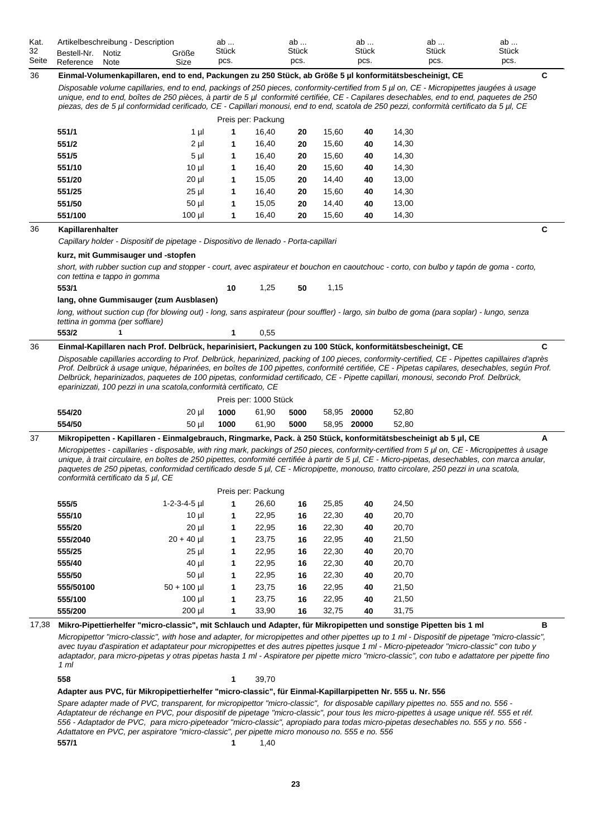| Kat.<br>32<br>Seite | Bestell-Nr.<br>Reference | Artikelbeschreibung - Description<br>Notiz<br>Note                                   | Größe<br>Size   | ab<br>Stück<br>pcs. |                       | ab<br>Stück<br>pcs. |       | ab<br>Stück<br>pcs. | ab<br>Stück<br>pcs.                                                                                                                                                                                                                                                                  | ab<br>Stück<br>pcs.                                                                                                                                                                                                                                                                                 |  |
|---------------------|--------------------------|--------------------------------------------------------------------------------------|-----------------|---------------------|-----------------------|---------------------|-------|---------------------|--------------------------------------------------------------------------------------------------------------------------------------------------------------------------------------------------------------------------------------------------------------------------------------|-----------------------------------------------------------------------------------------------------------------------------------------------------------------------------------------------------------------------------------------------------------------------------------------------------|--|
| 36                  |                          |                                                                                      |                 |                     |                       |                     |       |                     | Einmal-Volumenkapillaren, end to end, Packungen zu 250 Stück, ab Größe 5 µl konformitätsbescheinigt, CE                                                                                                                                                                              | C                                                                                                                                                                                                                                                                                                   |  |
|                     |                          |                                                                                      |                 |                     |                       |                     |       |                     | Disposable volume capillaries, end to end, packings of 250 pieces, conformity-certified from 5 µl on, CE - Micropipettes jaugées à usage<br>piezas, des de 5 µl conformidad cerificado, CE - Capillari monousi, end to end, scatola de 250 pezzi, conformità certificato da 5 µl, CE | unique, end to end, boîtes de 250 pièces, à partir de 5 µl conformité certifiée, CE - Capilares desechables, end to end, paquetes de 250                                                                                                                                                            |  |
|                     |                          |                                                                                      |                 |                     | Preis per: Packung    |                     |       |                     |                                                                                                                                                                                                                                                                                      |                                                                                                                                                                                                                                                                                                     |  |
|                     | 551/1                    |                                                                                      | 1 µl            | 1                   | 16,40                 | 20                  | 15,60 | 40                  | 14,30                                                                                                                                                                                                                                                                                |                                                                                                                                                                                                                                                                                                     |  |
|                     | 551/2                    |                                                                                      | $2 \mu$         | 1                   | 16,40                 | 20                  | 15,60 | 40                  | 14,30                                                                                                                                                                                                                                                                                |                                                                                                                                                                                                                                                                                                     |  |
|                     | 551/5                    |                                                                                      | $5 \mu$         | 1                   | 16,40                 | 20                  | 15,60 | 40                  | 14,30                                                                                                                                                                                                                                                                                |                                                                                                                                                                                                                                                                                                     |  |
|                     | 551/10                   |                                                                                      | 10 <sub>µ</sub> | 1                   | 16,40                 | 20                  | 15,60 | 40                  | 14,30                                                                                                                                                                                                                                                                                |                                                                                                                                                                                                                                                                                                     |  |
|                     | 551/20                   |                                                                                      | $20 \mu$        | 1                   | 15,05                 | 20                  | 14,40 | 40                  | 13,00                                                                                                                                                                                                                                                                                |                                                                                                                                                                                                                                                                                                     |  |
|                     | 551/25                   |                                                                                      | $25$ µ          | 1                   | 16,40                 | 20                  | 15,60 | 40                  | 14,30                                                                                                                                                                                                                                                                                |                                                                                                                                                                                                                                                                                                     |  |
|                     | 551/50                   |                                                                                      | 50 µl           | 1                   | 15,05                 | 20                  | 14,40 | 40                  | 13,00                                                                                                                                                                                                                                                                                |                                                                                                                                                                                                                                                                                                     |  |
|                     | 551/100                  |                                                                                      | $100$ $\mu$     | 1                   | 16,40                 | 20                  | 15,60 | 40                  | 14,30                                                                                                                                                                                                                                                                                |                                                                                                                                                                                                                                                                                                     |  |
| 36                  | Kapillarenhalter         |                                                                                      |                 |                     |                       |                     |       |                     |                                                                                                                                                                                                                                                                                      | $\mathbf c$                                                                                                                                                                                                                                                                                         |  |
|                     |                          | Capillary holder - Dispositif de pipetage - Dispositivo de llenado - Porta-capillari |                 |                     |                       |                     |       |                     |                                                                                                                                                                                                                                                                                      |                                                                                                                                                                                                                                                                                                     |  |
|                     |                          | kurz, mit Gummisauger und -stopfen                                                   |                 |                     |                       |                     |       |                     |                                                                                                                                                                                                                                                                                      |                                                                                                                                                                                                                                                                                                     |  |
|                     |                          | con tettina e tappo in gomma                                                         |                 |                     |                       |                     |       |                     | short, with rubber suction cup and stopper - court, avec aspirateur et bouchon en caoutchouc - corto, con bulbo y tapón de goma - corto,                                                                                                                                             |                                                                                                                                                                                                                                                                                                     |  |
|                     | 553/1                    |                                                                                      |                 | 10                  | 1,25                  | 50                  | 1,15  |                     |                                                                                                                                                                                                                                                                                      |                                                                                                                                                                                                                                                                                                     |  |
|                     |                          | lang, ohne Gummisauger (zum Ausblasen)                                               |                 |                     |                       |                     |       |                     |                                                                                                                                                                                                                                                                                      |                                                                                                                                                                                                                                                                                                     |  |
|                     |                          | tettina in gomma (per soffiare)                                                      |                 |                     |                       |                     |       |                     | long, without suction cup (for blowing out) - long, sans aspirateur (pour souffler) - largo, sin bulbo de goma (para soplar) - lungo, senza                                                                                                                                          |                                                                                                                                                                                                                                                                                                     |  |
|                     | 553/2                    |                                                                                      |                 | 1                   | 0,55                  |                     |       |                     |                                                                                                                                                                                                                                                                                      |                                                                                                                                                                                                                                                                                                     |  |
| 36                  |                          |                                                                                      |                 |                     |                       |                     |       |                     | Einmal-Kapillaren nach Prof. Delbrück, heparinisiert, Packungen zu 100 Stück, konformitätsbescheinigt, CE                                                                                                                                                                            | C                                                                                                                                                                                                                                                                                                   |  |
|                     |                          | eparinizzati, 100 pezzi in una scatola, conformità certificato, CE                   |                 |                     |                       |                     |       |                     | Delbrück, heparinizados, paquetes de 100 pipetas, conformidad certificado, CE - Pipette capillari, monousi, secondo Prof. Delbrück,                                                                                                                                                  | Disposable capillaries according to Prof. Delbrück, heparinized, packing of 100 pieces, conformity-certified, CE - Pipettes capillaires d'après<br>Prof. Delbrück à usage unique, héparinées, en boîtes de 100 pipettes, conformité certifiée, CE - Pipetas capilares, desechables, según Prof.     |  |
|                     |                          |                                                                                      |                 |                     | Preis per: 1000 Stück |                     |       |                     |                                                                                                                                                                                                                                                                                      |                                                                                                                                                                                                                                                                                                     |  |
|                     | 554/20                   |                                                                                      | $20 \mu$        | 1000                | 61,90                 | 5000                |       | 58,95 20000         | 52,80                                                                                                                                                                                                                                                                                |                                                                                                                                                                                                                                                                                                     |  |
|                     | 554/50                   |                                                                                      | 50 µl           | 1000                | 61,90                 | 5000                |       | 58,95 20000         | 52,80                                                                                                                                                                                                                                                                                |                                                                                                                                                                                                                                                                                                     |  |
| 37                  |                          |                                                                                      |                 |                     |                       |                     |       |                     | Mikropipetten - Kapillaren - Einmalgebrauch, Ringmarke, Pack. à 250 Stück, konformitätsbescheinigt ab 5 µl, CE                                                                                                                                                                       | A                                                                                                                                                                                                                                                                                                   |  |
|                     |                          | conformità certificato da 5 µl, CE                                                   |                 |                     |                       |                     |       |                     | paquetes de 250 pipetas, conformidad certificado desde 5 µl, CE - Micropipette, monouso, tratto circolare, 250 pezzi in una scatola,                                                                                                                                                 | Micropipettes - capillaries - disposable, with ring mark, packings of 250 pieces, conformity-certified from 5 µl on, CE - Micropipettes à usage<br>unique, à trait circulaire, en boîtes de 250 pipettes, conformité certifiée à partir de 5 µl, CE - Micro-pipetas, desechables, con marca anular, |  |
|                     |                          |                                                                                      |                 |                     | Preis per: Packung    |                     |       |                     |                                                                                                                                                                                                                                                                                      |                                                                                                                                                                                                                                                                                                     |  |
|                     | 555/5                    |                                                                                      | 1-2-3-4-5 µl    | 1                   | 26,60                 | 16                  | 25,85 | 40                  | 24,50                                                                                                                                                                                                                                                                                |                                                                                                                                                                                                                                                                                                     |  |
|                     | 555/10                   |                                                                                      | $10 \mu$        | 1                   | 22,95                 | 16                  | 22,30 | 40                  | 20,70                                                                                                                                                                                                                                                                                |                                                                                                                                                                                                                                                                                                     |  |
|                     | 555/20                   |                                                                                      | $20 \mu$        | 1                   | 22,95                 | 16                  | 22,30 | 40                  | 20,70                                                                                                                                                                                                                                                                                |                                                                                                                                                                                                                                                                                                     |  |
|                     | 555/2040                 |                                                                                      | $20 + 40$ µl    | 1                   | 23,75                 | 16                  | 22,95 | 40                  | 21,50                                                                                                                                                                                                                                                                                |                                                                                                                                                                                                                                                                                                     |  |
|                     | 555/25                   |                                                                                      | $25 \mu$        | 1                   | 22,95                 | 16                  | 22,30 | 40                  | 20,70                                                                                                                                                                                                                                                                                |                                                                                                                                                                                                                                                                                                     |  |
|                     | 555/40                   |                                                                                      | $40 \mu$        | 1                   | 22,95                 | 16                  | 22,30 | 40                  | 20,70                                                                                                                                                                                                                                                                                |                                                                                                                                                                                                                                                                                                     |  |
|                     | 555/50                   |                                                                                      | $50$ µl         | 1                   | 22,95                 | 16                  | 22,30 | 40                  | 20,70                                                                                                                                                                                                                                                                                |                                                                                                                                                                                                                                                                                                     |  |
|                     | 555/50100                |                                                                                      | $50 + 100$ µl   | 1                   | 23,75                 |                     |       |                     |                                                                                                                                                                                                                                                                                      |                                                                                                                                                                                                                                                                                                     |  |
|                     |                          |                                                                                      |                 |                     |                       | 16                  | 22,95 | 40                  | 21,50                                                                                                                                                                                                                                                                                |                                                                                                                                                                                                                                                                                                     |  |
|                     | 555/100                  |                                                                                      | $100$ $\mu$     | 1                   | 23,75                 | 16                  | 22,95 | 40                  | 21,50                                                                                                                                                                                                                                                                                |                                                                                                                                                                                                                                                                                                     |  |

17,38 **Mikro-Pipettierhelfer "micro-classic", mit Schlauch und Adapter, für Mikropipetten und sonstige Pipetten bis 1 ml B**

*Micropipettor "micro-classic", with hose and adapter, for micropipettes and other pipettes up to 1 ml - Dispositif de pipetage "micro-classic", avec tuyau d'aspiration et adaptateur pour micropipettes et des autres pipettes jusque 1 ml - Micro-pipeteador "micro-classic" con tubo y adaptador, para micro-pipetas y otras pipetas hasta 1 ml - Aspiratore per pipette micro "micro-classic", con tubo e adattatore per pipette fino 1 ml*

**558 1** 39,70

#### **Adapter aus PVC, für Mikropipettierhelfer "micro-classic", für Einmal-Kapillarpipetten Nr. 555 u. Nr. 556**

*Spare adapter made of PVC, transparent, for micropipettor "micro-classic", for disposable capillary pipettes no. 555 and no. 556 -*  Adaptateur de réchange en PVC, pour dispositif de pipetage "micro-classic", pour tous les micro-pipettes à usage unique réf. 555 et réf. *556 - Adaptador de PVC, para micro-pipeteador "micro-classic", apropiado para todas micro-pipetas desechables no. 555 y no. 556 - Adattatore en PVC, per aspiratore "micro-classic", per pipette micro monouso no. 555 e no. 556* **557/1** 1,40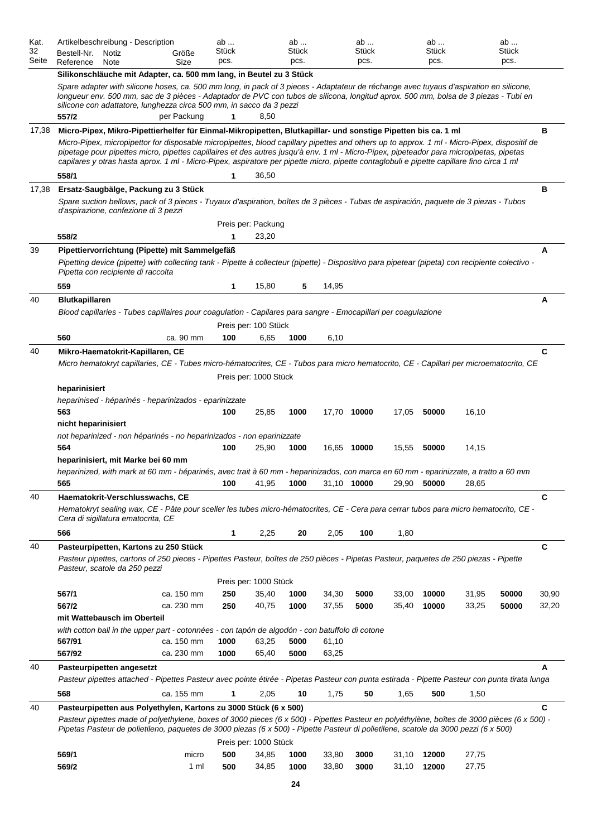| Kat.<br>32<br>Seite | Artikelbeschreibung - Description<br>Bestell-Nr.<br>Notiz<br>Reference<br>Note                                                                                                                                                                                                                                                                                                                                                                                                                                                                                 | Größe<br>Size            | ab<br>Stück<br>pcs. |                       | ab<br>Stück<br>pcs. |                | ab<br>Stück<br>pcs. |                | ab<br>Stück<br>pcs. |                | ab<br>Stück<br>pcs. |                |
|---------------------|----------------------------------------------------------------------------------------------------------------------------------------------------------------------------------------------------------------------------------------------------------------------------------------------------------------------------------------------------------------------------------------------------------------------------------------------------------------------------------------------------------------------------------------------------------------|--------------------------|---------------------|-----------------------|---------------------|----------------|---------------------|----------------|---------------------|----------------|---------------------|----------------|
|                     | Silikonschläuche mit Adapter, ca. 500 mm lang, in Beutel zu 3 Stück                                                                                                                                                                                                                                                                                                                                                                                                                                                                                            |                          |                     |                       |                     |                |                     |                |                     |                |                     |                |
|                     | Spare adapter with silicone hoses, ca. 500 mm long, in pack of 3 pieces - Adaptateur de réchange avec tuyaus d'aspiration en silicone,<br>lonqueur env. 500 mm, sac de 3 pièces - Adaptador de PVC con tubos de silicona, longitud aprox. 500 mm, bolsa de 3 piezas - Tubi en<br>silicone con adattatore, lunghezza circa 500 mm, in sacco da 3 pezzi                                                                                                                                                                                                          |                          |                     |                       |                     |                |                     |                |                     |                |                     |                |
|                     | 557/2                                                                                                                                                                                                                                                                                                                                                                                                                                                                                                                                                          | per Packung              | 1                   | 8,50                  |                     |                |                     |                |                     |                |                     |                |
| 17,38               | Micro-Pipex, Mikro-Pipettierhelfer für Einmal-Mikropipetten, Blutkapillar- und sonstige Pipetten bis ca. 1 ml<br>Micro-Pipex, micropipettor for disposable micropipettes, blood capillary pipettes and others up to approx. 1 ml - Micro-Pipex, dispositif de<br>pipetage pour pipettes micro, pipettes capillaires et des autres jusqu'à env. 1 ml - Micro-Pipex, pipeteador para micropipetas, pipetas<br>capilares y otras hasta aprox. 1 ml - Micro-Pipex, aspiratore per pipette micro, pipette contaglobuli e pipette capillare fino circa 1 ml<br>558/1 |                          |                     |                       |                     |                |                     |                |                     |                |                     | в              |
|                     |                                                                                                                                                                                                                                                                                                                                                                                                                                                                                                                                                                |                          | 1                   | 36,50                 |                     |                |                     |                |                     |                |                     |                |
| 17,38               | Ersatz-Saugbälge, Packung zu 3 Stück<br>Spare suction bellows, pack of 3 pieces - Tuyaux d'aspiration, boîtes de 3 pièces - Tubas de aspiración, paquete de 3 piezas - Tubos<br>d'aspirazione, confezione di 3 pezzi                                                                                                                                                                                                                                                                                                                                           |                          |                     |                       |                     |                |                     |                |                     |                |                     | в              |
|                     |                                                                                                                                                                                                                                                                                                                                                                                                                                                                                                                                                                |                          |                     | Preis per: Packung    |                     |                |                     |                |                     |                |                     |                |
|                     | 558/2                                                                                                                                                                                                                                                                                                                                                                                                                                                                                                                                                          |                          |                     | 23,20                 |                     |                |                     |                |                     |                |                     |                |
| 39                  | Pipettiervorrichtung (Pipette) mit Sammelgefäß<br>Pipetting device (pipette) with collecting tank - Pipette à collecteur (pipette) - Dispositivo para pipetear (pipeta) con recipiente colectivo -<br>Pipetta con recipiente di raccolta                                                                                                                                                                                                                                                                                                                       |                          |                     |                       |                     |                |                     |                |                     |                |                     | A              |
|                     | 559                                                                                                                                                                                                                                                                                                                                                                                                                                                                                                                                                            |                          | 1                   | 15,80                 | 5                   | 14,95          |                     |                |                     |                |                     |                |
| 40                  | <b>Blutkapillaren</b>                                                                                                                                                                                                                                                                                                                                                                                                                                                                                                                                          |                          |                     |                       |                     |                |                     |                |                     |                |                     | Α              |
|                     | Blood capillaries - Tubes capillaires pour coagulation - Capilares para sangre - Emocapillari per coagulazione                                                                                                                                                                                                                                                                                                                                                                                                                                                 |                          |                     |                       |                     |                |                     |                |                     |                |                     |                |
|                     |                                                                                                                                                                                                                                                                                                                                                                                                                                                                                                                                                                |                          |                     | Preis per: 100 Stück  |                     |                |                     |                |                     |                |                     |                |
|                     | 560                                                                                                                                                                                                                                                                                                                                                                                                                                                                                                                                                            | ca. 90 mm                | 100                 | 6,65                  | 1000                | 6,10           |                     |                |                     |                |                     |                |
| 40                  | Mikro-Haematokrit-Kapillaren, CE                                                                                                                                                                                                                                                                                                                                                                                                                                                                                                                               |                          |                     |                       |                     |                |                     |                |                     |                |                     | C              |
|                     | Micro hematokryt capillaries, CE - Tubes micro-hématocrites, CE - Tubos para micro hematocrito, CE - Capillari per microematocrito, CE                                                                                                                                                                                                                                                                                                                                                                                                                         |                          |                     | Preis per: 1000 Stück |                     |                |                     |                |                     |                |                     |                |
|                     | heparinisiert                                                                                                                                                                                                                                                                                                                                                                                                                                                                                                                                                  |                          |                     |                       |                     |                |                     |                |                     |                |                     |                |
|                     | heparinised - héparinés - heparinizados - eparinizzate<br>563                                                                                                                                                                                                                                                                                                                                                                                                                                                                                                  |                          | 100                 | 25,85                 | 1000                |                | 17,70 10000         | 17,05          | 50000               | 16,10          |                     |                |
|                     | nicht heparinisiert<br>not heparinized - non héparinés - no heparinizados - non eparinizzate                                                                                                                                                                                                                                                                                                                                                                                                                                                                   |                          |                     |                       |                     |                |                     |                |                     |                |                     |                |
|                     | 564                                                                                                                                                                                                                                                                                                                                                                                                                                                                                                                                                            |                          | 100                 | 25,90                 | 1000                |                | 16,65 10000         | 15,55          | 50000               | 14,15          |                     |                |
|                     | heparinisiert, mit Marke bei 60 mm<br>heparinized, with mark at 60 mm - héparinés, avec trait à 60 mm - heparinizados, con marca en 60 mm - eparinizzate, a tratto a 60 mm                                                                                                                                                                                                                                                                                                                                                                                     |                          |                     |                       |                     |                | 31,10 10000         |                |                     |                |                     |                |
|                     | 565                                                                                                                                                                                                                                                                                                                                                                                                                                                                                                                                                            |                          | 100                 | 41,95                 | 1000                |                |                     | 29,90          | 50000               | 28,65          |                     |                |
| 40                  | Haematokrit-Verschlusswachs, CE<br>Hematokryt sealing wax, CE - Pâte pour sceller les tubes micro-hématocrites, CE - Cera para cerrar tubos para micro hematocrito, CE -<br>Cera di sigillatura ematocrita, CE                                                                                                                                                                                                                                                                                                                                                 |                          |                     |                       |                     |                |                     |                |                     |                |                     | C              |
|                     | 566                                                                                                                                                                                                                                                                                                                                                                                                                                                                                                                                                            |                          | 1                   | 2,25                  | 20                  | 2,05           | 100                 | 1,80           |                     |                |                     |                |
| 40                  | Pasteurpipetten, Kartons zu 250 Stück                                                                                                                                                                                                                                                                                                                                                                                                                                                                                                                          |                          |                     |                       |                     |                |                     |                |                     |                |                     | C              |
|                     | Pasteur pipettes, cartons of 250 pieces - Pipettes Pasteur, boîtes de 250 pièces - Pipetas Pasteur, paquetes de 250 piezas - Pipette<br>Pasteur, scatole da 250 pezzi                                                                                                                                                                                                                                                                                                                                                                                          |                          |                     |                       |                     |                |                     |                |                     |                |                     |                |
|                     |                                                                                                                                                                                                                                                                                                                                                                                                                                                                                                                                                                |                          |                     | Preis per: 1000 Stück |                     |                |                     |                |                     |                |                     |                |
|                     | 567/1<br>567/2                                                                                                                                                                                                                                                                                                                                                                                                                                                                                                                                                 | ca. 150 mm<br>ca. 230 mm | 250<br>250          | 35,40<br>40,75        | 1000<br>1000        | 34,30<br>37,55 | 5000<br>5000        | 33,00<br>35,40 | 10000<br>10000      | 31,95<br>33,25 | 50000<br>50000      | 30,90<br>32,20 |
|                     | mit Wattebausch im Oberteil                                                                                                                                                                                                                                                                                                                                                                                                                                                                                                                                    |                          |                     |                       |                     |                |                     |                |                     |                |                     |                |
|                     | with cotton ball in the upper part - cotonnées - con tapón de algodón - con batuffolo di cotone<br>567/91                                                                                                                                                                                                                                                                                                                                                                                                                                                      |                          |                     |                       |                     |                |                     |                |                     |                |                     |                |
|                     | 567/92                                                                                                                                                                                                                                                                                                                                                                                                                                                                                                                                                         | ca. 150 mm<br>ca. 230 mm | 1000<br>1000        | 63,25<br>65,40        | 5000<br>5000        | 61,10<br>63,25 |                     |                |                     |                |                     |                |
| 40                  | Pasteurpipetten angesetzt                                                                                                                                                                                                                                                                                                                                                                                                                                                                                                                                      |                          |                     |                       |                     |                |                     |                |                     |                |                     | A              |
|                     | Pasteur pipettes attached - Pipettes Pasteur avec pointe étirée - Pipetas Pasteur con punta estirada - Pipette Pasteur con punta tirata lunga                                                                                                                                                                                                                                                                                                                                                                                                                  |                          |                     |                       |                     |                |                     |                |                     |                |                     |                |
|                     | 568                                                                                                                                                                                                                                                                                                                                                                                                                                                                                                                                                            | ca. 155 mm               | 1                   | 2,05                  | 10                  | 1,75           | 50                  | 1,65           | 500                 | 1,50           |                     |                |
| 40                  |                                                                                                                                                                                                                                                                                                                                                                                                                                                                                                                                                                |                          |                     |                       |                     |                |                     |                |                     |                |                     | C              |
|                     | Pasteurpipetten aus Polyethylen, Kartons zu 3000 Stück (6 x 500)<br>Pasteur pipettes made of polyethylene, boxes of 3000 pieces (6 x 500) - Pipettes Pasteur en polyéthylène, boîtes de 3000 pièces (6 x 500) -<br>Pipetas Pasteur de polietileno, paquetes de 3000 piezas (6 x 500) - Pipette Pasteur di polietilene, scatole da 3000 pezzi (6 x 500)                                                                                                                                                                                                         |                          |                     |                       |                     |                |                     |                |                     |                |                     |                |
|                     |                                                                                                                                                                                                                                                                                                                                                                                                                                                                                                                                                                |                          |                     | Preis per: 1000 Stück |                     |                |                     |                |                     |                |                     |                |
|                     | 569/1<br>569/2                                                                                                                                                                                                                                                                                                                                                                                                                                                                                                                                                 | micro<br>1 <sub>m</sub>  | 500<br>500          | 34,85<br>34,85        | 1000<br>1000        | 33,80<br>33,80 | 3000<br>3000        | 31,10<br>31,10 | 12000<br>12000      | 27,75<br>27,75 |                     |                |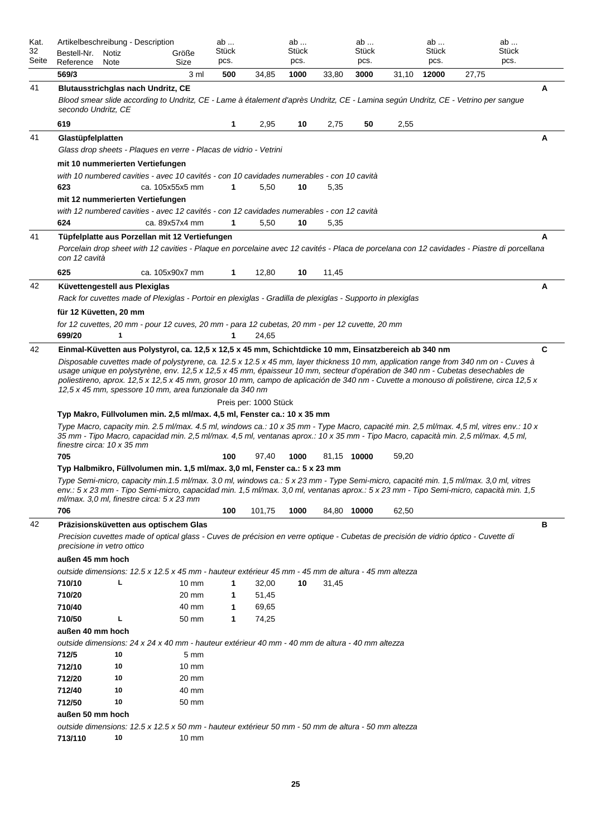| Kat.<br>32<br>Seite | Artikelbeschreibung - Description<br>Bestell-Nr.<br>Reference                                                                                                                                                                                                                                                                                                                                                                                                              | Notiz<br>Note |  | Größe<br>Size   | ab<br>Stück<br>pcs. |                       | ab<br>Stück<br>pcs. |       | ab<br>Stück<br>pcs. |       | ab<br>Stück<br>pcs. |                                                                                                                                            | ab<br>Stück<br>pcs. |   |
|---------------------|----------------------------------------------------------------------------------------------------------------------------------------------------------------------------------------------------------------------------------------------------------------------------------------------------------------------------------------------------------------------------------------------------------------------------------------------------------------------------|---------------|--|-----------------|---------------------|-----------------------|---------------------|-------|---------------------|-------|---------------------|--------------------------------------------------------------------------------------------------------------------------------------------|---------------------|---|
|                     | 569/3                                                                                                                                                                                                                                                                                                                                                                                                                                                                      |               |  | 3 ml            | 500                 | 34,85                 | 1000                | 33,80 | 3000                | 31,10 | 12000               | 27,75                                                                                                                                      |                     |   |
| 41                  | <b>Blutausstrichglas nach Undritz, CE</b><br>secondo Undritz, CE                                                                                                                                                                                                                                                                                                                                                                                                           |               |  |                 |                     |                       |                     |       |                     |       |                     | Blood smear slide according to Undritz, CE - Lame à étalement d'après Undritz, CE - Lamina según Undritz, CE - Vetrino per sangue          |                     | A |
|                     | 619                                                                                                                                                                                                                                                                                                                                                                                                                                                                        |               |  |                 | 1                   | 2,95                  | 10                  | 2,75  | 50                  | 2,55  |                     |                                                                                                                                            |                     |   |
| 41                  | Glastüpfelplatten                                                                                                                                                                                                                                                                                                                                                                                                                                                          |               |  |                 |                     |                       |                     |       |                     |       |                     |                                                                                                                                            |                     | Α |
|                     | Glass drop sheets - Plagues en verre - Placas de vidrio - Vetrini                                                                                                                                                                                                                                                                                                                                                                                                          |               |  |                 |                     |                       |                     |       |                     |       |                     |                                                                                                                                            |                     |   |
|                     | mit 10 nummerierten Vertiefungen                                                                                                                                                                                                                                                                                                                                                                                                                                           |               |  |                 |                     |                       |                     |       |                     |       |                     |                                                                                                                                            |                     |   |
|                     | with 10 numbered cavities - avec 10 cavités - con 10 cavidades numerables - con 10 cavità                                                                                                                                                                                                                                                                                                                                                                                  |               |  |                 |                     |                       |                     |       |                     |       |                     |                                                                                                                                            |                     |   |
|                     | 623                                                                                                                                                                                                                                                                                                                                                                                                                                                                        |               |  | ca. 105x55x5 mm | $\mathbf{1}$        | 5,50                  | 10                  | 5,35  |                     |       |                     |                                                                                                                                            |                     |   |
|                     | mit 12 nummerierten Vertiefungen                                                                                                                                                                                                                                                                                                                                                                                                                                           |               |  |                 |                     |                       |                     |       |                     |       |                     |                                                                                                                                            |                     |   |
|                     | with 12 numbered cavities - avec 12 cavités - con 12 cavidades numerables - con 12 cavità                                                                                                                                                                                                                                                                                                                                                                                  |               |  |                 |                     |                       |                     |       |                     |       |                     |                                                                                                                                            |                     |   |
|                     | 624                                                                                                                                                                                                                                                                                                                                                                                                                                                                        |               |  | ca. 89x57x4 mm  | $\mathbf{1}$        | 5,50                  | 10                  | 5,35  |                     |       |                     |                                                                                                                                            |                     |   |
| 41                  | Tüpfelplatte aus Porzellan mit 12 Vertiefungen                                                                                                                                                                                                                                                                                                                                                                                                                             |               |  |                 |                     |                       |                     |       |                     |       |                     |                                                                                                                                            |                     | A |
|                     | con 12 cavità                                                                                                                                                                                                                                                                                                                                                                                                                                                              |               |  |                 |                     |                       |                     |       |                     |       |                     | Porcelain drop sheet with 12 cavities - Plaque en porcelaine avec 12 cavités - Placa de porcelana con 12 cavidades - Piastre di porcellana |                     |   |
|                     | 625                                                                                                                                                                                                                                                                                                                                                                                                                                                                        |               |  | ca. 105x90x7 mm | 1                   | 12,80                 | 10                  | 11,45 |                     |       |                     |                                                                                                                                            |                     |   |
| 42                  | Küvettengestell aus Plexiglas                                                                                                                                                                                                                                                                                                                                                                                                                                              |               |  |                 |                     |                       |                     |       |                     |       |                     |                                                                                                                                            |                     | A |
|                     | Rack for cuvettes made of Plexiglas - Portoir en plexiglas - Gradilla de plexiglas - Supporto in plexiglas                                                                                                                                                                                                                                                                                                                                                                 |               |  |                 |                     |                       |                     |       |                     |       |                     |                                                                                                                                            |                     |   |
|                     | für 12 Küvetten, 20 mm                                                                                                                                                                                                                                                                                                                                                                                                                                                     |               |  |                 |                     |                       |                     |       |                     |       |                     |                                                                                                                                            |                     |   |
|                     | for 12 cuvettes, 20 mm - pour 12 cuves, 20 mm - para 12 cubetas, 20 mm - per 12 cuvette, 20 mm                                                                                                                                                                                                                                                                                                                                                                             |               |  |                 |                     |                       |                     |       |                     |       |                     |                                                                                                                                            |                     |   |
|                     | 699/20                                                                                                                                                                                                                                                                                                                                                                                                                                                                     | 1             |  |                 | 1                   | 24,65                 |                     |       |                     |       |                     |                                                                                                                                            |                     |   |
| 42                  | Einmal-Küvetten aus Polystyrol, ca. 12,5 x 12,5 x 45 mm, Schichtdicke 10 mm, Einsatzbereich ab 340 nm                                                                                                                                                                                                                                                                                                                                                                      |               |  |                 |                     |                       |                     |       |                     |       |                     |                                                                                                                                            |                     | C |
|                     | Disposable cuvettes made of polystyrene, ca. 12.5 x 12.5 x 45 mm, layer thickness 10 mm, application range from 340 nm on - Cuves à<br>usage unique en polystyrène, env. 12,5 x 12,5 x 45 mm, épaisseur 10 mm, secteur d'opération de 340 nm - Cubetas desechables de<br>poliestireno, aprox. 12,5 x 12,5 x 45 mm, grosor 10 mm, campo de aplicación de 340 nm - Cuvette a monouso di polistirene, circa 12,5 x<br>12,5 x 45 mm, spessore 10 mm, area funzionale da 340 nm |               |  |                 |                     |                       |                     |       |                     |       |                     |                                                                                                                                            |                     |   |
|                     |                                                                                                                                                                                                                                                                                                                                                                                                                                                                            |               |  |                 |                     | Preis per: 1000 Stück |                     |       |                     |       |                     |                                                                                                                                            |                     |   |
|                     | Typ Makro, Füllvolumen min. 2,5 ml/max. 4,5 ml, Fenster ca.: 10 x 35 mm<br>Type Macro, capacity min. 2.5 ml/max. 4.5 ml, windows ca.: 10 x 35 mm - Type Macro, capacité min. 2,5 ml/max. 4,5 ml, vitres env.: 10 x<br>35 mm - Tipo Macro, capacidad min. 2,5 ml/max. 4,5 ml, ventanas aprox.: 10 x 35 mm - Tipo Macro, capacità min. 2,5 ml/max. 4,5 ml,<br>finestre circa: 10 x 35 mm                                                                                     |               |  |                 |                     |                       |                     |       |                     |       |                     |                                                                                                                                            |                     |   |
|                     | 705                                                                                                                                                                                                                                                                                                                                                                                                                                                                        |               |  |                 | 100                 | 97,40                 | 1000                |       | 81,15 10000         | 59,20 |                     |                                                                                                                                            |                     |   |
|                     | Typ Halbmikro, Füllvolumen min. 1,5 ml/max. 3,0 ml, Fenster ca.: 5 x 23 mm                                                                                                                                                                                                                                                                                                                                                                                                 |               |  |                 |                     |                       |                     |       |                     |       |                     |                                                                                                                                            |                     |   |
|                     | Type Semi-micro, capacity min.1.5 ml/max. 3.0 ml, windows ca.: 5 x 23 mm - Type Semi-micro, capacité min. 1,5 ml/max. 3,0 ml, vitres<br>env.: 5 x 23 mm - Tipo Semi-micro, capacidad min. 1,5 ml/max. 3,0 ml, ventanas aprox.: 5 x 23 mm - Tipo Semi-micro, capacità min. 1,5<br>$m$ /max. 3,0 ml, finestre circa: 5 x 23 mm                                                                                                                                               |               |  |                 |                     |                       |                     |       |                     |       |                     |                                                                                                                                            |                     |   |
|                     | 706                                                                                                                                                                                                                                                                                                                                                                                                                                                                        |               |  |                 | 100                 | 101,75                | 1000                |       | 84,80 10000         | 62,50 |                     |                                                                                                                                            |                     |   |
| 42                  | Präzisionsküvetten aus optischem Glas                                                                                                                                                                                                                                                                                                                                                                                                                                      |               |  |                 |                     |                       |                     |       |                     |       |                     |                                                                                                                                            |                     | в |
|                     | precisione in vetro ottico                                                                                                                                                                                                                                                                                                                                                                                                                                                 |               |  |                 |                     |                       |                     |       |                     |       |                     | Precision cuvettes made of optical glass - Cuves de précision en verre optique - Cubetas de precisión de vidrio óptico - Cuvette di        |                     |   |
|                     | außen 45 mm hoch                                                                                                                                                                                                                                                                                                                                                                                                                                                           |               |  |                 |                     |                       |                     |       |                     |       |                     |                                                                                                                                            |                     |   |
|                     | outside dimensions: 12.5 x 12.5 x 45 mm - hauteur extérieur 45 mm - 45 mm de altura - 45 mm altezza                                                                                                                                                                                                                                                                                                                                                                        |               |  |                 |                     |                       |                     |       |                     |       |                     |                                                                                                                                            |                     |   |
|                     | 710/10                                                                                                                                                                                                                                                                                                                                                                                                                                                                     | L             |  | $10 \text{ mm}$ | 1                   | 32,00                 | 10                  | 31,45 |                     |       |                     |                                                                                                                                            |                     |   |
|                     | 710/20                                                                                                                                                                                                                                                                                                                                                                                                                                                                     |               |  | 20 mm           | 1                   | 51,45                 |                     |       |                     |       |                     |                                                                                                                                            |                     |   |
|                     | 710/40                                                                                                                                                                                                                                                                                                                                                                                                                                                                     |               |  | 40 mm           | 1                   | 69,65                 |                     |       |                     |       |                     |                                                                                                                                            |                     |   |
|                     | 710/50                                                                                                                                                                                                                                                                                                                                                                                                                                                                     | L             |  | 50 mm           | 1                   | 74,25                 |                     |       |                     |       |                     |                                                                                                                                            |                     |   |
|                     | außen 40 mm hoch                                                                                                                                                                                                                                                                                                                                                                                                                                                           |               |  |                 |                     |                       |                     |       |                     |       |                     |                                                                                                                                            |                     |   |
|                     | outside dimensions: 24 x 24 x 40 mm - hauteur extérieur 40 mm - 40 mm de altura - 40 mm altezza                                                                                                                                                                                                                                                                                                                                                                            |               |  |                 |                     |                       |                     |       |                     |       |                     |                                                                                                                                            |                     |   |
|                     | 712/5                                                                                                                                                                                                                                                                                                                                                                                                                                                                      | 10            |  | $5 \text{ mm}$  |                     |                       |                     |       |                     |       |                     |                                                                                                                                            |                     |   |
|                     | 712/10                                                                                                                                                                                                                                                                                                                                                                                                                                                                     | 10            |  | $10 \text{ mm}$ |                     |                       |                     |       |                     |       |                     |                                                                                                                                            |                     |   |
|                     | 712/20                                                                                                                                                                                                                                                                                                                                                                                                                                                                     | 10            |  | 20 mm           |                     |                       |                     |       |                     |       |                     |                                                                                                                                            |                     |   |
|                     | 712/40                                                                                                                                                                                                                                                                                                                                                                                                                                                                     | 10            |  | 40 mm           |                     |                       |                     |       |                     |       |                     |                                                                                                                                            |                     |   |
|                     | 712/50                                                                                                                                                                                                                                                                                                                                                                                                                                                                     | 10            |  | 50 mm           |                     |                       |                     |       |                     |       |                     |                                                                                                                                            |                     |   |
|                     | außen 50 mm hoch                                                                                                                                                                                                                                                                                                                                                                                                                                                           |               |  |                 |                     |                       |                     |       |                     |       |                     |                                                                                                                                            |                     |   |
|                     | outside dimensions: 12.5 x 12.5 x 50 mm - hauteur extérieur 50 mm - 50 mm de altura - 50 mm altezza<br>713/110                                                                                                                                                                                                                                                                                                                                                             | 10            |  | $10 \text{ mm}$ |                     |                       |                     |       |                     |       |                     |                                                                                                                                            |                     |   |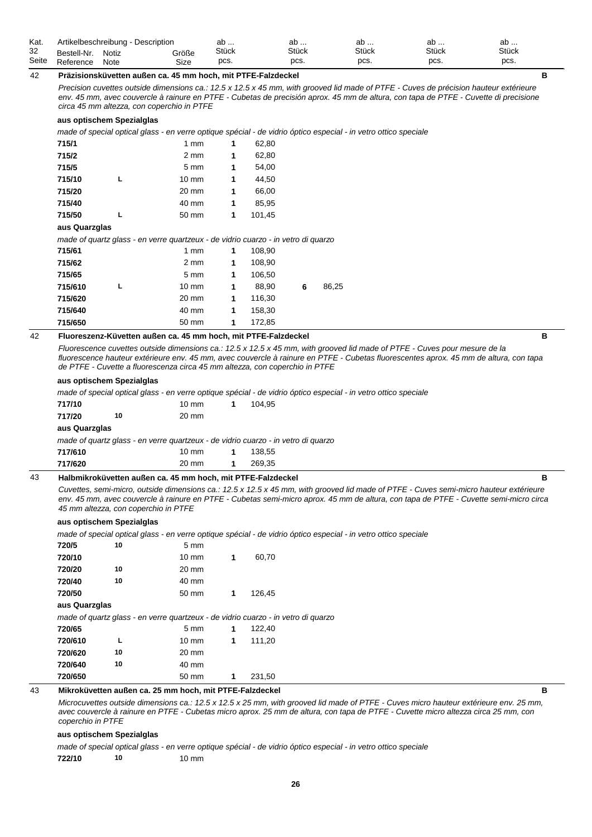| Kat.  | Artikelbeschreibung - Description |       |       | ab    | ab           | ab           | av           | ab           |
|-------|-----------------------------------|-------|-------|-------|--------------|--------------|--------------|--------------|
| 32    | Bestell-Nr.                       | Notiz | Größe | Stück | <b>Stück</b> | <b>Stück</b> | <b>Stück</b> | <b>Stück</b> |
| Seite | Reference                         | Note  | Size  | pcs.  | pcs.         | pcs.         | pcs.         | pcs.         |

#### 42 **Präzisionsküvetten außen ca. 45 mm hoch, mit PTFE-Falzdeckel B**

*Precision cuvettes outside dimensions ca.: 12.5 x 12.5 x 45 mm, with grooved lid made of PTFE - Cuves de précision hauteur extérieure*  env. 45 mm, avec couvercle à rainure en PTFE - Cubetas de precisión aprox. 45 mm de altura, con tapa de PTFE - Cuvette di precisione *circa 45 mm altezza, con coperchio in PTFE*

#### **aus optischem Spezialglas**

*made of special optical glass - en verre optique spécial - de vidrio óptico especial - in vetro ottico speciale*

| 715/1         |   | $1 \text{ mm}$                                                                    | 1 | 62,80  |   |       |
|---------------|---|-----------------------------------------------------------------------------------|---|--------|---|-------|
| 715/2         |   | $2 \text{ mm}$                                                                    | 1 | 62,80  |   |       |
| 715/5         |   | $5 \text{ mm}$                                                                    | 1 | 54,00  |   |       |
| 715/10        | L | $10 \text{ mm}$                                                                   | 1 | 44,50  |   |       |
| 715/20        |   | 20 mm                                                                             | 1 | 66,00  |   |       |
| 715/40        |   | 40 mm                                                                             | 1 | 85,95  |   |       |
| 715/50        | L | 50 mm                                                                             | 1 | 101,45 |   |       |
| aus Quarzglas |   |                                                                                   |   |        |   |       |
|               |   | made of quartz glass - en verre quartzeux - de vidrio cuarzo - in vetro di quarzo |   |        |   |       |
| 715/61        |   | $1 \text{ mm}$                                                                    | 1 | 108,90 |   |       |
| 715/62        |   | $2 \text{ mm}$                                                                    | 1 | 108,90 |   |       |
| 715/65        |   | $5 \text{ mm}$                                                                    | 1 | 106,50 |   |       |
| 715/610       | L | $10 \text{ mm}$                                                                   | 1 | 88,90  | 6 | 86,25 |
| 715/620       |   | 20 mm                                                                             | 1 | 116,30 |   |       |
| 715/640       |   | 40 mm                                                                             | 1 | 158,30 |   |       |
| 715/650       |   | 50 mm                                                                             | 1 | 172,85 |   |       |

#### 42 **Fluoreszenz-Küvetten außen ca. 45 mm hoch, mit PTFE-Falzdeckel B**

*Fluorescence cuvettes outside dimensions ca.: 12.5 x 12.5 x 45 mm, with grooved lid made of PTFE - Cuves pour mesure de la fluorescence hauteur extérieure env. 45 mm, avec couvercle à rainure en PTFE - Cubetas fluorescentes aprox. 45 mm de altura, con tapa de PTFE - Cuvette a fluorescenza circa 45 mm altezza, con coperchio in PTFE*

#### **aus optischem Spezialglas**

*made of special optical glass - en verre optique spécial - de vidrio óptico especial - in vetro ottico speciale*

| 717/10        |    | $10 \text{ mm}$                                                                   | 104.95 |  |
|---------------|----|-----------------------------------------------------------------------------------|--------|--|
| 717/20        | 10 | 20 mm                                                                             |        |  |
| aus Quarzglas |    |                                                                                   |        |  |
|               |    | made of quartz glass - en verre guartzeux - de vidrio cuarzo - in vetro di guarzo |        |  |

**717/610** 10 mm **1** 138,55 **717/620** 20 mm **1** 269,35

#### 43 **Halbmikroküvetten außen ca. 45 mm hoch, mit PTFE-Falzdeckel B**

*Cuvettes, semi-micro, outside dimensions ca.: 12.5 x 12.5 x 45 mm, with grooved lid made of PTFE - Cuves semi-micro hauteur extérieure env. 45 mm, avec couvercle à rainure en PTFE - Cubetas semi-micro aprox. 45 mm de altura, con tapa de PTFE - Cuvette semi-micro circa 45 mm altezza, con coperchio in PTFE*

#### **aus optischem Spezialglas**

*made of special optical glass - en verre optique spécial - de vidrio óptico especial - in vetro ottico speciale*

| 720/5         | 10 | $5 \text{ mm}$                                                                    |   |        |  |
|---------------|----|-----------------------------------------------------------------------------------|---|--------|--|
| 720/10        |    | $10 \text{ mm}$                                                                   | 1 | 60,70  |  |
| 720/20        | 10 | $20 \text{ mm}$                                                                   |   |        |  |
| 720/40        | 10 | 40 mm                                                                             |   |        |  |
| 720/50        |    | 50 mm                                                                             | 1 | 126.45 |  |
| aus Quarzglas |    |                                                                                   |   |        |  |
|               |    | made of quartz glass - en verre quartzeux - de vidrio cuarzo - in vetro di quarzo |   |        |  |
| 720/65        |    | $5 \text{ mm}$                                                                    | 1 | 122,40 |  |
| 720/610       | L  | $10 \text{ mm}$                                                                   | 1 | 111,20 |  |
| 720/620       | 10 | 20 mm                                                                             |   |        |  |
| 720/640       | 10 | 40 mm                                                                             |   |        |  |
| 720/650       |    | 50 mm                                                                             | 1 | 231.50 |  |

### 43 **Mikroküvetten außen ca. 25 mm hoch, mit PTFE-Falzdeckel B**

*Microcuvettes outside dimensions ca.: 12.5 x 12.5 x 25 mm, with grooved lid made of PTFE - Cuves micro hauteur extérieure env. 25 mm, avec couvercle à rainure en PTFE - Cubetas micro aprox. 25 mm de altura, con tapa de PTFE - Cuvette micro altezza circa 25 mm, con coperchio in PTFE*

#### **aus optischem Spezialglas**

*made of special optical glass - en verre optique spécial - de vidrio óptico especial - in vetro ottico speciale*

**722/10 10** 10 mm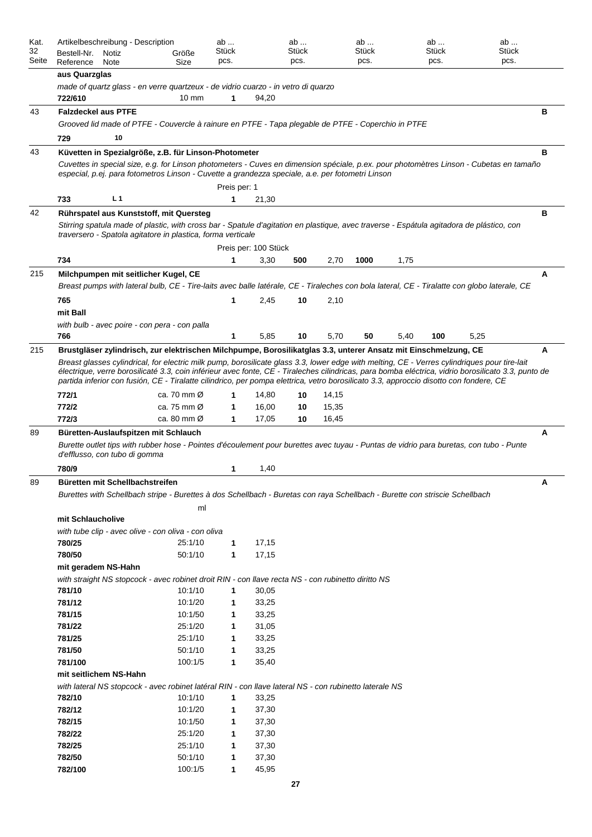| Kat.<br>32 | Artikelbeschreibung - Description<br>Bestell-Nr.                                                                                                                                                                                                                                                                                                                                                                                              |                |                                                                                                                             | Größe                   | ab<br>Stück  |                      | ab<br><b>Stück</b> |       | ab<br>Stück |      | ab<br>Stück | ab<br><b>Stück</b>                                                                                                                           |   |
|------------|-----------------------------------------------------------------------------------------------------------------------------------------------------------------------------------------------------------------------------------------------------------------------------------------------------------------------------------------------------------------------------------------------------------------------------------------------|----------------|-----------------------------------------------------------------------------------------------------------------------------|-------------------------|--------------|----------------------|--------------------|-------|-------------|------|-------------|----------------------------------------------------------------------------------------------------------------------------------------------|---|
| Seite      | Reference                                                                                                                                                                                                                                                                                                                                                                                                                                     | Notiz<br>Note  |                                                                                                                             | Size                    | pcs.         |                      | pcs.               |       | pcs.        |      | pcs.        | pcs.                                                                                                                                         |   |
|            | aus Quarzglas                                                                                                                                                                                                                                                                                                                                                                                                                                 |                |                                                                                                                             |                         |              |                      |                    |       |             |      |             |                                                                                                                                              |   |
|            | made of quartz glass - en verre quartzeux - de vidrio cuarzo - in vetro di quarzo                                                                                                                                                                                                                                                                                                                                                             |                |                                                                                                                             |                         |              |                      |                    |       |             |      |             |                                                                                                                                              |   |
|            | 722/610                                                                                                                                                                                                                                                                                                                                                                                                                                       |                |                                                                                                                             | $10 \text{ mm}$         | 1            | 94,20                |                    |       |             |      |             |                                                                                                                                              |   |
| 43         | <b>Falzdeckel aus PTFE</b>                                                                                                                                                                                                                                                                                                                                                                                                                    |                |                                                                                                                             |                         |              |                      |                    |       |             |      |             |                                                                                                                                              | в |
|            |                                                                                                                                                                                                                                                                                                                                                                                                                                               |                | Grooved lid made of PTFE - Couvercle à rainure en PTFE - Tapa plegable de PTFE - Coperchio in PTFE                          |                         |              |                      |                    |       |             |      |             |                                                                                                                                              |   |
|            | 729                                                                                                                                                                                                                                                                                                                                                                                                                                           | 10             |                                                                                                                             |                         |              |                      |                    |       |             |      |             |                                                                                                                                              |   |
| 43         | Küvetten in Spezialgröße, z.B. für Linson-Photometer                                                                                                                                                                                                                                                                                                                                                                                          |                |                                                                                                                             |                         |              |                      |                    |       |             |      |             |                                                                                                                                              | B |
|            |                                                                                                                                                                                                                                                                                                                                                                                                                                               |                |                                                                                                                             |                         |              |                      |                    |       |             |      |             | Cuvettes in special size, e.g. for Linson photometers - Cuves en dimension spéciale, p.ex. pour photomètres Linson - Cubetas en tamaño       |   |
|            | especial, p.ej. para fotometros Linson - Cuvette a grandezza speciale, a.e. per fotometri Linson                                                                                                                                                                                                                                                                                                                                              |                |                                                                                                                             |                         |              |                      |                    |       |             |      |             |                                                                                                                                              |   |
|            |                                                                                                                                                                                                                                                                                                                                                                                                                                               |                |                                                                                                                             |                         | Preis per: 1 |                      |                    |       |             |      |             |                                                                                                                                              |   |
|            | 733                                                                                                                                                                                                                                                                                                                                                                                                                                           | L <sub>1</sub> |                                                                                                                             |                         | 1            | 21,30                |                    |       |             |      |             |                                                                                                                                              |   |
| 42         | Rührspatel aus Kunststoff, mit Quersteg                                                                                                                                                                                                                                                                                                                                                                                                       |                |                                                                                                                             |                         |              |                      |                    |       |             |      |             |                                                                                                                                              | в |
|            | traversero - Spatola agitatore in plastica, forma verticale                                                                                                                                                                                                                                                                                                                                                                                   |                |                                                                                                                             |                         |              |                      |                    |       |             |      |             | Stirring spatula made of plastic, with cross bar - Spatule d'agitation en plastique, avec traverse - Espátula agitadora de plástico, con     |   |
|            |                                                                                                                                                                                                                                                                                                                                                                                                                                               |                |                                                                                                                             |                         |              | Preis per: 100 Stück |                    |       |             |      |             |                                                                                                                                              |   |
|            | 734                                                                                                                                                                                                                                                                                                                                                                                                                                           |                |                                                                                                                             |                         | 1            | 3,30                 | 500                | 2,70  | 1000        | 1,75 |             |                                                                                                                                              |   |
| 215        | Milchpumpen mit seitlicher Kugel, CE                                                                                                                                                                                                                                                                                                                                                                                                          |                |                                                                                                                             |                         |              |                      |                    |       |             |      |             |                                                                                                                                              | A |
|            |                                                                                                                                                                                                                                                                                                                                                                                                                                               |                |                                                                                                                             |                         |              |                      |                    |       |             |      |             | Breast pumps with lateral bulb, CE - Tire-laits avec balle latérale, CE - Tiraleches con bola lateral, CE - Tiralatte con globo laterale, CE |   |
|            | 765                                                                                                                                                                                                                                                                                                                                                                                                                                           |                |                                                                                                                             |                         | 1            | 2,45                 | 10                 | 2,10  |             |      |             |                                                                                                                                              |   |
|            | mit Ball                                                                                                                                                                                                                                                                                                                                                                                                                                      |                |                                                                                                                             |                         |              |                      |                    |       |             |      |             |                                                                                                                                              |   |
|            | with bulb - avec poire - con pera - con palla                                                                                                                                                                                                                                                                                                                                                                                                 |                |                                                                                                                             |                         |              |                      |                    |       |             |      |             |                                                                                                                                              |   |
|            | 766                                                                                                                                                                                                                                                                                                                                                                                                                                           |                |                                                                                                                             |                         | 1            | 5,85                 | 10                 | 5,70  | 50          | 5,40 | 100         | 5,25                                                                                                                                         |   |
| 215        | Brustgläser zylindrisch, zur elektrischen Milchpumpe, Borosilikatglas 3.3, unterer Ansatz mit Einschmelzung, CE                                                                                                                                                                                                                                                                                                                               |                |                                                                                                                             |                         |              |                      |                    |       |             |      |             |                                                                                                                                              | A |
|            | Breast glasses cylindrical, for electric milk pump, borosilicate glass 3.3, lower edge with melting, CE - Verres cylindriques pour tire-lait<br>électrique, verre borosilicaté 3.3, coin inférieur avec fonte, CE - Tiraleches cilindricas, para bomba eléctrica, vidrio borosilicato 3.3, punto de<br>partida inferior con fusión, CE - Tiralatte cilindrico, per pompa elettrica, vetro borosilicato 3.3, approccio disotto con fondere, CE |                |                                                                                                                             |                         |              |                      |                    |       |             |      |             |                                                                                                                                              |   |
|            | 772/1                                                                                                                                                                                                                                                                                                                                                                                                                                         |                |                                                                                                                             | ca. 70 mm $\varnothing$ |              | 14,80                | 10                 | 14,15 |             |      |             |                                                                                                                                              |   |
|            | 772/2                                                                                                                                                                                                                                                                                                                                                                                                                                         |                |                                                                                                                             | ca. 75 mm $\varnothing$ | 1            | 16,00                | 10                 | 15,35 |             |      |             |                                                                                                                                              |   |
|            | 772/3                                                                                                                                                                                                                                                                                                                                                                                                                                         |                |                                                                                                                             | ca. 80 mm Ø             | 1            | 17,05                | 10                 | 16,45 |             |      |             |                                                                                                                                              |   |
| 89         | Büretten-Auslaufspitzen mit Schlauch                                                                                                                                                                                                                                                                                                                                                                                                          |                |                                                                                                                             |                         |              |                      |                    |       |             |      |             |                                                                                                                                              | A |
|            | d'efflusso, con tubo di gomma                                                                                                                                                                                                                                                                                                                                                                                                                 |                |                                                                                                                             |                         |              |                      |                    |       |             |      |             | Burette outlet tips with rubber hose - Pointes d'écoulement pour burettes avec tuyau - Puntas de vidrio para buretas, con tubo - Punte       |   |
|            | 780/9                                                                                                                                                                                                                                                                                                                                                                                                                                         |                |                                                                                                                             |                         | 1            | 1,40                 |                    |       |             |      |             |                                                                                                                                              |   |
| 89         | Büretten mit Schellbachstreifen                                                                                                                                                                                                                                                                                                                                                                                                               |                |                                                                                                                             |                         |              |                      |                    |       |             |      |             |                                                                                                                                              |   |
|            |                                                                                                                                                                                                                                                                                                                                                                                                                                               |                | Burettes with Schellbach stripe - Burettes à dos Schellbach - Buretas con raya Schellbach - Burette con striscie Schellbach |                         |              |                      |                    |       |             |      |             |                                                                                                                                              |   |
|            |                                                                                                                                                                                                                                                                                                                                                                                                                                               |                |                                                                                                                             | ml                      |              |                      |                    |       |             |      |             |                                                                                                                                              |   |
|            | mit Schlaucholive                                                                                                                                                                                                                                                                                                                                                                                                                             |                |                                                                                                                             |                         |              |                      |                    |       |             |      |             |                                                                                                                                              |   |
|            | with tube clip - avec olive - con oliva - con oliva                                                                                                                                                                                                                                                                                                                                                                                           |                |                                                                                                                             |                         |              |                      |                    |       |             |      |             |                                                                                                                                              |   |
|            | 780/25                                                                                                                                                                                                                                                                                                                                                                                                                                        |                |                                                                                                                             | 25:1/10                 | 1            | 17,15                |                    |       |             |      |             |                                                                                                                                              |   |
|            | 780/50                                                                                                                                                                                                                                                                                                                                                                                                                                        |                |                                                                                                                             | 50:1/10                 | $\mathbf{1}$ | 17,15                |                    |       |             |      |             |                                                                                                                                              |   |
|            | mit geradem NS-Hahn                                                                                                                                                                                                                                                                                                                                                                                                                           |                |                                                                                                                             |                         |              |                      |                    |       |             |      |             |                                                                                                                                              |   |
|            | with straight NS stopcock - avec robinet droit RIN - con llave recta NS - con rubinetto diritto NS                                                                                                                                                                                                                                                                                                                                            |                |                                                                                                                             |                         |              |                      |                    |       |             |      |             |                                                                                                                                              |   |
|            | 781/10                                                                                                                                                                                                                                                                                                                                                                                                                                        |                |                                                                                                                             | 10:1/10                 | $\mathbf{1}$ | 30,05                |                    |       |             |      |             |                                                                                                                                              |   |
|            | 781/12                                                                                                                                                                                                                                                                                                                                                                                                                                        |                |                                                                                                                             | 10:1/20                 | 1            | 33,25                |                    |       |             |      |             |                                                                                                                                              |   |
|            | 781/15                                                                                                                                                                                                                                                                                                                                                                                                                                        |                |                                                                                                                             | 10:1/50                 | 1            | 33,25                |                    |       |             |      |             |                                                                                                                                              |   |
|            | 781/22                                                                                                                                                                                                                                                                                                                                                                                                                                        |                |                                                                                                                             | 25:1/20                 | 1            | 31,05                |                    |       |             |      |             |                                                                                                                                              |   |
|            | 781/25                                                                                                                                                                                                                                                                                                                                                                                                                                        |                |                                                                                                                             | 25:1/10                 | 1            | 33,25                |                    |       |             |      |             |                                                                                                                                              |   |
|            | 781/50                                                                                                                                                                                                                                                                                                                                                                                                                                        |                |                                                                                                                             | 50:1/10                 | 1            | 33,25                |                    |       |             |      |             |                                                                                                                                              |   |
|            | 781/100                                                                                                                                                                                                                                                                                                                                                                                                                                       |                |                                                                                                                             | 100:1/5                 | $\mathbf 1$  | 35,40                |                    |       |             |      |             |                                                                                                                                              |   |
|            | mit seitlichem NS-Hahn                                                                                                                                                                                                                                                                                                                                                                                                                        |                |                                                                                                                             |                         |              |                      |                    |       |             |      |             |                                                                                                                                              |   |
|            | with lateral NS stopcock - avec robinet latéral RIN - con llave lateral NS - con rubinetto laterale NS                                                                                                                                                                                                                                                                                                                                        |                |                                                                                                                             |                         |              |                      |                    |       |             |      |             |                                                                                                                                              |   |
|            | 782/10                                                                                                                                                                                                                                                                                                                                                                                                                                        |                |                                                                                                                             | 10:1/10                 | $\mathbf{1}$ | 33,25                |                    |       |             |      |             |                                                                                                                                              |   |
|            | 782/12                                                                                                                                                                                                                                                                                                                                                                                                                                        |                |                                                                                                                             | 10:1/20                 | 1            | 37,30                |                    |       |             |      |             |                                                                                                                                              |   |
|            | 782/15                                                                                                                                                                                                                                                                                                                                                                                                                                        |                |                                                                                                                             | 10:1/50                 | 1            | 37,30                |                    |       |             |      |             |                                                                                                                                              |   |
|            | 782/22                                                                                                                                                                                                                                                                                                                                                                                                                                        |                |                                                                                                                             | 25:1/20                 | 1            | 37,30                |                    |       |             |      |             |                                                                                                                                              |   |
|            | 782/25                                                                                                                                                                                                                                                                                                                                                                                                                                        |                |                                                                                                                             | 25:1/10                 | 1            | 37,30                |                    |       |             |      |             |                                                                                                                                              |   |
|            | 782/50                                                                                                                                                                                                                                                                                                                                                                                                                                        |                |                                                                                                                             | 50:1/10                 | 1            | 37,30                |                    |       |             |      |             |                                                                                                                                              |   |
|            | 782/100                                                                                                                                                                                                                                                                                                                                                                                                                                       |                |                                                                                                                             | 100:1/5                 | 1            | 45,95                |                    |       |             |      |             |                                                                                                                                              |   |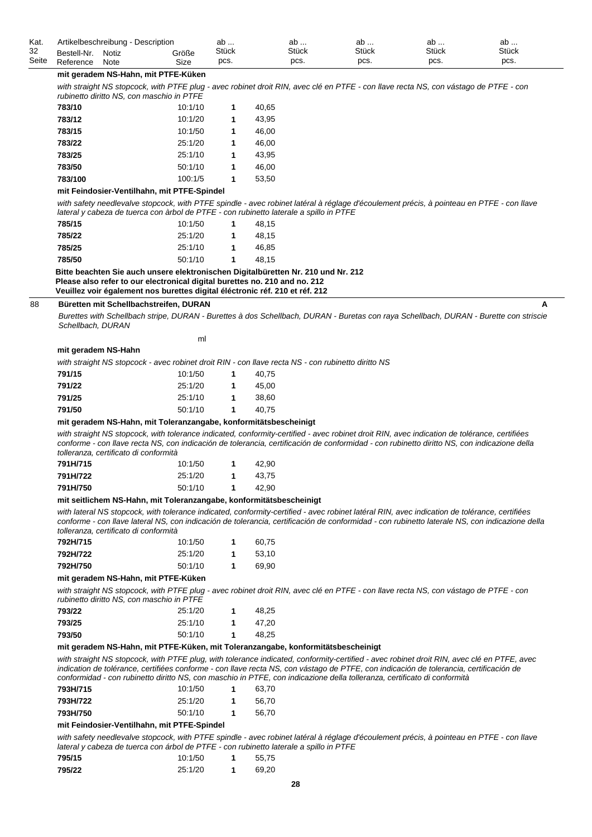| Kat.  | Artikelbeschreibung - Description |       |       | ab           | ab           | ab           | nr<br>dD | ab           |  |
|-------|-----------------------------------|-------|-------|--------------|--------------|--------------|----------|--------------|--|
| 32    | Bestell-Nr.                       | Notiz | Größe | <b>Stück</b> | <b>Stück</b> | <b>Stück</b> | Stück    | <b>Stück</b> |  |
| Seite | Reference                         | Note  | Size  | pcs.         | pcs.         | pcs.         | pcs.     | pcs.         |  |

#### **mit geradem NS-Hahn, mit PTFE-Küken**

with straight NS stopcock, with PTFE plug - avec robinet droit RIN, avec clé en PTFE - con llave recta NS, con vástago de PTFE - con *rubinetto diritto NS, con maschio in PTFE*

| 783/10  | 10:1/10 | 1 | 40.65 |
|---------|---------|---|-------|
| 783/12  | 10:1/20 | 1 | 43.95 |
| 783/15  | 10:1/50 | 1 | 46.00 |
| 783/22  | 25:1/20 | 1 | 46.00 |
| 783/25  | 25:1/10 | 1 | 43.95 |
| 783/50  | 50:1/10 | 1 | 46.00 |
| 783/100 | 100:1/5 | 1 | 53,50 |
|         |         |   |       |

#### **mit Feindosier-Ventilhahn, mit PTFE-Spindel**

with safety needlevalve stopcock, with PTFE spindle - avec robinet latéral à réglage d'écoulement précis, à pointeau en PTFE - con llave *lateral y cabeza de tuerca con àrbol de PTFE - con rubinetto laterale a spillo in PTFE*

| 785/15 | 10:1/50 | 1. | 48.15 |
|--------|---------|----|-------|
| 785/22 | 25:1/20 | 1. | 48.15 |
| 785/25 | 25:1/10 | 1  | 46.85 |
| 785/50 | 50:1/10 | 1. | 48.15 |

**Bitte beachten Sie auch unsere elektronischen Digitalbüretten Nr. 210 und Nr. 212 Please also refer to our electronical digital burettes no. 210 and no. 212 Veuillez voir également nos burettes digital éléctronic réf. 210 et réf. 212**

#### 88 **Büretten mit Schellbachstreifen, DURAN A**

*Burettes with Schellbach stripe, DURAN - Burettes à dos Schellbach, DURAN - Buretas con raya Schellbach, DURAN - Burette con striscie Schellbach, DURAN*

| ml |
|----|
|    |

#### **mit geradem NS-Hahn**

*with straight NS stopcock - avec robinet droit RIN - con llave recta NS - con rubinetto diritto NS*

| 791/15 | 10:1/50 | 40.75 |
|--------|---------|-------|
| 791/22 | 25:1/20 | 45.00 |
| 791/25 | 25:1/10 | 38.60 |
| 791/50 | 50:1/10 | 40.75 |

#### **mit geradem NS-Hahn, mit Toleranzangabe, konformitätsbescheinigt**

*with straight NS stopcock, with tolerance indicated, conformity-certified - avec robinet droit RIN, avec indication de tolérance, certifiées conforme - con llave recta NS, con indicación de tolerancia, certificación de conformidad - con rubinetto diritto NS, con indicazione della tolleranza, certificato di conformità*

| 791H/715 | 10:1/50 | 42.90 |
|----------|---------|-------|
| 791H/722 | 25:1/20 | 43.75 |
| 791H/750 | 50:1/10 | 42.90 |

#### **mit seitlichem NS-Hahn, mit Toleranzangabe, konformitätsbescheinigt**

*with lateral NS stopcock, with tolerance indicated, conformity-certified - avec robinet latéral RIN, avec indication de tolérance, certifiées conforme - con llave lateral NS, con indicación de tolerancia, certificación de conformidad - con rubinetto laterale NS, con indicazione della tolleranza, certificato di conformità*

| 792H/715 | 10:1/50 | 60.75 |
|----------|---------|-------|
| 792H/722 | 25:1/20 | 53.10 |
| 792H/750 | 50:1/10 | 69.90 |

#### **mit geradem NS-Hahn, mit PTFE-Küken**

with straight NS stopcock, with PTFE plug - avec robinet droit RIN, avec clé en PTFE - con llave recta NS, con vástago de PTFE - con *rubinetto diritto NS, con maschio in PTFE*

| TUDINENO UMNO INS. CON MASCHIO IN FIFE |         |       |
|----------------------------------------|---------|-------|
| 793/22                                 | 25:1/20 | 48.25 |
| 793/25                                 | 25:1/10 | 47.20 |
| 793/50                                 | 50:1/10 | 48.25 |

#### **mit geradem NS-Hahn, mit PTFE-Küken, mit Toleranzangabe, konformitätsbescheinigt**

*with straight NS stopcock, with PTFE plug, with tolerance indicated, conformity-certified - avec robinet droit RIN, avec clé en PTFE, avec*  indication de tolérance, certifiées conforme - con llave recta NS, con vástago de PTFE, con indicación de tolerancia, certificación de *conformidad - con rubinetto diritto NS, con maschio in PTFE, con indicazione della tolleranza, certificato di conformità*

| 793H/715 | 10:1/50 | 63.70 |
|----------|---------|-------|
| 793H/722 | 25:1/20 | 56.70 |
| 793H/750 | 50:1/10 | 56.70 |

#### **mit Feindosier-Ventilhahn, mit PTFE-Spindel**

with safety needlevalve stopcock, with PTFE spindle - avec robinet latéral à réglage d'écoulement précis, à pointeau en PTFE - con llave *lateral y cabeza de tuerca con árbol de PTFE - con rubinetto laterale a spillo in PTFE*

| 795/15 | 10:1/50 | 55.75 |
|--------|---------|-------|
| 795/22 | 25:1/20 | 69.20 |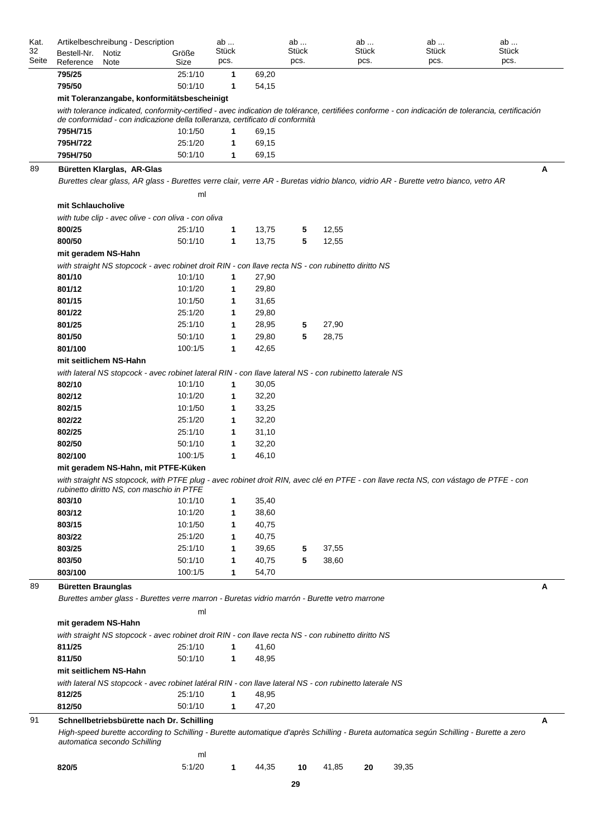| Kat.<br>32<br>Seite | Bestell-Nr.<br>Reference  | Artikelbeschreibung - Description<br>Notiz<br>Note                                                     | Größe<br>Size | ab<br><b>Stück</b><br>pcs. |       | ab<br>Stück<br>pcs. |       | ab<br>Stück<br>pcs. | ab<br><b>Stück</b><br>pcs.                                                                                                                       | ab<br><b>Stück</b><br>pcs. |
|---------------------|---------------------------|--------------------------------------------------------------------------------------------------------|---------------|----------------------------|-------|---------------------|-------|---------------------|--------------------------------------------------------------------------------------------------------------------------------------------------|----------------------------|
|                     | 795/25                    |                                                                                                        | 25:1/10       | $\mathbf 1$                | 69,20 |                     |       |                     |                                                                                                                                                  |                            |
|                     | 795/50                    |                                                                                                        | 50:1/10       | $\mathbf 1$                | 54,15 |                     |       |                     |                                                                                                                                                  |                            |
|                     |                           | mit Toleranzangabe, konformitätsbescheinigt                                                            |               |                            |       |                     |       |                     |                                                                                                                                                  |                            |
|                     |                           | de conformidad - con indicazione della tolleranza, certificato di conformità                           |               |                            |       |                     |       |                     | with tolerance indicated, conformity-certified - avec indication de tolérance, certifiées conforme - con indicación de tolerancia, certificación |                            |
|                     | 795H/715                  |                                                                                                        | 10:1/50       | $\mathbf{1}$               | 69,15 |                     |       |                     |                                                                                                                                                  |                            |
|                     | 795H/722                  |                                                                                                        | 25:1/20       | 1                          | 69,15 |                     |       |                     |                                                                                                                                                  |                            |
|                     | 795H/750                  |                                                                                                        | 50:1/10       | 1                          | 69,15 |                     |       |                     |                                                                                                                                                  |                            |
| 89                  |                           | Büretten Klarglas, AR-Glas                                                                             |               |                            |       |                     |       |                     |                                                                                                                                                  | Α                          |
|                     |                           |                                                                                                        | ml            |                            |       |                     |       |                     | Burettes clear glass, AR glass - Burettes verre clair, verre AR - Buretas vidrio blanco, vidrio AR - Burette vetro bianco, vetro AR              |                            |
|                     | mit Schlaucholive         |                                                                                                        |               |                            |       |                     |       |                     |                                                                                                                                                  |                            |
|                     |                           | with tube clip - avec olive - con oliva - con oliva                                                    |               |                            |       |                     |       |                     |                                                                                                                                                  |                            |
|                     | 800/25                    |                                                                                                        | 25:1/10       | $\mathbf{1}$               | 13,75 | 5                   | 12,55 |                     |                                                                                                                                                  |                            |
|                     | 800/50                    |                                                                                                        | 50:1/10       | $\mathbf{1}$               | 13,75 | 5                   | 12,55 |                     |                                                                                                                                                  |                            |
|                     | mit geradem NS-Hahn       |                                                                                                        |               |                            |       |                     |       |                     |                                                                                                                                                  |                            |
|                     |                           | with straight NS stopcock - avec robinet droit RIN - con llave recta NS - con rubinetto diritto NS     |               |                            |       |                     |       |                     |                                                                                                                                                  |                            |
|                     | 801/10                    |                                                                                                        | 10:1/10       | 1                          | 27,90 |                     |       |                     |                                                                                                                                                  |                            |
|                     | 801/12                    |                                                                                                        | 10:1/20       | 1                          | 29,80 |                     |       |                     |                                                                                                                                                  |                            |
|                     | 801/15                    |                                                                                                        | 10:1/50       | 1                          | 31,65 |                     |       |                     |                                                                                                                                                  |                            |
|                     | 801/22                    |                                                                                                        | 25:1/20       | 1                          | 29,80 |                     |       |                     |                                                                                                                                                  |                            |
|                     | 801/25                    |                                                                                                        | 25:1/10       | 1                          | 28,95 | 5                   | 27,90 |                     |                                                                                                                                                  |                            |
|                     | 801/50                    |                                                                                                        | 50:1/10       | 1                          | 29,80 | 5                   | 28,75 |                     |                                                                                                                                                  |                            |
|                     | 801/100                   |                                                                                                        | 100:1/5       | 1                          | 42,65 |                     |       |                     |                                                                                                                                                  |                            |
|                     | mit seitlichem NS-Hahn    |                                                                                                        |               |                            |       |                     |       |                     |                                                                                                                                                  |                            |
|                     |                           | with lateral NS stopcock - avec robinet lateral RIN - con llave lateral NS - con rubinetto laterale NS |               |                            |       |                     |       |                     |                                                                                                                                                  |                            |
|                     | 802/10                    |                                                                                                        | 10:1/10       | 1                          | 30,05 |                     |       |                     |                                                                                                                                                  |                            |
|                     | 802/12                    |                                                                                                        | 10:1/20       | 1                          | 32,20 |                     |       |                     |                                                                                                                                                  |                            |
|                     | 802/15                    |                                                                                                        | 10:1/50       | 1                          | 33,25 |                     |       |                     |                                                                                                                                                  |                            |
|                     | 802/22                    |                                                                                                        | 25:1/20       | 1                          | 32,20 |                     |       |                     |                                                                                                                                                  |                            |
|                     | 802/25                    |                                                                                                        | 25:1/10       | 1                          | 31,10 |                     |       |                     |                                                                                                                                                  |                            |
|                     | 802/50                    |                                                                                                        | 50:1/10       | 1                          | 32,20 |                     |       |                     |                                                                                                                                                  |                            |
|                     | 802/100                   |                                                                                                        | 100:1/5       | 1                          | 46,10 |                     |       |                     |                                                                                                                                                  |                            |
|                     |                           | mit geradem NS-Hahn, mit PTFE-Küken                                                                    |               |                            |       |                     |       |                     |                                                                                                                                                  |                            |
|                     |                           | rubinetto diritto NS, con maschio in PTFE                                                              |               |                            |       |                     |       |                     | with straight NS stopcock, with PTFE plug - avec robinet droit RIN, avec clé en PTFE - con llave recta NS, con vástago de PTFE - con             |                            |
|                     | 803/10                    |                                                                                                        | 10:1/10       | 1                          | 35,40 |                     |       |                     |                                                                                                                                                  |                            |
|                     | 803/12                    |                                                                                                        | 10:1/20       | 1                          | 38,60 |                     |       |                     |                                                                                                                                                  |                            |
|                     | 803/15                    |                                                                                                        | 10:1/50       | 1                          | 40,75 |                     |       |                     |                                                                                                                                                  |                            |
|                     | 803/22                    |                                                                                                        | 25:1/20       | 1                          | 40,75 |                     |       |                     |                                                                                                                                                  |                            |
|                     | 803/25                    |                                                                                                        | 25:1/10       | 1                          | 39,65 | 5                   | 37,55 |                     |                                                                                                                                                  |                            |
|                     | 803/50                    |                                                                                                        | 50:1/10       | 1                          | 40,75 | 5                   | 38,60 |                     |                                                                                                                                                  |                            |
|                     | 803/100                   |                                                                                                        | 100:1/5       | 1                          | 54,70 |                     |       |                     |                                                                                                                                                  |                            |
| 89                  | <b>Büretten Braunglas</b> | Burettes amber glass - Burettes verre marron - Buretas vidrio marrón - Burette vetro marrone           |               |                            |       |                     |       |                     |                                                                                                                                                  | A                          |
|                     |                           |                                                                                                        | ml            |                            |       |                     |       |                     |                                                                                                                                                  |                            |
|                     | mit geradem NS-Hahn       |                                                                                                        |               |                            |       |                     |       |                     |                                                                                                                                                  |                            |
|                     |                           | with straight NS stopcock - avec robinet droit RIN - con llave recta NS - con rubinetto diritto NS     |               |                            |       |                     |       |                     |                                                                                                                                                  |                            |
|                     | 811/25                    |                                                                                                        | 25:1/10       | $\mathbf 1$                | 41,60 |                     |       |                     |                                                                                                                                                  |                            |
|                     | 811/50                    |                                                                                                        | 50:1/10       | $\mathbf{1}$               | 48,95 |                     |       |                     |                                                                                                                                                  |                            |
|                     | mit seitlichem NS-Hahn    |                                                                                                        |               |                            |       |                     |       |                     |                                                                                                                                                  |                            |
|                     |                           | with lateral NS stopcock - avec robinet latéral RIN - con llave lateral NS - con rubinetto laterale NS |               |                            |       |                     |       |                     |                                                                                                                                                  |                            |
|                     | 812/25                    |                                                                                                        | 25:1/10       | 1                          | 48,95 |                     |       |                     |                                                                                                                                                  |                            |
|                     | 812/50                    |                                                                                                        | 50:1/10       | 1                          | 47,20 |                     |       |                     |                                                                                                                                                  |                            |
| 91                  |                           |                                                                                                        |               |                            |       |                     |       |                     |                                                                                                                                                  |                            |
|                     |                           | Schnellbetriebsbürette nach Dr. Schilling<br>automatica secondo Schilling                              |               |                            |       |                     |       |                     | High-speed burette according to Schilling - Burette automatique d'après Schilling - Bureta automatica según Schilling - Burette a zero           | Α                          |
|                     |                           |                                                                                                        | ml            |                            |       |                     |       |                     |                                                                                                                                                  |                            |
|                     | 820/5                     |                                                                                                        | 5:1/20        | 1                          | 44,35 | 10                  | 41,85 | 20                  | 39,35                                                                                                                                            |                            |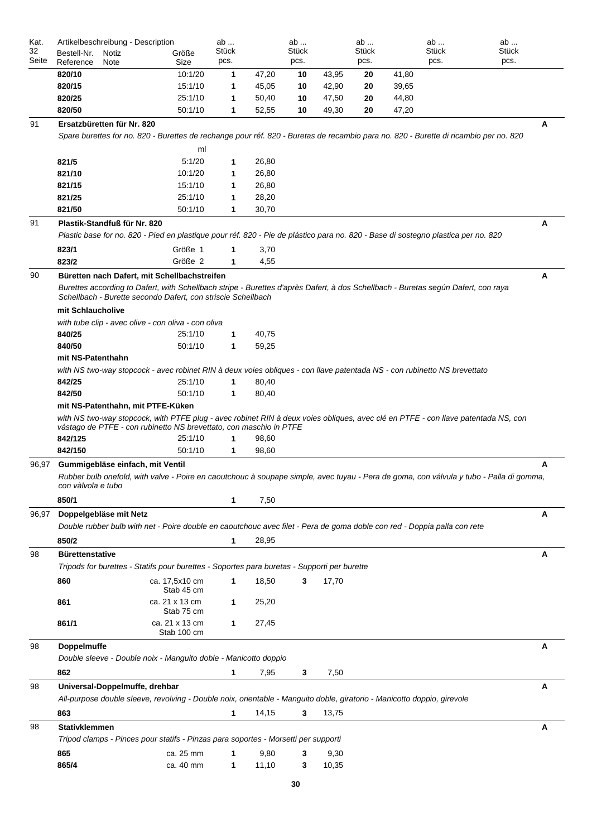| Kat.<br>32 | Artikelbeschreibung - Description |               |                                                                                                                                   |                               | ab            |                | ab            |       | ab            |       | ab            | ab                                                                                                                                      |   |
|------------|-----------------------------------|---------------|-----------------------------------------------------------------------------------------------------------------------------------|-------------------------------|---------------|----------------|---------------|-------|---------------|-------|---------------|-----------------------------------------------------------------------------------------------------------------------------------------|---|
| Seite      | Bestell-Nr.<br>Reference          | Notiz<br>Note |                                                                                                                                   | Größe<br>Size                 | Stück<br>pcs. |                | Stück<br>pcs. |       | Stück<br>pcs. |       | Stück<br>pcs. | Stück<br>pcs.                                                                                                                           |   |
|            | 820/10                            |               |                                                                                                                                   | 10:1/20                       | 1             | 47,20          | 10            | 43,95 | 20            | 41,80 |               |                                                                                                                                         |   |
|            | 820/15                            |               |                                                                                                                                   | 15:1/10                       | 1             | 45,05          | 10            | 42,90 | 20            | 39,65 |               |                                                                                                                                         |   |
|            | 820/25                            |               |                                                                                                                                   | 25:1/10                       | 1             | 50,40          | 10            | 47,50 | 20            | 44,80 |               |                                                                                                                                         |   |
|            | 820/50                            |               |                                                                                                                                   | 50:1/10                       | 1             | 52,55          | 10            | 49,30 | 20            | 47,20 |               |                                                                                                                                         |   |
| 91         | Ersatzbüretten für Nr. 820        |               |                                                                                                                                   |                               |               |                |               |       |               |       |               |                                                                                                                                         | А |
|            |                                   |               |                                                                                                                                   |                               |               |                |               |       |               |       |               | Spare burettes for no. 820 - Burettes de rechange pour réf. 820 - Buretas de recambio para no. 820 - Burette di ricambio per no. 820    |   |
|            |                                   |               |                                                                                                                                   | ml                            |               |                |               |       |               |       |               |                                                                                                                                         |   |
|            | 821/5                             |               |                                                                                                                                   | 5:1/20                        | 1             | 26,80          |               |       |               |       |               |                                                                                                                                         |   |
|            | 821/10                            |               |                                                                                                                                   | 10:1/20                       | 1             | 26,80          |               |       |               |       |               |                                                                                                                                         |   |
|            | 821/15                            |               |                                                                                                                                   | 15:1/10                       | 1             | 26,80          |               |       |               |       |               |                                                                                                                                         |   |
|            | 821/25<br>821/50                  |               |                                                                                                                                   | 25:1/10<br>50:1/10            | 1<br>1        | 28,20<br>30,70 |               |       |               |       |               |                                                                                                                                         |   |
| 91         | Plastik-Standfuß für Nr. 820      |               |                                                                                                                                   |                               |               |                |               |       |               |       |               |                                                                                                                                         | A |
|            |                                   |               | Plastic base for no. 820 - Pied en plastique pour réf. 820 - Pie de plástico para no. 820 - Base di sostegno plastica per no. 820 |                               |               |                |               |       |               |       |               |                                                                                                                                         |   |
|            |                                   |               |                                                                                                                                   | Größe 1                       |               |                |               |       |               |       |               |                                                                                                                                         |   |
|            | 823/1<br>823/2                    |               |                                                                                                                                   | Größe 2                       | 1<br>1        | 3,70<br>4,55   |               |       |               |       |               |                                                                                                                                         |   |
| 90         |                                   |               | Büretten nach Dafert, mit Schellbachstreifen                                                                                      |                               |               |                |               |       |               |       |               |                                                                                                                                         | Α |
|            |                                   |               | Schellbach - Burette secondo Dafert, con striscie Schellbach                                                                      |                               |               |                |               |       |               |       |               | Burettes according to Dafert, with Schellbach stripe - Burettes d'après Dafert, à dos Schellbach - Buretas según Dafert, con raya       |   |
|            | mit Schlaucholive                 |               |                                                                                                                                   |                               |               |                |               |       |               |       |               |                                                                                                                                         |   |
|            |                                   |               | with tube clip - avec olive - con oliva - con oliva                                                                               |                               |               |                |               |       |               |       |               |                                                                                                                                         |   |
|            | 840/25                            |               |                                                                                                                                   | 25:1/10                       | 1             | 40,75          |               |       |               |       |               |                                                                                                                                         |   |
|            | 840/50                            |               |                                                                                                                                   | 50:1/10                       | 1             | 59,25          |               |       |               |       |               |                                                                                                                                         |   |
|            | mit NS-Patenthahn                 |               |                                                                                                                                   |                               |               |                |               |       |               |       |               |                                                                                                                                         |   |
|            |                                   |               | with NS two-way stopcock - avec robinet RIN à deux voies obliques - con llave patentada NS - con rubinetto NS brevettato          |                               |               |                |               |       |               |       |               |                                                                                                                                         |   |
|            | 842/25<br>842/50                  |               |                                                                                                                                   | 25:1/10                       | 1             | 80,40          |               |       |               |       |               |                                                                                                                                         |   |
|            |                                   |               | mit NS-Patenthahn, mit PTFE-Küken                                                                                                 | 50:1/10                       | 1             | 80,40          |               |       |               |       |               |                                                                                                                                         |   |
|            |                                   |               |                                                                                                                                   |                               |               |                |               |       |               |       |               | with NS two-way stopcock, with PTFE plug - avec robinet RIN à deux voies obliques, avec clé en PTFE - con llave patentada NS, con       |   |
|            |                                   |               | vástago de PTFE - con rubinetto NS brevettato, con maschio in PTFE                                                                |                               |               |                |               |       |               |       |               |                                                                                                                                         |   |
|            | 842/125                           |               |                                                                                                                                   | 25:1/10                       | 1             | 98,60          |               |       |               |       |               |                                                                                                                                         |   |
|            | 842/150                           |               |                                                                                                                                   | 50:1/10                       | 1             | 98,60          |               |       |               |       |               |                                                                                                                                         |   |
| 96,97      | con vàlvola e tubo                |               | Gummigebläse einfach, mit Ventil                                                                                                  |                               |               |                |               |       |               |       |               | Rubber bulb onefold, with valve - Poire en caoutchouc à soupape simple, avec tuyau - Pera de goma, con válvula y tubo - Palla di gomma, | А |
|            | 850/1                             |               |                                                                                                                                   |                               | 1             | 7,50           |               |       |               |       |               |                                                                                                                                         |   |
| 96,97      | Doppelgebläse mit Netz            |               |                                                                                                                                   |                               |               |                |               |       |               |       |               |                                                                                                                                         | Α |
|            |                                   |               | Double rubber bulb with net - Poire double en caoutchouc avec filet - Pera de goma doble con red - Doppia palla con rete          |                               |               |                |               |       |               |       |               |                                                                                                                                         |   |
|            | 850/2                             |               |                                                                                                                                   |                               | 1             | 28,95          |               |       |               |       |               |                                                                                                                                         |   |
| 98         | <b>Bürettenstative</b>            |               |                                                                                                                                   |                               |               |                |               |       |               |       |               |                                                                                                                                         | А |
|            |                                   |               | Tripods for burettes - Statifs pour burettes - Soportes para buretas - Supporti per burette                                       |                               |               |                |               |       |               |       |               |                                                                                                                                         |   |
|            | 860                               |               |                                                                                                                                   | ca. 17,5x10 cm<br>Stab 45 cm  | 1             | 18,50          | 3             | 17,70 |               |       |               |                                                                                                                                         |   |
|            | 861                               |               |                                                                                                                                   | ca. 21 x 13 cm<br>Stab 75 cm  | 1             | 25,20          |               |       |               |       |               |                                                                                                                                         |   |
|            | 861/1                             |               |                                                                                                                                   | ca. 21 x 13 cm<br>Stab 100 cm | 1             | 27,45          |               |       |               |       |               |                                                                                                                                         |   |
| 98         | Doppelmuffe                       |               |                                                                                                                                   |                               |               |                |               |       |               |       |               |                                                                                                                                         | Α |
|            |                                   |               | Double sleeve - Double noix - Manguito doble - Manicotto doppio                                                                   |                               |               |                |               |       |               |       |               |                                                                                                                                         |   |
|            | 862                               |               |                                                                                                                                   |                               | 1             | 7,95           | 3             | 7,50  |               |       |               |                                                                                                                                         |   |
| 98         |                                   |               | Universal-Doppelmuffe, drehbar                                                                                                    |                               |               |                |               |       |               |       |               |                                                                                                                                         | A |
|            |                                   |               | All-purpose double sleeve, revolving - Double noix, orientable - Manguito doble, giratorio - Manicotto doppio, girevole           |                               |               |                |               |       |               |       |               |                                                                                                                                         |   |
|            | 863                               |               |                                                                                                                                   |                               | 1             | 14,15          | 3             | 13,75 |               |       |               |                                                                                                                                         |   |
| 98         | <b>Stativklemmen</b>              |               | Tripod clamps - Pinces pour statifs - Pinzas para soportes - Morsetti per supporti                                                |                               |               |                |               |       |               |       |               |                                                                                                                                         | А |
|            | 865                               |               |                                                                                                                                   | ca. 25 mm                     | 1             | 9,80           | 3             | 9,30  |               |       |               |                                                                                                                                         |   |
|            | 865/4                             |               |                                                                                                                                   | ca. 40 mm                     | 1             | 11,10          | 3             | 10,35 |               |       |               |                                                                                                                                         |   |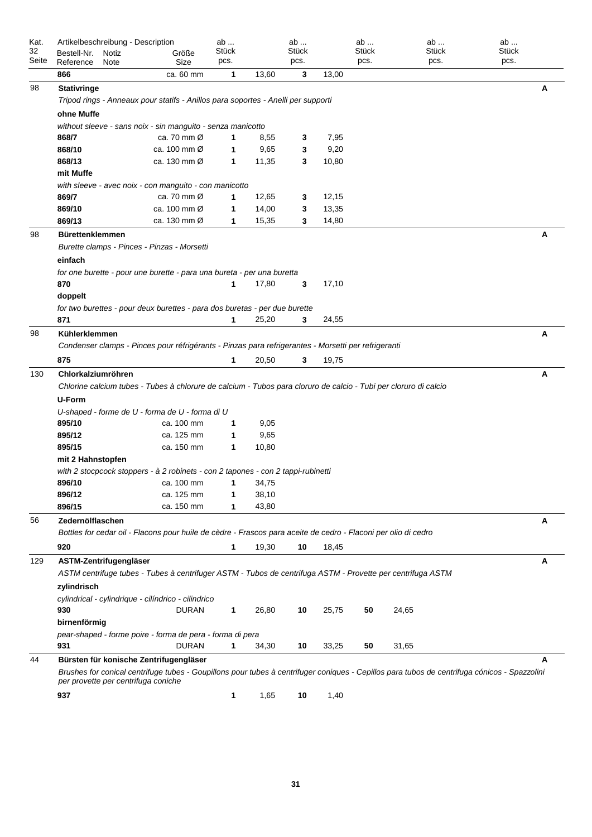| Kat.<br>32<br>Seite | Artikelbeschreibung - Description<br>Bestell-Nr.<br>Notiz<br>Reference<br>Note | Größe<br>Size                                                                                                                                                                          | ab<br>Stück<br>pcs. |                | ab<br>Stück<br>pcs. |               | ab<br>Stück<br>pcs. | ab<br>Stück<br>pcs. | ab<br>Stück<br>pcs. |   |
|---------------------|--------------------------------------------------------------------------------|----------------------------------------------------------------------------------------------------------------------------------------------------------------------------------------|---------------------|----------------|---------------------|---------------|---------------------|---------------------|---------------------|---|
|                     | 866                                                                            | ca. 60 mm                                                                                                                                                                              | 1                   | 13,60          | 3                   | 13,00         |                     |                     |                     |   |
| 98                  | <b>Stativringe</b>                                                             | Tripod rings - Anneaux pour statifs - Anillos para soportes - Anelli per supporti                                                                                                      |                     |                |                     |               |                     |                     |                     | A |
|                     | ohne Muffe                                                                     |                                                                                                                                                                                        |                     |                |                     |               |                     |                     |                     |   |
|                     |                                                                                | without sleeve - sans noix - sin manguito - senza manicotto                                                                                                                            |                     |                |                     |               |                     |                     |                     |   |
|                     | 868/7                                                                          | ca. 70 mm Ø<br>ca. 100 mm Ø                                                                                                                                                            | 1                   | 8,55           | 3                   | 7,95          |                     |                     |                     |   |
|                     | 868/10<br>868/13                                                               | ca. 130 mm Ø                                                                                                                                                                           | 1<br>1              | 9,65<br>11,35  | 3<br>3              | 9,20<br>10,80 |                     |                     |                     |   |
|                     | mit Muffe                                                                      |                                                                                                                                                                                        |                     |                |                     |               |                     |                     |                     |   |
|                     |                                                                                | with sleeve - avec noix - con manguito - con manicotto                                                                                                                                 |                     |                |                     |               |                     |                     |                     |   |
|                     | 869/7                                                                          | ca. 70 mm $\varnothing$                                                                                                                                                                | 1                   | 12,65          | 3                   | 12,15         |                     |                     |                     |   |
|                     | 869/10                                                                         | ca. 100 mm Ø                                                                                                                                                                           | 1                   | 14,00          | 3                   | 13,35         |                     |                     |                     |   |
|                     | 869/13                                                                         | ca. 130 mm Ø                                                                                                                                                                           | 1                   | 15,35          | 3                   | 14,80         |                     |                     |                     |   |
| 98                  | <b>Bürettenklemmen</b>                                                         |                                                                                                                                                                                        |                     |                |                     |               |                     |                     |                     | A |
|                     |                                                                                | Burette clamps - Pinces - Pinzas - Morsetti                                                                                                                                            |                     |                |                     |               |                     |                     |                     |   |
|                     | einfach                                                                        |                                                                                                                                                                                        |                     |                |                     |               |                     |                     |                     |   |
|                     |                                                                                | for one burette - pour une burette - para una bureta - per una buretta                                                                                                                 |                     |                |                     |               |                     |                     |                     |   |
|                     | 870                                                                            |                                                                                                                                                                                        | 1                   | 17,80          | 3                   | 17,10         |                     |                     |                     |   |
|                     | doppelt                                                                        |                                                                                                                                                                                        |                     |                |                     |               |                     |                     |                     |   |
|                     |                                                                                | for two burettes - pour deux burettes - para dos buretas - per due burette                                                                                                             |                     |                |                     |               |                     |                     |                     |   |
|                     | 871                                                                            |                                                                                                                                                                                        | 1                   | 25,20          | 3                   | 24,55         |                     |                     |                     |   |
| 98                  | Kühlerklemmen                                                                  |                                                                                                                                                                                        |                     |                |                     |               |                     |                     |                     | A |
|                     |                                                                                | Condenser clamps - Pinces pour réfrigérants - Pinzas para refrigerantes - Morsetti per refrigeranti                                                                                    |                     |                |                     |               |                     |                     |                     |   |
|                     | 875                                                                            |                                                                                                                                                                                        | 1                   | 20,50          | 3                   | 19,75         |                     |                     |                     |   |
| 130                 | Chlorkalziumröhren                                                             |                                                                                                                                                                                        |                     |                |                     |               |                     |                     |                     | A |
|                     |                                                                                | Chlorine calcium tubes - Tubes à chlorure de calcium - Tubos para cloruro de calcio - Tubi per cloruro di calcio                                                                       |                     |                |                     |               |                     |                     |                     |   |
|                     | <b>U-Form</b>                                                                  |                                                                                                                                                                                        |                     |                |                     |               |                     |                     |                     |   |
|                     |                                                                                | U-shaped - forme de U - forma de U - forma di U                                                                                                                                        |                     |                |                     |               |                     |                     |                     |   |
|                     | 895/10                                                                         | ca. 100 mm                                                                                                                                                                             | 1                   | 9,05           |                     |               |                     |                     |                     |   |
|                     | 895/12                                                                         | ca. 125 mm                                                                                                                                                                             | 1                   | 9,65           |                     |               |                     |                     |                     |   |
|                     | 895/15                                                                         | ca. 150 mm                                                                                                                                                                             | 1                   | 10,80          |                     |               |                     |                     |                     |   |
|                     | mit 2 Hahnstopfen                                                              |                                                                                                                                                                                        |                     |                |                     |               |                     |                     |                     |   |
|                     |                                                                                | with 2 stocpcock stoppers - à 2 robinets - con 2 tapones - con 2 tappi-rubinetti                                                                                                       |                     |                |                     |               |                     |                     |                     |   |
|                     | 896/10                                                                         | ca. 100 mm                                                                                                                                                                             | 1                   | 34,75          |                     |               |                     |                     |                     |   |
|                     | 896/12<br>896/15                                                               | ca. 125 mm<br>ca. 150 mm                                                                                                                                                               | 1<br>1              | 38,10<br>43,80 |                     |               |                     |                     |                     |   |
|                     |                                                                                |                                                                                                                                                                                        |                     |                |                     |               |                     |                     |                     |   |
| 56                  | Zedernölflaschen                                                               | Bottles for cedar oil - Flacons pour huile de cèdre - Frascos para aceite de cedro - Flaconi per olio di cedro                                                                         |                     |                |                     |               |                     |                     |                     | A |
|                     |                                                                                |                                                                                                                                                                                        |                     |                |                     |               |                     |                     |                     |   |
|                     | 920                                                                            |                                                                                                                                                                                        | 1                   | 19,30          | 10                  | 18,45         |                     |                     |                     |   |
| 129                 | ASTM-Zentrifugengläser                                                         |                                                                                                                                                                                        |                     |                |                     |               |                     |                     |                     | A |
|                     |                                                                                | ASTM centrifuge tubes - Tubes à centrifuger ASTM - Tubos de centrifuga ASTM - Provette per centrifuga ASTM                                                                             |                     |                |                     |               |                     |                     |                     |   |
|                     | zylindrisch                                                                    |                                                                                                                                                                                        |                     |                |                     |               |                     |                     |                     |   |
|                     |                                                                                | cylindrical - cylindrique - cilíndrico - cilindrico                                                                                                                                    |                     |                |                     |               |                     |                     |                     |   |
|                     | 930                                                                            | <b>DURAN</b>                                                                                                                                                                           | 1                   | 26,80          | 10                  | 25,75         | 50                  | 24,65               |                     |   |
|                     | birnenförmig                                                                   |                                                                                                                                                                                        |                     |                |                     |               |                     |                     |                     |   |
|                     | 931                                                                            | pear-shaped - forme poire - forma de pera - forma di pera<br><b>DURAN</b>                                                                                                              | 1                   | 34,30          | 10                  | 33,25         | 50                  | 31,65               |                     |   |
|                     |                                                                                |                                                                                                                                                                                        |                     |                |                     |               |                     |                     |                     |   |
| 44                  | per provette per centrifuga coniche                                            | Bürsten für konische Zentrifugengläser<br>Brushes for conical centrifuge tubes - Goupillons pour tubes à centrifuger coniques - Cepillos para tubos de centrifuga cónicos - Spazzolini |                     |                |                     |               |                     |                     |                     | A |
|                     | 937                                                                            |                                                                                                                                                                                        | 1                   | 1,65           | 10                  | 1,40          |                     |                     |                     |   |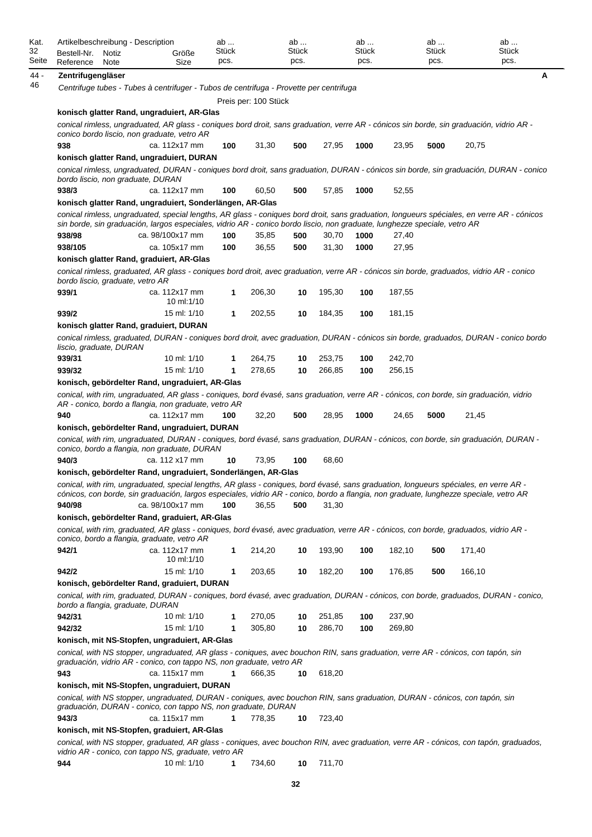| Artikelbeschreibung - Description<br>Bestell-Nr.<br>Notiz | Größe                                                                                                                                                                                                                                                                           | ab<br>Stück<br>pcs. |                      | ab<br>Stück<br>pcs. |        | ab<br>Stück<br>pcs. |        | ab<br><b>Stück</b><br>pcs. | ab<br>Stück<br>pcs.                                                                                                                        |
|-----------------------------------------------------------|---------------------------------------------------------------------------------------------------------------------------------------------------------------------------------------------------------------------------------------------------------------------------------|---------------------|----------------------|---------------------|--------|---------------------|--------|----------------------------|--------------------------------------------------------------------------------------------------------------------------------------------|
| Reference<br>Note                                         | Size                                                                                                                                                                                                                                                                            |                     |                      |                     |        |                     |        |                            |                                                                                                                                            |
| Zentrifugengläser                                         |                                                                                                                                                                                                                                                                                 |                     |                      |                     |        |                     |        |                            |                                                                                                                                            |
|                                                           | Centrifuge tubes - Tubes à centrifuger - Tubos de centrifuga - Provette per centrifuga                                                                                                                                                                                          |                     |                      |                     |        |                     |        |                            |                                                                                                                                            |
|                                                           |                                                                                                                                                                                                                                                                                 |                     | Preis per: 100 Stück |                     |        |                     |        |                            |                                                                                                                                            |
|                                                           | konisch glatter Rand, ungraduiert, AR-Glas                                                                                                                                                                                                                                      |                     |                      |                     |        |                     |        |                            |                                                                                                                                            |
|                                                           | conical rimless, ungraduated, AR glass - coniques bord droit, sans graduation, verre AR - cónicos sin borde, sin graduación, vidrio AR -<br>conico bordo liscio, non graduate, vetro AR                                                                                         |                     |                      |                     |        |                     |        |                            |                                                                                                                                            |
| 938                                                       | ca. 112x17 mm                                                                                                                                                                                                                                                                   | 100                 | 31,30                | 500                 | 27,95  | 1000                | 23,95  | 5000                       | 20,75                                                                                                                                      |
|                                                           | konisch glatter Rand, ungraduiert, DURAN                                                                                                                                                                                                                                        |                     |                      |                     |        |                     |        |                            |                                                                                                                                            |
| bordo liscio, non graduate, DURAN                         |                                                                                                                                                                                                                                                                                 |                     |                      |                     |        |                     |        |                            | conical rimless, ungraduated, DURAN - coniques bord droit, sans graduation, DURAN - cónicos sin borde, sin graduación, DURAN - conico      |
| 938/3                                                     | ca. 112x17 mm                                                                                                                                                                                                                                                                   | 100                 | 60,50                | 500                 | 57,85  | 1000                | 52,55  |                            |                                                                                                                                            |
|                                                           | konisch glatter Rand, ungraduiert, Sonderlängen, AR-Glas                                                                                                                                                                                                                        |                     |                      |                     |        |                     |        |                            |                                                                                                                                            |
|                                                           | sin borde, sin graduación, largos especiales, vidrio AR - conico bordo liscio, non graduate, lunghezze speciale, vetro AR                                                                                                                                                       |                     |                      |                     |        |                     |        |                            | conical rimless, ungraduated, special lengths, AR glass - coniques bord droit, sans graduation, longueurs spéciales, en verre AR - cónicos |
| 938/98                                                    | ca. 98/100x17 mm                                                                                                                                                                                                                                                                | 100                 | 35,85                | 500                 | 30,70  | 1000                | 27,40  |                            |                                                                                                                                            |
| 938/105                                                   | ca. 105x17 mm                                                                                                                                                                                                                                                                   | 100                 | 36,55                | 500                 | 31,30  | 1000                | 27,95  |                            |                                                                                                                                            |
|                                                           | konisch glatter Rand, graduiert, AR-Glas                                                                                                                                                                                                                                        |                     |                      |                     |        |                     |        |                            |                                                                                                                                            |
| bordo liscio, graduate, vetro AR                          | conical rimless, graduated, AR glass - coniques bord droit, avec graduation, verre AR - cónicos sin borde, graduados, vidrio AR - conico                                                                                                                                        |                     |                      |                     |        |                     |        |                            |                                                                                                                                            |
| 939/1                                                     | ca. 112x17 mm<br>10 ml:1/10                                                                                                                                                                                                                                                     | 1                   | 206,30               | 10                  | 195,30 | 100                 | 187,55 |                            |                                                                                                                                            |
| 939/2                                                     | 15 ml: 1/10                                                                                                                                                                                                                                                                     | 1                   | 202,55               | 10                  | 184,35 | 100                 | 181,15 |                            |                                                                                                                                            |
|                                                           | konisch glatter Rand, graduiert, DURAN                                                                                                                                                                                                                                          |                     |                      |                     |        |                     |        |                            |                                                                                                                                            |
|                                                           |                                                                                                                                                                                                                                                                                 |                     |                      |                     |        |                     |        |                            | conical rimless, graduated, DURAN - coniques bord droit, avec graduation, DURAN - cónicos sin borde, graduados, DURAN - conico bordo       |
| liscio, graduate, DURAN                                   |                                                                                                                                                                                                                                                                                 |                     |                      |                     |        |                     |        |                            |                                                                                                                                            |
| 939/31                                                    | 10 ml: 1/10                                                                                                                                                                                                                                                                     | 1                   | 264,75               | 10                  | 253,75 | 100                 | 242,70 |                            |                                                                                                                                            |
| 939/32                                                    | 15 ml: 1/10                                                                                                                                                                                                                                                                     | 1                   | 278,65               | 10                  | 266,85 | 100                 | 256,15 |                            |                                                                                                                                            |
|                                                           | konisch, gebördelter Rand, ungraduiert, AR-Glas                                                                                                                                                                                                                                 |                     |                      |                     |        |                     |        |                            |                                                                                                                                            |
|                                                           | conical, with rim, ungraduated, AR glass - coniques, bord évasé, sans graduation, verre AR - cónicos, con borde, sin graduación, vidrio<br>AR - conico, bordo a flangia, non graduate, vetro AR                                                                                 |                     |                      |                     |        |                     |        |                            |                                                                                                                                            |
| 940                                                       | ca. 112x17 mm                                                                                                                                                                                                                                                                   | 100                 | 32,20                | 500                 | 28,95  | 1000                | 24,65  | 5000                       | 21,45                                                                                                                                      |
|                                                           | konisch, gebördelter Rand, ungraduiert, DURAN                                                                                                                                                                                                                                   |                     |                      |                     |        |                     |        |                            |                                                                                                                                            |
|                                                           | conical, with rim, ungraduated, DURAN - coniques, bord évasé, sans graduation, DURAN - cónicos, con borde, sin graduación, DURAN -<br>conico, bordo a flangia, non graduate, DURAN                                                                                              |                     |                      |                     |        |                     |        |                            |                                                                                                                                            |
| 940/3                                                     | ca. 112 x17 mm                                                                                                                                                                                                                                                                  | 10                  | 73,95                | 100                 | 68,60  |                     |        |                            |                                                                                                                                            |
|                                                           | konisch, gebördelter Rand, ungraduiert, Sonderlängen, AR-Glas                                                                                                                                                                                                                   |                     |                      |                     |        |                     |        |                            |                                                                                                                                            |
|                                                           | conical, with rim, ungraduated, special lengths, AR glass - coniques, bord évasé, sans graduation, longueurs spéciales, en verre AR -<br>cónicos, con borde, sin graduación, largos especiales, vidrio AR - conico, bordo a flangia, non graduate, lunghezze speciale, vetro AR |                     |                      |                     |        |                     |        |                            |                                                                                                                                            |
| 940/98                                                    | ca. 98/100x17 mm                                                                                                                                                                                                                                                                | 100                 | 36,55                | 500                 | 31,30  |                     |        |                            |                                                                                                                                            |
|                                                           | konisch, gebördelter Rand, graduiert, AR-Glas                                                                                                                                                                                                                                   |                     |                      |                     |        |                     |        |                            |                                                                                                                                            |
|                                                           | conical, with rim, graduated, AR glass - coniques, bord évasé, avec graduation, verre AR - cónicos, con borde, graduados, vidrio AR -<br>conico, bordo a flangia, graduate, vetro AR                                                                                            |                     |                      |                     |        |                     |        |                            |                                                                                                                                            |
| 942/1                                                     | ca. 112x17 mm                                                                                                                                                                                                                                                                   | 1                   | 214,20               | 10                  | 193,90 | 100                 | 182,10 | 500                        | 171,40                                                                                                                                     |
|                                                           | 10 ml: $1/10$                                                                                                                                                                                                                                                                   |                     |                      |                     |        |                     |        |                            |                                                                                                                                            |
| 942/2                                                     | 15 ml: 1/10                                                                                                                                                                                                                                                                     | 1                   | 203,65               | 10                  | 182,20 | 100                 | 176,85 | 500                        | 166,10                                                                                                                                     |
|                                                           | konisch, gebördelter Rand, graduiert, DURAN                                                                                                                                                                                                                                     |                     |                      |                     |        |                     |        |                            |                                                                                                                                            |
| bordo a flangia, graduate, DURAN                          | conical, with rim, graduated, DURAN - coniques, bord évasé, avec graduation, DURAN - cónicos, con borde, graduados, DURAN - conico,                                                                                                                                             |                     |                      |                     |        |                     |        |                            |                                                                                                                                            |
| 942/31                                                    | 10 ml: 1/10                                                                                                                                                                                                                                                                     | 1                   | 270,05               | 10                  | 251,85 | 100                 | 237,90 |                            |                                                                                                                                            |
| 942/32                                                    | 15 ml: 1/10                                                                                                                                                                                                                                                                     | 1                   | 305,80               | 10                  | 286,70 | 100                 | 269,80 |                            |                                                                                                                                            |
|                                                           | konisch, mit NS-Stopfen, ungraduiert, AR-Glas                                                                                                                                                                                                                                   |                     |                      |                     |        |                     |        |                            |                                                                                                                                            |
|                                                           | conical, with NS stopper, ungraduated, AR glass - coniques, avec bouchon RIN, sans graduation, verre AR - cónicos, con tapón, sin<br>graduación, vidrio AR - conico, con tappo NS, non graduate, vetro AR                                                                       |                     |                      |                     |        |                     |        |                            |                                                                                                                                            |
| 943                                                       | ca. 115x17 mm                                                                                                                                                                                                                                                                   | 1                   | 666,35               | 10                  | 618,20 |                     |        |                            |                                                                                                                                            |
|                                                           | konisch, mit NS-Stopfen, ungraduiert, DURAN                                                                                                                                                                                                                                     |                     |                      |                     |        |                     |        |                            |                                                                                                                                            |
|                                                           | conical, with NS stopper, ungraduated, DURAN - coniques, avec bouchon RIN, sans graduation, DURAN - cónicos, con tapón, sin<br>graduación, DURAN - conico, con tappo NS, non graduate, DURAN                                                                                    |                     |                      |                     |        |                     |        |                            |                                                                                                                                            |
| 943/3                                                     | ca. 115x17 mm                                                                                                                                                                                                                                                                   | 1                   | 778,35               | 10                  | 723,40 |                     |        |                            |                                                                                                                                            |
|                                                           | konisch, mit NS-Stopfen, graduiert, AR-Glas<br>conical, with NS stopper, graduated, AR glass - coniques, avec bouchon RIN, avec graduation, verre AR - cónicos, con tapón, graduados,                                                                                           |                     |                      |                     |        |                     |        |                            |                                                                                                                                            |
|                                                           | vidrio AR - conico, con tappo NS, graduate, vetro AR                                                                                                                                                                                                                            |                     |                      |                     |        |                     |        |                            |                                                                                                                                            |
| 944                                                       | 10 ml: 1/10                                                                                                                                                                                                                                                                     | 1                   | 734,60               | 10                  | 711,70 |                     |        |                            |                                                                                                                                            |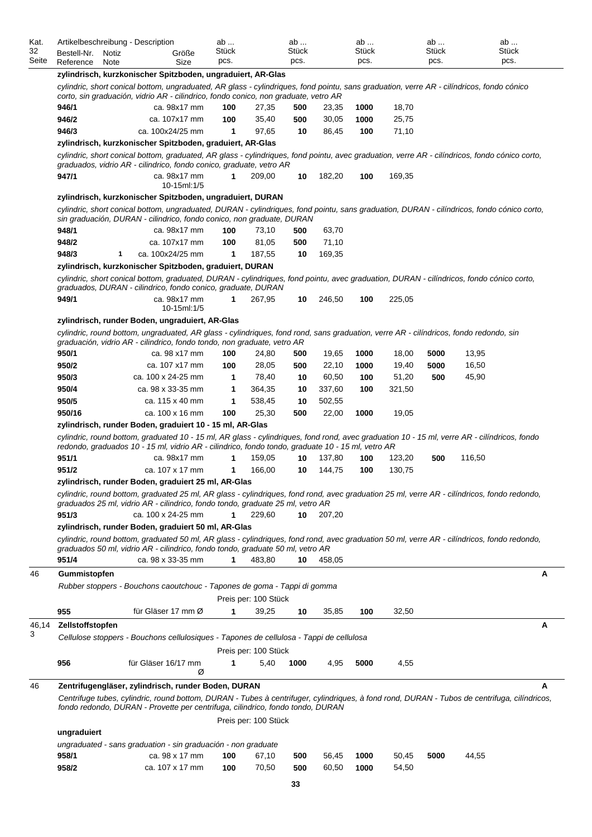| Kat.        | Artikelbeschreibung - Description |               |                                                                                                                                                                                                                                                   | ab            |                      | ab            |        | ab            |        | ab            |        | ab            |
|-------------|-----------------------------------|---------------|---------------------------------------------------------------------------------------------------------------------------------------------------------------------------------------------------------------------------------------------------|---------------|----------------------|---------------|--------|---------------|--------|---------------|--------|---------------|
| 32<br>Seite | Bestell-Nr.<br>Reference          | Notiz<br>Note | Größe<br>Size                                                                                                                                                                                                                                     | Stück<br>pcs. |                      | Stück<br>pcs. |        | Stück<br>pcs. |        | Stück<br>pcs. |        | Stück<br>pcs. |
|             |                                   |               | zylindrisch, kurzkonischer Spitzboden, ungraduiert, AR-Glas                                                                                                                                                                                       |               |                      |               |        |               |        |               |        |               |
|             |                                   |               | cylindric, short conical bottom, ungraduated, AR glass - cylindriques, fond pointu, sans graduation, verre AR - cilíndricos, fondo cónico                                                                                                         |               |                      |               |        |               |        |               |        |               |
|             |                                   |               | corto, sin graduación, vidrio AR - cilindrico, fondo conico, non graduate, vetro AR                                                                                                                                                               |               |                      |               |        |               |        |               |        |               |
|             | 946/1                             |               | ca. 98x17 mm                                                                                                                                                                                                                                      | 100           | 27,35                | 500           | 23,35  | 1000          | 18,70  |               |        |               |
|             | 946/2                             |               | ca. 107x17 mm                                                                                                                                                                                                                                     | 100           | 35,40                | 500           | 30,05  | 1000          | 25,75  |               |        |               |
|             | 946/3                             |               | ca. 100x24/25 mm                                                                                                                                                                                                                                  | 1             | 97,65                | 10            | 86,45  | 100           | 71,10  |               |        |               |
|             |                                   |               | zylindrisch, kurzkonischer Spitzboden, graduiert, AR-Glas                                                                                                                                                                                         |               |                      |               |        |               |        |               |        |               |
|             |                                   |               | cylindric, short conical bottom, graduated, AR glass - cylindriques, fond pointu, avec graduation, verre AR - cilíndricos, fondo cónico corto,<br>graduados, vidrio AR - cilindrico, fondo conico, graduate, vetro AR                             |               |                      |               |        |               |        |               |        |               |
|             | 947/1                             |               | ca. 98x17 mm<br>10-15ml: 1/5                                                                                                                                                                                                                      | $\mathbf{1}$  | 209,00               | 10            | 182,20 | 100           | 169,35 |               |        |               |
|             |                                   |               | zylindrisch, kurzkonischer Spitzboden, ungraduiert, DURAN                                                                                                                                                                                         |               |                      |               |        |               |        |               |        |               |
|             |                                   |               | cylindric, short conical bottom, ungraduated, DURAN - cylindriques, fond pointu, sans graduation, DURAN - cilíndricos, fondo cónico corto,<br>sin graduación, DURAN - cilindrico, fondo conico, non graduate, DURAN                               |               |                      |               |        |               |        |               |        |               |
|             | 948/1                             |               | ca. 98x17 mm                                                                                                                                                                                                                                      | 100           | 73,10                | 500           | 63,70  |               |        |               |        |               |
|             | 948/2                             |               | ca. 107x17 mm                                                                                                                                                                                                                                     | 100           | 81,05                | 500           | 71,10  |               |        |               |        |               |
|             | 948/3                             | 1             | ca. 100x24/25 mm                                                                                                                                                                                                                                  | 1             | 187,55               | 10            | 169,35 |               |        |               |        |               |
|             |                                   |               | zylindrisch, kurzkonischer Spitzboden, graduiert, DURAN                                                                                                                                                                                           |               |                      |               |        |               |        |               |        |               |
|             |                                   |               | cylindric, short conical bottom, graduated, DURAN - cylindriques, fond pointu, avec graduation, DURAN - cilíndricos, fondo cónico corto,<br>graduados, DURAN - cilindrico, fondo conico, graduate, DURAN                                          |               |                      |               |        |               |        |               |        |               |
|             | 949/1                             |               | ca. 98x17 mm<br>10-15ml:1/5                                                                                                                                                                                                                       | 1             | 267,95               | 10            | 246,50 | 100           | 225,05 |               |        |               |
|             |                                   |               | zylindrisch, runder Boden, ungraduiert, AR-Glas                                                                                                                                                                                                   |               |                      |               |        |               |        |               |        |               |
|             |                                   |               | cylindric, round bottom, ungraduated, AR glass - cylindriques, fond rond, sans graduation, verre AR - cilíndricos, fondo redondo, sin<br>graduación, vidrio AR - cilindrico, fondo tondo, non graduate, vetro AR                                  |               |                      |               |        |               |        |               |        |               |
|             | 950/1                             |               | ca. 98 x17 mm                                                                                                                                                                                                                                     | 100           | 24,80                | 500           | 19,65  | 1000          | 18,00  | 5000          | 13,95  |               |
|             | 950/2                             |               | ca. 107 x17 mm                                                                                                                                                                                                                                    | 100           | 28,05                | 500           | 22,10  | 1000          | 19,40  | 5000          | 16,50  |               |
|             | 950/3                             |               | ca. 100 x 24-25 mm                                                                                                                                                                                                                                | 1             | 78,40                | 10            | 60,50  | 100           | 51,20  | 500           | 45,90  |               |
|             | 950/4                             |               | ca. 98 x 33-35 mm                                                                                                                                                                                                                                 | 1             | 364,35               | 10            | 337,60 | 100           | 321,50 |               |        |               |
|             | 950/5                             |               | ca. 115 x 40 mm                                                                                                                                                                                                                                   | 1             | 538,45               | 10            | 502,55 |               |        |               |        |               |
|             | 950/16                            |               | ca. 100 x 16 mm                                                                                                                                                                                                                                   | 100           | 25,30                | 500           | 22,00  | 1000          | 19,05  |               |        |               |
|             |                                   |               | zylindrisch, runder Boden, graduiert 10 - 15 ml, AR-Glas                                                                                                                                                                                          |               |                      |               |        |               |        |               |        |               |
|             |                                   |               | cylindric, round bottom, graduated 10 - 15 ml, AR glass - cylindriques, fond rond, avec graduation 10 - 15 ml, verre AR - cilíndricos, fondo<br>redondo, graduados 10 - 15 ml, vidrio AR - cilindrico, fondo tondo, graduate 10 - 15 ml, vetro AR |               |                      |               |        |               |        |               |        |               |
|             | 951/1                             |               | ca. 98x17 mm                                                                                                                                                                                                                                      | 1             | 159,05               | 10            | 137,80 | 100           | 123,20 | 500           | 116,50 |               |
|             | 951/2                             |               | ca. 107 x 17 mm                                                                                                                                                                                                                                   | $\mathbf{1}$  | 166,00               | 10            | 144,75 | 100           | 130,75 |               |        |               |
|             |                                   |               | zylindrisch, runder Boden, graduiert 25 ml, AR-Glas                                                                                                                                                                                               |               |                      |               |        |               |        |               |        |               |
|             |                                   |               | cylindric, round bottom, graduated 25 ml, AR glass - cylindriques, fond rond, avec graduation 25 ml, verre AR - cilíndricos, fondo redondo,<br>graduados 25 ml, vidrio AR - cilindrico, fondo tondo, graduate 25 ml, vetro AR                     |               |                      |               |        |               |        |               |        |               |
|             | 951/3                             |               | ca. 100 x 24-25 mm                                                                                                                                                                                                                                | 1             | 229,60               | 10            | 207,20 |               |        |               |        |               |
|             |                                   |               | zylindrisch, runder Boden, graduiert 50 ml, AR-Glas                                                                                                                                                                                               |               |                      |               |        |               |        |               |        |               |
|             |                                   |               | cylindric, round bottom, graduated 50 ml, AR glass - cylindriques, fond rond, avec graduation 50 ml, verre AR - cilíndricos, fondo redondo,<br>graduados 50 ml, vidrio AR - cilindrico, fondo tondo, graduate 50 ml, vetro AR                     |               |                      |               |        |               |        |               |        |               |
|             | 951/4                             |               | ca. 98 x 33-35 mm                                                                                                                                                                                                                                 | 1             | 483,80               | 10            | 458,05 |               |        |               |        |               |
| 46          | Gummistopfen                      |               |                                                                                                                                                                                                                                                   |               |                      |               |        |               |        |               |        | Α             |
|             |                                   |               | Rubber stoppers - Bouchons caoutchouc - Tapones de goma - Tappi di gomma                                                                                                                                                                          |               |                      |               |        |               |        |               |        |               |
|             |                                   |               |                                                                                                                                                                                                                                                   |               | Preis per: 100 Stück |               |        |               |        |               |        |               |
|             | 955                               |               | für Gläser 17 mm Ø                                                                                                                                                                                                                                | 1             | 39,25                | 10            | 35,85  | 100           | 32,50  |               |        |               |
| 46,14       | Zellstoffstopfen                  |               |                                                                                                                                                                                                                                                   |               |                      |               |        |               |        |               |        | А             |
| 3           |                                   |               | Cellulose stoppers - Bouchons cellulosiques - Tapones de cellulosa - Tappi de cellulosa                                                                                                                                                           |               |                      |               |        |               |        |               |        |               |
|             |                                   |               |                                                                                                                                                                                                                                                   |               | Preis per: 100 Stück |               |        |               |        |               |        |               |
|             | 956                               |               | für Gläser 16/17 mm<br>Ø                                                                                                                                                                                                                          | 1             | 5,40                 | 1000          | 4,95   | 5000          | 4,55   |               |        |               |
| 46          |                                   |               | Zentrifugengläser, zylindrisch, runder Boden, DURAN                                                                                                                                                                                               |               |                      |               |        |               |        |               |        | А             |
|             |                                   |               | Centrifuge tubes, cylindric, round bottom, DURAN - Tubes à centrifuger, cylindriques, à fond rond, DURAN - Tubos de centrifuga, cilíndricos,<br>fondo redondo, DURAN - Provette per centrifuga, cilindrico, fondo tondo, DURAN                    |               |                      |               |        |               |        |               |        |               |
|             |                                   |               |                                                                                                                                                                                                                                                   |               | Preis per: 100 Stück |               |        |               |        |               |        |               |
|             | ungraduiert                       |               |                                                                                                                                                                                                                                                   |               |                      |               |        |               |        |               |        |               |
|             |                                   |               | ungraduated - sans graduation - sin graduación - non graduate                                                                                                                                                                                     |               |                      |               |        |               |        |               |        |               |
|             | 958/1                             |               | ca. 98 x 17 mm                                                                                                                                                                                                                                    | 100           | 67,10                | 500           | 56,45  | 1000          | 50,45  | 5000          | 44,55  |               |
|             | 958/2                             |               | ca. 107 x 17 mm                                                                                                                                                                                                                                   | 100           | 70,50                | 500           | 60,50  | 1000          | 54,50  |               |        |               |
|             |                                   |               |                                                                                                                                                                                                                                                   |               |                      | 33            |        |               |        |               |        |               |
|             |                                   |               |                                                                                                                                                                                                                                                   |               |                      |               |        |               |        |               |        |               |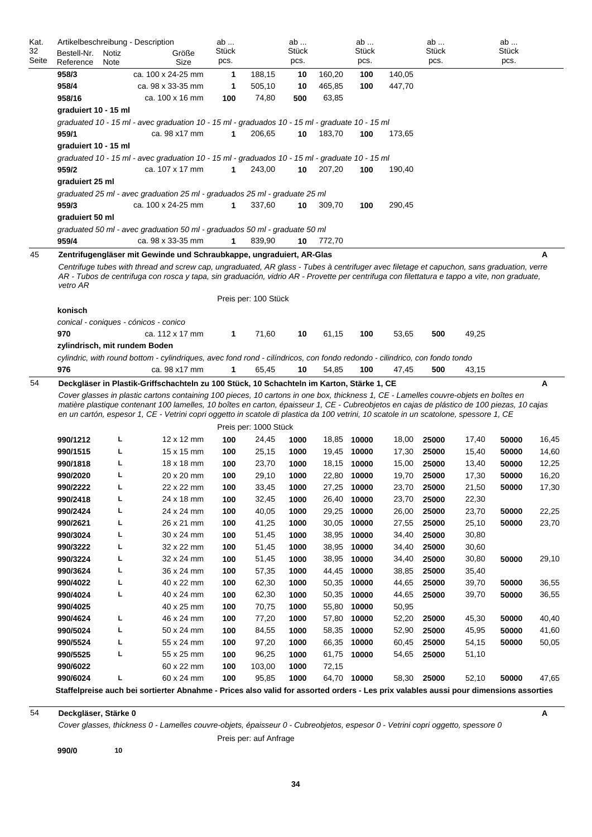|       |                      |             | Artikelbeschreibung - Description                                                                                                                                                                                                                                                                                                                                                                                           | ab         |                       | ab    |                | ab                         |                | ab             |                | ab           |       |
|-------|----------------------|-------------|-----------------------------------------------------------------------------------------------------------------------------------------------------------------------------------------------------------------------------------------------------------------------------------------------------------------------------------------------------------------------------------------------------------------------------|------------|-----------------------|-------|----------------|----------------------------|----------------|----------------|----------------|--------------|-------|
| 32    | Bestell-Nr.          | Notiz       | Größe                                                                                                                                                                                                                                                                                                                                                                                                                       | Stück      |                       | Stück |                | Stück                      |                | Stück          |                | <b>Stück</b> |       |
| Seite | Reference            | <b>Note</b> | Size                                                                                                                                                                                                                                                                                                                                                                                                                        | pcs.       |                       | pcs.  |                | pcs.                       |                | pcs.           |                | pcs.         |       |
|       | 958/3                |             | ca. 100 x 24-25 mm                                                                                                                                                                                                                                                                                                                                                                                                          | 1          | 188,15                | 10    | 160,20         | 100                        | 140,05         |                |                |              |       |
|       | 958/4                |             | ca. 98 x 33-35 mm                                                                                                                                                                                                                                                                                                                                                                                                           | 1          | 505,10                | 10    | 465,85         | 100                        | 447,70         |                |                |              |       |
|       | 958/16               |             | ca. 100 x 16 mm                                                                                                                                                                                                                                                                                                                                                                                                             | 100        | 74,80                 | 500   | 63,85          |                            |                |                |                |              |       |
|       | graduiert 10 - 15 ml |             |                                                                                                                                                                                                                                                                                                                                                                                                                             |            |                       |       |                |                            |                |                |                |              |       |
|       | 959/1                |             | graduated 10 - 15 ml - avec graduation 10 - 15 ml - graduados 10 - 15 ml - graduate 10 - 15 ml<br>ca. 98 x17 mm                                                                                                                                                                                                                                                                                                             | 1          | 206,65                | 10    | 183,70         | 100                        | 173,65         |                |                |              |       |
|       | graduiert 10 - 15 ml |             |                                                                                                                                                                                                                                                                                                                                                                                                                             |            |                       |       |                |                            |                |                |                |              |       |
|       |                      |             | graduated 10 - 15 ml - avec graduation 10 - 15 ml - graduados 10 - 15 ml - graduate 10 - 15 ml                                                                                                                                                                                                                                                                                                                              |            |                       |       |                |                            |                |                |                |              |       |
|       | 959/2                |             | ca. 107 x 17 mm                                                                                                                                                                                                                                                                                                                                                                                                             | 1          | 243,00                | 10    | 207,20         | 100                        | 190,40         |                |                |              |       |
|       | graduiert 25 ml      |             |                                                                                                                                                                                                                                                                                                                                                                                                                             |            |                       |       |                |                            |                |                |                |              |       |
|       | 959/3                |             | graduated 25 ml - avec graduation 25 ml - graduados 25 ml - graduate 25 ml<br>ca. 100 x 24-25 mm                                                                                                                                                                                                                                                                                                                            | 1          | 337,60                | 10    | 309,70         | 100                        | 290,45         |                |                |              |       |
|       | graduiert 50 ml      |             |                                                                                                                                                                                                                                                                                                                                                                                                                             |            |                       |       |                |                            |                |                |                |              |       |
|       |                      |             | graduated 50 ml - avec graduation 50 ml - graduados 50 ml - graduate 50 ml                                                                                                                                                                                                                                                                                                                                                  |            |                       |       |                |                            |                |                |                |              |       |
|       | 959/4                |             | ca. 98 x 33-35 mm                                                                                                                                                                                                                                                                                                                                                                                                           | 1          | 839,90                | 10    | 772,70         |                            |                |                |                |              |       |
| 45    |                      |             | Zentrifugengläser mit Gewinde und Schraubkappe, ungraduiert, AR-Glas                                                                                                                                                                                                                                                                                                                                                        |            |                       |       |                |                            |                |                |                |              | Α     |
|       | vetro AR             |             | Centrifuge tubes with thread and screw cap, ungraduated, AR glass - Tubes à centrifuger avec filetage et capuchon, sans graduation, verre<br>AR - Tubos de centrifuga con rosca y tapa, sin graduación, vidrio AR - Provette per centrifuga con filettatura e tappo a vite, non graduate,                                                                                                                                   |            |                       |       |                |                            |                |                |                |              |       |
|       | konisch              |             |                                                                                                                                                                                                                                                                                                                                                                                                                             |            | Preis per: 100 Stück  |       |                |                            |                |                |                |              |       |
|       |                      |             | conical - coniques - cónicos - conico                                                                                                                                                                                                                                                                                                                                                                                       |            |                       |       |                |                            |                |                |                |              |       |
|       | 970                  |             | ca. 112 x 17 mm                                                                                                                                                                                                                                                                                                                                                                                                             | 1          | 71,60                 | 10    | 61,15          | 100                        | 53,65          | 500            | 49,25          |              |       |
|       |                      |             | zylindrisch, mit rundem Boden                                                                                                                                                                                                                                                                                                                                                                                               |            |                       |       |                |                            |                |                |                |              |       |
|       |                      |             |                                                                                                                                                                                                                                                                                                                                                                                                                             |            |                       |       |                |                            |                |                |                |              |       |
|       | 976                  |             | cylindric, with round bottom - cylindriques, avec fond rond - cilíndricos, con fondo redondo - cilindrico, con fondo tondo<br>ca. 98 x17 mm                                                                                                                                                                                                                                                                                 | 1          | 65,45                 | 10    | 54,85          | 100                        | 47,45          | 500            | 43,15          |              |       |
| 54    |                      |             | Deckgläser in Plastik-Griffschachteln zu 100 Stück, 10 Schachteln im Karton, Stärke 1, CE                                                                                                                                                                                                                                                                                                                                   |            |                       |       |                |                            |                |                |                |              | Α     |
|       |                      |             | Cover glasses in plastic cartons containing 100 pieces, 10 cartons in one box, thickness 1, CE - Lamelles couvre-objets en boîtes en<br>matière plastique contenant 100 lamelles, 10 boîtes en carton, épaisseur 1, CE - Cubreobjetos en cajas de plástico de 100 piezas, 10 cajas<br>en un cartón, espesor 1, CE - Vetrini copri oggetto in scatole di plastica da 100 vetrini, 10 scatole in un scatolone, spessore 1, CE |            |                       |       |                |                            |                |                |                |              |       |
|       |                      |             |                                                                                                                                                                                                                                                                                                                                                                                                                             |            | Preis per: 1000 Stück |       |                |                            |                |                |                |              |       |
|       | 990/1212             | г           | $12 \times 12$ mm                                                                                                                                                                                                                                                                                                                                                                                                           | 100        | 24,45                 | 1000  |                | 18,85 10000                | 18,00          | 25000          | 17,40          | 50000        | 16,45 |
|       | 990/1515             | L           | 15 x 15 mm                                                                                                                                                                                                                                                                                                                                                                                                                  | 100        | 25,15                 | 1000  |                | 19,45 10000                | 17,30          | 25000          | 15,40          | 50000        | 14,60 |
|       | 990/1818             | г           | 18 x 18 mm                                                                                                                                                                                                                                                                                                                                                                                                                  | 100        | 23,70                 | 1000  |                | 18,15 10000                | 15,00          | 25000          | 13,40          | 50000        | 12,25 |
|       | 990/2020             | г           | 20 x 20 mm                                                                                                                                                                                                                                                                                                                                                                                                                  | 100        | 29,10                 | 1000  |                | 22,80 10000                | 19,70          | 25000          | 17,30          | 50000        | 16,20 |
|       | 990/2222             | L           | 22 x 22 mm                                                                                                                                                                                                                                                                                                                                                                                                                  | 100        | 33,45                 | 1000  | 27,25          | 10000                      | 23,70          | 25000          | 21,50          | 50000        | 17,30 |
|       | 990/2418             | L           | 24 x 18 mm                                                                                                                                                                                                                                                                                                                                                                                                                  | 100        | 32,45                 | 1000  |                | 10000                      | 23,70          | 25000          | 22,30          |              |       |
|       | 990/2424             | L           | 24 x 24 mm                                                                                                                                                                                                                                                                                                                                                                                                                  | 100        | 40,05                 | 1000  | 26,40          | 29,25 10000                | 26,00          | 25000          | 23,70          | 50000        | 22,25 |
|       | 990/2621             | L           | 26 x 21 mm                                                                                                                                                                                                                                                                                                                                                                                                                  | 100        |                       | 1000  |                | 30,05 10000                |                | 25000          |                | 50000        |       |
|       |                      | L           | 30 x 24 mm                                                                                                                                                                                                                                                                                                                                                                                                                  |            | 41,25                 | 1000  |                |                            | 27,55          |                | 25,10          |              | 23,70 |
|       | 990/3024<br>990/3222 | L           | 32 x 22 mm                                                                                                                                                                                                                                                                                                                                                                                                                  | 100<br>100 | 51,45<br>51,45        | 1000  |                | 38,95 10000<br>10000       | 34,40          | 25000          | 30,80          |              |       |
|       | 990/3224             | L           | 32 x 24 mm                                                                                                                                                                                                                                                                                                                                                                                                                  | 100        | 51,45                 | 1000  | 38,95<br>38,95 | 10000                      | 34,40          | 25000          | 30,60          | 50000        |       |
|       | 990/3624             | L           | 36 x 24 mm                                                                                                                                                                                                                                                                                                                                                                                                                  | 100        |                       | 1000  |                |                            | 34,40          | 25000          | 30,80          |              | 29,10 |
|       | 990/4022             | L           | 40 x 22 mm                                                                                                                                                                                                                                                                                                                                                                                                                  | 100        | 57,35<br>62,30        | 1000  |                | 44,45 10000<br>50,35 10000 | 38,85<br>44,65 | 25000<br>25000 | 35,40<br>39,70 | 50000        | 36,55 |
|       | 990/4024             | L           | 40 x 24 mm                                                                                                                                                                                                                                                                                                                                                                                                                  | 100        | 62,30                 | 1000  | 50,35          | 10000                      | 44,65          | 25000          | 39,70          | 50000        | 36,55 |
|       | 990/4025             |             | 40 x 25 mm                                                                                                                                                                                                                                                                                                                                                                                                                  | 100        | 70,75                 | 1000  | 55,80          | 10000                      | 50,95          |                |                |              |       |
|       | 990/4624             | L           | 46 x 24 mm                                                                                                                                                                                                                                                                                                                                                                                                                  | 100        | 77,20                 | 1000  | 57,80          | 10000                      | 52,20          | 25000          | 45,30          | 50000        | 40,40 |
|       | 990/5024             | L           | 50 x 24 mm                                                                                                                                                                                                                                                                                                                                                                                                                  | 100        | 84,55                 | 1000  | 58,35          | 10000                      | 52,90          | 25000          | 45,95          | 50000        | 41,60 |
|       | 990/5524             | L           | 55 x 24 mm                                                                                                                                                                                                                                                                                                                                                                                                                  | 100        |                       | 1000  |                | 66,35 10000                |                | 25000          |                | 50000        | 50,05 |
|       |                      | г           |                                                                                                                                                                                                                                                                                                                                                                                                                             | 100        | 97,20                 | 1000  |                |                            | 60,45          |                | 54,15          |              |       |
|       | 990/5525             |             | 55 x 25 mm<br>60 x 22 mm                                                                                                                                                                                                                                                                                                                                                                                                    |            | 96,25                 | 1000  |                | 61,75 10000                | 54,65          | 25000          | 51,10          |              |       |
|       | 990/6022<br>990/6024 | г           | 60 x 24 mm                                                                                                                                                                                                                                                                                                                                                                                                                  | 100<br>100 | 103,00<br>95,85       | 1000  | 72,15          | 64,70 10000                | 58,30          | 25000          | 52,10          | 50000        | 47,65 |

*Cover glasses, thickness 0 - Lamelles couvre-objets, épaisseur 0 - Cubreobjetos, espesor 0 - Vetrini copri oggetto, spessore 0*

Preis per: auf Anfrage

**A**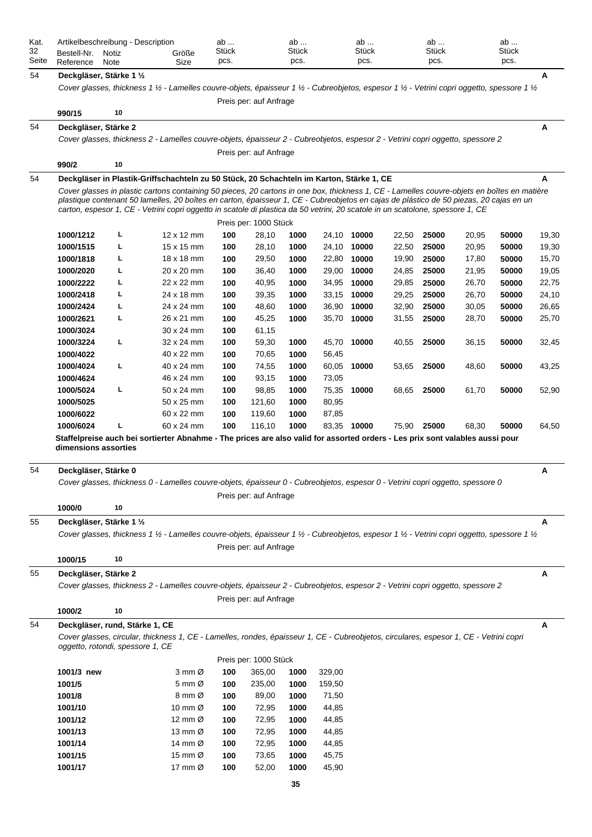| Kat.  | Artikelbeschreibung - Description |       |                                                                                                                                                                                                                                                                          | ab         |                        | ab    |        | ab           |       | ab    |       | ab           |       |
|-------|-----------------------------------|-------|--------------------------------------------------------------------------------------------------------------------------------------------------------------------------------------------------------------------------------------------------------------------------|------------|------------------------|-------|--------|--------------|-------|-------|-------|--------------|-------|
| 32    | Bestell-Nr.                       | Notiz | Größe                                                                                                                                                                                                                                                                    | Stück      |                        | Stück |        | <b>Stück</b> |       | Stück |       | <b>Stück</b> |       |
| Seite | Reference                         | Note  | Size                                                                                                                                                                                                                                                                     | pcs.       |                        | pcs.  |        | pcs.         |       | pcs.  |       | pcs.         |       |
| 54    | Deckgläser, Stärke 1 1/2          |       |                                                                                                                                                                                                                                                                          |            |                        |       |        |              |       |       |       |              | A     |
|       |                                   |       | Cover glasses, thickness 1 1/2 - Lamelles couvre-objets, épaisseur 1 1/2 - Cubreobjetos, espesor 1 1/2 - Vetrini copri oggetto, spessore 1 1/2                                                                                                                           |            |                        |       |        |              |       |       |       |              |       |
|       |                                   |       |                                                                                                                                                                                                                                                                          |            | Preis per: auf Anfrage |       |        |              |       |       |       |              |       |
|       | 990/15                            | 10    |                                                                                                                                                                                                                                                                          |            |                        |       |        |              |       |       |       |              |       |
| 54    | Deckgläser, Stärke 2              |       |                                                                                                                                                                                                                                                                          |            |                        |       |        |              |       |       |       |              | Α     |
|       |                                   |       | Cover glasses, thickness 2 - Lamelles couvre-objets, épaisseur 2 - Cubreobjetos, espesor 2 - Vetrini copri oggetto, spessore 2                                                                                                                                           |            |                        |       |        |              |       |       |       |              |       |
|       |                                   |       |                                                                                                                                                                                                                                                                          |            | Preis per: auf Anfrage |       |        |              |       |       |       |              |       |
|       | 990/2                             | 10    |                                                                                                                                                                                                                                                                          |            |                        |       |        |              |       |       |       |              |       |
| 54    |                                   |       | Deckgläser in Plastik-Griffschachteln zu 50 Stück, 20 Schachteln im Karton, Stärke 1, CE                                                                                                                                                                                 |            |                        |       |        |              |       |       |       |              | A     |
|       |                                   |       | Cover glasses in plastic cartons containing 50 pieces, 20 cartons in one box, thickness 1, CE - Lamelles couvre-objets en boîtes en matière                                                                                                                              |            |                        |       |        |              |       |       |       |              |       |
|       |                                   |       | plastique contenant 50 lamelles, 20 boîtes en carton, épaisseur 1, CE - Cubreobjetos en cajas de plástico de 50 piezas, 20 cajas en un<br>carton, espesor 1, CE - Vetrini copri oggetto in scatole di plastica da 50 vetrini, 20 scatole in un scatolone, spessore 1, CE |            |                        |       |        |              |       |       |       |              |       |
|       |                                   |       |                                                                                                                                                                                                                                                                          |            | Preis per: 1000 Stück  |       |        |              |       |       |       |              |       |
|       | 1000/1212                         | L     | 12 x 12 mm                                                                                                                                                                                                                                                               | 100        | 28,10                  | 1000  |        | 24,10 10000  | 22,50 | 25000 | 20,95 | 50000        | 19,30 |
|       | 1000/1515                         | L     | 15 x 15 mm                                                                                                                                                                                                                                                               | 100        | 28,10                  | 1000  |        | 24,10 10000  | 22,50 | 25000 | 20,95 | 50000        | 19,30 |
|       | 1000/1818                         | L     | 18 x 18 mm                                                                                                                                                                                                                                                               | 100        | 29,50                  | 1000  | 22,80  | 10000        | 19,90 | 25000 | 17,80 | 50000        | 15,70 |
|       | 1000/2020                         | L     | 20 x 20 mm                                                                                                                                                                                                                                                               | 100        | 36,40                  | 1000  | 29,00  | 10000        | 24,85 | 25000 | 21,95 | 50000        | 19,05 |
|       | 1000/2222                         | L     | 22 x 22 mm                                                                                                                                                                                                                                                               | 100        | 40,95                  | 1000  |        | 34,95 10000  | 29,85 | 25000 | 26,70 | 50000        | 22,75 |
|       | 1000/2418                         | L     | 24 x 18 mm                                                                                                                                                                                                                                                               | 100        | 39,35                  | 1000  | 33,15  | 10000        | 29,25 | 25000 | 26,70 | 50000        | 24,10 |
|       | 1000/2424                         | L     | 24 x 24 mm                                                                                                                                                                                                                                                               | 100        | 48,60                  | 1000  | 36,90  | 10000        | 32,90 | 25000 | 30,05 | 50000        | 26,65 |
|       | 1000/2621                         | L     | 26 x 21 mm                                                                                                                                                                                                                                                               | 100        | 45,25                  | 1000  | 35,70  | 10000        | 31,55 | 25000 | 28,70 | 50000        | 25,70 |
|       | 1000/3024                         |       | 30 x 24 mm                                                                                                                                                                                                                                                               |            | 61,15                  |       |        |              |       |       |       |              |       |
|       | 1000/3224                         | L     | 32 x 24 mm                                                                                                                                                                                                                                                               | 100<br>100 | 59,30                  | 1000  |        | 45,70 10000  | 40,55 | 25000 | 36,15 | 50000        | 32,45 |
|       | 1000/4022                         |       | 40 x 22 mm                                                                                                                                                                                                                                                               | 100        | 70,65                  | 1000  | 56,45  |              |       |       |       |              |       |
|       | 1000/4024                         | L     | 40 x 24 mm                                                                                                                                                                                                                                                               | 100        | 74,55                  | 1000  |        | 60,05 10000  | 53,65 | 25000 | 48,60 | 50000        | 43,25 |
|       | 1000/4624                         |       | 46 x 24 mm                                                                                                                                                                                                                                                               | 100        | 93,15                  | 1000  | 73,05  |              |       |       |       |              |       |
|       | 1000/5024                         | L     | 50 x 24 mm                                                                                                                                                                                                                                                               |            | 98,85                  | 1000  |        | 75,35 10000  | 68,65 | 25000 | 61,70 | 50000        | 52,90 |
|       | 1000/5025                         |       | 50 x 25 mm                                                                                                                                                                                                                                                               | 100<br>100 | 121,60                 | 1000  | 80,95  |              |       |       |       |              |       |
|       | 1000/6022                         |       | 60 x 22 mm                                                                                                                                                                                                                                                               | 100        | 119,60                 | 1000  | 87,85  |              |       |       |       |              |       |
|       | 1000/6024                         | L     | 60 x 24 mm                                                                                                                                                                                                                                                               | 100        | 116,10                 | 1000  |        | 83,35 10000  | 75,90 | 25000 | 68,30 | 50000        | 64,50 |
|       |                                   |       | Staffelpreise auch bei sortierter Abnahme - The prices are also valid for assorted orders - Les prix sont valables aussi pour                                                                                                                                            |            |                        |       |        |              |       |       |       |              |       |
|       | dimensions assorties              |       |                                                                                                                                                                                                                                                                          |            |                        |       |        |              |       |       |       |              |       |
|       |                                   |       |                                                                                                                                                                                                                                                                          |            |                        |       |        |              |       |       |       |              |       |
| 54    | Deckgläser, Stärke 0              |       |                                                                                                                                                                                                                                                                          |            |                        |       |        |              |       |       |       |              | Α     |
|       |                                   |       | Cover glasses, thickness 0 - Lamelles couvre-objets, épaisseur 0 - Cubreobjetos, espesor 0 - Vetrini copri oggetto, spessore 0                                                                                                                                           |            |                        |       |        |              |       |       |       |              |       |
|       |                                   |       |                                                                                                                                                                                                                                                                          |            | Preis per: auf Anfrage |       |        |              |       |       |       |              |       |
|       | 1000/0                            | 10    |                                                                                                                                                                                                                                                                          |            |                        |       |        |              |       |       |       |              |       |
| 55    | Deckgläser, Stärke 1 1/2          |       |                                                                                                                                                                                                                                                                          |            |                        |       |        |              |       |       |       |              | Α     |
|       |                                   |       | Cover glasses, thickness 1 1/2 - Lamelles couvre-objets, épaisseur 1 1/2 - Cubreobjetos, espesor 1 1/2 - Vetrini copri oggetto, spessore 1 1/2                                                                                                                           |            |                        |       |        |              |       |       |       |              |       |
|       |                                   |       |                                                                                                                                                                                                                                                                          |            | Preis per: auf Anfrage |       |        |              |       |       |       |              |       |
|       | 1000/15                           | 10    |                                                                                                                                                                                                                                                                          |            |                        |       |        |              |       |       |       |              |       |
| 55    | Deckgläser, Stärke 2              |       |                                                                                                                                                                                                                                                                          |            |                        |       |        |              |       |       |       |              | Α     |
|       |                                   |       | Cover glasses, thickness 2 - Lamelles couvre-objets, épaisseur 2 - Cubreobjetos, espesor 2 - Vetrini copri oggetto, spessore 2                                                                                                                                           |            |                        |       |        |              |       |       |       |              |       |
|       |                                   |       |                                                                                                                                                                                                                                                                          |            | Preis per: auf Anfrage |       |        |              |       |       |       |              |       |
|       | 1000/2                            | 10    |                                                                                                                                                                                                                                                                          |            |                        |       |        |              |       |       |       |              |       |
| 54    |                                   |       |                                                                                                                                                                                                                                                                          |            |                        |       |        |              |       |       |       |              | A     |
|       | Deckgläser, rund, Stärke 1, CE    |       |                                                                                                                                                                                                                                                                          |            |                        |       |        |              |       |       |       |              |       |
|       | oggetto, rotondi, spessore 1, CE  |       | Cover glasses, circular, thickness 1, CE - Lamelles, rondes, épaisseur 1, CE - Cubreobjetos, circulares, espesor 1, CE - Vetrini copri                                                                                                                                   |            |                        |       |        |              |       |       |       |              |       |
|       |                                   |       |                                                                                                                                                                                                                                                                          |            | Preis per: 1000 Stück  |       |        |              |       |       |       |              |       |
|       | 1001/3 new                        |       | 3 mm Ø                                                                                                                                                                                                                                                                   | 100        | 365,00                 | 1000  | 329,00 |              |       |       |       |              |       |
|       | 1001/5                            |       | 5 mm Ø                                                                                                                                                                                                                                                                   | 100        | 235,00                 | 1000  | 159,50 |              |       |       |       |              |       |
|       | 1001/8                            |       | 8 mm Ø                                                                                                                                                                                                                                                                   | 100        | 89,00                  | 1000  | 71,50  |              |       |       |       |              |       |
|       | 1001/10                           |       | 10 mm $\varnothing$                                                                                                                                                                                                                                                      | 100        | 72,95                  | 1000  | 44,85  |              |       |       |       |              |       |
|       | 1001/12                           |       | 12 mm $\varnothing$                                                                                                                                                                                                                                                      | 100        | 72,95                  | 1000  | 44,85  |              |       |       |       |              |       |
|       | 1001/13                           |       | 13 mm $\varnothing$                                                                                                                                                                                                                                                      | 100        | 72,95                  | 1000  | 44,85  |              |       |       |       |              |       |
|       | 1001/14                           |       | 14 mm Ø                                                                                                                                                                                                                                                                  | 100        | 72,95                  | 1000  | 44,85  |              |       |       |       |              |       |
|       | 1001/15                           |       | 15 mm $\varnothing$                                                                                                                                                                                                                                                      | 100        | 73,65                  | 1000  | 45,75  |              |       |       |       |              |       |
|       | 1001/17                           |       | 17 mm $\varnothing$                                                                                                                                                                                                                                                      | 100        | 52,00                  | 1000  | 45,90  |              |       |       |       |              |       |
|       |                                   |       |                                                                                                                                                                                                                                                                          |            |                        |       |        |              |       |       |       |              |       |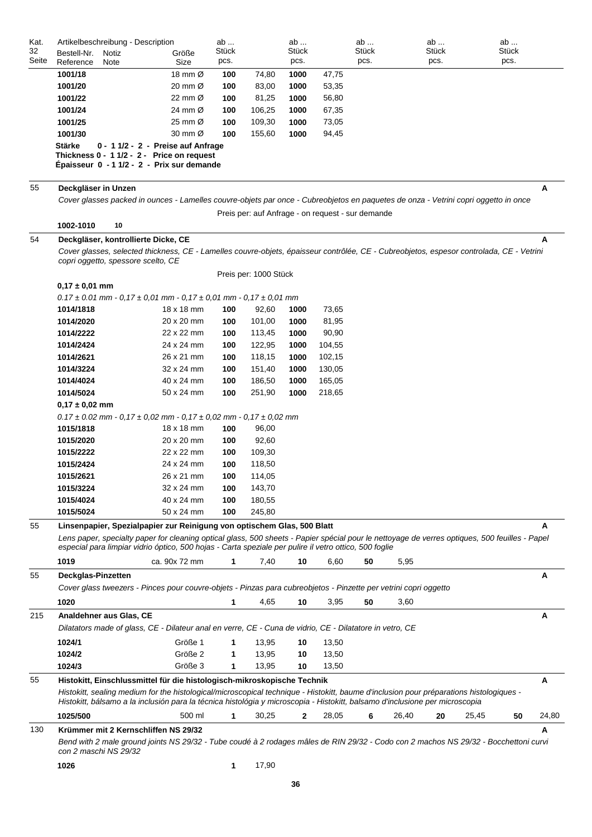| Kat.  | Artikelbeschreibung - Description                                                                                                                                                                                                                        |                                   | ab    |                                                   | ab    |        | ab    | ab          |       | ab    |       |
|-------|----------------------------------------------------------------------------------------------------------------------------------------------------------------------------------------------------------------------------------------------------------|-----------------------------------|-------|---------------------------------------------------|-------|--------|-------|-------------|-------|-------|-------|
| 32    | Bestell-Nr.<br>Notiz                                                                                                                                                                                                                                     | Größe                             | Stück |                                                   | Stück |        | Stück | Stück       |       | Stück |       |
| Seite | Reference<br>Note                                                                                                                                                                                                                                        | Size                              | pcs.  |                                                   | pcs.  |        | pcs.  | pcs.        |       | pcs.  |       |
|       | 1001/18                                                                                                                                                                                                                                                  | 18 mm $\varnothing$               | 100   | 74,80                                             | 1000  | 47,75  |       |             |       |       |       |
|       | 1001/20                                                                                                                                                                                                                                                  | 20 mm $\varnothing$               | 100   | 83,00                                             | 1000  | 53,35  |       |             |       |       |       |
|       | 1001/22                                                                                                                                                                                                                                                  | 22 mm Ø                           | 100   | 81,25                                             | 1000  | 56,80  |       |             |       |       |       |
|       | 1001/24                                                                                                                                                                                                                                                  | 24 mm Ø                           | 100   | 106,25                                            | 1000  | 67,35  |       |             |       |       |       |
|       | 1001/25                                                                                                                                                                                                                                                  | 25 mm Ø                           | 100   | 109,30                                            | 1000  | 73,05  |       |             |       |       |       |
|       | 1001/30                                                                                                                                                                                                                                                  | 30 mm Ø                           | 100   | 155,60                                            | 1000  | 94,45  |       |             |       |       |       |
|       | <b>Stärke</b><br>Thickness 0 - 1 1/2 - 2 - Price on request<br>Épaisseur 0 - 1 1/2 - 2 - Prix sur demande                                                                                                                                                | 0 - 11/2 - 2 - Preise auf Anfrage |       |                                                   |       |        |       |             |       |       |       |
| 55    | Deckgläser in Unzen                                                                                                                                                                                                                                      |                                   |       |                                                   |       |        |       |             |       |       | Α     |
|       | Cover glasses packed in ounces - Lamelles couvre-objets par once - Cubreobjetos en paquetes de onza - Vetrini copri oggetto in once                                                                                                                      |                                   |       |                                                   |       |        |       |             |       |       |       |
|       |                                                                                                                                                                                                                                                          |                                   |       | Preis per: auf Anfrage - on request - sur demande |       |        |       |             |       |       |       |
|       | 10<br>1002-1010                                                                                                                                                                                                                                          |                                   |       |                                                   |       |        |       |             |       |       |       |
|       |                                                                                                                                                                                                                                                          |                                   |       |                                                   |       |        |       |             |       |       |       |
| 54    | Deckgläser, kontrollierte Dicke, CE<br>Cover glasses, selected thickness, CE - Lamelles couvre-objets, épaisseur contrôlée, CE - Cubreobjetos, espesor controlada, CE - Vetrini                                                                          |                                   |       |                                                   |       |        |       |             |       |       | A     |
|       | copri oggetto, spessore scelto, CE                                                                                                                                                                                                                       |                                   |       |                                                   |       |        |       |             |       |       |       |
|       |                                                                                                                                                                                                                                                          |                                   |       | Preis per: 1000 Stück                             |       |        |       |             |       |       |       |
|       | $0,17 \pm 0,01$ mm                                                                                                                                                                                                                                       |                                   |       |                                                   |       |        |       |             |       |       |       |
|       | $0.17 \pm 0.01$ mm - 0.17 $\pm$ 0.01 mm - 0.17 $\pm$ 0.01 mm - 0.17 $\pm$ 0.01 mm                                                                                                                                                                        |                                   |       |                                                   |       |        |       |             |       |       |       |
|       | 1014/1818                                                                                                                                                                                                                                                | 18 x 18 mm                        | 100   | 92,60                                             | 1000  | 73,65  |       |             |       |       |       |
|       | 1014/2020                                                                                                                                                                                                                                                | 20 x 20 mm                        | 100   | 101,00                                            | 1000  | 81,95  |       |             |       |       |       |
|       | 1014/2222                                                                                                                                                                                                                                                | 22 x 22 mm                        | 100   | 113,45                                            | 1000  | 90,90  |       |             |       |       |       |
|       | 1014/2424                                                                                                                                                                                                                                                | 24 x 24 mm                        | 100   | 122,95                                            | 1000  | 104,55 |       |             |       |       |       |
|       | 1014/2621                                                                                                                                                                                                                                                | 26 x 21 mm                        | 100   | 118,15                                            | 1000  | 102,15 |       |             |       |       |       |
|       | 1014/3224                                                                                                                                                                                                                                                | 32 x 24 mm                        | 100   | 151,40                                            | 1000  | 130,05 |       |             |       |       |       |
|       | 1014/4024                                                                                                                                                                                                                                                | 40 x 24 mm                        | 100   | 186,50                                            | 1000  | 165,05 |       |             |       |       |       |
|       | 1014/5024                                                                                                                                                                                                                                                | 50 x 24 mm                        | 100   | 251,90                                            | 1000  | 218,65 |       |             |       |       |       |
|       | $0,17 \pm 0,02$ mm                                                                                                                                                                                                                                       |                                   |       |                                                   |       |        |       |             |       |       |       |
|       | $0.17 \pm 0.02$ mm - 0,17 $\pm$ 0,02 mm - 0,17 $\pm$ 0,02 mm - 0,17 $\pm$ 0,02 mm                                                                                                                                                                        |                                   |       |                                                   |       |        |       |             |       |       |       |
|       | 1015/1818                                                                                                                                                                                                                                                | $18 \times 18$ mm                 | 100   | 96,00                                             |       |        |       |             |       |       |       |
|       | 1015/2020                                                                                                                                                                                                                                                | 20 x 20 mm                        | 100   | 92,60                                             |       |        |       |             |       |       |       |
|       | 1015/2222                                                                                                                                                                                                                                                | 22 x 22 mm                        | 100   | 109,30                                            |       |        |       |             |       |       |       |
|       | 1015/2424                                                                                                                                                                                                                                                | 24 x 24 mm                        | 100   | 118,50                                            |       |        |       |             |       |       |       |
|       | 1015/2621                                                                                                                                                                                                                                                | 26 x 21 mm                        | 100   | 114,05                                            |       |        |       |             |       |       |       |
|       | 1015/3224                                                                                                                                                                                                                                                | 32 x 24 mm                        | 100   | 143,70                                            |       |        |       |             |       |       |       |
|       | 1015/4024                                                                                                                                                                                                                                                | 40 x 24 mm                        | 100   | 180,55                                            |       |        |       |             |       |       |       |
|       | 1015/5024                                                                                                                                                                                                                                                | 50 x 24 mm                        | 100   | 245,80                                            |       |        |       |             |       |       |       |
|       |                                                                                                                                                                                                                                                          |                                   |       |                                                   |       |        |       |             |       |       |       |
| 55    | Linsenpapier, Spezialpapier zur Reinigung von optischem Glas, 500 Blatt                                                                                                                                                                                  |                                   |       |                                                   |       |        |       |             |       |       | А     |
|       | Lens paper, specialty paper for cleaning optical glass, 500 sheets - Papier spécial pour le nettoyage de verres optiques, 500 feuilles - Papel<br>especial para limpiar vidrio óptico, 500 hojas - Carta speziale per pulire il vetro ottico, 500 foglie |                                   |       |                                                   |       |        |       |             |       |       |       |
|       |                                                                                                                                                                                                                                                          |                                   |       |                                                   |       |        |       |             |       |       |       |
|       | 1019                                                                                                                                                                                                                                                     | ca. 90x 72 mm                     | 1     | 7,40                                              | 10    | 6,60   | 50    | 5,95        |       |       |       |
| 55    | Deckglas-Pinzetten                                                                                                                                                                                                                                       |                                   |       |                                                   |       |        |       |             |       |       | Α     |
|       | Cover glass tweezers - Pinces pour couvre-objets - Pinzas para cubreobjetos - Pinzette per vetrini copri oggetto                                                                                                                                         |                                   |       |                                                   |       |        |       |             |       |       |       |
|       | 1020                                                                                                                                                                                                                                                     |                                   | 1     | 4,65                                              | 10    | 3,95   | 50    | 3,60        |       |       |       |
| 215   | Analdehner aus Glas, CE                                                                                                                                                                                                                                  |                                   |       |                                                   |       |        |       |             |       |       | A     |
|       | Dilatators made of glass, CE - Dilateur anal en verre, CE - Cuna de vidrio, CE - Dilatatore in vetro, CE                                                                                                                                                 |                                   |       |                                                   |       |        |       |             |       |       |       |
|       | 1024/1                                                                                                                                                                                                                                                   | Größe 1                           | 1     | 13,95                                             | 10    | 13,50  |       |             |       |       |       |
|       | 1024/2                                                                                                                                                                                                                                                   | Größe 2                           |       | 13,95                                             |       | 13,50  |       |             |       |       |       |
|       |                                                                                                                                                                                                                                                          |                                   | 1     |                                                   | 10    |        |       |             |       |       |       |
|       | 1024/3                                                                                                                                                                                                                                                   | Größe 3                           | 1     | 13,95                                             | 10    | 13,50  |       |             |       |       |       |
| 55    | Histokitt, Einschlussmittel für die histologisch-mikroskopische Technik                                                                                                                                                                                  |                                   |       |                                                   |       |        |       |             |       |       | A     |
|       | Histokitt, sealing medium for the histological/microscopical technique - Histokitt, baume d'inclusion pour préparations histologiques -                                                                                                                  |                                   |       |                                                   |       |        |       |             |       |       |       |
|       | Histokitt, bálsamo a la inclusión para la técnica histológia y microscopia - Histokitt, balsamo d'inclusione per microscopia                                                                                                                             |                                   |       |                                                   |       |        |       |             |       |       |       |
|       | 1025/500                                                                                                                                                                                                                                                 | 500 ml                            | 1     | 30,25                                             | 2     | 28,05  | 6     | 26,40<br>20 | 25,45 | 50    | 24,80 |
| 130   | Krümmer mit 2 Kernschliffen NS 29/32                                                                                                                                                                                                                     |                                   |       |                                                   |       |        |       |             |       |       | A     |
|       | Bend with 2 male ground joints NS 29/32 - Tube coudé à 2 rodages mâles de RIN 29/32 - Codo con 2 machos NS 29/32 - Bocchettoni curvi<br>con 2 maschi NS 29/32                                                                                            |                                   |       |                                                   |       |        |       |             |       |       |       |
|       | 1026                                                                                                                                                                                                                                                     |                                   | 1     | 17,90                                             |       |        |       |             |       |       |       |
|       |                                                                                                                                                                                                                                                          |                                   |       |                                                   |       |        |       |             |       |       |       |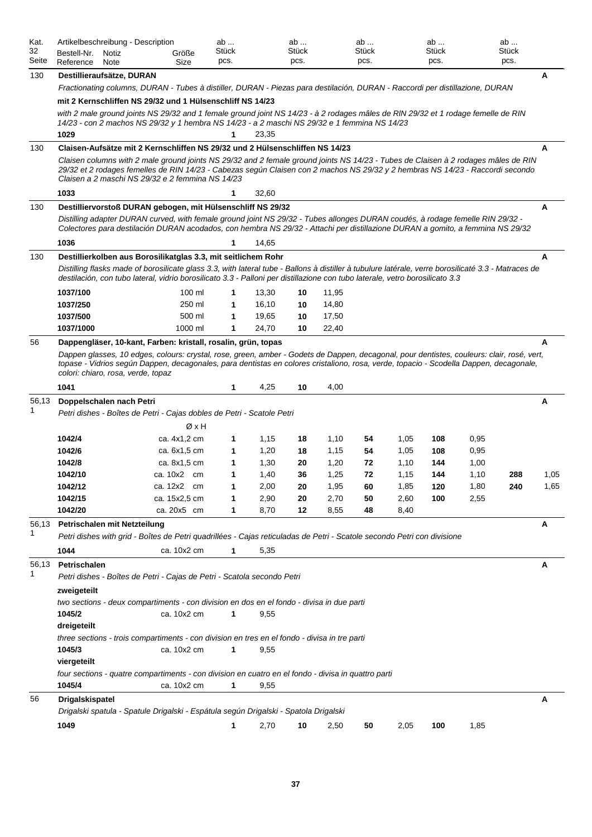| Kat.<br>32<br>Seite | Artikelbeschreibung - Description<br>Bestell-Nr.<br>Reference                                                                                                                                                                                                                                                              | Notiz<br>Note | Größe<br>Size | ab<br>Stück<br>pcs. |       | ab<br><b>Stück</b><br>pcs. |       | ab<br>Stück<br>pcs. |      | ab<br>Stück<br>pcs. |      | ab<br>Stück<br>pcs. |      |
|---------------------|----------------------------------------------------------------------------------------------------------------------------------------------------------------------------------------------------------------------------------------------------------------------------------------------------------------------------|---------------|---------------|---------------------|-------|----------------------------|-------|---------------------|------|---------------------|------|---------------------|------|
| 130                 | Destillieraufsätze, DURAN                                                                                                                                                                                                                                                                                                  |               |               |                     |       |                            |       |                     |      |                     |      |                     | A    |
|                     | Fractionating columns, DURAN - Tubes à distiller, DURAN - Piezas para destilación, DURAN - Raccordi per distillazione, DURAN                                                                                                                                                                                               |               |               |                     |       |                            |       |                     |      |                     |      |                     |      |
|                     | mit 2 Kernschliffen NS 29/32 und 1 Hülsenschliff NS 14/23<br>with 2 male ground joints NS 29/32 and 1 female ground joint NS 14/23 - à 2 rodages mâles de RIN 29/32 et 1 rodage femelle de RIN<br>14/23 - con 2 machos NS 29/32 y 1 hembra NS 14/23 - a 2 maschi NS 29/32 e 1 femmina NS 14/23<br>1029                     |               |               | 1                   | 23.35 |                            |       |                     |      |                     |      |                     |      |
| 130                 | Claisen-Aufsätze mit 2 Kernschliffen NS 29/32 und 2 Hülsenschliffen NS 14/23                                                                                                                                                                                                                                               |               |               |                     |       |                            |       |                     |      |                     |      |                     | A    |
|                     | Claisen columns with 2 male ground joints NS 29/32 and 2 female ground joints NS 14/23 - Tubes de Claisen à 2 rodages mâles de RIN<br>29/32 et 2 rodages femelles de RIN 14/23 - Cabezas según Claisen con 2 machos NS 29/32 y 2 hembras NS 14/23 - Raccordi secondo<br>Claisen a 2 maschi NS 29/32 e 2 femmina NS 14/23   |               |               |                     |       |                            |       |                     |      |                     |      |                     |      |
|                     | 1033                                                                                                                                                                                                                                                                                                                       |               |               | 1                   | 32,60 |                            |       |                     |      |                     |      |                     |      |
| 130                 | Destilliervorstoß DURAN gebogen, mit Hülsenschliff NS 29/32                                                                                                                                                                                                                                                                |               |               |                     |       |                            |       |                     |      |                     |      |                     | A    |
|                     | Distilling adapter DURAN curved, with female ground joint NS 29/32 - Tubes allonges DURAN coudés, à rodage femelle RIN 29/32 -<br>Colectores para destilación DURAN acodados, con hembra NS 29/32 - Attachi per distillazione DURAN a gomito, a femmina NS 29/32                                                           |               |               |                     |       |                            |       |                     |      |                     |      |                     |      |
|                     | 1036                                                                                                                                                                                                                                                                                                                       |               |               | 1                   | 14,65 |                            |       |                     |      |                     |      |                     |      |
| 130                 | Destillierkolben aus Borosilikatglas 3.3, mit seitlichem Rohr                                                                                                                                                                                                                                                              |               |               |                     |       |                            |       |                     |      |                     |      |                     | A    |
|                     | Distilling flasks made of borosilicate glass 3.3, with lateral tube - Ballons à distiller à tubulure latérale, verre borosilicaté 3.3 - Matraces de<br>destilación, con tubo lateral, vidrio borosilicato 3.3 - Palloni per distillazione con tubo laterale, vetro borosilicato 3.3                                        |               |               |                     |       |                            |       |                     |      |                     |      |                     |      |
|                     | 1037/100                                                                                                                                                                                                                                                                                                                   |               | $100$ ml      | 1                   | 13,30 | 10                         | 11,95 |                     |      |                     |      |                     |      |
|                     | 1037/250                                                                                                                                                                                                                                                                                                                   |               | 250 ml        | 1                   | 16,10 | 10                         | 14,80 |                     |      |                     |      |                     |      |
|                     | 1037/500                                                                                                                                                                                                                                                                                                                   |               | 500 ml        | 1                   | 19,65 | 10                         | 17,50 |                     |      |                     |      |                     |      |
|                     | 1037/1000                                                                                                                                                                                                                                                                                                                  |               | 1000 ml       | 1                   | 24,70 | 10                         | 22,40 |                     |      |                     |      |                     |      |
| 56                  | Dappengläser, 10-kant, Farben: kristall, rosalin, grün, topas                                                                                                                                                                                                                                                              |               |               |                     |       |                            |       |                     |      |                     |      |                     | A    |
|                     | Dappen glasses, 10 edges, colours: crystal, rose, green, amber - Godets de Dappen, decagonal, pour dentistes, couleurs: clair, rosé, vert,<br>topase - Vidrios según Dappen, decagonales, para dentistas en colores cristaliono, rosa, verde, topacio - Scodella Dappen, decagonale,<br>colori: chiaro, rosa, verde, topaz |               |               |                     |       |                            |       |                     |      |                     |      |                     |      |
|                     | 1041                                                                                                                                                                                                                                                                                                                       |               |               | 1                   | 4,25  | 10                         | 4,00  |                     |      |                     |      |                     |      |
| 56,13               | Doppelschalen nach Petri                                                                                                                                                                                                                                                                                                   |               |               |                     |       |                            |       |                     |      |                     |      |                     | A    |
|                     | Petri dishes - Boîtes de Petri - Cajas dobles de Petri - Scatole Petri                                                                                                                                                                                                                                                     |               |               |                     |       |                            |       |                     |      |                     |      |                     |      |
|                     |                                                                                                                                                                                                                                                                                                                            |               | ØxH           |                     |       |                            |       |                     |      |                     |      |                     |      |
|                     | 1042/4                                                                                                                                                                                                                                                                                                                     |               | ca. 4x1,2 cm  | 1                   | 1,15  | 18                         | 1,10  | 54                  | 1,05 | 108                 | 0,95 |                     |      |
|                     | 1042/6                                                                                                                                                                                                                                                                                                                     |               | ca. 6x1,5 cm  | 1                   | 1,20  | 18                         | 1,15  | 54                  | 1,05 | 108                 | 0,95 |                     |      |
|                     | 1042/8                                                                                                                                                                                                                                                                                                                     |               | ca. 8x1,5 cm  | 1                   | 1,30  | 20                         | 1,20  | 72                  | 1,10 | 144                 | 1,00 |                     |      |
|                     | 1042/10                                                                                                                                                                                                                                                                                                                    |               | ca. 10x2 cm   | 1                   | 1,40  | 36                         | 1,25  | 72                  | 1,15 | 144                 | 1,10 | 288                 | 1,05 |
|                     | 1042/12                                                                                                                                                                                                                                                                                                                    |               | ca. 12x2 cm   | 1                   | 2,00  | 20                         | 1,95  | 60                  | 1,85 | 120                 | 1,80 | 240                 | 1,65 |
|                     | 1042/15                                                                                                                                                                                                                                                                                                                    |               | ca. 15x2,5 cm |                     | 2,90  | 20                         | 2,70  | 50                  | 2,60 | 100                 | 2,55 |                     |      |
|                     | 1042/20                                                                                                                                                                                                                                                                                                                    |               | ca. 20x5 cm   | 1                   | 8,70  | 12                         | 8,55  | 48                  | 8,40 |                     |      |                     |      |
| 56,13               | Petrischalen mit Netzteilung                                                                                                                                                                                                                                                                                               |               |               |                     |       |                            |       |                     |      |                     |      |                     | A    |
| 1                   | Petri dishes with grid - Boîtes de Petri quadrillées - Cajas reticuladas de Petri - Scatole secondo Petri con divisione                                                                                                                                                                                                    |               |               |                     |       |                            |       |                     |      |                     |      |                     |      |
|                     | 1044                                                                                                                                                                                                                                                                                                                       |               | ca. 10x2 cm   | 1                   | 5,35  |                            |       |                     |      |                     |      |                     |      |
| 56,13               | Petrischalen                                                                                                                                                                                                                                                                                                               |               |               |                     |       |                            |       |                     |      |                     |      |                     | Α    |
| 1                   | Petri dishes - Boîtes de Petri - Cajas de Petri - Scatola secondo Petri                                                                                                                                                                                                                                                    |               |               |                     |       |                            |       |                     |      |                     |      |                     |      |
|                     | zweigeteilt                                                                                                                                                                                                                                                                                                                |               |               |                     |       |                            |       |                     |      |                     |      |                     |      |
|                     | two sections - deux compartiments - con division en dos en el fondo - divisa in due parti<br>1045/2                                                                                                                                                                                                                        |               | ca. 10x2 cm   | 1                   | 9,55  |                            |       |                     |      |                     |      |                     |      |
|                     | dreigeteilt                                                                                                                                                                                                                                                                                                                |               |               |                     |       |                            |       |                     |      |                     |      |                     |      |
|                     | three sections - trois compartiments - con division en tres en el fondo - divisa in tre parti                                                                                                                                                                                                                              |               |               |                     |       |                            |       |                     |      |                     |      |                     |      |
|                     | 1045/3<br>viergeteilt                                                                                                                                                                                                                                                                                                      |               | ca. 10x2 cm   | 1                   | 9,55  |                            |       |                     |      |                     |      |                     |      |
|                     | four sections - quatre compartiments - con division en cuatro en el fondo - divisa in quattro parti                                                                                                                                                                                                                        |               |               |                     |       |                            |       |                     |      |                     |      |                     |      |
|                     | 1045/4                                                                                                                                                                                                                                                                                                                     |               | ca. 10x2 cm   | 1                   | 9,55  |                            |       |                     |      |                     |      |                     |      |
| 56                  | Drigalskispatel                                                                                                                                                                                                                                                                                                            |               |               |                     |       |                            |       |                     |      |                     |      |                     | A    |
|                     | Drigalski spatula - Spatule Drigalski - Espátula según Drigalski - Spatola Drigalski                                                                                                                                                                                                                                       |               |               |                     |       |                            |       |                     |      |                     |      |                     |      |
|                     | 1049                                                                                                                                                                                                                                                                                                                       |               |               | 1                   | 2,70  | 10                         | 2,50  | 50                  | 2,05 | 100                 | 1,85 |                     |      |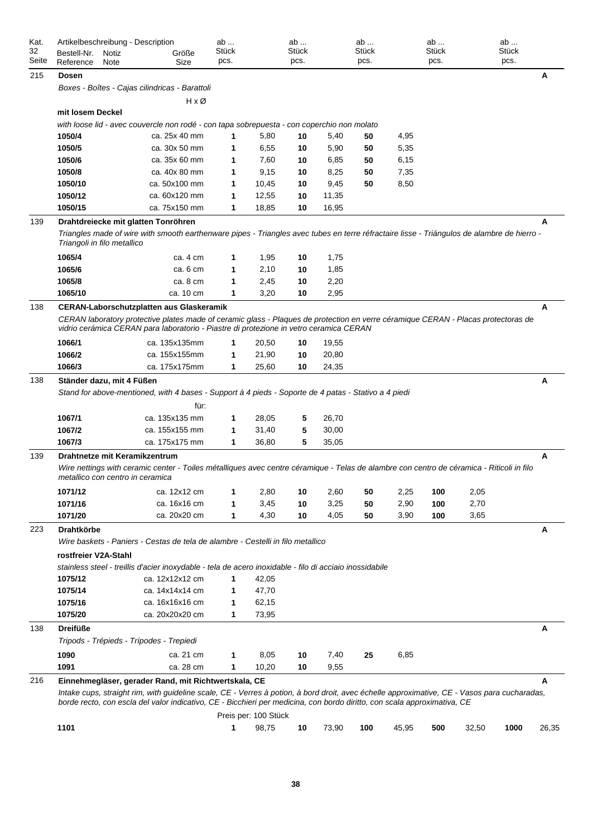| Kat.<br>32<br>Seite | Bestell-Nr.<br>Reference    | Notiz<br>Note | Artikelbeschreibung - Description<br>Größe<br>Size                                                                                                                                                                                                                       | ab<br><b>Stück</b><br>pcs. |                      | ab<br>Stück<br>pcs. |       | ab<br>Stück<br>pcs. |       | ab<br>Stück<br>pcs. |       | ab<br>Stück<br>pcs. |       |
|---------------------|-----------------------------|---------------|--------------------------------------------------------------------------------------------------------------------------------------------------------------------------------------------------------------------------------------------------------------------------|----------------------------|----------------------|---------------------|-------|---------------------|-------|---------------------|-------|---------------------|-------|
| 215                 | <b>Dosen</b>                |               |                                                                                                                                                                                                                                                                          |                            |                      |                     |       |                     |       |                     |       |                     | A     |
|                     |                             |               | Boxes - Boîtes - Cajas cilindricas - Barattoli                                                                                                                                                                                                                           |                            |                      |                     |       |                     |       |                     |       |                     |       |
|                     |                             |               | HxØ                                                                                                                                                                                                                                                                      |                            |                      |                     |       |                     |       |                     |       |                     |       |
|                     | mit losem Deckel            |               |                                                                                                                                                                                                                                                                          |                            |                      |                     |       |                     |       |                     |       |                     |       |
|                     |                             |               | with loose lid - avec couvercle non rodé - con tapa sobrepuesta - con coperchio non molato                                                                                                                                                                               |                            |                      |                     |       |                     |       |                     |       |                     |       |
|                     | 1050/4                      |               | ca. 25x 40 mm                                                                                                                                                                                                                                                            | 1                          | 5,80                 | 10                  | 5,40  | 50                  | 4,95  |                     |       |                     |       |
|                     | 1050/5                      |               | ca. 30x 50 mm                                                                                                                                                                                                                                                            | 1                          | 6,55                 | 10                  | 5,90  | 50                  | 5,35  |                     |       |                     |       |
|                     | 1050/6                      |               | ca. 35x 60 mm                                                                                                                                                                                                                                                            | 1                          | 7,60                 | 10                  | 6,85  | 50                  | 6,15  |                     |       |                     |       |
|                     | 1050/8                      |               | ca. 40x 80 mm                                                                                                                                                                                                                                                            | 1                          | 9,15                 | 10                  | 8,25  | 50                  | 7,35  |                     |       |                     |       |
|                     | 1050/10                     |               | ca. 50x100 mm                                                                                                                                                                                                                                                            | 1                          | 10,45                | 10                  | 9,45  | 50                  | 8,50  |                     |       |                     |       |
|                     | 1050/12                     |               | ca. 60x120 mm                                                                                                                                                                                                                                                            | 1                          | 12,55                | 10                  | 11,35 |                     |       |                     |       |                     |       |
|                     | 1050/15                     |               | ca. 75x150 mm                                                                                                                                                                                                                                                            | 1                          | 18,85                | 10                  | 16,95 |                     |       |                     |       |                     |       |
| 139                 |                             |               | Drahtdreiecke mit glatten Tonröhren                                                                                                                                                                                                                                      |                            |                      |                     |       |                     |       |                     |       |                     | A     |
|                     | Triangoli in filo metallico |               | Triangles made of wire with smooth earthenware pipes - Triangles avec tubes en terre réfractaire lisse - Triángulos de alambre de hierro -                                                                                                                               |                            |                      |                     |       |                     |       |                     |       |                     |       |
|                     | 1065/4                      |               | ca. 4 cm                                                                                                                                                                                                                                                                 | 1                          | 1,95                 | 10                  | 1,75  |                     |       |                     |       |                     |       |
|                     | 1065/6                      |               | ca. 6 cm                                                                                                                                                                                                                                                                 | 1                          | 2,10                 | 10                  | 1,85  |                     |       |                     |       |                     |       |
|                     | 1065/8                      |               | ca. 8 cm                                                                                                                                                                                                                                                                 | 1                          | 2,45                 | 10                  | 2,20  |                     |       |                     |       |                     |       |
|                     | 1065/10                     |               | ca. 10 cm                                                                                                                                                                                                                                                                | 1                          | 3,20                 | 10                  | 2,95  |                     |       |                     |       |                     |       |
| 138                 |                             |               | <b>CERAN-Laborschutzplatten aus Glaskeramik</b>                                                                                                                                                                                                                          |                            |                      |                     |       |                     |       |                     |       |                     | A     |
|                     |                             |               | CERAN laboratory protective plates made of ceramic glass - Plagues de protection en verre céramique CERAN - Placas protectoras de<br>vidrio cerámica CERAN para laboratorio - Piastre di protezione in vetro ceramica CERAN                                              |                            |                      |                     |       |                     |       |                     |       |                     |       |
|                     | 1066/1                      |               | ca. 135x135mm                                                                                                                                                                                                                                                            | 1                          | 20,50                | 10                  | 19,55 |                     |       |                     |       |                     |       |
|                     | 1066/2                      |               | ca. 155x155mm                                                                                                                                                                                                                                                            | 1                          | 21,90                | 10                  | 20,80 |                     |       |                     |       |                     |       |
|                     | 1066/3                      |               | ca. 175x175mm                                                                                                                                                                                                                                                            | 1                          | 25,60                | 10                  | 24,35 |                     |       |                     |       |                     |       |
|                     | Ständer dazu, mit 4 Füßen   |               |                                                                                                                                                                                                                                                                          |                            |                      |                     |       |                     |       |                     |       |                     | Α     |
| 138                 |                             |               | Stand for above-mentioned, with 4 bases - Support à 4 pieds - Soporte de 4 patas - Stativo a 4 piedi<br>für:                                                                                                                                                             |                            |                      |                     |       |                     |       |                     |       |                     |       |
|                     | 1067/1                      |               | ca. 135x135 mm                                                                                                                                                                                                                                                           | 1                          | 28,05                | 5                   | 26,70 |                     |       |                     |       |                     |       |
|                     | 1067/2                      |               | ca. 155x155 mm                                                                                                                                                                                                                                                           | 1                          | 31,40                | 5                   | 30,00 |                     |       |                     |       |                     |       |
|                     | 1067/3                      |               | ca. 175x175 mm                                                                                                                                                                                                                                                           | 1                          | 36,80                | 5                   | 35,05 |                     |       |                     |       |                     |       |
| 139                 |                             |               | Drahtnetze mit Keramikzentrum<br>Wire nettings with ceramic center - Toiles métalliques avec centre céramique - Telas de alambre con centro de céramica - Riticoli in filo                                                                                               |                            |                      |                     |       |                     |       |                     |       |                     | A     |
|                     |                             |               | metallico con centro in ceramica                                                                                                                                                                                                                                         |                            |                      |                     |       |                     |       |                     |       |                     |       |
|                     | 1071/12                     |               | ca. 12x12 cm                                                                                                                                                                                                                                                             | 1                          | 2,80                 | 10                  | 2,60  | 50                  | 2,25  | 100                 | 2,05  |                     |       |
|                     | 1071/16                     |               | ca. 16x16 cm                                                                                                                                                                                                                                                             | 1                          | 3,45                 | 10                  | 3,25  | 50                  | 2,90  | 100                 | 2,70  |                     |       |
|                     | 1071/20                     |               | ca. 20x20 cm                                                                                                                                                                                                                                                             | 1                          | 4,30                 | 10                  | 4,05  | 50                  | 3,90  | 100                 | 3,65  |                     |       |
| 223                 | <b>Drahtkörbe</b>           |               |                                                                                                                                                                                                                                                                          |                            |                      |                     |       |                     |       |                     |       |                     | A     |
|                     |                             |               | Wire baskets - Paniers - Cestas de tela de alambre - Cestelli in filo metallico                                                                                                                                                                                          |                            |                      |                     |       |                     |       |                     |       |                     |       |
|                     | rostfreier V2A-Stahl        |               |                                                                                                                                                                                                                                                                          |                            |                      |                     |       |                     |       |                     |       |                     |       |
|                     | 1075/12                     |               | stainless steel - treillis d'acier inoxydable - tela de acero inoxidable - filo di acciaio inossidabile<br>ca. 12x12x12 cm                                                                                                                                               | 1                          | 42,05                |                     |       |                     |       |                     |       |                     |       |
|                     | 1075/14                     |               | ca. 14x14x14 cm                                                                                                                                                                                                                                                          | 1                          | 47,70                |                     |       |                     |       |                     |       |                     |       |
|                     | 1075/16                     |               | ca. 16x16x16 cm                                                                                                                                                                                                                                                          | 1                          | 62,15                |                     |       |                     |       |                     |       |                     |       |
|                     | 1075/20                     |               | ca. 20x20x20 cm                                                                                                                                                                                                                                                          | 1                          | 73,95                |                     |       |                     |       |                     |       |                     |       |
| 138                 | <b>Dreifüße</b>             |               |                                                                                                                                                                                                                                                                          |                            |                      |                     |       |                     |       |                     |       |                     | A     |
|                     |                             |               | Tripods - Trépieds - Trípodes - Trepiedi                                                                                                                                                                                                                                 |                            |                      |                     |       |                     |       |                     |       |                     |       |
|                     | 1090                        |               | ca. 21 cm                                                                                                                                                                                                                                                                | 1                          | 8,05                 | 10                  | 7,40  | 25                  | 6,85  |                     |       |                     |       |
|                     | 1091                        |               | ca. 28 cm                                                                                                                                                                                                                                                                | 1                          | 10,20                | 10                  | 9,55  |                     |       |                     |       |                     |       |
| 216                 |                             |               | Einnehmegläser, gerader Rand, mit Richtwertskala, CE                                                                                                                                                                                                                     |                            |                      |                     |       |                     |       |                     |       |                     | A     |
|                     |                             |               | Intake cups, straight rim, with guideline scale, CE - Verres à potion, à bord droit, avec échelle approximative, CE - Vasos para cucharadas,<br>borde recto, con escla del valor indicativo, CE - Bicchieri per medicina, con bordo diritto, con scala approximativa, CE |                            |                      |                     |       |                     |       |                     |       |                     |       |
|                     |                             |               |                                                                                                                                                                                                                                                                          |                            | Preis per: 100 Stück |                     |       |                     |       |                     |       |                     |       |
|                     | 1101                        |               |                                                                                                                                                                                                                                                                          | 1                          | 98,75                | 10                  | 73,90 | 100                 | 45,95 | 500                 | 32,50 | 1000                | 26,35 |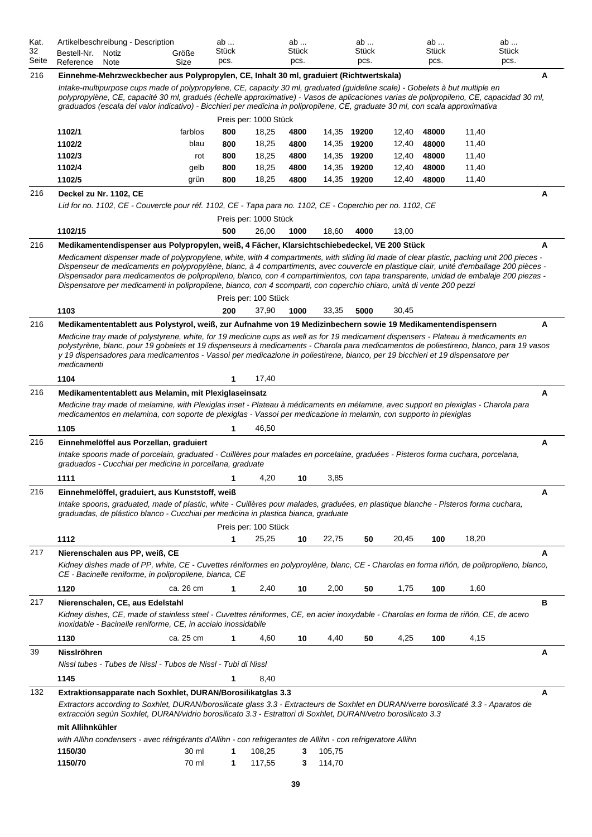| Kat.<br>32<br>Seite | Artikelbeschreibung - Description<br>Bestell-Nr.<br>Reference                                                                                                                                                                  | Notiz<br>Note | Größe<br>Size  | ab<br>Stück<br>pcs.         |                  | ab<br>Stück<br>pcs. |                  | ab<br>Stück<br>pcs.        |                | ab<br>Stück<br>pcs. |                                                                                                                                                                                                                                                                                                                                                                                                                               | ab<br>Stück<br>pcs. |   |
|---------------------|--------------------------------------------------------------------------------------------------------------------------------------------------------------------------------------------------------------------------------|---------------|----------------|-----------------------------|------------------|---------------------|------------------|----------------------------|----------------|---------------------|-------------------------------------------------------------------------------------------------------------------------------------------------------------------------------------------------------------------------------------------------------------------------------------------------------------------------------------------------------------------------------------------------------------------------------|---------------------|---|
| 216                 | Einnehme-Mehrzweckbecher aus Polypropylen, CE, Inhalt 30 ml, graduiert (Richtwertskala)                                                                                                                                        |               |                |                             |                  |                     |                  |                            |                |                     | Intake-multipurpose cups made of polypropylene, CE, capacity 30 ml, graduated (quideline scale) - Gobelets à but multiple en<br>polypropylène, CE, capacité 30 ml, gradués (échelle approximative) - Vasos de aplicaciones varias de polipropileno, CE, capacidad 30 ml,<br>graduados (escala del valor indicativo) - Bicchieri per medicina in polipropilene, CE, graduate 30 ml, con scala approximativa                    |                     | A |
|                     |                                                                                                                                                                                                                                |               |                | Preis per: 1000 Stück       |                  |                     |                  |                            |                |                     |                                                                                                                                                                                                                                                                                                                                                                                                                               |                     |   |
|                     | 1102/1                                                                                                                                                                                                                         |               | farblos        | 800                         | 18,25            | 4800                |                  | 14,35 19200                | 12,40          | 48000               | 11,40                                                                                                                                                                                                                                                                                                                                                                                                                         |                     |   |
|                     | 1102/2                                                                                                                                                                                                                         |               | blau           | 800                         | 18,25            | 4800                |                  | 14,35 19200                | 12,40          | 48000               | 11,40                                                                                                                                                                                                                                                                                                                                                                                                                         |                     |   |
|                     | 1102/3                                                                                                                                                                                                                         |               | rot            | 800                         | 18,25            | 4800                |                  | 14,35 19200                | 12,40          | 48000               | 11,40                                                                                                                                                                                                                                                                                                                                                                                                                         |                     |   |
|                     | 1102/4<br>1102/5                                                                                                                                                                                                               |               | gelb<br>grün   | 800<br>800                  | 18,25<br>18,25   | 4800<br>4800        |                  | 14,35 19200<br>14,35 19200 | 12,40<br>12,40 | 48000<br>48000      | 11,40<br>11,40                                                                                                                                                                                                                                                                                                                                                                                                                |                     |   |
| 216                 | Deckel zu Nr. 1102, CE                                                                                                                                                                                                         |               |                |                             |                  |                     |                  |                            |                |                     |                                                                                                                                                                                                                                                                                                                                                                                                                               |                     | A |
|                     | Lid for no. 1102, CE - Couvercle pour réf. 1102, CE - Tapa para no. 1102, CE - Coperchio per no. 1102, CE                                                                                                                      |               |                |                             |                  |                     |                  |                            |                |                     |                                                                                                                                                                                                                                                                                                                                                                                                                               |                     |   |
|                     |                                                                                                                                                                                                                                |               |                | Preis per: 1000 Stück       |                  |                     |                  |                            |                |                     |                                                                                                                                                                                                                                                                                                                                                                                                                               |                     |   |
|                     | 1102/15                                                                                                                                                                                                                        |               |                | 500                         | 26,00            | 1000                | 18,60            | 4000                       | 13,00          |                     |                                                                                                                                                                                                                                                                                                                                                                                                                               |                     |   |
| 216                 | Medikamentendispenser aus Polypropylen, weiß, 4 Fächer, Klarsichtschiebedeckel, VE 200 Stück<br>Dispensatore per medicamenti in polipropilene, bianco, con 4 scomparti, con coperchio chiaro, unità di vente 200 pezzi<br>1103 |               |                | Preis per: 100 Stück<br>200 | 37,90            | 1000                | 33,35            | 5000                       | 30,45          |                     | Medicament dispenser made of polypropylene, white, with 4 compartments, with sliding lid made of clear plastic, packing unit 200 pieces -<br>Dispenseur de medicaments en polypropylène, blanc, à 4 compartiments, avec couvercle en plastique clair, unité d'emballage 200 pièces -<br>Dispensador para medicamentos de polipropileno, blanco, con 4 compartimientos, con tapa transparente, unidad de embalaje 200 piezas - |                     | A |
|                     |                                                                                                                                                                                                                                |               |                |                             |                  |                     |                  |                            |                |                     |                                                                                                                                                                                                                                                                                                                                                                                                                               |                     |   |
| 216                 | Medikamententablett aus Polystyrol, weiß, zur Aufnahme von 19 Medizinbechern sowie 19 Medikamentendispensern<br>medicamenti                                                                                                    |               |                |                             |                  |                     |                  |                            |                |                     | Medicine tray made of polystyrene, white, for 19 medicine cups as well as for 19 medicament dispensers - Plateau à medicaments en<br>polystyrène, blanc, pour 19 gobelets et 19 dispenseurs à medicaments - Charola para medicamentos de poliestireno, blanco, para 19 vasos<br>y 19 dispensadores para medicamentos - Vassoi per medicazione in poliestirene, bianco, per 19 bicchieri et 19 dispensatore per                |                     | A |
|                     | 1104                                                                                                                                                                                                                           |               |                | 1                           | 17,40            |                     |                  |                            |                |                     |                                                                                                                                                                                                                                                                                                                                                                                                                               |                     |   |
| 216                 | Medikamententablett aus Melamin, mit Plexiglaseinsatz<br>medicamentos en melamina, con soporte de plexiglas - Vassoi per medicazione in melamin, con supporto in plexiglas                                                     |               |                |                             |                  |                     |                  |                            |                |                     | Medicine tray made of melamine, with Plexiglas inset - Plateau à médicaments en mélamine, avec support en plexiglas - Charola para                                                                                                                                                                                                                                                                                            |                     | A |
|                     | 1105                                                                                                                                                                                                                           |               |                | 1                           | 46,50            |                     |                  |                            |                |                     |                                                                                                                                                                                                                                                                                                                                                                                                                               |                     |   |
| 216                 | Einnehmelöffel aus Porzellan, graduiert<br>graduados - Cucchiai per medicina in porcellana, graduate<br>1111                                                                                                                   |               |                | 1                           | 4,20             | 10                  | 3,85             |                            |                |                     | Intake spoons made of porcelain, graduated - Cuillères pour malades en porcelaine, graduées - Pisteros forma cuchara, porcelana,                                                                                                                                                                                                                                                                                              |                     | Α |
| 216                 | Einnehmelöffel, graduiert, aus Kunststoff, weiß                                                                                                                                                                                |               |                |                             |                  |                     |                  |                            |                |                     |                                                                                                                                                                                                                                                                                                                                                                                                                               |                     | A |
|                     | graduadas, de plástico blanco - Cucchiai per medicina in plastica bianca, graduate                                                                                                                                             |               |                | Preis per: 100 Stück        |                  |                     |                  |                            |                |                     | Intake spoons, graduated, made of plastic, white - Cuillères pour malades, graduées, en plastique blanche - Pisteros forma cuchara,                                                                                                                                                                                                                                                                                           |                     |   |
|                     | 1112                                                                                                                                                                                                                           |               |                | 1                           | 25,25            | 10                  | 22,75            | 50                         | 20,45          | 100                 | 18,20                                                                                                                                                                                                                                                                                                                                                                                                                         |                     |   |
| 217                 | Nierenschalen aus PP, weiß, CE<br>CE - Bacinelle reniforme, in polipropilene, bianca, CE                                                                                                                                       |               |                |                             |                  |                     |                  |                            |                |                     | Kidney dishes made of PP, white, CE - Cuvettes réniformes en polyproylène, blanc, CE - Charolas en forma riñón, de polipropileno, blanco,                                                                                                                                                                                                                                                                                     |                     | A |
|                     | 1120                                                                                                                                                                                                                           |               | ca. 26 cm      | 1                           | 2,40             | 10                  | 2,00             | 50                         | 1,75           | 100                 | 1,60                                                                                                                                                                                                                                                                                                                                                                                                                          |                     |   |
| 217                 | Nierenschalen, CE, aus Edelstahl                                                                                                                                                                                               |               |                |                             |                  |                     |                  |                            |                |                     |                                                                                                                                                                                                                                                                                                                                                                                                                               |                     | в |
|                     | inoxidable - Bacinelle reniforme, CE, in acciaio inossidabile                                                                                                                                                                  |               |                |                             |                  |                     |                  |                            |                |                     | Kidney dishes, CE, made of stainless steel - Cuvettes réniformes, CE, en acier inoxydable - Charolas en forma de riñón, CE, de acero                                                                                                                                                                                                                                                                                          |                     |   |
|                     | 1130                                                                                                                                                                                                                           |               | ca. 25 cm      | 1                           | 4,60             | 10                  | 4,40             | 50                         | 4,25           | 100                 | 4,15                                                                                                                                                                                                                                                                                                                                                                                                                          |                     |   |
| 39                  | <b>Nisslröhren</b><br>Nissl tubes - Tubes de Nissl - Tubos de Nissl - Tubi di Nissl                                                                                                                                            |               |                |                             |                  |                     |                  |                            |                |                     |                                                                                                                                                                                                                                                                                                                                                                                                                               |                     | A |
|                     | 1145                                                                                                                                                                                                                           |               |                | $\mathbf 1$                 |                  |                     |                  |                            |                |                     |                                                                                                                                                                                                                                                                                                                                                                                                                               |                     |   |
|                     |                                                                                                                                                                                                                                |               |                |                             | 8,40             |                     |                  |                            |                |                     |                                                                                                                                                                                                                                                                                                                                                                                                                               |                     |   |
| 132                 | Extraktionsapparate nach Soxhlet, DURAN/Borosilikatglas 3.3<br>extracción según Soxhlet, DURAN/vidrio borosilicato 3.3 - Estrattori di Soxhlet, DURAN/vetro borosilicato 3.3<br>mit Allihnkühler                               |               |                |                             |                  |                     |                  |                            |                |                     | Extractors according to Soxhlet, DURAN/borosilicate glass 3.3 - Extracteurs de Soxhlet en DURAN/verre borosilicaté 3.3 - Aparatos de                                                                                                                                                                                                                                                                                          |                     | A |
|                     | with Allihn condensers - avec réfrigérants d'Allihn - con refrigerantes de Allihn - con refrigeratore Allihn<br>1150/30<br>1150/70                                                                                             |               | 30 ml<br>70 ml | 1<br>1                      | 108,25<br>117,55 | 3<br>3              | 105,75<br>114,70 |                            |                |                     |                                                                                                                                                                                                                                                                                                                                                                                                                               |                     |   |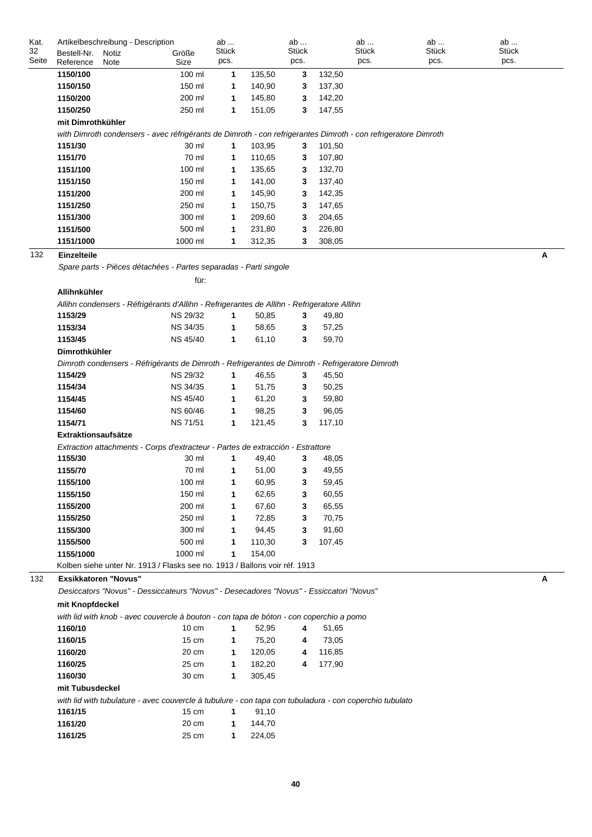| Kat.  | Artikelbeschreibung - Description                                                                              |                 | ab           |        | ab             |        | ab    | ab           | ab           |
|-------|----------------------------------------------------------------------------------------------------------------|-----------------|--------------|--------|----------------|--------|-------|--------------|--------------|
| 32    | Bestell-Nr.<br>Notiz                                                                                           | Größe           | <b>Stück</b> |        | <b>Stück</b>   |        | Stück | <b>Stück</b> | <b>Stück</b> |
| Seite | Reference<br>Note                                                                                              | Size            | pcs.         |        | pcs.           |        | pcs.  | pcs.         | pcs.         |
|       | 1150/100                                                                                                       | 100 ml          | 1            | 135,50 | 3              | 132,50 |       |              |              |
|       | 1150/150                                                                                                       | 150 ml          | 1            | 140,90 | 3              | 137,30 |       |              |              |
|       | 1150/200                                                                                                       | 200 ml          | 1            | 145,80 | 3              | 142,20 |       |              |              |
|       | 1150/250                                                                                                       | 250 ml          | 1            | 151,05 | 3              | 147,55 |       |              |              |
|       | mit Dimrothkühler                                                                                              |                 |              |        |                |        |       |              |              |
|       | with Dimroth condensers - avec réfrigérants de Dimroth - con refrigerantes Dimroth - con refrigeratore Dimroth |                 |              |        |                |        |       |              |              |
|       | 1151/30                                                                                                        | 30 ml           | $\mathbf{1}$ | 103,95 | 3              | 101,50 |       |              |              |
|       | 1151/70                                                                                                        | 70 ml           | 1            | 110,65 | 3              | 107,80 |       |              |              |
|       | 1151/100                                                                                                       | 100 ml          | 1            | 135,65 | 3              | 132,70 |       |              |              |
|       | 1151/150                                                                                                       | 150 ml          | 1            | 141,00 | 3              | 137,40 |       |              |              |
|       | 1151/200                                                                                                       | 200 ml          | 1            | 145,90 | 3              | 142,35 |       |              |              |
|       | 1151/250                                                                                                       | 250 ml          | 1            | 150,75 | 3              | 147,65 |       |              |              |
|       | 1151/300                                                                                                       | 300 ml          | 1            | 209,60 | 3              | 204,65 |       |              |              |
|       | 1151/500                                                                                                       | 500 ml          | 1            | 231,80 | 3              | 226,80 |       |              |              |
|       | 1151/1000                                                                                                      | 1000 ml         | 1            | 312,35 | 3              | 308,05 |       |              |              |
| 132   | Einzelteile                                                                                                    |                 |              |        |                |        |       |              | Α            |
|       | Spare parts - Pièces détachées - Partes separadas - Parti singole                                              |                 |              |        |                |        |       |              |              |
|       |                                                                                                                | für:            |              |        |                |        |       |              |              |
|       | Allihnkühler                                                                                                   |                 |              |        |                |        |       |              |              |
|       | Allihn condensers - Réfrigérants d'Allihn - Refrigerantes de Allihn - Refrigeratore Allihn                     |                 |              |        |                |        |       |              |              |
|       | 1153/29                                                                                                        | <b>NS 29/32</b> | $\mathbf{1}$ | 50,85  | 3              | 49,80  |       |              |              |
|       | 1153/34                                                                                                        | NS 34/35        | $\mathbf{1}$ | 58,65  | 3              | 57,25  |       |              |              |
|       | 1153/45                                                                                                        | NS 45/40        | 1            | 61,10  | 3              | 59,70  |       |              |              |
|       | Dimrothkühler                                                                                                  |                 |              |        |                |        |       |              |              |
|       | Dimroth condensers - Réfrigérants de Dimroth - Refrigerantes de Dimroth - Refrigeratore Dimroth                |                 |              |        |                |        |       |              |              |
|       | 1154/29                                                                                                        | <b>NS 29/32</b> | 1            | 46,55  | 3              | 45,50  |       |              |              |
|       | 1154/34                                                                                                        | NS 34/35        | 1            | 51,75  | 3              | 50,25  |       |              |              |
|       | 1154/45                                                                                                        | <b>NS 45/40</b> | 1            | 61,20  | 3              | 59,80  |       |              |              |
|       | 1154/60                                                                                                        | NS 60/46        | $\mathbf{1}$ | 98,25  | 3              | 96,05  |       |              |              |
|       | 1154/71                                                                                                        | <b>NS 71/51</b> | 1            | 121,45 | 3              | 117,10 |       |              |              |
|       | <b>Extraktionsaufsätze</b>                                                                                     |                 |              |        |                |        |       |              |              |
|       | Extraction attachments - Corps d'extracteur - Partes de extracción - Estrattore                                |                 |              |        |                |        |       |              |              |
|       | 1155/30                                                                                                        | 30 ml           | 1            | 49,40  | 3              | 48,05  |       |              |              |
|       | 1155/70                                                                                                        | 70 ml           | 1            | 51,00  | 3              | 49,55  |       |              |              |
|       | 1155/100                                                                                                       | 100 ml          | 1.           | 60,95  | 3              | 59,45  |       |              |              |
|       | 1155/150                                                                                                       | 150 ml          | 1            | 62,65  | 3              | 60,55  |       |              |              |
|       | 1155/200                                                                                                       | 200 ml          | 1            | 67,60  | 3              | 65,55  |       |              |              |
|       | 1155/250                                                                                                       | 250 ml          | 1            | 72,85  | 3              | 70,75  |       |              |              |
|       | 1155/300                                                                                                       | 300 ml          | 1            | 94,45  | 3              | 91,60  |       |              |              |
|       | 1155/500                                                                                                       | 500 ml          | 1            | 110,30 | 3              | 107,45 |       |              |              |
|       | 1155/1000                                                                                                      | 1000 ml         | 1            | 154,00 |                |        |       |              |              |
|       | Kolben siehe unter Nr. 1913 / Flasks see no. 1913 / Ballons voir réf. 1913                                     |                 |              |        |                |        |       |              |              |
| 132   | <b>Exsikkatoren "Novus"</b>                                                                                    |                 |              |        |                |        |       |              | А            |
|       | Desiccators "Novus" - Dessiccateurs "Novus" - Desecadores "Novus" - Essiccatori "Novus"                        |                 |              |        |                |        |       |              |              |
|       | mit Knopfdeckel                                                                                                |                 |              |        |                |        |       |              |              |
|       | with lid with knob - avec couvercle à bouton - con tapa de bóton - con coperchio a pomo                        |                 |              |        |                |        |       |              |              |
|       | 1160/10                                                                                                        | $10 \text{ cm}$ | $\mathbf{1}$ | 52,95  | 4              | 51,65  |       |              |              |
|       | 1160/15                                                                                                        | $15 \text{ cm}$ | $\mathbf{1}$ | 75,20  | 4              | 73,05  |       |              |              |
|       | 1160/20                                                                                                        | 20 cm           | $\mathbf{1}$ | 120,05 | 4              | 116,85 |       |              |              |
|       | 1160/25                                                                                                        | 25 cm           | $\mathbf 1$  | 182,20 | $\overline{4}$ | 177,90 |       |              |              |
|       | 1160/30                                                                                                        | 30 cm           | $\mathbf{1}$ | 305,45 |                |        |       |              |              |
|       | mit Tubusdeckel                                                                                                |                 |              |        |                |        |       |              |              |
|       | with lid with tubulature - avec couvercle à tubulure - con tapa con tubuladura - con coperchio tubulato        |                 |              |        |                |        |       |              |              |
|       | 1161/15                                                                                                        | $15 \text{ cm}$ | $\mathbf{1}$ | 91,10  |                |        |       |              |              |
|       | 1161/20                                                                                                        | 20 cm           | $\mathbf 1$  | 144,70 |                |        |       |              |              |
|       | 1161/25                                                                                                        | 25 cm           | $\mathbf 1$  | 224,05 |                |        |       |              |              |
|       |                                                                                                                |                 |              |        |                |        |       |              |              |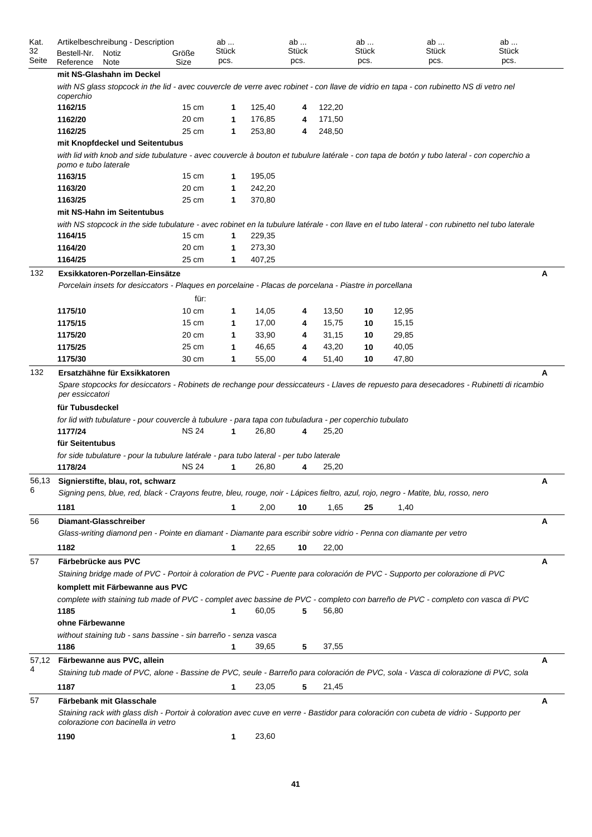| Kat.<br>32<br>Seite | Artikelbeschreibung - Description<br>Bestell-Nr.<br>Notiz<br>Reference<br>Note                                                                                                                                                                                                                                         | Größe<br>Size   | ab<br>Stück<br>pcs. |        | ab<br>Stück<br>pcs. |        | ab<br>Stück<br>pcs. | ab<br>Stück<br>pcs. | ab<br><b>Stück</b><br>pcs. |
|---------------------|------------------------------------------------------------------------------------------------------------------------------------------------------------------------------------------------------------------------------------------------------------------------------------------------------------------------|-----------------|---------------------|--------|---------------------|--------|---------------------|---------------------|----------------------------|
|                     | mit NS-Glashahn im Deckel                                                                                                                                                                                                                                                                                              |                 |                     |        |                     |        |                     |                     |                            |
|                     | with NS glass stopcock in the lid - avec couvercle de verre avec robinet - con llave de vidrio en tapa - con rubinetto NS di vetro nel<br>coperchio                                                                                                                                                                    |                 |                     |        |                     |        |                     |                     |                            |
|                     | 1162/15                                                                                                                                                                                                                                                                                                                | $15 \text{ cm}$ | 1                   | 125,40 | 4                   | 122,20 |                     |                     |                            |
|                     | 1162/20                                                                                                                                                                                                                                                                                                                | 20 cm           | 1                   | 176,85 | 4                   | 171,50 |                     |                     |                            |
|                     | 1162/25                                                                                                                                                                                                                                                                                                                | 25 cm           | 1                   | 253,80 | 4                   | 248,50 |                     |                     |                            |
|                     | mit Knopfdeckel und Seitentubus                                                                                                                                                                                                                                                                                        |                 |                     |        |                     |        |                     |                     |                            |
|                     | with lid with knob and side tubulature - avec couvercle à bouton et tubulure latérale - con tapa de botón y tubo lateral - con coperchio a<br>pomo e tubo laterale                                                                                                                                                     |                 |                     |        |                     |        |                     |                     |                            |
|                     | 1163/15                                                                                                                                                                                                                                                                                                                | $15 \text{ cm}$ | 1                   | 195,05 |                     |        |                     |                     |                            |
|                     | 1163/20                                                                                                                                                                                                                                                                                                                | 20 cm           | 1                   | 242,20 |                     |        |                     |                     |                            |
|                     | 1163/25                                                                                                                                                                                                                                                                                                                | 25 cm           | $\mathbf 1$         | 370,80 |                     |        |                     |                     |                            |
|                     | mit NS-Hahn im Seitentubus                                                                                                                                                                                                                                                                                             |                 |                     |        |                     |        |                     |                     |                            |
|                     | with NS stopcock in the side tubulature - avec robinet en la tubulure latérale - con llave en el tubo lateral - con rubinetto nel tubo laterale                                                                                                                                                                        |                 |                     |        |                     |        |                     |                     |                            |
|                     | 1164/15                                                                                                                                                                                                                                                                                                                | $15 \text{ cm}$ | 1                   | 229,35 |                     |        |                     |                     |                            |
|                     | 1164/20                                                                                                                                                                                                                                                                                                                | 20 cm           | 1                   | 273,30 |                     |        |                     |                     |                            |
|                     | 1164/25                                                                                                                                                                                                                                                                                                                | 25 cm           | 1                   | 407,25 |                     |        |                     |                     |                            |
| 132                 | Exsikkatoren-Porzellan-Einsätze                                                                                                                                                                                                                                                                                        |                 |                     |        |                     |        |                     |                     | Α                          |
|                     | Porcelain insets for desiccators - Plaques en porcelaine - Placas de porcelana - Piastre in porcellana                                                                                                                                                                                                                 |                 |                     |        |                     |        |                     |                     |                            |
|                     |                                                                                                                                                                                                                                                                                                                        | für:            |                     |        |                     |        |                     |                     |                            |
|                     | 1175/10                                                                                                                                                                                                                                                                                                                | $10 \text{ cm}$ | 1                   | 14,05  | 4                   | 13,50  | 10                  | 12,95               |                            |
|                     | 1175/15                                                                                                                                                                                                                                                                                                                | $15 \text{ cm}$ | 1                   | 17,00  | 4                   | 15,75  | 10                  | 15,15               |                            |
|                     | 1175/20                                                                                                                                                                                                                                                                                                                | 20 cm           | 1                   | 33,90  | 4                   | 31,15  | 10                  | 29,85               |                            |
|                     | 1175/25                                                                                                                                                                                                                                                                                                                | 25 cm           | 1                   | 46,65  | 4                   | 43,20  | 10                  | 40,05               |                            |
|                     | 1175/30                                                                                                                                                                                                                                                                                                                | 30 cm           | 1                   | 55,00  | 4                   | 51,40  | 10                  | 47,80               |                            |
| 132                 | Ersatzhähne für Exsikkatoren                                                                                                                                                                                                                                                                                           |                 |                     |        |                     |        |                     |                     | A                          |
|                     | Spare stopcocks for desiccators - Robinets de rechange pour dessiccateurs - Llaves de repuesto para desecadores - Rubinetti di ricambio<br>per essiccatori<br>für Tubusdeckel<br>for lid with tubulature - pour couvercle à tubulure - para tapa con tubuladura - per coperchio tubulato<br>1177/24<br>für Seitentubus | <b>NS 24</b>    | $\mathbf 1$         | 26,80  | 4                   | 25,20  |                     |                     |                            |
|                     | for side tubulature - pour la tubulure latérale - para tubo lateral - per tubo laterale<br>1178/24                                                                                                                                                                                                                     | <b>NS 24</b>    | 1                   | 26,80  | 4                   | 25,20  |                     |                     |                            |
|                     |                                                                                                                                                                                                                                                                                                                        |                 |                     |        |                     |        |                     |                     |                            |
| 56,13<br>6          | Signierstifte, blau, rot, schwarz<br>Signing pens, blue, red, black - Crayons feutre, bleu, rouge, noir - Lápices fieltro, azul, rojo, negro - Matite, blu, rosso, nero                                                                                                                                                |                 |                     |        |                     |        |                     |                     | A                          |
|                     | 1181                                                                                                                                                                                                                                                                                                                   |                 | $\mathbf 1$         | 2,00   | 10                  | 1,65   | 25                  | 1,40                |                            |
| 56                  | Diamant-Glasschreiber                                                                                                                                                                                                                                                                                                  |                 |                     |        |                     |        |                     |                     | Α                          |
|                     | Glass-writing diamond pen - Pointe en diamant - Diamante para escribir sobre vidrio - Penna con diamante per vetro                                                                                                                                                                                                     |                 |                     |        |                     |        |                     |                     |                            |
|                     | 1182                                                                                                                                                                                                                                                                                                                   |                 | 1                   | 22,65  | 10                  | 22,00  |                     |                     |                            |
| 57                  | Färbebrücke aus PVC                                                                                                                                                                                                                                                                                                    |                 |                     |        |                     |        |                     |                     | Α                          |
|                     | Staining bridge made of PVC - Portoir à coloration de PVC - Puente para coloración de PVC - Supporto per colorazione di PVC                                                                                                                                                                                            |                 |                     |        |                     |        |                     |                     |                            |
|                     | komplett mit Färbewanne aus PVC                                                                                                                                                                                                                                                                                        |                 |                     |        |                     |        |                     |                     |                            |
|                     | complete with staining tub made of PVC - complet avec bassine de PVC - completo con barreño de PVC - completo con vasca di PVC                                                                                                                                                                                         |                 |                     |        |                     |        |                     |                     |                            |
|                     | 1185                                                                                                                                                                                                                                                                                                                   |                 | 1                   | 60,05  | 5                   | 56,80  |                     |                     |                            |
|                     | ohne Färbewanne                                                                                                                                                                                                                                                                                                        |                 |                     |        |                     |        |                     |                     |                            |
|                     | without staining tub - sans bassine - sin barreño - senza vasca                                                                                                                                                                                                                                                        |                 |                     |        |                     |        |                     |                     |                            |
|                     | 1186                                                                                                                                                                                                                                                                                                                   |                 | 1                   | 39,65  | 5                   | 37,55  |                     |                     |                            |
|                     |                                                                                                                                                                                                                                                                                                                        |                 |                     |        |                     |        |                     |                     | A                          |
| 57,12<br>4          | Färbewanne aus PVC, allein<br>Staining tub made of PVC, alone - Bassine de PVC, seule - Barreño para coloración de PVC, sola - Vasca di colorazione di PVC, sola                                                                                                                                                       |                 |                     |        |                     |        |                     |                     |                            |
|                     |                                                                                                                                                                                                                                                                                                                        |                 |                     |        |                     |        |                     |                     |                            |
|                     | 1187                                                                                                                                                                                                                                                                                                                   |                 | 1                   | 23,05  | 5                   | 21,45  |                     |                     |                            |
| 57                  | Färbebank mit Glasschale                                                                                                                                                                                                                                                                                               |                 |                     |        |                     |        |                     |                     | Α                          |
|                     | Staining rack with glass dish - Portoir à coloration avec cuve en verre - Bastidor para coloración con cubeta de vidrio - Supporto per<br>colorazione con bacinella in vetro                                                                                                                                           |                 |                     |        |                     |        |                     |                     |                            |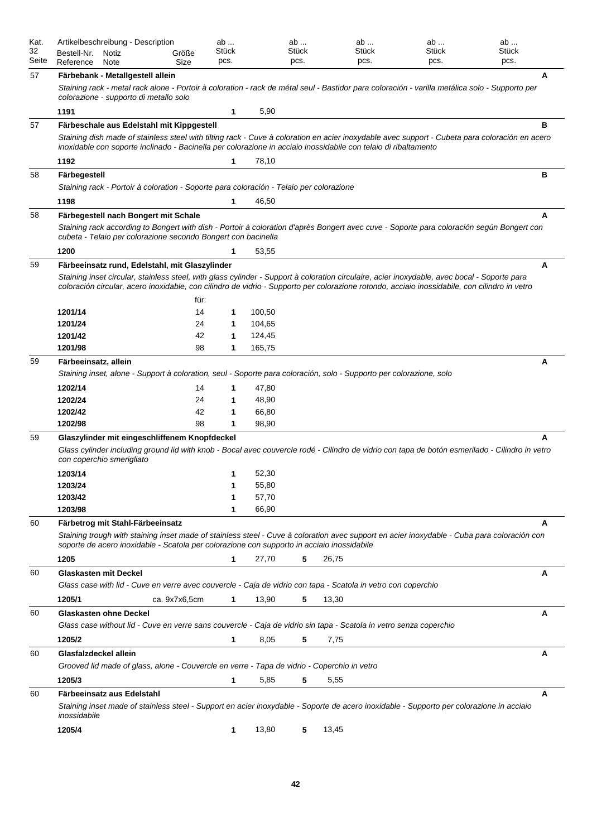| Kat.<br>32<br>Seite | Artikelbeschreibung - Description<br>Bestell-Nr.<br>Notiz<br>Reference<br>Note                                                                                                                                                                                                                                                                  | Größe<br>Size        | ab<br>Stück<br>pcs. |                                  | ab<br>Stück<br>pcs. | ab<br>Stück<br>pcs. | ab<br>Stück<br>pcs. | ab<br>Stück<br>pcs. |   |
|---------------------|-------------------------------------------------------------------------------------------------------------------------------------------------------------------------------------------------------------------------------------------------------------------------------------------------------------------------------------------------|----------------------|---------------------|----------------------------------|---------------------|---------------------|---------------------|---------------------|---|
| 57                  | Färbebank - Metallgestell allein                                                                                                                                                                                                                                                                                                                |                      |                     |                                  |                     |                     |                     |                     | A |
|                     | Staining rack - metal rack alone - Portoir à coloration - rack de métal seul - Bastidor para coloración - varilla metálica solo - Supporto per<br>colorazione - supporto di metallo solo                                                                                                                                                        |                      |                     |                                  |                     |                     |                     |                     |   |
|                     | 1191                                                                                                                                                                                                                                                                                                                                            |                      | 1                   | 5,90                             |                     |                     |                     |                     |   |
| 57                  | Färbeschale aus Edelstahl mit Kippgestell                                                                                                                                                                                                                                                                                                       |                      |                     |                                  |                     |                     |                     |                     | в |
|                     | Staining dish made of stainless steel with tilting rack - Cuve à coloration en acier inoxydable avec support - Cubeta para coloración en acero<br>inoxidable con soporte inclinado - Bacinella per colorazione in acciaio inossidabile con telaio di ribaltamento                                                                               |                      |                     |                                  |                     |                     |                     |                     |   |
|                     | 1192                                                                                                                                                                                                                                                                                                                                            |                      | 1                   | 78,10                            |                     |                     |                     |                     |   |
| 58                  | Färbegestell<br>Staining rack - Portoir à coloration - Soporte para coloración - Telaio per colorazione                                                                                                                                                                                                                                         |                      |                     |                                  |                     |                     |                     |                     | в |
|                     | 1198                                                                                                                                                                                                                                                                                                                                            |                      | 1                   | 46,50                            |                     |                     |                     |                     |   |
| 58                  | Färbegestell nach Bongert mit Schale                                                                                                                                                                                                                                                                                                            |                      |                     |                                  |                     |                     |                     |                     | A |
|                     | Staining rack according to Bongert with dish - Portoir à coloration d'après Bongert avec cuve - Soporte para coloración según Bongert con<br>cubeta - Telaio per colorazione secondo Bongert con bacinella                                                                                                                                      |                      |                     |                                  |                     |                     |                     |                     |   |
|                     | 1200                                                                                                                                                                                                                                                                                                                                            |                      | 1                   | 53,55                            |                     |                     |                     |                     |   |
| 59                  | Färbeeinsatz rund, Edelstahl, mit Glaszylinder<br>Staining inset circular, stainless steel, with glass cylinder - Support à coloration circulaire, acier inoxydable, avec bocal - Soporte para<br>coloración circular, acero inoxidable, con cilindro de vidrio - Supporto per colorazione rotondo, acciaio inossidabile, con cilindro in vetro | für:                 |                     |                                  |                     |                     |                     |                     | А |
|                     | 1201/14                                                                                                                                                                                                                                                                                                                                         | 14                   | 1                   | 100,50                           |                     |                     |                     |                     |   |
|                     | 1201/24                                                                                                                                                                                                                                                                                                                                         | 24                   | 1                   | 104,65                           |                     |                     |                     |                     |   |
|                     | 1201/42                                                                                                                                                                                                                                                                                                                                         | 42                   | 1                   | 124,45                           |                     |                     |                     |                     |   |
|                     | 1201/98                                                                                                                                                                                                                                                                                                                                         | 98                   | 1                   | 165,75                           |                     |                     |                     |                     |   |
| 59                  | Färbeeinsatz, allein<br>Staining inset, alone - Support à coloration, seul - Soporte para coloración, solo - Supporto per colorazione, solo<br>1202/14<br>1202/24<br>1202/42<br>1202/98                                                                                                                                                         | 14<br>24<br>42<br>98 | 1<br>1<br>1<br>1    | 47,80<br>48,90<br>66,80<br>98,90 |                     |                     |                     |                     | A |
|                     |                                                                                                                                                                                                                                                                                                                                                 |                      |                     |                                  |                     |                     |                     |                     |   |
| 59                  | Glaszylinder mit eingeschliffenem Knopfdeckel<br>Glass cylinder including ground lid with knob - Bocal avec couvercle rodé - Cilindro de vidrio con tapa de botón esmerilado - Cilindro in vetro<br>con coperchio smerigliato                                                                                                                   |                      |                     |                                  |                     |                     |                     |                     | А |
|                     | 1203/14                                                                                                                                                                                                                                                                                                                                         |                      | 1                   | 52,30                            |                     |                     |                     |                     |   |
|                     | 1203/24                                                                                                                                                                                                                                                                                                                                         |                      | 1                   | 55,80                            |                     |                     |                     |                     |   |
|                     | 1203/42                                                                                                                                                                                                                                                                                                                                         |                      | 1                   | 57,70                            |                     |                     |                     |                     |   |
|                     | 1203/98                                                                                                                                                                                                                                                                                                                                         |                      | 1                   | 66,90                            |                     |                     |                     |                     |   |
| 60                  | Färbetrog mit Stahl-Färbeeinsatz<br>Staining trough with staining inset made of stainless steel - Cuve à coloration avec support en acier inoxydable - Cuba para coloración con<br>soporte de acero inoxidable - Scatola per colorazione con supporto in acciaio inossidabile                                                                   |                      |                     |                                  |                     |                     |                     |                     | А |
|                     | 1205                                                                                                                                                                                                                                                                                                                                            |                      | 1                   | 27,70                            | 5                   | 26,75               |                     |                     |   |
| 60                  | <b>Glaskasten mit Deckel</b>                                                                                                                                                                                                                                                                                                                    |                      |                     |                                  |                     |                     |                     |                     | A |
|                     | Glass case with lid - Cuve en verre avec couvercle - Caja de vidrio con tapa - Scatola in vetro con coperchio                                                                                                                                                                                                                                   |                      |                     |                                  |                     |                     |                     |                     |   |
|                     | 1205/1                                                                                                                                                                                                                                                                                                                                          | ca. 9x7x6,5cm        | 1                   | 13,90                            | 5                   | 13,30               |                     |                     |   |
| 60                  | <b>Glaskasten ohne Deckel</b>                                                                                                                                                                                                                                                                                                                   |                      |                     |                                  |                     |                     |                     |                     | A |
|                     | Glass case without lid - Cuve en verre sans couvercle - Caja de vidrio sin tapa - Scatola in vetro senza coperchio                                                                                                                                                                                                                              |                      |                     |                                  |                     |                     |                     |                     |   |
|                     | 1205/2                                                                                                                                                                                                                                                                                                                                          |                      | 1                   | 8,05                             | 5                   | 7,75                |                     |                     |   |
| 60                  | Glasfalzdeckel allein                                                                                                                                                                                                                                                                                                                           |                      |                     |                                  |                     |                     |                     |                     | А |
|                     | Grooved lid made of glass, alone - Couvercle en verre - Tapa de vidrio - Coperchio in vetro                                                                                                                                                                                                                                                     |                      |                     |                                  |                     |                     |                     |                     |   |
|                     | 1205/3                                                                                                                                                                                                                                                                                                                                          |                      | 1                   | 5,85                             | 5                   | 5,55                |                     |                     |   |
| 60                  | Färbeeinsatz aus Edelstahl                                                                                                                                                                                                                                                                                                                      |                      |                     |                                  |                     |                     |                     |                     | A |
|                     | Staining inset made of stainless steel - Support en acier inoxydable - Soporte de acero inoxidable - Supporto per colorazione in acciaio<br>inossidabile                                                                                                                                                                                        |                      |                     |                                  |                     |                     |                     |                     |   |
|                     | 1205/4                                                                                                                                                                                                                                                                                                                                          |                      | 1                   | 13,80                            | 5                   | 13,45               |                     |                     |   |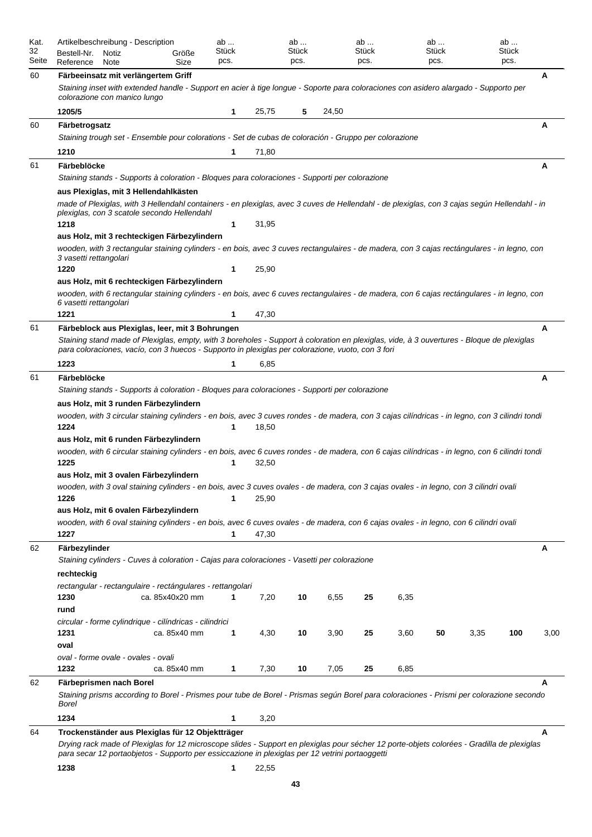| Kat.<br>32 | Artikelbeschreibung - Description<br>Bestell-Nr. | Notiz | Größe                                                                                                                                                                                                                                         | ab<br>Stück |       | ab<br>Stück |       | ab<br>Stück |      | ab<br>Stück |      | ab<br>Stück |      |
|------------|--------------------------------------------------|-------|-----------------------------------------------------------------------------------------------------------------------------------------------------------------------------------------------------------------------------------------------|-------------|-------|-------------|-------|-------------|------|-------------|------|-------------|------|
| Seite      | Reference                                        | Note  | Size                                                                                                                                                                                                                                          | pcs.        |       | pcs.        |       | pcs.        |      | pcs.        |      | pcs.        |      |
| 60         |                                                  |       | Färbeeinsatz mit verlängertem Griff                                                                                                                                                                                                           |             |       |             |       |             |      |             |      |             | A    |
|            | colorazione con manico lungo                     |       | Staining inset with extended handle - Support en acier à tige longue - Soporte para coloraciones con asidero alargado - Supporto per                                                                                                          |             |       |             |       |             |      |             |      |             |      |
|            | 1205/5                                           |       |                                                                                                                                                                                                                                               | 1           | 25,75 | 5           | 24,50 |             |      |             |      |             |      |
| 60         | Färbetrogsatz                                    |       |                                                                                                                                                                                                                                               |             |       |             |       |             |      |             |      |             | A    |
|            |                                                  |       | Staining trough set - Ensemble pour colorations - Set de cubas de coloración - Gruppo per colorazione                                                                                                                                         |             |       |             |       |             |      |             |      |             |      |
|            | 1210                                             |       |                                                                                                                                                                                                                                               | 1           | 71,80 |             |       |             |      |             |      |             |      |
| 61         | Färbeblöcke                                      |       | Staining stands - Supports à coloration - Bloques para coloraciones - Supporti per colorazione                                                                                                                                                |             |       |             |       |             |      |             |      |             | Α    |
|            |                                                  |       | aus Plexiglas, mit 3 Hellendahlkästen                                                                                                                                                                                                         |             |       |             |       |             |      |             |      |             |      |
|            |                                                  |       | made of Plexiglas, with 3 Hellendahl containers - en plexiglas, avec 3 cuves de Hellendahl - de plexiglas, con 3 cajas según Hellendahl - in<br>plexiglas, con 3 scatole secondo Hellendahl                                                   |             |       |             |       |             |      |             |      |             |      |
|            | 1218                                             |       |                                                                                                                                                                                                                                               | 1           | 31,95 |             |       |             |      |             |      |             |      |
|            |                                                  |       | aus Holz, mit 3 rechteckigen Färbezylindern                                                                                                                                                                                                   |             |       |             |       |             |      |             |      |             |      |
|            | 3 vasetti rettangolari                           |       | wooden, with 3 rectangular staining cylinders - en bois, avec 3 cuves rectangulaires - de madera, con 3 cajas rectángulares - in legno, con                                                                                                   |             |       |             |       |             |      |             |      |             |      |
|            | 1220                                             |       |                                                                                                                                                                                                                                               | 1           | 25,90 |             |       |             |      |             |      |             |      |
|            |                                                  |       | aus Holz, mit 6 rechteckigen Färbezylindern                                                                                                                                                                                                   |             |       |             |       |             |      |             |      |             |      |
|            | 6 vasetti rettangolari                           |       | wooden, with 6 rectangular staining cylinders - en bois, avec 6 cuves rectangulaires - de madera, con 6 cajas rectángulares - in legno, con                                                                                                   |             |       |             |       |             |      |             |      |             |      |
|            | 1221                                             |       |                                                                                                                                                                                                                                               | 1           | 47,30 |             |       |             |      |             |      |             |      |
| 61         |                                                  |       | Färbeblock aus Plexiglas, leer, mit 3 Bohrungen                                                                                                                                                                                               |             |       |             |       |             |      |             |      |             | A    |
|            |                                                  |       | Staining stand made of Plexiglas, empty, with 3 boreholes - Support à coloration en plexiglas, vide, à 3 ouvertures - Bloque de plexiglas                                                                                                     |             |       |             |       |             |      |             |      |             |      |
|            |                                                  |       | para coloraciones, vacío, con 3 huecos - Supporto in plexiglas per colorazione, vuoto, con 3 fori                                                                                                                                             |             |       |             |       |             |      |             |      |             |      |
|            | 1223                                             |       |                                                                                                                                                                                                                                               | 1           | 6,85  |             |       |             |      |             |      |             |      |
| 61         | Färbeblöcke                                      |       |                                                                                                                                                                                                                                               |             |       |             |       |             |      |             |      |             | A    |
|            |                                                  |       | Staining stands - Supports à coloration - Bloques para coloraciones - Supporti per colorazione                                                                                                                                                |             |       |             |       |             |      |             |      |             |      |
|            |                                                  |       | aus Holz, mit 3 runden Färbezylindern                                                                                                                                                                                                         |             |       |             |       |             |      |             |      |             |      |
|            |                                                  |       | wooden, with 3 circular staining cylinders - en bois, avec 3 cuves rondes - de madera, con 3 cajas cilíndricas - in legno, con 3 cilindri tondi                                                                                               |             |       |             |       |             |      |             |      |             |      |
|            | 1224                                             |       |                                                                                                                                                                                                                                               | 1           | 18,50 |             |       |             |      |             |      |             |      |
|            |                                                  |       | aus Holz, mit 6 runden Färbezylindern                                                                                                                                                                                                         |             |       |             |       |             |      |             |      |             |      |
|            |                                                  |       | wooden, with 6 circular staining cylinders - en bois, avec 6 cuves rondes - de madera, con 6 cajas cilíndricas - in legno, con 6 cilindri tondi                                                                                               |             |       |             |       |             |      |             |      |             |      |
|            | 1225                                             |       |                                                                                                                                                                                                                                               |             | 32,50 |             |       |             |      |             |      |             |      |
|            |                                                  |       | aus Holz, mit 3 ovalen Färbezylindern                                                                                                                                                                                                         |             |       |             |       |             |      |             |      |             |      |
|            | 1226                                             |       | wooden, with 3 oval staining cylinders - en bois, avec 3 cuves ovales - de madera, con 3 cajas ovales - in legno, con 3 cilindri ovali                                                                                                        | 1           | 25,90 |             |       |             |      |             |      |             |      |
|            |                                                  |       | aus Holz, mit 6 ovalen Färbezylindern                                                                                                                                                                                                         |             |       |             |       |             |      |             |      |             |      |
|            |                                                  |       | wooden, with 6 oval staining cylinders - en bois, avec 6 cuves ovales - de madera, con 6 cajas ovales - in legno, con 6 cilindri ovali                                                                                                        |             |       |             |       |             |      |             |      |             |      |
|            | 1227                                             |       |                                                                                                                                                                                                                                               | 1           | 47,30 |             |       |             |      |             |      |             |      |
| 62         | Färbezylinder                                    |       |                                                                                                                                                                                                                                               |             |       |             |       |             |      |             |      |             | Α    |
|            |                                                  |       | Staining cylinders - Cuves à coloration - Cajas para coloraciones - Vasetti per colorazione                                                                                                                                                   |             |       |             |       |             |      |             |      |             |      |
|            | rechteckig                                       |       |                                                                                                                                                                                                                                               |             |       |             |       |             |      |             |      |             |      |
|            |                                                  |       | rectangular - rectangulaire - rectángulares - rettangolari                                                                                                                                                                                    |             |       |             |       |             |      |             |      |             |      |
|            | 1230                                             |       | ca. 85x40x20 mm                                                                                                                                                                                                                               | 1           | 7,20  | 10          | 6,55  | 25          | 6,35 |             |      |             |      |
|            | rund                                             |       |                                                                                                                                                                                                                                               |             |       |             |       |             |      |             |      |             |      |
|            |                                                  |       | circular - forme cylindrique - cilíndricas - cilindrici                                                                                                                                                                                       |             |       |             |       |             |      |             |      |             |      |
|            | 1231                                             |       | ca. 85x40 mm                                                                                                                                                                                                                                  | 1           | 4,30  | 10          | 3,90  | 25          | 3,60 | 50          | 3,35 | 100         | 3,00 |
|            | oval                                             |       |                                                                                                                                                                                                                                               |             |       |             |       |             |      |             |      |             |      |
|            | oval - forme ovale - ovales - ovali<br>1232      |       | ca. 85x40 mm                                                                                                                                                                                                                                  | 1           | 7,30  | 10          | 7,05  | 25          | 6,85 |             |      |             |      |
|            |                                                  |       |                                                                                                                                                                                                                                               |             |       |             |       |             |      |             |      |             |      |
| 62         | Färbeprismen nach Borel                          |       | Staining prisms according to Borel - Prismes pour tube de Borel - Prismas según Borel para coloraciones - Prismi per colorazione secondo                                                                                                      |             |       |             |       |             |      |             |      |             | A    |
|            | Borel                                            |       |                                                                                                                                                                                                                                               |             |       |             |       |             |      |             |      |             |      |
|            | 1234                                             |       |                                                                                                                                                                                                                                               | 1           | 3,20  |             |       |             |      |             |      |             |      |
| 64         |                                                  |       | Trockenständer aus Plexiglas für 12 Objektträger                                                                                                                                                                                              |             |       |             |       |             |      |             |      |             | A    |
|            |                                                  |       | Drying rack made of Plexiglas for 12 microscope slides - Support en plexiglas pour sécher 12 porte-objets colorées - Gradilla de plexiglas<br>para secar 12 portaobjetos - Supporto per essiccazione in plexiglas per 12 vetrini portaoggetti |             |       |             |       |             |      |             |      |             |      |
|            | 1238                                             |       |                                                                                                                                                                                                                                               | 1           | 22,55 |             |       |             |      |             |      |             |      |
|            |                                                  |       |                                                                                                                                                                                                                                               |             |       |             |       |             |      |             |      |             |      |

**43**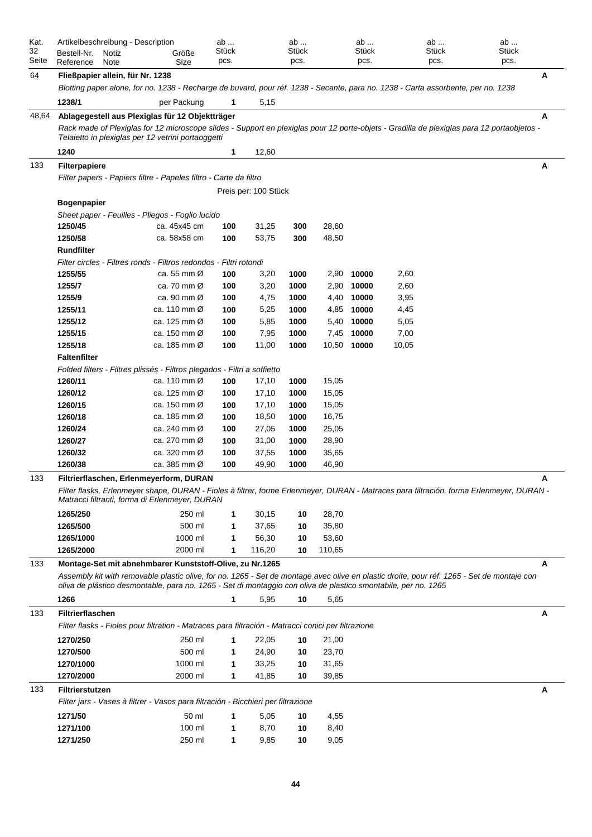| Kat.  |                         | Artikelbeschreibung - Description |                                                                                                     | ab    |                      | ab    |        | ab          | ab                                                                                                                                                                                                                                                           | ab    |   |
|-------|-------------------------|-----------------------------------|-----------------------------------------------------------------------------------------------------|-------|----------------------|-------|--------|-------------|--------------------------------------------------------------------------------------------------------------------------------------------------------------------------------------------------------------------------------------------------------------|-------|---|
| 32    | Bestell-Nr.             | Notiz                             | Größe                                                                                               | Stück |                      | Stück |        | Stück       | Stück                                                                                                                                                                                                                                                        | Stück |   |
| Seite | Reference               | Note                              | Size                                                                                                | pcs.  |                      | pcs.  |        | pcs.        | pcs.                                                                                                                                                                                                                                                         | pcs.  |   |
| 64    |                         | Fließpapier allein, für Nr. 1238  |                                                                                                     |       |                      |       |        |             |                                                                                                                                                                                                                                                              |       | A |
|       |                         |                                   |                                                                                                     |       |                      |       |        |             | Blotting paper alone, for no. 1238 - Recharge de buvard, pour réf. 1238 - Secante, para no. 1238 - Carta assorbente, per no. 1238                                                                                                                            |       |   |
|       | 1238/1                  |                                   | per Packung                                                                                         | 1     | 5,15                 |       |        |             |                                                                                                                                                                                                                                                              |       |   |
| 48,64 |                         |                                   | Ablagegestell aus Plexiglas für 12 Objektträger                                                     |       |                      |       |        |             |                                                                                                                                                                                                                                                              |       | A |
|       |                         |                                   | Telaietto in plexiglas per 12 vetrini portaoggetti                                                  |       |                      |       |        |             | Rack made of Plexiglas for 12 microscope slides - Support en plexiglas pour 12 porte-objets - Gradilla de plexiglas para 12 portaobjetos -                                                                                                                   |       |   |
|       | 1240                    |                                   |                                                                                                     | 1     | 12,60                |       |        |             |                                                                                                                                                                                                                                                              |       |   |
| 133   | <b>Filterpapiere</b>    |                                   |                                                                                                     |       |                      |       |        |             |                                                                                                                                                                                                                                                              |       | A |
|       |                         |                                   | Filter papers - Papiers filtre - Papeles filtro - Carte da filtro                                   |       |                      |       |        |             |                                                                                                                                                                                                                                                              |       |   |
|       |                         |                                   |                                                                                                     |       | Preis per: 100 Stück |       |        |             |                                                                                                                                                                                                                                                              |       |   |
|       | <b>Bogenpapier</b>      |                                   |                                                                                                     |       |                      |       |        |             |                                                                                                                                                                                                                                                              |       |   |
|       |                         |                                   | Sheet paper - Feuilles - Pliegos - Foglio lucido                                                    |       |                      |       |        |             |                                                                                                                                                                                                                                                              |       |   |
|       | 1250/45                 |                                   | ca. 45x45 cm                                                                                        | 100   | 31,25                | 300   | 28,60  |             |                                                                                                                                                                                                                                                              |       |   |
|       | 1250/58                 |                                   | ca. 58x58 cm                                                                                        | 100   | 53,75                | 300   | 48,50  |             |                                                                                                                                                                                                                                                              |       |   |
|       | Rundfilter              |                                   |                                                                                                     |       |                      |       |        |             |                                                                                                                                                                                                                                                              |       |   |
|       |                         |                                   | Filter circles - Filtres ronds - Filtros redondos - Filtri rotondi                                  |       |                      |       |        |             |                                                                                                                                                                                                                                                              |       |   |
|       | 1255/55                 |                                   | ca. 55 mm Ø                                                                                         | 100   | 3,20                 | 1000  |        | 2,90 10000  | 2,60                                                                                                                                                                                                                                                         |       |   |
|       | 1255/7                  |                                   | ca. 70 mm Ø                                                                                         | 100   | 3,20                 | 1000  |        | 2,90 10000  | 2,60                                                                                                                                                                                                                                                         |       |   |
|       | 1255/9                  |                                   | ca. 90 mm Ø                                                                                         | 100   | 4,75                 | 1000  | 4,40   | 10000       | 3,95                                                                                                                                                                                                                                                         |       |   |
|       | 1255/11                 |                                   | ca. 110 mm Ø                                                                                        | 100   | 5,25                 | 1000  |        | 4,85 10000  | 4,45                                                                                                                                                                                                                                                         |       |   |
|       | 1255/12                 |                                   | ca. 125 mm Ø                                                                                        | 100   | 5,85                 | 1000  | 5,40   | 10000       | 5,05                                                                                                                                                                                                                                                         |       |   |
|       | 1255/15                 |                                   | ca. 150 mm Ø                                                                                        | 100   | 7,95                 | 1000  | 7,45   | 10000       | 7,00                                                                                                                                                                                                                                                         |       |   |
|       | 1255/18                 |                                   | ca. 185 mm Ø                                                                                        | 100   | 11,00                | 1000  |        | 10,50 10000 | 10,05                                                                                                                                                                                                                                                        |       |   |
|       | <b>Faltenfilter</b>     |                                   |                                                                                                     |       |                      |       |        |             |                                                                                                                                                                                                                                                              |       |   |
|       |                         |                                   | Folded filters - Filtres plissés - Filtros plegados - Filtri a soffietto                            |       |                      |       |        |             |                                                                                                                                                                                                                                                              |       |   |
|       | 1260/11                 |                                   | ca. 110 mm $\varnothing$                                                                            | 100   | 17,10                | 1000  | 15,05  |             |                                                                                                                                                                                                                                                              |       |   |
|       | 1260/12                 |                                   | ca. 125 mm Ø                                                                                        | 100   | 17,10                | 1000  | 15,05  |             |                                                                                                                                                                                                                                                              |       |   |
|       | 1260/15                 |                                   | ca. 150 mm Ø                                                                                        | 100   | 17,10                | 1000  | 15,05  |             |                                                                                                                                                                                                                                                              |       |   |
|       | 1260/18                 |                                   | ca. 185 mm Ø                                                                                        | 100   | 18,50                | 1000  | 16,75  |             |                                                                                                                                                                                                                                                              |       |   |
|       | 1260/24                 |                                   | ca. 240 mm Ø                                                                                        | 100   | 27,05                | 1000  | 25,05  |             |                                                                                                                                                                                                                                                              |       |   |
|       | 1260/27                 |                                   | ca. 270 mm Ø                                                                                        | 100   | 31,00                | 1000  | 28,90  |             |                                                                                                                                                                                                                                                              |       |   |
|       | 1260/32                 |                                   | ca. 320 mm Ø                                                                                        | 100   | 37,55                | 1000  | 35,65  |             |                                                                                                                                                                                                                                                              |       |   |
|       | 1260/38                 |                                   | ca. 385 mm Ø                                                                                        | 100   | 49,90                | 1000  | 46,90  |             |                                                                                                                                                                                                                                                              |       |   |
| 133   |                         |                                   | Filtrierflaschen, Erlenmeverform, DURAN                                                             |       |                      |       |        |             |                                                                                                                                                                                                                                                              |       | A |
|       |                         |                                   | Matracci filtranti, forma di Erlenmeyer, DURAN                                                      |       |                      |       |        |             | Filter flasks, Erlenmeyer shape, DURAN - Fioles à filtrer, forme Erlenmeyer, DURAN - Matraces para filtración, forma Erlenmeyer, DURAN -                                                                                                                     |       |   |
|       | 1265/250                |                                   | 250 ml                                                                                              | 1     | 30,15                | 10    | 28,70  |             |                                                                                                                                                                                                                                                              |       |   |
|       | 1265/500                |                                   | 500 ml                                                                                              | 1     | 37,65                | 10    | 35,80  |             |                                                                                                                                                                                                                                                              |       |   |
|       | 1265/1000               |                                   | 1000 ml                                                                                             | 1     | 56,30                | 10    | 53,60  |             |                                                                                                                                                                                                                                                              |       |   |
|       | 1265/2000               |                                   | 2000 ml                                                                                             | 1     | 116,20               | 10    | 110,65 |             |                                                                                                                                                                                                                                                              |       |   |
| 133   |                         |                                   | Montage-Set mit abnehmbarer Kunststoff-Olive, zu Nr.1265                                            |       |                      |       |        |             |                                                                                                                                                                                                                                                              |       | A |
|       |                         |                                   |                                                                                                     |       |                      |       |        |             | Assembly kit with removable plastic olive, for no. 1265 - Set de montage avec olive en plastic droite, pour réf. 1265 - Set de montaje con<br>oliva de plástico desmontable, para no. 1265 - Set di montaggio con oliva de plastico smontabile, per no. 1265 |       |   |
|       | 1266                    |                                   |                                                                                                     | 1     | 5,95                 | 10    | 5,65   |             |                                                                                                                                                                                                                                                              |       |   |
| 133   | <b>Filtrierflaschen</b> |                                   |                                                                                                     |       |                      |       |        |             |                                                                                                                                                                                                                                                              |       | A |
|       |                         |                                   | Filter flasks - Fioles pour filtration - Matraces para filtración - Matracci conici per filtrazione |       |                      |       |        |             |                                                                                                                                                                                                                                                              |       |   |
|       | 1270/250                |                                   | 250 ml                                                                                              | 1     | 22,05                | 10    | 21,00  |             |                                                                                                                                                                                                                                                              |       |   |
|       | 1270/500                |                                   | 500 ml                                                                                              | 1     | 24,90                | 10    | 23,70  |             |                                                                                                                                                                                                                                                              |       |   |
|       | 1270/1000               |                                   | 1000 ml                                                                                             | 1     | 33,25                | 10    | 31,65  |             |                                                                                                                                                                                                                                                              |       |   |
|       | 1270/2000               |                                   | 2000 ml                                                                                             | 1     | 41,85                | 10    | 39,85  |             |                                                                                                                                                                                                                                                              |       |   |
| 133   | <b>Filtrierstutzen</b>  |                                   |                                                                                                     |       |                      |       |        |             |                                                                                                                                                                                                                                                              |       | A |
|       |                         |                                   | Filter jars - Vases à filtrer - Vasos para filtración - Bicchieri per filtrazione                   |       |                      |       |        |             |                                                                                                                                                                                                                                                              |       |   |
|       |                         |                                   |                                                                                                     |       |                      |       |        |             |                                                                                                                                                                                                                                                              |       |   |
|       | 1271/50                 |                                   | 50 ml                                                                                               | 1     | 5,05                 | 10    | 4,55   |             |                                                                                                                                                                                                                                                              |       |   |
|       | 1271/100                |                                   | 100 ml                                                                                              | 1     | 8,70                 | 10    | 8,40   |             |                                                                                                                                                                                                                                                              |       |   |
|       | 1271/250                |                                   | 250 ml                                                                                              | 1     | 9,85                 | 10    | 9,05   |             |                                                                                                                                                                                                                                                              |       |   |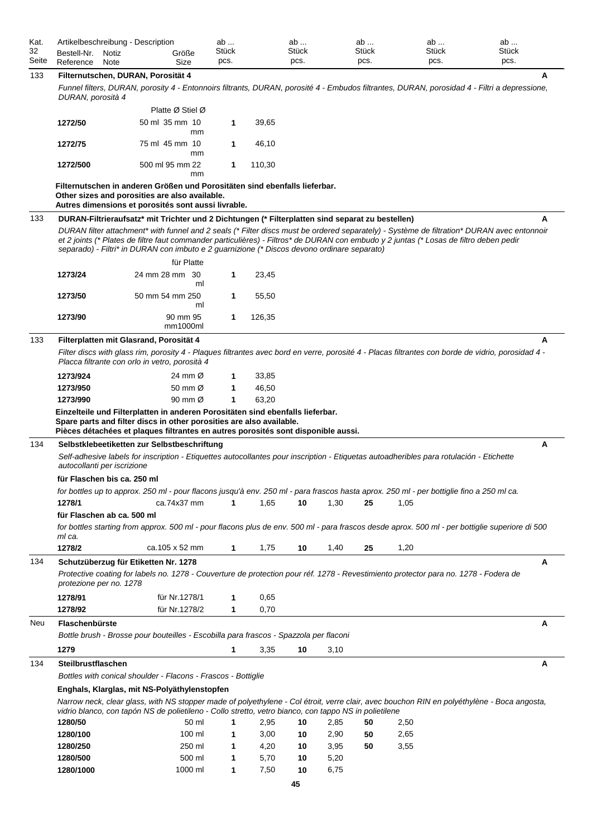| Kat.  |             | Artikelbeschreibung - Description |       | av           | ab           | ab           | ab           | ab           |  |
|-------|-------------|-----------------------------------|-------|--------------|--------------|--------------|--------------|--------------|--|
| 32    | Bestell-Nr. | Notiz                             | Größe | <b>Stück</b> | <b>Stück</b> | <b>Stück</b> | <b>Stück</b> | <b>Stück</b> |  |
| Seite | Reference   | Note                              | Size  | pcs.         | pcs.         | pcs.         | pcs.         | pcs.         |  |

# 133 **Filternutschen, DURAN, Porosität 4 A**

*Funnel filters, DURAN, porosity 4 - Entonnoirs filtrants, DURAN, porosité 4 - Embudos filtrantes, DURAN, porosidad 4 - Filtri a depressione, DURAN, porosità 4*

|          | Platte Ø Stiel Ø      |             |        |
|----------|-----------------------|-------------|--------|
| 1272/50  | 50 ml 35 mm 10<br>mm  | $\mathbf 1$ | 39.65  |
| 1272/75  | 75 ml 45 mm 10<br>mm  | 1           | 46.10  |
| 1272/500 | 500 ml 95 mm 22<br>mm | 1           | 110.30 |

# **Filternutschen in anderen Größen und Porositäten sind ebenfalls lieferbar. Other sizes and porosities are also available.**

|     |                             | Autres dimensions et porosités sont aussi livrable.                                                                                                                                                                                                                                                                                                                                 |             |        |    |      |    |      |   |
|-----|-----------------------------|-------------------------------------------------------------------------------------------------------------------------------------------------------------------------------------------------------------------------------------------------------------------------------------------------------------------------------------------------------------------------------------|-------------|--------|----|------|----|------|---|
| 133 |                             | DURAN-Filtrieraufsatz* mit Trichter und 2 Dichtungen (* Filterplatten sind separat zu bestellen)                                                                                                                                                                                                                                                                                    |             |        |    |      |    |      | А |
|     |                             | DURAN filter attachment* with funnel and 2 seals (* Filter discs must be ordered separately) - Système de filtration* DURAN avec entonnoir<br>et 2 joints (* Plates de filtre faut commander particulières) - Filtros* de DURAN con embudo y 2 juntas (* Losas de filtro deben pedir<br>separado) - Filtri* in DURAN con imbuto e 2 guarnizione (* Discos devono ordinare separato) |             |        |    |      |    |      |   |
|     |                             | für Platte                                                                                                                                                                                                                                                                                                                                                                          |             |        |    |      |    |      |   |
|     | 1273/24                     | 24 mm 28 mm 30<br>ml                                                                                                                                                                                                                                                                                                                                                                | 1           | 23,45  |    |      |    |      |   |
|     | 1273/50                     | 50 mm 54 mm 250<br>ml                                                                                                                                                                                                                                                                                                                                                               | 1           | 55,50  |    |      |    |      |   |
|     | 1273/90                     | 90 mm 95<br>mm1000ml                                                                                                                                                                                                                                                                                                                                                                | 1           | 126,35 |    |      |    |      |   |
| 133 |                             | Filterplatten mit Glasrand, Porosität 4                                                                                                                                                                                                                                                                                                                                             |             |        |    |      |    |      | A |
|     |                             | Filter discs with glass rim, porosity 4 - Plaques filtrantes avec bord en verre, porosité 4 - Placas filtrantes con borde de vidrio, porosidad 4 -<br>Placca filtrante con orlo in vetro, porosità 4                                                                                                                                                                                |             |        |    |      |    |      |   |
|     | 1273/924                    | 24 mm Ø                                                                                                                                                                                                                                                                                                                                                                             | 1           | 33,85  |    |      |    |      |   |
|     | 1273/950                    | 50 mm $\varnothing$                                                                                                                                                                                                                                                                                                                                                                 | 1           | 46,50  |    |      |    |      |   |
|     | 1273/990                    | 90 mm $\varnothing$                                                                                                                                                                                                                                                                                                                                                                 | 1           | 63,20  |    |      |    |      |   |
|     |                             | Einzelteile und Filterplatten in anderen Porositäten sind ebenfalls lieferbar.<br>Spare parts and filter discs in other porosities are also available.<br>Pièces détachées et plaques filtrantes en autres porosités sont disponible aussi.                                                                                                                                         |             |        |    |      |    |      |   |
| 134 |                             | Selbstklebeetiketten zur Selbstbeschriftung                                                                                                                                                                                                                                                                                                                                         |             |        |    |      |    |      | A |
|     | autocollanti per iscrizione | Self-adhesive labels for inscription - Etiquettes autocollantes pour inscription - Etiquetas autoadheribles para rotulación - Etichette                                                                                                                                                                                                                                             |             |        |    |      |    |      |   |
|     | für Flaschen bis ca. 250 ml |                                                                                                                                                                                                                                                                                                                                                                                     |             |        |    |      |    |      |   |
|     |                             | for bottles up to approx. 250 ml - pour flacons jusqu'à env. 250 ml - para frascos hasta aprox. 250 ml - per bottiglie fino a 250 ml ca.                                                                                                                                                                                                                                            |             |        |    |      |    |      |   |
|     | 1278/1                      | ca.74x37 mm                                                                                                                                                                                                                                                                                                                                                                         | 1           | 1,65   | 10 | 1,30 | 25 | 1,05 |   |
|     | für Flaschen ab ca. 500 ml  |                                                                                                                                                                                                                                                                                                                                                                                     |             |        |    |      |    |      |   |
|     | ml ca.                      | for bottles starting from approx. 500 ml - pour flacons plus de env. 500 ml - para frascos desde aprox. 500 ml - per bottiglie superiore di 500                                                                                                                                                                                                                                     |             |        |    |      |    |      |   |
|     | 1278/2                      | ca.105 x 52 mm                                                                                                                                                                                                                                                                                                                                                                      | 1           | 1,75   | 10 | 1,40 | 25 | 1,20 |   |
| 134 |                             | Schutzüberzug für Etiketten Nr. 1278                                                                                                                                                                                                                                                                                                                                                |             |        |    |      |    |      | A |
|     | protezione per no. 1278     | Protective coating for labels no. 1278 - Couverture de protection pour réf. 1278 - Revestimiento protector para no. 1278 - Fodera de                                                                                                                                                                                                                                                |             |        |    |      |    |      |   |
|     | 1278/91                     | für Nr.1278/1                                                                                                                                                                                                                                                                                                                                                                       | 1           | 0,65   |    |      |    |      |   |
|     | 1278/92                     | für Nr.1278/2                                                                                                                                                                                                                                                                                                                                                                       | 1           | 0,70   |    |      |    |      |   |
| Neu | Flaschenbürste              |                                                                                                                                                                                                                                                                                                                                                                                     |             |        |    |      |    |      | Α |
|     |                             | Bottle brush - Brosse pour bouteilles - Escobilla para frascos - Spazzola per flaconi                                                                                                                                                                                                                                                                                               |             |        |    |      |    |      |   |
|     | 1279                        |                                                                                                                                                                                                                                                                                                                                                                                     | $\mathbf 1$ | 3,35   | 10 | 3,10 |    |      |   |
| 134 | <b>Steilbrustflaschen</b>   |                                                                                                                                                                                                                                                                                                                                                                                     |             |        |    |      |    |      | Α |
|     |                             | Bottles with conical shoulder - Flacons - Frascos - Bottiglie                                                                                                                                                                                                                                                                                                                       |             |        |    |      |    |      |   |
|     |                             | Enghals, Klarglas, mit NS-Polyäthylenstopfen                                                                                                                                                                                                                                                                                                                                        |             |        |    |      |    |      |   |
|     |                             | Narrow neck, clear glass, with NS stopper made of polyethylene - Col étroit, verre clair, avec bouchon RIN en polyéthylène - Boca angosta,<br>vidrio blanco, con tapón NS de polietileno - Collo stretto, vetro bianco, con tappo NS in polietilene                                                                                                                                 |             |        |    |      |    |      |   |
|     | 1280/50                     | 50 ml                                                                                                                                                                                                                                                                                                                                                                               | 1           | 2,95   | 10 | 2,85 | 50 | 2,50 |   |
|     | 1280/100                    | 100 ml                                                                                                                                                                                                                                                                                                                                                                              | 1           | 3,00   | 10 | 2,90 | 50 | 2,65 |   |
|     | 1280/250                    | 250 ml                                                                                                                                                                                                                                                                                                                                                                              | 1           | 4,20   | 10 | 3,95 | 50 | 3,55 |   |
|     | 1280/500                    | 500 ml                                                                                                                                                                                                                                                                                                                                                                              | 1           | 5,70   | 10 | 5,20 |    |      |   |
|     | 1280/1000                   | 1000 ml                                                                                                                                                                                                                                                                                                                                                                             | 1           | 7,50   | 10 | 6,75 |    |      |   |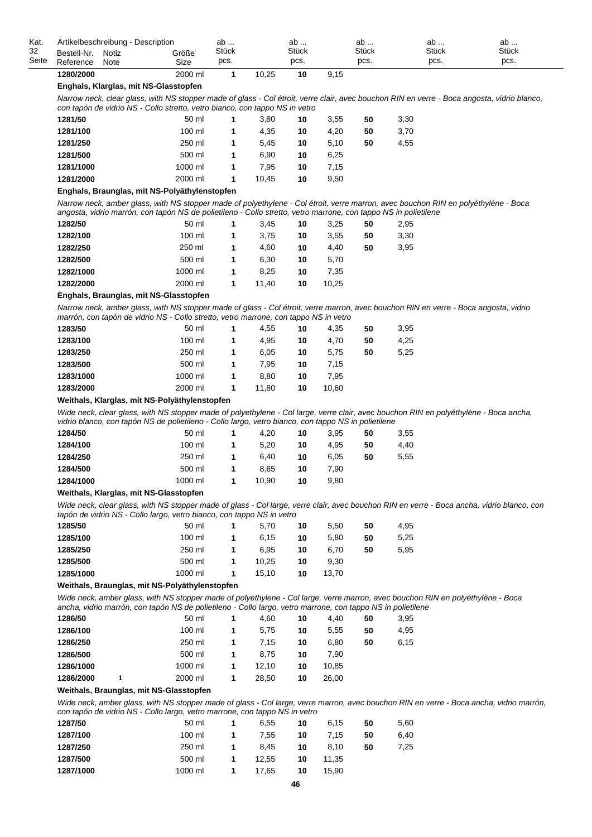| Kat.        | Artikelbeschreibung - Description |               |               | ab            |       | ab            |      | ab                   | ab                   | ab            |  |
|-------------|-----------------------------------|---------------|---------------|---------------|-------|---------------|------|----------------------|----------------------|---------------|--|
| 32<br>Seite | Bestell-Nr.<br>Reference          | Notiz<br>Note | Größe<br>Size | Stück<br>pcs. |       | Stück<br>pcs. |      | <b>Stück</b><br>DCS. | <b>Stück</b><br>pcs. | Stück<br>pcs. |  |
|             | 1280/2000                         |               | 2000 ml       |               | 10.25 | 10            | 9,15 |                      |                      |               |  |

### **Enghals, Klarglas, mit NS-Glasstopfen**

*Narrow neck, clear glass, with NS stopper made of glass - Col étroit, verre clair, avec bouchon RIN en verre - Boca angosta, vidrio blanco, con tapón de vidrio NS - Collo stretto, vetro bianco, con tappo NS in vetro*

| 1281/50   | 50 ml    | 3,80  | 10 | 3.55 | 50 | 3,30 |
|-----------|----------|-------|----|------|----|------|
| 1281/100  | $100$ ml | 4.35  | 10 | 4.20 | 50 | 3,70 |
| 1281/250  | 250 ml   | 5.45  | 10 | 5.10 | 50 | 4,55 |
| 1281/500  | 500 ml   | 6.90  | 10 | 6.25 |    |      |
| 1281/1000 | 1000 ml  | 7.95  | 10 | 7.15 |    |      |
| 1281/2000 | 2000 ml  | 10.45 | 10 | 9.50 |    |      |

### **Enghals, Braunglas, mit NS-Polyäthylenstopfen**

*Narrow neck, amber glass, with NS stopper made of polyethylene - Col étroit, verre marron, avec bouchon RIN en polyéthylène - Boca angosta, vidrio marrón, con tapón NS de polietileno - Collo stretto, vetro marrone, con tappo NS in polietilene*

| 1282/50   | 50 ml    |   | 3.45  | 10 | 3.25  | 50 | 2,95 |
|-----------|----------|---|-------|----|-------|----|------|
| 1282/100  | $100$ ml |   | 3,75  | 10 | 3.55  | 50 | 3,30 |
| 1282/250  | 250 ml   |   | 4,60  | 10 | 4.40  | 50 | 3,95 |
| 1282/500  | 500 ml   |   | 6.30  | 10 | 5.70  |    |      |
| 1282/1000 | 1000 ml  |   | 8.25  | 10 | 7.35  |    |      |
| 1282/2000 | 2000 ml  | 1 | 11.40 | 10 | 10.25 |    |      |
|           |          |   |       |    |       |    |      |

## **Enghals, Braunglas, mit NS-Glasstopfen**

*Narrow neck, amber glass, with NS stopper made of glass - Col étroit, verre marron, avec bouchon RlN en verre - Boca angosta, vidrio marrón, con tapón de vidrio NS - Collo stretto, vetro marrone, con tappo NS in vetro*

| 1283/50   | 50 ml    | 4.55  | 10 | 4.35  | 50 | 3,95 |
|-----------|----------|-------|----|-------|----|------|
| 1283/100  | $100$ ml | 4.95  | 10 | 4.70  | 50 | 4,25 |
| 1283/250  | 250 ml   | 6.05  | 10 | 5,75  | 50 | 5,25 |
| 1283/500  | 500 ml   | 7.95  | 10 | 7.15  |    |      |
| 1283/1000 | 1000 ml  | 8.80  | 10 | 7.95  |    |      |
| 1283/2000 | 2000 ml  | 11.80 | 10 | 10.60 |    |      |
|           |          |       |    |       |    |      |

## **Weithals, Klarglas, mit NS-Polyäthylenstopfen**

*Wide neck, clear glass, with NS stopper made of polyethylene - Col large, verre clair, avec bouchon RIN en polyéthylène - Boca ancha, vidrio blanco, con tapón NS de polietileno - Collo largo, vetro bianco, con tappo NS in polietilene*

| 1284/50   | 50 ml    | 4.20  | 10 | 3.95 | 50 | 3.55 |
|-----------|----------|-------|----|------|----|------|
| 1284/100  | $100$ ml | 5.20  | 10 | 4.95 | 50 | 4,40 |
| 1284/250  | 250 ml   | 6.40  | 10 | 6.05 | 50 | 5,55 |
| 1284/500  | 500 ml   | 8.65  | 10 | 7.90 |    |      |
| 1284/1000 | 1000 ml  | 10.90 | 10 | 9.80 |    |      |

#### **Weithals, Klarglas, mit NS-Glasstopfen**

*Wide neck, clear glass, with NS stopper made of glass - Col large, verre clair, avec bouchon RIN en verre - Boca ancha, vidrio blanco, con tapón de vidrio NS - Collo largo, vetro bianco, con tappo NS in vetro*

| 1285/50   | 50 ml    | 5.70  | 10 | 5.50  | 50 | 4,95 |
|-----------|----------|-------|----|-------|----|------|
| 1285/100  | $100$ ml | 6.15  | 10 | 5.80  | 50 | 5,25 |
| 1285/250  | 250 ml   | 6.95  | 10 | 6.70  | 50 | 5,95 |
| 1285/500  | 500 ml   | 10.25 | 10 | 9.30  |    |      |
| 1285/1000 | 1000 ml  | 15.10 | 10 | 13.70 |    |      |

## **Weithals, Braunglas, mit NS-Polyäthylenstopfen**

*Wide neck, amber glass, with NS stopper made of polyethylene - Col large, verre marron, avec bouchon RIN en polyéthylène - Boca ancha, vidrio marrón, con tapón NS de polietileno - Collo largo, vetro marrone, con tappo NS in polietilene*

| 1286/50   | 50 ml    | 4.60  | 10 | 4.40  | 50 | 3.95 |
|-----------|----------|-------|----|-------|----|------|
| 1286/100  | $100$ ml | 5.75  | 10 | 5.55  | 50 | 4,95 |
| 1286/250  | 250 ml   | 7.15  | 10 | 6.80  | 50 | 6,15 |
| 1286/500  | 500 ml   | 8.75  | 10 | 7.90  |    |      |
| 1286/1000 | 1000 ml  | 12.10 | 10 | 10.85 |    |      |
| 1286/2000 | 2000 ml  | 28.50 | 10 | 26.00 |    |      |

## **Weithals, Braunglas, mit NS-Glasstopfen**

*Wide neck, amber glass, with NS stopper made of glass - Col large, verre marron, avec bouchon RIN en verre - Boca ancha, vidrio marrón, con tapón de vidrio NS - Collo largo, vetro marrone, con tappo NS in vetro*

| 1287/50   | 50 ml   | 1. | 6.55  | 10 | 6.15  | 50 | 5,60 |
|-----------|---------|----|-------|----|-------|----|------|
| 1287/100  | 100 ml  | 1. | 7.55  | 10 | 7.15  | 50 | 6,40 |
| 1287/250  | 250 ml  | 1. | 8.45  | 10 | 8.10  | 50 | 7,25 |
| 1287/500  | 500 ml  | 1. | 12.55 | 10 | 11.35 |    |      |
| 1287/1000 | 1000 ml | 1. | 17.65 | 10 | 15.90 |    |      |
|           |         |    |       |    |       |    |      |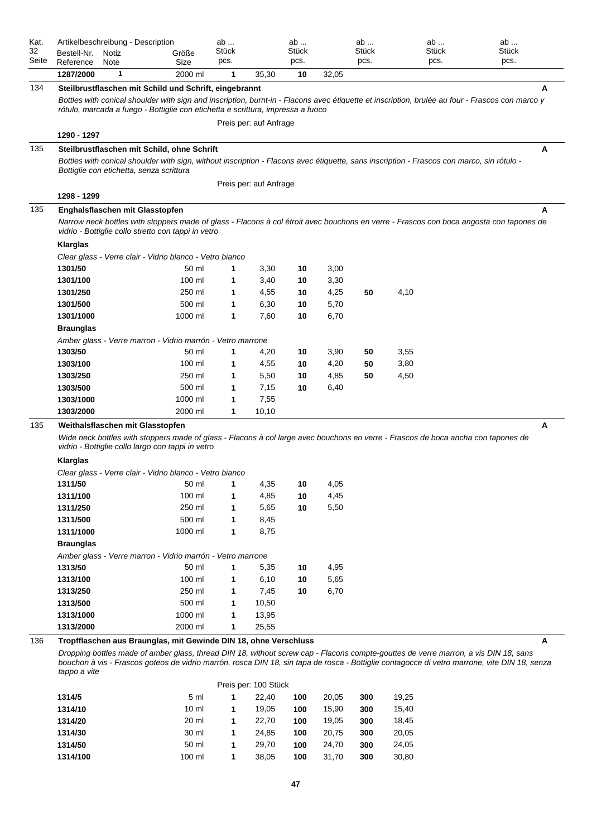| Kat.<br>32<br>Seite | Bestell-Nr.<br>Reference | Artikelbeschreibung - Description<br>Notiz<br>Note                                      | Größe<br>Size | ab<br>Stück<br>pcs. |                        | ab<br>Stück<br>pcs. |       | ab<br>Stück<br>pcs. | ab<br><b>Stück</b><br>pcs.                                                                                                                                                                                                                                                          | ab<br>Stück<br>pcs. |
|---------------------|--------------------------|-----------------------------------------------------------------------------------------|---------------|---------------------|------------------------|---------------------|-------|---------------------|-------------------------------------------------------------------------------------------------------------------------------------------------------------------------------------------------------------------------------------------------------------------------------------|---------------------|
|                     | 1287/2000                | 1                                                                                       | 2000 ml       | 1                   | 35,30                  | 10                  | 32,05 |                     |                                                                                                                                                                                                                                                                                     |                     |
| 134                 |                          | Steilbrustflaschen mit Schild und Schrift, eingebrannt                                  |               |                     |                        |                     |       |                     |                                                                                                                                                                                                                                                                                     | A                   |
|                     |                          | rótulo, marcada a fuego - Bottiglie con etichetta e scrittura, impressa a fuoco         |               |                     |                        |                     |       |                     | Bottles with conical shoulder with sign and inscription, burnt-in - Flacons avec étiquette et inscription, brulée au four - Frascos con marco y                                                                                                                                     |                     |
|                     |                          |                                                                                         |               |                     | Preis per: auf Anfrage |                     |       |                     |                                                                                                                                                                                                                                                                                     |                     |
|                     | 1290 - 1297              |                                                                                         |               |                     |                        |                     |       |                     |                                                                                                                                                                                                                                                                                     |                     |
| 135                 |                          | Steilbrustflaschen mit Schild, ohne Schrift<br>Bottiglie con etichetta, senza scrittura |               |                     | Preis per: auf Anfrage |                     |       |                     | Bottles with conical shoulder with sign, without inscription - Flacons avec étiquette, sans inscription - Frascos con marco, sin rótulo -                                                                                                                                           | A                   |
|                     | 1298 - 1299              |                                                                                         |               |                     |                        |                     |       |                     |                                                                                                                                                                                                                                                                                     |                     |
| 135                 |                          | Enghalsflaschen mit Glasstopfen                                                         |               |                     |                        |                     |       |                     |                                                                                                                                                                                                                                                                                     | A                   |
|                     |                          | vidrio - Bottiglie collo stretto con tappi in vetro                                     |               |                     |                        |                     |       |                     | Narrow neck bottles with stoppers made of glass - Flacons à col étroit avec bouchons en verre - Frascos con boca angosta con tapones de                                                                                                                                             |                     |
|                     | <b>Klarglas</b>          |                                                                                         |               |                     |                        |                     |       |                     |                                                                                                                                                                                                                                                                                     |                     |
|                     |                          | Clear glass - Verre clair - Vidrio blanco - Vetro bianco                                |               |                     |                        |                     |       |                     |                                                                                                                                                                                                                                                                                     |                     |
|                     | 1301/50                  |                                                                                         | 50 ml         | 1                   | 3,30                   | 10                  | 3,00  |                     |                                                                                                                                                                                                                                                                                     |                     |
|                     | 1301/100                 |                                                                                         | 100 ml        | 1                   | 3,40                   | 10                  | 3,30  |                     |                                                                                                                                                                                                                                                                                     |                     |
|                     | 1301/250                 |                                                                                         | 250 ml        | 1                   | 4,55                   | 10                  | 4,25  | 50                  | 4,10                                                                                                                                                                                                                                                                                |                     |
|                     | 1301/500                 |                                                                                         | 500 ml        | 1                   | 6,30                   | 10                  | 5,70  |                     |                                                                                                                                                                                                                                                                                     |                     |
|                     | 1301/1000                |                                                                                         | 1000 ml       | 1                   | 7,60                   | 10                  | 6.70  |                     |                                                                                                                                                                                                                                                                                     |                     |
|                     | <b>Braunglas</b>         |                                                                                         |               |                     |                        |                     |       |                     |                                                                                                                                                                                                                                                                                     |                     |
|                     |                          | Amber glass - Verre marron - Vidrio marrón - Vetro marrone                              |               |                     |                        |                     |       |                     |                                                                                                                                                                                                                                                                                     |                     |
|                     | 1303/50                  |                                                                                         | 50 ml         | 1                   | 4,20                   | 10                  | 3,90  | 50                  | 3,55                                                                                                                                                                                                                                                                                |                     |
|                     | 1303/100                 |                                                                                         | 100 ml        | 1                   | 4,55                   | 10                  | 4,20  | 50                  | 3,80                                                                                                                                                                                                                                                                                |                     |
|                     | 1303/250                 |                                                                                         | 250 ml        | 1                   | 5,50                   | 10                  | 4,85  | 50                  | 4,50                                                                                                                                                                                                                                                                                |                     |
|                     | 1303/500                 |                                                                                         | 500 ml        | 1                   | 7,15                   | 10                  | 6,40  |                     |                                                                                                                                                                                                                                                                                     |                     |
|                     | 1303/1000                |                                                                                         | 1000 ml       | 1                   | 7,55                   |                     |       |                     |                                                                                                                                                                                                                                                                                     |                     |
|                     | 1303/2000                |                                                                                         | 2000 ml       | 1                   | 10,10                  |                     |       |                     |                                                                                                                                                                                                                                                                                     |                     |
| 135                 |                          | Weithalsflaschen mit Glasstopfen                                                        |               |                     |                        |                     |       |                     |                                                                                                                                                                                                                                                                                     | A                   |
|                     |                          | vidrio - Bottiglie collo largo con tappi in vetro                                       |               |                     |                        |                     |       |                     | Wide neck bottles with stoppers made of glass - Flacons à col large avec bouchons en verre - Frascos de boca ancha con tapones de                                                                                                                                                   |                     |
|                     | <b>Klarglas</b>          |                                                                                         |               |                     |                        |                     |       |                     |                                                                                                                                                                                                                                                                                     |                     |
|                     |                          | Clear glass - Verre clair - Vidrio blanco - Vetro bianco                                |               |                     |                        |                     |       |                     |                                                                                                                                                                                                                                                                                     |                     |
|                     | 1311/50                  |                                                                                         | 50 ml         | 1                   | 4,35                   | 10                  | 4,05  |                     |                                                                                                                                                                                                                                                                                     |                     |
|                     | 1311/100                 |                                                                                         | 100 ml        | 1                   | 4,85                   | 10                  | 4,45  |                     |                                                                                                                                                                                                                                                                                     |                     |
|                     | 1311/250                 |                                                                                         | 250 ml        | 1                   | 5,65                   | 10                  | 5,50  |                     |                                                                                                                                                                                                                                                                                     |                     |
|                     | 1311/500                 |                                                                                         | 500 ml        | 1                   | 8,45                   |                     |       |                     |                                                                                                                                                                                                                                                                                     |                     |
|                     | 1311/1000                |                                                                                         | 1000 ml       | 1                   | 8,75                   |                     |       |                     |                                                                                                                                                                                                                                                                                     |                     |
|                     | <b>Braunglas</b>         |                                                                                         |               |                     |                        |                     |       |                     |                                                                                                                                                                                                                                                                                     |                     |
|                     |                          | Amber glass - Verre marron - Vidrio marrón - Vetro marrone                              |               |                     |                        |                     |       |                     |                                                                                                                                                                                                                                                                                     |                     |
|                     | 1313/50                  |                                                                                         | 50 ml         | 1                   | 5,35                   | 10                  | 4,95  |                     |                                                                                                                                                                                                                                                                                     |                     |
|                     | 1313/100                 |                                                                                         | 100 ml        | 1                   | 6,10                   | 10                  | 5,65  |                     |                                                                                                                                                                                                                                                                                     |                     |
|                     | 1313/250                 |                                                                                         | 250 ml        | 1                   | 7,45                   | 10                  | 6,70  |                     |                                                                                                                                                                                                                                                                                     |                     |
|                     | 1313/500                 |                                                                                         | 500 ml        | 1                   | 10,50                  |                     |       |                     |                                                                                                                                                                                                                                                                                     |                     |
|                     | 1313/1000                |                                                                                         | 1000 ml       | 1                   | 13,95                  |                     |       |                     |                                                                                                                                                                                                                                                                                     |                     |
|                     | 1313/2000                |                                                                                         | 2000 ml       | 1                   | 25,55                  |                     |       |                     |                                                                                                                                                                                                                                                                                     |                     |
| 136                 |                          | Tropfflaschen aus Braunglas, mit Gewinde DIN 18, ohne Verschluss                        |               |                     |                        |                     |       |                     |                                                                                                                                                                                                                                                                                     | A                   |
|                     | tappo a vite             |                                                                                         |               |                     |                        |                     |       |                     | Dropping bottles made of amber glass, thread DIN 18, without screw cap - Flacons compte-gouttes de verre marron, a vis DIN 18, sans<br>bouchon à vis - Frascos goteos de vidrio marrón, rosca DIN 18, sin tapa de rosca - Bottiglie contagocce di vetro marrone, vite DIN 18, senza |                     |

|          |                 |   | Preis per: 100 Stück |     |       |     |       |
|----------|-----------------|---|----------------------|-----|-------|-----|-------|
| 1314/5   | 5 <sub>m</sub>  | 1 | 22.40                | 100 | 20.05 | 300 | 19,25 |
| 1314/10  | $10 \mathrm{m}$ | 1 | 19.05                | 100 | 15.90 | 300 | 15,40 |
| 1314/20  | 20 ml           | 1 | 22.70                | 100 | 19.05 | 300 | 18.45 |
| 1314/30  | 30 ml           | 1 | 24.85                | 100 | 20.75 | 300 | 20,05 |
| 1314/50  | 50 ml           | 1 | 29.70                | 100 | 24.70 | 300 | 24,05 |
| 1314/100 | $100$ ml        | 1 | 38.05                | 100 | 31.70 | 300 | 30,80 |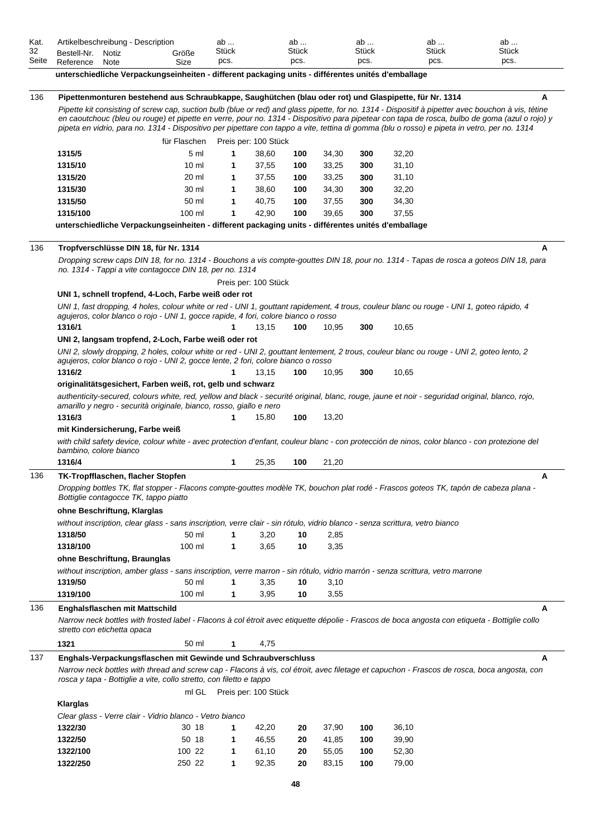| 32                |                                          |       |                                                                                                                                                    |        |                            | ab       |                | ab         |                | ab    | ab           |   |
|-------------------|------------------------------------------|-------|----------------------------------------------------------------------------------------------------------------------------------------------------|--------|----------------------------|----------|----------------|------------|----------------|-------|--------------|---|
|                   | Bestell-Nr.                              | Notiz | Größe                                                                                                                                              | Stück  |                            | Stück    |                | Stück      |                | Stück | <b>Stück</b> |   |
| Seite             | Reference                                | Note  | Size                                                                                                                                               | pcs.   |                            | pcs.     |                | pcs.       |                | pcs.  | pcs.         |   |
|                   |                                          |       | unterschiedliche Verpackungseinheiten - different packaging units - différentes unités d'emballage                                                 |        |                            |          |                |            |                |       |              |   |
|                   |                                          |       |                                                                                                                                                    |        |                            |          |                |            |                |       |              |   |
| 136               |                                          |       | Pipettenmonturen bestehend aus Schraubkappe, Saughütchen (blau oder rot) und Glaspipette, für Nr. 1314                                             |        |                            |          |                |            |                |       |              | A |
|                   |                                          |       | Pipette kit consisting of screw cap, suction bulb (blue or red) and glass pipette, for no. 1314 - Dispositif à pipetter avec bouchon à vis, tétine |        |                            |          |                |            |                |       |              |   |
|                   |                                          |       | en caoutchouc (bleu ou rouge) et pipette en verre, pour no. 1314 - Dispositivo para pipetear con tapa de rosca, bulbo de goma (azul o rojo) y      |        |                            |          |                |            |                |       |              |   |
|                   |                                          |       | pipeta en vidrio, para no. 1314 - Dispositivo per pipettare con tappo a vite, tettina di gomma (blu o rosso) e pipeta in vetro, per no. 1314       |        |                            |          |                |            |                |       |              |   |
|                   |                                          |       | für Flaschen                                                                                                                                       |        | Preis per: 100 Stück       |          |                |            |                |       |              |   |
|                   | 1315/5                                   |       | 5 ml                                                                                                                                               | 1      | 38,60                      | 100      | 34,30          | 300        | 32,20          |       |              |   |
|                   | 1315/10                                  |       | 10 <sub>m</sub>                                                                                                                                    | 1      | 37,55                      | 100      | 33,25          | 300        | 31,10          |       |              |   |
|                   | 1315/20                                  |       | 20 ml                                                                                                                                              | 1      | 37,55                      | 100      | 33,25          | 300        | 31,10          |       |              |   |
|                   | 1315/30                                  |       | 30 ml                                                                                                                                              | 1      | 38,60                      | 100      | 34,30          | 300        | 32,20          |       |              |   |
|                   | 1315/50                                  |       | 50 ml                                                                                                                                              | 1      | 40,75                      | 100      | 37,55          | 300        | 34,30          |       |              |   |
|                   | 1315/100                                 |       | 100 ml                                                                                                                                             | 1      | 42,90                      | 100      | 39,65          | 300        | 37,55          |       |              |   |
|                   |                                          |       | unterschiedliche Verpackungseinheiten - different packaging units - différentes unités d'emballage                                                 |        |                            |          |                |            |                |       |              |   |
|                   |                                          |       |                                                                                                                                                    |        |                            |          |                |            |                |       |              |   |
| 136               |                                          |       | Tropfverschlüsse DIN 18, für Nr. 1314                                                                                                              |        |                            |          |                |            |                |       |              | A |
|                   |                                          |       | Dropping screw caps DIN 18, for no. 1314 - Bouchons a vis compte-gouttes DIN 18, pour no. 1314 - Tapas de rosca a goteos DIN 18, para              |        |                            |          |                |            |                |       |              |   |
|                   |                                          |       | no. 1314 - Tappi a vite contagocce DIN 18, per no. 1314                                                                                            |        |                            |          |                |            |                |       |              |   |
|                   |                                          |       |                                                                                                                                                    |        | Preis per: 100 Stück       |          |                |            |                |       |              |   |
|                   |                                          |       |                                                                                                                                                    |        |                            |          |                |            |                |       |              |   |
|                   |                                          |       | UNI 1, schnell tropfend, 4-Loch, Farbe weiß oder rot                                                                                               |        |                            |          |                |            |                |       |              |   |
|                   |                                          |       | UNI 1, fast dropping, 4 holes, colour white or red - UNI 1, gouttant rapidement, 4 trous, couleur blanc ou rouge - UNI 1, goteo rápido, 4          |        |                            |          |                |            |                |       |              |   |
|                   |                                          |       | agujeros, color blanco o rojo - UNI 1, gocce rapide, 4 fori, colore bianco o rosso                                                                 |        |                            |          |                |            |                |       |              |   |
|                   | 1316/1                                   |       |                                                                                                                                                    | 1      | 13,15                      | 100      | 10,95          | 300        | 10,65          |       |              |   |
|                   |                                          |       | UNI 2, langsam tropfend, 2-Loch, Farbe weiß oder rot                                                                                               |        |                            |          |                |            |                |       |              |   |
|                   |                                          |       | UNI 2, slowly dropping, 2 holes, colour white or red - UNI 2, gouttant lentement, 2 trous, couleur blanc ou rouge - UNI 2, goteo lento, 2          |        |                            |          |                |            |                |       |              |   |
|                   |                                          |       | agujeros, color blanco o rojo - UNI 2, gocce lente, 2 fori, colore bianco o rosso                                                                  |        |                            |          |                |            |                |       |              |   |
|                   | 1316/2                                   |       |                                                                                                                                                    |        | 13,15                      | 100      | 10,95          | 300        | 10,65          |       |              |   |
|                   |                                          |       |                                                                                                                                                    |        |                            |          |                |            |                |       |              |   |
|                   |                                          |       | originalitätsgesichert, Farben weiß, rot, gelb und schwarz                                                                                         |        |                            |          |                |            |                |       |              |   |
|                   |                                          |       | authenticity-secured, colours white, red, yellow and black - securité original, blanc, rouge, jaune et noir - seguridad original, blanco, rojo,    |        |                            |          |                |            |                |       |              |   |
|                   |                                          |       | amarillo y negro - securità originale, bianco, rosso, giallo e nero                                                                                |        |                            |          |                |            |                |       |              |   |
|                   | 1316/3                                   |       |                                                                                                                                                    | 1      | 15,80                      | 100      | 13,20          |            |                |       |              |   |
|                   | mit Kindersicherung, Farbe weiß          |       |                                                                                                                                                    |        |                            |          |                |            |                |       |              |   |
|                   |                                          |       | with child safety device, colour white - avec protection d'enfant, couleur blanc - con protección de ninos, color blanco - con protezione del      |        |                            |          |                |            |                |       |              |   |
|                   | bambino, colore bianco                   |       |                                                                                                                                                    |        |                            |          |                |            |                |       |              |   |
|                   | 1316/4                                   |       |                                                                                                                                                    | 1      | 25,35                      | 100      | 21,20          |            |                |       |              |   |
|                   | <b>TK-Tropfflaschen, flacher Stopfen</b> |       |                                                                                                                                                    |        |                            |          |                |            |                |       |              | Α |
|                   |                                          |       | Dropping bottles TK, flat stopper - Flacons compte-gouttes modèle TK, bouchon plat rodé - Frascos goteos TK, tapón de cabeza plana -               |        |                            |          |                |            |                |       |              |   |
|                   | Bottiglie contagocce TK, tappo piatto    |       |                                                                                                                                                    |        |                            |          |                |            |                |       |              |   |
|                   |                                          |       |                                                                                                                                                    |        |                            |          |                |            |                |       |              |   |
|                   | ohne Beschriftung, Klarglas              |       |                                                                                                                                                    |        |                            |          |                |            |                |       |              |   |
|                   |                                          |       | without inscription, clear glass - sans inscription, verre clair - sin rótulo, vidrio blanco - senza scrittura, vetro bianco                       |        |                            |          |                |            |                |       |              |   |
|                   | 1318/50                                  |       | 50 ml                                                                                                                                              | 1      | 3,20                       | 10       | 2,85           |            |                |       |              |   |
|                   | 1318/100                                 |       | 100 ml                                                                                                                                             | 1      | 3,65                       | 10       | 3,35           |            |                |       |              |   |
|                   | ohne Beschriftung, Braunglas             |       |                                                                                                                                                    |        |                            |          |                |            |                |       |              |   |
|                   |                                          |       | without inscription, amber glass - sans inscription, verre marron - sin rótulo, vidrio marrón - senza scrittura, vetro marrone                     |        |                            |          |                |            |                |       |              |   |
|                   | 1319/50                                  |       | 50 ml                                                                                                                                              | 1      | 3,35                       | 10       | 3,10           |            |                |       |              |   |
|                   | 1319/100                                 |       | 100 ml                                                                                                                                             | 1      | 3,95                       | 10       | 3,55           |            |                |       |              |   |
|                   | Enghalsflaschen mit Mattschild           |       |                                                                                                                                                    |        |                            |          |                |            |                |       |              | A |
|                   |                                          |       |                                                                                                                                                    |        |                            |          |                |            |                |       |              |   |
|                   | stretto con etichetta opaca              |       | Narrow neck bottles with frosted label - Flacons à col étroit avec etiquette dépolie - Frascos de boca angosta con etiqueta - Bottiglie collo      |        |                            |          |                |            |                |       |              |   |
|                   |                                          |       |                                                                                                                                                    |        |                            |          |                |            |                |       |              |   |
|                   | 1321                                     |       | 50 ml                                                                                                                                              | 1      | 4,75                       |          |                |            |                |       |              |   |
|                   |                                          |       | Enghals-Verpackungsflaschen mit Gewinde und Schraubverschluss                                                                                      |        |                            |          |                |            |                |       |              | A |
|                   |                                          |       | Narrow neck bottles with thread and screw cap - Flacons à vis, col étroit, avec filetage et capuchon - Frascos de rosca, boca angosta, con         |        |                            |          |                |            |                |       |              |   |
|                   |                                          |       | rosca y tapa - Bottiglie a vite, collo stretto, con filetto e tappo                                                                                |        |                            |          |                |            |                |       |              |   |
|                   |                                          |       |                                                                                                                                                    |        | ml GL Preis per: 100 Stück |          |                |            |                |       |              |   |
|                   | <b>Klarglas</b>                          |       |                                                                                                                                                    |        |                            |          |                |            |                |       |              |   |
|                   |                                          |       | Clear glass - Verre clair - Vidrio blanco - Vetro bianco                                                                                           |        |                            |          |                |            |                |       |              |   |
|                   |                                          |       | 30 18                                                                                                                                              |        |                            |          |                |            |                |       |              |   |
|                   | 1322/30                                  |       |                                                                                                                                                    | 1      | 42,20                      | 20       | 37,90          | 100        | 36,10          |       |              |   |
|                   | 1322/50                                  |       | 50 18                                                                                                                                              | 1      | 46,55                      | 20       | 41,85          | 100        | 39,90          |       |              |   |
| 136<br>136<br>137 | 1322/100<br>1322/250                     |       | 100 22<br>250 22                                                                                                                                   | 1<br>1 | 61,10<br>92,35             | 20<br>20 | 55,05<br>83,15 | 100<br>100 | 52,30<br>79,00 |       |              |   |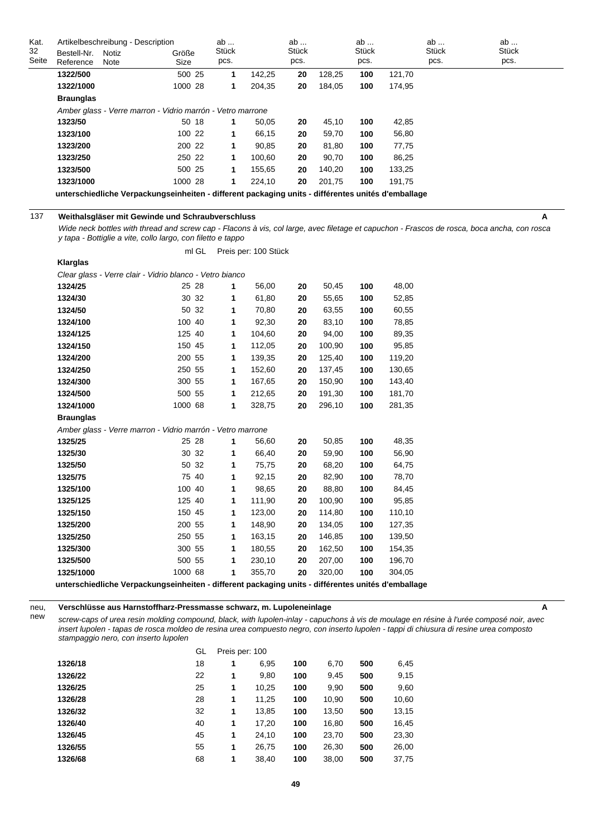| Kat.  | Artikelbeschreibung - Description |                                                                                                    |         | ab    |        | ab           |        | ab           |        | ab           | ab           |
|-------|-----------------------------------|----------------------------------------------------------------------------------------------------|---------|-------|--------|--------------|--------|--------------|--------|--------------|--------------|
| 32    | Bestell-Nr.                       | <b>Notiz</b>                                                                                       | Größe   | Stück |        | <b>Stück</b> |        | <b>Stück</b> |        | <b>Stück</b> | <b>Stück</b> |
| Seite | Reference                         | Note                                                                                               | Size    | pcs.  |        | pcs.         |        | pcs.         |        | pcs.         | pcs.         |
|       | 1322/500                          |                                                                                                    | 500 25  | 1     | 142,25 | 20           | 128,25 | 100          | 121,70 |              |              |
|       | 1322/1000                         |                                                                                                    | 1000 28 | 1     | 204,35 | 20           | 184,05 | 100          | 174,95 |              |              |
|       | <b>Braunglas</b>                  |                                                                                                    |         |       |        |              |        |              |        |              |              |
|       |                                   | Amber glass - Verre marron - Vidrio marrón - Vetro marrone                                         |         |       |        |              |        |              |        |              |              |
|       | 1323/50                           |                                                                                                    | 50 18   | -1    | 50,05  | 20           | 45,10  | 100          | 42,85  |              |              |
|       | 1323/100                          |                                                                                                    | 100 22  | 1     | 66,15  | 20           | 59,70  | 100          | 56,80  |              |              |
|       | 1323/200                          |                                                                                                    | 200 22  | 1     | 90,85  | 20           | 81,80  | 100          | 77,75  |              |              |
|       | 1323/250                          |                                                                                                    | 250 22  | 1     | 100,60 | 20           | 90,70  | 100          | 86,25  |              |              |
|       | 1323/500                          |                                                                                                    | 500 25  | 1     | 155,65 | 20           | 140,20 | 100          | 133,25 |              |              |
|       | 1323/1000                         |                                                                                                    | 1000 28 | 1     | 224.10 | 20           | 201,75 | 100          | 191.75 |              |              |
|       |                                   | unterschiedliche Verpackungseinheiten - different packaging units - différentes unités d'emballage |         |       |        |              |        |              |        |              |              |
|       |                                   |                                                                                                    |         |       |        |              |        |              |        |              |              |
| 137   |                                   | Weithalsgläser mit Gewinde und Schraubverschluss                                                   |         |       |        |              |        |              |        |              | А            |

**Klarglas**

*Wide neck bottles with thread and screw cap - Flacons à vis, col large, avec filetage et capuchon - Frascos de rosca, boca ancha, con rosca y tapa - Bottiglie a vite, collo largo, con filetto e tappo*

ml GL Preis per: 100 Stück

| Clear glass - Verre clair - Vidrio blanco - Vetro bianco                                           |         |       |   |        |    |        |     |        |
|----------------------------------------------------------------------------------------------------|---------|-------|---|--------|----|--------|-----|--------|
| 1324/25                                                                                            |         | 25 28 | 1 | 56,00  | 20 | 50,45  | 100 | 48,00  |
| 1324/30                                                                                            |         | 30 32 | 1 | 61,80  | 20 | 55,65  | 100 | 52,85  |
| 1324/50                                                                                            |         | 50 32 | 1 | 70,80  | 20 | 63,55  | 100 | 60,55  |
| 1324/100                                                                                           | 100 40  |       | 1 | 92,30  | 20 | 83,10  | 100 | 78,85  |
| 1324/125                                                                                           | 125 40  |       | 1 | 104,60 | 20 | 94,00  | 100 | 89,35  |
| 1324/150                                                                                           | 150 45  |       | 1 | 112,05 | 20 | 100,90 | 100 | 95,85  |
| 1324/200                                                                                           | 200 55  |       | 1 | 139,35 | 20 | 125,40 | 100 | 119,20 |
| 1324/250                                                                                           | 250 55  |       | 1 | 152,60 | 20 | 137,45 | 100 | 130,65 |
| 1324/300                                                                                           | 300 55  |       | 1 | 167,65 | 20 | 150,90 | 100 | 143,40 |
| 1324/500                                                                                           | 500 55  |       | 1 | 212,65 | 20 | 191,30 | 100 | 181,70 |
| 1324/1000                                                                                          | 1000 68 |       | 1 | 328,75 | 20 | 296,10 | 100 | 281,35 |
| <b>Braunglas</b>                                                                                   |         |       |   |        |    |        |     |        |
| Amber glass - Verre marron - Vidrio marrón - Vetro marrone                                         |         |       |   |        |    |        |     |        |
| 1325/25                                                                                            |         | 25 28 | 1 | 56,60  | 20 | 50,85  | 100 | 48,35  |
| 1325/30                                                                                            |         | 30 32 | 1 | 66,40  | 20 | 59,90  | 100 | 56,90  |
| 1325/50                                                                                            | 50      | 32    | 1 | 75,75  | 20 | 68,20  | 100 | 64,75  |
| 1325/75                                                                                            |         | 75 40 | 1 | 92,15  | 20 | 82,90  | 100 | 78,70  |
| 1325/100                                                                                           | 100 40  |       | 1 | 98,65  | 20 | 88,80  | 100 | 84,45  |
| 1325/125                                                                                           | 125 40  |       | 1 | 111,90 | 20 | 100,90 | 100 | 95,85  |
| 1325/150                                                                                           | 150 45  |       | 1 | 123,00 | 20 | 114,80 | 100 | 110,10 |
| 1325/200                                                                                           | 200 55  |       | 1 | 148,90 | 20 | 134,05 | 100 | 127,35 |
| 1325/250                                                                                           | 250 55  |       | 1 | 163,15 | 20 | 146,85 | 100 | 139,50 |
| 1325/300                                                                                           | 300 55  |       | 1 | 180,55 | 20 | 162,50 | 100 | 154,35 |
| 1325/500                                                                                           | 500 55  |       | 1 | 230,10 | 20 | 207,00 | 100 | 196,70 |
| 1325/1000                                                                                          | 1000 68 |       | 1 | 355,70 | 20 | 320,00 | 100 | 304,05 |
| unterschiedliche Verpackungseinheiten - different packaging units - différentes unités d'emballage |         |       |   |        |    |        |     |        |

neu, new

**Verschlüsse aus Harnstoffharz-Pressmasse schwarz, m. Lupoleneinlage**

*screw-caps of urea resin molding compound, black, with lupolen-inlay - capuchons à vis de moulage en résine à l'urée composé noir, avec insert lupolen - tapas de rosca moldeo de resina urea compuesto negro, con inserto lupolen - tappi di chiusura di resine urea composto stampaggio nero, con inserto lupolen*

**A**

|         | GL | Preis per: 100 |       |     |       |     |       |
|---------|----|----------------|-------|-----|-------|-----|-------|
| 1326/18 | 18 | 1              | 6,95  | 100 | 6,70  | 500 | 6,45  |
| 1326/22 | 22 | 1              | 9,80  | 100 | 9,45  | 500 | 9,15  |
| 1326/25 | 25 | 1              | 10,25 | 100 | 9,90  | 500 | 9,60  |
| 1326/28 | 28 | 1              | 11,25 | 100 | 10,90 | 500 | 10,60 |
| 1326/32 | 32 | 1              | 13,85 | 100 | 13,50 | 500 | 13,15 |
| 1326/40 | 40 | 1              | 17,20 | 100 | 16,80 | 500 | 16,45 |
| 1326/45 | 45 | 1              | 24.10 | 100 | 23,70 | 500 | 23,30 |
| 1326/55 | 55 | 1              | 26,75 | 100 | 26,30 | 500 | 26,00 |
| 1326/68 | 68 | 1              | 38,40 | 100 | 38,00 | 500 | 37,75 |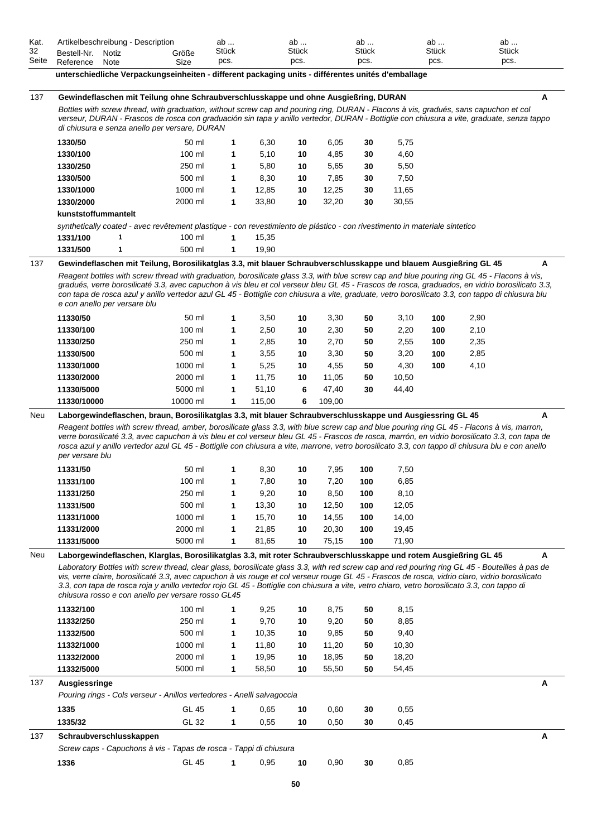| Kat.        | Artikelbeschreibung - Description                                                                                                                                                                                                                                                                                                                                                                                                                                                                                                                                                                                            |                    | ab            |        | ab            |        | ab            |       | ab            | ab            |   |
|-------------|------------------------------------------------------------------------------------------------------------------------------------------------------------------------------------------------------------------------------------------------------------------------------------------------------------------------------------------------------------------------------------------------------------------------------------------------------------------------------------------------------------------------------------------------------------------------------------------------------------------------------|--------------------|---------------|--------|---------------|--------|---------------|-------|---------------|---------------|---|
| 32<br>Seite | Bestell-Nr.<br>Notiz<br>Reference<br>Note                                                                                                                                                                                                                                                                                                                                                                                                                                                                                                                                                                                    | Größe<br>Size      | Stück<br>pcs. |        | Stück<br>pcs. |        | Stück<br>pcs. |       | Stück<br>pcs. | Stück<br>pcs. |   |
|             | unterschiedliche Verpackungseinheiten - different packaging units - différentes unités d'emballage                                                                                                                                                                                                                                                                                                                                                                                                                                                                                                                           |                    |               |        |               |        |               |       |               |               |   |
| 137         | Gewindeflaschen mit Teilung ohne Schraubverschlusskappe und ohne Ausgießring, DURAN                                                                                                                                                                                                                                                                                                                                                                                                                                                                                                                                          |                    |               |        |               |        |               |       |               |               | Α |
|             | Bottles with screw thread, with graduation, without screw cap and pouring ring, DURAN - Flacons à vis, gradués, sans capuchon et col                                                                                                                                                                                                                                                                                                                                                                                                                                                                                         |                    |               |        |               |        |               |       |               |               |   |
|             | verseur, DURAN - Frascos de rosca con graduación sin tapa y anillo vertedor, DURAN - Bottiglie con chiusura a vite, graduate, senza tappo<br>di chiusura e senza anello per versare, DURAN                                                                                                                                                                                                                                                                                                                                                                                                                                   |                    |               |        |               |        |               |       |               |               |   |
|             | 1330/50                                                                                                                                                                                                                                                                                                                                                                                                                                                                                                                                                                                                                      | 50 ml              | 1             | 6,30   | 10            | 6,05   | 30            | 5,75  |               |               |   |
|             | 1330/100                                                                                                                                                                                                                                                                                                                                                                                                                                                                                                                                                                                                                     | 100 ml             | 1             | 5,10   | 10            | 4,85   | 30            | 4,60  |               |               |   |
|             | 1330/250                                                                                                                                                                                                                                                                                                                                                                                                                                                                                                                                                                                                                     | 250 ml             | 1             | 5,80   | 10            | 5,65   | 30            | 5,50  |               |               |   |
|             | 1330/500                                                                                                                                                                                                                                                                                                                                                                                                                                                                                                                                                                                                                     | 500 ml             | 1             | 8,30   | 10            | 7,85   | 30            | 7,50  |               |               |   |
|             | 1330/1000                                                                                                                                                                                                                                                                                                                                                                                                                                                                                                                                                                                                                    | 1000 ml            | 1             | 12,85  | 10            | 12,25  | 30            | 11,65 |               |               |   |
|             | 1330/2000                                                                                                                                                                                                                                                                                                                                                                                                                                                                                                                                                                                                                    | 2000 ml            | 1             | 33,80  | 10            | 32,20  | 30            | 30,55 |               |               |   |
|             | kunststoffummantelt                                                                                                                                                                                                                                                                                                                                                                                                                                                                                                                                                                                                          |                    |               |        |               |        |               |       |               |               |   |
|             | synthetically coated - avec revêtement plastique - con revestimiento de plástico - con rivestimento in materiale sintetico                                                                                                                                                                                                                                                                                                                                                                                                                                                                                                   |                    |               |        |               |        |               |       |               |               |   |
|             | 1331/100<br>1                                                                                                                                                                                                                                                                                                                                                                                                                                                                                                                                                                                                                | 100 ml             | $\mathbf{1}$  | 15,35  |               |        |               |       |               |               |   |
|             | 1331/500<br>1                                                                                                                                                                                                                                                                                                                                                                                                                                                                                                                                                                                                                | 500 ml             | 1             | 19,90  |               |        |               |       |               |               |   |
| 137         | Gewindeflaschen mit Teilung, Borosilikatglas 3.3, mit blauer Schraubverschlusskappe und blauem Ausgießring GL 45                                                                                                                                                                                                                                                                                                                                                                                                                                                                                                             |                    |               |        |               |        |               |       |               |               | A |
|             | Reagent bottles with screw thread with graduation, borosilicate glass 3.3, with blue screw cap and blue pouring ring GL 45 - Flacons à vis,<br>gradués, verre borosilicaté 3.3, avec capuchon à vis bleu et col verseur bleu GL 45 - Frascos de rosca, graduados, en vidrio borosilicato 3.3,<br>con tapa de rosca azul y anillo vertedor azul GL 45 - Bottiglie con chiusura a vite, graduate, vetro borosilicato 3.3, con tappo di chiusura blu<br>e con anello per versare blu                                                                                                                                            |                    |               |        |               |        |               |       |               |               |   |
|             | 11330/50                                                                                                                                                                                                                                                                                                                                                                                                                                                                                                                                                                                                                     | 50 ml              | 1             | 3,50   | 10            | 3,30   | 50            | 3,10  | 100           | 2,90          |   |
|             | 11330/100                                                                                                                                                                                                                                                                                                                                                                                                                                                                                                                                                                                                                    | 100 ml             | 1             | 2,50   | 10            | 2,30   | 50            | 2,20  | 100           | 2,10          |   |
|             | 11330/250                                                                                                                                                                                                                                                                                                                                                                                                                                                                                                                                                                                                                    | 250 ml             | 1             | 2,85   | 10            | 2,70   | 50            | 2,55  | 100           | 2,35          |   |
|             | 11330/500                                                                                                                                                                                                                                                                                                                                                                                                                                                                                                                                                                                                                    | 500 ml             | 1             | 3,55   | 10            | 3,30   | 50            | 3,20  | 100           | 2,85          |   |
|             | 11330/1000                                                                                                                                                                                                                                                                                                                                                                                                                                                                                                                                                                                                                   | 1000 ml            | 1             | 5,25   | 10            | 4,55   | 50            | 4,30  | 100           | 4,10          |   |
|             | 11330/2000                                                                                                                                                                                                                                                                                                                                                                                                                                                                                                                                                                                                                   | 2000 ml            | 1             | 11,75  | 10            | 11,05  | 50            | 10,50 |               |               |   |
|             | 11330/5000                                                                                                                                                                                                                                                                                                                                                                                                                                                                                                                                                                                                                   | 5000 ml            | 1             | 51,10  | 6             | 47,40  | 30            | 44,40 |               |               |   |
|             | 11330/10000                                                                                                                                                                                                                                                                                                                                                                                                                                                                                                                                                                                                                  | 10000 ml           | 1             | 115,00 | 6             | 109,00 |               |       |               |               |   |
|             | Reagent bottles with screw thread, amber, borosilicate glass 3.3, with blue screw cap and blue pouring ring GL 45 - Flacons à vis, marron,<br>verre borosilicaté 3.3, avec capuchon à vis bleu et col verseur bleu GL 45 - Frascos de rosca, marrón, en vidrio borosilicato 3.3, con tapa de<br>rosca azul y anillo vertedor azul GL 45 - Bottiglie con chiusura a vite, marrone, vetro borosilicato 3.3, con tappo di chiusura blu e con anello<br>per versare blu                                                                                                                                                          |                    |               |        |               |        |               |       |               |               |   |
|             | 11331/50                                                                                                                                                                                                                                                                                                                                                                                                                                                                                                                                                                                                                     | 50 ml              | 1             | 8,30   | 10            | 7,95   | 100           | 7,50  |               |               |   |
|             | 11331/100                                                                                                                                                                                                                                                                                                                                                                                                                                                                                                                                                                                                                    | 100 ml             | 1             | 7,80   | 10            | 7,20   | 100           | 6,85  |               |               |   |
|             | 11331/250                                                                                                                                                                                                                                                                                                                                                                                                                                                                                                                                                                                                                    | 250 ml             | 1             | 9,20   | 10            | 8,50   | 100           | 8,10  |               |               |   |
|             | 11331/500                                                                                                                                                                                                                                                                                                                                                                                                                                                                                                                                                                                                                    | 500 ml             | 1             | 13,30  | 10            | 12,50  | 100           | 12,05 |               |               |   |
|             | 11331/1000                                                                                                                                                                                                                                                                                                                                                                                                                                                                                                                                                                                                                   | 1000 ml            | 1             | 15,70  | 10            | 14,55  | 100           | 14,00 |               |               |   |
|             | 11331/2000                                                                                                                                                                                                                                                                                                                                                                                                                                                                                                                                                                                                                   | 2000 ml            | 1             | 21,85  | 10            | 20,30  | 100           | 19,45 |               |               |   |
|             | 11331/5000                                                                                                                                                                                                                                                                                                                                                                                                                                                                                                                                                                                                                   | 5000 ml            | 1             | 81,65  | 10            | 75,15  | 100           | 71,90 |               |               |   |
| Neu         | Laborgewindeflaschen, Klarglas, Borosilikatglas 3.3, mit roter Schraubverschlusskappe und rotem Ausgießring GL 45<br>Laboratory Bottles with screw thread, clear glass, borosilicate glass 3.3, with red screw cap and red pouring ring GL 45 - Bouteilles à pas de<br>vis, verre claire, borosilicaté 3.3, avec capuchon à vis rouge et col verseur rouge GL 45 - Frascos de rosca, vidrio claro, vidrio borosilicato<br>3.3, con tapa de rosca roja y anillo vertedor rojo GL 45 - Bottiglie con chiusura a vite, vetro chiaro, vetro borosilicato 3.3, con tappo di<br>chiusura rosso e con anello per versare rosso GL45 |                    |               |        |               |        |               |       |               |               | A |
|             | 11332/100                                                                                                                                                                                                                                                                                                                                                                                                                                                                                                                                                                                                                    | 100 ml             |               | 9,25   | 10            | 8,75   | 50            | 8,15  |               |               |   |
|             | 11332/250                                                                                                                                                                                                                                                                                                                                                                                                                                                                                                                                                                                                                    | 250 ml             | 1             | 9,70   | 10            | 9,20   | 50            | 8,85  |               |               |   |
|             | 11332/500                                                                                                                                                                                                                                                                                                                                                                                                                                                                                                                                                                                                                    | 500 ml             | 1             | 10,35  | 10            | 9,85   | 50            | 9,40  |               |               |   |
|             | 11332/1000                                                                                                                                                                                                                                                                                                                                                                                                                                                                                                                                                                                                                   | 1000 ml            | 1             | 11,80  | 10            | 11,20  | 50            | 10,30 |               |               |   |
|             | 11332/2000<br>11332/5000                                                                                                                                                                                                                                                                                                                                                                                                                                                                                                                                                                                                     | 2000 ml<br>5000 ml | 1             | 19,95  | 10<br>10      | 18,95  | 50            | 18,20 |               |               |   |
|             |                                                                                                                                                                                                                                                                                                                                                                                                                                                                                                                                                                                                                              |                    | 1             | 58,50  |               | 55,50  | 50            | 54,45 |               |               |   |
| 137         | Ausgiessringe                                                                                                                                                                                                                                                                                                                                                                                                                                                                                                                                                                                                                |                    |               |        |               |        |               |       |               |               | Α |
|             | Pouring rings - Cols verseur - Anillos vertedores - Anelli salvagoccia                                                                                                                                                                                                                                                                                                                                                                                                                                                                                                                                                       |                    |               |        |               |        |               |       |               |               |   |
|             | 1335                                                                                                                                                                                                                                                                                                                                                                                                                                                                                                                                                                                                                         | <b>GL 45</b>       | 1             | 0,65   | 10            | 0,60   | 30            | 0,55  |               |               |   |
|             | 1335/32                                                                                                                                                                                                                                                                                                                                                                                                                                                                                                                                                                                                                      | GL 32              | 1             | 0,55   | 10            | 0,50   | 30            | 0,45  |               |               |   |
| 137         | Schraubverschlusskappen                                                                                                                                                                                                                                                                                                                                                                                                                                                                                                                                                                                                      |                    |               |        |               |        |               |       |               |               | Α |
|             | Screw caps - Capuchons à vis - Tapas de rosca - Tappi di chiusura                                                                                                                                                                                                                                                                                                                                                                                                                                                                                                                                                            |                    |               |        |               |        |               |       |               |               |   |
|             | 1336                                                                                                                                                                                                                                                                                                                                                                                                                                                                                                                                                                                                                         | <b>GL 45</b>       | 1             | 0,95   | 10            | 0,90   | 30            | 0,85  |               |               |   |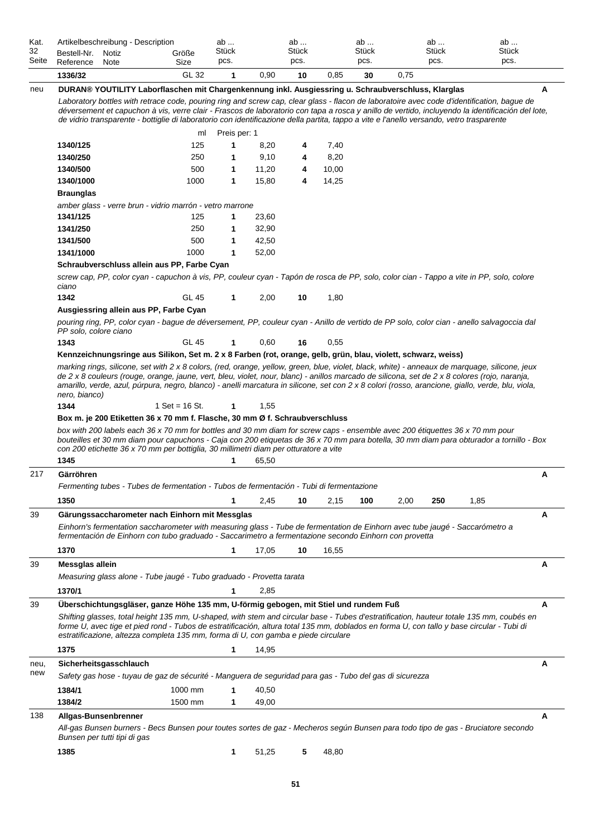| Kat.<br>32<br>Seite | Artikelbeschreibung - Description<br>Bestell-Nr.<br>Notiz<br>Reference<br>Note                                                                                                                                                                                                                                                                                                                                                                                          | Größe<br>Size    | ab<br>Stück<br>pcs. |       | ab<br>Stück<br>pcs. |       | ab<br>Stück<br>pcs. |      | ab<br>Stück<br>pcs. | ab<br><b>Stück</b><br>pcs. |   |
|---------------------|-------------------------------------------------------------------------------------------------------------------------------------------------------------------------------------------------------------------------------------------------------------------------------------------------------------------------------------------------------------------------------------------------------------------------------------------------------------------------|------------------|---------------------|-------|---------------------|-------|---------------------|------|---------------------|----------------------------|---|
|                     | 1336/32                                                                                                                                                                                                                                                                                                                                                                                                                                                                 | GL 32            | $\mathbf 1$         | 0,90  | 10                  | 0,85  | 30                  | 0,75 |                     |                            |   |
| neu                 | DURAN® YOUTILITY Laborflaschen mit Chargenkennung inkl. Ausgiessring u. Schraubverschluss, Klarglas                                                                                                                                                                                                                                                                                                                                                                     |                  |                     |       |                     |       |                     |      |                     |                            | A |
|                     | Laboratory bottles with retrace code, pouring ring and screw cap, clear glass - flacon de laboratoire avec code d'identification, bague de<br>déversement et capuchon à vis, verre clair - Frascos de laboratorio con tapa a rosca y anillo de vertido, incluyendo la identificación del lote,<br>de vidrio transparente - bottiglie di laboratorio con identificazione della partita, tappo a vite e l'anello versando, vetro trasparente                              |                  |                     |       |                     |       |                     |      |                     |                            |   |
|                     |                                                                                                                                                                                                                                                                                                                                                                                                                                                                         | ml               | Preis per: 1        |       |                     |       |                     |      |                     |                            |   |
|                     | 1340/125                                                                                                                                                                                                                                                                                                                                                                                                                                                                | 125              | 1                   | 8,20  | 4                   | 7,40  |                     |      |                     |                            |   |
|                     | 1340/250                                                                                                                                                                                                                                                                                                                                                                                                                                                                | 250              | 1                   | 9,10  | 4                   | 8,20  |                     |      |                     |                            |   |
|                     | 1340/500                                                                                                                                                                                                                                                                                                                                                                                                                                                                | 500              | 1                   | 11,20 | 4                   | 10,00 |                     |      |                     |                            |   |
|                     | 1340/1000                                                                                                                                                                                                                                                                                                                                                                                                                                                               | 1000             | $\mathbf 1$         | 15,80 | 4                   | 14,25 |                     |      |                     |                            |   |
|                     | <b>Braunglas</b>                                                                                                                                                                                                                                                                                                                                                                                                                                                        |                  |                     |       |                     |       |                     |      |                     |                            |   |
|                     | amber glass - verre brun - vidrio marrón - vetro marrone                                                                                                                                                                                                                                                                                                                                                                                                                |                  |                     |       |                     |       |                     |      |                     |                            |   |
|                     | 1341/125                                                                                                                                                                                                                                                                                                                                                                                                                                                                | 125              | 1                   | 23,60 |                     |       |                     |      |                     |                            |   |
|                     | 1341/250                                                                                                                                                                                                                                                                                                                                                                                                                                                                | 250              | 1                   | 32,90 |                     |       |                     |      |                     |                            |   |
|                     | 1341/500                                                                                                                                                                                                                                                                                                                                                                                                                                                                | 500              | 1                   | 42,50 |                     |       |                     |      |                     |                            |   |
|                     | 1341/1000                                                                                                                                                                                                                                                                                                                                                                                                                                                               | 1000             | $\mathbf 1$         | 52,00 |                     |       |                     |      |                     |                            |   |
|                     | Schraubverschluss allein aus PP, Farbe Cyan                                                                                                                                                                                                                                                                                                                                                                                                                             |                  |                     |       |                     |       |                     |      |                     |                            |   |
|                     | screw cap, PP, color cyan - capuchon à vis, PP, couleur cyan - Tapón de rosca de PP, solo, color cian - Tappo a vite in PP, solo, colore<br>ciano                                                                                                                                                                                                                                                                                                                       |                  |                     |       |                     |       |                     |      |                     |                            |   |
|                     | 1342                                                                                                                                                                                                                                                                                                                                                                                                                                                                    | GL 45            | $\mathbf 1$         | 2,00  | 10                  | 1,80  |                     |      |                     |                            |   |
|                     | Ausgiessring allein aus PP, Farbe Cyan                                                                                                                                                                                                                                                                                                                                                                                                                                  |                  |                     |       |                     |       |                     |      |                     |                            |   |
|                     | pouring ring, PP, color cyan - bague de déversement, PP, couleur cyan - Anillo de vertido de PP solo, color cian - anello salvagoccia dal<br>PP solo, colore ciano                                                                                                                                                                                                                                                                                                      |                  |                     |       |                     |       |                     |      |                     |                            |   |
|                     | 1343                                                                                                                                                                                                                                                                                                                                                                                                                                                                    | <b>GL 45</b>     | $\mathbf{1}$        | 0,60  | 16                  | 0,55  |                     |      |                     |                            |   |
|                     | Kennzeichnungsringe aus Silikon, Set m. 2 x 8 Farben (rot, orange, gelb, grün, blau, violett, schwarz, weiss)                                                                                                                                                                                                                                                                                                                                                           |                  |                     |       |                     |       |                     |      |                     |                            |   |
|                     | nero, bianco)<br>1344<br>Box m. je 200 Etiketten 36 x 70 mm f. Flasche, 30 mm Ø f. Schraubverschluss<br>box with 200 labels each 36 x 70 mm for bottles and 30 mm diam for screw caps - ensemble avec 200 étiquettes 36 x 70 mm pour<br>bouteilles et 30 mm diam pour capuchons - Caja con 200 etiquetas de 36 x 70 mm para botella, 30 mm diam para obturador a tornillo - Box<br>con 200 etichette 36 x 70 mm per bottiglia, 30 millimetri diam per otturatore a vite | 1 Set = $16$ St. | $\mathbf{1}$        | 1,55  |                     |       |                     |      |                     |                            |   |
|                     | 1345                                                                                                                                                                                                                                                                                                                                                                                                                                                                    |                  | 1                   | 65,50 |                     |       |                     |      |                     |                            |   |
| 217                 | Gärröhren                                                                                                                                                                                                                                                                                                                                                                                                                                                               |                  |                     |       |                     |       |                     |      |                     |                            | A |
|                     | Fermenting tubes - Tubes de fermentation - Tubos de fermentación - Tubi di fermentazione                                                                                                                                                                                                                                                                                                                                                                                |                  |                     |       |                     |       |                     |      |                     |                            |   |
|                     | 1350                                                                                                                                                                                                                                                                                                                                                                                                                                                                    |                  | 1                   | 2,45  | 10                  | 2,15  | 100                 | 2,00 | 250                 | 1,85                       |   |
| 39                  | Gärungssaccharometer nach Einhorn mit Messglas                                                                                                                                                                                                                                                                                                                                                                                                                          |                  |                     |       |                     |       |                     |      |                     |                            | A |
|                     | Einhorn's fermentation saccharometer with measuring glass - Tube de fermentation de Einhorn avec tube jaugé - Saccarómetro a<br>fermentación de Einhorn con tubo graduado - Saccarimetro a fermentazione secondo Einhorn con provetta                                                                                                                                                                                                                                   |                  |                     |       |                     |       |                     |      |                     |                            |   |
|                     | 1370                                                                                                                                                                                                                                                                                                                                                                                                                                                                    |                  | 1                   | 17,05 | 10                  | 16,55 |                     |      |                     |                            |   |
| 39                  | Messglas allein                                                                                                                                                                                                                                                                                                                                                                                                                                                         |                  |                     |       |                     |       |                     |      |                     |                            | A |
|                     | Measuring glass alone - Tube jaugé - Tubo graduado - Provetta tarata                                                                                                                                                                                                                                                                                                                                                                                                    |                  |                     |       |                     |       |                     |      |                     |                            |   |
|                     | 1370/1                                                                                                                                                                                                                                                                                                                                                                                                                                                                  |                  | 1                   | 2,85  |                     |       |                     |      |                     |                            |   |
|                     |                                                                                                                                                                                                                                                                                                                                                                                                                                                                         |                  |                     |       |                     |       |                     |      |                     |                            |   |
| 39                  | Überschichtungsgläser, ganze Höhe 135 mm, U-förmig gebogen, mit Stiel und rundem Fuß<br>Shifting glasses, total height 135 mm, U-shaped, with stem and circular base - Tubes d'estratification, hauteur totale 135 mm, coubés en<br>forme U, avec tige et pied rond - Tubos de estratificación, altura total 135 mm, doblados en forma U, con tallo y base circular - Tubi di<br>estratificazione, altezza completa 135 mm, forma di U, con gamba e piede circulare     |                  |                     |       |                     |       |                     |      |                     |                            | A |
|                     | 1375                                                                                                                                                                                                                                                                                                                                                                                                                                                                    |                  | 1                   | 14,95 |                     |       |                     |      |                     |                            |   |
| neu,                | Sicherheitsgasschlauch                                                                                                                                                                                                                                                                                                                                                                                                                                                  |                  |                     |       |                     |       |                     |      |                     |                            | A |
| new                 | Safety gas hose - tuyau de gaz de sécurité - Manguera de seguridad para gas - Tubo del gas di sicurezza                                                                                                                                                                                                                                                                                                                                                                 |                  |                     |       |                     |       |                     |      |                     |                            |   |
|                     | 1384/1                                                                                                                                                                                                                                                                                                                                                                                                                                                                  | 1000 mm          | 1                   | 40,50 |                     |       |                     |      |                     |                            |   |
|                     | 1384/2                                                                                                                                                                                                                                                                                                                                                                                                                                                                  | 1500 mm          | 1                   | 49,00 |                     |       |                     |      |                     |                            |   |
|                     |                                                                                                                                                                                                                                                                                                                                                                                                                                                                         |                  |                     |       |                     |       |                     |      |                     |                            |   |
| 138                 | Allgas-Bunsenbrenner<br>All-gas Bunsen burners - Becs Bunsen pour toutes sortes de gaz - Mecheros según Bunsen para todo tipo de gas - Bruciatore secondo<br>Bunsen per tutti tipi di gas                                                                                                                                                                                                                                                                               |                  |                     |       |                     |       |                     |      |                     |                            | A |
|                     |                                                                                                                                                                                                                                                                                                                                                                                                                                                                         |                  |                     |       |                     |       |                     |      |                     |                            |   |
|                     | 1385                                                                                                                                                                                                                                                                                                                                                                                                                                                                    |                  | 1                   | 51,25 | 5                   | 48,80 |                     |      |                     |                            |   |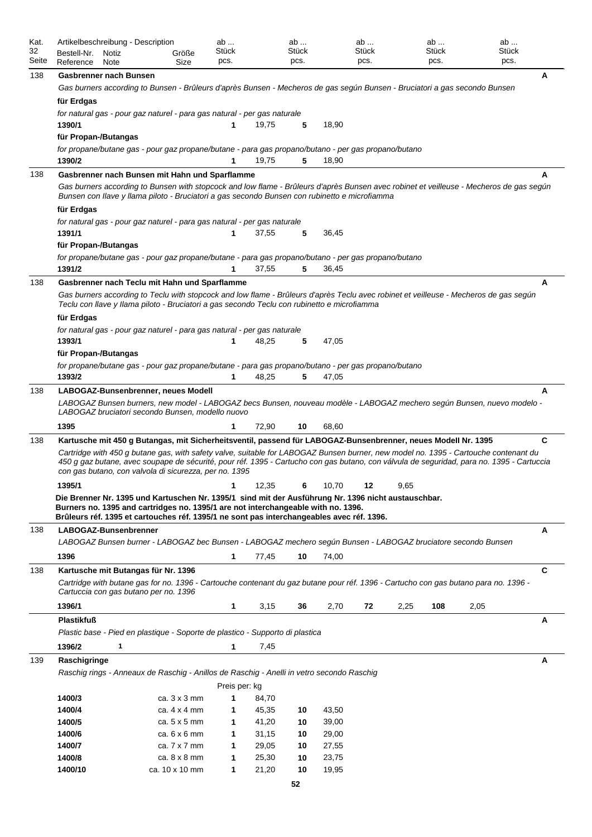| Kat.<br>32 | Bestell-Nr.          | Artikelbeschreibung - Description<br>Notiz | Größe                                                                                                                                                                                    | ab<br>Stück   |       | ab<br>Stück |       | ab<br>Stück |      | ab<br>Stück |      | ab<br><b>Stück</b> |
|------------|----------------------|--------------------------------------------|------------------------------------------------------------------------------------------------------------------------------------------------------------------------------------------|---------------|-------|-------------|-------|-------------|------|-------------|------|--------------------|
| Seite      | Reference            | Note                                       | Size                                                                                                                                                                                     | pcs.          |       | pcs.        |       | pcs.        |      | pcs.        |      | pcs.               |
| 138        |                      | <b>Gasbrenner nach Bunsen</b>              |                                                                                                                                                                                          |               |       |             |       |             |      |             |      | A                  |
|            |                      |                                            | Gas burners according to Bunsen - Brûleurs d'après Bunsen - Mecheros de gas según Bunsen - Bruciatori a gas secondo Bunsen                                                               |               |       |             |       |             |      |             |      |                    |
|            | für Erdgas           |                                            |                                                                                                                                                                                          |               |       |             |       |             |      |             |      |                    |
|            | 1390/1               |                                            | for natural gas - pour gaz naturel - para gas natural - per gas naturale                                                                                                                 | 1             | 19,75 | 5           | 18,90 |             |      |             |      |                    |
|            | für Propan-/Butangas |                                            |                                                                                                                                                                                          |               |       |             |       |             |      |             |      |                    |
|            |                      |                                            | for propane/butane gas - pour gaz propane/butane - para gas propano/butano - per gas propano/butano                                                                                      |               |       |             |       |             |      |             |      |                    |
|            | 1390/2               |                                            |                                                                                                                                                                                          | 1             | 19,75 | 5           | 18,90 |             |      |             |      |                    |
| 138        |                      |                                            | Gasbrenner nach Bunsen mit Hahn und Sparflamme                                                                                                                                           |               |       |             |       |             |      |             |      | А                  |
|            |                      |                                            | Gas burners according to Bunsen with stopcock and low flame - Brûleurs d'après Bunsen avec robinet et veilleuse - Mecheros de gas según                                                  |               |       |             |       |             |      |             |      |                    |
|            |                      |                                            | Bunsen con llave y llama piloto - Bruciatori a gas secondo Bunsen con rubinetto e microfiamma                                                                                            |               |       |             |       |             |      |             |      |                    |
|            | für Erdgas           |                                            | for natural gas - pour gaz naturel - para gas natural - per gas naturale                                                                                                                 |               |       |             |       |             |      |             |      |                    |
|            | 1391/1               |                                            |                                                                                                                                                                                          |               | 37,55 | 5           | 36,45 |             |      |             |      |                    |
|            | für Propan-/Butangas |                                            |                                                                                                                                                                                          |               |       |             |       |             |      |             |      |                    |
|            |                      |                                            | for propane/butane gas - pour gaz propane/butane - para gas propano/butano - per gas propano/butano                                                                                      |               |       |             |       |             |      |             |      |                    |
|            | 1391/2               |                                            |                                                                                                                                                                                          |               | 37,55 | 5           | 36,45 |             |      |             |      |                    |
| 138        |                      |                                            | Gasbrenner nach Teclu mit Hahn und Sparflamme                                                                                                                                            |               |       |             |       |             |      |             |      | A                  |
|            |                      |                                            | Gas burners according to Teclu with stopcock and low flame - Brûleurs d'après Teclu avec robinet et veilleuse - Mecheros de gas según                                                    |               |       |             |       |             |      |             |      |                    |
|            |                      |                                            | Teclu con llave y llama piloto - Bruciatori a gas secondo Teclu con rubinetto e microfiamma                                                                                              |               |       |             |       |             |      |             |      |                    |
|            | für Erdgas           |                                            | for natural gas - pour gaz naturel - para gas natural - per gas naturale                                                                                                                 |               |       |             |       |             |      |             |      |                    |
|            | 1393/1               |                                            |                                                                                                                                                                                          |               | 48,25 | 5           | 47,05 |             |      |             |      |                    |
|            | für Propan-/Butangas |                                            |                                                                                                                                                                                          |               |       |             |       |             |      |             |      |                    |
|            |                      |                                            | for propane/butane gas - pour gaz propane/butane - para gas propano/butano - per gas propano/butano                                                                                      |               |       |             |       |             |      |             |      |                    |
|            | 1393/2               |                                            |                                                                                                                                                                                          | 1             | 48,25 | 5           | 47,05 |             |      |             |      |                    |
| 138        |                      |                                            | LABOGAZ-Bunsenbrenner, neues Modell                                                                                                                                                      |               |       |             |       |             |      |             |      | A                  |
|            |                      |                                            | LABOGAZ Bunsen burners, new model - LABOGAZ becs Bunsen, nouveau modèle - LABOGAZ mechero según Bunsen, nuevo modelo -<br>LABOGAZ bruciatori secondo Bunsen, modello nuovo               |               |       |             |       |             |      |             |      |                    |
|            | 1395                 |                                            |                                                                                                                                                                                          | 1             | 72,90 |             | 68,60 |             |      |             |      |                    |
| 138        |                      |                                            | Kartusche mit 450 g Butangas, mit Sicherheitsventil, passend für LABOGAZ-Bunsenbrenner, neues Modell Nr. 1395                                                                            |               |       | 10          |       |             |      |             |      | C                  |
|            |                      |                                            | Cartridge with 450 g butane gas, with safety valve, suitable for LABOGAZ Bunsen burner, new model no. 1395 - Cartouche contenant du                                                      |               |       |             |       |             |      |             |      |                    |
|            |                      |                                            | 450 g gaz butane, avec soupape de sécurité, pour réf. 1395 - Cartucho con gas butano, con válvula de seguridad, para no. 1395 - Cartuccia                                                |               |       |             |       |             |      |             |      |                    |
|            |                      |                                            | con gas butano, con valvola di sicurezza, per no. 1395                                                                                                                                   |               |       |             |       |             |      |             |      |                    |
|            | 1395/1               |                                            |                                                                                                                                                                                          | 1             | 12,35 | 6           | 10,70 | 12          | 9,65 |             |      |                    |
|            |                      |                                            | Die Brenner Nr. 1395 und Kartuschen Nr. 1395/1 sind mit der Ausführung Nr. 1396 nicht austauschbar.<br>Burners no. 1395 and cartridges no. 1395/1 are not interchangeable with no. 1396. |               |       |             |       |             |      |             |      |                    |
|            |                      |                                            | Brûleurs réf. 1395 et cartouches réf. 1395/1 ne sont pas interchangeables avec réf. 1396.                                                                                                |               |       |             |       |             |      |             |      |                    |
| 138        |                      | LABOGAZ-Bunsenbrenner                      |                                                                                                                                                                                          |               |       |             |       |             |      |             |      | Α                  |
|            |                      |                                            | LABOGAZ Bunsen burner - LABOGAZ bec Bunsen - LABOGAZ mechero según Bunsen - LABOGAZ bruciatore secondo Bunsen                                                                            |               |       |             |       |             |      |             |      |                    |
|            | 1396                 |                                            |                                                                                                                                                                                          | 1             | 77,45 | 10          | 74,00 |             |      |             |      |                    |
| 138        |                      |                                            | Kartusche mit Butangas für Nr. 1396                                                                                                                                                      |               |       |             |       |             |      |             |      | $\mathbf c$        |
|            |                      |                                            | Cartridge with butane gas for no. 1396 - Cartouche contenant du gaz butane pour réf. 1396 - Cartucho con gas butano para no. 1396 -                                                      |               |       |             |       |             |      |             |      |                    |
|            |                      |                                            | Cartuccia con gas butano per no. 1396                                                                                                                                                    |               |       |             |       |             |      |             |      |                    |
|            | 1396/1               |                                            |                                                                                                                                                                                          | 1             | 3,15  | 36          | 2,70  | 72          | 2,25 | 108         | 2,05 |                    |
|            | <b>Plastikfuß</b>    |                                            |                                                                                                                                                                                          |               |       |             |       |             |      |             |      | Α                  |
|            |                      |                                            | Plastic base - Pied en plastique - Soporte de plastico - Supporto di plastica                                                                                                            |               |       |             |       |             |      |             |      |                    |
|            | 1396/2               | 1                                          |                                                                                                                                                                                          | 1             | 7,45  |             |       |             |      |             |      |                    |
| 139        | Raschigringe         |                                            | Raschig rings - Anneaux de Raschig - Anillos de Raschig - Anelli in vetro secondo Raschig                                                                                                |               |       |             |       |             |      |             |      | Α                  |
|            |                      |                                            |                                                                                                                                                                                          | Preis per: kg |       |             |       |             |      |             |      |                    |
|            | 1400/3               |                                            | ca. $3 \times 3$ mm                                                                                                                                                                      | $\mathbf 1$   | 84,70 |             |       |             |      |             |      |                    |
|            | 1400/4               |                                            | ca. $4 \times 4$ mm                                                                                                                                                                      | 1             | 45,35 | 10          | 43,50 |             |      |             |      |                    |
|            | 1400/5               |                                            | ca. $5 \times 5$ mm                                                                                                                                                                      | 1             | 41,20 | 10          | 39,00 |             |      |             |      |                    |
|            | 1400/6               |                                            | ca. $6 \times 6$ mm                                                                                                                                                                      | 1             | 31,15 | 10          | 29,00 |             |      |             |      |                    |
|            | 1400/7               |                                            | ca. $7 \times 7$ mm                                                                                                                                                                      | 1             | 29,05 | 10          | 27,55 |             |      |             |      |                    |
|            | 1400/8               |                                            | ca. $8 \times 8$ mm                                                                                                                                                                      | 1             | 25,30 | 10          | 23,75 |             |      |             |      |                    |
|            | 1400/10              |                                            | ca. 10 x 10 mm                                                                                                                                                                           | 1             | 21,20 | 10          | 19,95 |             |      |             |      |                    |
|            |                      |                                            |                                                                                                                                                                                          |               |       | 52          |       |             |      |             |      |                    |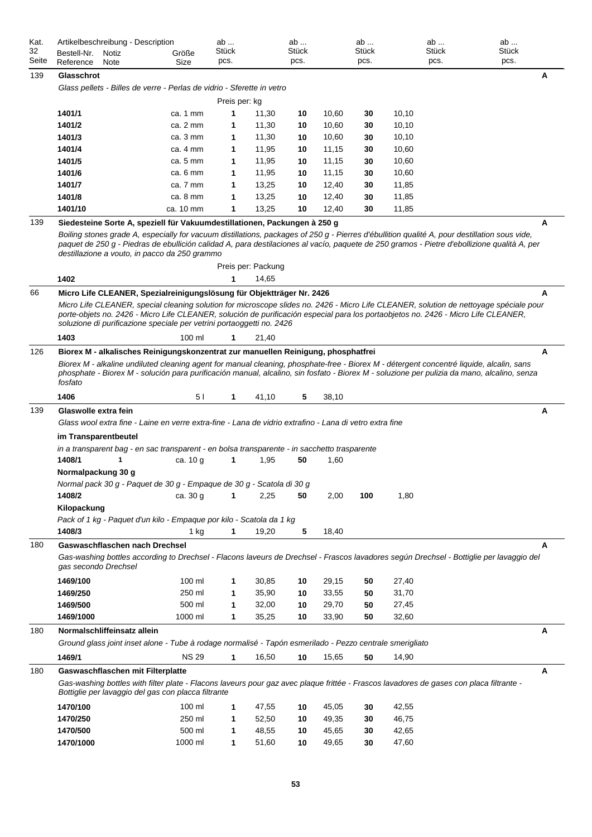| Kat.<br>32<br>Seite | Artikelbeschreibung - Description<br>Bestell-Nr.<br>Notiz<br>Reference<br>Note                                                                                                                                                                                                                                                                                                          | Größe<br>Size      | ab<br>Stück<br>pcs. |                    | ab<br>Stück<br>pcs. |       | ab<br><b>Stück</b><br>pcs. | ab<br><b>Stück</b><br>pcs. | ab<br><b>Stück</b><br>pcs. |
|---------------------|-----------------------------------------------------------------------------------------------------------------------------------------------------------------------------------------------------------------------------------------------------------------------------------------------------------------------------------------------------------------------------------------|--------------------|---------------------|--------------------|---------------------|-------|----------------------------|----------------------------|----------------------------|
| 139                 | Glasschrot                                                                                                                                                                                                                                                                                                                                                                              |                    |                     |                    |                     |       |                            |                            | A                          |
|                     | Glass pellets - Billes de verre - Perlas de vidrio - Sferette in vetro                                                                                                                                                                                                                                                                                                                  |                    |                     |                    |                     |       |                            |                            |                            |
|                     |                                                                                                                                                                                                                                                                                                                                                                                         |                    | Preis per: kg       |                    |                     |       |                            |                            |                            |
|                     | 1401/1                                                                                                                                                                                                                                                                                                                                                                                  | ca. 1 mm           | 1                   | 11,30              | 10                  | 10,60 | 30                         | 10, 10                     |                            |
|                     | 1401/2                                                                                                                                                                                                                                                                                                                                                                                  | ca. 2 mm           | 1                   | 11,30              | 10                  | 10,60 | 30                         | 10, 10                     |                            |
|                     | 1401/3                                                                                                                                                                                                                                                                                                                                                                                  | ca. 3 mm           | 1                   | 11,30              | 10                  | 10,60 | 30                         | 10, 10                     |                            |
|                     | 1401/4                                                                                                                                                                                                                                                                                                                                                                                  | ca. $4 \text{ mm}$ | 1                   | 11,95              | 10                  | 11,15 | 30                         | 10,60                      |                            |
|                     | 1401/5                                                                                                                                                                                                                                                                                                                                                                                  | ca. $5 \text{ mm}$ | 1                   | 11,95              | 10                  | 11,15 | 30                         | 10,60                      |                            |
|                     | 1401/6                                                                                                                                                                                                                                                                                                                                                                                  | ca. 6 mm           | 1                   | 11,95              | 10                  | 11,15 | 30                         | 10,60                      |                            |
|                     | 1401/7                                                                                                                                                                                                                                                                                                                                                                                  | ca. 7 mm           | 1                   | 13,25              | 10                  | 12,40 | 30                         | 11,85                      |                            |
|                     | 1401/8                                                                                                                                                                                                                                                                                                                                                                                  | ca. 8 mm           | 1                   | 13,25              | 10                  | 12,40 | 30                         | 11,85                      |                            |
|                     | 1401/10                                                                                                                                                                                                                                                                                                                                                                                 | ca. 10 mm          | 1                   | 13,25              | 10                  | 12,40 | 30                         | 11,85                      |                            |
| 139                 | Siedesteine Sorte A, speziell für Vakuumdestillationen, Packungen à 250 g                                                                                                                                                                                                                                                                                                               |                    |                     |                    |                     |       |                            |                            | A                          |
|                     | Boiling stones grade A, especially for vacuum distillations, packages of 250 g - Pierres d'ébullition qualité A, pour destillation sous vide,<br>paquet de 250 g - Piedras de ebullición calidad A, para destilaciones al vacío, paquete de 250 gramos - Pietre d'ebollizione qualità A, per<br>destillazione a vouto, in pacco da 250 grammo                                           |                    |                     | Preis per: Packung |                     |       |                            |                            |                            |
|                     | 1402                                                                                                                                                                                                                                                                                                                                                                                    |                    | 1                   | 14,65              |                     |       |                            |                            |                            |
| 66                  | Micro Life CLEANER, Spezialreinigungslösung für Objektträger Nr. 2426                                                                                                                                                                                                                                                                                                                   |                    |                     |                    |                     |       |                            |                            | A                          |
|                     | Micro Life CLEANER, special cleaning solution for microscope slides no. 2426 - Micro Life CLEANER, solution de nettoyage spéciale pour<br>porte-objets no. 2426 - Micro Life CLEANER, solución de purificación especial para los portaobjetos no. 2426 - Micro Life CLEANER,<br>soluzione di purificazione speciale per vetrini portaoggetti no. 2426                                   |                    |                     |                    |                     |       |                            |                            |                            |
|                     | 1403                                                                                                                                                                                                                                                                                                                                                                                    | 100 ml             |                     | 21,40              |                     |       |                            |                            |                            |
| 126                 | Biorex M - alkalisches Reinigungskonzentrat zur manuellen Reinigung, phosphatfrei<br>Biorex M - alkaline undiluted cleaning agent for manual cleaning, phosphate-free - Biorex M - détergent concentré liquide, alcalin, sans<br>phosphate - Biorex M - solución para purificación manual, alcalino, sin fosfato - Biorex M - soluzione per pulizia da mano, alcalino, senza<br>fosfato |                    |                     |                    |                     |       |                            |                            | А                          |
|                     | 1406                                                                                                                                                                                                                                                                                                                                                                                    | 51                 | 1                   | 41,10              | 5                   | 38,10 |                            |                            |                            |
| 139                 | Glaswolle extra fein<br>Glass wool extra fine - Laine en verre extra-fine - Lana de vidrio extrafino - Lana di vetro extra fine                                                                                                                                                                                                                                                         |                    |                     |                    |                     |       |                            |                            | Α                          |
|                     | im Transparentbeutel                                                                                                                                                                                                                                                                                                                                                                    |                    |                     |                    |                     |       |                            |                            |                            |
|                     | in a transparent bag - en sac transparent - en bolsa transparente - in sacchetto trasparente                                                                                                                                                                                                                                                                                            |                    |                     |                    |                     |       |                            |                            |                            |
|                     | 1408/1<br>1                                                                                                                                                                                                                                                                                                                                                                             | ca. 10 g           | 1                   | 1,95               | 50                  | 1,60  |                            |                            |                            |
|                     | Normalpackung 30 g                                                                                                                                                                                                                                                                                                                                                                      |                    |                     |                    |                     |       |                            |                            |                            |
|                     | Normal pack 30 g - Paquet de 30 g - Empaque de 30 g - Scatola di 30 g                                                                                                                                                                                                                                                                                                                   |                    |                     |                    |                     |       |                            |                            |                            |
|                     | 1408/2                                                                                                                                                                                                                                                                                                                                                                                  | ca. 30 g           | 1                   | 2,25               | 50                  | 2,00  | 100                        | 1,80                       |                            |
|                     | Kilopackung                                                                                                                                                                                                                                                                                                                                                                             |                    |                     |                    |                     |       |                            |                            |                            |
|                     | Pack of 1 kg - Paquet d'un kilo - Empaque por kilo - Scatola da 1 kg                                                                                                                                                                                                                                                                                                                    |                    |                     |                    |                     |       |                            |                            |                            |
|                     | 1408/3                                                                                                                                                                                                                                                                                                                                                                                  | 1 kg               | $\mathbf 1$         | 19,20              | 5                   | 18,40 |                            |                            |                            |
| 180                 | Gaswaschflaschen nach Drechsel<br>Gas-washing bottles according to Drechsel - Flacons laveurs de Drechsel - Frascos lavadores según Drechsel - Bottiglie per lavaggio del<br>gas secondo Drechsel                                                                                                                                                                                       |                    |                     |                    |                     |       |                            |                            | A                          |
|                     | 1469/100                                                                                                                                                                                                                                                                                                                                                                                | 100 ml             | 1                   | 30,85              | 10                  | 29,15 | 50                         | 27,40                      |                            |
|                     | 1469/250                                                                                                                                                                                                                                                                                                                                                                                | 250 ml             | 1                   | 35,90              | 10                  | 33,55 | 50                         | 31,70                      |                            |
|                     | 1469/500                                                                                                                                                                                                                                                                                                                                                                                | 500 ml             | 1                   | 32,00              | 10                  | 29,70 | 50                         | 27,45                      |                            |
|                     | 1469/1000                                                                                                                                                                                                                                                                                                                                                                               | 1000 ml            | 1                   | 35,25              | 10                  | 33,90 | 50                         | 32,60                      |                            |
|                     |                                                                                                                                                                                                                                                                                                                                                                                         |                    |                     |                    |                     |       |                            |                            |                            |
| 180                 | Normalschliffeinsatz allein                                                                                                                                                                                                                                                                                                                                                             |                    |                     |                    |                     |       |                            |                            | А                          |
|                     | Ground glass joint inset alone - Tube à rodage normalisé - Tapón esmerilado - Pezzo centrale smerigliato                                                                                                                                                                                                                                                                                |                    |                     |                    |                     |       |                            |                            |                            |
|                     | 1469/1                                                                                                                                                                                                                                                                                                                                                                                  | <b>NS 29</b>       | 1                   | 16,50              | 10                  | 15,65 | 50                         | 14,90                      |                            |
| 180                 | Gaswaschflaschen mit Filterplatte<br>Gas-washing bottles with filter plate - Flacons laveurs pour gaz avec plaque frittée - Frascos lavadores de gases con placa filtrante -                                                                                                                                                                                                            |                    |                     |                    |                     |       |                            |                            | Α                          |
|                     | Bottiglie per lavaggio del gas con placca filtrante                                                                                                                                                                                                                                                                                                                                     |                    |                     |                    |                     |       |                            |                            |                            |
|                     | 1470/100                                                                                                                                                                                                                                                                                                                                                                                | 100 ml             | 1                   | 47,55              | 10                  | 45,05 | 30                         | 42,55                      |                            |
|                     | 1470/250                                                                                                                                                                                                                                                                                                                                                                                | 250 ml             | 1                   | 52,50              | 10                  | 49,35 | 30                         | 46,75                      |                            |
|                     | 1470/500                                                                                                                                                                                                                                                                                                                                                                                | 500 ml             | 1                   | 48,55              | 10                  | 45,65 | 30                         | 42,65                      |                            |
|                     | 1470/1000                                                                                                                                                                                                                                                                                                                                                                               | 1000 ml            | 1                   | 51,60              | 10                  | 49,65 | 30                         | 47,60                      |                            |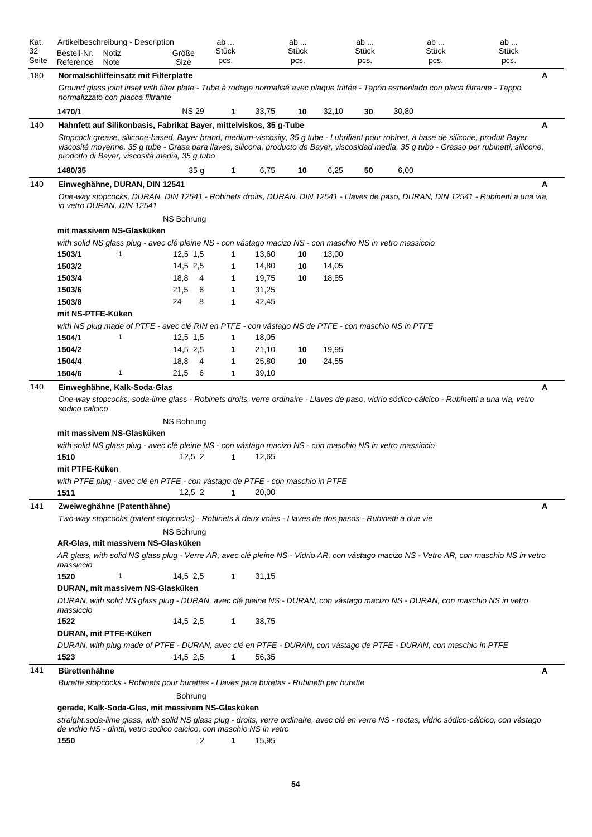| Kat.<br>32<br>Seite | Artikelbeschreibung - Description<br>Bestell-Nr.<br>Notiz<br>Reference<br>Note                                                                                                                                                                                                                                                           | Größe<br>Size     | ab<br>Stück<br>pcs. |       | ab<br>Stück<br>pcs. |       | ab<br>Stück<br>pcs. | ab<br>Stück<br>pcs. | ab<br>Stück<br>pcs. |  |
|---------------------|------------------------------------------------------------------------------------------------------------------------------------------------------------------------------------------------------------------------------------------------------------------------------------------------------------------------------------------|-------------------|---------------------|-------|---------------------|-------|---------------------|---------------------|---------------------|--|
| 180                 | Normalschliffeinsatz mit Filterplatte                                                                                                                                                                                                                                                                                                    |                   |                     |       |                     |       |                     |                     | A                   |  |
|                     | Ground glass joint inset with filter plate - Tube à rodage normalisé avec plaque frittée - Tapón esmerilado con placa filtrante - Tappo<br>normalizzato con placca filtrante                                                                                                                                                             |                   |                     |       |                     |       |                     |                     |                     |  |
|                     | 1470/1                                                                                                                                                                                                                                                                                                                                   | <b>NS 29</b>      | 1                   | 33,75 | 10                  | 32,10 | 30                  | 30,80               |                     |  |
| 140                 | Hahnfett auf Silikonbasis, Fabrikat Bayer, mittelviskos, 35 g-Tube                                                                                                                                                                                                                                                                       |                   |                     |       |                     |       |                     |                     | A                   |  |
|                     | Stopcock grease, silicone-based, Bayer brand, medium-viscosity, 35 g tube - Lubrifiant pour robinet, à base de silicone, produit Bayer,<br>viscosité moyenne, 35 g tube - Grasa para llaves, silicona, producto de Bayer, viscosidad media, 35 g tubo - Grasso per rubinetti, silicone,<br>prodotto di Bayer, viscosità media, 35 g tubo |                   |                     |       |                     |       |                     |                     |                     |  |
|                     | 1480/35                                                                                                                                                                                                                                                                                                                                  | 35 g              | 1                   | 6,75  | 10                  | 6,25  | 50                  | 6,00                |                     |  |
| 140                 | Einweghähne, DURAN, DIN 12541                                                                                                                                                                                                                                                                                                            |                   |                     |       |                     |       |                     |                     | А                   |  |
|                     | One-way stopcocks, DURAN, DIN 12541 - Robinets droits, DURAN, DIN 12541 - Llaves de paso, DURAN, DIN 12541 - Rubinetti a una via,<br>in vetro DURAN, DIN 12541                                                                                                                                                                           |                   |                     |       |                     |       |                     |                     |                     |  |
|                     |                                                                                                                                                                                                                                                                                                                                          | NS Bohrung        |                     |       |                     |       |                     |                     |                     |  |
|                     | mit massivem NS-Glasküken                                                                                                                                                                                                                                                                                                                |                   |                     |       |                     |       |                     |                     |                     |  |
|                     | with solid NS glass plug - avec clé pleine NS - con vástago macizo NS - con maschio NS in vetro massiccio<br>1503/1<br>1                                                                                                                                                                                                                 | $12,5$ 1,5        | 1                   | 13,60 | 10                  | 13,00 |                     |                     |                     |  |
|                     | 1503/2                                                                                                                                                                                                                                                                                                                                   | 14,5 2,5          | 1                   | 14,80 | 10                  | 14,05 |                     |                     |                     |  |
|                     | 1503/4                                                                                                                                                                                                                                                                                                                                   | 18,8<br>- 4       | 1                   | 19,75 | 10                  | 18,85 |                     |                     |                     |  |
|                     | 1503/6                                                                                                                                                                                                                                                                                                                                   | 21,5<br>6         | 1                   | 31,25 |                     |       |                     |                     |                     |  |
|                     | 1503/8                                                                                                                                                                                                                                                                                                                                   | 24<br>8           | 1                   | 42,45 |                     |       |                     |                     |                     |  |
|                     | mit NS-PTFE-Küken                                                                                                                                                                                                                                                                                                                        |                   |                     |       |                     |       |                     |                     |                     |  |
|                     | with NS plug made of PTFE - avec clé RIN en PTFE - con vástago NS de PTFE - con maschio NS in PTFE                                                                                                                                                                                                                                       |                   |                     |       |                     |       |                     |                     |                     |  |
|                     | 1<br>1504/1                                                                                                                                                                                                                                                                                                                              | $12,5$ 1,5        | 1                   | 18,05 |                     |       |                     |                     |                     |  |
|                     | 1504/2                                                                                                                                                                                                                                                                                                                                   | 14,5 2,5          | 1                   | 21,10 | 10                  | 19,95 |                     |                     |                     |  |
|                     | 1504/4                                                                                                                                                                                                                                                                                                                                   | 18,8<br>- 4       | 1                   | 25,80 | 10                  | 24,55 |                     |                     |                     |  |
|                     | 1504/6<br>1                                                                                                                                                                                                                                                                                                                              | 21,5<br>6         | 1                   | 39,10 |                     |       |                     |                     |                     |  |
| 140                 | Einweghähne, Kalk-Soda-Glas                                                                                                                                                                                                                                                                                                              |                   |                     |       |                     |       |                     |                     | A                   |  |
|                     | One-way stopcocks, soda-lime glass - Robinets droits, verre ordinaire - Llaves de paso, vidrio sódico-cálcico - Rubinetti a una via, vetro<br>sodico calcico                                                                                                                                                                             | <b>NS Bohrung</b> |                     |       |                     |       |                     |                     |                     |  |
|                     | mit massivem NS-Glasküken                                                                                                                                                                                                                                                                                                                |                   |                     |       |                     |       |                     |                     |                     |  |
|                     | with solid NS glass plug - avec clé pleine NS - con vástago macizo NS - con maschio NS in vetro massiccio                                                                                                                                                                                                                                |                   |                     |       |                     |       |                     |                     |                     |  |
|                     | 1510                                                                                                                                                                                                                                                                                                                                     | 12.52             | 1                   | 12,65 |                     |       |                     |                     |                     |  |
|                     | mit PTFE-Küken                                                                                                                                                                                                                                                                                                                           |                   |                     |       |                     |       |                     |                     |                     |  |
|                     | with PTFE plug - avec clé en PTFE - con vástago de PTFE - con maschio in PTFE                                                                                                                                                                                                                                                            |                   |                     |       |                     |       |                     |                     |                     |  |
|                     | 1511                                                                                                                                                                                                                                                                                                                                     | 12,52             | 1                   | 20,00 |                     |       |                     |                     |                     |  |
| 141                 | Zweiweghähne (Patenthähne)                                                                                                                                                                                                                                                                                                               |                   |                     |       |                     |       |                     |                     | A                   |  |
|                     | Two-way stopcocks (patent stopcocks) - Robinets à deux voies - Llaves de dos pasos - Rubinetti a due vie                                                                                                                                                                                                                                 |                   |                     |       |                     |       |                     |                     |                     |  |
|                     |                                                                                                                                                                                                                                                                                                                                          | NS Bohrung        |                     |       |                     |       |                     |                     |                     |  |
|                     | AR-Glas, mit massivem NS-Glasküken                                                                                                                                                                                                                                                                                                       |                   |                     |       |                     |       |                     |                     |                     |  |
|                     | AR glass, with solid NS glass plug - Verre AR, avec clé pleine NS - Vidrio AR, con vástago macizo NS - Vetro AR, con maschio NS in vetro<br>massiccio                                                                                                                                                                                    |                   |                     |       |                     |       |                     |                     |                     |  |
|                     | 1520<br>1                                                                                                                                                                                                                                                                                                                                | 14,5 2,5          | 1                   | 31,15 |                     |       |                     |                     |                     |  |
|                     | DURAN, mit massivem NS-Glasküken                                                                                                                                                                                                                                                                                                         |                   |                     |       |                     |       |                     |                     |                     |  |
|                     | DURAN, with solid NS glass plug - DURAN, avec clé pleine NS - DURAN, con vástago macizo NS - DURAN, con maschio NS in vetro<br>massiccio<br>1522                                                                                                                                                                                         | 14,5 2,5          | 1                   | 38,75 |                     |       |                     |                     |                     |  |
|                     | DURAN, mit PTFE-Küken                                                                                                                                                                                                                                                                                                                    |                   |                     |       |                     |       |                     |                     |                     |  |
|                     | DURAN, with plug made of PTFE - DURAN, avec clé en PTFE - DURAN, con vástago de PTFE - DURAN, con maschio in PTFE                                                                                                                                                                                                                        |                   |                     |       |                     |       |                     |                     |                     |  |
|                     | 1523                                                                                                                                                                                                                                                                                                                                     | 14,5 2,5          | 1                   | 56,35 |                     |       |                     |                     |                     |  |
| 141                 | <b>Bürettenhähne</b>                                                                                                                                                                                                                                                                                                                     |                   |                     |       |                     |       |                     |                     | A                   |  |
|                     | Burette stopcocks - Robinets pour burettes - Llaves para buretas - Rubinetti per burette                                                                                                                                                                                                                                                 |                   |                     |       |                     |       |                     |                     |                     |  |
|                     |                                                                                                                                                                                                                                                                                                                                          | Bohrung           |                     |       |                     |       |                     |                     |                     |  |
|                     | gerade, Kalk-Soda-Glas, mit massivem NS-Glasküken                                                                                                                                                                                                                                                                                        |                   |                     |       |                     |       |                     |                     |                     |  |
|                     | straight, soda-lime glass, with solid NS glass plug - droits, verre ordinaire, avec clé en verre NS - rectas, vidrio sódico-cálcico, con vástago<br>de vidrio NS - diritti, vetro sodico calcico, con maschio NS in vetro                                                                                                                |                   |                     |       |                     |       |                     |                     |                     |  |

**1550** 2 **1** 15,95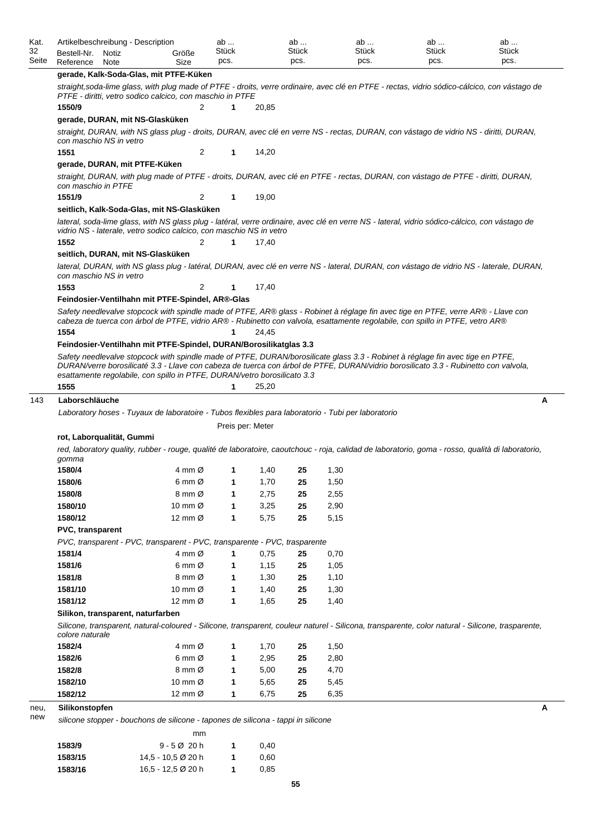|       | Artikelbeschreibung - Description<br>Bestell-Nr. Notiz                                                                                                                                                                                                                                                                                                                                                                                                                                            |      |  | Größe                       | ab<br>Stück          |       | ab<br>Stück | ab<br>Stück                                                                                        | ab<br>Stück                                                                                                                                       | ab<br>Stück |  |  |
|-------|---------------------------------------------------------------------------------------------------------------------------------------------------------------------------------------------------------------------------------------------------------------------------------------------------------------------------------------------------------------------------------------------------------------------------------------------------------------------------------------------------|------|--|-----------------------------|----------------------|-------|-------------|----------------------------------------------------------------------------------------------------|---------------------------------------------------------------------------------------------------------------------------------------------------|-------------|--|--|
| Seite | Reference                                                                                                                                                                                                                                                                                                                                                                                                                                                                                         | Note |  | Size                        | pcs.                 |       | pcs.        | pcs.                                                                                               | pcs.                                                                                                                                              | pcs.        |  |  |
|       | gerade, Kalk-Soda-Glas, mit PTFE-Küken                                                                                                                                                                                                                                                                                                                                                                                                                                                            |      |  |                             |                      |       |             |                                                                                                    |                                                                                                                                                   |             |  |  |
|       | PTFE - diritti, vetro sodico calcico, con maschio in PTFE                                                                                                                                                                                                                                                                                                                                                                                                                                         |      |  |                             |                      |       |             |                                                                                                    | straight, soda-lime glass, with plug made of PTFE - droits, verre ordinaire, avec clé en PTFE - rectas, vidrio sódico-cálcico, con vástago de     |             |  |  |
|       | 1550/9                                                                                                                                                                                                                                                                                                                                                                                                                                                                                            |      |  | 2                           | 1                    | 20,85 |             |                                                                                                    |                                                                                                                                                   |             |  |  |
|       | gerade, DURAN, mit NS-Glasküken                                                                                                                                                                                                                                                                                                                                                                                                                                                                   |      |  |                             |                      |       |             |                                                                                                    |                                                                                                                                                   |             |  |  |
|       | con maschio NS in vetro                                                                                                                                                                                                                                                                                                                                                                                                                                                                           |      |  |                             |                      |       |             |                                                                                                    | straight, DURAN, with NS glass plug - droits, DURAN, avec clé en verre NS - rectas, DURAN, con vástago de vidrio NS - diritti, DURAN,             |             |  |  |
|       | 1551                                                                                                                                                                                                                                                                                                                                                                                                                                                                                              |      |  | 2                           | 1                    | 14,20 |             |                                                                                                    |                                                                                                                                                   |             |  |  |
|       | gerade, DURAN, mit PTFE-Küken                                                                                                                                                                                                                                                                                                                                                                                                                                                                     |      |  |                             |                      |       |             |                                                                                                    |                                                                                                                                                   |             |  |  |
|       | con maschio in PTFE                                                                                                                                                                                                                                                                                                                                                                                                                                                                               |      |  |                             |                      |       |             |                                                                                                    | straight, DURAN, with plug made of PTFE - droits, DURAN, avec clé en PTFE - rectas, DURAN, con vástago de PTFE - diritti, DURAN,                  |             |  |  |
|       | 1551/9                                                                                                                                                                                                                                                                                                                                                                                                                                                                                            |      |  | 2                           | 1                    | 19,00 |             |                                                                                                    |                                                                                                                                                   |             |  |  |
|       | seitlich, Kalk-Soda-Glas, mit NS-Glasküken                                                                                                                                                                                                                                                                                                                                                                                                                                                        |      |  |                             |                      |       |             |                                                                                                    |                                                                                                                                                   |             |  |  |
|       | vidrio NS - laterale, vetro sodico calcico, con maschio NS in vetro                                                                                                                                                                                                                                                                                                                                                                                                                               |      |  |                             |                      |       |             |                                                                                                    | lateral, soda-lime glass, with NS glass plug - latéral, verre ordinaire, avec clé en verre NS - lateral, vidrio sódico-cálcico, con vástago de    |             |  |  |
|       | 1552                                                                                                                                                                                                                                                                                                                                                                                                                                                                                              |      |  | 2                           | 1                    | 17,40 |             |                                                                                                    |                                                                                                                                                   |             |  |  |
|       | seitlich, DURAN, mit NS-Glasküken                                                                                                                                                                                                                                                                                                                                                                                                                                                                 |      |  |                             |                      |       |             |                                                                                                    |                                                                                                                                                   |             |  |  |
|       | con maschio NS in vetro                                                                                                                                                                                                                                                                                                                                                                                                                                                                           |      |  |                             |                      |       |             |                                                                                                    | lateral, DURAN, with NS glass plug - latéral, DURAN, avec clé en verre NS - lateral, DURAN, con vástago de vidrio NS - laterale, DURAN,           |             |  |  |
|       | 1553                                                                                                                                                                                                                                                                                                                                                                                                                                                                                              |      |  | 2                           | 1                    | 17,40 |             |                                                                                                    |                                                                                                                                                   |             |  |  |
|       | Feindosier-Ventilhahn mit PTFE-Spindel, AR®-Glas                                                                                                                                                                                                                                                                                                                                                                                                                                                  |      |  |                             |                      |       |             |                                                                                                    |                                                                                                                                                   |             |  |  |
|       |                                                                                                                                                                                                                                                                                                                                                                                                                                                                                                   |      |  |                             |                      |       |             |                                                                                                    | Safety needlevalve stopcock with spindle made of PTFE, AR® glass - Robinet à réglage fin avec tige en PTFE, verre AR® - Llave con                 |             |  |  |
|       |                                                                                                                                                                                                                                                                                                                                                                                                                                                                                                   |      |  |                             |                      |       |             |                                                                                                    |                                                                                                                                                   |             |  |  |
|       | cabeza de tuerca con árbol de PTFE, vidrio AR® - Rubinetto con valvola, esattamente regolabile, con spillo in PTFE, vetro AR®<br>1554<br>24,45<br>1<br>Feindosier-Ventilhahn mit PTFE-Spindel, DURAN/Borosilikatglas 3.3<br>Safety needlevalve stopcock with spindle made of PTFE, DURAN/borosilicate glass 3.3 - Robinet à réglage fin avec tige en PTFE,<br>DURAN/verre borosilicaté 3.3 - Llave con cabeza de tuerca con árbol de PTFE, DURAN/vidrio borosilicato 3.3 - Rubinetto con valvola, |      |  |                             |                      |       |             |                                                                                                    |                                                                                                                                                   |             |  |  |
|       | esattamente regolabile, con spillo in PTFE, DURAN/vetro borosilicato 3.3                                                                                                                                                                                                                                                                                                                                                                                                                          |      |  |                             |                      |       |             |                                                                                                    |                                                                                                                                                   |             |  |  |
|       | 1555                                                                                                                                                                                                                                                                                                                                                                                                                                                                                              |      |  |                             | 1                    | 25,20 |             |                                                                                                    |                                                                                                                                                   |             |  |  |
|       | Laborschläuche                                                                                                                                                                                                                                                                                                                                                                                                                                                                                    |      |  |                             |                      |       |             |                                                                                                    |                                                                                                                                                   |             |  |  |
|       |                                                                                                                                                                                                                                                                                                                                                                                                                                                                                                   |      |  |                             |                      |       |             | Laboratory hoses - Tuyaux de laboratoire - Tubos flexibles para laboratorio - Tubi per laboratorio |                                                                                                                                                   |             |  |  |
|       |                                                                                                                                                                                                                                                                                                                                                                                                                                                                                                   |      |  |                             | Preis per: Meter     |       |             |                                                                                                    |                                                                                                                                                   |             |  |  |
|       | rot, Laborqualität, Gummi                                                                                                                                                                                                                                                                                                                                                                                                                                                                         |      |  |                             |                      |       |             |                                                                                                    |                                                                                                                                                   |             |  |  |
|       | gomma                                                                                                                                                                                                                                                                                                                                                                                                                                                                                             |      |  |                             |                      |       |             |                                                                                                    | red, laboratory quality, rubber - rouge, qualité de laboratoire, caoutchouc - roja, calidad de laboratorio, goma - rosso, qualità di laboratorio, |             |  |  |
|       | 1580/4                                                                                                                                                                                                                                                                                                                                                                                                                                                                                            |      |  | 4 mm Ø                      | 1                    | 1,40  | 25          | 1,30                                                                                               |                                                                                                                                                   |             |  |  |
|       | 1580/6                                                                                                                                                                                                                                                                                                                                                                                                                                                                                            |      |  | $6 \text{ mm } \varnothing$ | $\blacktriangleleft$ | 1,70  | 25          | 1,50                                                                                               |                                                                                                                                                   |             |  |  |
|       | 1580/8                                                                                                                                                                                                                                                                                                                                                                                                                                                                                            |      |  | 8 mm Ø                      | 1                    | 2,75  | 25          | 2,55                                                                                               |                                                                                                                                                   |             |  |  |
|       | 1580/10                                                                                                                                                                                                                                                                                                                                                                                                                                                                                           |      |  | 10 mm $\varnothing$         | 1                    | 3,25  | 25          | 2,90                                                                                               |                                                                                                                                                   |             |  |  |
|       | 1580/12                                                                                                                                                                                                                                                                                                                                                                                                                                                                                           |      |  | 12 mm Ø                     | 1                    | 5,75  | 25          | 5,15                                                                                               |                                                                                                                                                   |             |  |  |
|       | PVC, transparent                                                                                                                                                                                                                                                                                                                                                                                                                                                                                  |      |  |                             |                      |       |             |                                                                                                    |                                                                                                                                                   |             |  |  |
|       | PVC, transparent - PVC, transparent - PVC, transparente - PVC, trasparente                                                                                                                                                                                                                                                                                                                                                                                                                        |      |  |                             |                      |       |             |                                                                                                    |                                                                                                                                                   |             |  |  |
|       | 1581/4                                                                                                                                                                                                                                                                                                                                                                                                                                                                                            |      |  | 4 mm $\varnothing$          | $\mathbf{1}$         | 0,75  | 25          | 0,70                                                                                               |                                                                                                                                                   |             |  |  |
|       | 1581/6                                                                                                                                                                                                                                                                                                                                                                                                                                                                                            |      |  | $6 \text{ mm } \varnothing$ | 1                    | 1,15  | 25          | 1,05                                                                                               |                                                                                                                                                   |             |  |  |
|       | 1581/8                                                                                                                                                                                                                                                                                                                                                                                                                                                                                            |      |  | 8 mm Ø                      | 1                    | 1,30  | 25          | 1,10                                                                                               |                                                                                                                                                   |             |  |  |
|       | 1581/10                                                                                                                                                                                                                                                                                                                                                                                                                                                                                           |      |  | 10 mm $\varnothing$         | 1                    | 1,40  | 25          | 1,30                                                                                               |                                                                                                                                                   |             |  |  |
|       | 1581/12                                                                                                                                                                                                                                                                                                                                                                                                                                                                                           |      |  | 12 mm Ø                     | 1                    | 1,65  | 25          | 1,40                                                                                               |                                                                                                                                                   | A           |  |  |
|       | Silikon, transparent, naturfarben                                                                                                                                                                                                                                                                                                                                                                                                                                                                 |      |  |                             |                      |       |             |                                                                                                    |                                                                                                                                                   |             |  |  |
|       | colore naturale                                                                                                                                                                                                                                                                                                                                                                                                                                                                                   |      |  |                             |                      |       |             |                                                                                                    | Silicone, transparent, natural-coloured - Silicone, transparent, couleur naturel - Silicona, transparente, color natural - Silicone, trasparente, |             |  |  |
|       | 1582/4                                                                                                                                                                                                                                                                                                                                                                                                                                                                                            |      |  | 4 mm $\varnothing$          | 1                    | 1,70  | 25          | 1,50                                                                                               |                                                                                                                                                   |             |  |  |
|       | 1582/6                                                                                                                                                                                                                                                                                                                                                                                                                                                                                            |      |  | $6 \text{ mm } \varnothing$ | 1                    | 2,95  | 25          | 2,80                                                                                               |                                                                                                                                                   |             |  |  |
|       | 1582/8                                                                                                                                                                                                                                                                                                                                                                                                                                                                                            |      |  | 8 mm Ø                      | 1                    | 5,00  | 25          | 4,70                                                                                               |                                                                                                                                                   |             |  |  |
|       | 1582/10                                                                                                                                                                                                                                                                                                                                                                                                                                                                                           |      |  | 10 mm $\varnothing$         | 1                    | 5,65  | 25          | 5,45                                                                                               |                                                                                                                                                   |             |  |  |
|       | 1582/12                                                                                                                                                                                                                                                                                                                                                                                                                                                                                           |      |  | 12 mm Ø                     | 1                    | 6,75  | 25          | 6,35                                                                                               |                                                                                                                                                   |             |  |  |

| 1583/9  | $9 - 502$ 20 h     | 1 | 0.40 |
|---------|--------------------|---|------|
| 1583/15 | 14.5 - 10.5 Ø 20 h |   | 0.60 |
| 1583/16 | 16,5 - 12,5 Ø 20 h |   | 0.85 |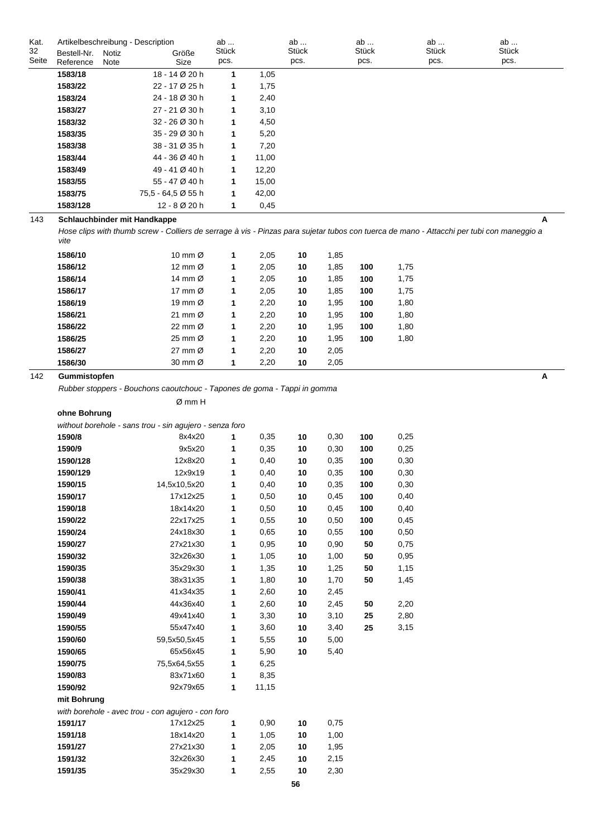| Kat.  |             | Artikelbeschreibung - Description |                    | ab          |       | ab           | ab           | ab           | ab    |  |
|-------|-------------|-----------------------------------|--------------------|-------------|-------|--------------|--------------|--------------|-------|--|
| 32    | Bestell-Nr. | Notiz                             | Größe              | Stück       |       | <b>Stück</b> | <b>Stück</b> | <b>Stück</b> | Stück |  |
| Seite | Reference   | Note                              | Size               | pcs.        |       | pcs.         | pcs.         | pcs.         | pcs.  |  |
|       | 1583/18     |                                   | 18 - 14 Ø 20 h     | 1           | 1,05  |              |              |              |       |  |
|       | 1583/22     |                                   | 22 - 17 Ø 25 h     | 1           | 1,75  |              |              |              |       |  |
|       | 1583/24     |                                   | 24 - 18 Ø 30 h     | 1           | 2,40  |              |              |              |       |  |
|       | 1583/27     |                                   | 27 - 21 Ø 30 h     | 1           | 3,10  |              |              |              |       |  |
|       | 1583/32     |                                   | 32 - 26 Ø 30 h     | 1           | 4,50  |              |              |              |       |  |
|       | 1583/35     |                                   | 35 - 29 Ø 30 h     | 1           | 5,20  |              |              |              |       |  |
|       | 1583/38     |                                   | 38 - 31 Ø 35 h     | 1           | 7,20  |              |              |              |       |  |
|       | 1583/44     |                                   | 44 - 36 Ø 40 h     | $\mathbf 1$ | 11,00 |              |              |              |       |  |
|       | 1583/49     |                                   | 49 - 41 Ø 40 h     | 1           | 12,20 |              |              |              |       |  |
|       | 1583/55     |                                   | 55 - 47 Ø 40 h     | $\mathbf 1$ | 15,00 |              |              |              |       |  |
|       | 1583/75     |                                   | 75,5 - 64,5 Ø 55 h | 1           | 42,00 |              |              |              |       |  |
|       | 1583/128    |                                   | 12 - 8 Ø 20 h      | 1           | 0,45  |              |              |              |       |  |
| 143   |             | Schlauchbinder mit Handkappe      |                    |             |       |              |              |              | A     |  |

*Hose clips with thumb screw - Colliers de serrage à vis - Pinzas para sujetar tubos con tuerca de mano - Attacchi per tubi con maneggio a vite*

| 1586/10 | 10 mm $\varnothing$ | 1 | 2,05 | 10 | 1,85 |     |      |
|---------|---------------------|---|------|----|------|-----|------|
| 1586/12 | 12 mm $\varnothing$ | 1 | 2,05 | 10 | 1,85 | 100 | 1,75 |
| 1586/14 | 14 mm $\varnothing$ | 1 | 2,05 | 10 | 1,85 | 100 | 1,75 |
| 1586/17 | 17 mm $\varnothing$ | 1 | 2,05 | 10 | 1,85 | 100 | 1,75 |
| 1586/19 | 19 mm $\varnothing$ | 1 | 2,20 | 10 | 1,95 | 100 | 1,80 |
| 1586/21 | 21 mm $\varnothing$ | 1 | 2,20 | 10 | 1,95 | 100 | 1,80 |
| 1586/22 | 22 mm Ø             | 1 | 2,20 | 10 | 1,95 | 100 | 1,80 |
| 1586/25 | 25 mm $\varnothing$ | 1 | 2,20 | 10 | 1,95 | 100 | 1,80 |
| 1586/27 | 27 mm $\varnothing$ | 1 | 2,20 | 10 | 2,05 |     |      |
| 1586/30 | 30 mm Ø             | 1 | 2,20 | 10 | 2,05 |     |      |

142 **Gummistopfen A**

*Rubber stoppers - Bouchons caoutchouc - Tapones de goma - Tappi in gomma*

Ø mm H

**ohne Bohrung**

| without borehole - sans trou - sin agujero - senza ford |  |  |
|---------------------------------------------------------|--|--|
|                                                         |  |  |

| 1590/8      | 8x4x20                                             | 1            | 0,35  | 10 | 0,30 | 100 | 0,25 |
|-------------|----------------------------------------------------|--------------|-------|----|------|-----|------|
| 1590/9      | 9x5x20                                             | 1            | 0,35  | 10 | 0,30 | 100 | 0,25 |
| 1590/128    | 12x8x20                                            | 1            | 0,40  | 10 | 0,35 | 100 | 0,30 |
| 1590/129    | 12x9x19                                            | 1            | 0,40  | 10 | 0,35 | 100 | 0,30 |
| 1590/15     | 14,5x10,5x20                                       | 1            | 0,40  | 10 | 0,35 | 100 | 0,30 |
| 1590/17     | 17x12x25                                           | 1            | 0,50  | 10 | 0,45 | 100 | 0,40 |
| 1590/18     | 18x14x20                                           | 1            | 0,50  | 10 | 0,45 | 100 | 0,40 |
| 1590/22     | 22x17x25                                           | 1            | 0,55  | 10 | 0,50 | 100 | 0,45 |
| 1590/24     | 24x18x30                                           | 1            | 0,65  | 10 | 0,55 | 100 | 0,50 |
| 1590/27     | 27x21x30                                           | 1            | 0,95  | 10 | 0,90 | 50  | 0,75 |
| 1590/32     | 32x26x30                                           | 1            | 1,05  | 10 | 1,00 | 50  | 0,95 |
| 1590/35     | 35x29x30                                           | 1            | 1,35  | 10 | 1,25 | 50  | 1,15 |
| 1590/38     | 38x31x35                                           | 1            | 1,80  | 10 | 1,70 | 50  | 1,45 |
| 1590/41     | 41x34x35                                           | 1            | 2,60  | 10 | 2,45 |     |      |
| 1590/44     | 44x36x40                                           | 1            | 2,60  | 10 | 2,45 | 50  | 2,20 |
| 1590/49     | 49x41x40                                           | 1            | 3,30  | 10 | 3,10 | 25  | 2,80 |
| 1590/55     | 55x47x40                                           | 1            | 3,60  | 10 | 3,40 | 25  | 3,15 |
| 1590/60     | 59,5x50,5x45                                       | 1            | 5,55  | 10 | 5,00 |     |      |
| 1590/65     | 65x56x45                                           | 1            | 5,90  | 10 | 5,40 |     |      |
| 1590/75     | 75,5x64,5x55                                       | $\mathbf{1}$ | 6,25  |    |      |     |      |
| 1590/83     | 83x71x60                                           | 1            | 8,35  |    |      |     |      |
| 1590/92     | 92x79x65                                           | 1            | 11,15 |    |      |     |      |
| mit Bohrung |                                                    |              |       |    |      |     |      |
|             | with borehole - avec trou - con agujero - con foro |              |       |    |      |     |      |
| 1591/17     | 17x12x25                                           | 1            | 0,90  | 10 | 0,75 |     |      |
| 1591/18     | 18x14x20                                           | 1            | 1,05  | 10 | 1,00 |     |      |
| 1591/27     | 27x21x30                                           | 1            | 2,05  | 10 | 1,95 |     |      |
| 1591/32     | 32x26x30                                           | 1            | 2,45  | 10 | 2,15 |     |      |
| 1591/35     | 35x29x30                                           | 1            | 2,55  | 10 | 2,30 |     |      |

**56**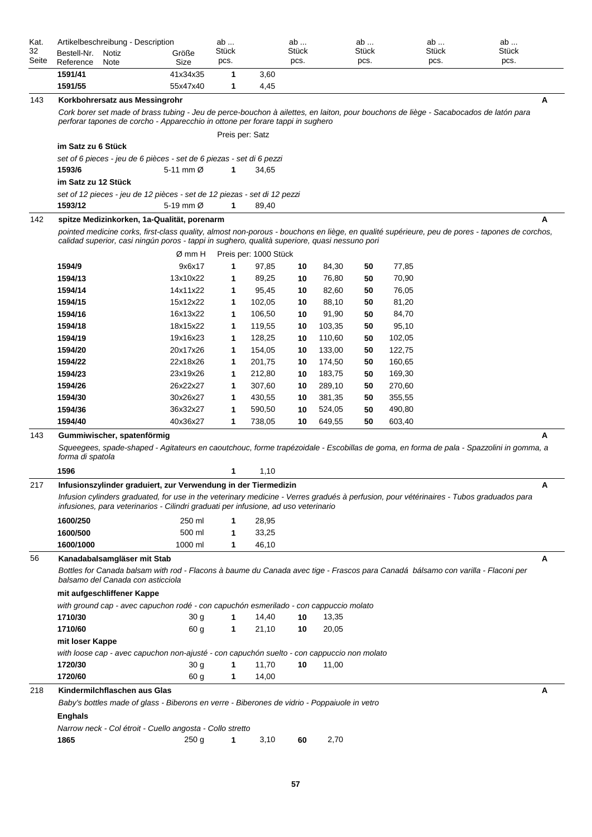| Kat.<br>32<br>Seite | Artikelbeschreibung - Description<br>Bestell-Nr.<br>Notiz<br>Reference<br>Note                                                                                                                                                 | Größe<br>Size                                                                                                                                                                                                          | ab<br>Stück<br>pcs. |                       | ab<br>Stück<br>pcs. |        | ab<br><b>Stück</b><br>pcs. |        | ab<br>Stück<br>pcs. | ab<br>Stück<br>pcs.                                                                                                                           |  |  |  |
|---------------------|--------------------------------------------------------------------------------------------------------------------------------------------------------------------------------------------------------------------------------|------------------------------------------------------------------------------------------------------------------------------------------------------------------------------------------------------------------------|---------------------|-----------------------|---------------------|--------|----------------------------|--------|---------------------|-----------------------------------------------------------------------------------------------------------------------------------------------|--|--|--|
|                     | 1591/41                                                                                                                                                                                                                        | 41x34x35                                                                                                                                                                                                               | 1                   | 3,60                  |                     |        |                            |        |                     |                                                                                                                                               |  |  |  |
|                     | 1591/55                                                                                                                                                                                                                        | 55x47x40                                                                                                                                                                                                               | 1                   | 4,45                  |                     |        |                            |        |                     |                                                                                                                                               |  |  |  |
| 143                 | Korkbohrersatz aus Messingrohr                                                                                                                                                                                                 |                                                                                                                                                                                                                        |                     |                       |                     |        |                            |        |                     | Α                                                                                                                                             |  |  |  |
|                     |                                                                                                                                                                                                                                | Cork borer set made of brass tubing - Jeu de perce-bouchon à ailettes, en laiton, pour bouchons de liège - Sacabocados de latón para<br>perforar tapones de corcho - Apparecchio in ottone per forare tappi in sughero |                     |                       |                     |        |                            |        |                     |                                                                                                                                               |  |  |  |
|                     |                                                                                                                                                                                                                                |                                                                                                                                                                                                                        | Preis per: Satz     |                       |                     |        |                            |        |                     |                                                                                                                                               |  |  |  |
|                     | im Satz zu 6 Stück                                                                                                                                                                                                             |                                                                                                                                                                                                                        |                     |                       |                     |        |                            |        |                     |                                                                                                                                               |  |  |  |
|                     | set of 6 pieces - jeu de 6 pièces - set de 6 piezas - set di 6 pezzi                                                                                                                                                           |                                                                                                                                                                                                                        |                     |                       |                     |        |                            |        |                     |                                                                                                                                               |  |  |  |
|                     | 1593/6<br>im Satz zu 12 Stück                                                                                                                                                                                                  | 5-11 mm Ø                                                                                                                                                                                                              | 1                   | 34,65                 |                     |        |                            |        |                     |                                                                                                                                               |  |  |  |
|                     | set of 12 pieces - jeu de 12 pièces - set de 12 piezas - set di 12 pezzi                                                                                                                                                       |                                                                                                                                                                                                                        |                     |                       |                     |        |                            |        |                     |                                                                                                                                               |  |  |  |
|                     | 1593/12                                                                                                                                                                                                                        | 5-19 mm Ø                                                                                                                                                                                                              | $\mathbf{1}$        | 89,40                 |                     |        |                            |        |                     |                                                                                                                                               |  |  |  |
| 142                 | spitze Medizinkorken, 1a-Qualität, porenarm                                                                                                                                                                                    |                                                                                                                                                                                                                        |                     |                       |                     |        |                            |        |                     | А                                                                                                                                             |  |  |  |
|                     | calidad superior, casi ningún poros - tappi in sughero, qualità superiore, quasi nessuno pori                                                                                                                                  |                                                                                                                                                                                                                        |                     |                       |                     |        |                            |        |                     | pointed medicine corks, first-class quality, almost non-porous - bouchons en liège, en qualité supérieure, peu de pores - tapones de corchos, |  |  |  |
|                     |                                                                                                                                                                                                                                | Ø mm H                                                                                                                                                                                                                 |                     | Preis per: 1000 Stück |                     |        |                            |        |                     |                                                                                                                                               |  |  |  |
|                     | 1594/9                                                                                                                                                                                                                         | 9x6x17                                                                                                                                                                                                                 | 1                   | 97,85                 | 10                  | 84,30  | 50                         | 77,85  |                     |                                                                                                                                               |  |  |  |
|                     | 1594/13                                                                                                                                                                                                                        | 13x10x22                                                                                                                                                                                                               | 1                   | 89,25                 | 10                  | 76,80  | 50                         | 70,90  |                     |                                                                                                                                               |  |  |  |
|                     | 1594/14                                                                                                                                                                                                                        | 14x11x22                                                                                                                                                                                                               | 1                   | 95,45                 | 10                  | 82,60  | 50                         | 76,05  |                     |                                                                                                                                               |  |  |  |
|                     | 1594/15                                                                                                                                                                                                                        | 15x12x22                                                                                                                                                                                                               | 1                   | 102,05                | 10                  | 88,10  | 50                         | 81,20  |                     |                                                                                                                                               |  |  |  |
|                     | 1594/16                                                                                                                                                                                                                        | 16x13x22                                                                                                                                                                                                               | 1                   | 106,50                | 10                  | 91,90  | 50                         | 84,70  |                     |                                                                                                                                               |  |  |  |
|                     | 1594/18                                                                                                                                                                                                                        | 18x15x22                                                                                                                                                                                                               | 1                   | 119,55                | 10                  | 103,35 | 50                         | 95,10  |                     |                                                                                                                                               |  |  |  |
|                     | 1594/19                                                                                                                                                                                                                        | 19x16x23                                                                                                                                                                                                               | 1                   | 128,25                | 10                  | 110,60 | 50                         | 102,05 |                     |                                                                                                                                               |  |  |  |
|                     | 1594/20                                                                                                                                                                                                                        | 20x17x26                                                                                                                                                                                                               | 1                   | 154,05                | 10                  | 133,00 | 50                         | 122,75 |                     |                                                                                                                                               |  |  |  |
|                     | 1594/22                                                                                                                                                                                                                        | 22x18x26                                                                                                                                                                                                               | 1                   | 201,75                | 10                  | 174,50 | 50                         | 160,65 |                     |                                                                                                                                               |  |  |  |
|                     | 1594/23                                                                                                                                                                                                                        | 23x19x26                                                                                                                                                                                                               | 1                   | 212,80                | 10                  | 183,75 | 50                         | 169,30 |                     |                                                                                                                                               |  |  |  |
|                     | 1594/26                                                                                                                                                                                                                        | 26x22x27                                                                                                                                                                                                               | 1                   | 307,60                | 10                  | 289,10 | 50                         | 270,60 |                     |                                                                                                                                               |  |  |  |
|                     | 1594/30                                                                                                                                                                                                                        | 30x26x27                                                                                                                                                                                                               | 1                   | 430,55                | 10                  | 381,35 | 50                         | 355,55 |                     |                                                                                                                                               |  |  |  |
|                     | 1594/36                                                                                                                                                                                                                        | 36x32x27                                                                                                                                                                                                               | 1                   | 590,50                | 10                  | 524,05 | 50                         | 490,80 |                     |                                                                                                                                               |  |  |  |
|                     | 1594/40                                                                                                                                                                                                                        | 40x36x27                                                                                                                                                                                                               | 1                   | 738,05                | 10                  | 649,55 | 50                         | 603,40 |                     |                                                                                                                                               |  |  |  |
| 143                 | Gummiwischer, spatenförmig                                                                                                                                                                                                     |                                                                                                                                                                                                                        |                     |                       |                     |        |                            |        |                     | А                                                                                                                                             |  |  |  |
|                     | forma di spatola                                                                                                                                                                                                               |                                                                                                                                                                                                                        |                     |                       |                     |        |                            |        |                     | Squeegees, spade-shaped - Agitateurs en caoutchouc, forme trapézoidale - Escobillas de goma, en forma de pala - Spazzolini in gomma, a        |  |  |  |
|                     | 1596                                                                                                                                                                                                                           |                                                                                                                                                                                                                        | 1                   | 1,10                  |                     |        |                            |        |                     |                                                                                                                                               |  |  |  |
| 217                 | Infusionszylinder graduiert, zur Verwendung in der Tiermedizin                                                                                                                                                                 |                                                                                                                                                                                                                        |                     |                       |                     |        |                            |        |                     | Α                                                                                                                                             |  |  |  |
|                     | Infusion cylinders graduated, for use in the veterinary medicine - Verres gradués à perfusion, pour vétérinaires - Tubos graduados para<br>infusiones, para veterinarios - Cilindri graduati per infusione, ad uso veterinario |                                                                                                                                                                                                                        |                     |                       |                     |        |                            |        |                     |                                                                                                                                               |  |  |  |
|                     | 1600/250                                                                                                                                                                                                                       | 250 ml                                                                                                                                                                                                                 | 1                   | 28,95                 |                     |        |                            |        |                     |                                                                                                                                               |  |  |  |
|                     | 1600/500                                                                                                                                                                                                                       | 500 ml                                                                                                                                                                                                                 | 1                   | 33,25                 |                     |        |                            |        |                     |                                                                                                                                               |  |  |  |
|                     | 1600/1000                                                                                                                                                                                                                      | 1000 ml                                                                                                                                                                                                                | 1                   | 46,10                 |                     |        |                            |        |                     |                                                                                                                                               |  |  |  |
| 56                  | Kanadabalsamgläser mit Stab                                                                                                                                                                                                    |                                                                                                                                                                                                                        |                     |                       |                     |        |                            |        |                     | A                                                                                                                                             |  |  |  |
|                     |                                                                                                                                                                                                                                | Bottles for Canada balsam with rod - Flacons à baume du Canada avec tige - Frascos para Canadá bálsamo con varilla - Flaconi per<br>balsamo del Canada con asticciola                                                  |                     |                       |                     |        |                            |        |                     |                                                                                                                                               |  |  |  |
|                     | mit aufgeschliffener Kappe                                                                                                                                                                                                     |                                                                                                                                                                                                                        |                     |                       |                     |        |                            |        |                     |                                                                                                                                               |  |  |  |
|                     | with ground cap - avec capuchon rodé - con capuchón esmerilado - con cappuccio molato<br>1710/30                                                                                                                               | 30 <sub>g</sub>                                                                                                                                                                                                        | 1                   | 14,40                 | 10                  | 13,35  |                            |        |                     |                                                                                                                                               |  |  |  |
|                     | 1710/60                                                                                                                                                                                                                        | 60 g                                                                                                                                                                                                                   | 1                   | 21,10                 | 10                  | 20,05  |                            |        |                     |                                                                                                                                               |  |  |  |
|                     | mit loser Kappe                                                                                                                                                                                                                |                                                                                                                                                                                                                        |                     |                       |                     |        |                            |        |                     |                                                                                                                                               |  |  |  |
|                     | with loose cap - avec capuchon non-ajusté - con capuchón suelto - con cappuccio non molato                                                                                                                                     |                                                                                                                                                                                                                        |                     |                       |                     |        |                            |        |                     |                                                                                                                                               |  |  |  |
|                     | 1720/30                                                                                                                                                                                                                        | 30 <sub>g</sub>                                                                                                                                                                                                        | 1                   | 11,70                 | 10                  | 11,00  |                            |        |                     |                                                                                                                                               |  |  |  |
|                     | 1720/60                                                                                                                                                                                                                        | 60 <sub>g</sub>                                                                                                                                                                                                        | 1                   | 14,00                 |                     |        |                            |        |                     |                                                                                                                                               |  |  |  |
| 218                 | Kindermilchflaschen aus Glas                                                                                                                                                                                                   |                                                                                                                                                                                                                        |                     |                       |                     |        |                            |        |                     | А                                                                                                                                             |  |  |  |
|                     | Baby's bottles made of glass - Biberons en verre - Biberones de vidrio - Poppaiuole in vetro                                                                                                                                   |                                                                                                                                                                                                                        |                     |                       |                     |        |                            |        |                     |                                                                                                                                               |  |  |  |
|                     |                                                                                                                                                                                                                                |                                                                                                                                                                                                                        |                     |                       |                     |        |                            |        |                     |                                                                                                                                               |  |  |  |
|                     | <b>Enghals</b>                                                                                                                                                                                                                 |                                                                                                                                                                                                                        |                     |                       |                     |        |                            |        |                     |                                                                                                                                               |  |  |  |
|                     | Narrow neck - Col étroit - Cuello angosta - Collo stretto<br>1865                                                                                                                                                              |                                                                                                                                                                                                                        | 1                   |                       |                     |        |                            |        |                     |                                                                                                                                               |  |  |  |
|                     |                                                                                                                                                                                                                                | 250 g                                                                                                                                                                                                                  |                     | 3,10                  | 60                  | 2,70   |                            |        |                     |                                                                                                                                               |  |  |  |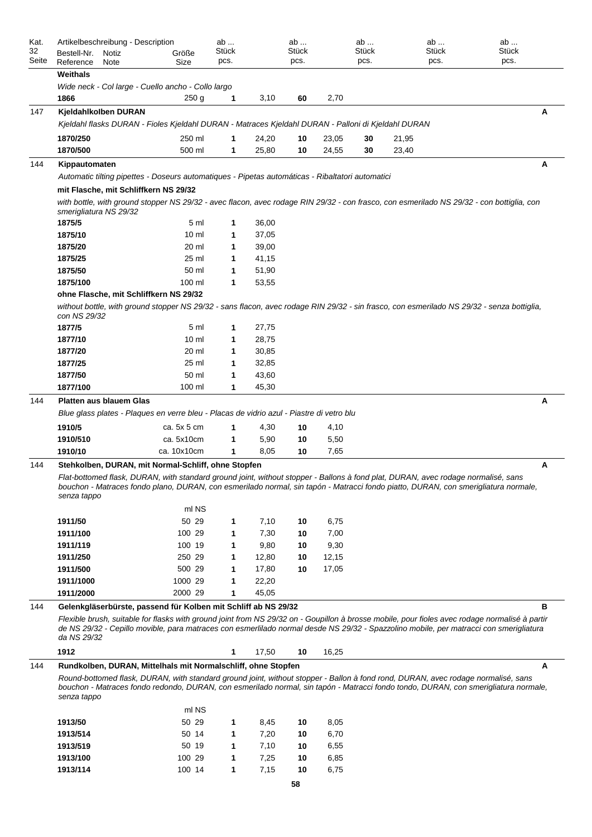| Kat.<br>32 | Artikelbeschreibung - Description<br>Bestell-Nr.<br>Notiz                                                                                                                                                                                                                                               | Größe            | ab<br>Stück |               | ab<br>Stück |               | ab<br>Stück | ab<br>Stück | ab<br>Stück |
|------------|---------------------------------------------------------------------------------------------------------------------------------------------------------------------------------------------------------------------------------------------------------------------------------------------------------|------------------|-------------|---------------|-------------|---------------|-------------|-------------|-------------|
| Seite      | Reference<br>Note                                                                                                                                                                                                                                                                                       | Size             | pcs.        |               | pcs.        |               | pcs.        | pcs.        | pcs.        |
|            | Weithals                                                                                                                                                                                                                                                                                                |                  |             |               |             |               |             |             |             |
|            | Wide neck - Col large - Cuello ancho - Collo largo                                                                                                                                                                                                                                                      |                  |             |               |             |               |             |             |             |
|            | 1866                                                                                                                                                                                                                                                                                                    | 250 <sub>g</sub> | 1           | 3,10          | 60          | 2,70          |             |             |             |
| 147        | Kjeldahlkolben DURAN                                                                                                                                                                                                                                                                                    |                  |             |               |             |               |             |             | Α           |
|            | Kjeldahl flasks DURAN - Fioles Kjeldahl DURAN - Matraces Kjeldahl DURAN - Palloni di Kjeldahl DURAN                                                                                                                                                                                                     |                  |             |               |             |               |             |             |             |
|            | 1870/250                                                                                                                                                                                                                                                                                                | 250 ml           |             | 24,20         | 10          | 23,05         | 30          | 21,95       |             |
|            | 1870/500                                                                                                                                                                                                                                                                                                | 500 ml           | 1           | 25,80         | 10          | 24,55         | 30          | 23,40       |             |
| 144        | Kippautomaten                                                                                                                                                                                                                                                                                           |                  |             |               |             |               |             |             | Α           |
|            | Automatic tilting pipettes - Doseurs automatiques - Pipetas automáticas - Ribaltatori automatici                                                                                                                                                                                                        |                  |             |               |             |               |             |             |             |
|            | mit Flasche, mit Schliffkern NS 29/32                                                                                                                                                                                                                                                                   |                  |             |               |             |               |             |             |             |
|            | with bottle, with ground stopper NS 29/32 - avec flacon, avec rodage RIN 29/32 - con frasco, con esmerilado NS 29/32 - con bottiglia, con<br>smerigliatura NS 29/32                                                                                                                                     |                  |             |               |             |               |             |             |             |
|            | 1875/5                                                                                                                                                                                                                                                                                                  | 5 ml             | 1           | 36,00         |             |               |             |             |             |
|            | 1875/10                                                                                                                                                                                                                                                                                                 | 10 <sub>m</sub>  | 1           | 37,05         |             |               |             |             |             |
|            | 1875/20                                                                                                                                                                                                                                                                                                 | 20 ml            | 1           | 39,00         |             |               |             |             |             |
|            | 1875/25                                                                                                                                                                                                                                                                                                 | 25 ml            | 1           | 41,15         |             |               |             |             |             |
|            | 1875/50                                                                                                                                                                                                                                                                                                 | 50 ml            | 1           | 51,90         |             |               |             |             |             |
|            | 1875/100                                                                                                                                                                                                                                                                                                | 100 ml           | 1           | 53,55         |             |               |             |             |             |
|            | ohne Flasche, mit Schliffkern NS 29/32                                                                                                                                                                                                                                                                  |                  |             |               |             |               |             |             |             |
|            | without bottle, with ground stopper NS 29/32 - sans flacon, avec rodage RIN 29/32 - sin frasco, con esmerilado NS 29/32 - senza bottiglia,<br>con NS 29/32                                                                                                                                              |                  |             |               |             |               |             |             |             |
|            | 1877/5                                                                                                                                                                                                                                                                                                  | 5 ml             | 1           | 27,75         |             |               |             |             |             |
|            | 1877/10                                                                                                                                                                                                                                                                                                 | 10 <sub>m</sub>  | 1           | 28,75         |             |               |             |             |             |
|            | 1877/20                                                                                                                                                                                                                                                                                                 | 20 ml            | 1           | 30,85         |             |               |             |             |             |
|            | 1877/25                                                                                                                                                                                                                                                                                                 | 25 ml            | 1           | 32,85         |             |               |             |             |             |
|            | 1877/50                                                                                                                                                                                                                                                                                                 | 50 ml            | 1           | 43,60         |             |               |             |             |             |
|            | 1877/100                                                                                                                                                                                                                                                                                                | 100 ml           | 1           | 45,30         |             |               |             |             |             |
| 144        | <b>Platten aus blauem Glas</b>                                                                                                                                                                                                                                                                          |                  |             |               |             |               |             |             | Α           |
|            | Blue glass plates - Plaques en verre bleu - Placas de vidrio azul - Piastre di vetro blu                                                                                                                                                                                                                |                  |             |               |             |               |             |             |             |
|            | 1910/5                                                                                                                                                                                                                                                                                                  | ca. 5x 5 cm      | 1           | 4,30          | 10          | 4,10          |             |             |             |
|            | 1910/510                                                                                                                                                                                                                                                                                                | ca. 5x10cm       | 1           | 5,90          | 10          | 5,50          |             |             |             |
|            | 1910/10                                                                                                                                                                                                                                                                                                 | ca. 10x10cm      | 1           | 8,05          | 10          | 7,65          |             |             |             |
| 144        | Stehkolben, DURAN, mit Normal-Schliff, ohne Stopfen                                                                                                                                                                                                                                                     |                  |             |               |             |               |             |             | Α           |
|            | Flat-bottomed flask, DURAN, with standard ground joint, without stopper - Ballons à fond plat, DURAN, avec rodage normalisé, sans<br>bouchon - Matraces fondo plano, DURAN, con esmerilado normal, sin tapón - Matracci fondo piatto, DURAN, con smerigliatura normale,<br>senza tappo                  |                  |             |               |             |               |             |             |             |
|            |                                                                                                                                                                                                                                                                                                         | ml NS            |             |               |             |               |             |             |             |
|            | 1911/50                                                                                                                                                                                                                                                                                                 | 50 29            | 1           | 7,10          | 10          | 6,75          |             |             |             |
|            | 1911/100                                                                                                                                                                                                                                                                                                | 100 29           | 1           | 7,30          | 10          | 7,00          |             |             |             |
|            | 1911/119<br>1911/250                                                                                                                                                                                                                                                                                    | 100 19<br>250 29 | 1<br>1      | 9,80<br>12,80 | 10<br>10    | 9,30<br>12,15 |             |             |             |
|            | 1911/500                                                                                                                                                                                                                                                                                                | 500 29           | 1           | 17,80         | 10          | 17,05         |             |             |             |
|            | 1911/1000                                                                                                                                                                                                                                                                                               | 1000 29          | 1           | 22,20         |             |               |             |             |             |
|            | 1911/2000                                                                                                                                                                                                                                                                                               | 2000 29          | 1           | 45,05         |             |               |             |             |             |
| 144        | Gelenkgläserbürste, passend für Kolben mit Schliff ab NS 29/32                                                                                                                                                                                                                                          |                  |             |               |             |               |             |             | в           |
|            | Flexible brush, suitable for flasks with ground joint from NS 29/32 on - Goupillon à brosse mobile, pour fioles avec rodage normalisé à partir<br>de NS 29/32 - Cepillo movible, para matraces con esmerlilado normal desde NS 29/32 - Spazzolino mobile, per matracci con smerigliatura<br>da NS 29/32 |                  |             |               |             |               |             |             |             |
|            | 1912                                                                                                                                                                                                                                                                                                    |                  | 1           | 17,50         | 10          | 16,25         |             |             |             |
| 144        | Rundkolben, DURAN, Mittelhals mit Normalschliff, ohne Stopfen                                                                                                                                                                                                                                           |                  |             |               |             |               |             |             | A           |
|            | Round-bottomed flask, DURAN, with standard ground joint, without stopper - Ballon à fond rond, DURAN, avec rodage normalisé, sans<br>bouchon - Matraces fondo redondo, DURAN, con esmerilado normal, sin tapón - Matracci fondo tondo, DURAN, con smerigliatura normale,<br>senza tappo                 |                  |             |               |             |               |             |             |             |
|            |                                                                                                                                                                                                                                                                                                         | ml NS            |             |               |             |               |             |             |             |
|            | 1913/50                                                                                                                                                                                                                                                                                                 | 50 29            | 1           | 8,45          | 10          | 8,05          |             |             |             |
|            | 1913/514                                                                                                                                                                                                                                                                                                | 50 14            | 1           | 7,20          | 10          | 6,70          |             |             |             |
|            | 1913/519                                                                                                                                                                                                                                                                                                | 50 19            | 1           | 7,10          | 10          | 6,55          |             |             |             |
|            | 1913/100                                                                                                                                                                                                                                                                                                | 100 29           | 1           | 7,25          | 10          | 6,85          |             |             |             |
|            | 1913/114                                                                                                                                                                                                                                                                                                | 100 14           | 1           | 7,15          | 10          | 6,75          |             |             |             |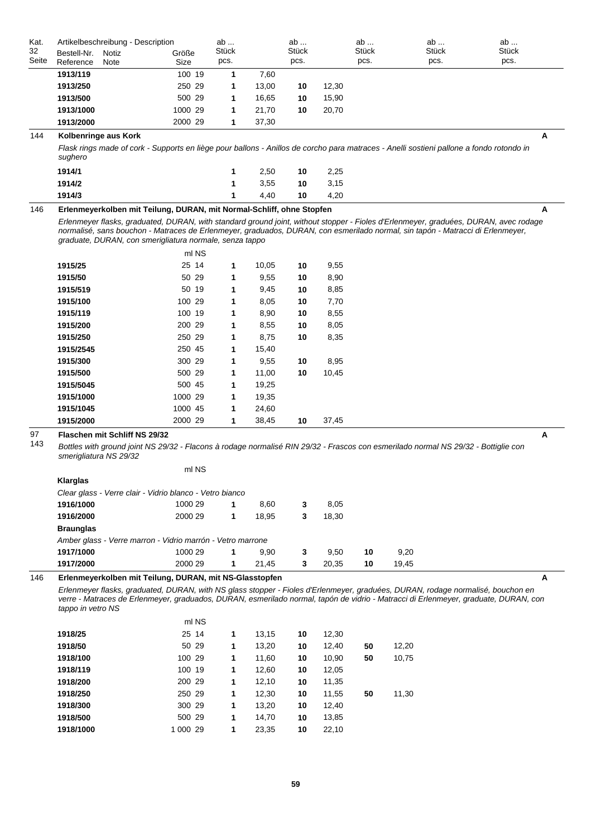| Kat.        | Artikelbeschreibung - Description                       |               |                                                                       | ab            |       | ab                   |       | ab                   | ab                                                                                                                                                                                                                                                                     | ab                   |
|-------------|---------------------------------------------------------|---------------|-----------------------------------------------------------------------|---------------|-------|----------------------|-------|----------------------|------------------------------------------------------------------------------------------------------------------------------------------------------------------------------------------------------------------------------------------------------------------------|----------------------|
| 32<br>Seite | Bestell-Nr.<br>Reference                                | Notiz<br>Note | Größe<br>Size                                                         | Stück<br>pcs. |       | <b>Stück</b><br>pcs. |       | <b>Stück</b><br>pcs. | <b>Stück</b><br>pcs.                                                                                                                                                                                                                                                   | <b>Stück</b><br>pcs. |
|             | 1913/119                                                |               | 100 19                                                                | 1             | 7,60  |                      |       |                      |                                                                                                                                                                                                                                                                        |                      |
|             | 1913/250                                                |               | 250 29                                                                | 1             | 13,00 | 10                   | 12,30 |                      |                                                                                                                                                                                                                                                                        |                      |
|             | 1913/500                                                |               | 500 29                                                                | 1             | 16,65 | 10                   | 15,90 |                      |                                                                                                                                                                                                                                                                        |                      |
|             | 1913/1000                                               |               | 1000 29                                                               | 1             | 21,70 | 10                   | 20,70 |                      |                                                                                                                                                                                                                                                                        |                      |
|             | 1913/2000                                               |               | 2000 29                                                               | 1             | 37,30 |                      |       |                      |                                                                                                                                                                                                                                                                        |                      |
| 144         | Kolbenringe aus Kork                                    |               |                                                                       |               |       |                      |       |                      |                                                                                                                                                                                                                                                                        | Α                    |
|             | sughero                                                 |               |                                                                       |               |       |                      |       |                      | Flask rings made of cork - Supports en liège pour ballons - Anillos de corcho para matraces - Anelli sostieni pallone a fondo rotondo in                                                                                                                               |                      |
|             | 1914/1                                                  |               |                                                                       | 1             | 2,50  | 10                   | 2,25  |                      |                                                                                                                                                                                                                                                                        |                      |
|             | 1914/2                                                  |               |                                                                       | 1             | 3,55  | 10                   | 3,15  |                      |                                                                                                                                                                                                                                                                        |                      |
|             | 1914/3                                                  |               |                                                                       | 1             | 4,40  | 10                   | 4,20  |                      |                                                                                                                                                                                                                                                                        |                      |
| 146         |                                                         |               | Erlenmeyerkolben mit Teilung, DURAN, mit Normal-Schliff, ohne Stopfen |               |       |                      |       |                      |                                                                                                                                                                                                                                                                        | А                    |
|             |                                                         |               | graduate, DURAN, con smerigliatura normale, senza tappo               |               |       |                      |       |                      | Erlenmeyer flasks, graduated, DURAN, with standard ground joint, without stopper - Fioles d'Erlenmeyer, graduées, DURAN, avec rodage<br>normalisé, sans bouchon - Matraces de Erlenmeyer, graduados, DURAN, con esmerilado normal, sin tapón - Matracci di Erlenmeyer, |                      |
|             |                                                         |               | ml NS                                                                 |               |       |                      |       |                      |                                                                                                                                                                                                                                                                        |                      |
|             | 1915/25                                                 |               | 25 14                                                                 | 1             | 10,05 | 10                   | 9,55  |                      |                                                                                                                                                                                                                                                                        |                      |
|             | 1915/50                                                 |               | 50 29                                                                 | 1             | 9,55  | 10                   | 8,90  |                      |                                                                                                                                                                                                                                                                        |                      |
|             | 1915/519                                                |               | 50 19                                                                 | 1             | 9,45  | 10                   | 8,85  |                      |                                                                                                                                                                                                                                                                        |                      |
|             | 1915/100                                                |               | 100 29                                                                | 1             | 8,05  | 10                   | 7,70  |                      |                                                                                                                                                                                                                                                                        |                      |
|             | 1915/119                                                |               | 100 19                                                                | 1             | 8,90  | 10                   | 8,55  |                      |                                                                                                                                                                                                                                                                        |                      |
|             | 1915/200                                                |               | 200 29                                                                | 1             | 8,55  | 10                   | 8,05  |                      |                                                                                                                                                                                                                                                                        |                      |
|             | 1915/250                                                |               | 250 29                                                                | 1             | 8,75  | 10                   | 8,35  |                      |                                                                                                                                                                                                                                                                        |                      |
|             | 1915/2545                                               |               | 250 45                                                                | 1             | 15,40 |                      |       |                      |                                                                                                                                                                                                                                                                        |                      |
|             | 1915/300                                                |               | 300 29                                                                | 1             | 9,55  | 10                   | 8,95  |                      |                                                                                                                                                                                                                                                                        |                      |
|             | 1915/500                                                |               | 500 29                                                                | 1             | 11,00 | 10                   | 10,45 |                      |                                                                                                                                                                                                                                                                        |                      |
|             | 1915/5045                                               |               | 500 45                                                                | 1             | 19,25 |                      |       |                      |                                                                                                                                                                                                                                                                        |                      |
|             | 1915/1000                                               |               | 1000 29                                                               | 1             | 19,35 |                      |       |                      |                                                                                                                                                                                                                                                                        |                      |
|             | 1915/1045                                               |               | 1000 45                                                               | 1             | 24,60 |                      |       |                      |                                                                                                                                                                                                                                                                        |                      |
|             | 1915/2000                                               |               | 2000 29                                                               | 1             | 38,45 | 10                   | 37,45 |                      |                                                                                                                                                                                                                                                                        |                      |
| 97<br>143   | Flaschen mit Schliff NS 29/32<br>smerigliatura NS 29/32 |               |                                                                       |               |       |                      |       |                      | Bottles with ground joint NS 29/32 - Flacons à rodage normalisé RIN 29/32 - Frascos con esmerilado normal NS 29/32 - Bottiglie con                                                                                                                                     | Α                    |
|             | Klarglas                                                |               | ml NS                                                                 |               |       |                      |       |                      |                                                                                                                                                                                                                                                                        |                      |
|             |                                                         |               | Clear glass - Verre clair - Vidrio blanco - Vetro bianco              |               |       |                      |       |                      |                                                                                                                                                                                                                                                                        |                      |
|             | 1916/1000                                               |               | 1000 29                                                               | 1             | 8,60  | 3                    | 8,05  |                      |                                                                                                                                                                                                                                                                        |                      |
|             | 1916/2000                                               |               | 2000 29                                                               | 1             | 18,95 | 3                    | 18,30 |                      |                                                                                                                                                                                                                                                                        |                      |
|             | <b>Braunglas</b>                                        |               |                                                                       |               |       |                      |       |                      |                                                                                                                                                                                                                                                                        |                      |
|             |                                                         |               | Amber glass - Verre marron - Vidrio marrón - Vetro marrone            |               |       |                      |       |                      |                                                                                                                                                                                                                                                                        |                      |
|             | 1917/1000                                               |               | 1000 29                                                               | 1             | 9,90  | 3                    | 9,50  | 10                   | 9,20                                                                                                                                                                                                                                                                   |                      |
|             | 1917/2000                                               |               | 2000 29                                                               | 1             | 21,45 | 3                    | 20,35 | 10                   | 19,45                                                                                                                                                                                                                                                                  |                      |
| 146         |                                                         |               | Erlenmeyerkolben mit Teilung, DURAN, mit NS-Glasstopfen               |               |       |                      |       |                      |                                                                                                                                                                                                                                                                        | A                    |
|             | tappo in vetro NS                                       |               |                                                                       |               |       |                      |       |                      | Erlenmeyer flasks, graduated, DURAN, with NS glass stopper - Fioles d'Erlenmeyer, graduées, DURAN, rodage normalisé, bouchon en<br>verre - Matraces de Erlenmeyer, graduados, DURAN, esmerilado normal, tapón de vidrio - Matracci di Erlenmeyer, graduate, DURAN, con |                      |
|             |                                                         |               | ml NS                                                                 |               |       |                      |       |                      |                                                                                                                                                                                                                                                                        |                      |
|             | 1918/25                                                 |               | 25 14                                                                 | 1             | 13,15 | 10                   | 12,30 |                      |                                                                                                                                                                                                                                                                        |                      |
|             | 1918/50                                                 |               | 50 29                                                                 | 1             | 13,20 | 10                   | 12,40 | 50                   | 12,20                                                                                                                                                                                                                                                                  |                      |
|             | 1918/100                                                |               | 100 29                                                                | 1             | 11,60 | 10                   | 10,90 | 50                   | 10,75                                                                                                                                                                                                                                                                  |                      |
|             | 1918/119                                                |               | 100 19                                                                | 1             | 12,60 | 10                   | 12,05 |                      |                                                                                                                                                                                                                                                                        |                      |
|             | 1918/200                                                |               | 200 29                                                                | 1             | 12,10 | 10                   | 11,35 |                      |                                                                                                                                                                                                                                                                        |                      |
|             | 1918/250                                                |               | 250 29                                                                | 1             | 12,30 | 10                   | 11,55 | 50                   | 11,30                                                                                                                                                                                                                                                                  |                      |
|             | 1918/300                                                |               | 300 29                                                                | 1             | 13,20 | 10                   | 12,40 |                      |                                                                                                                                                                                                                                                                        |                      |
|             | 1918/500                                                |               | 500 29                                                                | 1             | 14,70 | 10                   | 13,85 |                      |                                                                                                                                                                                                                                                                        |                      |
|             | 1918/1000                                               |               | 1 000 29                                                              | 1             | 23,35 | 10                   | 22,10 |                      |                                                                                                                                                                                                                                                                        |                      |
|             |                                                         |               |                                                                       |               |       |                      |       |                      |                                                                                                                                                                                                                                                                        |                      |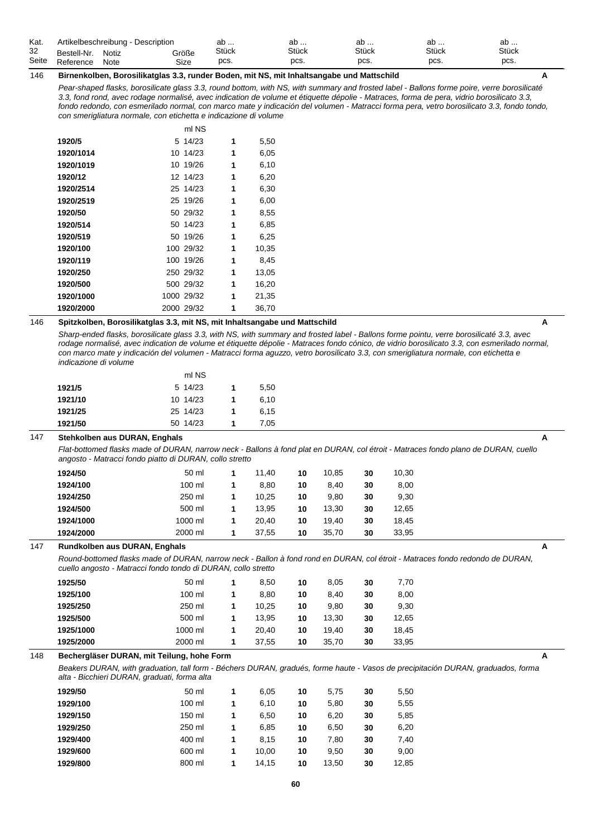| Kat.  |             | Artikelbeschreibung - Description |       | ab    | av           | av           | ឹ<br>av | ab           |
|-------|-------------|-----------------------------------|-------|-------|--------------|--------------|---------|--------------|
| 32    | Bestell-Nr. | Notiz                             | Größe | Stück | <b>Stück</b> | <b>Stück</b> | Stück   | <b>Stück</b> |
| Seite | Reference   | Note                              | Size  | pcs.  | pcs.         | pcs.         | pcs.    | pcs.         |

## 146 **Birnenkolben, Borosilikatglas 3.3, runder Boden, mit NS, mit Inhaltsangabe und Mattschild A**

*Pear-shaped flasks, borosilicate glass 3.3, round bottom, with NS, with summary and frosted label - Ballons forme poire, verre borosilicaté 3.3, fond rond, avec rodage normalisé, avec indication de volume et étiquette dépolie - Matraces, forma de pera, vidrio borosilicato 3.3, fondo redondo, con esmerilado normal, con marco mate y indicación del volumen - Matracci forma pera, vetro borosilicato 3.3, fondo tondo, con smerigliatura normale, con etichetta e indicazione di volume*

|           | ml NS      |   |       |
|-----------|------------|---|-------|
| 1920/5    | 5 14/23    | 1 | 5,50  |
| 1920/1014 | 10 14/23   | 1 | 6,05  |
| 1920/1019 | 10 19/26   | 1 | 6,10  |
| 1920/12   | 12 14/23   | 1 | 6,20  |
| 1920/2514 | 25 14/23   | 1 | 6,30  |
| 1920/2519 | 25 19/26   | 1 | 6,00  |
| 1920/50   | 50 29/32   | 1 | 8,55  |
| 1920/514  | 50 14/23   | 1 | 6,85  |
| 1920/519  | 50 19/26   | 1 | 6,25  |
| 1920/100  | 100 29/32  | 1 | 10,35 |
| 1920/119  | 100 19/26  | 1 | 8,45  |
| 1920/250  | 250 29/32  | 1 | 13,05 |
| 1920/500  | 500 29/32  | 1 | 16,20 |
| 1920/1000 | 1000 29/32 | 1 | 21,35 |
| 1920/2000 | 2000 29/32 | 1 | 36,70 |

## 146 **Spitzkolben, Borosilikatglas 3.3, mit NS, mit Inhaltsangabe und Mattschild A**

*Sharp-ended flasks, borosilicate glass 3.3, with NS, with summary and frosted label - Ballons forme pointu, verre borosilicaté 3.3, avec rodage normalisé, avec indication de volume et étiquette dépolie - Matraces fondo cónico, de vidrio borosilicato 3.3, con esmerilado normal, con marco mate y indicación del volumen - Matracci forma aguzzo, vetro borosilicato 3.3, con smerigliatura normale, con etichetta e indicazione di volume*

|         | ml NS    |   |      |
|---------|----------|---|------|
| 1921/5  | 5 14/23  | 1 | 5.50 |
| 1921/10 | 10 14/23 | 1 | 6.10 |
| 1921/25 | 25 14/23 | 1 | 6.15 |
| 1921/50 | 50 14/23 | 1 | 7.05 |

# 147 **Stehkolben aus DURAN, Enghals A**

*Flat-bottomed flasks made of DURAN, narrow neck - Ballons à fond plat en DURAN, col étroit - Matraces fondo plano de DURAN, cuello angosto - Matracci fondo piatto di DURAN, collo stretto*

| 1924/50   | 50 ml    |   | 11.40 | 10 | 10.85 | 30 | 10.30 |
|-----------|----------|---|-------|----|-------|----|-------|
| 1924/100  | $100$ ml |   | 8.80  | 10 | 8.40  | 30 | 8,00  |
| 1924/250  | 250 ml   |   | 10.25 | 10 | 9.80  | 30 | 9.30  |
| 1924/500  | 500 ml   |   | 13.95 | 10 | 13.30 | 30 | 12.65 |
| 1924/1000 | 1000 ml  |   | 20.40 | 10 | 19.40 | 30 | 18.45 |
| 1924/2000 | 2000 ml  | 1 | 37.55 | 10 | 35.70 | 30 | 33.95 |

## 147 **Rundkolben aus DURAN, Enghals A**

*Round-bottomed flasks made of DURAN, narrow neck - Ballon à fond rond en DURAN, col étroit - Matraces fondo redondo de DURAN, cuello angosto - Matracci fondo tondo di DURAN, collo stretto*

| 1925/50   | 50 ml    | 8.50  | 10 | 8.05  | 30 | 7.70  |
|-----------|----------|-------|----|-------|----|-------|
| 1925/100  | $100$ ml | 8.80  | 10 | 8.40  | 30 | 8,00  |
| 1925/250  | 250 ml   | 10.25 | 10 | 9.80  | 30 | 9.30  |
| 1925/500  | 500 ml   | 13.95 | 10 | 13.30 | 30 | 12.65 |
| 1925/1000 | 1000 ml  | 20.40 | 10 | 19.40 | 30 | 18.45 |
| 1925/2000 | 2000 ml  | 37.55 | 10 | 35.70 | 30 | 33.95 |

## 148 **Bechergläser DURAN, mit Teilung, hohe Form A**

*Beakers DURAN, with graduation, tall form - Béchers DURAN, gradués, forme haute - Vasos de precipitación DURAN, graduados, forma alta - Bicchieri DURAN, graduati, forma alta*

| 1929/50  | 50 ml    | 1 | 6.05  | 10 | 5.75  | 30 | 5,50  |
|----------|----------|---|-------|----|-------|----|-------|
| 1929/100 | $100$ ml | 1 | 6.10  | 10 | 5.80  | 30 | 5,55  |
| 1929/150 | 150 ml   | 1 | 6.50  | 10 | 6,20  | 30 | 5,85  |
| 1929/250 | 250 ml   | 1 | 6.85  | 10 | 6.50  | 30 | 6,20  |
| 1929/400 | 400 ml   | 1 | 8.15  | 10 | 7.80  | 30 | 7,40  |
| 1929/600 | 600 ml   | 1 | 10.00 | 10 | 9.50  | 30 | 9,00  |
| 1929/800 | 800 ml   | 1 | 14.15 | 10 | 13.50 | 30 | 12,85 |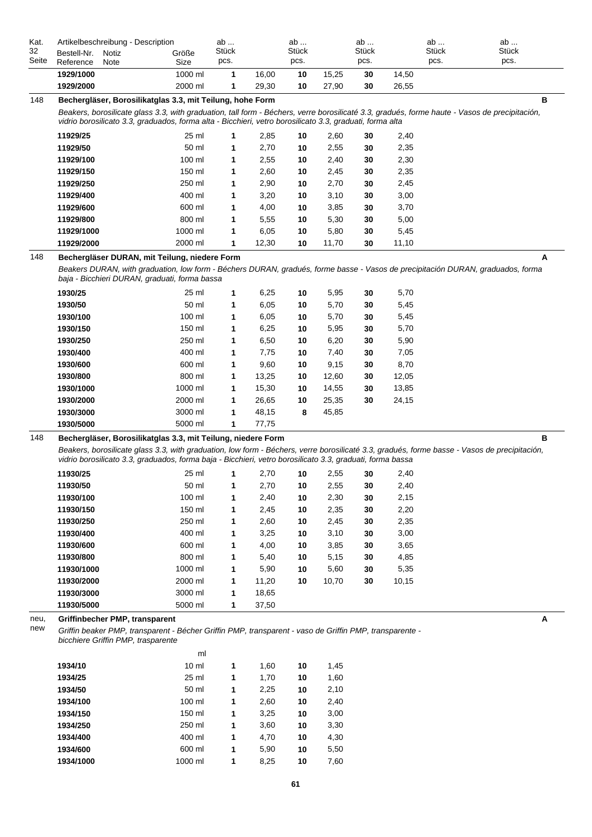| Kat.<br>32  | Artikelbeschreibung - Description<br>Bestell-Nr. | Notiz | Größe                                                                                                                                                                                                                                                     | ab<br>Stück |                | ab<br>Stück |              | ab<br>Stück |              | ab<br>Stück | ab<br>Stück                                                                                                                                       |
|-------------|--------------------------------------------------|-------|-----------------------------------------------------------------------------------------------------------------------------------------------------------------------------------------------------------------------------------------------------------|-------------|----------------|-------------|--------------|-------------|--------------|-------------|---------------------------------------------------------------------------------------------------------------------------------------------------|
| Seite       | Reference                                        | Note  | Size                                                                                                                                                                                                                                                      | pcs.        |                | pcs.        |              | pcs.        |              | pcs.        | pcs.                                                                                                                                              |
|             | 1929/1000                                        |       | 1000 ml                                                                                                                                                                                                                                                   | 1           | 16,00          | 10          | 15,25        | 30          | 14,50        |             |                                                                                                                                                   |
|             | 1929/2000                                        |       | 2000 ml                                                                                                                                                                                                                                                   | 1           | 29,30          | 10          | 27,90        | 30          | 26,55        |             |                                                                                                                                                   |
| 148         |                                                  |       | Bechergläser, Borosilikatglas 3.3, mit Teilung, hohe Form                                                                                                                                                                                                 |             |                |             |              |             |              |             | в                                                                                                                                                 |
|             |                                                  |       | Beakers, borosilicate glass 3.3, with graduation, tall form - Béchers, verre borosilicaté 3.3, gradués, forme haute - Vasos de precipitación,<br>vidrio borosilicato 3.3, graduados, forma alta - Bicchieri, vetro borosilicato 3.3, graduati, forma alta |             |                |             |              |             |              |             |                                                                                                                                                   |
|             |                                                  |       | 25 ml                                                                                                                                                                                                                                                     |             |                |             |              |             |              |             |                                                                                                                                                   |
|             | 11929/25<br>11929/50                             |       | 50 ml                                                                                                                                                                                                                                                     | 1<br>1      | 2,85<br>2,70   | 10<br>10    | 2,60<br>2,55 | 30<br>30    | 2,40<br>2,35 |             |                                                                                                                                                   |
|             | 11929/100                                        |       | 100 ml                                                                                                                                                                                                                                                    | 1           | 2,55           | 10          | 2,40         | 30          | 2,30         |             |                                                                                                                                                   |
|             | 11929/150                                        |       | 150 ml                                                                                                                                                                                                                                                    | 1           | 2,60           | 10          | 2,45         | 30          | 2,35         |             |                                                                                                                                                   |
|             | 11929/250                                        |       | 250 ml                                                                                                                                                                                                                                                    | 1           | 2,90           | 10          | 2,70         | 30          | 2,45         |             |                                                                                                                                                   |
|             | 11929/400                                        |       | 400 ml                                                                                                                                                                                                                                                    | 1           | 3,20           | 10          | 3,10         | 30          | 3,00         |             |                                                                                                                                                   |
|             | 11929/600                                        |       | 600 ml                                                                                                                                                                                                                                                    | 1           | 4,00           | 10          | 3,85         | 30          | 3,70         |             |                                                                                                                                                   |
|             | 11929/800                                        |       | 800 ml                                                                                                                                                                                                                                                    | 1           | 5,55           | 10          | 5,30         | 30          | 5,00         |             |                                                                                                                                                   |
|             | 11929/1000                                       |       | 1000 ml                                                                                                                                                                                                                                                   | 1           | 6,05           | 10          | 5,80         | 30          | 5,45         |             |                                                                                                                                                   |
|             | 11929/2000                                       |       | 2000 ml                                                                                                                                                                                                                                                   | 1           | 12,30          | 10          | 11,70        | 30          | 11,10        |             |                                                                                                                                                   |
| 148         |                                                  |       | Bechergläser DURAN, mit Teilung, niedere Form                                                                                                                                                                                                             |             |                |             |              |             |              |             | A                                                                                                                                                 |
|             |                                                  |       | baja - Bicchieri DURAN, graduati, forma bassa                                                                                                                                                                                                             |             |                |             |              |             |              |             | Beakers DURAN, with graduation, low form - Béchers DURAN, gradués, forme basse - Vasos de precipitación DURAN, graduados, forma                   |
|             | 1930/25                                          |       | 25 ml                                                                                                                                                                                                                                                     | 1           | 6,25           | 10          | 5,95         | 30          | 5,70         |             |                                                                                                                                                   |
|             | 1930/50                                          |       | 50 ml                                                                                                                                                                                                                                                     | 1           | 6,05           | 10          | 5,70         | 30          | 5,45         |             |                                                                                                                                                   |
|             | 1930/100                                         |       | 100 ml                                                                                                                                                                                                                                                    | 1           | 6,05           | 10          | 5,70         | 30          | 5,45         |             |                                                                                                                                                   |
|             | 1930/150                                         |       | 150 ml                                                                                                                                                                                                                                                    | 1           | 6,25           | 10          | 5,95         | 30          | 5,70         |             |                                                                                                                                                   |
|             | 1930/250                                         |       | 250 ml                                                                                                                                                                                                                                                    | 1           | 6,50           | 10          | 6,20         | 30          | 5,90         |             |                                                                                                                                                   |
|             | 1930/400                                         |       | 400 ml                                                                                                                                                                                                                                                    | 1           | 7,75           | 10          | 7,40         | 30          | 7,05         |             |                                                                                                                                                   |
|             | 1930/600                                         |       | 600 ml                                                                                                                                                                                                                                                    | 1           | 9,60           | 10          | 9,15         | 30          | 8,70         |             |                                                                                                                                                   |
|             | 1930/800                                         |       | 800 ml                                                                                                                                                                                                                                                    | 1           | 13,25          | 10          | 12,60        | 30          | 12,05        |             |                                                                                                                                                   |
|             | 1930/1000                                        |       | 1000 ml                                                                                                                                                                                                                                                   | 1           | 15,30          | 10          | 14,55        | 30          | 13,85        |             |                                                                                                                                                   |
|             | 1930/2000                                        |       | 2000 ml                                                                                                                                                                                                                                                   | 1           | 26,65          | 10          | 25,35        | 30          | 24,15        |             |                                                                                                                                                   |
|             | 1930/3000<br>1930/5000                           |       | 3000 ml<br>5000 ml                                                                                                                                                                                                                                        | 1<br>1      | 48,15<br>77,75 | 8           | 45,85        |             |              |             |                                                                                                                                                   |
|             |                                                  |       |                                                                                                                                                                                                                                                           |             |                |             |              |             |              |             |                                                                                                                                                   |
| 148         |                                                  |       | Bechergläser, Borosilikatglas 3.3, mit Teilung, niedere Form<br>vidrio borosilicato 3.3, graduados, forma baja - Bicchieri, vetro borosilicato 3.3, graduati, forma bassa                                                                                 |             |                |             |              |             |              |             | в<br>Beakers, borosilicate glass 3.3, with graduation, low form - Béchers, verre borosilicaté 3.3, gradués, forme basse - Vasos de precipitación, |
|             | 11930/25                                         |       | 25 ml                                                                                                                                                                                                                                                     | 1           | 2,70           | 10          | 2,55         | 30          | 2,40         |             |                                                                                                                                                   |
|             | 11930/50                                         |       | 50 ml                                                                                                                                                                                                                                                     | 1           | 2,70           | 10          | 2,55         | 30          | 2,40         |             |                                                                                                                                                   |
|             | 11930/100                                        |       | 100 ml                                                                                                                                                                                                                                                    | 1           | 2,40           | 10          | 2,30         | 30          | 2,15         |             |                                                                                                                                                   |
|             | 11930/150                                        |       | 150 ml                                                                                                                                                                                                                                                    | 1           | 2,45           | 10          | 2,35         | 30          | 2,20         |             |                                                                                                                                                   |
|             | 11930/250                                        |       | 250 ml                                                                                                                                                                                                                                                    | 1           | 2,60           | 10          | 2,45         | 30          | 2,35         |             |                                                                                                                                                   |
|             | 11930/400                                        |       | 400 ml                                                                                                                                                                                                                                                    | 1           | 3,25           | 10          | 3,10         | 30          | 3,00         |             |                                                                                                                                                   |
|             | 11930/600                                        |       | 600 ml                                                                                                                                                                                                                                                    | 1           | 4,00           | 10          | 3,85         | 30          | 3,65         |             |                                                                                                                                                   |
|             | 11930/800                                        |       | 800 ml                                                                                                                                                                                                                                                    | 1           | 5,40           | 10          | 5,15         | 30          | 4,85         |             |                                                                                                                                                   |
|             | 11930/1000                                       |       | 1000 ml                                                                                                                                                                                                                                                   | 1           | 5,90           | 10          | 5,60         | 30          | 5,35         |             |                                                                                                                                                   |
|             | 11930/2000                                       |       | 2000 ml                                                                                                                                                                                                                                                   | 1           | 11,20          | 10          | 10,70        | 30          | 10,15        |             |                                                                                                                                                   |
|             | 11930/3000                                       |       | 3000 ml                                                                                                                                                                                                                                                   | 1           | 18,65          |             |              |             |              |             |                                                                                                                                                   |
|             | 11930/5000                                       |       | 5000 ml                                                                                                                                                                                                                                                   | 1           | 37,50          |             |              |             |              |             |                                                                                                                                                   |
| neu,<br>new |                                                  |       | Griffinbecher PMP, transparent<br>Griffin beaker PMP, transparent - Bécher Griffin PMP, transparent - vaso de Griffin PMP, transparente -<br>bicchiere Griffin PMP, trasparente<br>ml                                                                     |             |                |             |              |             |              |             | A                                                                                                                                                 |
|             | 1934/10                                          |       | $10 \mathrm{m}$                                                                                                                                                                                                                                           | 1           | 1,60           | 10          | 1,45         |             |              |             |                                                                                                                                                   |
|             | 1934/25                                          |       | 25 ml                                                                                                                                                                                                                                                     | 1           | 1,70           | 10          | 1,60         |             |              |             |                                                                                                                                                   |
|             | 1934/50                                          |       | 50 ml                                                                                                                                                                                                                                                     | 1           | 2,25           | 10          | 2,10         |             |              |             |                                                                                                                                                   |
|             | 1934/100                                         |       | 100 ml                                                                                                                                                                                                                                                    | 1           | 2,60           | 10          | 2,40         |             |              |             |                                                                                                                                                   |
|             | 1934/150                                         |       | 150 ml                                                                                                                                                                                                                                                    | 1           | 3,25           | 10          | 3,00         |             |              |             |                                                                                                                                                   |
|             | 1934/250                                         |       | 250 ml                                                                                                                                                                                                                                                    | 1           | 3,60           | 10          | 3,30         |             |              |             |                                                                                                                                                   |
|             | 1934/400                                         |       | 400 ml                                                                                                                                                                                                                                                    | 1           | 4,70           | 10          | 4,30         |             |              |             |                                                                                                                                                   |

**1934/600** 600 ml **1** 5,90 **10** 5,50 **1934/1000** 1000 ml **1** 8,25 **10** 7,60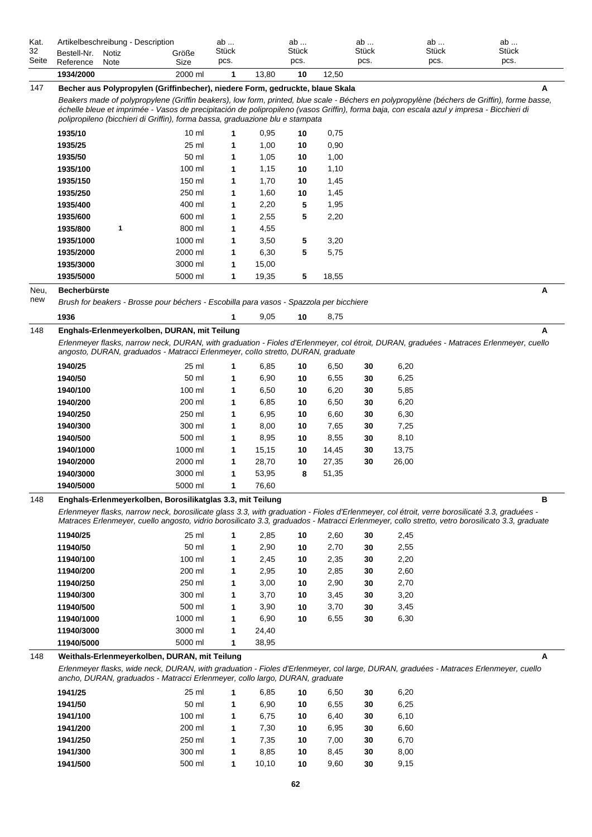| Kat.        | Artikelbeschreibung - Description                                                                                                                                                                                          |                  | ab                   |              | ab                   |              | ab                   | ab                   | ab                                                                                                                                                  |
|-------------|----------------------------------------------------------------------------------------------------------------------------------------------------------------------------------------------------------------------------|------------------|----------------------|--------------|----------------------|--------------|----------------------|----------------------|-----------------------------------------------------------------------------------------------------------------------------------------------------|
| 32<br>Seite | Bestell-Nr.<br>Notiz<br>Reference<br>Note                                                                                                                                                                                  | Größe<br>Size    | <b>Stück</b><br>pcs. |              | <b>Stück</b><br>pcs. |              | <b>Stück</b><br>pcs. | <b>Stück</b><br>pcs. | Stück<br>pcs.                                                                                                                                       |
|             | 1934/2000                                                                                                                                                                                                                  | 2000 ml          | 1                    | 13,80        | 10                   | 12,50        |                      |                      |                                                                                                                                                     |
| 147         | Becher aus Polypropylen (Griffinbecher), niedere Form, gedruckte, blaue Skala                                                                                                                                              |                  |                      |              |                      |              |                      |                      | A                                                                                                                                                   |
|             | échelle bleue et imprimée - Vasos de precipitación de polipropileno (vasos Griffin), forma baja, con escala azul y impresa - Bicchieri di<br>polipropileno (bicchieri di Griffin), forma bassa, graduazione blu e stampata |                  |                      |              |                      |              |                      |                      | Beakers made of polypropylene (Griffin beakers), low form, printed, blue scale - Béchers en polypropylène (béchers de Griffin), forme basse,        |
|             | 1935/10                                                                                                                                                                                                                    | $10 \mathrm{m}$  | 1                    | 0,95         | 10                   | 0,75         |                      |                      |                                                                                                                                                     |
|             | 1935/25                                                                                                                                                                                                                    | 25 ml            | 1                    | 1,00         | 10                   | 0,90         |                      |                      |                                                                                                                                                     |
|             | 1935/50                                                                                                                                                                                                                    | 50 ml            | 1                    | 1,05         | 10                   | 1,00         |                      |                      |                                                                                                                                                     |
|             | 1935/100                                                                                                                                                                                                                   | 100 ml           | 1                    | 1,15         | 10                   | 1,10         |                      |                      |                                                                                                                                                     |
|             | 1935/150                                                                                                                                                                                                                   | 150 ml           | 1                    | 1,70         | 10                   | 1,45         |                      |                      |                                                                                                                                                     |
|             | 1935/250                                                                                                                                                                                                                   | 250 ml<br>400 ml | 1                    | 1,60         | 10                   | 1,45         |                      |                      |                                                                                                                                                     |
|             | 1935/400<br>1935/600                                                                                                                                                                                                       | 600 ml           | 1<br>1               | 2,20<br>2,55 | 5<br>5               | 1,95<br>2,20 |                      |                      |                                                                                                                                                     |
|             | 1935/800<br>1                                                                                                                                                                                                              | 800 ml           | 1                    | 4,55         |                      |              |                      |                      |                                                                                                                                                     |
|             | 1935/1000                                                                                                                                                                                                                  | 1000 ml          | 1                    | 3,50         |                      | 3,20         |                      |                      |                                                                                                                                                     |
|             | 1935/2000                                                                                                                                                                                                                  | 2000 ml          | 1                    | 6,30         | 5<br>5               | 5,75         |                      |                      |                                                                                                                                                     |
|             | 1935/3000                                                                                                                                                                                                                  | 3000 ml          | 1                    | 15,00        |                      |              |                      |                      |                                                                                                                                                     |
|             | 1935/5000                                                                                                                                                                                                                  | 5000 ml          | $\mathbf{1}$         | 19,35        | 5                    | 18,55        |                      |                      |                                                                                                                                                     |
| Neu,        | <b>Becherbürste</b>                                                                                                                                                                                                        |                  |                      |              |                      |              |                      |                      | А                                                                                                                                                   |
| new         | Brush for beakers - Brosse pour béchers - Escobilla para vasos - Spazzola per bicchiere                                                                                                                                    |                  |                      |              |                      |              |                      |                      |                                                                                                                                                     |
|             |                                                                                                                                                                                                                            |                  |                      |              |                      |              |                      |                      |                                                                                                                                                     |
|             | 1936                                                                                                                                                                                                                       |                  | 1                    | 9,05         | 10                   | 8,75         |                      |                      |                                                                                                                                                     |
| 148         | Enghals-Erlenmeyerkolben, DURAN, mit Teilung                                                                                                                                                                               |                  |                      |              |                      |              |                      |                      | Α                                                                                                                                                   |
|             | angosto, DURAN, graduados - Matracci Erlenmeyer, collo stretto, DURAN, graduate                                                                                                                                            |                  |                      |              |                      |              |                      |                      | Erlenmeyer flasks, narrow neck, DURAN, with graduation - Fioles d'Erlenmeyer, col étroit, DURAN, graduées - Matraces Erlenmeyer, cuello             |
|             | 1940/25                                                                                                                                                                                                                    | 25 ml            | 1                    | 6,85         | 10                   | 6,50         | 30                   | 6,20                 |                                                                                                                                                     |
|             | 1940/50                                                                                                                                                                                                                    | 50 ml            | 1                    | 6,90         | 10                   | 6,55         | 30                   | 6,25                 |                                                                                                                                                     |
|             | 1940/100                                                                                                                                                                                                                   | 100 ml           | 1                    | 6,50         | 10                   | 6,20         | 30                   | 5,85                 |                                                                                                                                                     |
|             | 1940/200                                                                                                                                                                                                                   | 200 ml           | 1                    | 6,85         | 10                   | 6,50         | 30                   | 6,20                 |                                                                                                                                                     |
|             | 1940/250                                                                                                                                                                                                                   | 250 ml           | 1                    | 6,95         | 10                   | 6,60         | 30                   | 6,30                 |                                                                                                                                                     |
|             | 1940/300                                                                                                                                                                                                                   | 300 ml           | 1                    | 8,00         | 10                   | 7,65         | 30                   | 7,25                 |                                                                                                                                                     |
|             | 1940/500                                                                                                                                                                                                                   | 500 ml           | 1                    | 8,95         | 10                   | 8,55         | 30                   | 8,10                 |                                                                                                                                                     |
|             | 1940/1000                                                                                                                                                                                                                  | 1000 ml          | 1                    | 15,15        | 10                   | 14,45        | 30                   | 13,75                |                                                                                                                                                     |
|             | 1940/2000                                                                                                                                                                                                                  | 2000 ml          | 1                    | 28,70        | 10                   | 27,35        | 30                   | 26,00                |                                                                                                                                                     |
|             | 1940/3000                                                                                                                                                                                                                  | 3000 ml          | 1                    | 53,95        | 8                    | 51,35        |                      |                      |                                                                                                                                                     |
|             | 1940/5000                                                                                                                                                                                                                  | 5000 ml          | 1                    | 76,60        |                      |              |                      |                      |                                                                                                                                                     |
| 148         | Enghals-Erlenmeyerkolben, Borosilikatglas 3.3, mit Teilung<br>Erlenmeyer flasks, narrow neck, borosilicate glass 3.3, with graduation - Fioles d'Erlenmeyer, col étroit, verre borosilicaté 3.3, graduées -                |                  |                      |              |                      |              |                      |                      | в<br>Matraces Erlenmeyer, cuello angosto, vidrio borosilicato 3.3, graduados - Matracci Erlenmeyer, collo stretto, vetro borosilicato 3.3, graduate |
|             | 11940/25                                                                                                                                                                                                                   | 25 ml            | 1                    | 2,85         | 10                   | 2,60         | 30                   | 2,45                 |                                                                                                                                                     |
|             | 11940/50                                                                                                                                                                                                                   | 50 ml            | 1                    | 2,90         | 10                   | 2,70         | 30                   | 2,55                 |                                                                                                                                                     |
|             | 11940/100                                                                                                                                                                                                                  | 100 ml           | 1                    | 2,45         | 10                   | 2,35         | 30                   | 2,20                 |                                                                                                                                                     |
|             | 11940/200                                                                                                                                                                                                                  | 200 ml           | 1                    | 2,95         | 10                   | 2,85         | 30                   | 2,60                 |                                                                                                                                                     |
|             | 11940/250                                                                                                                                                                                                                  | 250 ml           | $\mathbf 1$          | 3,00         | 10                   | 2,90         | 30                   | 2,70                 |                                                                                                                                                     |
|             | 11940/300                                                                                                                                                                                                                  | 300 ml           | $\mathbf 1$          | 3,70         | 10                   | 3,45         | 30                   | 3,20                 |                                                                                                                                                     |
|             | 11940/500                                                                                                                                                                                                                  | 500 ml           | 1                    | 3,90         | 10                   | 3,70         | 30                   | 3,45                 |                                                                                                                                                     |
|             | 11940/1000                                                                                                                                                                                                                 | 1000 ml          | 1                    | 6,90         | 10                   | 6,55         | 30                   | 6,30                 |                                                                                                                                                     |
|             | 11940/3000                                                                                                                                                                                                                 | 3000 ml          | 1                    | 24,40        |                      |              |                      |                      |                                                                                                                                                     |
|             | 11940/5000                                                                                                                                                                                                                 | 5000 ml          | $\mathbf 1$          | 38,95        |                      |              |                      |                      |                                                                                                                                                     |
| 148         | Weithals-Erlenmeyerkolben, DURAN, mit Teilung                                                                                                                                                                              |                  |                      |              |                      |              |                      |                      | A                                                                                                                                                   |
|             | ancho, DURAN, graduados - Matracci Erlenmeyer, collo largo, DURAN, graduate                                                                                                                                                |                  |                      |              |                      |              |                      |                      | Erlenmeyer flasks, wide neck, DURAN, with graduation - Fioles d'Erlenmeyer, col large, DURAN, graduées - Matraces Erlenmeyer, cuello                |
|             | 1941/25                                                                                                                                                                                                                    | 25 ml            | 1                    | 6,85         | 10                   | 6,50         | 30                   | 6,20                 |                                                                                                                                                     |
|             | 1941/50                                                                                                                                                                                                                    | 50 ml            | 1                    | 6,90         | 10                   | 6,55         | 30                   | 6,25                 |                                                                                                                                                     |
|             | 1941/100                                                                                                                                                                                                                   | 100 ml           | 1                    | 6,75         | 10                   | 6,40         | 30                   | 6,10                 |                                                                                                                                                     |
|             | 1941/200                                                                                                                                                                                                                   | 200 ml           | 1                    | 7,30         | 10                   | 6,95         | 30                   | 6,60                 |                                                                                                                                                     |
|             | 1941/250                                                                                                                                                                                                                   | 250 ml           | 1                    | 7,35         | 10                   | 7,00         | 30                   | 6,70                 |                                                                                                                                                     |
|             | 1941/300                                                                                                                                                                                                                   | 300 ml           | 1                    | 8,85         | 10                   | 8,45         | 30                   | 8,00                 |                                                                                                                                                     |
|             | 1941/500                                                                                                                                                                                                                   | 500 ml           | 1                    | 10,10        | 10                   | 9,60         | 30                   | 9,15                 |                                                                                                                                                     |
|             |                                                                                                                                                                                                                            |                  |                      |              |                      |              |                      |                      |                                                                                                                                                     |
|             |                                                                                                                                                                                                                            |                  |                      |              | 62                   |              |                      |                      |                                                                                                                                                     |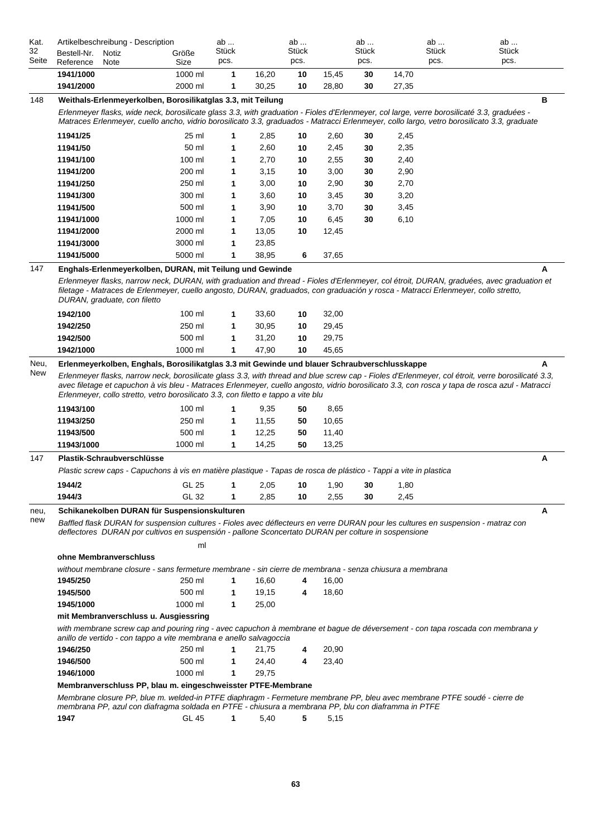| 1941/1000<br>1000 ml<br>1<br>16,20<br>10<br>15,45<br>30<br>14,70<br>1941/2000<br>2000 ml<br>1<br>30,25<br>10<br>30<br>27,35<br>28,80<br>148<br>в<br>Weithals-Erlenmeyerkolben, Borosilikatglas 3.3, mit Teilung<br>Erlenmeyer flasks, wide neck, borosilicate glass 3.3, with graduation - Fioles d'Erlenmeyer, col large, verre borosilicaté 3.3, graduées -<br>Matraces Erlenmeyer, cuello ancho, vidrio borosilicato 3.3, graduados - Matracci Erlenmeyer, collo largo, vetro borosilicato 3.3, graduate<br>11941/25<br>25 ml<br>2,85<br>2,60<br>2,45<br>10<br>30<br>1<br>50 ml<br>2,60<br>2,35<br>11941/50<br>10<br>2,45<br>30<br>1<br>100 ml<br>2,70<br>11941/100<br>10<br>2,55<br>30<br>2,40<br>1<br>200 ml<br>3,00<br>2,90<br>11941/200<br>3,15<br>10<br>30<br>1<br>250 ml<br>3,00<br>2,70<br>11941/250<br>10<br>2,90<br>30<br>1<br>300 ml<br>3,60<br>3,20<br>11941/300<br>10<br>3,45<br>30<br>1<br>500 ml<br>3,90<br>11941/500<br>3,70<br>30<br>3,45<br>1<br>10<br>1000 ml<br>7,05<br>6,10<br>11941/1000<br>10<br>6,45<br>30<br>1<br>2000 ml<br>13,05<br>11941/2000<br>10<br>12,45<br>1<br>3000 ml<br>11941/3000<br>1<br>23,85<br>5000 ml<br>38,95<br>11941/5000<br>1<br>6<br>37,65<br>147<br>Enghals-Erlenmeyerkolben, DURAN, mit Teilung und Gewinde<br>A<br>Erlenmeyer flasks, narrow neck, DURAN, with graduation and thread - Fioles d'Erlenmeyer, col étroit, DURAN, graduées, avec graduation et<br>filetage - Matraces de Erlenmeyer, cuello angosto, DURAN, graduados, con graduación y rosca - Matracci Erlenmeyer, collo stretto,<br>DURAN, graduate, con filetto<br>1942/100<br>100 ml<br>33,60<br>32,00<br>1<br>10<br>250 ml<br>29,45<br>1942/250<br>30,95<br>10<br>1<br>29,75<br>1942/500<br>500 ml<br>31,20<br>10<br>1<br>47,90<br>45,65<br>1942/1000<br>1000 ml<br>1<br>10<br>Erlenmeyerkolben, Enghals, Borosilikatglas 3.3 mit Gewinde und blauer Schraubverschlusskappe<br>Neu,<br>A<br>New<br>Erlenmeyer flasks, narrow neck, borosilicate glass 3.3, with thread and blue screw cap - Fioles d'Erlenmeyer, col étroit, verre borosilicaté 3.3,<br>avec filetage et capuchon à vis bleu - Matraces Erlenmeyer, cuello angosto, vidrio borosilicato 3.3, con rosca y tapa de rosca azul - Matracci<br>Erlenmeyer, collo stretto, vetro borosilicato 3.3, con filetto e tappo a vite blu<br>11943/100<br>100 ml<br>1<br>9,35<br>50<br>8,65<br>250 ml<br>11943/250<br>1<br>11,55<br>50<br>10,65<br>11943/500<br>500 ml<br>1<br>50<br>12,25<br>11,40<br>11943/1000<br>1000 ml<br>1<br>14,25<br>50<br>13,25<br>Plastik-Schraubverschlüsse<br>147<br>A<br>Plastic screw caps - Capuchons à vis en matière plastique - Tapas de rosca de plástico - Tappi a vite in plastica<br>1944/2<br>GL 25<br>1,80<br>1<br>2,05<br>10<br>1,90<br>30<br>GL 32<br>2,85<br>1944/3<br>10<br>2,55<br>2,45<br>$\mathbf 1$<br>30<br>Schikanekolben DURAN für Suspensionskulturen<br>A<br>neu,<br>new<br>Baffled flask DURAN for suspension cultures - Fioles avec déflecteurs en verre DURAN pour les cultures en suspension - matraz con<br>deflectores DURAN por cultivos en suspensión - pallone Sconcertato DURAN per colture in sospensione<br>ml<br>ohne Membranverschluss<br>without membrane closure - sans fermeture membrane - sin cierre de membrana - senza chiusura a membrana<br>1945/250<br>250 ml<br>16,00<br>1<br>16,60<br>4<br>500 ml<br>18,60<br>1945/500<br>19,15<br>1<br>4<br>1000 ml<br>1945/1000<br>25,00<br>1<br>mit Membranverschluss u. Ausgiessring<br>with membrane screw cap and pouring ring - avec capuchon à membrane et bague de déversement - con tapa roscada con membrana y<br>anillo de vertido - con tappo a vite membrana e anello salvagoccia<br>1946/250<br>250 ml<br>21,75<br>20,90<br>1<br>4<br>1946/500<br>500 ml<br>24,40<br>23,40<br>$\mathbf 1$<br>4<br>1000 ml<br>1946/1000<br>29,75<br>1<br>Membranverschluss PP, blau m. eingeschweisster PTFE-Membrane<br>Membrane closure PP, blue m. welded-in PTFE diaphragm - Fermeture membrane PP, bleu avec membrane PTFE soudé - cierre de<br>membrana PP, azul con diafragma soldada en PTFE - chiusura a membrana PP, blu con diaframma in PTFE<br>1947<br>GL 45<br>1<br>5,40<br>5<br>5,15 | Kat.<br>32<br>Seite | Artikelbeschreibung - Description<br>Bestell-Nr.<br>Notiz<br>Reference<br>Note | Größe<br>Size | ab<br>Stück<br>pcs. | ab<br>Stück<br>pcs. | ab<br><b>Stück</b><br>pcs. | ab<br><b>Stück</b><br>pcs. | ab<br><b>Stück</b><br>pcs. |
|--------------------------------------------------------------------------------------------------------------------------------------------------------------------------------------------------------------------------------------------------------------------------------------------------------------------------------------------------------------------------------------------------------------------------------------------------------------------------------------------------------------------------------------------------------------------------------------------------------------------------------------------------------------------------------------------------------------------------------------------------------------------------------------------------------------------------------------------------------------------------------------------------------------------------------------------------------------------------------------------------------------------------------------------------------------------------------------------------------------------------------------------------------------------------------------------------------------------------------------------------------------------------------------------------------------------------------------------------------------------------------------------------------------------------------------------------------------------------------------------------------------------------------------------------------------------------------------------------------------------------------------------------------------------------------------------------------------------------------------------------------------------------------------------------------------------------------------------------------------------------------------------------------------------------------------------------------------------------------------------------------------------------------------------------------------------------------------------------------------------------------------------------------------------------------------------------------------------------------------------------------------------------------------------------------------------------------------------------------------------------------------------------------------------------------------------------------------------------------------------------------------------------------------------------------------------------------------------------------------------------------------------------------------------------------------------------------------------------------------------------------------------------------------------------------------------------------------------------------------------------------------------------------------------------------------------------------------------------------------------------------------------------------------------------------------------------------------------------------------------------------------------------------------------------------------------------------------------------------------------------------------------------------------------------------------------------------------------------------------------------------------------------------------------------------------------------------------------------------------------------------------------------------------------------------------------------------------------------------------------------------------------------------------------------------------------------------------------------------------------------------------------------------------------------------------------------------------------------------------------------------------------------------------------------------------------------------------------------------------------------------------------------------------------------------------------------------------------------------------------------------------------------------------------------------------------|---------------------|--------------------------------------------------------------------------------|---------------|---------------------|---------------------|----------------------------|----------------------------|----------------------------|
|                                                                                                                                                                                                                                                                                                                                                                                                                                                                                                                                                                                                                                                                                                                                                                                                                                                                                                                                                                                                                                                                                                                                                                                                                                                                                                                                                                                                                                                                                                                                                                                                                                                                                                                                                                                                                                                                                                                                                                                                                                                                                                                                                                                                                                                                                                                                                                                                                                                                                                                                                                                                                                                                                                                                                                                                                                                                                                                                                                                                                                                                                                                                                                                                                                                                                                                                                                                                                                                                                                                                                                                                                                                                                                                                                                                                                                                                                                                                                                                                                                                                                                                                                                                            |                     |                                                                                |               |                     |                     |                            |                            |                            |
|                                                                                                                                                                                                                                                                                                                                                                                                                                                                                                                                                                                                                                                                                                                                                                                                                                                                                                                                                                                                                                                                                                                                                                                                                                                                                                                                                                                                                                                                                                                                                                                                                                                                                                                                                                                                                                                                                                                                                                                                                                                                                                                                                                                                                                                                                                                                                                                                                                                                                                                                                                                                                                                                                                                                                                                                                                                                                                                                                                                                                                                                                                                                                                                                                                                                                                                                                                                                                                                                                                                                                                                                                                                                                                                                                                                                                                                                                                                                                                                                                                                                                                                                                                                            |                     |                                                                                |               |                     |                     |                            |                            |                            |
|                                                                                                                                                                                                                                                                                                                                                                                                                                                                                                                                                                                                                                                                                                                                                                                                                                                                                                                                                                                                                                                                                                                                                                                                                                                                                                                                                                                                                                                                                                                                                                                                                                                                                                                                                                                                                                                                                                                                                                                                                                                                                                                                                                                                                                                                                                                                                                                                                                                                                                                                                                                                                                                                                                                                                                                                                                                                                                                                                                                                                                                                                                                                                                                                                                                                                                                                                                                                                                                                                                                                                                                                                                                                                                                                                                                                                                                                                                                                                                                                                                                                                                                                                                                            |                     |                                                                                |               |                     |                     |                            |                            |                            |
|                                                                                                                                                                                                                                                                                                                                                                                                                                                                                                                                                                                                                                                                                                                                                                                                                                                                                                                                                                                                                                                                                                                                                                                                                                                                                                                                                                                                                                                                                                                                                                                                                                                                                                                                                                                                                                                                                                                                                                                                                                                                                                                                                                                                                                                                                                                                                                                                                                                                                                                                                                                                                                                                                                                                                                                                                                                                                                                                                                                                                                                                                                                                                                                                                                                                                                                                                                                                                                                                                                                                                                                                                                                                                                                                                                                                                                                                                                                                                                                                                                                                                                                                                                                            |                     |                                                                                |               |                     |                     |                            |                            |                            |
|                                                                                                                                                                                                                                                                                                                                                                                                                                                                                                                                                                                                                                                                                                                                                                                                                                                                                                                                                                                                                                                                                                                                                                                                                                                                                                                                                                                                                                                                                                                                                                                                                                                                                                                                                                                                                                                                                                                                                                                                                                                                                                                                                                                                                                                                                                                                                                                                                                                                                                                                                                                                                                                                                                                                                                                                                                                                                                                                                                                                                                                                                                                                                                                                                                                                                                                                                                                                                                                                                                                                                                                                                                                                                                                                                                                                                                                                                                                                                                                                                                                                                                                                                                                            |                     |                                                                                |               |                     |                     |                            |                            |                            |
|                                                                                                                                                                                                                                                                                                                                                                                                                                                                                                                                                                                                                                                                                                                                                                                                                                                                                                                                                                                                                                                                                                                                                                                                                                                                                                                                                                                                                                                                                                                                                                                                                                                                                                                                                                                                                                                                                                                                                                                                                                                                                                                                                                                                                                                                                                                                                                                                                                                                                                                                                                                                                                                                                                                                                                                                                                                                                                                                                                                                                                                                                                                                                                                                                                                                                                                                                                                                                                                                                                                                                                                                                                                                                                                                                                                                                                                                                                                                                                                                                                                                                                                                                                                            |                     |                                                                                |               |                     |                     |                            |                            |                            |
|                                                                                                                                                                                                                                                                                                                                                                                                                                                                                                                                                                                                                                                                                                                                                                                                                                                                                                                                                                                                                                                                                                                                                                                                                                                                                                                                                                                                                                                                                                                                                                                                                                                                                                                                                                                                                                                                                                                                                                                                                                                                                                                                                                                                                                                                                                                                                                                                                                                                                                                                                                                                                                                                                                                                                                                                                                                                                                                                                                                                                                                                                                                                                                                                                                                                                                                                                                                                                                                                                                                                                                                                                                                                                                                                                                                                                                                                                                                                                                                                                                                                                                                                                                                            |                     |                                                                                |               |                     |                     |                            |                            |                            |
|                                                                                                                                                                                                                                                                                                                                                                                                                                                                                                                                                                                                                                                                                                                                                                                                                                                                                                                                                                                                                                                                                                                                                                                                                                                                                                                                                                                                                                                                                                                                                                                                                                                                                                                                                                                                                                                                                                                                                                                                                                                                                                                                                                                                                                                                                                                                                                                                                                                                                                                                                                                                                                                                                                                                                                                                                                                                                                                                                                                                                                                                                                                                                                                                                                                                                                                                                                                                                                                                                                                                                                                                                                                                                                                                                                                                                                                                                                                                                                                                                                                                                                                                                                                            |                     |                                                                                |               |                     |                     |                            |                            |                            |
|                                                                                                                                                                                                                                                                                                                                                                                                                                                                                                                                                                                                                                                                                                                                                                                                                                                                                                                                                                                                                                                                                                                                                                                                                                                                                                                                                                                                                                                                                                                                                                                                                                                                                                                                                                                                                                                                                                                                                                                                                                                                                                                                                                                                                                                                                                                                                                                                                                                                                                                                                                                                                                                                                                                                                                                                                                                                                                                                                                                                                                                                                                                                                                                                                                                                                                                                                                                                                                                                                                                                                                                                                                                                                                                                                                                                                                                                                                                                                                                                                                                                                                                                                                                            |                     |                                                                                |               |                     |                     |                            |                            |                            |
|                                                                                                                                                                                                                                                                                                                                                                                                                                                                                                                                                                                                                                                                                                                                                                                                                                                                                                                                                                                                                                                                                                                                                                                                                                                                                                                                                                                                                                                                                                                                                                                                                                                                                                                                                                                                                                                                                                                                                                                                                                                                                                                                                                                                                                                                                                                                                                                                                                                                                                                                                                                                                                                                                                                                                                                                                                                                                                                                                                                                                                                                                                                                                                                                                                                                                                                                                                                                                                                                                                                                                                                                                                                                                                                                                                                                                                                                                                                                                                                                                                                                                                                                                                                            |                     |                                                                                |               |                     |                     |                            |                            |                            |
|                                                                                                                                                                                                                                                                                                                                                                                                                                                                                                                                                                                                                                                                                                                                                                                                                                                                                                                                                                                                                                                                                                                                                                                                                                                                                                                                                                                                                                                                                                                                                                                                                                                                                                                                                                                                                                                                                                                                                                                                                                                                                                                                                                                                                                                                                                                                                                                                                                                                                                                                                                                                                                                                                                                                                                                                                                                                                                                                                                                                                                                                                                                                                                                                                                                                                                                                                                                                                                                                                                                                                                                                                                                                                                                                                                                                                                                                                                                                                                                                                                                                                                                                                                                            |                     |                                                                                |               |                     |                     |                            |                            |                            |
|                                                                                                                                                                                                                                                                                                                                                                                                                                                                                                                                                                                                                                                                                                                                                                                                                                                                                                                                                                                                                                                                                                                                                                                                                                                                                                                                                                                                                                                                                                                                                                                                                                                                                                                                                                                                                                                                                                                                                                                                                                                                                                                                                                                                                                                                                                                                                                                                                                                                                                                                                                                                                                                                                                                                                                                                                                                                                                                                                                                                                                                                                                                                                                                                                                                                                                                                                                                                                                                                                                                                                                                                                                                                                                                                                                                                                                                                                                                                                                                                                                                                                                                                                                                            |                     |                                                                                |               |                     |                     |                            |                            |                            |
|                                                                                                                                                                                                                                                                                                                                                                                                                                                                                                                                                                                                                                                                                                                                                                                                                                                                                                                                                                                                                                                                                                                                                                                                                                                                                                                                                                                                                                                                                                                                                                                                                                                                                                                                                                                                                                                                                                                                                                                                                                                                                                                                                                                                                                                                                                                                                                                                                                                                                                                                                                                                                                                                                                                                                                                                                                                                                                                                                                                                                                                                                                                                                                                                                                                                                                                                                                                                                                                                                                                                                                                                                                                                                                                                                                                                                                                                                                                                                                                                                                                                                                                                                                                            |                     |                                                                                |               |                     |                     |                            |                            |                            |
|                                                                                                                                                                                                                                                                                                                                                                                                                                                                                                                                                                                                                                                                                                                                                                                                                                                                                                                                                                                                                                                                                                                                                                                                                                                                                                                                                                                                                                                                                                                                                                                                                                                                                                                                                                                                                                                                                                                                                                                                                                                                                                                                                                                                                                                                                                                                                                                                                                                                                                                                                                                                                                                                                                                                                                                                                                                                                                                                                                                                                                                                                                                                                                                                                                                                                                                                                                                                                                                                                                                                                                                                                                                                                                                                                                                                                                                                                                                                                                                                                                                                                                                                                                                            |                     |                                                                                |               |                     |                     |                            |                            |                            |
|                                                                                                                                                                                                                                                                                                                                                                                                                                                                                                                                                                                                                                                                                                                                                                                                                                                                                                                                                                                                                                                                                                                                                                                                                                                                                                                                                                                                                                                                                                                                                                                                                                                                                                                                                                                                                                                                                                                                                                                                                                                                                                                                                                                                                                                                                                                                                                                                                                                                                                                                                                                                                                                                                                                                                                                                                                                                                                                                                                                                                                                                                                                                                                                                                                                                                                                                                                                                                                                                                                                                                                                                                                                                                                                                                                                                                                                                                                                                                                                                                                                                                                                                                                                            |                     |                                                                                |               |                     |                     |                            |                            |                            |
|                                                                                                                                                                                                                                                                                                                                                                                                                                                                                                                                                                                                                                                                                                                                                                                                                                                                                                                                                                                                                                                                                                                                                                                                                                                                                                                                                                                                                                                                                                                                                                                                                                                                                                                                                                                                                                                                                                                                                                                                                                                                                                                                                                                                                                                                                                                                                                                                                                                                                                                                                                                                                                                                                                                                                                                                                                                                                                                                                                                                                                                                                                                                                                                                                                                                                                                                                                                                                                                                                                                                                                                                                                                                                                                                                                                                                                                                                                                                                                                                                                                                                                                                                                                            |                     |                                                                                |               |                     |                     |                            |                            |                            |
|                                                                                                                                                                                                                                                                                                                                                                                                                                                                                                                                                                                                                                                                                                                                                                                                                                                                                                                                                                                                                                                                                                                                                                                                                                                                                                                                                                                                                                                                                                                                                                                                                                                                                                                                                                                                                                                                                                                                                                                                                                                                                                                                                                                                                                                                                                                                                                                                                                                                                                                                                                                                                                                                                                                                                                                                                                                                                                                                                                                                                                                                                                                                                                                                                                                                                                                                                                                                                                                                                                                                                                                                                                                                                                                                                                                                                                                                                                                                                                                                                                                                                                                                                                                            |                     |                                                                                |               |                     |                     |                            |                            |                            |
|                                                                                                                                                                                                                                                                                                                                                                                                                                                                                                                                                                                                                                                                                                                                                                                                                                                                                                                                                                                                                                                                                                                                                                                                                                                                                                                                                                                                                                                                                                                                                                                                                                                                                                                                                                                                                                                                                                                                                                                                                                                                                                                                                                                                                                                                                                                                                                                                                                                                                                                                                                                                                                                                                                                                                                                                                                                                                                                                                                                                                                                                                                                                                                                                                                                                                                                                                                                                                                                                                                                                                                                                                                                                                                                                                                                                                                                                                                                                                                                                                                                                                                                                                                                            |                     |                                                                                |               |                     |                     |                            |                            |                            |
|                                                                                                                                                                                                                                                                                                                                                                                                                                                                                                                                                                                                                                                                                                                                                                                                                                                                                                                                                                                                                                                                                                                                                                                                                                                                                                                                                                                                                                                                                                                                                                                                                                                                                                                                                                                                                                                                                                                                                                                                                                                                                                                                                                                                                                                                                                                                                                                                                                                                                                                                                                                                                                                                                                                                                                                                                                                                                                                                                                                                                                                                                                                                                                                                                                                                                                                                                                                                                                                                                                                                                                                                                                                                                                                                                                                                                                                                                                                                                                                                                                                                                                                                                                                            |                     |                                                                                |               |                     |                     |                            |                            |                            |
|                                                                                                                                                                                                                                                                                                                                                                                                                                                                                                                                                                                                                                                                                                                                                                                                                                                                                                                                                                                                                                                                                                                                                                                                                                                                                                                                                                                                                                                                                                                                                                                                                                                                                                                                                                                                                                                                                                                                                                                                                                                                                                                                                                                                                                                                                                                                                                                                                                                                                                                                                                                                                                                                                                                                                                                                                                                                                                                                                                                                                                                                                                                                                                                                                                                                                                                                                                                                                                                                                                                                                                                                                                                                                                                                                                                                                                                                                                                                                                                                                                                                                                                                                                                            |                     |                                                                                |               |                     |                     |                            |                            |                            |
|                                                                                                                                                                                                                                                                                                                                                                                                                                                                                                                                                                                                                                                                                                                                                                                                                                                                                                                                                                                                                                                                                                                                                                                                                                                                                                                                                                                                                                                                                                                                                                                                                                                                                                                                                                                                                                                                                                                                                                                                                                                                                                                                                                                                                                                                                                                                                                                                                                                                                                                                                                                                                                                                                                                                                                                                                                                                                                                                                                                                                                                                                                                                                                                                                                                                                                                                                                                                                                                                                                                                                                                                                                                                                                                                                                                                                                                                                                                                                                                                                                                                                                                                                                                            |                     |                                                                                |               |                     |                     |                            |                            |                            |
|                                                                                                                                                                                                                                                                                                                                                                                                                                                                                                                                                                                                                                                                                                                                                                                                                                                                                                                                                                                                                                                                                                                                                                                                                                                                                                                                                                                                                                                                                                                                                                                                                                                                                                                                                                                                                                                                                                                                                                                                                                                                                                                                                                                                                                                                                                                                                                                                                                                                                                                                                                                                                                                                                                                                                                                                                                                                                                                                                                                                                                                                                                                                                                                                                                                                                                                                                                                                                                                                                                                                                                                                                                                                                                                                                                                                                                                                                                                                                                                                                                                                                                                                                                                            |                     |                                                                                |               |                     |                     |                            |                            |                            |
|                                                                                                                                                                                                                                                                                                                                                                                                                                                                                                                                                                                                                                                                                                                                                                                                                                                                                                                                                                                                                                                                                                                                                                                                                                                                                                                                                                                                                                                                                                                                                                                                                                                                                                                                                                                                                                                                                                                                                                                                                                                                                                                                                                                                                                                                                                                                                                                                                                                                                                                                                                                                                                                                                                                                                                                                                                                                                                                                                                                                                                                                                                                                                                                                                                                                                                                                                                                                                                                                                                                                                                                                                                                                                                                                                                                                                                                                                                                                                                                                                                                                                                                                                                                            |                     |                                                                                |               |                     |                     |                            |                            |                            |
|                                                                                                                                                                                                                                                                                                                                                                                                                                                                                                                                                                                                                                                                                                                                                                                                                                                                                                                                                                                                                                                                                                                                                                                                                                                                                                                                                                                                                                                                                                                                                                                                                                                                                                                                                                                                                                                                                                                                                                                                                                                                                                                                                                                                                                                                                                                                                                                                                                                                                                                                                                                                                                                                                                                                                                                                                                                                                                                                                                                                                                                                                                                                                                                                                                                                                                                                                                                                                                                                                                                                                                                                                                                                                                                                                                                                                                                                                                                                                                                                                                                                                                                                                                                            |                     |                                                                                |               |                     |                     |                            |                            |                            |
|                                                                                                                                                                                                                                                                                                                                                                                                                                                                                                                                                                                                                                                                                                                                                                                                                                                                                                                                                                                                                                                                                                                                                                                                                                                                                                                                                                                                                                                                                                                                                                                                                                                                                                                                                                                                                                                                                                                                                                                                                                                                                                                                                                                                                                                                                                                                                                                                                                                                                                                                                                                                                                                                                                                                                                                                                                                                                                                                                                                                                                                                                                                                                                                                                                                                                                                                                                                                                                                                                                                                                                                                                                                                                                                                                                                                                                                                                                                                                                                                                                                                                                                                                                                            |                     |                                                                                |               |                     |                     |                            |                            |                            |
|                                                                                                                                                                                                                                                                                                                                                                                                                                                                                                                                                                                                                                                                                                                                                                                                                                                                                                                                                                                                                                                                                                                                                                                                                                                                                                                                                                                                                                                                                                                                                                                                                                                                                                                                                                                                                                                                                                                                                                                                                                                                                                                                                                                                                                                                                                                                                                                                                                                                                                                                                                                                                                                                                                                                                                                                                                                                                                                                                                                                                                                                                                                                                                                                                                                                                                                                                                                                                                                                                                                                                                                                                                                                                                                                                                                                                                                                                                                                                                                                                                                                                                                                                                                            |                     |                                                                                |               |                     |                     |                            |                            |                            |
|                                                                                                                                                                                                                                                                                                                                                                                                                                                                                                                                                                                                                                                                                                                                                                                                                                                                                                                                                                                                                                                                                                                                                                                                                                                                                                                                                                                                                                                                                                                                                                                                                                                                                                                                                                                                                                                                                                                                                                                                                                                                                                                                                                                                                                                                                                                                                                                                                                                                                                                                                                                                                                                                                                                                                                                                                                                                                                                                                                                                                                                                                                                                                                                                                                                                                                                                                                                                                                                                                                                                                                                                                                                                                                                                                                                                                                                                                                                                                                                                                                                                                                                                                                                            |                     |                                                                                |               |                     |                     |                            |                            |                            |
|                                                                                                                                                                                                                                                                                                                                                                                                                                                                                                                                                                                                                                                                                                                                                                                                                                                                                                                                                                                                                                                                                                                                                                                                                                                                                                                                                                                                                                                                                                                                                                                                                                                                                                                                                                                                                                                                                                                                                                                                                                                                                                                                                                                                                                                                                                                                                                                                                                                                                                                                                                                                                                                                                                                                                                                                                                                                                                                                                                                                                                                                                                                                                                                                                                                                                                                                                                                                                                                                                                                                                                                                                                                                                                                                                                                                                                                                                                                                                                                                                                                                                                                                                                                            |                     |                                                                                |               |                     |                     |                            |                            |                            |
|                                                                                                                                                                                                                                                                                                                                                                                                                                                                                                                                                                                                                                                                                                                                                                                                                                                                                                                                                                                                                                                                                                                                                                                                                                                                                                                                                                                                                                                                                                                                                                                                                                                                                                                                                                                                                                                                                                                                                                                                                                                                                                                                                                                                                                                                                                                                                                                                                                                                                                                                                                                                                                                                                                                                                                                                                                                                                                                                                                                                                                                                                                                                                                                                                                                                                                                                                                                                                                                                                                                                                                                                                                                                                                                                                                                                                                                                                                                                                                                                                                                                                                                                                                                            |                     |                                                                                |               |                     |                     |                            |                            |                            |
|                                                                                                                                                                                                                                                                                                                                                                                                                                                                                                                                                                                                                                                                                                                                                                                                                                                                                                                                                                                                                                                                                                                                                                                                                                                                                                                                                                                                                                                                                                                                                                                                                                                                                                                                                                                                                                                                                                                                                                                                                                                                                                                                                                                                                                                                                                                                                                                                                                                                                                                                                                                                                                                                                                                                                                                                                                                                                                                                                                                                                                                                                                                                                                                                                                                                                                                                                                                                                                                                                                                                                                                                                                                                                                                                                                                                                                                                                                                                                                                                                                                                                                                                                                                            |                     |                                                                                |               |                     |                     |                            |                            |                            |
|                                                                                                                                                                                                                                                                                                                                                                                                                                                                                                                                                                                                                                                                                                                                                                                                                                                                                                                                                                                                                                                                                                                                                                                                                                                                                                                                                                                                                                                                                                                                                                                                                                                                                                                                                                                                                                                                                                                                                                                                                                                                                                                                                                                                                                                                                                                                                                                                                                                                                                                                                                                                                                                                                                                                                                                                                                                                                                                                                                                                                                                                                                                                                                                                                                                                                                                                                                                                                                                                                                                                                                                                                                                                                                                                                                                                                                                                                                                                                                                                                                                                                                                                                                                            |                     |                                                                                |               |                     |                     |                            |                            |                            |
|                                                                                                                                                                                                                                                                                                                                                                                                                                                                                                                                                                                                                                                                                                                                                                                                                                                                                                                                                                                                                                                                                                                                                                                                                                                                                                                                                                                                                                                                                                                                                                                                                                                                                                                                                                                                                                                                                                                                                                                                                                                                                                                                                                                                                                                                                                                                                                                                                                                                                                                                                                                                                                                                                                                                                                                                                                                                                                                                                                                                                                                                                                                                                                                                                                                                                                                                                                                                                                                                                                                                                                                                                                                                                                                                                                                                                                                                                                                                                                                                                                                                                                                                                                                            |                     |                                                                                |               |                     |                     |                            |                            |                            |
|                                                                                                                                                                                                                                                                                                                                                                                                                                                                                                                                                                                                                                                                                                                                                                                                                                                                                                                                                                                                                                                                                                                                                                                                                                                                                                                                                                                                                                                                                                                                                                                                                                                                                                                                                                                                                                                                                                                                                                                                                                                                                                                                                                                                                                                                                                                                                                                                                                                                                                                                                                                                                                                                                                                                                                                                                                                                                                                                                                                                                                                                                                                                                                                                                                                                                                                                                                                                                                                                                                                                                                                                                                                                                                                                                                                                                                                                                                                                                                                                                                                                                                                                                                                            |                     |                                                                                |               |                     |                     |                            |                            |                            |
|                                                                                                                                                                                                                                                                                                                                                                                                                                                                                                                                                                                                                                                                                                                                                                                                                                                                                                                                                                                                                                                                                                                                                                                                                                                                                                                                                                                                                                                                                                                                                                                                                                                                                                                                                                                                                                                                                                                                                                                                                                                                                                                                                                                                                                                                                                                                                                                                                                                                                                                                                                                                                                                                                                                                                                                                                                                                                                                                                                                                                                                                                                                                                                                                                                                                                                                                                                                                                                                                                                                                                                                                                                                                                                                                                                                                                                                                                                                                                                                                                                                                                                                                                                                            |                     |                                                                                |               |                     |                     |                            |                            |                            |
|                                                                                                                                                                                                                                                                                                                                                                                                                                                                                                                                                                                                                                                                                                                                                                                                                                                                                                                                                                                                                                                                                                                                                                                                                                                                                                                                                                                                                                                                                                                                                                                                                                                                                                                                                                                                                                                                                                                                                                                                                                                                                                                                                                                                                                                                                                                                                                                                                                                                                                                                                                                                                                                                                                                                                                                                                                                                                                                                                                                                                                                                                                                                                                                                                                                                                                                                                                                                                                                                                                                                                                                                                                                                                                                                                                                                                                                                                                                                                                                                                                                                                                                                                                                            |                     |                                                                                |               |                     |                     |                            |                            |                            |
|                                                                                                                                                                                                                                                                                                                                                                                                                                                                                                                                                                                                                                                                                                                                                                                                                                                                                                                                                                                                                                                                                                                                                                                                                                                                                                                                                                                                                                                                                                                                                                                                                                                                                                                                                                                                                                                                                                                                                                                                                                                                                                                                                                                                                                                                                                                                                                                                                                                                                                                                                                                                                                                                                                                                                                                                                                                                                                                                                                                                                                                                                                                                                                                                                                                                                                                                                                                                                                                                                                                                                                                                                                                                                                                                                                                                                                                                                                                                                                                                                                                                                                                                                                                            |                     |                                                                                |               |                     |                     |                            |                            |                            |
|                                                                                                                                                                                                                                                                                                                                                                                                                                                                                                                                                                                                                                                                                                                                                                                                                                                                                                                                                                                                                                                                                                                                                                                                                                                                                                                                                                                                                                                                                                                                                                                                                                                                                                                                                                                                                                                                                                                                                                                                                                                                                                                                                                                                                                                                                                                                                                                                                                                                                                                                                                                                                                                                                                                                                                                                                                                                                                                                                                                                                                                                                                                                                                                                                                                                                                                                                                                                                                                                                                                                                                                                                                                                                                                                                                                                                                                                                                                                                                                                                                                                                                                                                                                            |                     |                                                                                |               |                     |                     |                            |                            |                            |
|                                                                                                                                                                                                                                                                                                                                                                                                                                                                                                                                                                                                                                                                                                                                                                                                                                                                                                                                                                                                                                                                                                                                                                                                                                                                                                                                                                                                                                                                                                                                                                                                                                                                                                                                                                                                                                                                                                                                                                                                                                                                                                                                                                                                                                                                                                                                                                                                                                                                                                                                                                                                                                                                                                                                                                                                                                                                                                                                                                                                                                                                                                                                                                                                                                                                                                                                                                                                                                                                                                                                                                                                                                                                                                                                                                                                                                                                                                                                                                                                                                                                                                                                                                                            |                     |                                                                                |               |                     |                     |                            |                            |                            |
|                                                                                                                                                                                                                                                                                                                                                                                                                                                                                                                                                                                                                                                                                                                                                                                                                                                                                                                                                                                                                                                                                                                                                                                                                                                                                                                                                                                                                                                                                                                                                                                                                                                                                                                                                                                                                                                                                                                                                                                                                                                                                                                                                                                                                                                                                                                                                                                                                                                                                                                                                                                                                                                                                                                                                                                                                                                                                                                                                                                                                                                                                                                                                                                                                                                                                                                                                                                                                                                                                                                                                                                                                                                                                                                                                                                                                                                                                                                                                                                                                                                                                                                                                                                            |                     |                                                                                |               |                     |                     |                            |                            |                            |
|                                                                                                                                                                                                                                                                                                                                                                                                                                                                                                                                                                                                                                                                                                                                                                                                                                                                                                                                                                                                                                                                                                                                                                                                                                                                                                                                                                                                                                                                                                                                                                                                                                                                                                                                                                                                                                                                                                                                                                                                                                                                                                                                                                                                                                                                                                                                                                                                                                                                                                                                                                                                                                                                                                                                                                                                                                                                                                                                                                                                                                                                                                                                                                                                                                                                                                                                                                                                                                                                                                                                                                                                                                                                                                                                                                                                                                                                                                                                                                                                                                                                                                                                                                                            |                     |                                                                                |               |                     |                     |                            |                            |                            |
|                                                                                                                                                                                                                                                                                                                                                                                                                                                                                                                                                                                                                                                                                                                                                                                                                                                                                                                                                                                                                                                                                                                                                                                                                                                                                                                                                                                                                                                                                                                                                                                                                                                                                                                                                                                                                                                                                                                                                                                                                                                                                                                                                                                                                                                                                                                                                                                                                                                                                                                                                                                                                                                                                                                                                                                                                                                                                                                                                                                                                                                                                                                                                                                                                                                                                                                                                                                                                                                                                                                                                                                                                                                                                                                                                                                                                                                                                                                                                                                                                                                                                                                                                                                            |                     |                                                                                |               |                     |                     |                            |                            |                            |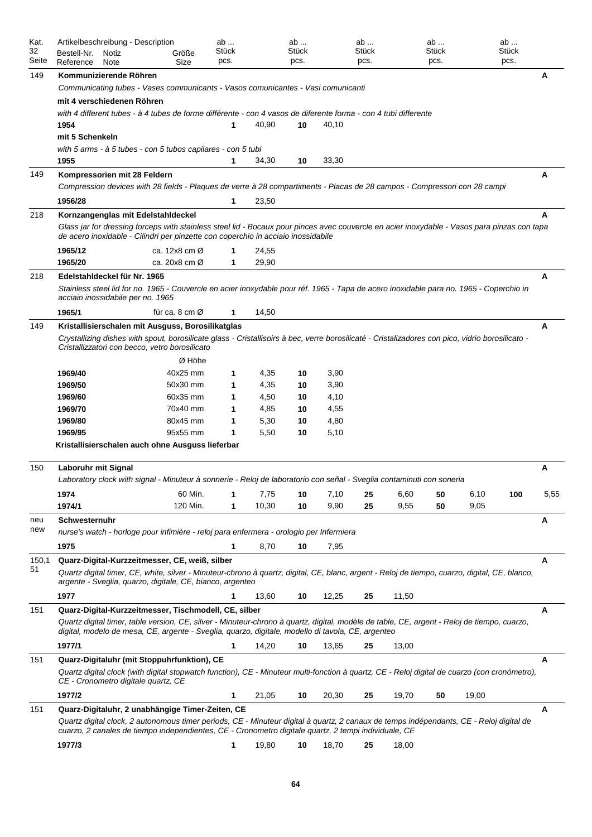| Kat.<br>32<br>Seite | Artikelbeschreibung - Description<br>Bestell-Nr.<br>Notiz<br>Reference<br>Note                                                                                                                                                                          | Größe<br>Size                | ab<br>Stück<br>pcs. |       | ab<br>Stück<br>pcs. |       | ab<br>Stück<br>pcs. |       | ab<br>Stück<br>pcs. |       | ab<br>Stück<br>pcs. |      |
|---------------------|---------------------------------------------------------------------------------------------------------------------------------------------------------------------------------------------------------------------------------------------------------|------------------------------|---------------------|-------|---------------------|-------|---------------------|-------|---------------------|-------|---------------------|------|
| 149                 | Kommunizierende Röhren                                                                                                                                                                                                                                  |                              |                     |       |                     |       |                     |       |                     |       |                     | A    |
|                     | Communicating tubes - Vases communicants - Vasos comunicantes - Vasi comunicanti                                                                                                                                                                        |                              |                     |       |                     |       |                     |       |                     |       |                     |      |
|                     | mit 4 verschiedenen Röhren                                                                                                                                                                                                                              |                              |                     |       |                     |       |                     |       |                     |       |                     |      |
|                     | with 4 different tubes - à 4 tubes de forme différente - con 4 vasos de diferente forma - con 4 tubi differente<br>1954                                                                                                                                 |                              | $\mathbf 1$         | 40,90 | 10                  | 40,10 |                     |       |                     |       |                     |      |
|                     | mit 5 Schenkeln                                                                                                                                                                                                                                         |                              |                     |       |                     |       |                     |       |                     |       |                     |      |
|                     | with 5 arms - à 5 tubes - con 5 tubos capilares - con 5 tubi<br>1955                                                                                                                                                                                    |                              | 1                   | 34,30 | 10                  | 33,30 |                     |       |                     |       |                     |      |
| 149                 | Kompressorien mit 28 Feldern<br>Compression devices with 28 fields - Plaques de verre à 28 compartiments - Placas de 28 campos - Compressori con 28 campi                                                                                               |                              |                     |       |                     |       |                     |       |                     |       |                     | A    |
|                     | 1956/28                                                                                                                                                                                                                                                 |                              | 1                   | 23,50 |                     |       |                     |       |                     |       |                     |      |
| 218                 | Kornzangenglas mit Edelstahldeckel                                                                                                                                                                                                                      |                              |                     |       |                     |       |                     |       |                     |       |                     | A    |
|                     | Glass jar for dressing forceps with stainless steel lid - Bocaux pour pinces avec couvercle en acier inoxydable - Vasos para pinzas con tapa<br>de acero inoxidable - Cilindri per pinzette con coperchio in acciaio inossidabile                       |                              |                     |       |                     |       |                     |       |                     |       |                     |      |
|                     | 1965/12                                                                                                                                                                                                                                                 | ca. $12x8$ cm $\varnothing$  | 1                   | 24,55 |                     |       |                     |       |                     |       |                     |      |
|                     | 1965/20                                                                                                                                                                                                                                                 | ca. 20 $x8$ cm $\varnothing$ | 1                   | 29,90 |                     |       |                     |       |                     |       |                     |      |
| 218                 | Edelstahldeckel für Nr. 1965                                                                                                                                                                                                                            |                              |                     |       |                     |       |                     |       |                     |       |                     | A    |
|                     | Stainless steel lid for no. 1965 - Couvercle en acier inoxydable pour réf. 1965 - Tapa de acero inoxidable para no. 1965 - Coperchio in<br>acciaio inossidabile per no. 1965                                                                            |                              |                     |       |                     |       |                     |       |                     |       |                     |      |
|                     | 1965/1                                                                                                                                                                                                                                                  | für ca. 8 cm $\varnothing$   | 1                   | 14,50 |                     |       |                     |       |                     |       |                     |      |
| 149                 | Kristallisierschalen mit Ausguss, Borosilikatglas<br>Crystallizing dishes with spout, borosilicate glass - Cristallisoirs à bec, verre borosilicaté - Cristalizadores con pico, vidrio borosilicato -<br>Cristallizzatori con becco, vetro borosilicato |                              |                     |       |                     |       |                     |       |                     |       |                     | A    |
|                     |                                                                                                                                                                                                                                                         | Ø Höhe                       |                     |       |                     |       |                     |       |                     |       |                     |      |
|                     | 1969/40                                                                                                                                                                                                                                                 | 40x25 mm                     | 1                   | 4,35  | 10                  | 3,90  |                     |       |                     |       |                     |      |
|                     | 1969/50                                                                                                                                                                                                                                                 | 50x30 mm                     | 1                   | 4,35  | 10                  | 3,90  |                     |       |                     |       |                     |      |
|                     | 1969/60                                                                                                                                                                                                                                                 | 60x35 mm                     | 1                   | 4,50  | 10                  | 4,10  |                     |       |                     |       |                     |      |
|                     | 1969/70                                                                                                                                                                                                                                                 | 70x40 mm                     | 1                   | 4,85  | 10                  | 4,55  |                     |       |                     |       |                     |      |
|                     | 1969/80                                                                                                                                                                                                                                                 | 80x45 mm                     | 1                   | 5,30  | 10                  | 4,80  |                     |       |                     |       |                     |      |
|                     | 1969/95                                                                                                                                                                                                                                                 | 95x55 mm                     | 1                   | 5,50  | 10                  | 5,10  |                     |       |                     |       |                     |      |
|                     | Kristallisierschalen auch ohne Ausguss lieferbar                                                                                                                                                                                                        |                              |                     |       |                     |       |                     |       |                     |       |                     |      |
| 150                 | Laboruhr mit Signal                                                                                                                                                                                                                                     |                              |                     |       |                     |       |                     |       |                     |       |                     | Α    |
|                     | Laboratory clock with signal - Minuteur à sonnerie - Reloj de laboratorio con señal - Sveglia contaminuti con soneria                                                                                                                                   |                              |                     |       |                     |       |                     |       |                     |       |                     |      |
|                     | 1974                                                                                                                                                                                                                                                    | 60 Min.                      | 1                   | 7,75  | 10                  | 7,10  | 25                  | 6,60  | 50                  | 6,10  | 100                 | 5,55 |
|                     | 1974/1                                                                                                                                                                                                                                                  | 120 Min.                     | 1                   | 10,30 | 10                  | 9,90  | 25                  | 9,55  | 50                  | 9,05  |                     |      |
| neu                 | Schwesternuhr                                                                                                                                                                                                                                           |                              |                     |       |                     |       |                     |       |                     |       |                     | Α    |
| new                 | nurse's watch - horloge pour infimière - reloj para enfermera - orologio per Infermiera                                                                                                                                                                 |                              |                     |       |                     |       |                     |       |                     |       |                     |      |
|                     | 1975                                                                                                                                                                                                                                                    |                              | 1                   | 8,70  | 10                  | 7,95  |                     |       |                     |       |                     |      |
| 150,1               | Quarz-Digital-Kurzzeitmesser, CE, weiß, silber                                                                                                                                                                                                          |                              |                     |       |                     |       |                     |       |                     |       |                     | Α    |
| 51                  | Quartz digital timer, CE, white, silver - Minuteur-chrono à quartz, digital, CE, blanc, argent - Reloj de tiempo, cuarzo, digital, CE, blanco,<br>argente - Sveglia, guarzo, digitale, CE, bianco, argenteo                                             |                              |                     |       |                     |       |                     |       |                     |       |                     |      |
|                     | 1977                                                                                                                                                                                                                                                    |                              | 1                   | 13,60 | 10                  | 12,25 | 25                  | 11,50 |                     |       |                     |      |
| 151                 | Quarz-Digital-Kurzzeitmesser, Tischmodell, CE, silber                                                                                                                                                                                                   |                              |                     |       |                     |       |                     |       |                     |       |                     | A    |
|                     | Quartz digital timer, table version, CE, silver - Minuteur-chrono à quartz, digital, modèle de table, CE, argent - Reloj de tiempo, cuarzo,<br>digital, modelo de mesa, CE, argente - Sveglia, quarzo, digitale, modello di tavola, CE, argenteo        |                              |                     |       |                     |       |                     |       |                     |       |                     |      |
|                     | 1977/1                                                                                                                                                                                                                                                  |                              | 1                   | 14,20 | 10                  | 13,65 | 25                  | 13,00 |                     |       |                     |      |
| 151                 | Quarz-Digitaluhr (mit Stoppuhrfunktion), CE<br>Quartz digital clock (with digital stopwatch function), CE - Minuteur multi-fonction à quartz, CE - Reloj digital de cuarzo (con cronómetro),<br>CE - Cronometro digitale quartz, CE                     |                              |                     |       |                     |       |                     |       |                     |       |                     | Α    |
|                     | 1977/2                                                                                                                                                                                                                                                  |                              | 1                   | 21,05 | 10                  | 20,30 | 25                  | 19,70 | 50                  | 19,00 |                     |      |
| 151                 | Quarz-Digitaluhr, 2 unabhängige Timer-Zeiten, CE                                                                                                                                                                                                        |                              |                     |       |                     |       |                     |       |                     |       |                     | Α    |
|                     | Quartz digital clock, 2 autonomous timer periods, CE - Minuteur digital à quartz, 2 canaux de temps indépendants, CE - Reloj digital de<br>cuarzo, 2 canales de tiempo independientes, CE - Cronometro digitale quartz, 2 tempi individuale, CE         |                              |                     |       |                     |       |                     |       |                     |       |                     |      |
|                     | 1977/3                                                                                                                                                                                                                                                  |                              | 1                   | 19,80 | 10                  | 18,70 | 25                  | 18,00 |                     |       |                     |      |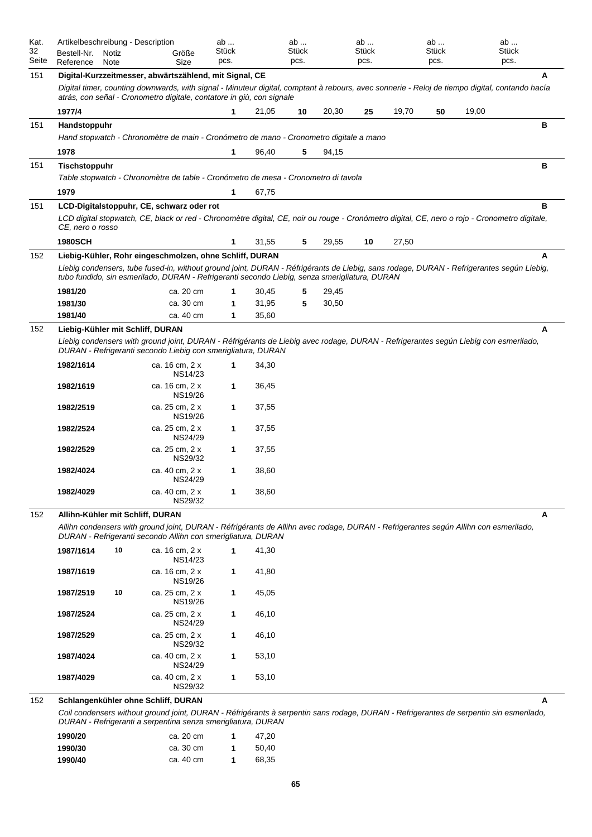| Kat.<br>32<br>Seite | Artikelbeschreibung - Description<br>Bestell-Nr.<br>Reference | Notiz<br>Note | Größe<br>Size                                                                                                                                                                                                                             | ab<br><b>Stück</b><br>pcs. |       | ab<br>Stück<br>pcs. |       | ab<br>Stück<br>pcs. |       | ab<br><b>Stück</b><br>pcs. |       | ab<br><b>Stück</b><br>pcs. |
|---------------------|---------------------------------------------------------------|---------------|-------------------------------------------------------------------------------------------------------------------------------------------------------------------------------------------------------------------------------------------|----------------------------|-------|---------------------|-------|---------------------|-------|----------------------------|-------|----------------------------|
| 151                 |                                                               |               | Digital-Kurzzeitmesser, abwärtszählend, mit Signal, CE                                                                                                                                                                                    |                            |       |                     |       |                     |       |                            |       | A                          |
|                     |                                                               |               | Digital timer, counting downwards, with signal - Minuteur digital, comptant à rebours, avec sonnerie - Reloj de tiempo digital, contando hacía<br>atrás, con señal - Cronometro digitale, contatore in giù, con signale                   |                            |       |                     |       |                     |       |                            |       |                            |
|                     | 1977/4                                                        |               |                                                                                                                                                                                                                                           | 1                          | 21,05 | 10                  | 20,30 | 25                  | 19,70 | 50                         | 19,00 |                            |
| 151                 | Handstoppuhr                                                  |               |                                                                                                                                                                                                                                           |                            |       |                     |       |                     |       |                            |       | в                          |
|                     |                                                               |               | Hand stopwatch - Chronomètre de main - Cronómetro de mano - Cronometro digitale a mano                                                                                                                                                    |                            |       |                     |       |                     |       |                            |       |                            |
|                     | 1978                                                          |               |                                                                                                                                                                                                                                           | 1                          | 96,40 | 5                   | 94,15 |                     |       |                            |       |                            |
| 151                 | Tischstoppuhr                                                 |               | Table stopwatch - Chronomètre de table - Cronómetro de mesa - Cronometro di tavola                                                                                                                                                        |                            |       |                     |       |                     |       |                            |       | в                          |
|                     | 1979                                                          |               |                                                                                                                                                                                                                                           | 1                          | 67,75 |                     |       |                     |       |                            |       |                            |
| 151                 |                                                               |               | LCD-Digitalstoppuhr, CE, schwarz oder rot                                                                                                                                                                                                 |                            |       |                     |       |                     |       |                            |       | в                          |
|                     | CE, nero o rosso                                              |               | LCD digital stopwatch, CE, black or red - Chronomètre digital, CE, noir ou rouge - Cronómetro digital, CE, nero o rojo - Cronometro digitale,                                                                                             |                            |       |                     |       |                     |       |                            |       |                            |
|                     | <b>1980SCH</b>                                                |               |                                                                                                                                                                                                                                           | 1                          | 31,55 | 5                   | 29,55 | 10                  | 27,50 |                            |       |                            |
| 152                 |                                                               |               | Liebig-Kühler, Rohr eingeschmolzen, ohne Schliff, DURAN                                                                                                                                                                                   |                            |       |                     |       |                     |       |                            |       | A                          |
|                     |                                                               |               | Liebig condensers, tube fused-in, without ground joint, DURAN - Réfrigérants de Liebig, sans rodage, DURAN - Refrigerantes según Liebig,<br>tubo fundido, sin esmerilado, DURAN - Refrigeranti secondo Liebig, senza smerigliatura, DURAN |                            |       |                     |       |                     |       |                            |       |                            |
|                     | 1981/20                                                       |               | ca. 20 cm                                                                                                                                                                                                                                 | 1                          | 30,45 | 5                   | 29,45 |                     |       |                            |       |                            |
|                     | 1981/30                                                       |               | ca. 30 cm                                                                                                                                                                                                                                 | 1                          | 31,95 | 5                   | 30,50 |                     |       |                            |       |                            |
|                     | 1981/40                                                       |               | ca. 40 cm                                                                                                                                                                                                                                 | 1                          | 35,60 |                     |       |                     |       |                            |       |                            |
| 152                 |                                                               |               | Liebig-Kühler mit Schliff, DURAN                                                                                                                                                                                                          |                            |       |                     |       |                     |       |                            |       | А                          |
|                     |                                                               |               | Liebig condensers with ground joint, DURAN - Réfrigérants de Liebig avec rodage, DURAN - Refrigerantes según Liebig con esmerilado,<br>DURAN - Refrigeranti secondo Liebig con smerigliatura, DURAN                                       |                            |       |                     |       |                     |       |                            |       |                            |
|                     | 1982/1614                                                     |               | ca. 16 cm, 2 x<br>NS14/23                                                                                                                                                                                                                 |                            | 34,30 |                     |       |                     |       |                            |       |                            |
|                     | 1982/1619                                                     |               | ca. 16 cm, 2 x<br>NS19/26                                                                                                                                                                                                                 | 1                          | 36,45 |                     |       |                     |       |                            |       |                            |
|                     | 1982/2519                                                     |               | ca. 25 cm, 2 x<br>NS19/26                                                                                                                                                                                                                 | 1                          | 37,55 |                     |       |                     |       |                            |       |                            |
|                     | 1982/2524                                                     |               | ca. 25 cm, 2 x<br><b>NS24/29</b>                                                                                                                                                                                                          | 1                          | 37,55 |                     |       |                     |       |                            |       |                            |
|                     | 1982/2529                                                     |               | ca. 25 cm, 2 x<br>NS29/32                                                                                                                                                                                                                 | 1                          | 37,55 |                     |       |                     |       |                            |       |                            |
|                     | 1982/4024                                                     |               | ca. 40 cm, 2 x<br><b>NS24/29</b>                                                                                                                                                                                                          | 1                          | 38,60 |                     |       |                     |       |                            |       |                            |
|                     | 1982/4029                                                     |               | ca. 40 cm, 2 x<br>NS29/32                                                                                                                                                                                                                 | 1                          | 38,60 |                     |       |                     |       |                            |       |                            |
| 152                 | Allihn-Kühler mit Schliff, DURAN                              |               |                                                                                                                                                                                                                                           |                            |       |                     |       |                     |       |                            |       | A                          |
|                     |                                                               |               | Allihn condensers with ground joint, DURAN - Réfrigérants de Allihn avec rodage, DURAN - Refrigerantes según Allihn con esmerilado,<br>DURAN - Refrigeranti secondo Allihn con smerigliatura, DURAN                                       |                            |       |                     |       |                     |       |                            |       |                            |
|                     | 1987/1614                                                     | 10            | ca. 16 cm, 2 x<br><b>NS14/23</b>                                                                                                                                                                                                          | 1                          | 41,30 |                     |       |                     |       |                            |       |                            |
|                     | 1987/1619                                                     |               | ca. 16 cm, 2 x<br>NS19/26                                                                                                                                                                                                                 | 1                          | 41,80 |                     |       |                     |       |                            |       |                            |
|                     | 1987/2519                                                     | 10            | ca. 25 cm, 2 x<br>NS19/26                                                                                                                                                                                                                 | 1                          | 45,05 |                     |       |                     |       |                            |       |                            |
|                     | 1987/2524                                                     |               | ca. 25 cm, 2 x<br>NS24/29                                                                                                                                                                                                                 | 1                          | 46,10 |                     |       |                     |       |                            |       |                            |
|                     | 1987/2529                                                     |               | ca. 25 cm, 2 x<br>NS29/32                                                                                                                                                                                                                 | 1                          | 46,10 |                     |       |                     |       |                            |       |                            |
|                     | 1987/4024                                                     |               | ca. 40 cm, 2 x<br><b>NS24/29</b>                                                                                                                                                                                                          | 1                          | 53,10 |                     |       |                     |       |                            |       |                            |
|                     | 1987/4029                                                     |               | ca. 40 cm, 2 x<br>NS29/32                                                                                                                                                                                                                 | 1                          | 53,10 |                     |       |                     |       |                            |       |                            |
| 152                 |                                                               |               | Schlangenkühler ohne Schliff, DURAN                                                                                                                                                                                                       |                            |       |                     |       |                     |       |                            |       | A                          |
|                     |                                                               |               | Coil condensers without ground joint, DURAN - Réfrigérants à serpentin sans rodage, DURAN - Refrigerantes de serpentin sin esmerilado,<br>DURAN - Refrigeranti a serpentina senza smerigliatura, DURAN                                    |                            |       |                     |       |                     |       |                            |       |                            |

**1990/20** ca. 20 cm **1** 47,20 **1990/30** ca. 30 cm **1** 50,40 **1990/40** ca. 40 cm **1** 68,35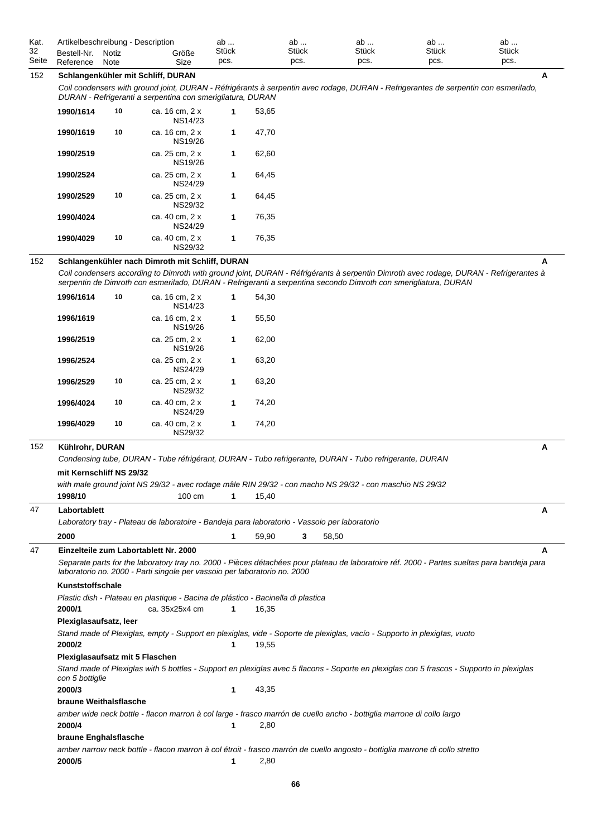| Kat.  |             | Artikelbeschreibung - Description |       | ab           | av           | ab           | ab           | av           |  |
|-------|-------------|-----------------------------------|-------|--------------|--------------|--------------|--------------|--------------|--|
| 32    | Bestell-Nr. | Notiz                             | Größe | <b>Stück</b> | <b>Stück</b> | <b>Stuck</b> | <b>Stuck</b> | <b>Stück</b> |  |
| Seite | Reference   | Note                              | Size  | pcs.         | pcs.         | pcs.         | pcs.         | pcs.         |  |

## 152 **Schlangenkühler mit Schliff, DURAN A**

*Coil condensers with ground joint, DURAN - Réfrigérants à serpentin avec rodage, DURAN - Refrigerantes de serpentin con esmerilado, DURAN - Refrigeranti a serpentina con smerigliatura, DURAN*

| 1990/1614 | 10 | ca. 16 cm, 2 x<br>NS14/23        |   | 53,65 |
|-----------|----|----------------------------------|---|-------|
| 1990/1619 | 10 | ca. 16 cm, 2 x<br>NS19/26        | 1 | 47,70 |
| 1990/2519 |    | ca. 25 cm, 2 x<br>NS19/26        | 1 | 62.60 |
| 1990/2524 |    | ca. 25 cm, 2 x<br><b>NS24/29</b> | 1 | 64,45 |
| 1990/2529 | 10 | ca. 25 cm, 2 x<br>NS29/32        | 1 | 64.45 |
| 1990/4024 |    | ca. 40 cm, 2 x<br>NS24/29        | 1 | 76,35 |
| 1990/4029 | 10 | ca. 40 cm, 2 x<br>NS29/32        |   | 76,35 |

# 152 **Schlangenkühler nach Dimroth mit Schliff, DURAN A**

*Coil condensers according to Dimroth with ground joint, DURAN - Réfrigérants à serpentin Dimroth avec rodage, DURAN - Refrigerantes à serpentin de Dimroth con esmerilado, DURAN - Refrigeranti a serpentina secondo Dimroth con smerigliatura, DURAN*

|     | mit Kernschliff NS 29/32 |    | Condensing tube, DURAN - Tube réfrigérant, DURAN - Tubo refrigerante, DURAN - Tubo refrigerante, DURAN |   |       |  |   |
|-----|--------------------------|----|--------------------------------------------------------------------------------------------------------|---|-------|--|---|
| 152 | Kühlrohr, DURAN          |    |                                                                                                        |   |       |  | A |
|     | 1996/4029                | 10 | ca. 40 cm, 2 x<br>NS29/32                                                                              | 1 | 74,20 |  |   |
|     | 1996/4024                | 10 | ca. 40 cm, 2 x<br><b>NS24/29</b>                                                                       | 1 | 74,20 |  |   |
|     | 1996/2529                | 10 | ca. 25 cm, 2 x<br>NS29/32                                                                              | 1 | 63,20 |  |   |
|     | 1996/2524                |    | ca. 25 cm, 2 x<br><b>NS24/29</b>                                                                       | 1 | 63,20 |  |   |
|     | 1996/2519                |    | ca. 25 cm, 2 x<br><b>NS19/26</b>                                                                       | 1 | 62,00 |  |   |
|     | 1996/1619                |    | ca. 16 cm, 2 x<br><b>NS19/26</b>                                                                       | 1 | 55,50 |  |   |
|     | 1996/1614                | 10 | ca. 16 cm, 2 x<br><b>NS14/23</b>                                                                       | 1 | 54,30 |  |   |

|                                                                                               |                  |       | with male ground joint NS 29/32 - avec rodage mâle RIN 29/32 - con macho NS 29/32 - con maschio NS 29/32 |  |
|-----------------------------------------------------------------------------------------------|------------------|-------|----------------------------------------------------------------------------------------------------------|--|
| 1998/10                                                                                       | $100 \text{ cm}$ | 15.40 |                                                                                                          |  |
| Labortablett                                                                                  |                  |       |                                                                                                          |  |
| Laboratory tray - Plateau de laboratoire - Bandeja para laboratorio - Vassoio per laboratorio |                  |       |                                                                                                          |  |

**2000 1 59,90 3 58,50** *Separate parts for the laboratory tray no. 2000 - Pièces détachées pour plateau de laboratoire réf. 2000 - Partes sueltas para bandeja para laboratorio no. 2000 - Parti singole per vassoio per laboratorio no. 2000* 47 **Einzelteile zum Labortablett Nr. 2000 A** *Plastic dish - Plateau en plastique - Bacina de plástico - Bacinella di plastica* **Kunststoffschale 2000/1** ca. 35x25x4 cm **1** 16,35 *Stand made of Plexiglas, empty - Support en plexiglas, vide - Soporte de plexiglas, vacío - Supporto in plexigIas, vuoto* **Plexiglasaufsatz, leer 2000/2 1** 19,55 *Stand made of Plexiglas with 5 bottles - Support en plexiglas avec 5 flacons - Soporte en plexiglas con 5 frascos - Supporto in plexiglas con 5 bottiglie* **Plexiglasaufsatz mit 5 Flaschen 2000/3 1** 43,35 *amber wide neck bottle - flacon marron à col large - frasco marrón de cuello ancho - bottiglia marrone di collo largo* **braune Weithalsflasche 2000/4 1** 2,80

#### **braune Enghalsflasche**

*amber narrow neck bottle - flacon marron à col étroit - frasco marrón de cuello angosto - bottiglia marrone di collo stretto* **2000/5 1** 2,80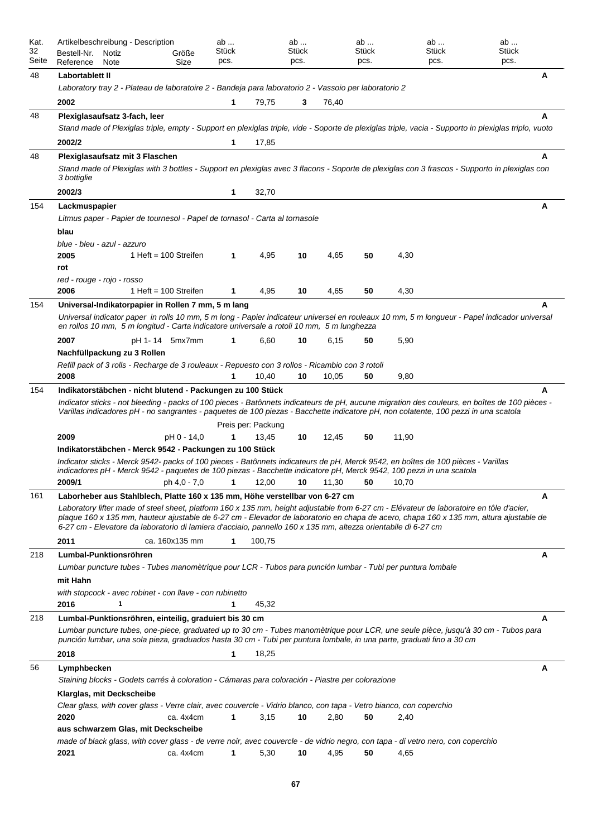| Kat.<br>32<br>Seite | Artikelbeschreibung - Description<br>Bestell-Nr.<br>Notiz<br>Reference<br>Note                                                                  |                         | Größe<br>Size  | ab<br>Stück<br>pcs. |                    | ab<br>Stück<br>pcs. |       | ab<br>Stück<br>pcs. | ab<br>Stück<br>pcs.                                                                                                                                                                                                                                      | ab<br><b>Stück</b><br>pcs.                                                                                                                           |
|---------------------|-------------------------------------------------------------------------------------------------------------------------------------------------|-------------------------|----------------|---------------------|--------------------|---------------------|-------|---------------------|----------------------------------------------------------------------------------------------------------------------------------------------------------------------------------------------------------------------------------------------------------|------------------------------------------------------------------------------------------------------------------------------------------------------|
| 48                  | Labortablett II                                                                                                                                 |                         |                |                     |                    |                     |       |                     |                                                                                                                                                                                                                                                          | Α                                                                                                                                                    |
|                     | Laboratory tray 2 - Plateau de laboratoire 2 - Bandeja para laboratorio 2 - Vassoio per laboratorio 2                                           |                         |                |                     |                    |                     |       |                     |                                                                                                                                                                                                                                                          |                                                                                                                                                      |
|                     | 2002                                                                                                                                            |                         |                |                     | 79,75              | 3                   | 76,40 |                     |                                                                                                                                                                                                                                                          |                                                                                                                                                      |
| 48                  | Plexiglasaufsatz 3-fach, leer                                                                                                                   |                         |                |                     |                    |                     |       |                     |                                                                                                                                                                                                                                                          | А                                                                                                                                                    |
|                     |                                                                                                                                                 |                         |                |                     |                    |                     |       |                     |                                                                                                                                                                                                                                                          | Stand made of Plexiglas triple, empty - Support en plexiglas triple, vide - Soporte de plexiglas triple, vacia - Supporto in plexiglas triplo, vuoto |
|                     | 2002/2                                                                                                                                          |                         |                | 1                   | 17,85              |                     |       |                     |                                                                                                                                                                                                                                                          |                                                                                                                                                      |
| 48                  | Plexiglasaufsatz mit 3 Flaschen                                                                                                                 |                         |                |                     |                    |                     |       |                     |                                                                                                                                                                                                                                                          | A                                                                                                                                                    |
|                     | 3 bottiglie                                                                                                                                     |                         |                |                     |                    |                     |       |                     |                                                                                                                                                                                                                                                          | Stand made of Plexiglas with 3 bottles - Support en plexiglas avec 3 flacons - Soporte de plexiglas con 3 frascos - Supporto in plexiglas con        |
|                     | 2002/3                                                                                                                                          |                         |                | 1                   | 32,70              |                     |       |                     |                                                                                                                                                                                                                                                          |                                                                                                                                                      |
| 154                 | Lackmuspapier                                                                                                                                   |                         |                |                     |                    |                     |       |                     |                                                                                                                                                                                                                                                          | A                                                                                                                                                    |
|                     | Litmus paper - Papier de tournesol - Papel de tornasol - Carta al tornasole                                                                     |                         |                |                     |                    |                     |       |                     |                                                                                                                                                                                                                                                          |                                                                                                                                                      |
|                     | blau                                                                                                                                            |                         |                |                     |                    |                     |       |                     |                                                                                                                                                                                                                                                          |                                                                                                                                                      |
|                     | blue - bleu - azul - azzuro                                                                                                                     |                         |                |                     |                    |                     |       |                     |                                                                                                                                                                                                                                                          |                                                                                                                                                      |
|                     | 2005                                                                                                                                            | 1 Heft = $100$ Streifen |                | 1                   | 4,95               | 10                  | 4,65  | 50                  | 4,30                                                                                                                                                                                                                                                     |                                                                                                                                                      |
|                     | rot                                                                                                                                             |                         |                |                     |                    |                     |       |                     |                                                                                                                                                                                                                                                          |                                                                                                                                                      |
|                     | red - rouge - rojo - rosso<br>2006                                                                                                              | 1 Heft = $100$ Streifen |                |                     | 4,95               |                     | 4,65  |                     |                                                                                                                                                                                                                                                          |                                                                                                                                                      |
|                     |                                                                                                                                                 |                         |                | 1                   |                    | 10                  |       | 50                  | 4,30                                                                                                                                                                                                                                                     |                                                                                                                                                      |
| 154                 | Universal-Indikatorpapier in Rollen 7 mm, 5 m lang<br>en rollos 10 mm, 5 m longitud - Carta indicatore universale a rotoli 10 mm, 5 m lunghezza |                         |                |                     |                    |                     |       |                     |                                                                                                                                                                                                                                                          | Universal indicator paper in rolls 10 mm, 5 m long - Papier indicateur universel en rouleaux 10 mm, 5 m longueur - Papel indicador universal         |
|                     | 2007                                                                                                                                            | pH 1-14 5mx7mm          |                |                     | 6,60               | 10                  | 6.15  | 50                  | 5,90                                                                                                                                                                                                                                                     |                                                                                                                                                      |
|                     | Nachfüllpackung zu 3 Rollen                                                                                                                     |                         |                |                     |                    |                     |       |                     |                                                                                                                                                                                                                                                          |                                                                                                                                                      |
|                     | Refill pack of 3 rolls - Recharge de 3 rouleaux - Repuesto con 3 rollos - Ricambio con 3 rotoli                                                 |                         |                |                     |                    |                     |       |                     |                                                                                                                                                                                                                                                          |                                                                                                                                                      |
|                     | 2008                                                                                                                                            |                         |                |                     | 10,40              | 10                  | 10,05 | 50                  | 9,80                                                                                                                                                                                                                                                     |                                                                                                                                                      |
| 154                 | Indikatorstäbchen - nicht blutend - Packungen zu 100 Stück                                                                                      |                         |                |                     |                    |                     |       |                     |                                                                                                                                                                                                                                                          | A                                                                                                                                                    |
|                     |                                                                                                                                                 |                         |                |                     |                    |                     |       |                     | Varillas indicadores pH - no sangrantes - paquetes de 100 piezas - Bacchette indicatore pH, non colatente, 100 pezzi in una scatola                                                                                                                      | Indicator sticks - not bleeding - packs of 100 pieces - Batônnets indicateurs de pH, aucune migration des couleurs, en boîtes de 100 pièces -        |
|                     |                                                                                                                                                 |                         |                |                     | Preis per: Packung |                     |       |                     |                                                                                                                                                                                                                                                          |                                                                                                                                                      |
|                     | 2009                                                                                                                                            |                         | pH 0 - 14,0    |                     | 13,45              | 10                  | 12,45 | 50                  | 11,90                                                                                                                                                                                                                                                    |                                                                                                                                                      |
|                     | Indikatorstäbchen - Merck 9542 - Packungen zu 100 Stück                                                                                         |                         |                |                     |                    |                     |       |                     |                                                                                                                                                                                                                                                          |                                                                                                                                                      |
|                     | 2009/1                                                                                                                                          |                         |                |                     |                    |                     |       |                     | Indicator sticks - Merck 9542- packs of 100 pieces - Batônnets indicateurs de pH, Merck 9542, en boîtes de 100 pièces - Varillas<br>indicadores pH - Merck 9542 - paquetes de 100 piezas - Bacchette indicatore pH, Merck 9542, 100 pezzi in una scatola |                                                                                                                                                      |
|                     |                                                                                                                                                 |                         |                |                     |                    |                     |       |                     |                                                                                                                                                                                                                                                          |                                                                                                                                                      |
| 161                 | Laborheber aus Stahlblech, Platte 160 x 135 mm, Höhe verstellbar von 6-27 cm                                                                    |                         |                |                     |                    |                     |       |                     | Laboratory lifter made of steel sheet, platform 160 x 135 mm, height adjustable from 6-27 cm - Elévateur de laboratoire en tôle d'acier,                                                                                                                 | A                                                                                                                                                    |
|                     | 6-27 cm - Elevatore da laboratorio di lamiera d'acciaio, pannello 160 x 135 mm, altezza orientabile di 6-27 cm                                  |                         |                |                     |                    |                     |       |                     |                                                                                                                                                                                                                                                          | plaque 160 x 135 mm, hauteur ajustable de 6-27 cm - Elevador de laboratorio en chapa de acero, chapa 160 x 135 mm, altura ajustable de               |
|                     | 2011                                                                                                                                            |                         | ca. 160x135 mm | 1                   | 100,75             |                     |       |                     |                                                                                                                                                                                                                                                          |                                                                                                                                                      |
| 218                 | Lumbal-Punktionsröhren                                                                                                                          |                         |                |                     |                    |                     |       |                     |                                                                                                                                                                                                                                                          | A                                                                                                                                                    |
|                     |                                                                                                                                                 |                         |                |                     |                    |                     |       |                     | Lumbar puncture tubes - Tubes manomètrique pour LCR - Tubos para punción lumbar - Tubi per puntura lombale                                                                                                                                               |                                                                                                                                                      |
|                     | mit Hahn                                                                                                                                        |                         |                |                     |                    |                     |       |                     |                                                                                                                                                                                                                                                          |                                                                                                                                                      |
|                     | with stopcock - avec robinet - con llave - con rubinetto                                                                                        |                         |                |                     |                    |                     |       |                     |                                                                                                                                                                                                                                                          |                                                                                                                                                      |
|                     | 2016<br>1                                                                                                                                       |                         |                | 1                   | 45,32              |                     |       |                     |                                                                                                                                                                                                                                                          |                                                                                                                                                      |
| 218                 | Lumbal-Punktionsröhren, einteilig, graduiert bis 30 cm                                                                                          |                         |                |                     |                    |                     |       |                     |                                                                                                                                                                                                                                                          | A                                                                                                                                                    |
|                     |                                                                                                                                                 |                         |                |                     |                    |                     |       |                     | punción lumbar, una sola pieza, graduados hasta 30 cm - Tubi per puntura lombale, in una parte, graduati fino a 30 cm                                                                                                                                    | Lumbar puncture tubes, one-piece, graduated up to 30 cm - Tubes manomètrique pour LCR, une seule pièce, jusqu'à 30 cm - Tubos para                   |
|                     | 2018                                                                                                                                            |                         |                | 1                   | 18,25              |                     |       |                     |                                                                                                                                                                                                                                                          |                                                                                                                                                      |
| 56                  | Lymphbecken<br>Staining blocks - Godets carrés à coloration - Cámaras para coloración - Piastre per colorazione                                 |                         |                |                     |                    |                     |       |                     |                                                                                                                                                                                                                                                          | A                                                                                                                                                    |
|                     | Klarglas, mit Deckscheibe                                                                                                                       |                         |                |                     |                    |                     |       |                     |                                                                                                                                                                                                                                                          |                                                                                                                                                      |
|                     |                                                                                                                                                 |                         |                |                     |                    |                     |       |                     | Clear glass, with cover glass - Verre clair, avec couvercle - Vidrio blanco, con tapa - Vetro bianco, con coperchio                                                                                                                                      |                                                                                                                                                      |
|                     | 2020                                                                                                                                            |                         | ca. 4x4cm      | 1                   | 3,15               | 10                  | 2,80  | 50                  | 2,40                                                                                                                                                                                                                                                     |                                                                                                                                                      |
|                     | aus schwarzem Glas, mit Deckscheibe                                                                                                             |                         |                |                     |                    |                     |       |                     |                                                                                                                                                                                                                                                          |                                                                                                                                                      |
|                     | 2021                                                                                                                                            |                         | ca. 4x4cm      | 1                   | 5,30               | 10                  | 4,95  | 50                  | made of black glass, with cover glass - de verre noir, avec couvercle - de vidrio negro, con tapa - di vetro nero, con coperchio<br>4,65                                                                                                                 |                                                                                                                                                      |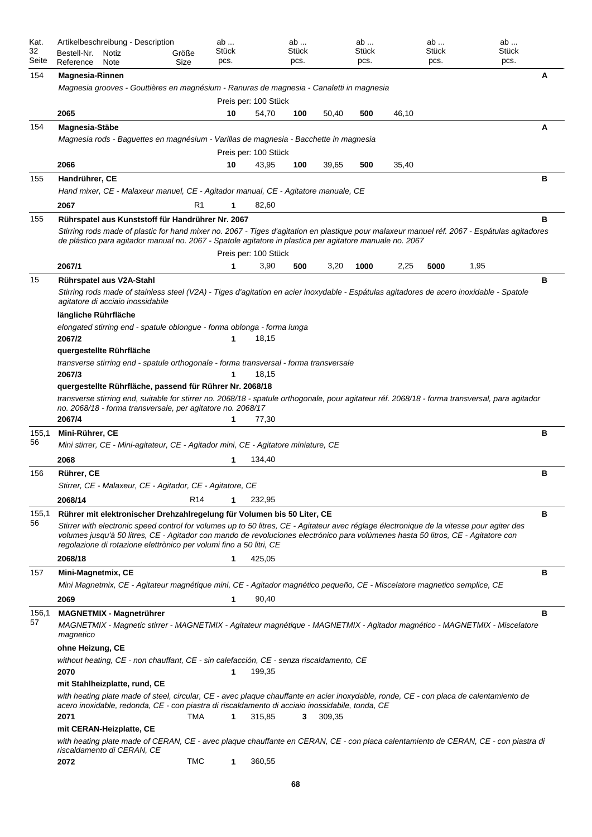| Stück<br><b>Stück</b><br>32<br>Stück<br>Stück<br>Stück<br>Bestell-Nr.<br>Größe<br>Notiz<br>Seite<br>pcs.<br>pcs.<br>pcs.<br>pcs.<br>pcs.<br>Reference<br>Size<br><b>Note</b><br>A<br>154<br><b>Magnesia-Rinnen</b><br>Magnesia grooves - Gouttières en magnésium - Ranuras de magnesia - Canaletti in magnesia<br>Preis per: 100 Stück<br>2065<br>10<br>54,70<br>100<br>50,40<br>500<br>46,10<br>154<br>Magnesia-Stäbe<br>А<br>Magnesia rods - Baguettes en magnésium - Varillas de magnesia - Bacchette in magnesia<br>Preis per: 100 Stück<br>2066<br>43,95<br>35,40<br>10<br>100<br>39,65<br>500<br>в<br>155<br>Handrührer, CE<br>Hand mixer, CE - Malaxeur manuel, CE - Agitador manual, CE - Agitatore manuale, CE<br>2067<br>R1<br>82,60<br>1<br>в<br>155<br>Rührspatel aus Kunststoff für Handrührer Nr. 2067<br>Stirring rods made of plastic for hand mixer no. 2067 - Tiges d'agitation en plastique pour malaxeur manuel réf. 2067 - Espátulas agitadores<br>de plástico para agitador manual no. 2067 - Spatole agitatore in plastica per agitatore manuale no. 2067<br>Preis per: 100 Stück<br>1,95<br>2067/1<br>3,90<br>3,20<br>1000<br>2,25<br>5000<br>1<br>500<br>в<br>Rührspatel aus V2A-Stahl<br>15<br>Stirring rods made of stainless steel (V2A) - Tiges d'agitation en acier inoxydable - Espátulas agitadores de acero inoxidable - Spatole<br>agitatore di acciaio inossidabile<br>längliche Rührfläche<br>elongated stirring end - spatule oblongue - forma oblonga - forma lunga<br>2067/2<br>18,15<br>1<br>quergestellte Rührfläche<br>transverse stirring end - spatule orthogonale - forma transversal - forma transversale<br>2067/3<br>18,15<br>1<br>quergestellte Rührfläche, passend für Rührer Nr. 2068/18<br>transverse stirring end, suitable for stirrer no. 2068/18 - spatule orthogonale, pour agitateur réf. 2068/18 - forma transversal, para agitador<br>no. 2068/18 - forma transversale, per agitatore no. 2068/17<br>2067/4<br>77,30<br>1<br>Mini-Rührer, CE<br>в<br>155,1<br>56<br>Mini stirrer, CE - Mini-agitateur, CE - Agitador mini, CE - Agitatore miniature, CE<br>2068<br>1<br>134,40<br>в<br>156<br>Rührer, CE<br>Stirrer, CE - Malaxeur, CE - Agitador, CE - Agitatore, CE<br>2068/14<br>R <sub>14</sub><br>$\mathbf{1}$<br>232,95<br>в<br>Rührer mit elektronischer Drehzahlregelung für Volumen bis 50 Liter, CE<br>155,1<br>56<br>Stirrer with electronic speed control for volumes up to 50 litres, CE - Agitateur avec réglage électronique de la vitesse pour agiter des<br>volumes jusqu'à 50 litres, CE - Agitador con mando de revoluciones electrónico para volúmenes hasta 50 litros, CE - Agitatore con<br>regolazione di rotazione elettrònico per volumi fino a 50 litri, CE<br>2068/18<br>425,05<br>1<br>в<br>157<br>Mini-Magnetmix, CE |
|---------------------------------------------------------------------------------------------------------------------------------------------------------------------------------------------------------------------------------------------------------------------------------------------------------------------------------------------------------------------------------------------------------------------------------------------------------------------------------------------------------------------------------------------------------------------------------------------------------------------------------------------------------------------------------------------------------------------------------------------------------------------------------------------------------------------------------------------------------------------------------------------------------------------------------------------------------------------------------------------------------------------------------------------------------------------------------------------------------------------------------------------------------------------------------------------------------------------------------------------------------------------------------------------------------------------------------------------------------------------------------------------------------------------------------------------------------------------------------------------------------------------------------------------------------------------------------------------------------------------------------------------------------------------------------------------------------------------------------------------------------------------------------------------------------------------------------------------------------------------------------------------------------------------------------------------------------------------------------------------------------------------------------------------------------------------------------------------------------------------------------------------------------------------------------------------------------------------------------------------------------------------------------------------------------------------------------------------------------------------------------------------------------------------------------------------------------------------------------------------------------------------------------------------------------------------------------------------------------------------------------------------------------------------------------------------------------------------------------------------------------------------------------------------------------------|
|                                                                                                                                                                                                                                                                                                                                                                                                                                                                                                                                                                                                                                                                                                                                                                                                                                                                                                                                                                                                                                                                                                                                                                                                                                                                                                                                                                                                                                                                                                                                                                                                                                                                                                                                                                                                                                                                                                                                                                                                                                                                                                                                                                                                                                                                                                                                                                                                                                                                                                                                                                                                                                                                                                                                                                                                               |
|                                                                                                                                                                                                                                                                                                                                                                                                                                                                                                                                                                                                                                                                                                                                                                                                                                                                                                                                                                                                                                                                                                                                                                                                                                                                                                                                                                                                                                                                                                                                                                                                                                                                                                                                                                                                                                                                                                                                                                                                                                                                                                                                                                                                                                                                                                                                                                                                                                                                                                                                                                                                                                                                                                                                                                                                               |
|                                                                                                                                                                                                                                                                                                                                                                                                                                                                                                                                                                                                                                                                                                                                                                                                                                                                                                                                                                                                                                                                                                                                                                                                                                                                                                                                                                                                                                                                                                                                                                                                                                                                                                                                                                                                                                                                                                                                                                                                                                                                                                                                                                                                                                                                                                                                                                                                                                                                                                                                                                                                                                                                                                                                                                                                               |
|                                                                                                                                                                                                                                                                                                                                                                                                                                                                                                                                                                                                                                                                                                                                                                                                                                                                                                                                                                                                                                                                                                                                                                                                                                                                                                                                                                                                                                                                                                                                                                                                                                                                                                                                                                                                                                                                                                                                                                                                                                                                                                                                                                                                                                                                                                                                                                                                                                                                                                                                                                                                                                                                                                                                                                                                               |
|                                                                                                                                                                                                                                                                                                                                                                                                                                                                                                                                                                                                                                                                                                                                                                                                                                                                                                                                                                                                                                                                                                                                                                                                                                                                                                                                                                                                                                                                                                                                                                                                                                                                                                                                                                                                                                                                                                                                                                                                                                                                                                                                                                                                                                                                                                                                                                                                                                                                                                                                                                                                                                                                                                                                                                                                               |
|                                                                                                                                                                                                                                                                                                                                                                                                                                                                                                                                                                                                                                                                                                                                                                                                                                                                                                                                                                                                                                                                                                                                                                                                                                                                                                                                                                                                                                                                                                                                                                                                                                                                                                                                                                                                                                                                                                                                                                                                                                                                                                                                                                                                                                                                                                                                                                                                                                                                                                                                                                                                                                                                                                                                                                                                               |
|                                                                                                                                                                                                                                                                                                                                                                                                                                                                                                                                                                                                                                                                                                                                                                                                                                                                                                                                                                                                                                                                                                                                                                                                                                                                                                                                                                                                                                                                                                                                                                                                                                                                                                                                                                                                                                                                                                                                                                                                                                                                                                                                                                                                                                                                                                                                                                                                                                                                                                                                                                                                                                                                                                                                                                                                               |
|                                                                                                                                                                                                                                                                                                                                                                                                                                                                                                                                                                                                                                                                                                                                                                                                                                                                                                                                                                                                                                                                                                                                                                                                                                                                                                                                                                                                                                                                                                                                                                                                                                                                                                                                                                                                                                                                                                                                                                                                                                                                                                                                                                                                                                                                                                                                                                                                                                                                                                                                                                                                                                                                                                                                                                                                               |
|                                                                                                                                                                                                                                                                                                                                                                                                                                                                                                                                                                                                                                                                                                                                                                                                                                                                                                                                                                                                                                                                                                                                                                                                                                                                                                                                                                                                                                                                                                                                                                                                                                                                                                                                                                                                                                                                                                                                                                                                                                                                                                                                                                                                                                                                                                                                                                                                                                                                                                                                                                                                                                                                                                                                                                                                               |
|                                                                                                                                                                                                                                                                                                                                                                                                                                                                                                                                                                                                                                                                                                                                                                                                                                                                                                                                                                                                                                                                                                                                                                                                                                                                                                                                                                                                                                                                                                                                                                                                                                                                                                                                                                                                                                                                                                                                                                                                                                                                                                                                                                                                                                                                                                                                                                                                                                                                                                                                                                                                                                                                                                                                                                                                               |
|                                                                                                                                                                                                                                                                                                                                                                                                                                                                                                                                                                                                                                                                                                                                                                                                                                                                                                                                                                                                                                                                                                                                                                                                                                                                                                                                                                                                                                                                                                                                                                                                                                                                                                                                                                                                                                                                                                                                                                                                                                                                                                                                                                                                                                                                                                                                                                                                                                                                                                                                                                                                                                                                                                                                                                                                               |
|                                                                                                                                                                                                                                                                                                                                                                                                                                                                                                                                                                                                                                                                                                                                                                                                                                                                                                                                                                                                                                                                                                                                                                                                                                                                                                                                                                                                                                                                                                                                                                                                                                                                                                                                                                                                                                                                                                                                                                                                                                                                                                                                                                                                                                                                                                                                                                                                                                                                                                                                                                                                                                                                                                                                                                                                               |
|                                                                                                                                                                                                                                                                                                                                                                                                                                                                                                                                                                                                                                                                                                                                                                                                                                                                                                                                                                                                                                                                                                                                                                                                                                                                                                                                                                                                                                                                                                                                                                                                                                                                                                                                                                                                                                                                                                                                                                                                                                                                                                                                                                                                                                                                                                                                                                                                                                                                                                                                                                                                                                                                                                                                                                                                               |
|                                                                                                                                                                                                                                                                                                                                                                                                                                                                                                                                                                                                                                                                                                                                                                                                                                                                                                                                                                                                                                                                                                                                                                                                                                                                                                                                                                                                                                                                                                                                                                                                                                                                                                                                                                                                                                                                                                                                                                                                                                                                                                                                                                                                                                                                                                                                                                                                                                                                                                                                                                                                                                                                                                                                                                                                               |
|                                                                                                                                                                                                                                                                                                                                                                                                                                                                                                                                                                                                                                                                                                                                                                                                                                                                                                                                                                                                                                                                                                                                                                                                                                                                                                                                                                                                                                                                                                                                                                                                                                                                                                                                                                                                                                                                                                                                                                                                                                                                                                                                                                                                                                                                                                                                                                                                                                                                                                                                                                                                                                                                                                                                                                                                               |
|                                                                                                                                                                                                                                                                                                                                                                                                                                                                                                                                                                                                                                                                                                                                                                                                                                                                                                                                                                                                                                                                                                                                                                                                                                                                                                                                                                                                                                                                                                                                                                                                                                                                                                                                                                                                                                                                                                                                                                                                                                                                                                                                                                                                                                                                                                                                                                                                                                                                                                                                                                                                                                                                                                                                                                                                               |
|                                                                                                                                                                                                                                                                                                                                                                                                                                                                                                                                                                                                                                                                                                                                                                                                                                                                                                                                                                                                                                                                                                                                                                                                                                                                                                                                                                                                                                                                                                                                                                                                                                                                                                                                                                                                                                                                                                                                                                                                                                                                                                                                                                                                                                                                                                                                                                                                                                                                                                                                                                                                                                                                                                                                                                                                               |
|                                                                                                                                                                                                                                                                                                                                                                                                                                                                                                                                                                                                                                                                                                                                                                                                                                                                                                                                                                                                                                                                                                                                                                                                                                                                                                                                                                                                                                                                                                                                                                                                                                                                                                                                                                                                                                                                                                                                                                                                                                                                                                                                                                                                                                                                                                                                                                                                                                                                                                                                                                                                                                                                                                                                                                                                               |
|                                                                                                                                                                                                                                                                                                                                                                                                                                                                                                                                                                                                                                                                                                                                                                                                                                                                                                                                                                                                                                                                                                                                                                                                                                                                                                                                                                                                                                                                                                                                                                                                                                                                                                                                                                                                                                                                                                                                                                                                                                                                                                                                                                                                                                                                                                                                                                                                                                                                                                                                                                                                                                                                                                                                                                                                               |
|                                                                                                                                                                                                                                                                                                                                                                                                                                                                                                                                                                                                                                                                                                                                                                                                                                                                                                                                                                                                                                                                                                                                                                                                                                                                                                                                                                                                                                                                                                                                                                                                                                                                                                                                                                                                                                                                                                                                                                                                                                                                                                                                                                                                                                                                                                                                                                                                                                                                                                                                                                                                                                                                                                                                                                                                               |
|                                                                                                                                                                                                                                                                                                                                                                                                                                                                                                                                                                                                                                                                                                                                                                                                                                                                                                                                                                                                                                                                                                                                                                                                                                                                                                                                                                                                                                                                                                                                                                                                                                                                                                                                                                                                                                                                                                                                                                                                                                                                                                                                                                                                                                                                                                                                                                                                                                                                                                                                                                                                                                                                                                                                                                                                               |
|                                                                                                                                                                                                                                                                                                                                                                                                                                                                                                                                                                                                                                                                                                                                                                                                                                                                                                                                                                                                                                                                                                                                                                                                                                                                                                                                                                                                                                                                                                                                                                                                                                                                                                                                                                                                                                                                                                                                                                                                                                                                                                                                                                                                                                                                                                                                                                                                                                                                                                                                                                                                                                                                                                                                                                                                               |
|                                                                                                                                                                                                                                                                                                                                                                                                                                                                                                                                                                                                                                                                                                                                                                                                                                                                                                                                                                                                                                                                                                                                                                                                                                                                                                                                                                                                                                                                                                                                                                                                                                                                                                                                                                                                                                                                                                                                                                                                                                                                                                                                                                                                                                                                                                                                                                                                                                                                                                                                                                                                                                                                                                                                                                                                               |
|                                                                                                                                                                                                                                                                                                                                                                                                                                                                                                                                                                                                                                                                                                                                                                                                                                                                                                                                                                                                                                                                                                                                                                                                                                                                                                                                                                                                                                                                                                                                                                                                                                                                                                                                                                                                                                                                                                                                                                                                                                                                                                                                                                                                                                                                                                                                                                                                                                                                                                                                                                                                                                                                                                                                                                                                               |
|                                                                                                                                                                                                                                                                                                                                                                                                                                                                                                                                                                                                                                                                                                                                                                                                                                                                                                                                                                                                                                                                                                                                                                                                                                                                                                                                                                                                                                                                                                                                                                                                                                                                                                                                                                                                                                                                                                                                                                                                                                                                                                                                                                                                                                                                                                                                                                                                                                                                                                                                                                                                                                                                                                                                                                                                               |
|                                                                                                                                                                                                                                                                                                                                                                                                                                                                                                                                                                                                                                                                                                                                                                                                                                                                                                                                                                                                                                                                                                                                                                                                                                                                                                                                                                                                                                                                                                                                                                                                                                                                                                                                                                                                                                                                                                                                                                                                                                                                                                                                                                                                                                                                                                                                                                                                                                                                                                                                                                                                                                                                                                                                                                                                               |
|                                                                                                                                                                                                                                                                                                                                                                                                                                                                                                                                                                                                                                                                                                                                                                                                                                                                                                                                                                                                                                                                                                                                                                                                                                                                                                                                                                                                                                                                                                                                                                                                                                                                                                                                                                                                                                                                                                                                                                                                                                                                                                                                                                                                                                                                                                                                                                                                                                                                                                                                                                                                                                                                                                                                                                                                               |
|                                                                                                                                                                                                                                                                                                                                                                                                                                                                                                                                                                                                                                                                                                                                                                                                                                                                                                                                                                                                                                                                                                                                                                                                                                                                                                                                                                                                                                                                                                                                                                                                                                                                                                                                                                                                                                                                                                                                                                                                                                                                                                                                                                                                                                                                                                                                                                                                                                                                                                                                                                                                                                                                                                                                                                                                               |
|                                                                                                                                                                                                                                                                                                                                                                                                                                                                                                                                                                                                                                                                                                                                                                                                                                                                                                                                                                                                                                                                                                                                                                                                                                                                                                                                                                                                                                                                                                                                                                                                                                                                                                                                                                                                                                                                                                                                                                                                                                                                                                                                                                                                                                                                                                                                                                                                                                                                                                                                                                                                                                                                                                                                                                                                               |
|                                                                                                                                                                                                                                                                                                                                                                                                                                                                                                                                                                                                                                                                                                                                                                                                                                                                                                                                                                                                                                                                                                                                                                                                                                                                                                                                                                                                                                                                                                                                                                                                                                                                                                                                                                                                                                                                                                                                                                                                                                                                                                                                                                                                                                                                                                                                                                                                                                                                                                                                                                                                                                                                                                                                                                                                               |
|                                                                                                                                                                                                                                                                                                                                                                                                                                                                                                                                                                                                                                                                                                                                                                                                                                                                                                                                                                                                                                                                                                                                                                                                                                                                                                                                                                                                                                                                                                                                                                                                                                                                                                                                                                                                                                                                                                                                                                                                                                                                                                                                                                                                                                                                                                                                                                                                                                                                                                                                                                                                                                                                                                                                                                                                               |
|                                                                                                                                                                                                                                                                                                                                                                                                                                                                                                                                                                                                                                                                                                                                                                                                                                                                                                                                                                                                                                                                                                                                                                                                                                                                                                                                                                                                                                                                                                                                                                                                                                                                                                                                                                                                                                                                                                                                                                                                                                                                                                                                                                                                                                                                                                                                                                                                                                                                                                                                                                                                                                                                                                                                                                                                               |
| Mini Magnetmix, CE - Agitateur magnétique mini, CE - Agitador magnético pequeño, CE - Miscelatore magnetico semplice, CE                                                                                                                                                                                                                                                                                                                                                                                                                                                                                                                                                                                                                                                                                                                                                                                                                                                                                                                                                                                                                                                                                                                                                                                                                                                                                                                                                                                                                                                                                                                                                                                                                                                                                                                                                                                                                                                                                                                                                                                                                                                                                                                                                                                                                                                                                                                                                                                                                                                                                                                                                                                                                                                                                      |
| 2069<br>90,40<br>1                                                                                                                                                                                                                                                                                                                                                                                                                                                                                                                                                                                                                                                                                                                                                                                                                                                                                                                                                                                                                                                                                                                                                                                                                                                                                                                                                                                                                                                                                                                                                                                                                                                                                                                                                                                                                                                                                                                                                                                                                                                                                                                                                                                                                                                                                                                                                                                                                                                                                                                                                                                                                                                                                                                                                                                            |
| в<br><b>MAGNETMIX - Magnetrührer</b><br>156,1<br>57<br>MAGNETMIX - Magnetic stirrer - MAGNETMIX - Agitateur magnétique - MAGNETMIX - Agitador magnético - MAGNETMIX - Miscelatore                                                                                                                                                                                                                                                                                                                                                                                                                                                                                                                                                                                                                                                                                                                                                                                                                                                                                                                                                                                                                                                                                                                                                                                                                                                                                                                                                                                                                                                                                                                                                                                                                                                                                                                                                                                                                                                                                                                                                                                                                                                                                                                                                                                                                                                                                                                                                                                                                                                                                                                                                                                                                             |
| magnetico<br>ohne Heizung, CE                                                                                                                                                                                                                                                                                                                                                                                                                                                                                                                                                                                                                                                                                                                                                                                                                                                                                                                                                                                                                                                                                                                                                                                                                                                                                                                                                                                                                                                                                                                                                                                                                                                                                                                                                                                                                                                                                                                                                                                                                                                                                                                                                                                                                                                                                                                                                                                                                                                                                                                                                                                                                                                                                                                                                                                 |
| without heating, CE - non chauffant, CE - sin calefacción, CE - senza riscaldamento, CE<br>2070<br>199,35<br>1                                                                                                                                                                                                                                                                                                                                                                                                                                                                                                                                                                                                                                                                                                                                                                                                                                                                                                                                                                                                                                                                                                                                                                                                                                                                                                                                                                                                                                                                                                                                                                                                                                                                                                                                                                                                                                                                                                                                                                                                                                                                                                                                                                                                                                                                                                                                                                                                                                                                                                                                                                                                                                                                                                |
| mit Stahlheizplatte, rund, CE                                                                                                                                                                                                                                                                                                                                                                                                                                                                                                                                                                                                                                                                                                                                                                                                                                                                                                                                                                                                                                                                                                                                                                                                                                                                                                                                                                                                                                                                                                                                                                                                                                                                                                                                                                                                                                                                                                                                                                                                                                                                                                                                                                                                                                                                                                                                                                                                                                                                                                                                                                                                                                                                                                                                                                                 |
| with heating plate made of steel, circular, CE - avec plaque chauffante en acier inoxydable, ronde, CE - con placa de calentamiento de<br>acero inoxidable, redonda, CE - con piastra di riscaldamento di acciaio inossidabile, tonda, CE                                                                                                                                                                                                                                                                                                                                                                                                                                                                                                                                                                                                                                                                                                                                                                                                                                                                                                                                                                                                                                                                                                                                                                                                                                                                                                                                                                                                                                                                                                                                                                                                                                                                                                                                                                                                                                                                                                                                                                                                                                                                                                                                                                                                                                                                                                                                                                                                                                                                                                                                                                     |
| 2071<br>TMA<br>1<br>315,85<br>3<br>309,35                                                                                                                                                                                                                                                                                                                                                                                                                                                                                                                                                                                                                                                                                                                                                                                                                                                                                                                                                                                                                                                                                                                                                                                                                                                                                                                                                                                                                                                                                                                                                                                                                                                                                                                                                                                                                                                                                                                                                                                                                                                                                                                                                                                                                                                                                                                                                                                                                                                                                                                                                                                                                                                                                                                                                                     |
| mit CERAN-Heizplatte, CE<br>with heating plate made of CERAN, CE - avec plaque chauffante en CERAN, CE - con placa calentamiento de CERAN, CE - con piastra di                                                                                                                                                                                                                                                                                                                                                                                                                                                                                                                                                                                                                                                                                                                                                                                                                                                                                                                                                                                                                                                                                                                                                                                                                                                                                                                                                                                                                                                                                                                                                                                                                                                                                                                                                                                                                                                                                                                                                                                                                                                                                                                                                                                                                                                                                                                                                                                                                                                                                                                                                                                                                                                |
| riscaldamento di CERAN, CE<br><b>TMC</b><br>2072<br>1<br>360,55                                                                                                                                                                                                                                                                                                                                                                                                                                                                                                                                                                                                                                                                                                                                                                                                                                                                                                                                                                                                                                                                                                                                                                                                                                                                                                                                                                                                                                                                                                                                                                                                                                                                                                                                                                                                                                                                                                                                                                                                                                                                                                                                                                                                                                                                                                                                                                                                                                                                                                                                                                                                                                                                                                                                               |
| cο                                                                                                                                                                                                                                                                                                                                                                                                                                                                                                                                                                                                                                                                                                                                                                                                                                                                                                                                                                                                                                                                                                                                                                                                                                                                                                                                                                                                                                                                                                                                                                                                                                                                                                                                                                                                                                                                                                                                                                                                                                                                                                                                                                                                                                                                                                                                                                                                                                                                                                                                                                                                                                                                                                                                                                                                            |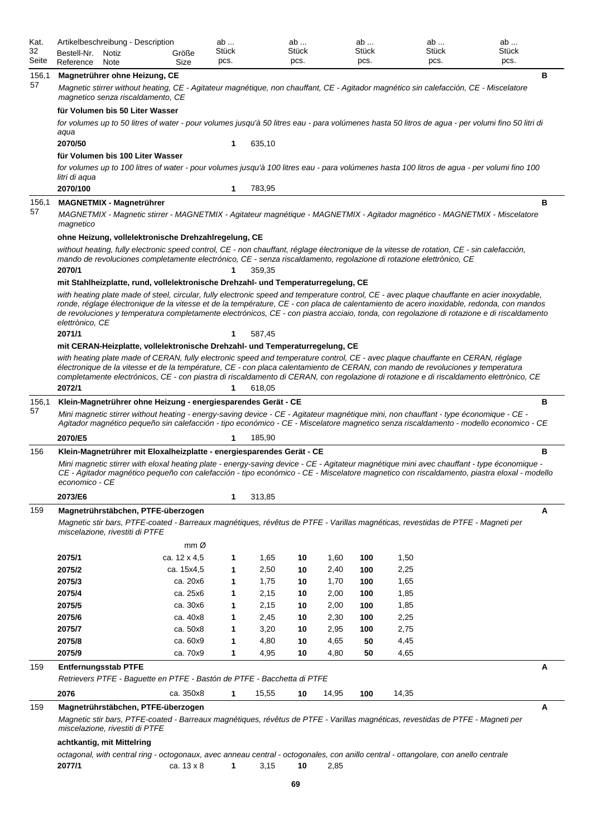| Kat.<br>32<br>Seite | Bestell-Nr.<br>Reference  | Artikelbeschreibung - Description<br>Notiz<br>Note                                                                                                                                                                                                                | Größe<br>Size        | ab<br>Stück<br>pcs. |              | ab<br>Stück<br>pcs. |              | $ab \dots$<br>Stück<br>pcs. |              | ab<br>Stück<br>pcs. | ab<br>Stück<br>pcs.                                                                                                                                                                                                                                                                                                                                                                                                                    |
|---------------------|---------------------------|-------------------------------------------------------------------------------------------------------------------------------------------------------------------------------------------------------------------------------------------------------------------|----------------------|---------------------|--------------|---------------------|--------------|-----------------------------|--------------|---------------------|----------------------------------------------------------------------------------------------------------------------------------------------------------------------------------------------------------------------------------------------------------------------------------------------------------------------------------------------------------------------------------------------------------------------------------------|
| 156,1<br>57         |                           | Magnetrührer ohne Heizung, CE<br>Magnetic stirrer without heating, CE - Agitateur magnétique, non chauffant, CE - Agitador magnético sin calefacción, CE - Miscelatore<br>magnetico senza riscaldamento, CE                                                       |                      |                     |              |                     |              |                             |              |                     | в                                                                                                                                                                                                                                                                                                                                                                                                                                      |
|                     |                           | für Volumen bis 50 Liter Wasser                                                                                                                                                                                                                                   |                      |                     |              |                     |              |                             |              |                     | for volumes up to 50 litres of water - pour volumes jusqu'à 50 litres eau - para volúmenes hasta 50 litros de agua - per volumi fino 50 litri di                                                                                                                                                                                                                                                                                       |
|                     | aqua                      |                                                                                                                                                                                                                                                                   |                      |                     |              |                     |              |                             |              |                     |                                                                                                                                                                                                                                                                                                                                                                                                                                        |
|                     | 2070/50                   | für Volumen bis 100 Liter Wasser                                                                                                                                                                                                                                  |                      | 1                   | 635,10       |                     |              |                             |              |                     |                                                                                                                                                                                                                                                                                                                                                                                                                                        |
|                     | litri di aqua<br>2070/100 | for volumes up to 100 litres of water - pour volumes jusqu'à 100 litres eau - para volúmenes hasta 100 litros de agua - per volumi fino 100                                                                                                                       |                      | 1                   | 783,95       |                     |              |                             |              |                     |                                                                                                                                                                                                                                                                                                                                                                                                                                        |
| 156,1               |                           | <b>MAGNETMIX - Magnetrührer</b>                                                                                                                                                                                                                                   |                      |                     |              |                     |              |                             |              |                     | в                                                                                                                                                                                                                                                                                                                                                                                                                                      |
| 57                  | magnetico                 | MAGNETMIX - Magnetic stirrer - MAGNETMIX - Agitateur magnétique - MAGNETMIX - Agitador magnético - MAGNETMIX - Miscelatore                                                                                                                                        |                      |                     |              |                     |              |                             |              |                     |                                                                                                                                                                                                                                                                                                                                                                                                                                        |
|                     |                           | ohne Heizung, vollelektronische Drehzahlregelung, CE                                                                                                                                                                                                              |                      |                     |              |                     |              |                             |              |                     |                                                                                                                                                                                                                                                                                                                                                                                                                                        |
|                     |                           | without heating, fully electronic speed control, CE - non chauffant, réglage électronique de la vitesse de rotation, CE - sin calefacción,<br>mando de revoluciones completamente electrónico, CE - senza riscaldamento, regolazione di rotazione elettrònico, CE |                      |                     |              |                     |              |                             |              |                     |                                                                                                                                                                                                                                                                                                                                                                                                                                        |
|                     | 2070/1                    |                                                                                                                                                                                                                                                                   |                      | 1                   | 359,35       |                     |              |                             |              |                     |                                                                                                                                                                                                                                                                                                                                                                                                                                        |
|                     |                           | mit Stahlheizplatte, rund, vollelektronische Drehzahl- und Temperaturregelung, CE                                                                                                                                                                                 |                      |                     |              |                     |              |                             |              |                     |                                                                                                                                                                                                                                                                                                                                                                                                                                        |
|                     | elettrònico, CE           |                                                                                                                                                                                                                                                                   |                      |                     |              |                     |              |                             |              |                     | with heating plate made of steel, circular, fully electronic speed and temperature control, CE - avec plaque chauffante en acier inoxydable,<br>ronde, réglage électronique de la vitesse et de la température, CE - con placa de calentamiento de acero inoxidable, redonda, con mandos<br>de revoluciones y temperatura completamente electrónicos, CE - con piastra acciaio, tonda, con regolazione di rotazione e di riscaldamento |
|                     | 2071/1                    |                                                                                                                                                                                                                                                                   |                      | 1                   | 587,45       |                     |              |                             |              |                     |                                                                                                                                                                                                                                                                                                                                                                                                                                        |
|                     |                           | mit CERAN-Heizplatte, vollelektronische Drehzahl- und Temperaturregelung, CE<br>with heating plate made of CERAN, fully electronic speed and temperature control, CE - avec plaque chauffante en CERAN, réglage                                                   |                      |                     |              |                     |              |                             |              |                     |                                                                                                                                                                                                                                                                                                                                                                                                                                        |
|                     | 2072/1                    | électronique de la vitesse et de la température, CE - con placa calentamiento de CERAN, con mando de revoluciones y temperatura                                                                                                                                   |                      | 1                   | 618,05       |                     |              |                             |              |                     | completamente electrónicos, CE - con piastra di riscaldamento di CERAN, con regolazione di rotazione e di riscaldamento elettrònico, CE                                                                                                                                                                                                                                                                                                |
| 156,1               |                           | Klein-Magnetrührer ohne Heizung - energiesparendes Gerät - CE                                                                                                                                                                                                     |                      |                     |              |                     |              |                             |              |                     | в                                                                                                                                                                                                                                                                                                                                                                                                                                      |
| 57                  |                           | Mini magnetic stirrer without heating - energy-saving device - CE - Agitateur magnétique mini, non chauffant - type économique - CE -                                                                                                                             |                      |                     |              |                     |              |                             |              |                     | Agitador magnético pequeño sin calefacción - tipo económico - CE - Miscelatore magnetico senza riscaldamento - modello economico - CE                                                                                                                                                                                                                                                                                                  |
|                     | 2070/E5                   |                                                                                                                                                                                                                                                                   |                      | 1                   | 185,90       |                     |              |                             |              |                     |                                                                                                                                                                                                                                                                                                                                                                                                                                        |
| 156                 |                           | Klein-Magnetrührer mit Eloxalheizplatte - energiesparendes Gerät - CE                                                                                                                                                                                             |                      |                     |              |                     |              |                             |              |                     | в                                                                                                                                                                                                                                                                                                                                                                                                                                      |
|                     | economico - CE            |                                                                                                                                                                                                                                                                   |                      |                     |              |                     |              |                             |              |                     | Mini magnetic stirrer with eloxal heating plate - energy-saving device - CE - Agitateur magnétique mini avec chauffant - type économique -<br>CE - Agitador magnético pequeño con calefacción - tipo económico - CE - Miscelatore magnetico con riscaldamento, piastra eloxal - modello                                                                                                                                                |
|                     | 2073/E6                   |                                                                                                                                                                                                                                                                   |                      | 1                   | 313,85       |                     |              |                             |              |                     |                                                                                                                                                                                                                                                                                                                                                                                                                                        |
| 159                 |                           | Magnetrührstäbchen, PTFE-überzogen<br>Magnetic stir bars, PTFE-coated - Barreaux magnétiques, révêtus de PTFE - Varillas magnéticas, revestidas de PTFE - Magneti per<br>miscelazione, rivestiti di PTFE                                                          | $mm\varnothing$      |                     |              |                     |              |                             |              |                     | Α                                                                                                                                                                                                                                                                                                                                                                                                                                      |
|                     | 2075/1                    |                                                                                                                                                                                                                                                                   | ca. 12 x 4,5         | 1                   | 1,65         | 10                  | 1,60         | 100                         | 1,50         |                     |                                                                                                                                                                                                                                                                                                                                                                                                                                        |
|                     | 2075/2                    |                                                                                                                                                                                                                                                                   | ca. 15x4,5           | 1                   | 2,50         | 10                  | 2,40         | 100                         | 2,25         |                     |                                                                                                                                                                                                                                                                                                                                                                                                                                        |
|                     | 2075/3                    |                                                                                                                                                                                                                                                                   | ca. 20x6             | 1                   | 1,75         | 10                  | 1,70         | 100                         | 1,65         |                     |                                                                                                                                                                                                                                                                                                                                                                                                                                        |
|                     | 2075/4                    |                                                                                                                                                                                                                                                                   | ca. 25x6             | 1                   | 2,15         | 10                  | 2,00         | 100                         | 1,85         |                     |                                                                                                                                                                                                                                                                                                                                                                                                                                        |
|                     | 2075/5                    |                                                                                                                                                                                                                                                                   | ca. 30x6             | 1                   | 2,15         | 10                  | 2,00         | 100                         | 1,85         |                     |                                                                                                                                                                                                                                                                                                                                                                                                                                        |
|                     | 2075/6                    |                                                                                                                                                                                                                                                                   | ca. 40x8             | 1                   | 2,45         | 10                  | 2,30         | 100                         | 2,25         |                     |                                                                                                                                                                                                                                                                                                                                                                                                                                        |
|                     | 2075/7<br>2075/8          |                                                                                                                                                                                                                                                                   | ca. 50x8<br>ca. 60x9 | 1<br>1              | 3,20<br>4,80 | 10<br>10            | 2,95<br>4,65 | 100<br>50                   | 2,75<br>4,45 |                     |                                                                                                                                                                                                                                                                                                                                                                                                                                        |
|                     | 2075/9                    |                                                                                                                                                                                                                                                                   | ca. 70x9             | 1                   | 4,95         | 10                  | 4,80         | 50                          | 4,65         |                     |                                                                                                                                                                                                                                                                                                                                                                                                                                        |
| 159                 |                           | <b>Entfernungsstab PTFE</b>                                                                                                                                                                                                                                       |                      |                     |              |                     |              |                             |              |                     | А                                                                                                                                                                                                                                                                                                                                                                                                                                      |
|                     |                           | Retrievers PTFE - Baguette en PTFE - Bastón de PTFE - Bacchetta di PTFE                                                                                                                                                                                           |                      |                     |              |                     |              |                             |              |                     |                                                                                                                                                                                                                                                                                                                                                                                                                                        |
|                     | 2076                      |                                                                                                                                                                                                                                                                   | ca. 350x8            | 1                   | 15,55        | 10                  | 14,95        | 100                         | 14,35        |                     |                                                                                                                                                                                                                                                                                                                                                                                                                                        |
| 159                 |                           | Magnetrührstäbchen, PTFE-überzogen                                                                                                                                                                                                                                |                      |                     |              |                     |              |                             |              |                     | Α                                                                                                                                                                                                                                                                                                                                                                                                                                      |
|                     |                           | Magnetic stir bars, PTFE-coated - Barreaux magnétiques, révêtus de PTFE - Varillas magnéticas, revestidas de PTFE - Magneti per<br>miscelazione, rivestiti di PTFE                                                                                                |                      |                     |              |                     |              |                             |              |                     |                                                                                                                                                                                                                                                                                                                                                                                                                                        |
|                     |                           | achtkantig, mit Mittelring<br>octagonal, with central ring - octogonaux, avec anneau central - octogonales, con anillo central - ottangolare, con anello centrale                                                                                                 |                      |                     |              |                     |              |                             |              |                     |                                                                                                                                                                                                                                                                                                                                                                                                                                        |
|                     | 2077/1                    |                                                                                                                                                                                                                                                                   | ca. 13 x 8           | 1                   | 3,15         | 10                  | 2,85         |                             |              |                     |                                                                                                                                                                                                                                                                                                                                                                                                                                        |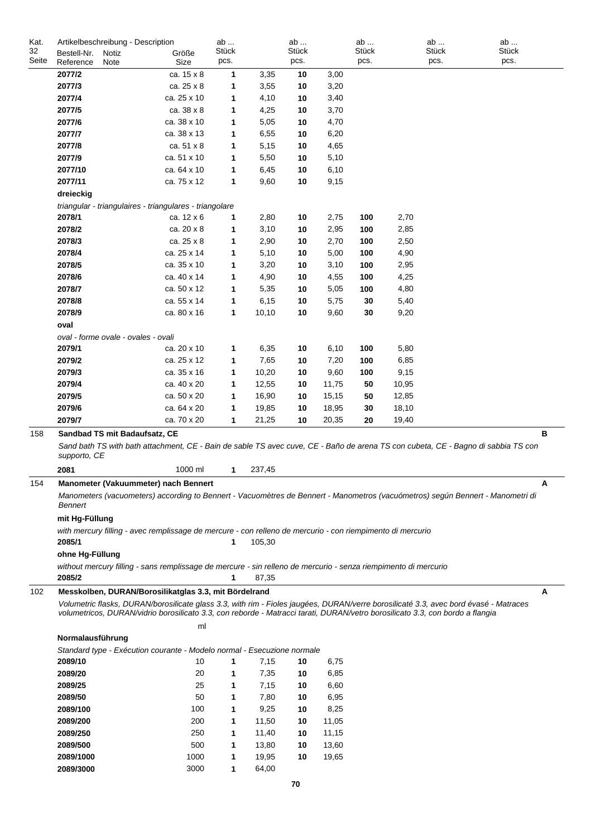| Kat.  | Artikelbeschreibung - Description                                                                                             |             | ab    |        | ab    |       | ab    | ab    | ab                                                                                                                                   |   |
|-------|-------------------------------------------------------------------------------------------------------------------------------|-------------|-------|--------|-------|-------|-------|-------|--------------------------------------------------------------------------------------------------------------------------------------|---|
| 32    | Bestell-Nr.<br>Notiz                                                                                                          | Größe       | Stück |        | Stück |       | Stück | Stück | Stück                                                                                                                                |   |
| Seite | Reference<br><b>Note</b>                                                                                                      | Size        | pcs.  |        | pcs.  |       | pcs.  | pcs.  | pcs.                                                                                                                                 |   |
|       | 2077/2                                                                                                                        | ca. 15 x 8  | 1     | 3,35   | 10    | 3,00  |       |       |                                                                                                                                      |   |
|       | 2077/3                                                                                                                        | ca. 25 x 8  | 1     | 3,55   | 10    | 3,20  |       |       |                                                                                                                                      |   |
|       | 2077/4                                                                                                                        | ca. 25 x 10 | 1     | 4,10   | 10    | 3,40  |       |       |                                                                                                                                      |   |
|       | 2077/5                                                                                                                        | ca. 38 x 8  | 1     | 4,25   | 10    | 3,70  |       |       |                                                                                                                                      |   |
|       | 2077/6                                                                                                                        | ca. 38 x 10 | 1     | 5,05   | 10    | 4,70  |       |       |                                                                                                                                      |   |
|       | 2077/7                                                                                                                        | ca. 38 x 13 | 1     | 6,55   | 10    | 6,20  |       |       |                                                                                                                                      |   |
|       | 2077/8                                                                                                                        | ca. 51 x 8  | 1     | 5,15   | 10    | 4,65  |       |       |                                                                                                                                      |   |
|       | 2077/9                                                                                                                        | ca. 51 x 10 | 1     | 5,50   | 10    | 5,10  |       |       |                                                                                                                                      |   |
|       | 2077/10                                                                                                                       | ca. 64 x 10 | 1     | 6,45   | 10    | 6,10  |       |       |                                                                                                                                      |   |
|       | 2077/11                                                                                                                       | ca. 75 x 12 | 1     | 9,60   | 10    | 9,15  |       |       |                                                                                                                                      |   |
|       | dreieckig                                                                                                                     |             |       |        |       |       |       |       |                                                                                                                                      |   |
|       | triangular - triangulaires - triangulares - triangolare                                                                       |             |       |        |       |       |       |       |                                                                                                                                      |   |
|       | 2078/1                                                                                                                        | ca. 12 x 6  | 1     | 2,80   | 10    | 2,75  | 100   | 2,70  |                                                                                                                                      |   |
|       | 2078/2                                                                                                                        | ca. 20 x 8  | 1     | 3,10   | 10    | 2,95  | 100   | 2,85  |                                                                                                                                      |   |
|       | 2078/3                                                                                                                        | ca. 25 x 8  | 1     | 2,90   | 10    | 2,70  | 100   | 2,50  |                                                                                                                                      |   |
|       | 2078/4                                                                                                                        | ca. 25 x 14 | 1     | 5,10   | 10    | 5,00  | 100   | 4,90  |                                                                                                                                      |   |
|       | 2078/5                                                                                                                        | ca. 35 x 10 | 1     | 3,20   | 10    | 3,10  | 100   | 2,95  |                                                                                                                                      |   |
|       | 2078/6                                                                                                                        | ca. 40 x 14 | 1     | 4,90   | 10    | 4,55  | 100   | 4,25  |                                                                                                                                      |   |
|       | 2078/7                                                                                                                        | ca. 50 x 12 | 1     | 5,35   | 10    | 5,05  | 100   | 4,80  |                                                                                                                                      |   |
|       | 2078/8                                                                                                                        | ca. 55 x 14 | 1     | 6,15   | 10    | 5,75  | 30    | 5,40  |                                                                                                                                      |   |
|       | 2078/9                                                                                                                        | ca. 80 x 16 | 1     | 10,10  | 10    | 9,60  | 30    | 9,20  |                                                                                                                                      |   |
|       | oval                                                                                                                          |             |       |        |       |       |       |       |                                                                                                                                      |   |
|       |                                                                                                                               |             |       |        |       |       |       |       |                                                                                                                                      |   |
|       | oval - forme ovale - ovales - ovali                                                                                           |             |       |        |       |       |       |       |                                                                                                                                      |   |
|       | 2079/1                                                                                                                        | ca. 20 x 10 | 1     | 6,35   | 10    | 6,10  | 100   | 5,80  |                                                                                                                                      |   |
|       | 2079/2                                                                                                                        | ca. 25 x 12 | 1     | 7,65   | 10    | 7,20  | 100   | 6,85  |                                                                                                                                      |   |
|       | 2079/3                                                                                                                        | ca. 35 x 16 | 1     | 10,20  | 10    | 9,60  | 100   | 9,15  |                                                                                                                                      |   |
|       | 2079/4                                                                                                                        | ca. 40 x 20 | 1     | 12,55  | 10    | 11,75 | 50    | 10,95 |                                                                                                                                      |   |
|       | 2079/5                                                                                                                        | ca. 50 x 20 | 1     | 16,90  | 10    | 15,15 | 50    | 12,85 |                                                                                                                                      |   |
|       | 2079/6                                                                                                                        | ca. 64 x 20 | 1     | 19,85  | 10    | 18,95 | 30    | 18,10 |                                                                                                                                      |   |
|       | 2079/7                                                                                                                        | ca. 70 x 20 | 1     | 21,25  | 10    | 20,35 | 20    | 19,40 |                                                                                                                                      |   |
| 158   | Sandbad TS mit Badaufsatz, CE                                                                                                 |             |       |        |       |       |       |       |                                                                                                                                      | в |
|       |                                                                                                                               |             |       |        |       |       |       |       | Sand bath TS with bath attachment, CE - Bain de sable TS avec cuve, CE - Baño de arena TS con cubeta, CE - Bagno di sabbia TS con    |   |
|       | supporto, CE                                                                                                                  |             |       |        |       |       |       |       |                                                                                                                                      |   |
|       | 2081                                                                                                                          | 1000 ml     | 1     | 237,45 |       |       |       |       |                                                                                                                                      |   |
| 154   | Manometer (Vakuummeter) nach Bennert                                                                                          |             |       |        |       |       |       |       |                                                                                                                                      |   |
|       | Bennert                                                                                                                       |             |       |        |       |       |       |       | Manometers (vacuometers) according to Bennert - Vacuomètres de Bennert - Manometros (vacuómetros) según Bennert - Manometri di       |   |
|       | mit Hg-Füllung                                                                                                                |             |       |        |       |       |       |       |                                                                                                                                      |   |
|       | with mercury filling - avec remplissage de mercure - con relleno de mercurio - con riempimento di mercurio                    |             |       |        |       |       |       |       |                                                                                                                                      |   |
|       | 2085/1                                                                                                                        |             | 1     | 105,30 |       |       |       |       |                                                                                                                                      |   |
|       | ohne Hg-Füllung                                                                                                               |             |       |        |       |       |       |       |                                                                                                                                      |   |
|       | without mercury filling - sans remplissage de mercure - sin relleno de mercurio - senza riempimento di mercurio               |             |       |        |       |       |       |       |                                                                                                                                      |   |
|       | 2085/2                                                                                                                        |             | 1     | 87,35  |       |       |       |       |                                                                                                                                      |   |
| 102   | Messkolben, DURAN/Borosilikatglas 3.3, mit Bördelrand                                                                         |             |       |        |       |       |       |       |                                                                                                                                      | A |
|       |                                                                                                                               |             |       |        |       |       |       |       | Volumetric flasks, DURAN/borosilicate glass 3.3, with rim - Fioles jaugées, DURAN/verre borosilicaté 3.3, avec bord évasé - Matraces |   |
|       | volumetricos, DURAN/vidrio borosilicato 3.3, con reborde - Matracci tarati, DURAN/vetro borosilicato 3.3, con bordo a flangia |             |       |        |       |       |       |       |                                                                                                                                      |   |
|       |                                                                                                                               | ml          |       |        |       |       |       |       |                                                                                                                                      |   |
|       | Normalausführung                                                                                                              |             |       |        |       |       |       |       |                                                                                                                                      |   |
|       | Standard type - Exécution courante - Modelo normal - Esecuzione normale                                                       |             |       |        |       |       |       |       |                                                                                                                                      |   |
|       | 2089/10                                                                                                                       | 10          | 1     | 7,15   | 10    | 6,75  |       |       |                                                                                                                                      |   |
|       | 2089/20                                                                                                                       | 20          | 1     | 7,35   | 10    | 6,85  |       |       |                                                                                                                                      |   |
|       | 2089/25                                                                                                                       | 25          | 1     | 7,15   | 10    | 6,60  |       |       |                                                                                                                                      |   |
|       | 2089/50                                                                                                                       | 50          | 1     | 7,80   | 10    | 6,95  |       |       |                                                                                                                                      |   |
|       | 2089/100                                                                                                                      | 100         | 1     | 9,25   | 10    | 8,25  |       |       |                                                                                                                                      |   |
|       | 2089/200                                                                                                                      | 200         | 1     | 11,50  | 10    | 11,05 |       |       |                                                                                                                                      |   |
|       | 2089/250                                                                                                                      | 250         | 1     | 11,40  | 10    | 11,15 |       |       |                                                                                                                                      |   |
|       | 2089/500                                                                                                                      | 500         | 1     | 13,80  | 10    | 13,60 |       |       |                                                                                                                                      |   |
|       | 2089/1000                                                                                                                     | 1000        | 1     | 19,95  | 10    | 19,65 |       |       |                                                                                                                                      |   |
|       | 2089/3000                                                                                                                     | 3000        | 1     | 64,00  |       |       |       |       |                                                                                                                                      |   |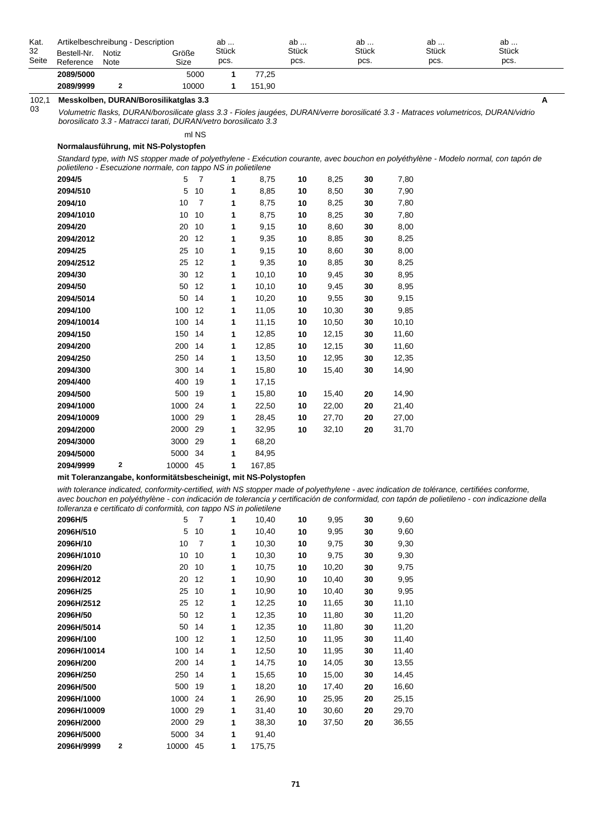| Kat.  |                                                                                                                                                                                                       | Artikelbeschreibung - Description |                                                                  | ab    |        | ab    |      | ab    | ab                                                                                                                                   | ab    |  |  |
|-------|-------------------------------------------------------------------------------------------------------------------------------------------------------------------------------------------------------|-----------------------------------|------------------------------------------------------------------|-------|--------|-------|------|-------|--------------------------------------------------------------------------------------------------------------------------------------|-------|--|--|
| 32    | Bestell-Nr.                                                                                                                                                                                           | Notiz                             | Größe                                                            | Stück |        | Stück |      | Stück | Stück                                                                                                                                | Stück |  |  |
| Seite | Reference                                                                                                                                                                                             | Note                              | Size                                                             | pcs.  |        | pcs.  |      | pcs.  | pcs.                                                                                                                                 | pcs.  |  |  |
|       | 2089/5000                                                                                                                                                                                             |                                   | 5000                                                             | 1.    | 77,25  |       |      |       |                                                                                                                                      |       |  |  |
|       | 2089/9999                                                                                                                                                                                             | $\mathbf{2}$                      | 10000                                                            | 1     | 151,90 |       |      |       |                                                                                                                                      |       |  |  |
| 102,1 |                                                                                                                                                                                                       |                                   | Messkolben, DURAN/Borosilikatglas 3.3                            |       |        |       |      |       |                                                                                                                                      | A     |  |  |
| 03    |                                                                                                                                                                                                       |                                   | borosilicato 3.3 - Matracci tarati, DURAN/vetro borosilicato 3.3 |       |        |       |      |       | Volumetric flasks, DURAN/borosilicate glass 3.3 - Fioles jaugées, DURAN/verre borosilicaté 3.3 - Matraces volumetricos, DURAN/vidrio |       |  |  |
|       |                                                                                                                                                                                                       |                                   | ml NS                                                            |       |        |       |      |       |                                                                                                                                      |       |  |  |
|       | Normalausführung, mit NS-Polystopfen                                                                                                                                                                  |                                   |                                                                  |       |        |       |      |       |                                                                                                                                      |       |  |  |
|       | Standard type, with NS stopper made of polyethylene - Exécution courante, avec bouchon en polyéthylène - Modelo normal, con tapón de<br>polietileno - Esecuzione normale, con tappo NS in polietilene |                                   |                                                                  |       |        |       |      |       |                                                                                                                                      |       |  |  |
|       | 2094/5                                                                                                                                                                                                |                                   | 5                                                                |       | 8,75   | 10    | 8,25 | 30    | 7,80                                                                                                                                 |       |  |  |
|       | 2094/510                                                                                                                                                                                              |                                   | 5<br>10                                                          | 1.    | 8,85   | 10    | 8,50 | 30    | 7,90                                                                                                                                 |       |  |  |
|       | 2094/10                                                                                                                                                                                               |                                   | 10<br>$\overline{7}$                                             | 1     | 8,75   | 10    | 8,25 | 30    | 7,80                                                                                                                                 |       |  |  |
|       | 2094/1010                                                                                                                                                                                             |                                   | 10<br>10                                                         | 1     | 8,75   | 10    | 8,25 | 30    | 7,80                                                                                                                                 |       |  |  |
|       | 2094/20                                                                                                                                                                                               |                                   | 10<br>20                                                         | 1     | 9,15   | 10    | 8,60 | 30    | 8,00                                                                                                                                 |       |  |  |
|       | 2094/2012                                                                                                                                                                                             |                                   | 12<br>20                                                         |       | 9,35   | 10    | 8,85 | 30    | 8,25                                                                                                                                 |       |  |  |

| $m$ , coording indicated, comoning cordinat, married depper made or polyomylone avec indication<br>avec bouchon en polyéthylène - con indicación de tolerancia y certificación de conformidad, con tapó |      |    |   |       |    |       |    |       |
|---------------------------------------------------------------------------------------------------------------------------------------------------------------------------------------------------------|------|----|---|-------|----|-------|----|-------|
| tolleranza e certificato di conformità, con tappo NS in polietilene                                                                                                                                     |      |    |   |       |    |       |    |       |
| 2096H/5                                                                                                                                                                                                 | 5    | 7  | 1 | 10,40 | 10 | 9,95  | 30 | 9,60  |
| 2096H/510                                                                                                                                                                                               | 5    | 10 | 1 | 10,40 | 10 | 9,95  | 30 | 9,60  |
| 2096H/10                                                                                                                                                                                                | 10   | 7  | 1 | 10,30 | 10 | 9,75  | 30 | 9,30  |
| 2096H/1010                                                                                                                                                                                              | 10   | 10 | 1 | 10,30 | 10 | 9,75  | 30 | 9,30  |
| 2096H/20                                                                                                                                                                                                | 20   | 10 | 1 | 10,75 | 10 | 10,20 | 30 | 9,75  |
| 2096H/2012                                                                                                                                                                                              | 20   | 12 | 1 | 10,90 | 10 | 10,40 | 30 | 9,95  |
| 2096H/25                                                                                                                                                                                                | 25   | 10 | 1 | 10,90 | 10 | 10,40 | 30 | 9,95  |
| 2096H/2512                                                                                                                                                                                              | 25   | 12 | 1 | 12,25 | 10 | 11,65 | 30 | 11,10 |
| 2096H/50                                                                                                                                                                                                | 50   | 12 | 1 | 12,35 | 10 | 11,80 | 30 | 11,20 |
| 2096H/5014                                                                                                                                                                                              | 50   | 14 | 1 | 12,35 | 10 | 11,80 | 30 | 11,20 |
| 2096H/100                                                                                                                                                                                               | 100  | 12 | 1 | 12,50 | 10 | 11,95 | 30 | 11,40 |
| 2096H/10014                                                                                                                                                                                             | 100  | 14 | 1 | 12,50 | 10 | 11,95 | 30 | 11,40 |
| 2096H/200                                                                                                                                                                                               | 200  | 14 | 1 | 14,75 | 10 | 14,05 | 30 | 13,55 |
| 2096H/250                                                                                                                                                                                               | 250  | 14 | 1 | 15,65 | 10 | 15,00 | 30 | 14,45 |
| 2096H/500                                                                                                                                                                                               | 500  | 19 | 1 | 18,20 | 10 | 17,40 | 20 | 16,60 |
| 2096H/1000                                                                                                                                                                                              | 1000 | 24 | 1 | 26,90 | 10 | 25,95 | 20 | 25,15 |
| 2096H/10009                                                                                                                                                                                             | 1000 | 29 | 1 | 31,40 | 10 | 30,60 | 20 | 29,70 |
| 2096H/2000                                                                                                                                                                                              | 2000 | 29 | 1 | 38,30 | 10 | 37,50 | 20 | 36,55 |
| 2096H/5000                                                                                                                                                                                              | 5000 | 34 | 1 | 91,40 |    |       |    |       |

**2094/25** 25 10 **1 10** 9,15 8,60 8,00 **30 2094/2512** 25 12 **1 10** 9,35 8,85 8,25 **30 2094/30** 30 12 **1 10** 10,10 9,45 8,95 **30 2094/50** 50 12 **1 10** 10,10 9,45 8,95 **30 2094/5014** 50 14 **1 10** 10,20 9,55 9,15 **30 2094/100** 100 12 **1 10** 11,05 10,30 9,85 **30 2094/10014** 100 14 **1 10** 11,15 10,50 10,10 **30 2094/150** 150 14 **1** 12,85 **10** 12,15 **30** 11,60 **2094/200** 200 14 **1** 12,85 **10** 12,15 **30** 11,60 **2094/250** 250 14 **1 10** 13,50 12,95 12,35 **30 2094/300** 300 14 **1** 15,80 **10** 15,40 **30** 14,90

**2094/500** 500 19 **1 10** 15,80 15,40 14,90 **20 2094/1000** 1000 24 **1 10** 22,50 22,00 21,40 **20 2094/10009** 1000 29 **1 10** 28,45 27,70 27,00 **20 2094/2000** 2000 29 **1 10** 32,95 32,10 31,70 **20**

**2094/400** 400 19 **1** 17,15

**2094/3000** 3000 29 **1** 68,20 **2094/5000** 5000 34 **1** 84,95 **2094/9999 2** 10000 45 **1** 167,85

**2096H/9999 2** 10000 45 **1** 175,75

**mit Toleranzangabe, konformitätsbescheinigt, mit NS-Polystopfen**

*with tolerance indicated, conformity-certified, with NS stopper made of polyethylene - avec indication de tolérance, certifiées conforme, avec bouchon en polyéthylène - con indicación de tolerancia y certificación de conformidad, con tapón de polietileno - con indicazione della*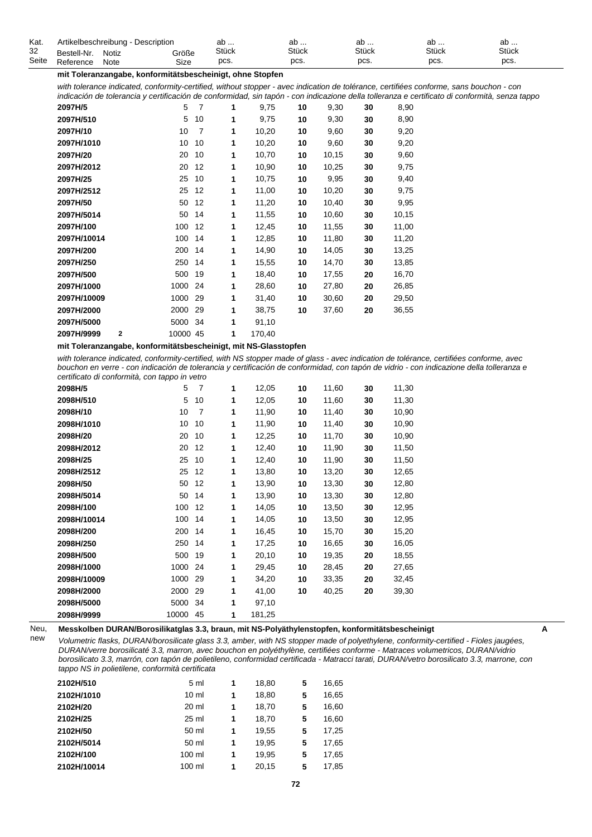| Kat.  |             | Artikelbeschreibung - Description |       | or<br>av     | av           | ab           | ab           | ab           |  |
|-------|-------------|-----------------------------------|-------|--------------|--------------|--------------|--------------|--------------|--|
| 32    | Bestell-Nr. | Notiz                             | Größe | <b>Stück</b> | <b>Stück</b> | <b>Stück</b> | <b>Stück</b> | <b>Stück</b> |  |
| Seite | Reference   | Note                              | Size  | pcs.         | pcs.         | pcs.         | pcs.         | pcs.         |  |

#### **mit Toleranzangabe, konformitätsbescheinigt, ohne Stopfen**

*with tolerance indicated, conformity-certified, without stopper - avec indication de tolérance, certifiées conforme, sans bouchon - con indicación de tolerancia y certificación de conformidad, sin tapón - con indicazione della tolleranza e certificato di conformità, senza tappo*

| 2097H/5     | 5                       | 7  | 1 | 9,75   | 10 | 9,30  | 30 | 8,90  |
|-------------|-------------------------|----|---|--------|----|-------|----|-------|
| 2097H/510   | 5                       | 10 | 1 | 9,75   | 10 | 9,30  | 30 | 8,90  |
| 2097H/10    | 10                      | 7  | 1 | 10,20  | 10 | 9,60  | 30 | 9,20  |
| 2097H/1010  | 10                      | 10 | 1 | 10,20  | 10 | 9,60  | 30 | 9,20  |
| 2097H/20    | 20                      | 10 | 1 | 10,70  | 10 | 10,15 | 30 | 9,60  |
| 2097H/2012  | 20                      | 12 | 1 | 10,90  | 10 | 10,25 | 30 | 9,75  |
| 2097H/25    | 25                      | 10 | 1 | 10,75  | 10 | 9,95  | 30 | 9,40  |
| 2097H/2512  | 25                      | 12 | 1 | 11,00  | 10 | 10,20 | 30 | 9,75  |
| 2097H/50    | 50                      | 12 | 1 | 11,20  | 10 | 10,40 | 30 | 9,95  |
| 2097H/5014  | 50                      | 14 | 1 | 11,55  | 10 | 10,60 | 30 | 10,15 |
| 2097H/100   | 100                     | 12 | 1 | 12,45  | 10 | 11,55 | 30 | 11,00 |
| 2097H/10014 | 100                     | 14 | 1 | 12,85  | 10 | 11,80 | 30 | 11,20 |
| 2097H/200   | 200                     | 14 | 1 | 14,90  | 10 | 14,05 | 30 | 13,25 |
| 2097H/250   | 250                     | 14 | 1 | 15,55  | 10 | 14,70 | 30 | 13,85 |
| 2097H/500   | 500                     | 19 | 1 | 18,40  | 10 | 17,55 | 20 | 16,70 |
| 2097H/1000  | 1000                    | 24 | 1 | 28,60  | 10 | 27,80 | 20 | 26,85 |
| 2097H/10009 | 1000                    | 29 | 1 | 31,40  | 10 | 30,60 | 20 | 29,50 |
| 2097H/2000  | 2000                    | 29 | 1 | 38,75  | 10 | 37,60 | 20 | 36,55 |
| 2097H/5000  | 5000                    | 34 | 1 | 91,10  |    |       |    |       |
| 2097H/9999  | $\mathbf 2$<br>10000 45 |    | 1 | 170,40 |    |       |    |       |

**mit Toleranzangabe, konformitätsbescheinigt, mit NS-Glasstopfen**

*with tolerance indicated, conformity-certified, with NS stopper made of glass - avec indication de tolérance, certifiées conforme, avec bouchon en verre - con indicación de tolerancia y certificación de conformidad, con tapón de vidrio - con indicazione della tolleranza e certificato di conformità, con tappo in vetro*

| 2098H/5     | 5     | 7  | 1 | 12,05  | 10 | 11,60 | 30 | 11,30 |
|-------------|-------|----|---|--------|----|-------|----|-------|
| 2098H/510   | 5     | 10 | 1 | 12,05  | 10 | 11,60 | 30 | 11,30 |
| 2098H/10    | 10    | 7  | 1 | 11,90  | 10 | 11,40 | 30 | 10,90 |
| 2098H/1010  | 10    | 10 | 1 | 11,90  | 10 | 11,40 | 30 | 10,90 |
| 2098H/20    | 20    | 10 | 1 | 12,25  | 10 | 11,70 | 30 | 10,90 |
| 2098H/2012  | 20    | 12 | 1 | 12,40  | 10 | 11,90 | 30 | 11,50 |
| 2098H/25    | 25    | 10 | 1 | 12,40  | 10 | 11,90 | 30 | 11,50 |
| 2098H/2512  | 25    | 12 | 1 | 13,80  | 10 | 13,20 | 30 | 12,65 |
| 2098H/50    | 50    | 12 | 1 | 13,90  | 10 | 13,30 | 30 | 12,80 |
| 2098H/5014  | 50    | 14 | 1 | 13,90  | 10 | 13,30 | 30 | 12,80 |
| 2098H/100   | 100   | 12 | 1 | 14,05  | 10 | 13,50 | 30 | 12,95 |
| 2098H/10014 | 100   | 14 | 1 | 14,05  | 10 | 13,50 | 30 | 12,95 |
| 2098H/200   | 200   | 14 | 1 | 16,45  | 10 | 15,70 | 30 | 15,20 |
| 2098H/250   | 250   | 14 | 1 | 17,25  | 10 | 16,65 | 30 | 16,05 |
| 2098H/500   | 500   | 19 | 1 | 20,10  | 10 | 19,35 | 20 | 18,55 |
| 2098H/1000  | 1000  | 24 | 1 | 29,45  | 10 | 28,45 | 20 | 27,65 |
| 2098H/10009 | 1000  | 29 | 1 | 34,20  | 10 | 33,35 | 20 | 32,45 |
| 2098H/2000  | 2000  | 29 | 1 | 41,00  | 10 | 40,25 | 20 | 39,30 |
| 2098H/5000  | 5000  | 34 | 1 | 97,10  |    |       |    |       |
| 2098H/9999  | 10000 | 45 | 1 | 181,25 |    |       |    |       |

Neu, new **Messkolben DURAN/Borosilikatglas 3.3, braun, mit NS-Polyäthylenstopfen, konformitätsbescheinigt A**

*Volumetric flasks, DURAN/borosilicate glass 3.3, amber, with NS stopper made of polyethylene, conformity-certified - Fioles jaugées, DURAN/verre borosilicaté 3.3, marron, avec bouchon en polyéthylène, certifiées conforme - Matraces volumetricos, DURAN/vidrio borosilicato 3.3, marrón, con tapón de polietileno, conformidad certificada - Matracci tarati, DURAN/vetro borosilicato 3.3, marrone, con tappo NS in polietilene, conformità certificata*

| 2102H/510   | 5 ml            | 1 | 18,80 | 5 | 16,65 |
|-------------|-----------------|---|-------|---|-------|
| 2102H/1010  | $10 \mathrm{m}$ | 1 | 18,80 | 5 | 16,65 |
| 2102H/20    | 20 ml           | 1 | 18,70 | 5 | 16,60 |
| 2102H/25    | 25 ml           | 1 | 18,70 | 5 | 16,60 |
| 2102H/50    | 50 ml           | 1 | 19,55 | 5 | 17,25 |
| 2102H/5014  | 50 ml           | 1 | 19.95 | 5 | 17,65 |
| 2102H/100   | 100 ml          | 1 | 19,95 | 5 | 17,65 |
| 2102H/10014 | 100 ml          | 1 | 20,15 | 5 | 17,85 |
|             |                 |   |       |   |       |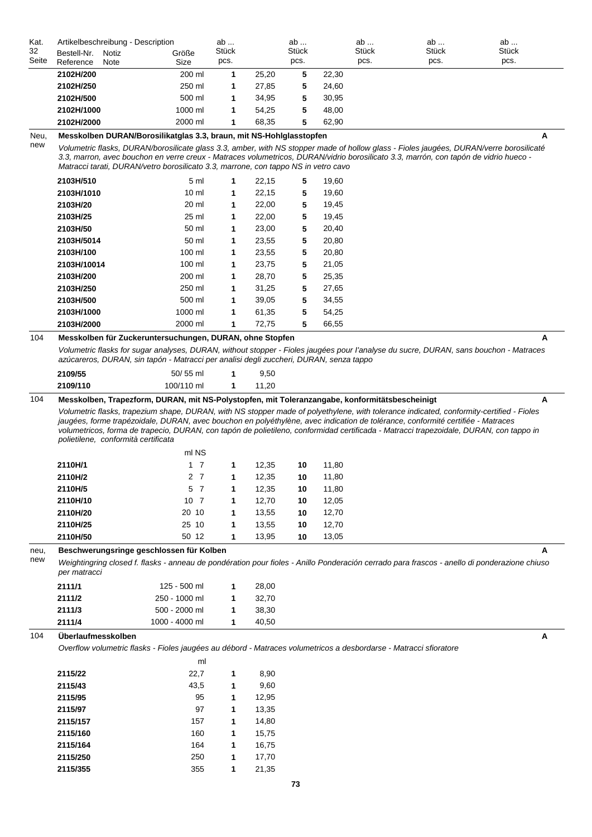| Kat.  | Artikelbeschreibung - Description                                                                                                                                                                                                                                                                                                                                                                                                                            |                 | ab    |       | ab           |       | ab    | ab           | ab                                                                                                                                           |
|-------|--------------------------------------------------------------------------------------------------------------------------------------------------------------------------------------------------------------------------------------------------------------------------------------------------------------------------------------------------------------------------------------------------------------------------------------------------------------|-----------------|-------|-------|--------------|-------|-------|--------------|----------------------------------------------------------------------------------------------------------------------------------------------|
| 32    | Bestell-Nr.<br>Notiz                                                                                                                                                                                                                                                                                                                                                                                                                                         | Größe           | Stück |       | <b>Stück</b> |       | Stück | <b>Stück</b> | Stück                                                                                                                                        |
| Seite | Reference<br>Note                                                                                                                                                                                                                                                                                                                                                                                                                                            | Size            | pcs.  |       | pcs.         |       | pcs.  | pcs.         | pcs.                                                                                                                                         |
|       | 2102H/200                                                                                                                                                                                                                                                                                                                                                                                                                                                    | 200 ml          | 1     | 25,20 | 5            | 22,30 |       |              |                                                                                                                                              |
|       | 2102H/250                                                                                                                                                                                                                                                                                                                                                                                                                                                    | 250 ml          | 1     | 27,85 | 5            | 24,60 |       |              |                                                                                                                                              |
|       | 2102H/500                                                                                                                                                                                                                                                                                                                                                                                                                                                    | 500 ml          | 1     | 34,95 | 5            | 30,95 |       |              |                                                                                                                                              |
|       | 2102H/1000                                                                                                                                                                                                                                                                                                                                                                                                                                                   | 1000 ml         | 1     | 54,25 | 5            | 48,00 |       |              |                                                                                                                                              |
|       | 2102H/2000                                                                                                                                                                                                                                                                                                                                                                                                                                                   | 2000 ml         | 1     | 68,35 | 5            | 62,90 |       |              |                                                                                                                                              |
| Neu,  | Messkolben DURAN/Borosilikatglas 3.3, braun, mit NS-Hohlglasstopfen                                                                                                                                                                                                                                                                                                                                                                                          |                 |       |       |              |       |       |              | A                                                                                                                                            |
| new   | Volumetric flasks, DURAN/borosilicate glass 3.3, amber, with NS stopper made of hollow glass - Fioles jaugées, DURAN/verre borosilicaté<br>3.3, marron, avec bouchon en verre creux - Matraces volumetricos, DURAN/vidrio borosilicato 3.3, marrón, con tapón de vidrio hueco -<br>Matracci tarati, DURAN/vetro borosilicato 3.3, marrone, con tappo NS in vetro cavo                                                                                        |                 |       |       |              |       |       |              |                                                                                                                                              |
|       | 2103H/510                                                                                                                                                                                                                                                                                                                                                                                                                                                    | 5 ml            | 1     | 22,15 | 5            | 19,60 |       |              |                                                                                                                                              |
|       | 2103H/1010                                                                                                                                                                                                                                                                                                                                                                                                                                                   | 10 <sub>m</sub> | 1     | 22,15 | 5            | 19,60 |       |              |                                                                                                                                              |
|       | 2103H/20                                                                                                                                                                                                                                                                                                                                                                                                                                                     | 20 ml           | 1     | 22,00 | 5            | 19,45 |       |              |                                                                                                                                              |
|       | 2103H/25                                                                                                                                                                                                                                                                                                                                                                                                                                                     | 25 ml           | 1     | 22,00 | 5            | 19,45 |       |              |                                                                                                                                              |
|       | 2103H/50                                                                                                                                                                                                                                                                                                                                                                                                                                                     | 50 ml           | 1     | 23,00 | 5            | 20,40 |       |              |                                                                                                                                              |
|       | 2103H/5014                                                                                                                                                                                                                                                                                                                                                                                                                                                   | 50 ml           | 1     | 23,55 | 5            | 20,80 |       |              |                                                                                                                                              |
|       | 2103H/100                                                                                                                                                                                                                                                                                                                                                                                                                                                    | 100 ml          | 1     | 23,55 | 5            | 20,80 |       |              |                                                                                                                                              |
|       | 2103H/10014                                                                                                                                                                                                                                                                                                                                                                                                                                                  | 100 ml          | 1     | 23,75 | 5            | 21,05 |       |              |                                                                                                                                              |
|       | 2103H/200                                                                                                                                                                                                                                                                                                                                                                                                                                                    | 200 ml          | 1     | 28,70 | 5            | 25,35 |       |              |                                                                                                                                              |
|       | 2103H/250                                                                                                                                                                                                                                                                                                                                                                                                                                                    | 250 ml          | 1     | 31,25 | 5            | 27,65 |       |              |                                                                                                                                              |
|       | 2103H/500                                                                                                                                                                                                                                                                                                                                                                                                                                                    | 500 ml          | 1     | 39,05 | 5            | 34,55 |       |              |                                                                                                                                              |
|       | 2103H/1000                                                                                                                                                                                                                                                                                                                                                                                                                                                   | 1000 ml         | 1     | 61,35 | 5            | 54,25 |       |              |                                                                                                                                              |
|       | 2103H/2000                                                                                                                                                                                                                                                                                                                                                                                                                                                   | 2000 ml         | 1     | 72,75 | 5            | 66,55 |       |              |                                                                                                                                              |
| 104   | Messkolben für Zuckeruntersuchungen, DURAN, ohne Stopfen                                                                                                                                                                                                                                                                                                                                                                                                     |                 |       |       |              |       |       |              | A                                                                                                                                            |
|       | Volumetric flasks for sugar analyses, DURAN, without stopper - Fioles jaugées pour l'analyse du sucre, DURAN, sans bouchon - Matraces<br>azúcareros, DURAN, sin tapón - Matracci per analisi degli zuccheri, DURAN, senza tappo                                                                                                                                                                                                                              |                 |       |       |              |       |       |              |                                                                                                                                              |
|       | 2109/55                                                                                                                                                                                                                                                                                                                                                                                                                                                      | 50/55 ml        | 1     | 9,50  |              |       |       |              |                                                                                                                                              |
|       | 2109/110                                                                                                                                                                                                                                                                                                                                                                                                                                                     | 100/110 ml      | 1     | 11,20 |              |       |       |              |                                                                                                                                              |
| 104   | Messkolben, Trapezform, DURAN, mit NS-Polystopfen, mit Toleranzangabe, konformitätsbescheinigt                                                                                                                                                                                                                                                                                                                                                               |                 |       |       |              |       |       |              | Α                                                                                                                                            |
|       | Volumetric flasks, trapezium shape, DURAN, with NS stopper made of polyethylene, with tolerance indicated, conformity-certified - Fioles<br>jaugées, forme trapézoidale, DURAN, avec bouchon en polyéthylène, avec indication de tolérance, conformité certifiée - Matraces<br>volumetricos, forma de trapecio, DURAN, con tapón de polietileno, conformidad certificada - Matracci trapezoidale, DURAN, con tappo in<br>polietilene, conformità certificata |                 |       |       |              |       |       |              |                                                                                                                                              |
|       |                                                                                                                                                                                                                                                                                                                                                                                                                                                              | ml NS           |       |       |              |       |       |              |                                                                                                                                              |
|       | 2110H/1                                                                                                                                                                                                                                                                                                                                                                                                                                                      | $1\quad7$       | 1     | 12,35 | 10           | 11,80 |       |              |                                                                                                                                              |
|       | 2110H/2                                                                                                                                                                                                                                                                                                                                                                                                                                                      | 2 <sub>7</sub>  | 1     | 12,35 | 10           | 11,80 |       |              |                                                                                                                                              |
|       | 2110H/5                                                                                                                                                                                                                                                                                                                                                                                                                                                      | 5 7             | 1     | 12,35 | 10           | 11,80 |       |              |                                                                                                                                              |
|       | 2110H/10                                                                                                                                                                                                                                                                                                                                                                                                                                                     | 10 7            | 1     | 12,70 | 10           | 12,05 |       |              |                                                                                                                                              |
|       | 2110H/20                                                                                                                                                                                                                                                                                                                                                                                                                                                     | 20 10           | 1     | 13,55 | 10           | 12,70 |       |              |                                                                                                                                              |
|       | 2110H/25                                                                                                                                                                                                                                                                                                                                                                                                                                                     | 25 10           | 1     | 13,55 | 10           | 12,70 |       |              |                                                                                                                                              |
|       | 2110H/50                                                                                                                                                                                                                                                                                                                                                                                                                                                     | 50 12           | 1     | 13,95 | 10           | 13,05 |       |              |                                                                                                                                              |
| neu,  | Beschwerungsringe geschlossen für Kolben                                                                                                                                                                                                                                                                                                                                                                                                                     |                 |       |       |              |       |       |              | А                                                                                                                                            |
| new   | per matracci                                                                                                                                                                                                                                                                                                                                                                                                                                                 |                 |       |       |              |       |       |              | Weightingring closed f. flasks - anneau de pondération pour fioles - Anillo Ponderación cerrado para frascos - anello di ponderazione chiuso |
|       | 2111/1                                                                                                                                                                                                                                                                                                                                                                                                                                                       | 125 - 500 ml    | 1     | 28,00 |              |       |       |              |                                                                                                                                              |
|       | 2111/2                                                                                                                                                                                                                                                                                                                                                                                                                                                       | 250 - 1000 ml   | 1     | 32,70 |              |       |       |              |                                                                                                                                              |
|       | 2111/3                                                                                                                                                                                                                                                                                                                                                                                                                                                       | 500 - 2000 ml   | 1     | 38,30 |              |       |       |              |                                                                                                                                              |
|       | 2111/4                                                                                                                                                                                                                                                                                                                                                                                                                                                       | 1000 - 4000 ml  | 1     | 40,50 |              |       |       |              |                                                                                                                                              |
| 104   | Überlaufmesskolben                                                                                                                                                                                                                                                                                                                                                                                                                                           |                 |       |       |              |       |       |              | Α                                                                                                                                            |
|       | Overflow volumetric flasks - Fioles jaugées au débord - Matraces volumetricos a desbordarse - Matracci sfioratore                                                                                                                                                                                                                                                                                                                                            |                 |       |       |              |       |       |              |                                                                                                                                              |
|       |                                                                                                                                                                                                                                                                                                                                                                                                                                                              | ml              |       |       |              |       |       |              |                                                                                                                                              |
|       | 2115/22                                                                                                                                                                                                                                                                                                                                                                                                                                                      | 22,7            | 1     | 8,90  |              |       |       |              |                                                                                                                                              |
|       | 2115/43                                                                                                                                                                                                                                                                                                                                                                                                                                                      | 43,5            | 1     | 9,60  |              |       |       |              |                                                                                                                                              |
|       | 2115/95                                                                                                                                                                                                                                                                                                                                                                                                                                                      | 95              | 1     | 12,95 |              |       |       |              |                                                                                                                                              |
|       | 2115/97                                                                                                                                                                                                                                                                                                                                                                                                                                                      | 97              | 1     | 13,35 |              |       |       |              |                                                                                                                                              |
|       | 2115/157                                                                                                                                                                                                                                                                                                                                                                                                                                                     | 157             | 1     | 14,80 |              |       |       |              |                                                                                                                                              |
|       | 2115/160                                                                                                                                                                                                                                                                                                                                                                                                                                                     | 160             | 1     | 15,75 |              |       |       |              |                                                                                                                                              |
|       | 2115/164                                                                                                                                                                                                                                                                                                                                                                                                                                                     | 164             | 1     | 16,75 |              |       |       |              |                                                                                                                                              |
|       | 2115/250                                                                                                                                                                                                                                                                                                                                                                                                                                                     | 250             | 1     | 17,70 |              |       |       |              |                                                                                                                                              |
|       | 2115/355                                                                                                                                                                                                                                                                                                                                                                                                                                                     | 355             | 1     | 21,35 |              |       |       |              |                                                                                                                                              |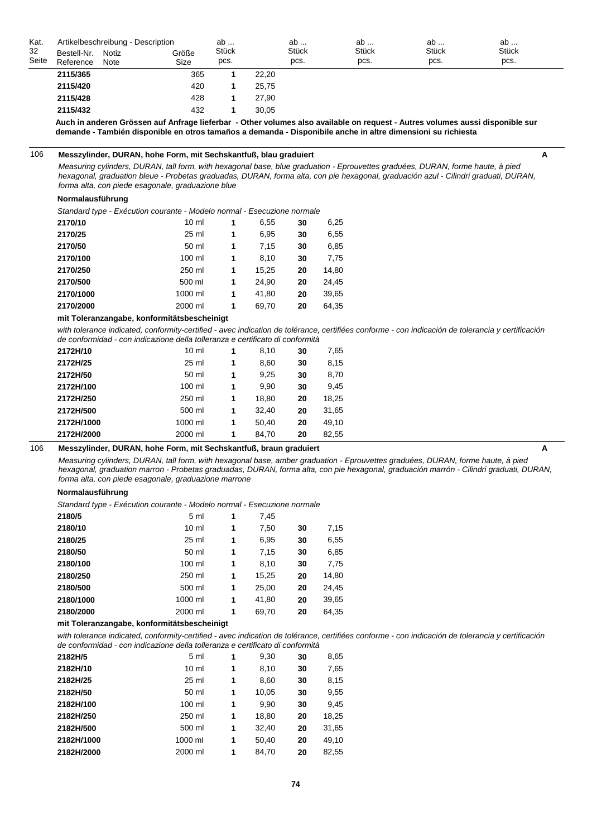| Kat.<br>32<br>Seite | Bestell-Nr. Notiz<br>Reference | Note | Artikelbeschreibung - Description<br>Größe<br>Size | ab<br>Stück<br>pcs. |       | ab<br><b>Stück</b><br>pcs. | ab<br><b>Stück</b><br>pcs. | ab<br>Stück<br>pcs. | ab<br><b>Stück</b><br>pcs. |  |
|---------------------|--------------------------------|------|----------------------------------------------------|---------------------|-------|----------------------------|----------------------------|---------------------|----------------------------|--|
|                     | 2115/365                       |      | 365                                                |                     | 22,20 |                            |                            |                     |                            |  |
|                     | 2115/420                       |      | 420                                                |                     | 25.75 |                            |                            |                     |                            |  |
|                     | 2115/428                       |      | 428                                                |                     | 27.90 |                            |                            |                     |                            |  |
|                     | 2115/432                       |      | 432                                                |                     | 30.05 |                            |                            |                     |                            |  |

**Auch in anderen Grössen auf Anfrage lieferbar - Other volumes also available on request - Autres volumes aussi disponible sur demande - También disponible en otros tamaños a demanda - Disponibile anche in altre dimensioni su richiesta**

#### 106 **Messzylinder, DURAN, hohe Form, mit Sechskantfuß, blau graduiert A**

*Measuring cylinders, DURAN, tall form, with hexagonal base, blue graduation - Eprouvettes graduées, DURAN, forme haute, à pied hexagonal, graduation bleue - Probetas graduadas, DURAN, forma alta, con pie hexagonal, graduación azul - Cilindri graduati, DURAN, forma alta, con piede esagonale, graduazione blue*

#### **Normalausführung**

*Standard type - Exécution courante - Modelo normal - Esecuzione normale*

| 2170/10   | 10 <sub>m</sub> | 1 | 6,55  | 30 | 6,25  |
|-----------|-----------------|---|-------|----|-------|
| 2170/25   | 25 ml           | 1 | 6.95  | 30 | 6,55  |
| 2170/50   | 50 ml           | 1 | 7.15  | 30 | 6,85  |
| 2170/100  | 100 ml          | 1 | 8.10  | 30 | 7,75  |
| 2170/250  | 250 ml          | 1 | 15.25 | 20 | 14,80 |
| 2170/500  | 500 ml          | 1 | 24.90 | 20 | 24,45 |
| 2170/1000 | 1000 ml         | 1 | 41.80 | 20 | 39,65 |
| 2170/2000 | 2000 ml         | 1 | 69.70 | 20 | 64,35 |

#### **mit Toleranzangabe, konformitätsbescheinigt**

*with tolerance indicated, conformity-certified - avec indication de tolérance, certifiées conforme - con indicación de tolerancia y certificación de conformidad - con indicazione della tolleranza e certificato di conformità*

| $10 \mathrm{m}$ | 1 | 8,10  | 30 | 7,65  |
|-----------------|---|-------|----|-------|
| 25 ml           | 1 | 8,60  | 30 | 8,15  |
| 50 ml           | 1 | 9.25  | 30 | 8,70  |
| $100$ ml        | 1 | 9.90  | 30 | 9,45  |
| 250 ml          | 1 | 18.80 | 20 | 18,25 |
| 500 ml          | 1 | 32.40 | 20 | 31,65 |
| 1000 ml         | 1 | 50,40 | 20 | 49,10 |
| 2000 ml         | 1 | 84.70 | 20 | 82,55 |
|                 |   |       |    |       |

## 106 **Messzylinder, DURAN, hohe Form, mit Sechskantfuß, braun graduiert A**

*Measuring cylinders, DURAN, tall form, with hexagonal base, amber graduation - Eprouvettes graduées, DURAN, forme haute, à pied hexagonal, graduation marron - Probetas graduadas, DURAN, forma alta, con pie hexagonal, graduación marrón - Cilindri graduati, DURAN, forma alta, con piede esagonale, graduazione marrone*

#### **Normalausführung**

*Standard type - Exécution courante - Modelo normal - Esecuzione normale*

| 2180/5    | 5 ml            | 1 | 7,45  |    |       |
|-----------|-----------------|---|-------|----|-------|
| 2180/10   | 10 <sub>m</sub> | 1 | 7,50  | 30 | 7,15  |
| 2180/25   | 25 ml           | 1 | 6,95  | 30 | 6,55  |
| 2180/50   | 50 ml           | 1 | 7.15  | 30 | 6,85  |
| 2180/100  | 100 ml          | 1 | 8.10  | 30 | 7,75  |
| 2180/250  | 250 ml          | 1 | 15,25 | 20 | 14,80 |
| 2180/500  | 500 ml          | 1 | 25,00 | 20 | 24,45 |
| 2180/1000 | 1000 ml         | 1 | 41.80 | 20 | 39,65 |
| 2180/2000 | 2000 ml         | 1 | 69,70 | 20 | 64.35 |

#### **mit Toleranzangabe, konformitätsbescheinigt**

with tolerance indicated, conformity-certified - avec indication de tolérance, certifiées conforme - con indicación de tolerancia y certificación *de conformidad - con indicazione della tolleranza e certificato di conformità*

| 2182H/5    | 5 ml            | 1 | 9,30  | 30 | 8,65  |
|------------|-----------------|---|-------|----|-------|
| 2182H/10   | 10 <sub>m</sub> | 1 | 8,10  | 30 | 7,65  |
| 2182H/25   | 25 ml           | 1 | 8,60  | 30 | 8,15  |
| 2182H/50   | 50 ml           | 1 | 10,05 | 30 | 9,55  |
| 2182H/100  | 100 ml          | 1 | 9,90  | 30 | 9,45  |
| 2182H/250  | 250 ml          | 1 | 18,80 | 20 | 18,25 |
| 2182H/500  | 500 ml          | 1 | 32,40 | 20 | 31,65 |
| 2182H/1000 | 1000 ml         | 1 | 50,40 | 20 | 49,10 |
| 2182H/2000 | 2000 ml         | 1 | 84.70 | 20 | 82.55 |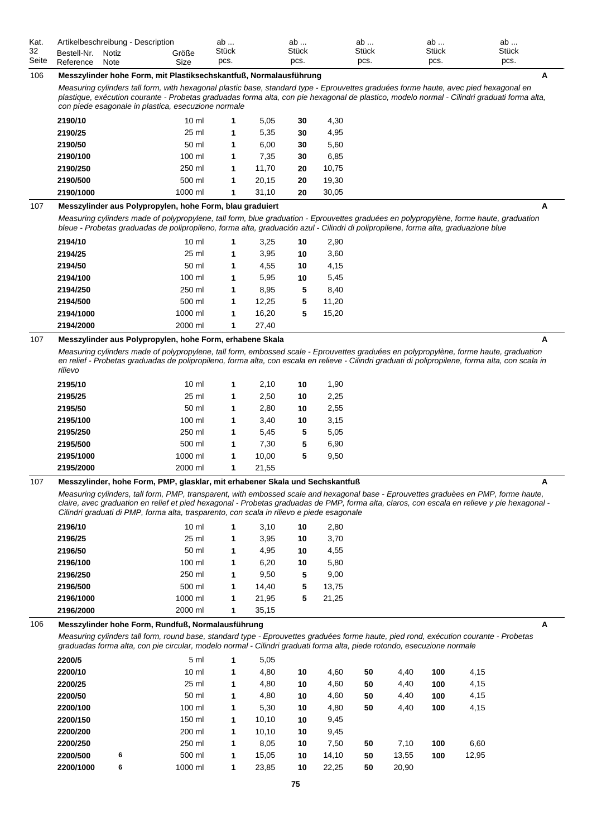| Kat.  | Artikelbeschreibung - Description |       |       | av    | ab           | ab    | av    | ab           |
|-------|-----------------------------------|-------|-------|-------|--------------|-------|-------|--------------|
| 32    | Bestell-Nr.                       | Notiz | Größe | Stück | <b>Stück</b> | Stück | Stück | <b>Stück</b> |
| Seite | Reference                         | Note  | Size  | pcs.  | pcs.         | pcs.  | pcs.  | pcs.         |

# 106 **Messzylinder hohe Form, mit Plastiksechskantfuß, Normalausführung A**

*Measuring cylinders tall form, with hexagonal plastic base, standard type - Eprouvettes graduées forme haute, avec pied hexagonal en plastique, exécution courante - Probetas graduadas forma alta, con pie hexagonal de plastico, modelo normal - Cilindri graduati forma alta, con piede esagonale in plastica, esecuzione normale*

| 2190/10   | $10 \mathrm{m}$ | 1 | 5.05  | 30 | 4,30  |
|-----------|-----------------|---|-------|----|-------|
| 2190/25   | 25 ml           | 1 | 5.35  | 30 | 4,95  |
| 2190/50   | 50 ml           | 1 | 6.00  | 30 | 5,60  |
| 2190/100  | 100 ml          | 1 | 7.35  | 30 | 6,85  |
| 2190/250  | 250 ml          | 1 | 11.70 | 20 | 10,75 |
| 2190/500  | 500 ml          | 1 | 20.15 | 20 | 19.30 |
| 2190/1000 | 1000 ml         | 1 | 31.10 | 20 | 30.05 |

# 107 **Messzylinder aus Polypropylen, hohe Form, blau graduiert A**

*Measuring cylinders made of polypropylene, tall form, blue graduation - Eprouvettes graduées en polypropylène, forme haute, graduation bleue - Probetas graduadas de polipropileno, forma alta, graduación azul - Cilindri di polipropilene, forma alta, graduazione blue*

| 2194/10   | $10 \mathrm{m}$ | 1 | 3,25  | 10 | 2,90  |
|-----------|-----------------|---|-------|----|-------|
| 2194/25   | 25 ml           | 1 | 3,95  | 10 | 3,60  |
| 2194/50   | 50 ml           | 1 | 4,55  | 10 | 4,15  |
| 2194/100  | 100 ml          | 1 | 5.95  | 10 | 5,45  |
| 2194/250  | 250 ml          | 1 | 8.95  | 5  | 8,40  |
| 2194/500  | 500 ml          | 1 | 12.25 | 5  | 11,20 |
| 2194/1000 | 1000 ml         | 1 | 16.20 | 5  | 15,20 |
| 2194/2000 | 2000 ml         | 1 | 27.40 |    |       |
|           |                 |   |       |    |       |

# 107 **Messzylinder aus Polypropylen, hohe Form, erhabene Skala A**

*Measuring cylinders made of polypropylene, tall form, embossed scale - Eprouvettes graduées en polypropylène, forme haute, graduation en relief - Probetas graduadas de polipropileno, forma alta, con escala en relieve - Cilindri graduati di polipropilene, forma alta, con scala in rilievo*

| 2195/10   | $10 \mathrm{m}$ | 1 | 2.10  | 10 | 1,90 |
|-----------|-----------------|---|-------|----|------|
| 2195/25   | 25 ml           | 1 | 2,50  | 10 | 2,25 |
| 2195/50   | 50 ml           | 1 | 2,80  | 10 | 2,55 |
| 2195/100  | 100 ml          | 1 | 3,40  | 10 | 3,15 |
| 2195/250  | 250 ml          | 1 | 5,45  | 5  | 5,05 |
| 2195/500  | 500 ml          | 1 | 7.30  | 5  | 6,90 |
| 2195/1000 | 1000 ml         | 1 | 10.00 | 5  | 9,50 |
| 2195/2000 | 2000 ml         | 1 | 21.55 |    |      |
|           |                 |   |       |    |      |

# 107 **Messzylinder, hohe Form, PMP, glasklar, mit erhabener Skala und Sechskantfuß A**

*Measuring cylinders, tall form, PMP, transparent, with embossed scale and hexagonal base - Eprouvettes graduèes en PMP, forme haute, claire, avec graduation en relief et pied hexagonal - Probetas graduadas de PMP, forma alta, claros, con escala en relieve y pie hexagonal - Cilindri graduati di PMP, forma alta, trasparento, con scala in rilievo e piede esagonale*

| 2196/10   | $10 \mathrm{m}$ | 1 | 3.10  | 10 | 2,80  |
|-----------|-----------------|---|-------|----|-------|
| 2196/25   | $25 \text{ ml}$ | 1 | 3,95  | 10 | 3,70  |
| 2196/50   | 50 ml           | 1 | 4,95  | 10 | 4,55  |
| 2196/100  | 100 ml          | 1 | 6.20  | 10 | 5,80  |
| 2196/250  | 250 ml          | 1 | 9.50  | 5  | 9.00  |
| 2196/500  | 500 ml          | 1 | 14.40 | 5  | 13.75 |
| 2196/1000 | 1000 ml         | 1 | 21.95 | 5  | 21,25 |
| 2196/2000 | 2000 ml         | 1 | 35,15 |    |       |

# 106 **Messzylinder hohe Form, Rundfuß, Normalausführung A**

*Measuring cylinders tall form, round base, standard type - Eprouvettes graduées forme haute, pied rond, exécution courante - Probetas graduadas forma alta, con pie circular, modelo normal - Cilindri graduati forma alta, piede rotondo, esecuzione normale*

| 2200/5    |   | 5 <sub>m</sub>  | 1 | 5,05  |    |       |    |       |     |       |
|-----------|---|-----------------|---|-------|----|-------|----|-------|-----|-------|
| 2200/10   |   | $10 \mathrm{m}$ | 1 | 4,80  | 10 | 4,60  | 50 | 4,40  | 100 | 4,15  |
| 2200/25   |   | 25 ml           | 1 | 4,80  | 10 | 4,60  | 50 | 4,40  | 100 | 4,15  |
| 2200/50   |   | 50 ml           | 1 | 4,80  | 10 | 4,60  | 50 | 4,40  | 100 | 4,15  |
| 2200/100  |   | 100 ml          | 1 | 5,30  | 10 | 4,80  | 50 | 4,40  | 100 | 4,15  |
| 2200/150  |   | 150 ml          | 1 | 10,10 | 10 | 9,45  |    |       |     |       |
| 2200/200  |   | 200 ml          | 1 | 10,10 | 10 | 9,45  |    |       |     |       |
| 2200/250  |   | 250 ml          | 1 | 8,05  | 10 | 7,50  | 50 | 7,10  | 100 | 6,60  |
| 2200/500  | 6 | 500 ml          | 1 | 15,05 | 10 | 14,10 | 50 | 13,55 | 100 | 12,95 |
| 2200/1000 | 6 | 1000 ml         | 1 | 23,85 | 10 | 22,25 | 50 | 20,90 |     |       |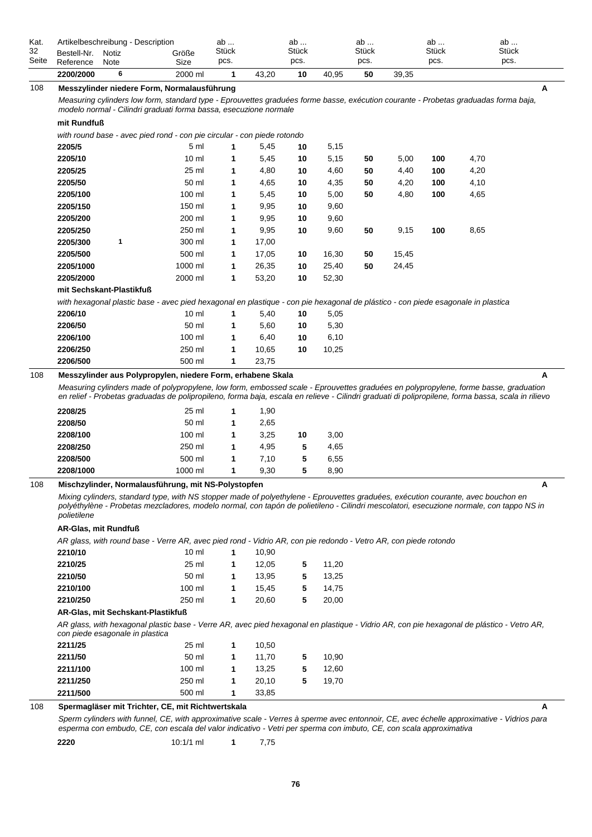| Kat.        | Artikelbeschreibung - Description |               |               | ab                   |       | ab                   |       | ab                   |       | ab            | ab                   |  |
|-------------|-----------------------------------|---------------|---------------|----------------------|-------|----------------------|-------|----------------------|-------|---------------|----------------------|--|
| 32<br>Seite | Bestell-Nr.<br>Reference          | Notiz<br>Note | Größe<br>Size | <b>Stück</b><br>pcs. |       | <b>Stuck</b><br>pcs. |       | <b>Stück</b><br>pcs. |       | Stück<br>pcs. | <b>Stück</b><br>pcs. |  |
|             | 2200/2000                         |               | 2000 ml       |                      | 43.20 | 10                   | 40.95 | 50                   | 39.35 |               |                      |  |

#### 108 **Messzylinder niedere Form, Normalausführung A**

*Measuring cylinders low form, standard type - Eprouvettes graduées forme basse, exécution courante - Probetas graduadas forma baja, modelo normal - Cilindri graduati forma bassa, esecuzione normale*

#### **mit Rundfuß**

*with round base - avec pied rond - con pie circular - con piede rotondo*

| 2205/5    |   | 5 <sub>m</sub>  | 1 | 5,45  | 10 | 5,15  |    |       |     |      |
|-----------|---|-----------------|---|-------|----|-------|----|-------|-----|------|
| 2205/10   |   | $10 \mathrm{m}$ | 1 | 5,45  | 10 | 5,15  | 50 | 5,00  | 100 | 4,70 |
| 2205/25   |   | 25 ml           | 1 | 4,80  | 10 | 4,60  | 50 | 4,40  | 100 | 4,20 |
| 2205/50   |   | 50 ml           | 1 | 4,65  | 10 | 4,35  | 50 | 4,20  | 100 | 4,10 |
| 2205/100  |   | 100 ml          | 1 | 5,45  | 10 | 5,00  | 50 | 4,80  | 100 | 4,65 |
| 2205/150  |   | 150 ml          | 1 | 9,95  | 10 | 9,60  |    |       |     |      |
| 2205/200  |   | 200 ml          | 1 | 9,95  | 10 | 9,60  |    |       |     |      |
| 2205/250  |   | 250 ml          | 1 | 9,95  | 10 | 9,60  | 50 | 9,15  | 100 | 8,65 |
| 2205/300  | 1 | 300 ml          | 1 | 17,00 |    |       |    |       |     |      |
| 2205/500  |   | 500 ml          | 1 | 17,05 | 10 | 16,30 | 50 | 15,45 |     |      |
| 2205/1000 |   | 1000 ml         | 1 | 26,35 | 10 | 25,40 | 50 | 24,45 |     |      |
| 2205/2000 |   | 2000 ml         | 1 | 53,20 | 10 | 52,30 |    |       |     |      |
|           |   |                 |   |       |    |       |    |       |     |      |

### **mit Sechskant-Plastikfuß**

*with hexagonal plastic base - avec pied hexagonal en plastique - con pie hexagonal de plástico - con piede esagonale in plastica*

| 2206/10  | $10 \mathrm{m}$ |   | 5.40  | 10 | 5.05  |
|----------|-----------------|---|-------|----|-------|
| 2206/50  | 50 ml           | 1 | 5.60  | 10 | 5.30  |
| 2206/100 | 100 ml          | 1 | 6.40  | 10 | 6.10  |
| 2206/250 | 250 ml          | 1 | 10.65 | 10 | 10.25 |
| 2206/500 | 500 ml          |   | 23.75 |    |       |
|          |                 |   |       |    |       |

# 108 **Messzylinder aus Polypropylen, niedere Form, erhabene Skala A**

*Measuring cylinders made of polypropylene, low form, embossed scale - Eprouvettes graduées en polypropylene, forme basse, graduation en relief - Probetas graduadas de polipropileno, forma baja, escala en relieve - Cilindri graduati di polipropilene, forma bassa, scala in rilievo*

| 25 ml    |    | 1.90 |    |      |
|----------|----|------|----|------|
| 50 ml    | 1  | 2.65 |    |      |
| $100$ ml | 1  | 3.25 | 10 | 3,00 |
| 250 ml   |    | 4.95 | 5  | 4,65 |
| 500 ml   |    | 7.10 | 5  | 6,55 |
| 1000 ml  | -1 | 9.30 | 5  | 8,90 |
|          |    |      |    |      |

# 108 **Mischzylinder, Normalausführung, mit NS-Polystopfen A**

*Mixing cylinders, standard type, with NS stopper made of polyethylene - Eprouvettes graduées, exécution courante, avec bouchon en polyéthylène - Probetas mezcladores, modelo normal, con tapón de polietileno - Cilindri mescolatori, esecuzione normale, con tappo NS in polietilene*

#### **AR-Glas, mit Rundfuß**

*AR glass, with round base - Verre AR, avec pied rond - Vidrio AR, con pie redondo - Vetro AR, con piede rotondo*

| 2210/10  | $10 \mathrm{m}$ |   | 10.90 |   |       |
|----------|-----------------|---|-------|---|-------|
| 2210/25  | 25 ml           | 1 | 12.05 | 5 | 11.20 |
| 2210/50  | 50 ml           | 1 | 13.95 | 5 | 13,25 |
| 2210/100 | $100$ ml        | 1 | 15.45 | 5 | 14.75 |
| 2210/250 | 250 ml          | 1 | 20.60 | 5 | 20.00 |
|          |                 |   |       |   |       |

#### **AR-Glas, mit Sechskant-Plastikfuß**

*AR glass, with hexagonal plastic base - Verre AR, avec pied hexagonal en plastique - Vidrio AR, con pie hexagonal de plástico - Vetro AR, con piede esagonale in plastica*

| 2211/500 | 500 ml   | 33.85 |   |       |
|----------|----------|-------|---|-------|
| 2211/250 | 250 ml   | 20.10 | 5 | 19,70 |
| 2211/100 | $100$ ml | 13.25 | 5 | 12,60 |
| 2211/50  | 50 ml    | 11.70 | 5 | 10,90 |
| 2211/25  | 25 ml    | 10.50 |   |       |

## 108 **Spermagläser mit Trichter, CE, mit Richtwertskala A**

*Sperm cylinders with funnel, CE, with approximative scale - Verres à sperme avec entonnoir, CE, avec échelle approximative - Vidrios para esperma con embudo, CE, con escala del valor indicativo - Vetri per sperma con imbuto, CE, con scala approximativa*

**2220** 10:1/1 ml **1** 7,75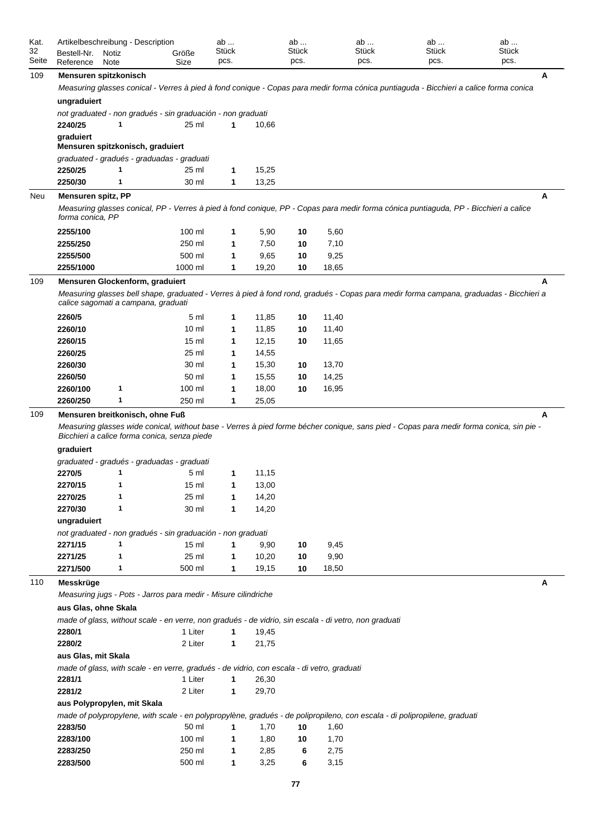| Kat.<br>32 | Artikelbeschreibung - Description<br>Bestell-Nr. | Notiz | Größe                                                                                                 | ab<br><b>Stück</b> |       | ab<br><b>Stück</b> |       | ab<br>Stück | ab<br><b>Stück</b>                                                                                                                      | ab<br><b>Stück</b> |
|------------|--------------------------------------------------|-------|-------------------------------------------------------------------------------------------------------|--------------------|-------|--------------------|-------|-------------|-----------------------------------------------------------------------------------------------------------------------------------------|--------------------|
| Seite      | Reference                                        | Note  | Size                                                                                                  | pcs.               |       | pcs.               |       | pcs.        | pcs.                                                                                                                                    | pcs.               |
| 109        | Mensuren spitzkonisch                            |       |                                                                                                       |                    |       |                    |       |             |                                                                                                                                         | Α                  |
|            |                                                  |       |                                                                                                       |                    |       |                    |       |             | Measuring glasses conical - Verres à pied à fond conique - Copas para medir forma cónica puntiaguda - Bicchieri a calice forma conica   |                    |
|            | ungraduiert                                      |       |                                                                                                       |                    |       |                    |       |             |                                                                                                                                         |                    |
|            |                                                  |       | not graduated - non gradués - sin graduación - non graduati                                           |                    |       |                    |       |             |                                                                                                                                         |                    |
|            | 2240/25                                          | 1     | 25 ml                                                                                                 | 1                  | 10,66 |                    |       |             |                                                                                                                                         |                    |
|            | graduiert                                        |       |                                                                                                       |                    |       |                    |       |             |                                                                                                                                         |                    |
|            |                                                  |       | Mensuren spitzkonisch, graduiert                                                                      |                    |       |                    |       |             |                                                                                                                                         |                    |
|            |                                                  |       | graduated - gradués - graduadas - graduati                                                            |                    |       |                    |       |             |                                                                                                                                         |                    |
|            | 2250/25                                          | 1     | 25 ml                                                                                                 | 1                  | 15,25 |                    |       |             |                                                                                                                                         |                    |
|            | 2250/30                                          | 1     | 30 ml                                                                                                 | 1                  | 13,25 |                    |       |             |                                                                                                                                         |                    |
| Neu        | Mensuren spitz, PP                               |       |                                                                                                       |                    |       |                    |       |             |                                                                                                                                         | A                  |
|            | forma conica, PP                                 |       |                                                                                                       |                    |       |                    |       |             | Measuring glasses conical, PP - Verres à pied à fond conique, PP - Copas para medir forma cónica puntiaguda, PP - Bicchieri a calice    |                    |
|            | 2255/100                                         |       | 100 ml                                                                                                | 1                  | 5,90  | 10                 | 5,60  |             |                                                                                                                                         |                    |
|            | 2255/250                                         |       | 250 ml                                                                                                | 1                  | 7,50  | 10                 | 7,10  |             |                                                                                                                                         |                    |
|            | 2255/500                                         |       | 500 ml                                                                                                | 1                  | 9,65  | 10                 | 9,25  |             |                                                                                                                                         |                    |
|            | 2255/1000                                        |       | 1000 ml                                                                                               | 1                  | 19,20 | 10                 | 18,65 |             |                                                                                                                                         |                    |
| 109        |                                                  |       | Mensuren Glockenform, graduiert                                                                       |                    |       |                    |       |             |                                                                                                                                         | А                  |
|            |                                                  |       | calice sagomati a campana, graduati                                                                   |                    |       |                    |       |             | Measuring glasses bell shape, graduated - Verres à pied à fond rond, gradués - Copas para medir forma campana, graduadas - Bicchieri a  |                    |
|            | 2260/5                                           |       | 5 ml                                                                                                  | 1                  | 11,85 | 10                 | 11,40 |             |                                                                                                                                         |                    |
|            | 2260/10                                          |       | 10 <sub>m</sub>                                                                                       | 1                  | 11,85 | 10                 | 11,40 |             |                                                                                                                                         |                    |
|            | 2260/15                                          |       | 15 <sub>ml</sub>                                                                                      | 1                  | 12,15 | 10                 | 11,65 |             |                                                                                                                                         |                    |
|            | 2260/25                                          |       | 25 ml                                                                                                 | 1                  | 14,55 |                    |       |             |                                                                                                                                         |                    |
|            | 2260/30                                          |       | 30 ml                                                                                                 | 1                  | 15,30 | 10                 | 13,70 |             |                                                                                                                                         |                    |
|            | 2260/50                                          |       | 50 ml                                                                                                 | 1                  | 15,55 | 10                 | 14,25 |             |                                                                                                                                         |                    |
|            | 2260/100                                         | 1     | 100 ml                                                                                                | 1                  | 18,00 | 10                 | 16,95 |             |                                                                                                                                         |                    |
|            | 2260/250                                         | 1     | 250 ml                                                                                                | 1                  | 25,05 |                    |       |             |                                                                                                                                         |                    |
| 109        |                                                  |       | Mensuren breitkonisch, ohne Fuß                                                                       |                    |       |                    |       |             |                                                                                                                                         | A                  |
|            |                                                  |       | Bicchieri a calice forma conica, senza piede                                                          |                    |       |                    |       |             | Measuring glasses wide conical, without base - Verres à pied forme bécher conique, sans pied - Copas para medir forma conica, sin pie - |                    |
|            | graduiert                                        |       |                                                                                                       |                    |       |                    |       |             |                                                                                                                                         |                    |
|            |                                                  |       | graduated - gradués - graduadas - graduati                                                            |                    |       |                    |       |             |                                                                                                                                         |                    |
|            | 2270/5                                           | 1     | 5 ml                                                                                                  | 1                  | 11,15 |                    |       |             |                                                                                                                                         |                    |
|            | 2270/15                                          | 1     | 15 ml                                                                                                 | 1                  | 13,00 |                    |       |             |                                                                                                                                         |                    |
|            | 2270/25                                          | 1     | 25 ml                                                                                                 | 1                  | 14,20 |                    |       |             |                                                                                                                                         |                    |
|            | 2270/30                                          | 1     | 30 ml                                                                                                 | $\mathbf{1}$       | 14,20 |                    |       |             |                                                                                                                                         |                    |
|            | ungraduiert                                      |       |                                                                                                       |                    |       |                    |       |             |                                                                                                                                         |                    |
|            |                                                  |       | not graduated - non gradués - sin graduación - non graduati                                           |                    |       |                    |       |             |                                                                                                                                         |                    |
|            | 2271/15                                          | 1     | 15 <sub>m</sub>                                                                                       | 1                  | 9,90  | 10                 | 9,45  |             |                                                                                                                                         |                    |
|            | 2271/25                                          | 1     | 25 ml                                                                                                 | 1                  | 10,20 | 10                 | 9,90  |             |                                                                                                                                         |                    |
|            | 2271/500                                         | 1     | 500 ml                                                                                                | $\mathbf{1}$       | 19,15 | 10                 | 18,50 |             |                                                                                                                                         |                    |
| 110        | Messkrüge                                        |       | Measuring jugs - Pots - Jarros para medir - Misure cilindriche                                        |                    |       |                    |       |             |                                                                                                                                         | A                  |
|            | aus Glas, ohne Skala                             |       |                                                                                                       |                    |       |                    |       |             |                                                                                                                                         |                    |
|            |                                                  |       | made of glass, without scale - en verre, non gradués - de vidrio, sin escala - di vetro, non graduati |                    |       |                    |       |             |                                                                                                                                         |                    |
|            | 2280/1                                           |       | 1 Liter                                                                                               | $\mathbf{1}$       | 19,45 |                    |       |             |                                                                                                                                         |                    |
|            | 2280/2                                           |       | 2 Liter                                                                                               | 1                  | 21,75 |                    |       |             |                                                                                                                                         |                    |
|            | aus Glas, mit Skala                              |       |                                                                                                       |                    |       |                    |       |             |                                                                                                                                         |                    |
|            |                                                  |       | made of glass, with scale - en verre, gradués - de vidrio, con escala - di vetro, graduati            |                    |       |                    |       |             |                                                                                                                                         |                    |
|            | 2281/1                                           |       | 1 Liter                                                                                               | $\mathbf{1}$       | 26,30 |                    |       |             |                                                                                                                                         |                    |
|            | 2281/2                                           |       | 2 Liter                                                                                               | $\mathbf{1}$       | 29,70 |                    |       |             |                                                                                                                                         |                    |
|            | aus Polypropylen, mit Skala                      |       |                                                                                                       |                    |       |                    |       |             |                                                                                                                                         |                    |
|            |                                                  |       |                                                                                                       |                    |       |                    |       |             | made of polypropylene, with scale - en polypropylène, gradués - de polipropileno, con escala - di polipropilene, graduati               |                    |
|            | 2283/50                                          |       | 50 ml                                                                                                 | $\mathbf{1}$       | 1,70  | 10                 | 1,60  |             |                                                                                                                                         |                    |
|            | 2283/100                                         |       | 100 ml                                                                                                | $\mathbf{1}$       | 1,80  | 10                 | 1,70  |             |                                                                                                                                         |                    |
|            | 2283/250                                         |       | 250 ml                                                                                                | $\mathbf{1}$       | 2,85  | 6                  | 2,75  |             |                                                                                                                                         |                    |
|            | 2283/500                                         |       | 500 ml                                                                                                | 1                  | 3,25  | 6                  | 3,15  |             |                                                                                                                                         |                    |
|            |                                                  |       |                                                                                                       |                    |       |                    |       |             |                                                                                                                                         |                    |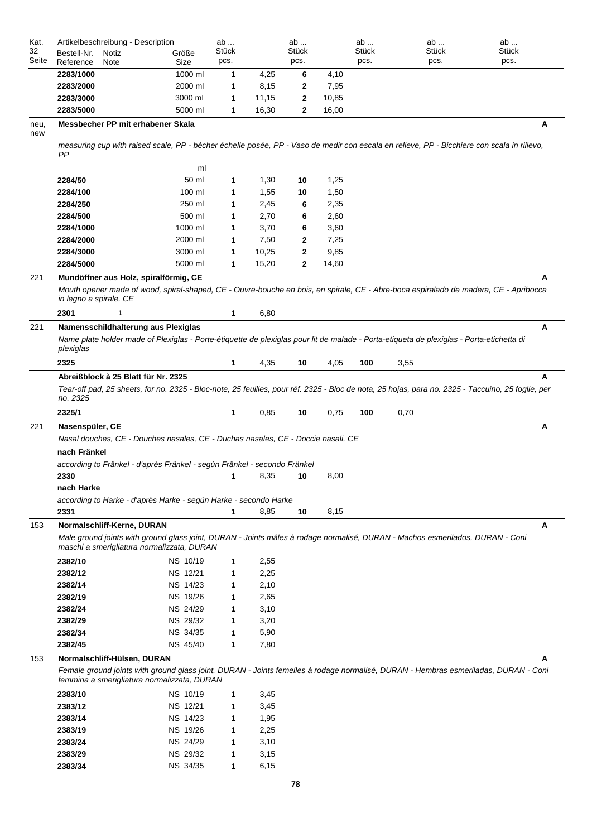| Kat.        | Artikelbeschreibung - Description                                                                                                                                                  |          | ab    |       | ab           |       | ab    | ab           | ab           |
|-------------|------------------------------------------------------------------------------------------------------------------------------------------------------------------------------------|----------|-------|-------|--------------|-------|-------|--------------|--------------|
| 32          | Bestell-Nr.<br>Notiz                                                                                                                                                               | Größe    | Stück |       | <b>Stück</b> |       | Stück | <b>Stück</b> | <b>Stück</b> |
| Seite       | Reference<br>Note                                                                                                                                                                  | Size     | pcs.  |       | pcs.         |       | pcs.  | pcs.         | pcs.         |
|             | 2283/1000                                                                                                                                                                          | 1000 ml  | 1     | 4,25  | 6            | 4,10  |       |              |              |
|             | 2283/2000                                                                                                                                                                          | 2000 ml  | 1     | 8,15  | 2            | 7,95  |       |              |              |
|             | 2283/3000                                                                                                                                                                          | 3000 ml  | 1     | 11,15 | 2            | 10,85 |       |              |              |
|             | 2283/5000                                                                                                                                                                          | 5000 ml  | 1     | 16,30 | 2            | 16,00 |       |              |              |
| neu,<br>new | Messbecher PP mit erhabener Skala                                                                                                                                                  |          |       |       |              |       |       |              | Α            |
|             | measuring cup with raised scale, PP - bécher échelle posée, PP - Vaso de medir con escala en relieve, PP - Bicchiere con scala in rilievo,                                         |          |       |       |              |       |       |              |              |
|             | PP                                                                                                                                                                                 |          |       |       |              |       |       |              |              |
|             |                                                                                                                                                                                    | ml       |       |       |              |       |       |              |              |
|             | 2284/50                                                                                                                                                                            | 50 ml    | 1     | 1,30  | 10           | 1,25  |       |              |              |
|             | 2284/100                                                                                                                                                                           | 100 ml   | 1     | 1,55  | 10           | 1,50  |       |              |              |
|             | 2284/250                                                                                                                                                                           | 250 ml   | 1     | 2,45  | 6            | 2,35  |       |              |              |
|             | 2284/500                                                                                                                                                                           | 500 ml   | 1     | 2,70  | 6            | 2,60  |       |              |              |
|             | 2284/1000                                                                                                                                                                          | 1000 ml  | 1     | 3,70  | 6            | 3,60  |       |              |              |
|             | 2284/2000                                                                                                                                                                          | 2000 ml  | 1     | 7,50  | 2            | 7,25  |       |              |              |
|             | 2284/3000                                                                                                                                                                          | 3000 ml  | 1     | 10,25 | 2            | 9,85  |       |              |              |
|             |                                                                                                                                                                                    |          |       | 15,20 |              |       |       |              |              |
|             | 2284/5000                                                                                                                                                                          | 5000 ml  | 1     |       | 2            | 14,60 |       |              |              |
| 221         | Mundöffner aus Holz, spiralförmig, CE                                                                                                                                              |          |       |       |              |       |       |              | A            |
|             | Mouth opener made of wood, spiral-shaped, CE - Ouvre-bouche en bois, en spirale, CE - Abre-boca espiralado de madera, CE - Apribocca                                               |          |       |       |              |       |       |              |              |
|             | in legno a spirale, CE                                                                                                                                                             |          |       |       |              |       |       |              |              |
|             | 1<br>2301                                                                                                                                                                          |          | 1     | 6,80  |              |       |       |              |              |
| 221         | Namensschildhalterung aus Plexiglas                                                                                                                                                |          |       |       |              |       |       |              | Α            |
|             | Name plate holder made of Plexiglas - Porte-étiquette de plexiglas pour lit de malade - Porta-etiqueta de plexiglas - Porta-etichetta di                                           |          |       |       |              |       |       |              |              |
|             | plexiglas                                                                                                                                                                          |          |       |       |              |       |       |              |              |
|             | 2325                                                                                                                                                                               |          | 1     | 4,35  | 10           | 4,05  | 100   | 3,55         |              |
|             | Abreißblock à 25 Blatt für Nr. 2325                                                                                                                                                |          |       |       |              |       |       |              | A            |
|             | Tear-off pad, 25 sheets, for no. 2325 - Bloc-note, 25 feuilles, pour réf. 2325 - Bloc de nota, 25 hojas, para no. 2325 - Taccuino, 25 foglie, per                                  |          |       |       |              |       |       |              |              |
|             | no. 2325                                                                                                                                                                           |          |       |       |              |       |       |              |              |
|             | 2325/1                                                                                                                                                                             |          | 1     | 0,85  | 10           | 0,75  | 100   | 0,70         |              |
|             |                                                                                                                                                                                    |          |       |       |              |       |       |              |              |
| 221         | Nasenspüler, CE                                                                                                                                                                    |          |       |       |              |       |       |              | Α            |
|             | Nasal douches, CE - Douches nasales, CE - Duchas nasales, CE - Doccie nasali, CE                                                                                                   |          |       |       |              |       |       |              |              |
|             | nach Fränkel                                                                                                                                                                       |          |       |       |              |       |       |              |              |
|             | according to Fränkel - d'après Fränkel - según Fränkel - secondo Fränkel                                                                                                           |          |       |       |              |       |       |              |              |
|             | 2330                                                                                                                                                                               |          | 1     | 8,35  | 10           | 8,00  |       |              |              |
|             | nach Harke                                                                                                                                                                         |          |       |       |              |       |       |              |              |
|             | according to Harke - d'après Harke - según Harke - secondo Harke                                                                                                                   |          |       |       |              |       |       |              |              |
|             | 2331                                                                                                                                                                               |          | 1     | 8,85  | 10           | 8,15  |       |              |              |
| 153         | Normalschliff-Kerne, DURAN                                                                                                                                                         |          |       |       |              |       |       |              | A            |
|             | Male ground joints with ground glass joint, DURAN - Joints mâles à rodage normalisé, DURAN - Machos esmerilados, DURAN - Coni                                                      |          |       |       |              |       |       |              |              |
|             | maschi a smerigliatura normalizzata, DURAN                                                                                                                                         |          |       |       |              |       |       |              |              |
|             | 2382/10                                                                                                                                                                            | NS 10/19 | 1     | 2,55  |              |       |       |              |              |
|             | 2382/12                                                                                                                                                                            | NS 12/21 | 1     | 2,25  |              |       |       |              |              |
|             | 2382/14                                                                                                                                                                            | NS 14/23 | 1     | 2,10  |              |       |       |              |              |
|             | 2382/19                                                                                                                                                                            | NS 19/26 | 1     | 2,65  |              |       |       |              |              |
|             | 2382/24                                                                                                                                                                            | NS 24/29 | 1     | 3,10  |              |       |       |              |              |
|             | 2382/29                                                                                                                                                                            | NS 29/32 | 1     | 3,20  |              |       |       |              |              |
|             | 2382/34                                                                                                                                                                            | NS 34/35 | 1     | 5,90  |              |       |       |              |              |
|             | 2382/45                                                                                                                                                                            | NS 45/40 | 1     | 7,80  |              |       |       |              |              |
| 153         |                                                                                                                                                                                    |          |       |       |              |       |       |              |              |
|             | Normalschliff-Hülsen, DURAN                                                                                                                                                        |          |       |       |              |       |       |              | А            |
|             | Female ground joints with ground glass joint, DURAN - Joints femelles à rodage normalisé, DURAN - Hembras esmeriladas, DURAN - Coni<br>femmina a smerigliatura normalizzata, DURAN |          |       |       |              |       |       |              |              |
|             |                                                                                                                                                                                    |          |       |       |              |       |       |              |              |
|             | 2383/10                                                                                                                                                                            | NS 10/19 | 1     | 3,45  |              |       |       |              |              |
|             | 2383/12                                                                                                                                                                            | NS 12/21 | 1     | 3,45  |              |       |       |              |              |
|             | 2383/14                                                                                                                                                                            | NS 14/23 | 1     | 1,95  |              |       |       |              |              |
|             | 2383/19                                                                                                                                                                            | NS 19/26 | 1     | 2,25  |              |       |       |              |              |
|             | 2383/24                                                                                                                                                                            | NS 24/29 | 1     | 3,10  |              |       |       |              |              |
|             | 2383/29                                                                                                                                                                            | NS 29/32 | 1     | 3,15  |              |       |       |              |              |
|             | 2383/34                                                                                                                                                                            | NS 34/35 | 1     | 6,15  |              |       |       |              |              |
|             |                                                                                                                                                                                    |          |       |       | 70           |       |       |              |              |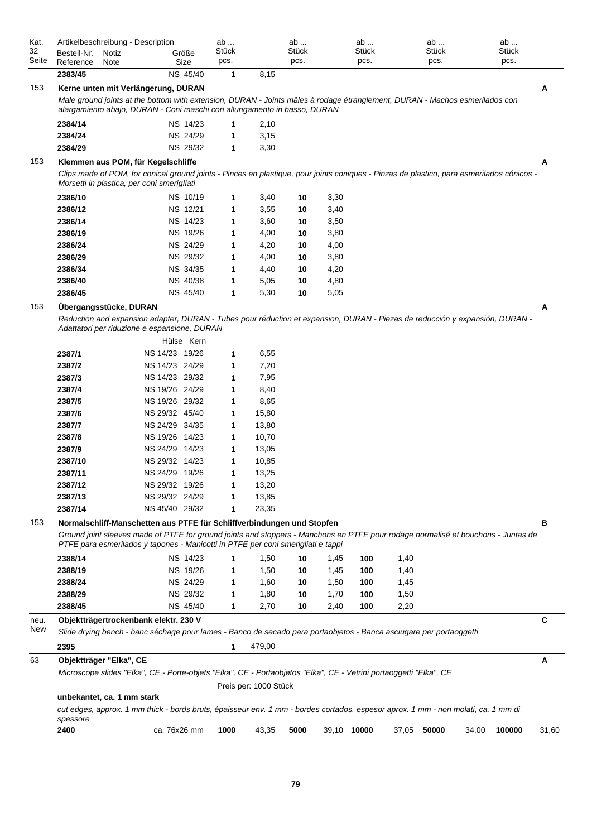| Kat.<br>32<br>Seite | Artikelbeschreibung - Description<br>Bestell-Nr.<br>Reference | Notiz<br>Note |                                                                                                                                                                                                                                                | Größe<br>Size   | ab<br>Stück<br>pcs. |                       | ab<br><b>Stück</b><br>pcs. |      | ab<br>Stück<br>pcs. |       | ab<br><b>Stück</b><br>pcs. |       | ab<br><b>Stück</b><br>pcs. |       |
|---------------------|---------------------------------------------------------------|---------------|------------------------------------------------------------------------------------------------------------------------------------------------------------------------------------------------------------------------------------------------|-----------------|---------------------|-----------------------|----------------------------|------|---------------------|-------|----------------------------|-------|----------------------------|-------|
|                     | 2383/45                                                       |               |                                                                                                                                                                                                                                                | NS 45/40        | 1                   | 8,15                  |                            |      |                     |       |                            |       |                            |       |
| 153                 |                                                               |               | Kerne unten mit Verlängerung, DURAN<br>Male ground joints at the bottom with extension, DURAN - Joints mâles à rodage étranglement, DURAN - Machos esmerilados con<br>alargamiento abajo, DURAN - Coni maschi con allungamento in basso, DURAN |                 |                     |                       |                            |      |                     |       |                            |       |                            | A     |
|                     | 2384/14                                                       |               |                                                                                                                                                                                                                                                | NS 14/23        |                     | 2,10                  |                            |      |                     |       |                            |       |                            |       |
|                     | 2384/24                                                       |               |                                                                                                                                                                                                                                                | NS 24/29        | 1                   | 3,15                  |                            |      |                     |       |                            |       |                            |       |
|                     | 2384/29                                                       |               |                                                                                                                                                                                                                                                | <b>NS 29/32</b> | 1                   | 3,30                  |                            |      |                     |       |                            |       |                            |       |
| 153                 |                                                               |               | Klemmen aus POM, für Kegelschliffe<br>Clips made of POM, for conical ground joints - Pinces en plastique, pour joints coniques - Pinzas de plastico, para esmerilados cónicos -<br>Morsetti in plastica, per coni smerigliati                  |                 |                     |                       |                            |      |                     |       |                            |       |                            | A     |
|                     | 2386/10                                                       |               |                                                                                                                                                                                                                                                | NS 10/19        | 1                   | 3,40                  | 10                         | 3,30 |                     |       |                            |       |                            |       |
|                     | 2386/12                                                       |               |                                                                                                                                                                                                                                                | NS 12/21        | 1                   | 3,55                  | 10                         | 3,40 |                     |       |                            |       |                            |       |
|                     | 2386/14                                                       |               |                                                                                                                                                                                                                                                | NS 14/23        | 1                   | 3,60                  | 10                         | 3,50 |                     |       |                            |       |                            |       |
|                     | 2386/19                                                       |               |                                                                                                                                                                                                                                                | NS 19/26        | 1                   | 4,00                  | 10                         | 3,80 |                     |       |                            |       |                            |       |
|                     | 2386/24                                                       |               |                                                                                                                                                                                                                                                | NS 24/29        | 1                   | 4,20                  | 10                         | 4,00 |                     |       |                            |       |                            |       |
|                     | 2386/29                                                       |               |                                                                                                                                                                                                                                                | NS 29/32        | 1                   | 4,00                  | 10                         | 3,80 |                     |       |                            |       |                            |       |
|                     | 2386/34                                                       |               |                                                                                                                                                                                                                                                | NS 34/35        | 1                   | 4,40                  | 10                         | 4,20 |                     |       |                            |       |                            |       |
|                     | 2386/40                                                       |               |                                                                                                                                                                                                                                                | NS 40/38        | 1                   | 5,05                  | 10                         | 4,80 |                     |       |                            |       |                            |       |
| 153                 | 2386/45<br>Übergangsstücke, DURAN                             |               |                                                                                                                                                                                                                                                | NS 45/40        | 1                   | 5,30                  | 10                         | 5,05 |                     |       |                            |       |                            | A     |
|                     | 2387/1                                                        |               | Reduction and expansion adapter, DURAN - Tubes pour réduction et expansion, DURAN - Piezas de reducción y expansión, DURAN -<br>Adattatori per riduzione e espansione, DURAN<br>NS 14/23 19/26                                                 | Hülse Kern      | 1                   | 6,55                  |                            |      |                     |       |                            |       |                            |       |
|                     | 2387/2                                                        |               | NS 14/23 24/29                                                                                                                                                                                                                                 |                 | 1                   | 7,20                  |                            |      |                     |       |                            |       |                            |       |
|                     | 2387/3                                                        |               | NS 14/23 29/32                                                                                                                                                                                                                                 |                 | 1                   | 7,95                  |                            |      |                     |       |                            |       |                            |       |
|                     | 2387/4                                                        |               | NS 19/26 24/29                                                                                                                                                                                                                                 |                 | 1                   | 8,40                  |                            |      |                     |       |                            |       |                            |       |
|                     | 2387/5                                                        |               | NS 19/26 29/32                                                                                                                                                                                                                                 |                 | 1                   | 8,65                  |                            |      |                     |       |                            |       |                            |       |
|                     | 2387/6                                                        |               | NS 29/32 45/40                                                                                                                                                                                                                                 |                 | 1                   | 15,80                 |                            |      |                     |       |                            |       |                            |       |
|                     | 2387/7                                                        |               | NS 24/29 34/35<br>NS 19/26 14/23                                                                                                                                                                                                               |                 | 1                   | 13,80                 |                            |      |                     |       |                            |       |                            |       |
|                     | 2387/8<br>2387/9                                              |               | NS 24/29 14/23                                                                                                                                                                                                                                 |                 | 1<br>1              | 10,70<br>13,05        |                            |      |                     |       |                            |       |                            |       |
|                     | 2387/10                                                       |               | NS 29/32 14/23                                                                                                                                                                                                                                 |                 | 1                   | 10,85                 |                            |      |                     |       |                            |       |                            |       |
|                     | 2387/11                                                       |               | NS 24/29 19/26                                                                                                                                                                                                                                 |                 | 1                   | 13,25                 |                            |      |                     |       |                            |       |                            |       |
|                     | 2387/12                                                       |               | NS 29/32 19/26                                                                                                                                                                                                                                 |                 | 1                   | 13,20                 |                            |      |                     |       |                            |       |                            |       |
|                     | 2387/13                                                       |               | NS 29/32 24/29                                                                                                                                                                                                                                 |                 | 1                   | 13,85                 |                            |      |                     |       |                            |       |                            |       |
|                     | 2387/14                                                       |               | NS 45/40 29/32                                                                                                                                                                                                                                 |                 | 1                   | 23,35                 |                            |      |                     |       |                            |       |                            |       |
| 153                 |                                                               |               | Normalschliff-Manschetten aus PTFE für Schliffverbindungen und Stopfen                                                                                                                                                                         |                 |                     |                       |                            |      |                     |       |                            |       |                            | в     |
|                     |                                                               |               | Ground joint sleeves made of PTFE for ground joints and stoppers - Manchons en PTFE pour rodage normalisé et bouchons - Juntas de<br>PTFE para esmerilados y tapones - Manicotti in PTFE per coni smerigliati e tappi                          |                 |                     |                       |                            |      |                     |       |                            |       |                            |       |
|                     | 2388/14                                                       |               |                                                                                                                                                                                                                                                | <b>NS 14/23</b> |                     | 1,50                  | 10                         | 1,45 | 100                 | 1,40  |                            |       |                            |       |
|                     | 2388/19                                                       |               |                                                                                                                                                                                                                                                | NS 19/26        | 1                   | 1,50                  | 10                         | 1,45 | 100                 | 1,40  |                            |       |                            |       |
|                     | 2388/24                                                       |               |                                                                                                                                                                                                                                                | NS 24/29        | 1                   | 1,60                  | 10                         | 1,50 | 100                 | 1,45  |                            |       |                            |       |
|                     | 2388/29                                                       |               |                                                                                                                                                                                                                                                | NS 29/32        | 1                   | 1,80                  | 10                         | 1,70 | 100                 | 1,50  |                            |       |                            |       |
|                     | 2388/45                                                       |               |                                                                                                                                                                                                                                                | NS 45/40        | 1                   | 2,70                  | 10                         | 2,40 | 100                 | 2,20  |                            |       |                            |       |
| neu.<br>New         |                                                               |               | Objektträgertrockenbank elektr. 230 V<br>Slide drying bench - banc séchage pour lames - Banco de secado para portaobjetos - Banca asciugare per portaoggetti                                                                                   |                 |                     |                       |                            |      |                     |       |                            |       |                            | C     |
|                     | 2395                                                          |               |                                                                                                                                                                                                                                                |                 | 1                   | 479,00                |                            |      |                     |       |                            |       |                            |       |
| 63                  | Objektträger "Elka", CE                                       |               | Microscope slides "Elka", CE - Porte-objets "Elka", CE - Portaobjetos "Elka", CE - Vetrini portaoggetti "Elka", CE                                                                                                                             |                 |                     |                       |                            |      |                     |       |                            |       |                            | A     |
|                     |                                                               |               |                                                                                                                                                                                                                                                |                 |                     | Preis per: 1000 Stück |                            |      |                     |       |                            |       |                            |       |
|                     | unbekantet, ca. 1 mm stark<br>spessore                        |               | cut edges, approx. 1 mm thick - bords bruts, épaisseur env. 1 mm - bordes cortados, espesor aprox. 1 mm - non molati, ca. 1 mm di                                                                                                              |                 |                     |                       |                            |      |                     |       |                            |       |                            |       |
|                     | 2400                                                          |               | ca. 76x26 mm                                                                                                                                                                                                                                   |                 | 1000                | 43,35                 | 5000                       |      | 39,10 10000         | 37,05 | 50000                      | 34,00 | 100000                     | 31,60 |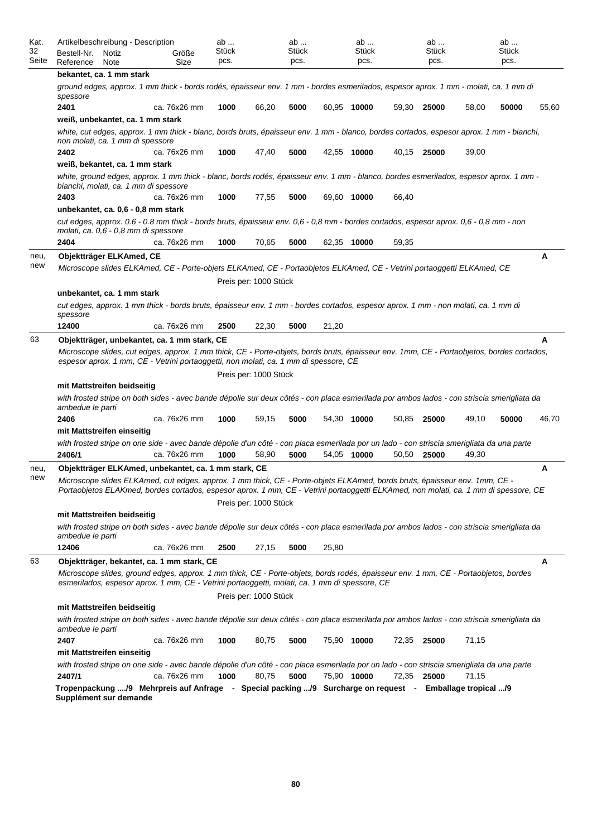| Kat.<br>32<br>Seite | Artikelbeschreibung - Description<br>Bestell-Nr.<br>Notiz<br>Reference<br>Note                                                                                                                                                                                    | Größe<br>Size | ab<br><b>Stück</b><br>pcs. |                       | ab<br>Stück<br>pcs. |       | ab<br>Stück<br>pcs. |       | ab<br><b>Stück</b><br>pcs. |       | ab<br><b>Stück</b><br>pcs. |       |
|---------------------|-------------------------------------------------------------------------------------------------------------------------------------------------------------------------------------------------------------------------------------------------------------------|---------------|----------------------------|-----------------------|---------------------|-------|---------------------|-------|----------------------------|-------|----------------------------|-------|
|                     | bekantet, ca. 1 mm stark                                                                                                                                                                                                                                          |               |                            |                       |                     |       |                     |       |                            |       |                            |       |
|                     | ground edges, approx. 1 mm thick - bords rodés, épaisseur env. 1 mm - bordes esmerilados, espesor aprox. 1 mm - molati, ca. 1 mm di<br>spessore                                                                                                                   |               |                            |                       |                     |       |                     |       |                            |       |                            |       |
|                     | 2401                                                                                                                                                                                                                                                              | ca. 76x26 mm  | 1000                       | 66,20                 | 5000                |       | 60,95 10000         |       | 59,30 25000                | 58,00 | 50000                      | 55,60 |
|                     | weiß, unbekantet, ca. 1 mm stark                                                                                                                                                                                                                                  |               |                            |                       |                     |       |                     |       |                            |       |                            |       |
|                     | white, cut edges, approx. 1 mm thick - blanc, bords bruts, épaisseur env. 1 mm - blanco, bordes cortados, espesor aprox. 1 mm - bianchi,<br>non molati, ca. 1 mm di spessore                                                                                      |               |                            |                       |                     |       |                     |       |                            |       |                            |       |
|                     | 2402                                                                                                                                                                                                                                                              | ca. 76x26 mm  | 1000                       | 47,40                 | 5000                |       | 42,55 10000         |       | 40,15 25000                | 39,00 |                            |       |
|                     | weiß, bekantet, ca. 1 mm stark                                                                                                                                                                                                                                    |               |                            |                       |                     |       |                     |       |                            |       |                            |       |
|                     | white, ground edges, approx. 1 mm thick - blanc, bords rodés, épaisseur env. 1 mm - blanco, bordes esmerilados, espesor aprox. 1 mm -<br>bianchi, molati, ca. 1 mm di spessore                                                                                    |               |                            |                       |                     |       |                     |       |                            |       |                            |       |
|                     | 2403                                                                                                                                                                                                                                                              | ca. 76x26 mm  | 1000                       | 77,55                 | 5000                |       | 69,60 10000         | 66,40 |                            |       |                            |       |
|                     | unbekantet, ca. 0,6 - 0,8 mm stark                                                                                                                                                                                                                                |               |                            |                       |                     |       |                     |       |                            |       |                            |       |
|                     | cut edges, approx. 0.6 - 0.8 mm thick - bords bruts, épaisseur env. 0,6 - 0,8 mm - bordes cortados, espesor aprox. 0,6 - 0,8 mm - non<br>molati, ca. 0,6 - 0,8 mm di spessore                                                                                     |               |                            |                       |                     |       |                     |       |                            |       |                            |       |
|                     | 2404                                                                                                                                                                                                                                                              | ca. 76x26 mm  | 1000                       | 70,65                 | 5000                |       | 62,35 10000         | 59,35 |                            |       |                            |       |
| neu,                | Objektträger ELKAmed, CE                                                                                                                                                                                                                                          |               |                            |                       |                     |       |                     |       |                            |       |                            | А     |
| new                 | Microscope slides ELKAmed, CE - Porte-objets ELKAmed, CE - Portaobjetos ELKAmed, CE - Vetrini portaoggetti ELKAmed, CE                                                                                                                                            |               |                            |                       |                     |       |                     |       |                            |       |                            |       |
|                     |                                                                                                                                                                                                                                                                   |               |                            | Preis per: 1000 Stück |                     |       |                     |       |                            |       |                            |       |
|                     | unbekantet, ca. 1 mm stark                                                                                                                                                                                                                                        |               |                            |                       |                     |       |                     |       |                            |       |                            |       |
|                     | cut edges, approx. 1 mm thick - bords bruts, épaisseur env. 1 mm - bordes cortados, espesor aprox. 1 mm - non molati, ca. 1 mm di<br>spessore                                                                                                                     |               |                            |                       |                     |       |                     |       |                            |       |                            |       |
|                     | 12400                                                                                                                                                                                                                                                             | ca. 76x26 mm  | 2500                       | 22,30                 | 5000                | 21,20 |                     |       |                            |       |                            |       |
| 63                  | Objektträger, unbekantet, ca. 1 mm stark, CE                                                                                                                                                                                                                      |               |                            |                       |                     |       |                     |       |                            |       |                            | A     |
|                     | Microscope slides, cut edges, approx. 1 mm thick, CE - Porte-objets, bords bruts, épaisseur env. 1mm, CE - Portaobjetos, bordes cortados,                                                                                                                         |               |                            |                       |                     |       |                     |       |                            |       |                            |       |
|                     | espesor aprox. 1 mm, CE - Vetrini portaoggetti, non molati, ca. 1 mm di spessore, CE                                                                                                                                                                              |               |                            |                       |                     |       |                     |       |                            |       |                            |       |
|                     |                                                                                                                                                                                                                                                                   |               |                            | Preis per: 1000 Stück |                     |       |                     |       |                            |       |                            |       |
|                     | mit Mattstreifen beidseitig                                                                                                                                                                                                                                       |               |                            |                       |                     |       |                     |       |                            |       |                            |       |
|                     | with frosted stripe on both sides - avec bande dépolie sur deux côtés - con placa esmerilada por ambos lados - con striscia smerigliata da<br>ambedue le parti                                                                                                    |               |                            |                       |                     |       |                     |       |                            |       |                            |       |
|                     | 2406                                                                                                                                                                                                                                                              | ca. 76x26 mm  | 1000                       | 59,15                 | 5000                |       | 54,30 10000         | 50,85 | 25000                      | 49,10 | 50000                      | 46,70 |
|                     | mit Mattstreifen einseitig                                                                                                                                                                                                                                        |               |                            |                       |                     |       |                     |       |                            |       |                            |       |
|                     | with frosted stripe on one side - avec bande dépolie d'un côté - con placa esmerilada por un lado - con striscia smerigliata da una parte<br>2406/1                                                                                                               | ca. 76x26 mm  | 1000                       | 58,90                 | 5000                |       | 54,05 10000         | 50,50 | 25000                      | 49,30 |                            |       |
| neu,                | Objektträger ELKAmed, unbekantet, ca. 1 mm stark, CE                                                                                                                                                                                                              |               |                            |                       |                     |       |                     |       |                            |       |                            | Α     |
| new                 | Microscope slides ELKAmed, cut edges, approx. 1 mm thick, CE - Porte-objets ELKAmed, bords bruts, épaisseur env. 1mm, CE -<br>Portaobjetos ELAKmed, bordes cortados, espesor aprox. 1 mm, CE - Vetrini portaoggetti ELKAmed, non molati, ca. 1 mm di spessore, CE |               |                            |                       |                     |       |                     |       |                            |       |                            |       |
|                     |                                                                                                                                                                                                                                                                   |               |                            | Preis per: 1000 Stück |                     |       |                     |       |                            |       |                            |       |
|                     | mit Mattstreifen beidseitig                                                                                                                                                                                                                                       |               |                            |                       |                     |       |                     |       |                            |       |                            |       |
|                     | with frosted stripe on both sides - avec bande dépolie sur deux côtés - con placa esmerilada por ambos lados - con striscia smerigliata da<br>ambedue le parti                                                                                                    |               |                            |                       |                     |       |                     |       |                            |       |                            |       |
|                     | 12406                                                                                                                                                                                                                                                             | ca. 76x26 mm  | 2500                       | 27,15                 | 5000                | 25,80 |                     |       |                            |       |                            |       |
| 63                  | Objektträger, bekantet, ca. 1 mm stark, CE                                                                                                                                                                                                                        |               |                            |                       |                     |       |                     |       |                            |       |                            | A     |
|                     | Microscope slides, ground edges, approx. 1 mm thick, CE - Porte-objets, bords rodés, épaisseur env. 1 mm, CE - Portaobjetos, bordes                                                                                                                               |               |                            |                       |                     |       |                     |       |                            |       |                            |       |
|                     | esmerilados, espesor aprox. 1 mm, CE - Vetrini portaoggetti, molati, ca. 1 mm di spessore, CE                                                                                                                                                                     |               |                            | Preis per: 1000 Stück |                     |       |                     |       |                            |       |                            |       |
|                     | mit Mattstreifen beidseitig                                                                                                                                                                                                                                       |               |                            |                       |                     |       |                     |       |                            |       |                            |       |
|                     | with frosted stripe on both sides - avec bande dépolie sur deux côtés - con placa esmerilada por ambos lados - con striscia smerigliata da                                                                                                                        |               |                            |                       |                     |       |                     |       |                            |       |                            |       |
|                     | ambedue le parti<br>2407                                                                                                                                                                                                                                          | ca. 76x26 mm  | 1000                       | 80,75                 | 5000                |       | 75,90 10000         |       | 72,35 25000                | 71,15 |                            |       |
|                     | mit Mattstreifen einseitig                                                                                                                                                                                                                                        |               |                            |                       |                     |       |                     |       |                            |       |                            |       |
|                     | with frosted stripe on one side - avec bande dépolie d'un côté - con placa esmerilada por un lado - con striscia smerigliata da una parte                                                                                                                         |               |                            |                       |                     |       |                     |       |                            |       |                            |       |
|                     | 2407/1                                                                                                                                                                                                                                                            | ca. 76x26 mm  | 1000                       | 80,75                 | 5000                |       | 75,90 10000         |       | 72,35 25000                | 71,15 |                            |       |
|                     | Tropenpackung /9 Mehrpreis auf Anfrage - Special packing /9 Surcharge on request - Emballage tropical /9                                                                                                                                                          |               |                            |                       |                     |       |                     |       |                            |       |                            |       |
|                     | Supplément sur demande                                                                                                                                                                                                                                            |               |                            |                       |                     |       |                     |       |                            |       |                            |       |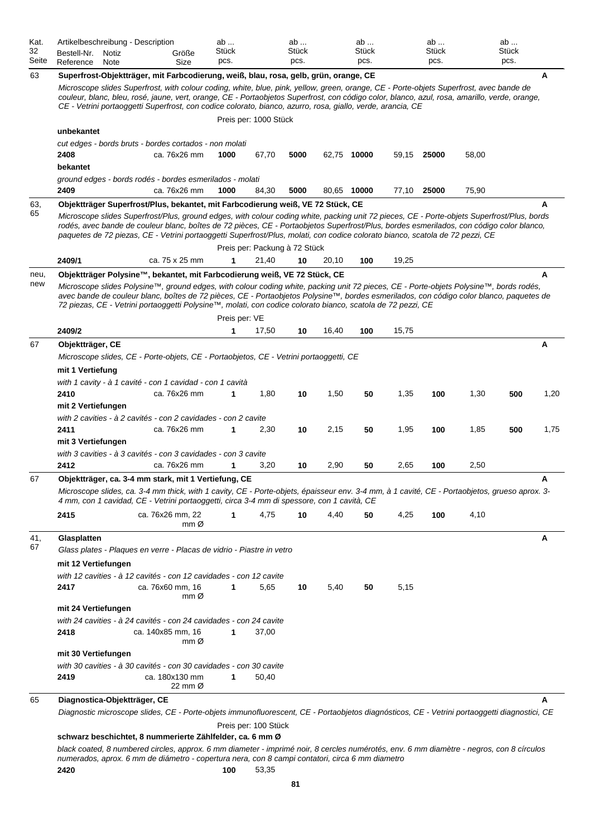| Kat.<br>32<br>Seite | Artikelbeschreibung - Description<br>Bestell-Nr.<br>Notiz<br>Reference<br>Note | Größe<br>Size                                                                                                                                                                                                                                                                                                                                                                                                                                                                                               | ab<br><b>Stück</b><br>pcs. |                               | ab<br>Stück<br>pcs. |       | ab<br>Stück<br>pcs. |       | ab<br><b>Stück</b><br>pcs. |       | ab<br><b>Stück</b><br>pcs. |      |
|---------------------|--------------------------------------------------------------------------------|-------------------------------------------------------------------------------------------------------------------------------------------------------------------------------------------------------------------------------------------------------------------------------------------------------------------------------------------------------------------------------------------------------------------------------------------------------------------------------------------------------------|----------------------------|-------------------------------|---------------------|-------|---------------------|-------|----------------------------|-------|----------------------------|------|
| 63                  |                                                                                | Superfrost-Objektträger, mit Farbcodierung, weiß, blau, rosa, gelb, grün, orange, CE<br>Microscope slides Superfrost, with colour coding, white, blue, pink, yellow, green, orange, CE - Porte-objets Superfrost, avec bande de<br>couleur, blanc, bleu, rosé, jaune, vert, orange, CE - Portaobjetos Superfrost, con código color, blanco, azul, rosa, amarillo, verde, orange,<br>CE - Vetrini portaoggetti Superfrost, con codice colorato, bianco, azurro, rosa, giallo, verde, arancia, CE             |                            |                               |                     |       |                     |       |                            |       |                            | Α    |
|                     |                                                                                |                                                                                                                                                                                                                                                                                                                                                                                                                                                                                                             |                            | Preis per: 1000 Stück         |                     |       |                     |       |                            |       |                            |      |
|                     | unbekantet<br>2408<br>bekantet                                                 | cut edges - bords bruts - bordes cortados - non molati<br>ca. 76x26 mm                                                                                                                                                                                                                                                                                                                                                                                                                                      | 1000                       | 67,70                         | 5000                |       | 62,75 10000         | 59,15 | 25000                      | 58,00 |                            |      |
|                     |                                                                                | ground edges - bords rodés - bordes esmerilados - molati                                                                                                                                                                                                                                                                                                                                                                                                                                                    |                            |                               |                     |       |                     |       |                            |       |                            |      |
|                     | 2409                                                                           | ca. 76x26 mm                                                                                                                                                                                                                                                                                                                                                                                                                                                                                                | 1000                       | 84,30                         | 5000                |       | 80,65 10000         | 77,10 | 25000                      | 75,90 |                            |      |
| 63,<br>65           |                                                                                | Objektträger Superfrost/Plus, bekantet, mit Farbcodierung weiß, VE 72 Stück, CE<br>Microscope slides Superfrost/Plus, ground edges, with colour coding white, packing unit 72 pieces, CE - Porte-objets Superfrost/Plus, bords<br>rodés, avec bande de couleur blanc, boîtes de 72 pièces, CE - Portaobjetos Superfrost/Plus, bordes esmerilados, con código color blanco,<br>paquetes de 72 piezas, CE - Vetrini portaoggetti Superfrost/Plus, molati, con codice colorato bianco, scatola de 72 pezzi, CE |                            | Preis per: Packung à 72 Stück |                     |       |                     |       |                            |       |                            | A    |
|                     | 2409/1                                                                         | ca. 75 x 25 mm                                                                                                                                                                                                                                                                                                                                                                                                                                                                                              | 1                          | 21,40                         | 10                  | 20,10 | 100                 | 19,25 |                            |       |                            |      |
| neu,                |                                                                                | Objektträger Polysine™, bekantet, mit Farbcodierung weiß, VE 72 Stück, CE                                                                                                                                                                                                                                                                                                                                                                                                                                   |                            |                               |                     |       |                     |       |                            |       |                            | A    |
| new                 |                                                                                | Microscope slides Polysine™, ground edges, with colour coding white, packing unit 72 pieces, CE - Porte-objets Polysine™, bords rodés,<br>avec bande de couleur blanc, boîtes de 72 pièces, CE - Portaobjetos Polysine™, bordes esmerilados, con código color blanco, paquetes de<br>72 piezas, CE - Vetrini portaoggetti Polysine™, molati, con codice colorato bianco, scatola de 72 pezzi, CE                                                                                                            |                            |                               |                     |       |                     |       |                            |       |                            |      |
|                     | 2409/2                                                                         |                                                                                                                                                                                                                                                                                                                                                                                                                                                                                                             | Preis per: VE<br>1         | 17,50                         | 10                  | 16,40 | 100                 | 15,75 |                            |       |                            |      |
| 67                  | Objektträger, CE                                                               |                                                                                                                                                                                                                                                                                                                                                                                                                                                                                                             |                            |                               |                     |       |                     |       |                            |       |                            | Α    |
|                     |                                                                                | Microscope slides, CE - Porte-objets, CE - Portaobjetos, CE - Vetrini portaoggetti, CE                                                                                                                                                                                                                                                                                                                                                                                                                      |                            |                               |                     |       |                     |       |                            |       |                            |      |
|                     | mit 1 Vertiefung                                                               |                                                                                                                                                                                                                                                                                                                                                                                                                                                                                                             |                            |                               |                     |       |                     |       |                            |       |                            |      |
|                     | 2410                                                                           | with 1 cavity - à 1 cavité - con 1 cavidad - con 1 cavità<br>ca. 76x26 mm                                                                                                                                                                                                                                                                                                                                                                                                                                   | 1                          | 1,80                          | 10                  | 1,50  | 50                  | 1,35  | 100                        | 1,30  | 500                        | 1,20 |
|                     | mit 2 Vertiefungen                                                             |                                                                                                                                                                                                                                                                                                                                                                                                                                                                                                             |                            |                               |                     |       |                     |       |                            |       |                            |      |
|                     |                                                                                | with 2 cavities - à 2 cavités - con 2 cavidades - con 2 cavite<br>ca. 76x26 mm                                                                                                                                                                                                                                                                                                                                                                                                                              |                            |                               |                     |       |                     |       |                            |       |                            |      |
|                     | 2411<br>mit 3 Vertiefungen                                                     |                                                                                                                                                                                                                                                                                                                                                                                                                                                                                                             | 1                          | 2,30                          | 10                  | 2,15  | 50                  | 1,95  | 100                        | 1,85  | 500                        | 1,75 |
|                     |                                                                                | with 3 cavities - à 3 cavités - con 3 cavidades - con 3 cavite                                                                                                                                                                                                                                                                                                                                                                                                                                              |                            |                               |                     |       |                     |       |                            |       |                            |      |
|                     | 2412                                                                           | ca. 76x26 mm                                                                                                                                                                                                                                                                                                                                                                                                                                                                                                | 1                          | 3,20                          | 10                  | 2,90  | 50                  | 2,65  | 100                        | 2,50  |                            |      |
| 67                  |                                                                                | Objektträger, ca. 3-4 mm stark, mit 1 Vertiefung, CE<br>Microscope slides, ca. 3-4 mm thick, with 1 cavity, CE - Porte-objets, épaisseur env. 3-4 mm, à 1 cavité, CE - Portaobjetos, grueso aprox. 3-<br>4 mm, con 1 cavidad, CE - Vetrini portaoggetti, circa 3-4 mm di spessore, con 1 cavità, CE                                                                                                                                                                                                         |                            |                               |                     |       |                     |       |                            |       |                            | A    |
|                     | 2415                                                                           | ca. 76x26 mm, 22                                                                                                                                                                                                                                                                                                                                                                                                                                                                                            |                            | 4,75                          | 10                  | 4,40  | 50                  | 4,25  | 100                        | 4,10  |                            |      |
|                     |                                                                                | mm@                                                                                                                                                                                                                                                                                                                                                                                                                                                                                                         |                            |                               |                     |       |                     |       |                            |       |                            |      |
| 41,<br>67           | Glasplatten<br>mit 12 Vertiefungen                                             | Glass plates - Plaques en verre - Placas de vidrio - Piastre in vetro                                                                                                                                                                                                                                                                                                                                                                                                                                       |                            |                               |                     |       |                     |       |                            |       |                            | A    |
|                     |                                                                                | with 12 cavities - à 12 cavités - con 12 cavidades - con 12 cavite                                                                                                                                                                                                                                                                                                                                                                                                                                          |                            |                               |                     |       |                     |       |                            |       |                            |      |
|                     | 2417                                                                           | ca. 76x60 mm, 16<br>mm Ø                                                                                                                                                                                                                                                                                                                                                                                                                                                                                    | 1                          | 5,65                          | 10                  | 5,40  | 50                  | 5,15  |                            |       |                            |      |
|                     | mit 24 Vertiefungen                                                            |                                                                                                                                                                                                                                                                                                                                                                                                                                                                                                             |                            |                               |                     |       |                     |       |                            |       |                            |      |
|                     |                                                                                | with 24 cavities - à 24 cavités - con 24 cavidades - con 24 cavite                                                                                                                                                                                                                                                                                                                                                                                                                                          |                            |                               |                     |       |                     |       |                            |       |                            |      |
|                     | 2418                                                                           | ca. 140x85 mm, 16<br>mm@                                                                                                                                                                                                                                                                                                                                                                                                                                                                                    | 1                          | 37,00                         |                     |       |                     |       |                            |       |                            |      |
|                     | mit 30 Vertiefungen                                                            | with 30 cavities - à 30 cavités - con 30 cavidades - con 30 cavite                                                                                                                                                                                                                                                                                                                                                                                                                                          |                            |                               |                     |       |                     |       |                            |       |                            |      |
|                     | 2419                                                                           | ca. 180x130 mm<br>22 mm Ø                                                                                                                                                                                                                                                                                                                                                                                                                                                                                   | 1                          | 50,40                         |                     |       |                     |       |                            |       |                            |      |
| 65                  | Diagnostica-Objektträger, CE                                                   |                                                                                                                                                                                                                                                                                                                                                                                                                                                                                                             |                            |                               |                     |       |                     |       |                            |       |                            | A    |
|                     |                                                                                | Diagnostic microscope slides, CE - Porte-objets immunofluorescent, CE - Portaobjetos diagnósticos, CE - Vetrini portaoggetti diagnostici, CE                                                                                                                                                                                                                                                                                                                                                                |                            |                               |                     |       |                     |       |                            |       |                            |      |
|                     |                                                                                | schwarz beschichtet, 8 nummerierte Zählfelder, ca. 6 mm Ø                                                                                                                                                                                                                                                                                                                                                                                                                                                   |                            | Preis per: 100 Stück          |                     |       |                     |       |                            |       |                            |      |

*black coated, 8 numbered circles, approx. 6 mm diameter - imprimé noir, 8 cercles numérotés, env. 6 mm diamètre - negros, con 8 círculos numerados, aprox. 6 mm de diámetro - copertura nera, con 8 campi contatori, circa 6 mm diametro* **2420 100** 53,35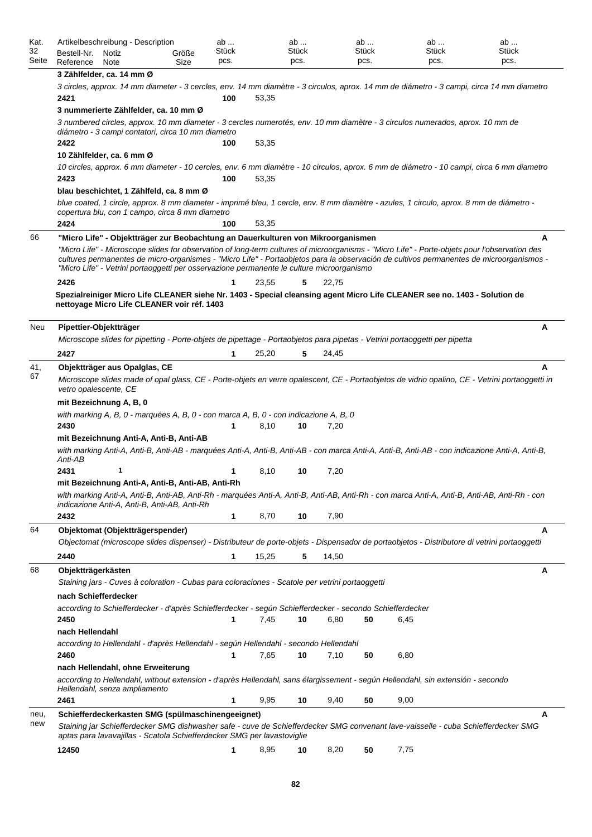| Kat.<br>32<br>Seite | Bestell-Nr.<br>Reference<br>Note | Artikelbeschreibung - Description<br>Notiz                                                                                                                                    | Größe<br>Size | ab<br>Stück<br>pcs. |       | ab<br>Stück<br>pcs. |       | ab<br>Stück<br>pcs. | ab<br>Stück<br>pcs.                                                                                                                      | ab<br><b>Stück</b><br>pcs.                                                                                                                                                                                                                                                                    |
|---------------------|----------------------------------|-------------------------------------------------------------------------------------------------------------------------------------------------------------------------------|---------------|---------------------|-------|---------------------|-------|---------------------|------------------------------------------------------------------------------------------------------------------------------------------|-----------------------------------------------------------------------------------------------------------------------------------------------------------------------------------------------------------------------------------------------------------------------------------------------|
|                     | 3 Zählfelder, ca. 14 mm Ø        |                                                                                                                                                                               |               |                     |       |                     |       |                     |                                                                                                                                          |                                                                                                                                                                                                                                                                                               |
|                     | 2421                             |                                                                                                                                                                               |               | 100                 | 53,35 |                     |       |                     |                                                                                                                                          | 3 circles, approx. 14 mm diameter - 3 cercles, env. 14 mm diamètre - 3 circulos, aprox. 14 mm de diámetro - 3 campi, circa 14 mm diametro                                                                                                                                                     |
|                     |                                  | 3 nummerierte Zählfelder, ca. 10 mm Ø                                                                                                                                         |               |                     |       |                     |       |                     |                                                                                                                                          |                                                                                                                                                                                                                                                                                               |
|                     | 2422                             | diámetro - 3 campi contatori, circa 10 mm diametro                                                                                                                            |               | 100                 | 53,35 |                     |       |                     | 3 numbered circles, approx. 10 mm diameter - 3 cercles numerotés, env. 10 mm diamètre - 3 circulos numerados, aprox. 10 mm de            |                                                                                                                                                                                                                                                                                               |
|                     | 10 Zählfelder, ca. 6 mm Ø        |                                                                                                                                                                               |               |                     |       |                     |       |                     |                                                                                                                                          |                                                                                                                                                                                                                                                                                               |
|                     |                                  |                                                                                                                                                                               |               |                     |       |                     |       |                     |                                                                                                                                          | 10 circles, approx. 6 mm diameter - 10 cercles, env. 6 mm diamètre - 10 circulos, aprox. 6 mm de diámetro - 10 campi, circa 6 mm diametro                                                                                                                                                     |
|                     | 2423                             |                                                                                                                                                                               |               | 100                 | 53,35 |                     |       |                     |                                                                                                                                          |                                                                                                                                                                                                                                                                                               |
|                     |                                  | blau beschichtet, 1 Zählfeld, ca. 8 mm Ø                                                                                                                                      |               |                     |       |                     |       |                     |                                                                                                                                          |                                                                                                                                                                                                                                                                                               |
|                     |                                  | copertura blu, con 1 campo, circa 8 mm diametro                                                                                                                               |               |                     |       |                     |       |                     | blue coated, 1 circle, approx. 8 mm diameter - imprimé bleu, 1 cercle, env. 8 mm diamètre - azules, 1 circulo, aprox. 8 mm de diámetro - |                                                                                                                                                                                                                                                                                               |
|                     | 2424                             |                                                                                                                                                                               |               | 100                 | 53,35 |                     |       |                     |                                                                                                                                          |                                                                                                                                                                                                                                                                                               |
| 66                  |                                  | "Micro Life" - Objektträger zur Beobachtung an Dauerkulturen von Mikroorganismen<br>"Micro Life" - Vetrini portaoggetti per osservazione permanente le culture microorganismo |               |                     |       |                     |       |                     |                                                                                                                                          | A<br>"Micro Life" - Microscope slides for observation of long-term cultures of microorganisms - "Micro Life" - Porte-objets pour l'observation des<br>cultures permanentes de micro-organismes - "Micro Life" - Portaobjetos para la observación de cultivos permanentes de microorganismos - |
|                     | 2426                             |                                                                                                                                                                               |               |                     | 23,55 | 5                   | 22,75 |                     |                                                                                                                                          |                                                                                                                                                                                                                                                                                               |
|                     |                                  | nettoyage Micro Life CLEANER voir réf. 1403                                                                                                                                   |               |                     |       |                     |       |                     | Spezialreiniger Micro Life CLEANER siehe Nr. 1403 - Special cleansing agent Micro Life CLEANER see no. 1403 - Solution de                |                                                                                                                                                                                                                                                                                               |
| Neu                 | Pipettier-Objektträger           |                                                                                                                                                                               |               |                     |       |                     |       |                     |                                                                                                                                          | A                                                                                                                                                                                                                                                                                             |
|                     |                                  |                                                                                                                                                                               |               |                     |       |                     |       |                     | Microscope slides for pipetting - Porte-objets de pipettage - Portaobjetos para pipetas - Vetrini portaoggetti per pipetta               |                                                                                                                                                                                                                                                                                               |
|                     | 2427                             |                                                                                                                                                                               |               | 1                   | 25,20 | 5                   | 24,45 |                     |                                                                                                                                          |                                                                                                                                                                                                                                                                                               |
| 41,                 |                                  | Objektträger aus Opalglas, CE                                                                                                                                                 |               |                     |       |                     |       |                     |                                                                                                                                          | A                                                                                                                                                                                                                                                                                             |
| 67                  | vetro opalescente, CE            |                                                                                                                                                                               |               |                     |       |                     |       |                     |                                                                                                                                          | Microscope slides made of opal glass, CE - Porte-objets en verre opalescent, CE - Portaobjetos de vidrio opalino, CE - Vetrini portaoggetti in                                                                                                                                                |
|                     | mit Bezeichnung A, B, 0<br>2430  | with marking A, B, 0 - marquées A, B, 0 - con marca A, B, 0 - con indicazione A, B, 0<br>mit Bezeichnung Anti-A, Anti-B, Anti-AB                                              |               | 1                   | 8,10  | 10                  | 7,20  |                     |                                                                                                                                          | with marking Anti-A, Anti-B, Anti-AB - marquées Anti-A, Anti-B, Anti-AB - con marca Anti-A, Anti-AB - andi-AB - con indicazione Anti-A, Anti-B,                                                                                                                                               |
|                     | Anti-AB                          |                                                                                                                                                                               |               |                     |       |                     |       |                     |                                                                                                                                          |                                                                                                                                                                                                                                                                                               |
|                     | 2431                             | 1                                                                                                                                                                             |               | 1                   | 8,10  | 10                  | 7,20  |                     |                                                                                                                                          |                                                                                                                                                                                                                                                                                               |
|                     |                                  | mit Bezeichnung Anti-A, Anti-B, Anti-AB, Anti-Rh                                                                                                                              |               |                     |       |                     |       |                     |                                                                                                                                          |                                                                                                                                                                                                                                                                                               |
|                     |                                  | indicazione Anti-A, Anti-B, Anti-AB, Anti-Rh                                                                                                                                  |               |                     |       |                     |       |                     |                                                                                                                                          | with marking Anti-A, Anti-B, Anti-AB, Anti-Rh - marquées Anti-A, Anti-B, Anti-AB, Anti-Rh - con marca Anti-A, Anti-B, Anti-AB, Anti-Rh - con                                                                                                                                                  |
|                     | 2432                             |                                                                                                                                                                               |               | 1                   | 8,70  | 10                  | 7,90  |                     |                                                                                                                                          |                                                                                                                                                                                                                                                                                               |
| 64                  |                                  | Objektomat (Objektträgerspender)                                                                                                                                              |               |                     |       |                     |       |                     |                                                                                                                                          | A<br>Objectomat (microscope slides dispenser) - Distributeur de porte-objets - Dispensador de portaobjetos - Distributore di vetrini portaoggetti                                                                                                                                             |
|                     | 2440                             |                                                                                                                                                                               |               | 1                   | 15,25 | 5                   | 14,50 |                     |                                                                                                                                          |                                                                                                                                                                                                                                                                                               |
| 68                  | Objektträgerkästen               | Staining jars - Cuves à coloration - Cubas para coloraciones - Scatole per vetrini portaoggetti                                                                               |               |                     |       |                     |       |                     |                                                                                                                                          | A                                                                                                                                                                                                                                                                                             |
|                     | nach Schiefferdecker             | according to Schiefferdecker - d'après Schiefferdecker - según Schiefferdecker - secondo Schiefferdecker                                                                      |               |                     |       |                     |       |                     |                                                                                                                                          |                                                                                                                                                                                                                                                                                               |
|                     | 2450                             |                                                                                                                                                                               |               |                     | 7,45  | 10                  | 6,80  | 50                  | 6,45                                                                                                                                     |                                                                                                                                                                                                                                                                                               |
|                     | nach Hellendahl                  | according to Hellendahl - d'après Hellendahl - según Hellendahl - secondo Hellendahl                                                                                          |               |                     |       |                     |       |                     |                                                                                                                                          |                                                                                                                                                                                                                                                                                               |
|                     | 2460                             |                                                                                                                                                                               |               |                     | 7,65  | 10                  | 7,10  | 50                  | 6,80                                                                                                                                     |                                                                                                                                                                                                                                                                                               |
|                     |                                  | nach Hellendahl, ohne Erweiterung                                                                                                                                             |               |                     |       |                     |       |                     |                                                                                                                                          |                                                                                                                                                                                                                                                                                               |
|                     |                                  | Hellendahl, senza ampliamento                                                                                                                                                 |               |                     |       |                     |       |                     | according to Hellendahl, without extension - d'après Hellendahl, sans élargissement - según Hellendahl, sin extensión - secondo          |                                                                                                                                                                                                                                                                                               |
|                     | 2461                             |                                                                                                                                                                               |               | 1                   | 9,95  | 10                  | 9,40  | 50                  | 9,00                                                                                                                                     |                                                                                                                                                                                                                                                                                               |
| neu,                |                                  | Schiefferdeckerkasten SMG (spülmaschinengeeignet)                                                                                                                             |               |                     |       |                     |       |                     |                                                                                                                                          | A                                                                                                                                                                                                                                                                                             |
| new                 |                                  | aptas para lavavajillas - Scatola Schiefferdecker SMG per lavastoviglie                                                                                                       |               |                     |       |                     |       |                     | Staining jar Schiefferdecker SMG dishwasher safe - cuve de Schiefferdecker SMG convenant lave-vaisselle - cuba Schiefferdecker SMG       |                                                                                                                                                                                                                                                                                               |
|                     | 12450                            |                                                                                                                                                                               |               | 1                   | 8,95  | 10                  | 8,20  | 50                  | 7,75                                                                                                                                     |                                                                                                                                                                                                                                                                                               |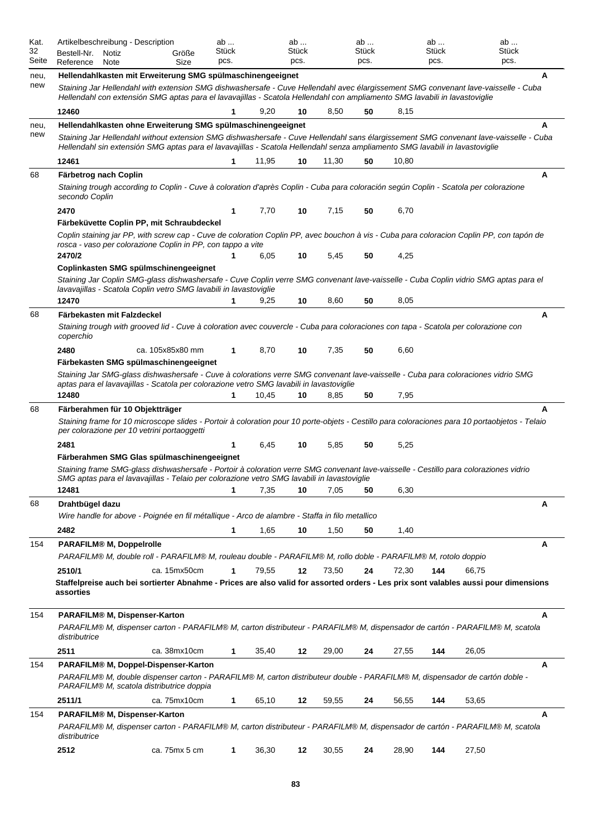| Kat.<br>32<br>Seite | Artikelbeschreibung - Description<br>Bestell-Nr.<br>Notiz<br>Reference<br>Note                                                                                                                                                                                                                                                 | Größe<br>Size    | ab<br><b>Stück</b><br>pcs. |       | ab<br>Stück<br>pcs. |       | ab<br>Stück<br>pcs. |       | ab<br>Stück<br>pcs. |       | ab<br>Stück<br>pcs. |
|---------------------|--------------------------------------------------------------------------------------------------------------------------------------------------------------------------------------------------------------------------------------------------------------------------------------------------------------------------------|------------------|----------------------------|-------|---------------------|-------|---------------------|-------|---------------------|-------|---------------------|
| neu,<br>new         | Hellendahlkasten mit Erweiterung SMG spülmaschinengeeignet<br>Staining Jar Hellendahl with extension SMG dishwashersafe - Cuve Hellendahl avec élargissement SMG convenant lave-vaisselle - Cuba<br>Hellendahl con extensión SMG aptas para el lavavajillas - Scatola Hellendahl con ampliamento SMG lavabili in lavastoviglie |                  |                            |       |                     |       |                     |       |                     |       | Α                   |
|                     | 12460                                                                                                                                                                                                                                                                                                                          |                  | 1                          | 9,20  | 10                  | 8,50  | 50                  | 8,15  |                     |       |                     |
| neu,                | Hellendahlkasten ohne Erweiterung SMG spülmaschinengeeignet                                                                                                                                                                                                                                                                    |                  |                            |       |                     |       |                     |       |                     |       | A                   |
| new                 | Staining Jar Hellendahl without extension SMG dishwashersafe - Cuve Hellendahl sans élargissement SMG convenant lave-vaisselle - Cuba<br>Hellendahl sin extensión SMG aptas para el lavavajillas - Scatola Hellendahl senza ampliamento SMG lavabili in lavastoviglie                                                          |                  |                            |       |                     |       |                     |       |                     |       |                     |
|                     | 12461                                                                                                                                                                                                                                                                                                                          |                  | 1                          | 11,95 | 10                  | 11,30 | 50                  | 10,80 |                     |       |                     |
| 68                  | Färbetrog nach Coplin<br>Staining trough according to Coplin - Cuve à coloration d'après Coplin - Cuba para coloración según Coplin - Scatola per colorazione<br>secondo Coplin                                                                                                                                                |                  |                            |       |                     |       |                     |       |                     |       | Α                   |
|                     | 2470                                                                                                                                                                                                                                                                                                                           |                  | 1                          | 7,70  | 10                  | 7,15  | 50                  | 6,70  |                     |       |                     |
|                     | Färbeküvette Coplin PP, mit Schraubdeckel                                                                                                                                                                                                                                                                                      |                  |                            |       |                     |       |                     |       |                     |       |                     |
|                     | Coplin staining jar PP, with screw cap - Cuve de coloration Coplin PP, avec bouchon à vis - Cuba para coloracion Coplin PP, con tapón de<br>rosca - vaso per colorazione Coplin in PP, con tappo a vite                                                                                                                        |                  |                            |       |                     |       |                     |       |                     |       |                     |
|                     | 2470/2                                                                                                                                                                                                                                                                                                                         |                  |                            | 6,05  | 10                  | 5,45  | 50                  | 4,25  |                     |       |                     |
|                     | Coplinkasten SMG spülmschinengeeignet<br>Staining Jar Coplin SMG-glass dishwashersafe - Cuve Coplin verre SMG convenant lave-vaisselle - Cuba Coplin vidrio SMG aptas para el<br>lavavajillas - Scatola Coplin vetro SMG lavabili in lavastoviglie                                                                             |                  |                            |       |                     |       |                     |       |                     |       |                     |
|                     | 12470                                                                                                                                                                                                                                                                                                                          |                  | 1                          | 9,25  | 10                  | 8,60  | 50                  | 8,05  |                     |       |                     |
| 68                  | Färbekasten mit Falzdeckel<br>Staining trough with grooved lid - Cuve à coloration avec couvercle - Cuba para coloraciones con tapa - Scatola per colorazione con<br>coperchio                                                                                                                                                 |                  |                            |       |                     |       |                     |       |                     |       | Α                   |
|                     | 2480                                                                                                                                                                                                                                                                                                                           | ca. 105x85x80 mm | 1                          | 8,70  | 10                  | 7,35  | 50                  | 6,60  |                     |       |                     |
|                     | Färbekasten SMG spülmaschinengeeignet<br>Staining Jar SMG-glass dishwashersafe - Cuve à colorations verre SMG convenant lave-vaisselle - Cuba para coloraciones vidrio SMG<br>aptas para el lavavajillas - Scatola per colorazione vetro SMG lavabili in lavastoviglie                                                         |                  |                            |       |                     |       |                     |       |                     |       |                     |
|                     | 12480                                                                                                                                                                                                                                                                                                                          |                  | 1                          | 10,45 | 10                  | 8,85  | 50                  | 7,95  |                     |       |                     |
| 68                  | Färberahmen für 10 Objektträger<br>Staining frame for 10 microscope slides - Portoir à coloration pour 10 porte-objets - Cestillo para coloraciones para 10 portaobjetos - Telaio<br>per colorazione per 10 vetrini portaoggetti                                                                                               |                  |                            |       |                     |       |                     |       |                     |       | A                   |
|                     | 2481<br>Färberahmen SMG Glas spülmaschinengeeignet                                                                                                                                                                                                                                                                             |                  | 1                          | 6,45  | 10                  | 5,85  | 50                  | 5,25  |                     |       |                     |
|                     | Staining frame SMG-glass dishwashersafe - Portoir à coloration verre SMG convenant lave-vaisselle - Cestillo para coloraziones vidrio<br>SMG aptas para el lavavajillas - Telaio per colorazione vetro SMG lavabili in lavastoviglie                                                                                           |                  |                            |       |                     |       |                     |       |                     |       |                     |
|                     | 12481                                                                                                                                                                                                                                                                                                                          |                  | $\mathbf 1$                | 7,35  | 10                  | 7,05  | 50                  | 6,30  |                     |       |                     |
| 68                  | Drahtbügel dazu<br>Wire handle for above - Poignée en fil métalligue - Arco de alambre - Staffa in filo metallico                                                                                                                                                                                                              |                  |                            |       |                     |       |                     |       |                     |       | Α                   |
|                     | 2482                                                                                                                                                                                                                                                                                                                           |                  | 1                          | 1,65  | 10                  | 1,50  | 50                  | 1,40  |                     |       |                     |
| 154                 | <b>PARAFILM® M, Doppelrolle</b>                                                                                                                                                                                                                                                                                                |                  |                            |       |                     |       |                     |       |                     |       | A                   |
|                     | PARAFILM® M, double roll - PARAFILM® M, rouleau double - PARAFILM® M, rollo doble - PARAFILM® M, rotolo doppio                                                                                                                                                                                                                 |                  |                            |       |                     |       |                     |       |                     |       |                     |
|                     | 2510/1                                                                                                                                                                                                                                                                                                                         | ca. 15mx50cm     | 1                          | 79,55 | 12                  | 73,50 | 24                  | 72,30 | 144                 | 66,75 |                     |
|                     | Staffelpreise auch bei sortierter Abnahme - Prices are also valid for assorted orders - Les prix sont valables aussi pour dimensions<br>assorties                                                                                                                                                                              |                  |                            |       |                     |       |                     |       |                     |       |                     |
| 154                 | PARAFILM® M, Dispenser-Karton                                                                                                                                                                                                                                                                                                  |                  |                            |       |                     |       |                     |       |                     |       | A                   |
|                     | PARAFILM® M, dispenser carton - PARAFILM® M, carton distributeur - PARAFILM® M, dispensador de cartón - PARAFILM® M, scatola<br>distributrice                                                                                                                                                                                  |                  |                            |       |                     |       |                     |       |                     |       |                     |
|                     | 2511                                                                                                                                                                                                                                                                                                                           | ca. 38mx10cm     | 1                          | 35,40 | 12                  | 29,00 | 24                  | 27,55 | 144                 | 26,05 |                     |
| 154                 | PARAFILM® M, Doppel-Dispenser-Karton<br>PARAFILM® M, double dispenser carton - PARAFILM® M, carton distributeur double - PARAFILM® M, dispensador de cartón doble -<br>PARAFILM® M, scatola distributrice doppia                                                                                                               |                  |                            |       |                     |       |                     |       |                     |       | Α                   |
|                     | 2511/1                                                                                                                                                                                                                                                                                                                         | ca. 75mx10cm     | 1                          | 65,10 | 12                  | 59,55 | 24                  | 56,55 | 144                 | 53,65 |                     |
| 154                 | PARAFILM® M, Dispenser-Karton                                                                                                                                                                                                                                                                                                  |                  |                            |       |                     |       |                     |       |                     |       | A                   |
|                     | PARAFILM® M, dispenser carton - PARAFILM® M, carton distributeur - PARAFILM® M, dispensador de cartón - PARAFILM® M, scatola<br>distributrice                                                                                                                                                                                  |                  |                            |       |                     |       |                     |       |                     |       |                     |
|                     | 2512                                                                                                                                                                                                                                                                                                                           | ca. 75mx 5 cm    | 1                          | 36,30 | 12                  | 30,55 | 24                  | 28,90 | 144                 | 27,50 |                     |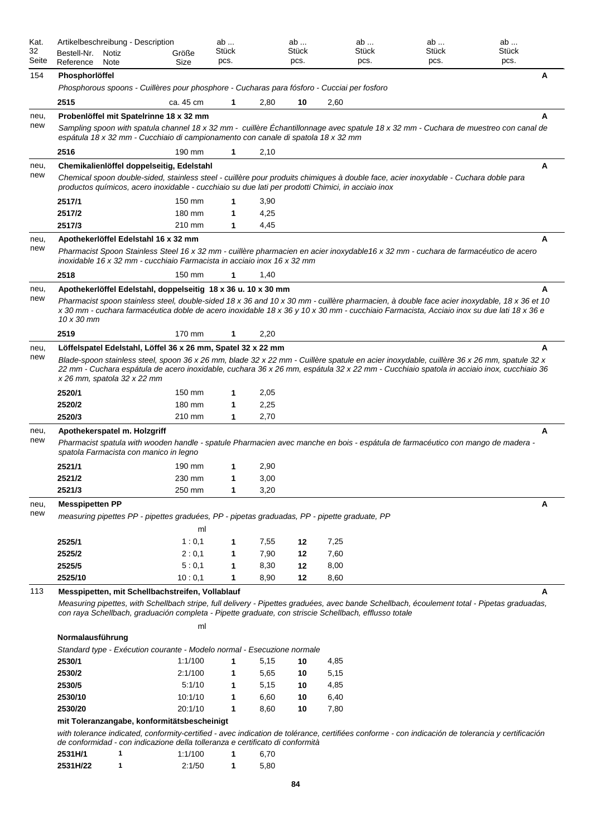| Kat.<br>32<br>Seite | Artikelbeschreibung - Description<br>Bestell-Nr.<br>Reference                                | Notiz<br>Note | Größe<br>Size | ab<br>Stück<br>pcs. |      | ab<br>Stück<br>pcs. |      | ab<br>Stück<br>pcs.                                                                                   | ab<br><b>Stück</b><br>pcs.                                                                                                                                                                                                                                                             | ab<br>Stück<br>pcs. |   |
|---------------------|----------------------------------------------------------------------------------------------|---------------|---------------|---------------------|------|---------------------|------|-------------------------------------------------------------------------------------------------------|----------------------------------------------------------------------------------------------------------------------------------------------------------------------------------------------------------------------------------------------------------------------------------------|---------------------|---|
| 154                 | Phosphorlöffel                                                                               |               |               |                     |      |                     |      |                                                                                                       |                                                                                                                                                                                                                                                                                        |                     | A |
|                     | Phosphorous spoons - Cuillères pour phosphore - Cucharas para fósforo - Cucciai per fosforo  |               |               |                     |      |                     |      |                                                                                                       |                                                                                                                                                                                                                                                                                        |                     |   |
|                     | 2515                                                                                         |               | ca. 45 cm     | 1                   | 2,80 | 10                  | 2,60 |                                                                                                       |                                                                                                                                                                                                                                                                                        |                     |   |
| neu,                | Probenlöffel mit Spatelrinne 18 x 32 mm                                                      |               |               |                     |      |                     |      |                                                                                                       |                                                                                                                                                                                                                                                                                        |                     | A |
| new                 | espátula 18 x 32 mm - Cucchiaio di campionamento con canale di spatola 18 x 32 mm            |               |               |                     |      |                     |      |                                                                                                       | Sampling spoon with spatula channel 18 x 32 mm - cuillère Echantillonnage avec spatule 18 x 32 mm - Cuchara de muestreo con canal de                                                                                                                                                   |                     |   |
|                     | 2516                                                                                         |               | 190 mm        | 1                   | 2,10 |                     |      |                                                                                                       |                                                                                                                                                                                                                                                                                        |                     |   |
| neu,                | Chemikalienlöffel doppelseitig, Edelstahl                                                    |               |               |                     |      |                     |      |                                                                                                       |                                                                                                                                                                                                                                                                                        |                     | Α |
| new                 |                                                                                              |               |               |                     |      |                     |      | productos químicos, acero inoxidable - cucchiaio su due lati per prodotti Chimici, in acciaio inox    | Chemical spoon double-sided, stainless steel - cuillère pour produits chimiques à double face, acier inoxydable - Cuchara doble para                                                                                                                                                   |                     |   |
|                     | 2517/1                                                                                       |               | 150 mm        |                     | 3,90 |                     |      |                                                                                                       |                                                                                                                                                                                                                                                                                        |                     |   |
|                     | 2517/2                                                                                       |               | 180 mm        | 1                   | 4,25 |                     |      |                                                                                                       |                                                                                                                                                                                                                                                                                        |                     |   |
|                     | 2517/3                                                                                       |               | 210 mm        | 1                   | 4,45 |                     |      |                                                                                                       |                                                                                                                                                                                                                                                                                        |                     |   |
| neu,                | Apothekerlöffel Edelstahl 16 x 32 mm                                                         |               |               |                     |      |                     |      |                                                                                                       |                                                                                                                                                                                                                                                                                        |                     | A |
| new                 | inoxidable 16 x 32 mm - cucchiaio Farmacista in acciaio inox 16 x 32 mm                      |               |               |                     |      |                     |      |                                                                                                       | Pharmacist Spoon Stainless Steel 16 x 32 mm - cuillère pharmacien en acier inoxydable16 x 32 mm - cuchara de farmacéutico de acero                                                                                                                                                     |                     |   |
|                     | 2518                                                                                         |               | 150 mm        | 1                   | 1,40 |                     |      |                                                                                                       |                                                                                                                                                                                                                                                                                        |                     |   |
| neu,                | Apothekerlöffel Edelstahl, doppelseitig 18 x 36 u. 10 x 30 mm                                |               |               |                     |      |                     |      |                                                                                                       |                                                                                                                                                                                                                                                                                        |                     | A |
| new                 | 10 x 30 mm                                                                                   |               |               |                     |      |                     |      |                                                                                                       | Pharmacist spoon stainless steel, double-sided 18 x 36 and 10 x 30 mm - cuillère pharmacien, à double face acier inoxydable, 18 x 36 et 10<br>x 30 mm - cuchara farmacéutica doble de acero inoxidable 18 x 36 y 10 x 30 mm - cucchiaio Farmacista, Acciaio inox su due lati 18 x 36 e |                     |   |
|                     | 2519                                                                                         |               | 170 mm        | 1                   | 2,20 |                     |      |                                                                                                       |                                                                                                                                                                                                                                                                                        |                     |   |
| neu,                | Löffelspatel Edelstahl, Löffel 36 x 26 mm, Spatel 32 x 22 mm                                 |               |               |                     |      |                     |      |                                                                                                       |                                                                                                                                                                                                                                                                                        |                     | A |
| new                 | x 26 mm, spatola 32 x 22 mm                                                                  |               |               |                     |      |                     |      |                                                                                                       | Blade-spoon stainless steel, spoon 36 x 26 mm, blade 32 x 22 mm - Cuillère spatule en acier inoxydable, cuillère 36 x 26 mm, spatule 32 x<br>22 mm - Cuchara espátula de acero inoxidable, cuchara 36 x 26 mm, espátula 32 x 22 mm - Cucchiaio spatola in acciaio inox, cucchiaio 36   |                     |   |
|                     | 2520/1                                                                                       |               | 150 mm        | 1                   | 2,05 |                     |      |                                                                                                       |                                                                                                                                                                                                                                                                                        |                     |   |
|                     | 2520/2                                                                                       |               | 180 mm        | 1                   | 2,25 |                     |      |                                                                                                       |                                                                                                                                                                                                                                                                                        |                     |   |
|                     | 2520/3                                                                                       |               | 210 mm        | 1                   | 2,70 |                     |      |                                                                                                       |                                                                                                                                                                                                                                                                                        |                     |   |
| neu,<br>new         | Apothekerspatel m. Holzgriff                                                                 |               |               |                     |      |                     |      |                                                                                                       |                                                                                                                                                                                                                                                                                        |                     | A |
|                     | spatola Farmacista con manico in legno                                                       |               |               |                     |      |                     |      |                                                                                                       | Pharmacist spatula with wooden handle - spatule Pharmacien avec manche en bois - espátula de farmacéutico con mango de madera -                                                                                                                                                        |                     |   |
|                     | 2521/1                                                                                       |               | 190 mm        | 1                   | 2,90 |                     |      |                                                                                                       |                                                                                                                                                                                                                                                                                        |                     |   |
|                     | 2521/2                                                                                       |               | 230 mm        | 1                   | 3,00 |                     |      |                                                                                                       |                                                                                                                                                                                                                                                                                        |                     |   |
|                     | 2521/3                                                                                       |               | 250 mm        | 1                   | 3,20 |                     |      |                                                                                                       |                                                                                                                                                                                                                                                                                        |                     |   |
| neu,<br>new         | <b>Messpipetten PP</b>                                                                       |               |               |                     |      |                     |      |                                                                                                       |                                                                                                                                                                                                                                                                                        |                     | Α |
|                     | measuring pipettes PP - pipettes graduées, PP - pipetas graduadas, PP - pipette graduate, PP |               |               |                     |      |                     |      |                                                                                                       |                                                                                                                                                                                                                                                                                        |                     |   |
|                     |                                                                                              |               | ml            |                     |      |                     |      |                                                                                                       |                                                                                                                                                                                                                                                                                        |                     |   |
|                     | 2525/1                                                                                       |               | 1:0,1         | 1                   | 7,55 | 12                  | 7,25 |                                                                                                       |                                                                                                                                                                                                                                                                                        |                     |   |
|                     | 2525/2                                                                                       |               | 2:0,1         | 1                   | 7,90 | 12                  | 7,60 |                                                                                                       |                                                                                                                                                                                                                                                                                        |                     |   |
|                     | 2525/5                                                                                       |               | 5:0,1         | 1                   | 8,30 | 12                  | 8,00 |                                                                                                       |                                                                                                                                                                                                                                                                                        |                     |   |
|                     | 2525/10                                                                                      |               | 10:0,1        | 1                   | 8,90 | 12                  | 8,60 |                                                                                                       |                                                                                                                                                                                                                                                                                        |                     |   |
| 113                 | Messpipetten, mit Schellbachstreifen, Vollablauf                                             |               |               |                     |      |                     |      | con raya Schellbach, graduación completa - Pipette graduate, con striscie Schellbach, efflusso totale | Measuring pipettes, with Schellbach stripe, full delivery - Pipettes graduées, avec bande Schellbach, écoulement total - Pipetas graduadas,                                                                                                                                            |                     | A |
|                     |                                                                                              |               | ml            |                     |      |                     |      |                                                                                                       |                                                                                                                                                                                                                                                                                        |                     |   |
|                     | Normalausführung                                                                             |               |               |                     |      |                     |      |                                                                                                       |                                                                                                                                                                                                                                                                                        |                     |   |
|                     | Standard type - Exécution courante - Modelo normal - Esecuzione normale                      |               |               |                     |      |                     |      |                                                                                                       |                                                                                                                                                                                                                                                                                        |                     |   |
|                     | 2530/1                                                                                       |               | 1:1/100       | 1                   | 5,15 | 10                  | 4,85 |                                                                                                       |                                                                                                                                                                                                                                                                                        |                     |   |
|                     | 2530/2                                                                                       |               | 2:1/100       | 1                   | 5,65 | 10                  | 5,15 |                                                                                                       |                                                                                                                                                                                                                                                                                        |                     |   |
|                     | 2530/5                                                                                       |               | 5:1/10        | 1                   | 5,15 | 10                  | 4,85 |                                                                                                       |                                                                                                                                                                                                                                                                                        |                     |   |
|                     | 2530/10                                                                                      |               | 10:1/10       | 1                   | 6,60 | 10                  | 6,40 |                                                                                                       |                                                                                                                                                                                                                                                                                        |                     |   |
|                     | 2530/20                                                                                      |               | 20:1/10       | 1                   | 8,60 | 10                  | 7,80 |                                                                                                       |                                                                                                                                                                                                                                                                                        |                     |   |
|                     | mit Toleranzangabe, konformitätsbescheinigt                                                  |               |               |                     |      |                     |      |                                                                                                       |                                                                                                                                                                                                                                                                                        |                     |   |
|                     | de conformidad - con indicazione della tolleranza e certificato di conformità                |               |               |                     |      |                     |      |                                                                                                       | with tolerance indicated, conformity-certified - avec indication de tolérance, certifiées conforme - con indicación de tolerancia y certificación                                                                                                                                      |                     |   |
|                     | 2531H/1                                                                                      | 1             | 1:1/100       | 1                   | 6,70 |                     |      |                                                                                                       |                                                                                                                                                                                                                                                                                        |                     |   |

| 2531H/22 | 2:1/50 | 5.80 |
|----------|--------|------|
|          |        |      |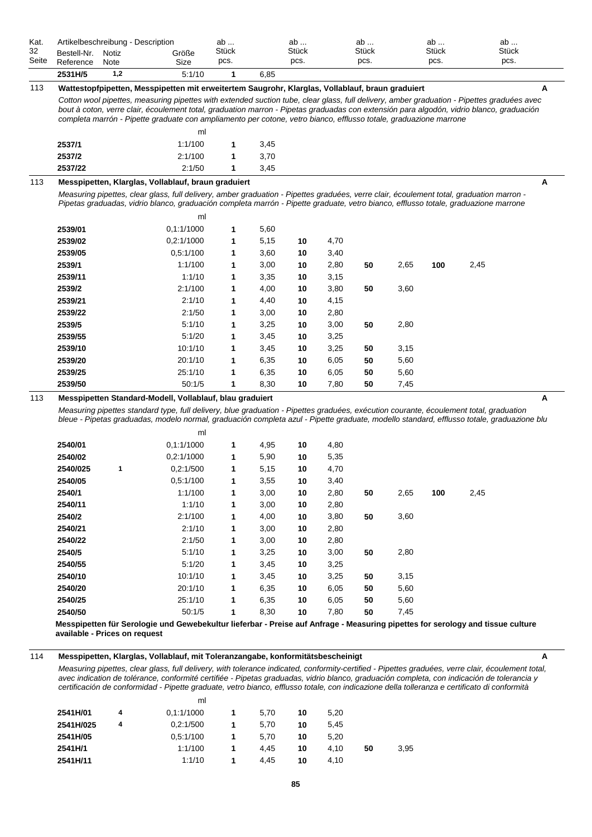| Kat.  |             |       | Artikelbeschreibung - Description                                                                                                                                                                                                                                                                                                                                                                                 | ab    |      | ab           |      | ab    |      | ab    |      | ab    |
|-------|-------------|-------|-------------------------------------------------------------------------------------------------------------------------------------------------------------------------------------------------------------------------------------------------------------------------------------------------------------------------------------------------------------------------------------------------------------------|-------|------|--------------|------|-------|------|-------|------|-------|
| 32    | Bestell-Nr. | Notiz | Größe                                                                                                                                                                                                                                                                                                                                                                                                             | Stück |      | <b>Stück</b> |      | Stück |      | Stück |      | Stück |
| Seite | Reference   | Note  | Size                                                                                                                                                                                                                                                                                                                                                                                                              | pcs.  |      | pcs.         |      | pcs.  |      | pcs.  |      | pcs.  |
|       | 2531H/5     | 1,2   | 5:1/10                                                                                                                                                                                                                                                                                                                                                                                                            | 1     | 6,85 |              |      |       |      |       |      |       |
| 113   |             |       | Wattestopfpipetten, Messpipetten mit erweitertem Saugrohr, Klarglas, Vollablauf, braun graduiert                                                                                                                                                                                                                                                                                                                  |       |      |              |      |       |      |       |      | Α     |
|       |             |       | Cotton wool pipettes, measuring pipettes with extended suction tube, clear glass, full delivery, amber graduation - Pipettes graduées avec<br>bout à coton, verre clair, écoulement total, graduation marron - Pipetas graduadas con extensión para algodón, vidrio blanco, graduación<br>completa marrón - Pipette graduate con ampliamento per cotone, vetro bianco, efflusso totale, graduazione marrone<br>ml |       |      |              |      |       |      |       |      |       |
|       | 2537/1      |       | 1:1/100                                                                                                                                                                                                                                                                                                                                                                                                           | 1     | 3,45 |              |      |       |      |       |      |       |
|       | 2537/2      |       | 2:1/100                                                                                                                                                                                                                                                                                                                                                                                                           | 1     | 3,70 |              |      |       |      |       |      |       |
|       | 2537/22     |       | 2:1/50                                                                                                                                                                                                                                                                                                                                                                                                            | 1     | 3,45 |              |      |       |      |       |      |       |
| 113   |             |       | Messpipetten, Klarglas, Vollablauf, braun graduiert                                                                                                                                                                                                                                                                                                                                                               |       |      |              |      |       |      |       |      | Α     |
|       |             |       | Measuring pipettes, clear glass, full delivery, amber graduation - Pipettes graduées, verre clair, écoulement total, graduation marron -<br>Pipetas graduadas, vidrio blanco, graduación completa marrón - Pipette graduate, vetro bianco, efflusso totale, graduazione marrone                                                                                                                                   |       |      |              |      |       |      |       |      |       |
|       |             |       | ml                                                                                                                                                                                                                                                                                                                                                                                                                |       |      |              |      |       |      |       |      |       |
|       | 2539/01     |       | 0,1:1/1000                                                                                                                                                                                                                                                                                                                                                                                                        | 1     | 5,60 |              |      |       |      |       |      |       |
|       | 2539/02     |       | 0,2:1/1000                                                                                                                                                                                                                                                                                                                                                                                                        | 1     | 5,15 | 10           | 4,70 |       |      |       |      |       |
|       | 2539/05     |       | 0,5:1/100                                                                                                                                                                                                                                                                                                                                                                                                         | 1     | 3,60 | 10           | 3,40 |       |      |       |      |       |
|       | 2539/1      |       | 1:1/100                                                                                                                                                                                                                                                                                                                                                                                                           | 1     | 3,00 | 10           | 2,80 | 50    | 2,65 | 100   | 2,45 |       |
|       | 2539/11     |       | 1:1/10                                                                                                                                                                                                                                                                                                                                                                                                            | 1     | 3,35 | 10           | 3,15 |       |      |       |      |       |
|       | 2539/2      |       | 2:1/100                                                                                                                                                                                                                                                                                                                                                                                                           | 1     | 4,00 | 10           | 3,80 | 50    | 3,60 |       |      |       |
|       | 2539/21     |       | 2:1/10                                                                                                                                                                                                                                                                                                                                                                                                            | 1     | 4,40 | 10           | 4,15 |       |      |       |      |       |
|       | 2539/22     |       | 2:1/50                                                                                                                                                                                                                                                                                                                                                                                                            | 1     | 3,00 | 10           | 2,80 |       |      |       |      |       |
|       | 2539/5      |       | 5:1/10                                                                                                                                                                                                                                                                                                                                                                                                            | 1     | 3,25 | 10           | 3,00 | 50    | 2,80 |       |      |       |
|       | 2539/55     |       | 5:1/20                                                                                                                                                                                                                                                                                                                                                                                                            | 1     | 3,45 | 10           | 3,25 |       |      |       |      |       |
|       | 2539/10     |       | 10:1/10                                                                                                                                                                                                                                                                                                                                                                                                           | 1     | 3,45 | 10           | 3,25 | 50    | 3,15 |       |      |       |
|       | 2539/20     |       | 20:1/10                                                                                                                                                                                                                                                                                                                                                                                                           | 1     | 6,35 | 10           | 6,05 | 50    | 5,60 |       |      |       |
|       | 2539/25     |       | 25:1/10                                                                                                                                                                                                                                                                                                                                                                                                           | 1     | 6,35 | 10           | 6,05 | 50    | 5,60 |       |      |       |
|       | 2539/50     |       | 50:1/5                                                                                                                                                                                                                                                                                                                                                                                                            | 1     | 8,30 | 10           | 7,80 | 50    | 7,45 |       |      |       |
| 113   |             |       | Messpipetten Standard-Modell, Vollablauf, blau graduiert<br>Measuring pipettes standard type, full delivery, blue graduation - Pipettes graduées, exécution courante, écoulement total, graduation<br>bleue - Pipetas graduadas, modelo normal, graduación completa azul - Pipette graduate, modello standard, efflusso totale, graduazione blu<br>ml                                                             |       |      |              |      |       |      |       |      | A     |
|       | 2540/01     |       | 0,1:1/1000                                                                                                                                                                                                                                                                                                                                                                                                        | 1     | 4,95 | 10           | 4,80 |       |      |       |      |       |
|       | 2540/02     |       | 0,2:1/1000                                                                                                                                                                                                                                                                                                                                                                                                        | 1     | 5,90 | 10           | 5,35 |       |      |       |      |       |
|       | 2540/025    | 1     | 0,2:1/500                                                                                                                                                                                                                                                                                                                                                                                                         | 1     | 5,15 | 10           | 4,70 |       |      |       |      |       |
|       | 2540/05     |       | 0,5:1/100                                                                                                                                                                                                                                                                                                                                                                                                         | 1     | 3,55 | 10           | 3,40 |       |      |       |      |       |
|       | 2540/1      |       | 1:1/100                                                                                                                                                                                                                                                                                                                                                                                                           | 1     | 3,00 | 10           | 2,80 | 50    | 2,65 | 100   | 2,45 |       |
|       | 2540/11     |       | 1:1/10                                                                                                                                                                                                                                                                                                                                                                                                            | 1     | 3,00 | 10           | 2,80 |       |      |       |      |       |
|       | 2540/2      |       | 2:1/100                                                                                                                                                                                                                                                                                                                                                                                                           | 1     | 4,00 | 10           | 3,80 | 50    | 3,60 |       |      |       |
|       | 2540/21     |       | 2:1/10                                                                                                                                                                                                                                                                                                                                                                                                            | 1     | 3,00 | 10           | 2,80 |       |      |       |      |       |
|       | 2540/22     |       | 2:1/50                                                                                                                                                                                                                                                                                                                                                                                                            | 1     | 3,00 | 10           | 2,80 |       |      |       |      |       |
|       | 2540/5      |       | 5:1/10                                                                                                                                                                                                                                                                                                                                                                                                            | 1     | 3,25 | 10           | 3,00 | 50    | 2,80 |       |      |       |
|       | 2540/55     |       | 5:1/20                                                                                                                                                                                                                                                                                                                                                                                                            | 1     | 3,45 | 10           | 3,25 |       |      |       |      |       |
|       | 2540/10     |       | 10:1/10                                                                                                                                                                                                                                                                                                                                                                                                           | 1     | 3,45 | 10           | 3,25 | 50    | 3,15 |       |      |       |
|       | 2540/20     |       | 20:1/10                                                                                                                                                                                                                                                                                                                                                                                                           | 1     | 6,35 | 10           | 6,05 | 50    | 5,60 |       |      |       |
|       | 2540/25     |       | 25:1/10                                                                                                                                                                                                                                                                                                                                                                                                           | 1     | 6,35 | 10           | 6,05 | 50    | 5,60 |       |      |       |
|       | 2540/50     |       | 50:1/5                                                                                                                                                                                                                                                                                                                                                                                                            | 1     | 8,30 | $10\,$       | 7,80 | 50    | 7,45 |       |      |       |

**Messpipetten für Serologie und Gewebekultur lieferbar - Preise auf Anfrage - Measuring pipettes for serology and tissue culture available - Prices on request**

# 114 Messpipetten, Klarglas, Vollablauf, mit Toleranzangabe, konformitätsbescheinigt **A**

*Measuring pipettes, clear glass, full delivery, with tolerance indicated, conformity-certified - Pipettes graduées, verre clair, écoulement total, avec indication de tolérance, conformité certifiée - Pipetas graduadas, vidrio blanco, graduación completa, con indicación de tolerancia y certificación de conformidad - Pipette graduate, vetro bianco, efflusso totale, con indicazione della tolleranza e certificato di conformità*

|           |   | ml         |      |    |      |    |      |
|-----------|---|------------|------|----|------|----|------|
| 2541H/01  | 4 | 0.1:1/1000 | 5,70 | 10 | 5.20 |    |      |
| 2541H/025 | 4 | 0.2:1/500  | 5,70 | 10 | 5.45 |    |      |
| 2541H/05  |   | 0.5:1/100  | 5,70 | 10 | 5.20 |    |      |
| 2541H/1   |   | 1:1/100    | 4.45 | 10 | 4.10 | 50 | 3,95 |
| 2541H/11  |   | 1:1/10     | 4.45 | 10 | 4.10 |    |      |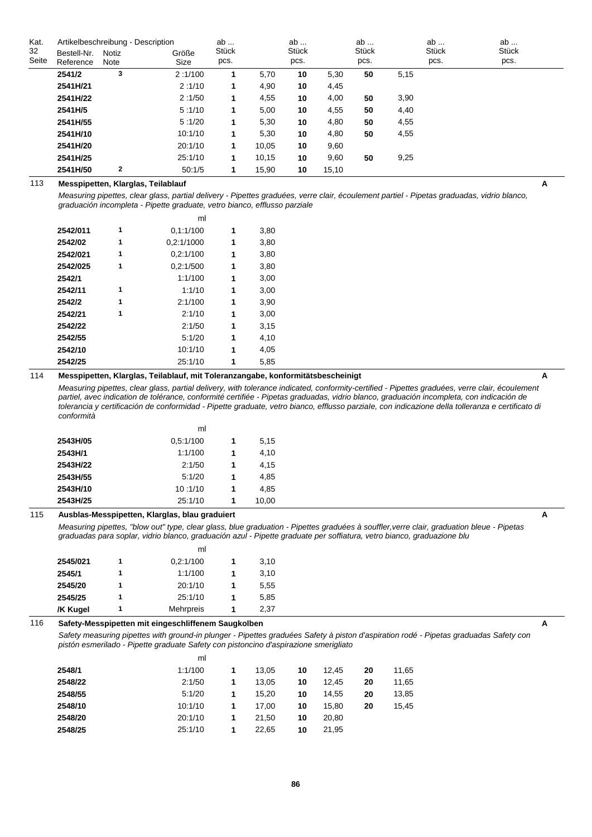| Kat.  | Artikelbeschreibung - Description |              | ab      |       | ab    |       | ab    |              | ab   | ab           |              |  |
|-------|-----------------------------------|--------------|---------|-------|-------|-------|-------|--------------|------|--------------|--------------|--|
| 32    | Bestell-Nr.                       | Notiz        | Größe   | Stück |       | Stück |       | <b>Stück</b> |      | <b>Stück</b> | <b>Stück</b> |  |
| Seite | Reference                         | Note         | Size    | pcs.  |       | pcs.  |       | pcs.         |      | pcs.         | pcs.         |  |
|       | 2541/2                            | 3            | 2:1/100 |       | 5,70  | 10    | 5,30  | 50           | 5,15 |              |              |  |
|       | 2541H/21                          |              | 2:1/10  | 1     | 4,90  | 10    | 4,45  |              |      |              |              |  |
|       | 2541H/22                          |              | 2:1/50  | 1     | 4,55  | 10    | 4,00  | 50           | 3,90 |              |              |  |
|       | 2541H/5                           |              | 5:1/10  | 1     | 5,00  | 10    | 4,55  | 50           | 4,40 |              |              |  |
|       | 2541H/55                          |              | 5:1/20  | 1     | 5,30  | 10    | 4,80  | 50           | 4,55 |              |              |  |
|       | 2541H/10                          |              | 10:1/10 | 1     | 5,30  | 10    | 4,80  | 50           | 4,55 |              |              |  |
|       | 2541H/20                          |              | 20:1/10 | 1     | 10,05 | 10    | 9,60  |              |      |              |              |  |
|       | 2541H/25                          |              | 25:1/10 | 1     | 10,15 | 10    | 9,60  | 50           | 9,25 |              |              |  |
|       | 2541H/50                          | $\mathbf{2}$ | 50:1/5  | 1     | 15,90 | 10    | 15,10 |              |      |              |              |  |

# 113 **Messpipetten, Klarglas, Teilablauf A**

*Measuring pipettes, clear glass, partial delivery - Pipettes graduées, verre clair, écoulement partiel - Pipetas graduadas, vidrio blanco, graduación incompleta - Pipette graduate, vetro bianco, efflusso parziale*

|          |   | ml         |   |      |
|----------|---|------------|---|------|
| 2542/011 | 1 | 0.1:1/100  | 1 | 3,80 |
| 2542/02  | 1 | 0,2:1/1000 | 1 | 3,80 |
| 2542/021 | 1 | 0,2:1/100  | 1 | 3,80 |
| 2542/025 | 1 | 0.2:1/500  | 1 | 3,80 |
| 2542/1   |   | 1:1/100    | 1 | 3,00 |
| 2542/11  |   | 1:1/10     | 1 | 3,00 |
| 2542/2   | 1 | 2:1/100    | 1 | 3,90 |
| 2542/21  | 1 | 2:1/10     | 1 | 3,00 |
| 2542/22  |   | 2:1/50     | 1 | 3,15 |
| 2542/55  |   | 5:1/20     | 1 | 4,10 |
| 2542/10  |   | 10:1/10    | 1 | 4,05 |
| 2542/25  |   | 25:1/10    |   | 5,85 |

### 114 **Messpipetten, Klarglas, Teilablauf, mit Toleranzangabe, konformitätsbescheinigt A**

*Measuring pipettes, clear glass, partial delivery, with tolerance indicated, conformity-certified - Pipettes graduées, verre clair, écouIement partiel, avec indication de tolérance, conformité certifiée - Pipetas graduadas, vidrio blanco, graduación incompleta, con indicación de tolerancia y certificación de conformidad - Pipette graduate, vetro bianco, efflusso parziaIe, con indicazione della tolleranza e certificato di conformità*

|          | ml        |   |       |
|----------|-----------|---|-------|
| 2543H/05 | 0.5:1/100 | 1 | 5,15  |
| 2543H/1  | 1:1/100   | 1 | 4.10  |
| 2543H/22 | 2:1/50    | 1 | 4.15  |
| 2543H/55 | 5:1/20    | 1 | 4.85  |
| 2543H/10 | 10:1/10   | 1 | 4.85  |
| 2543H/25 | 25:1/10   | 1 | 10.00 |

# 115 **Ausblas-Messpipetten, Klarglas, blau graduiert A**

*Measuring pipettes, "blow out" type, clear glass, blue graduation - Pipettes graduées à souffler,verre clair, graduation bleue - Pipetas graduadas para soplar, vidrio blanco, graduación azul - Pipette graduate per soffiatura, vetro bianco, graduazione blu*

|          |   | ml               |      |
|----------|---|------------------|------|
| 2545/021 | 1 | 0.2:1/100        | 3,10 |
| 2545/1   |   | 1:1/100          | 3,10 |
| 2545/20  | 1 | 20:1/10          | 5,55 |
| 2545/25  | 1 | 25:1/10          | 5,85 |
| /K Kugel | 1 | <b>Mehrpreis</b> | 2,37 |

# 116 **Safety-Messpipetten mit eingeschliffenem Saugkolben A**

*Safety measuring pipettes with ground-in plunger - Pipettes graduées Safety à piston d'aspiration rodé - Pipetas graduadas Safety con pistón esmerilado - Pipette graduate Safety con pistoncino d'aspirazione smerigliato*

|         | ml      |   |       |    |       |    |       |
|---------|---------|---|-------|----|-------|----|-------|
| 2548/1  | 1:1/100 |   | 13.05 | 10 | 12.45 | 20 | 11,65 |
| 2548/22 | 2:1/50  |   | 13.05 | 10 | 12.45 | 20 | 11,65 |
| 2548/55 | 5:1/20  | 1 | 15,20 | 10 | 14.55 | 20 | 13,85 |
| 2548/10 | 10:1/10 |   | 17.00 | 10 | 15.80 | 20 | 15.45 |
| 2548/20 | 20:1/10 | 1 | 21.50 | 10 | 20.80 |    |       |
| 2548/25 | 25:1/10 | 1 | 22.65 | 10 | 21.95 |    |       |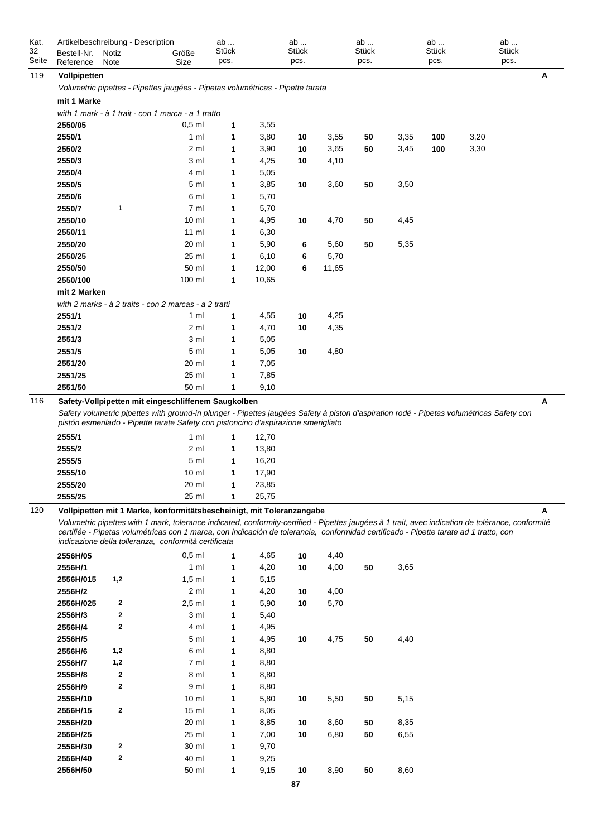| Kat.<br>32 | Artikelbeschreibung - Description |               |                                                                                                                                                                                                                                                                                                                                                                                                                             | ab<br>Stück |                | ab<br><b>Stück</b> |              | ab<br><b>Stück</b> |      | ab<br><b>Stück</b> |      | ab<br><b>Stück</b> |   |
|------------|-----------------------------------|---------------|-----------------------------------------------------------------------------------------------------------------------------------------------------------------------------------------------------------------------------------------------------------------------------------------------------------------------------------------------------------------------------------------------------------------------------|-------------|----------------|--------------------|--------------|--------------------|------|--------------------|------|--------------------|---|
| Seite      | Bestell-Nr.<br>Reference          | Notiz<br>Note | Größe<br>Size                                                                                                                                                                                                                                                                                                                                                                                                               | pcs.        |                | pcs.               |              | pcs.               |      | pcs.               |      | pcs.               |   |
| 119        | Vollpipetten                      |               |                                                                                                                                                                                                                                                                                                                                                                                                                             |             |                |                    |              |                    |      |                    |      |                    | Α |
|            |                                   |               | Volumetric pipettes - Pipettes jaugées - Pipetas volumétricas - Pipette tarata                                                                                                                                                                                                                                                                                                                                              |             |                |                    |              |                    |      |                    |      |                    |   |
|            | mit 1 Marke                       |               |                                                                                                                                                                                                                                                                                                                                                                                                                             |             |                |                    |              |                    |      |                    |      |                    |   |
|            |                                   |               | with 1 mark - à 1 trait - con 1 marca - a 1 tratto                                                                                                                                                                                                                                                                                                                                                                          |             |                |                    |              |                    |      |                    |      |                    |   |
|            | 2550/05                           |               | $0,5$ ml                                                                                                                                                                                                                                                                                                                                                                                                                    | 1           | 3,55           |                    |              |                    |      |                    |      |                    |   |
|            | 2550/1                            |               | 1 ml                                                                                                                                                                                                                                                                                                                                                                                                                        | 1           | 3,80           | 10                 | 3,55         | 50                 | 3,35 | 100                | 3,20 |                    |   |
|            | 2550/2                            |               | 2 ml                                                                                                                                                                                                                                                                                                                                                                                                                        | 1           | 3,90           | 10                 | 3,65         | 50                 | 3,45 | 100                | 3,30 |                    |   |
|            | 2550/3                            |               | 3 ml                                                                                                                                                                                                                                                                                                                                                                                                                        | 1           | 4,25           | 10                 | 4,10         |                    |      |                    |      |                    |   |
|            | 2550/4                            |               | 4 ml                                                                                                                                                                                                                                                                                                                                                                                                                        | 1           | 5,05           |                    |              |                    |      |                    |      |                    |   |
|            | 2550/5                            |               | 5 ml                                                                                                                                                                                                                                                                                                                                                                                                                        | 1           | 3,85           | 10                 | 3,60         | 50                 | 3,50 |                    |      |                    |   |
|            | 2550/6                            |               | 6 ml                                                                                                                                                                                                                                                                                                                                                                                                                        | 1           | 5,70           |                    |              |                    |      |                    |      |                    |   |
|            | 2550/7                            | 1             | 7 ml                                                                                                                                                                                                                                                                                                                                                                                                                        | 1           | 5,70           |                    |              |                    |      |                    |      |                    |   |
|            | 2550/10                           |               | 10 <sub>m</sub>                                                                                                                                                                                                                                                                                                                                                                                                             | 1           | 4,95           | 10                 | 4,70         | 50                 | 4,45 |                    |      |                    |   |
|            | 2550/11                           |               | $11 \text{ ml}$                                                                                                                                                                                                                                                                                                                                                                                                             | 1           | 6,30           |                    |              |                    |      |                    |      |                    |   |
|            | 2550/20                           |               | 20 ml                                                                                                                                                                                                                                                                                                                                                                                                                       | 1           | 5,90           | 6                  | 5,60         | 50                 | 5,35 |                    |      |                    |   |
|            | 2550/25                           |               | 25 ml                                                                                                                                                                                                                                                                                                                                                                                                                       | 1           | 6,10           | 6                  | 5,70         |                    |      |                    |      |                    |   |
|            | 2550/50                           |               | 50 ml                                                                                                                                                                                                                                                                                                                                                                                                                       | 1           | 12,00          | 6                  | 11,65        |                    |      |                    |      |                    |   |
|            | 2550/100                          |               | 100 ml                                                                                                                                                                                                                                                                                                                                                                                                                      | 1           | 10,65          |                    |              |                    |      |                    |      |                    |   |
|            | mit 2 Marken                      |               |                                                                                                                                                                                                                                                                                                                                                                                                                             |             |                |                    |              |                    |      |                    |      |                    |   |
|            |                                   |               | with 2 marks - à 2 traits - con 2 marcas - a 2 tratti                                                                                                                                                                                                                                                                                                                                                                       |             |                |                    |              |                    |      |                    |      |                    |   |
|            | 2551/1                            |               | 1 <sub>m</sub>                                                                                                                                                                                                                                                                                                                                                                                                              | 1           | 4,55           | 10                 | 4,25         |                    |      |                    |      |                    |   |
|            | 2551/2                            |               | 2 ml                                                                                                                                                                                                                                                                                                                                                                                                                        | 1           | 4,70           | 10                 | 4,35         |                    |      |                    |      |                    |   |
|            | 2551/3                            |               | 3 ml                                                                                                                                                                                                                                                                                                                                                                                                                        | 1           | 5,05           |                    |              |                    |      |                    |      |                    |   |
|            | 2551/5                            |               | 5 ml                                                                                                                                                                                                                                                                                                                                                                                                                        | 1           | 5,05           | 10                 | 4,80         |                    |      |                    |      |                    |   |
|            | 2551/20                           |               | 20 ml                                                                                                                                                                                                                                                                                                                                                                                                                       | 1           | 7,05           |                    |              |                    |      |                    |      |                    |   |
|            | 2551/25<br>2551/50                |               | 25 ml<br>50 ml                                                                                                                                                                                                                                                                                                                                                                                                              | 1           | 7,85<br>9,10   |                    |              |                    |      |                    |      |                    |   |
| 116        |                                   |               | Safety-Vollpipetten mit eingeschliffenem Saugkolben                                                                                                                                                                                                                                                                                                                                                                         | 1           |                |                    |              |                    |      |                    |      |                    | A |
|            | 2555/1<br>2555/2                  |               | Safety volumetric pipettes with ground-in plunger - Pipettes jaugées Safety à piston d'aspiration rodé - Pipetas volumétricas Safety con<br>pistón esmerilado - Pipette tarate Safety con pistoncino d'aspirazione smerigliato<br>1 <sub>m</sub><br>2 <sub>m</sub>                                                                                                                                                          | 1<br>1      | 12,70<br>13,80 |                    |              |                    |      |                    |      |                    |   |
|            | 2555/5                            |               | 5 ml                                                                                                                                                                                                                                                                                                                                                                                                                        | 1           | 16,20          |                    |              |                    |      |                    |      |                    |   |
|            | 2555/10                           |               | 10 <sub>m</sub>                                                                                                                                                                                                                                                                                                                                                                                                             | 1           | 17,90          |                    |              |                    |      |                    |      |                    |   |
|            | 2555/20                           |               | 20 ml                                                                                                                                                                                                                                                                                                                                                                                                                       | 1           | 23,85          |                    |              |                    |      |                    |      |                    |   |
|            | 2555/25                           |               | 25 ml                                                                                                                                                                                                                                                                                                                                                                                                                       | 1           | 25,75          |                    |              |                    |      |                    |      |                    |   |
| 120        |                                   |               | Vollpipetten mit 1 Marke, konformitätsbescheinigt, mit Toleranzangabe<br>Volumetric pipettes with 1 mark, tolerance indicated, conformity-certified - Pipettes jaugées à 1 trait, avec indication de tolérance, conformité<br>certifiée - Pipetas volumétricas con 1 marca, con indicación de tolerancia, conformidad certificado - Pipette tarate ad 1 tratto, con<br>indicazione della tolleranza, conformità certificata |             |                |                    |              |                    |      |                    |      |                    | Α |
|            | 2556H/05                          |               | $0,5$ ml                                                                                                                                                                                                                                                                                                                                                                                                                    | 1           | 4,65           | 10                 | 4,40         |                    |      |                    |      |                    |   |
|            | 2556H/1                           |               | 1 <sub>m</sub>                                                                                                                                                                                                                                                                                                                                                                                                              | 1           | 4,20           | 10                 | 4,00         | 50                 | 3,65 |                    |      |                    |   |
|            | 2556H/015                         | 1,2           | $1,5$ ml                                                                                                                                                                                                                                                                                                                                                                                                                    | 1           | 5,15           |                    |              |                    |      |                    |      |                    |   |
|            | 2556H/2                           | 2             | 2 ml                                                                                                                                                                                                                                                                                                                                                                                                                        | 1           | 4,20           | 10                 | 4,00<br>5,70 |                    |      |                    |      |                    |   |
|            | 2556H/025<br>2556H/3              | 2             | $2,5$ ml<br>3 ml                                                                                                                                                                                                                                                                                                                                                                                                            | 1<br>1      | 5,90<br>5,40   | 10                 |              |                    |      |                    |      |                    |   |
|            | 2556H/4                           | $\mathbf{2}$  | 4 ml                                                                                                                                                                                                                                                                                                                                                                                                                        | 1           | 4,95           |                    |              |                    |      |                    |      |                    |   |
|            | 2556H/5                           |               | 5 ml                                                                                                                                                                                                                                                                                                                                                                                                                        | 1           | 4,95           | 10                 | 4,75         | 50                 | 4,40 |                    |      |                    |   |
|            | 2556H/6                           | 1,2           | 6 ml                                                                                                                                                                                                                                                                                                                                                                                                                        | 1           | 8,80           |                    |              |                    |      |                    |      |                    |   |
|            | 2556H/7                           | 1,2           | 7 ml                                                                                                                                                                                                                                                                                                                                                                                                                        | 1           | 8,80           |                    |              |                    |      |                    |      |                    |   |
|            | 2556H/8                           | $\mathbf{2}$  | 8 ml                                                                                                                                                                                                                                                                                                                                                                                                                        | 1           | 8,80           |                    |              |                    |      |                    |      |                    |   |
|            | 2556H/9                           | $\mathbf{2}$  | 9 ml                                                                                                                                                                                                                                                                                                                                                                                                                        | 1           | 8,80           |                    |              |                    |      |                    |      |                    |   |
|            | 2556H/10                          |               | 10 <sub>m</sub>                                                                                                                                                                                                                                                                                                                                                                                                             | 1           | 5,80           | 10                 | 5,50         | 50                 | 5,15 |                    |      |                    |   |
|            | 2556H/15                          | $\mathbf{2}$  | 15 <sub>m</sub>                                                                                                                                                                                                                                                                                                                                                                                                             | 1           | 8,05           |                    |              |                    |      |                    |      |                    |   |
|            | 2556H/20                          |               | 20 ml                                                                                                                                                                                                                                                                                                                                                                                                                       | 1           | 8,85           | 10                 | 8,60         | 50                 | 8,35 |                    |      |                    |   |
|            | 2556H/25                          |               | 25 ml                                                                                                                                                                                                                                                                                                                                                                                                                       | 1           | 7,00           | 10                 | 6,80         | 50                 | 6,55 |                    |      |                    |   |
|            | 2556H/30                          | $\mathbf{2}$  | 30 ml                                                                                                                                                                                                                                                                                                                                                                                                                       | 1           | 9,70           |                    |              |                    |      |                    |      |                    |   |
|            | 2556H/40                          | $\mathbf{2}$  | 40 ml                                                                                                                                                                                                                                                                                                                                                                                                                       | 1           | 9,25           |                    |              |                    |      |                    |      |                    |   |
|            | 2556H/50                          |               | 50 ml                                                                                                                                                                                                                                                                                                                                                                                                                       | 1           | 9,15           | 10                 | 8,90         | 50                 | 8,60 |                    |      |                    |   |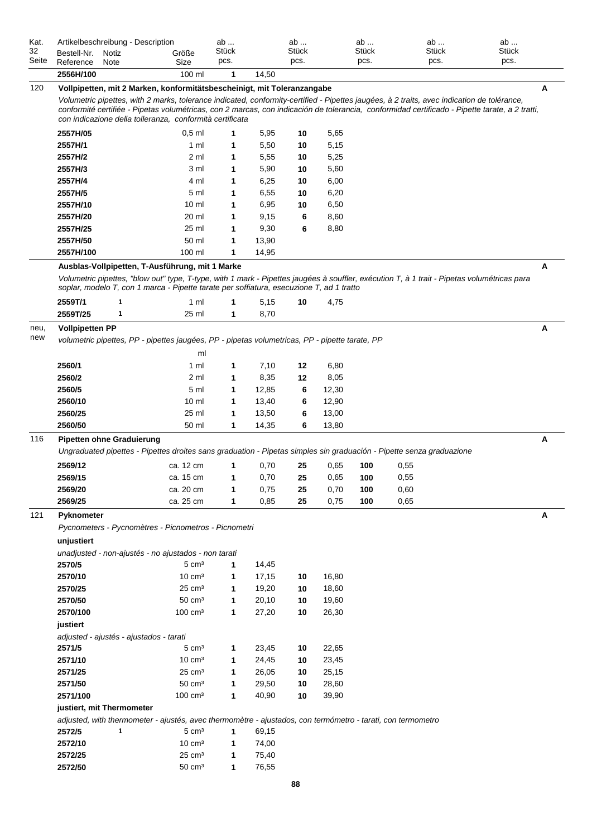| Kat.        |                                  |       | Artikelbeschreibung - Description                                                                           |                    | ab           |       | ab    |       | ab    | ab                                                                                                                                         | ab                                                                                                                                             |   |
|-------------|----------------------------------|-------|-------------------------------------------------------------------------------------------------------------|--------------------|--------------|-------|-------|-------|-------|--------------------------------------------------------------------------------------------------------------------------------------------|------------------------------------------------------------------------------------------------------------------------------------------------|---|
| 32          | Bestell-Nr.                      | Notiz | Größe                                                                                                       |                    | <b>Stück</b> |       | Stück |       | Stück | <b>Stück</b>                                                                                                                               | Stück                                                                                                                                          |   |
| Seite       | Reference                        | Note  | Size                                                                                                        |                    | pcs.         |       | pcs.  |       | pcs.  | pcs.                                                                                                                                       | pcs.                                                                                                                                           |   |
|             | 2556H/100                        |       |                                                                                                             | 100 ml             | 1            | 14,50 |       |       |       |                                                                                                                                            |                                                                                                                                                |   |
| 120         |                                  |       | Vollpipetten, mit 2 Marken, konformitätsbescheinigt, mit Toleranzangabe                                     |                    |              |       |       |       |       |                                                                                                                                            |                                                                                                                                                | A |
|             |                                  |       |                                                                                                             |                    |              |       |       |       |       | Volumetric pipettes, with 2 marks, tolerance indicated, conformity-certified - Pipettes jaugées, à 2 traits, avec indication de tolérance, |                                                                                                                                                |   |
|             |                                  |       |                                                                                                             |                    |              |       |       |       |       |                                                                                                                                            | conformité certifiée - Pipetas volumétricas, con 2 marcas, con indicación de tolerancia, conformidad certificado - Pipette tarate, a 2 tratti, |   |
|             |                                  |       | con indicazione della tolleranza, conformità certificata                                                    |                    |              |       |       |       |       |                                                                                                                                            |                                                                                                                                                |   |
|             | 2557H/05                         |       |                                                                                                             | $0,5$ ml           | 1            | 5,95  | 10    | 5,65  |       |                                                                                                                                            |                                                                                                                                                |   |
|             | 2557H/1                          |       |                                                                                                             | 1 ml               | 1            | 5,50  | 10    | 5,15  |       |                                                                                                                                            |                                                                                                                                                |   |
|             | 2557H/2                          |       |                                                                                                             | 2 ml               | 1            | 5,55  | 10    | 5,25  |       |                                                                                                                                            |                                                                                                                                                |   |
|             | 2557H/3                          |       |                                                                                                             | 3 ml               | 1            | 5,90  | 10    | 5,60  |       |                                                                                                                                            |                                                                                                                                                |   |
|             | 2557H/4                          |       |                                                                                                             | 4 ml               | 1            | 6,25  | 10    | 6,00  |       |                                                                                                                                            |                                                                                                                                                |   |
|             | 2557H/5                          |       |                                                                                                             | 5 ml               | 1            | 6,55  | 10    | 6,20  |       |                                                                                                                                            |                                                                                                                                                |   |
|             | 2557H/10                         |       |                                                                                                             | 10 <sub>m</sub>    | 1            | 6,95  | 10    | 6,50  |       |                                                                                                                                            |                                                                                                                                                |   |
|             | 2557H/20                         |       |                                                                                                             | 20 ml              | 1            | 9,15  | 6     | 8,60  |       |                                                                                                                                            |                                                                                                                                                |   |
|             | 2557H/25                         |       |                                                                                                             | 25 ml              | 1            | 9,30  | 6     | 8,80  |       |                                                                                                                                            |                                                                                                                                                |   |
|             | 2557H/50                         |       |                                                                                                             | 50 ml              | 1            | 13,90 |       |       |       |                                                                                                                                            |                                                                                                                                                |   |
|             | 2557H/100                        |       |                                                                                                             | 100 ml             | 1            | 14,95 |       |       |       |                                                                                                                                            |                                                                                                                                                |   |
|             |                                  |       | Ausblas-Vollpipetten, T-Ausführung, mit 1 Marke                                                             |                    |              |       |       |       |       |                                                                                                                                            |                                                                                                                                                | Α |
|             |                                  |       |                                                                                                             |                    |              |       |       |       |       |                                                                                                                                            | Volumetric pipettes, "blow out" type, T-type, with 1 mark - Pipettes jaugées à souffler, exécution T, à 1 trait - Pipetas volumétricas para    |   |
|             |                                  |       | soplar, modelo T, con 1 marca - Pipette tarate per soffiatura, esecuzione T, ad 1 tratto                    |                    |              |       |       |       |       |                                                                                                                                            |                                                                                                                                                |   |
|             | 2559T/1                          | 1     |                                                                                                             | 1 ml               | 1            | 5,15  | 10    | 4,75  |       |                                                                                                                                            |                                                                                                                                                |   |
|             | 2559T/25                         | 1     |                                                                                                             | 25 ml              | 1            | 8,70  |       |       |       |                                                                                                                                            |                                                                                                                                                |   |
|             |                                  |       |                                                                                                             |                    |              |       |       |       |       |                                                                                                                                            |                                                                                                                                                | A |
| neu,<br>new | <b>Vollpipetten PP</b>           |       |                                                                                                             |                    |              |       |       |       |       |                                                                                                                                            |                                                                                                                                                |   |
|             |                                  |       | volumetric pipettes, PP - pipettes jaugées, PP - pipetas volumetricas, PP - pipette tarate, PP              |                    |              |       |       |       |       |                                                                                                                                            |                                                                                                                                                |   |
|             |                                  |       |                                                                                                             | ml                 |              |       |       |       |       |                                                                                                                                            |                                                                                                                                                |   |
|             | 2560/1                           |       |                                                                                                             | 1 ml               | 1            | 7,10  | 12    | 6,80  |       |                                                                                                                                            |                                                                                                                                                |   |
|             | 2560/2                           |       |                                                                                                             | 2 ml               | 1            | 8,35  | 12    | 8,05  |       |                                                                                                                                            |                                                                                                                                                |   |
|             | 2560/5                           |       |                                                                                                             | 5 ml               | 1            | 12,85 | 6     | 12,30 |       |                                                                                                                                            |                                                                                                                                                |   |
|             | 2560/10                          |       |                                                                                                             | 10 <sub>m</sub>    | 1            | 13,40 | 6     | 12,90 |       |                                                                                                                                            |                                                                                                                                                |   |
|             | 2560/25                          |       |                                                                                                             | 25 ml              | 1            | 13,50 | 6     | 13,00 |       |                                                                                                                                            |                                                                                                                                                |   |
|             | 2560/50                          |       |                                                                                                             | 50 ml              | 1            | 14,35 | 6     | 13,80 |       |                                                                                                                                            |                                                                                                                                                |   |
| 116         | <b>Pipetten ohne Graduierung</b> |       |                                                                                                             |                    |              |       |       |       |       |                                                                                                                                            |                                                                                                                                                | Α |
|             |                                  |       |                                                                                                             |                    |              |       |       |       |       | Ungraduated pipettes - Pipettes droites sans graduation - Pipetas simples sin graduación - Pipette senza graduazione                       |                                                                                                                                                |   |
|             | 2569/12                          |       | ca. 12 cm                                                                                                   |                    | 1            | 0,70  | 25    | 0,65  | 100   | 0,55                                                                                                                                       |                                                                                                                                                |   |
|             | 2569/15                          |       | ca. 15 cm                                                                                                   |                    | 1            | 0,70  | 25    | 0.65  | 100   | 0,55                                                                                                                                       |                                                                                                                                                |   |
|             | 2569/20                          |       | ca. 20 cm                                                                                                   |                    | 1            | 0,75  | 25    | 0,70  | 100   | 0,60                                                                                                                                       |                                                                                                                                                |   |
|             | 2569/25                          |       | ca. 25 cm                                                                                                   |                    | 1            | 0,85  | 25    | 0,75  | 100   | 0,65                                                                                                                                       |                                                                                                                                                |   |
| 121         | Pyknometer                       |       |                                                                                                             |                    |              |       |       |       |       |                                                                                                                                            |                                                                                                                                                | Α |
|             |                                  |       | Pycnometers - Pycnomètres - Picnometros - Picnometri                                                        |                    |              |       |       |       |       |                                                                                                                                            |                                                                                                                                                |   |
|             |                                  |       |                                                                                                             |                    |              |       |       |       |       |                                                                                                                                            |                                                                                                                                                |   |
|             | unjustiert                       |       |                                                                                                             |                    |              |       |       |       |       |                                                                                                                                            |                                                                                                                                                |   |
|             | 2570/5                           |       | unadjusted - non-ajustés - no ajustados - non tarati                                                        |                    |              |       |       |       |       |                                                                                                                                            |                                                                                                                                                |   |
|             |                                  |       |                                                                                                             | $5 \text{ cm}^3$   | 1            | 14,45 |       |       |       |                                                                                                                                            |                                                                                                                                                |   |
|             | 2570/10                          |       |                                                                                                             | $10 \text{ cm}^3$  | 1            | 17,15 | 10    | 16,80 |       |                                                                                                                                            |                                                                                                                                                |   |
|             | 2570/25                          |       |                                                                                                             | $25 \text{ cm}^3$  | 1            | 19,20 | 10    | 18,60 |       |                                                                                                                                            |                                                                                                                                                |   |
|             | 2570/50                          |       |                                                                                                             | $50 \text{ cm}^3$  | 1            | 20,10 | 10    | 19,60 |       |                                                                                                                                            |                                                                                                                                                |   |
|             | 2570/100                         |       |                                                                                                             | $100 \text{ cm}^3$ | 1            | 27,20 | 10    | 26,30 |       |                                                                                                                                            |                                                                                                                                                |   |
|             | justiert                         |       |                                                                                                             |                    |              |       |       |       |       |                                                                                                                                            |                                                                                                                                                |   |
|             |                                  |       | adjusted - ajustés - ajustados - tarati                                                                     |                    |              |       |       |       |       |                                                                                                                                            |                                                                                                                                                |   |
|             | 2571/5                           |       |                                                                                                             | $5 \text{ cm}^3$   | 1            | 23,45 | 10    | 22,65 |       |                                                                                                                                            |                                                                                                                                                |   |
|             | 2571/10                          |       |                                                                                                             | $10 \text{ cm}^3$  | 1            | 24,45 | 10    | 23,45 |       |                                                                                                                                            |                                                                                                                                                |   |
|             | 2571/25                          |       |                                                                                                             | $25 \text{ cm}^3$  | 1            | 26,05 | 10    | 25,15 |       |                                                                                                                                            |                                                                                                                                                |   |
|             | 2571/50                          |       |                                                                                                             | $50 \text{ cm}^3$  | 1            | 29,50 | 10    | 28,60 |       |                                                                                                                                            |                                                                                                                                                |   |
|             | 2571/100                         |       |                                                                                                             | $100 \text{ cm}^3$ | 1            | 40,90 | 10    | 39,90 |       |                                                                                                                                            |                                                                                                                                                |   |
|             | justiert, mit Thermometer        |       |                                                                                                             |                    |              |       |       |       |       |                                                                                                                                            |                                                                                                                                                |   |
|             |                                  |       | adjusted, with thermometer - ajustés, avec thermomètre - ajustados, con termómetro - tarati, con termometro |                    |              |       |       |       |       |                                                                                                                                            |                                                                                                                                                |   |
|             | 2572/5                           | 1     |                                                                                                             | $5 \text{ cm}^3$   | 1            | 69,15 |       |       |       |                                                                                                                                            |                                                                                                                                                |   |
|             | 2572/10                          |       |                                                                                                             | $10 \text{ cm}^3$  | 1            | 74,00 |       |       |       |                                                                                                                                            |                                                                                                                                                |   |
|             | 2572/25                          |       |                                                                                                             | $25 \text{ cm}^3$  | 1            | 75,40 |       |       |       |                                                                                                                                            |                                                                                                                                                |   |
|             | 2572/50                          |       |                                                                                                             | $50 \text{ cm}^3$  | 1            | 76,55 |       |       |       |                                                                                                                                            |                                                                                                                                                |   |
|             |                                  |       |                                                                                                             |                    |              |       |       |       |       |                                                                                                                                            |                                                                                                                                                |   |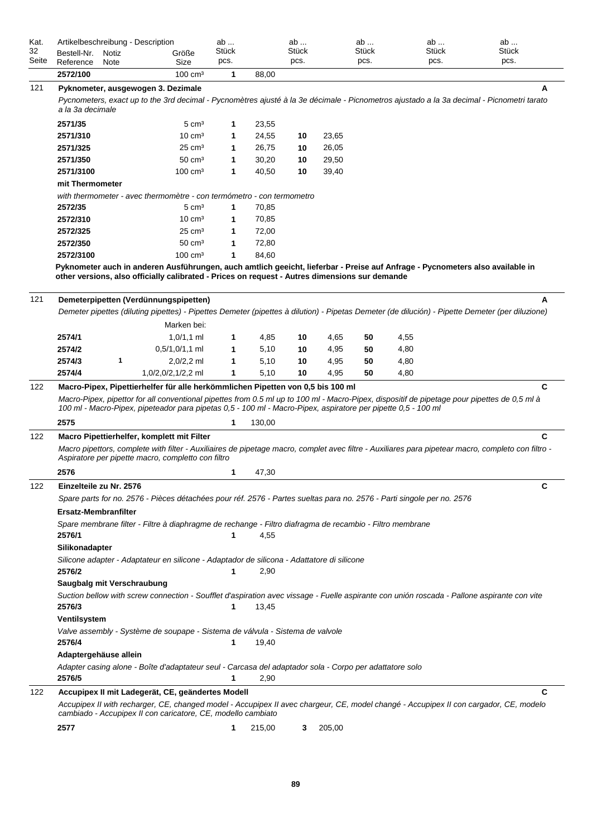| Kat.        | Artikelbeschreibung - Description |               |                    | ab            |       | ab                   | ab                   | ab            | ab            |  |
|-------------|-----------------------------------|---------------|--------------------|---------------|-------|----------------------|----------------------|---------------|---------------|--|
| 32<br>Seite | Bestell-Nr.<br>Reference          | Notiz<br>Note | Größe<br>Size      | Stück<br>pcs. |       | <b>Stück</b><br>DCS. | <b>Stück</b><br>DCS. | Stück<br>DCS. | Stück<br>pcs. |  |
|             | 2572/100                          |               | $100 \text{ cm}^3$ |               | 88.00 |                      |                      |               |               |  |

| 121 | Pyknometer, ausgewogen 3. Dezimale<br>a la 3a decimale | Pycnometers, exact up to the 3rd decimal - Pycnomètres ajusté à la 3e décimale - Picnometros ajustado a la 3a decimal - Picnometri tarato                                                                                                                                |   |        |    |       |    |      | А |
|-----|--------------------------------------------------------|--------------------------------------------------------------------------------------------------------------------------------------------------------------------------------------------------------------------------------------------------------------------------|---|--------|----|-------|----|------|---|
|     | 2571/35                                                | $5 \text{ cm}^3$                                                                                                                                                                                                                                                         | 1 | 23,55  |    |       |    |      |   |
|     | 2571/310                                               | $10 \text{ cm}^3$                                                                                                                                                                                                                                                        | 1 | 24,55  | 10 | 23,65 |    |      |   |
|     | 2571/325                                               | $25 \text{ cm}^3$                                                                                                                                                                                                                                                        | 1 | 26,75  | 10 | 26,05 |    |      |   |
|     | 2571/350                                               | $50 \text{ cm}^3$                                                                                                                                                                                                                                                        | 1 | 30,20  | 10 | 29,50 |    |      |   |
|     | 2571/3100                                              | $100 \text{ cm}^3$                                                                                                                                                                                                                                                       | 1 | 40,50  | 10 | 39,40 |    |      |   |
|     | mit Thermometer                                        |                                                                                                                                                                                                                                                                          |   |        |    |       |    |      |   |
|     |                                                        | with thermometer - avec thermomètre - con termómetro - con termometro                                                                                                                                                                                                    |   |        |    |       |    |      |   |
|     | 2572/35                                                | $5 \text{ cm}^3$                                                                                                                                                                                                                                                         | 1 | 70,85  |    |       |    |      |   |
|     | 2572/310                                               | $10 \text{ cm}^3$                                                                                                                                                                                                                                                        | 1 | 70,85  |    |       |    |      |   |
|     | 2572/325                                               | $25 \text{ cm}^3$                                                                                                                                                                                                                                                        | 1 | 72,00  |    |       |    |      |   |
|     | 2572/350                                               | $50 \text{ cm}^3$                                                                                                                                                                                                                                                        | 1 | 72,80  |    |       |    |      |   |
|     | 2572/3100                                              | $100 \text{ cm}^3$                                                                                                                                                                                                                                                       | 1 | 84,60  |    |       |    |      |   |
| 121 |                                                        | Pyknometer auch in anderen Ausführungen, auch amtlich geeicht, lieferbar - Preise auf Anfrage - Pycnometers also available in<br>other versions, also officially calibrated - Prices on request - Autres dimensions sur demande<br>Demeterpipetten (Verdünnungspipetten) |   |        |    |       |    |      | A |
|     |                                                        | Demeter pipettes (diluting pipettes) - Pipettes Demeter (pipettes à dilution) - Pipetas Demeter (de dilución) - Pipette Demeter (per diluzione)                                                                                                                          |   |        |    |       |    |      |   |
|     |                                                        | Marken bei:                                                                                                                                                                                                                                                              |   |        |    |       |    |      |   |
|     | 2574/1                                                 | $1,0/1,1$ ml                                                                                                                                                                                                                                                             | 1 | 4,85   | 10 | 4,65  | 50 | 4,55 |   |
|     | 2574/2                                                 | $0.5/1,0/1,1$ ml                                                                                                                                                                                                                                                         | 1 | 5,10   | 10 | 4,95  | 50 | 4,80 |   |
|     | 2574/3<br>1                                            | $2,0/2,2$ ml                                                                                                                                                                                                                                                             | 1 | 5,10   | 10 | 4,95  | 50 | 4,80 |   |
|     | 2574/4                                                 | 1,0/2,0/2,1/2,2 ml                                                                                                                                                                                                                                                       | 1 | 5,10   | 10 | 4,95  | 50 | 4,80 |   |
| 122 |                                                        | Macro-Pipex, Pipettierhelfer für alle herkömmlichen Pipetten von 0,5 bis 100 ml                                                                                                                                                                                          |   |        |    |       |    |      | C |
|     |                                                        | Macro-Pipex, pipettor for all conventional pipettes from 0.5 ml up to 100 ml - Macro-Pipex, dispositif de pipetage pour pipettes de 0,5 ml à<br>100 ml - Macro-Pipex, pipeteador para pipetas 0,5 - 100 ml - Macro-Pipex, aspiratore per pipette 0,5 - 100 ml            |   |        |    |       |    |      |   |
|     | 2575                                                   |                                                                                                                                                                                                                                                                          | 1 | 130,00 |    |       |    |      |   |
| 122 |                                                        | Macro Pipettierhelfer, komplett mit Filter<br>Macro pipettors, complete with filter - Auxiliaires de pipetage macro, complet avec filtre - Auxiliares para pipetear macro, completo con filtro -<br>Aspiratore per pipette macro, completto con filtro                   |   |        |    |       |    |      | C |
|     | 2576                                                   |                                                                                                                                                                                                                                                                          | 1 | 47,30  |    |       |    |      |   |
| 122 | Einzelteile zu Nr. 2576                                | Spare parts for no. 2576 - Pièces détachées pour réf. 2576 - Partes sueltas para no. 2576 - Parti singole per no. 2576                                                                                                                                                   |   |        |    |       |    |      | C |
|     | <b>Ersatz-Membranfilter</b>                            |                                                                                                                                                                                                                                                                          |   |        |    |       |    |      |   |
|     | 2576/1                                                 | Spare membrane filter - Filtre à diaphragme de rechange - Filtro diafragma de recambio - Filtro membrane                                                                                                                                                                 | 1 | 4,55   |    |       |    |      |   |
|     | Silikonadapter                                         |                                                                                                                                                                                                                                                                          |   |        |    |       |    |      |   |
|     | 2576/2                                                 | Silicone adapter - Adaptateur en silicone - Adaptador de silicona - Adattatore di silicone                                                                                                                                                                               | 1 | 2,90   |    |       |    |      |   |
|     | Saugbalg mit Verschraubung                             |                                                                                                                                                                                                                                                                          |   |        |    |       |    |      |   |
|     | 2576/3                                                 | Suction bellow with screw connection - Soufflet d'aspiration avec vissage - Fuelle aspirante con unión roscada - Pallone aspirante con vite                                                                                                                              | 1 | 13,45  |    |       |    |      |   |
|     | Ventilsystem                                           |                                                                                                                                                                                                                                                                          |   |        |    |       |    |      |   |
|     | 2576/4                                                 | Valve assembly - Système de soupape - Sistema de válvula - Sistema de valvole                                                                                                                                                                                            | 1 | 19,40  |    |       |    |      |   |
|     | Adaptergehäuse allein                                  |                                                                                                                                                                                                                                                                          |   |        |    |       |    |      |   |
|     |                                                        | Adapter casing alone - Boîte d'adaptateur seul - Carcasa del adaptador sola - Corpo per adattatore solo                                                                                                                                                                  |   |        |    |       |    |      |   |
|     | 2576/5                                                 |                                                                                                                                                                                                                                                                          | 1 | 2,90   |    |       |    |      |   |
| 122 |                                                        | Accupipex II mit Ladegerät, CE, geändertes Modell<br>Accupipex II with recharger, CE, changed model - Accupipex II avec chargeur, CE, model changé - Accupipex II con cargador, CE, modelo<br>cambiado - Accupipex II con caricatore, CE, modello cambiato               |   |        |    |       |    |      | C |

**2577 1** 215,00 **3** 205,00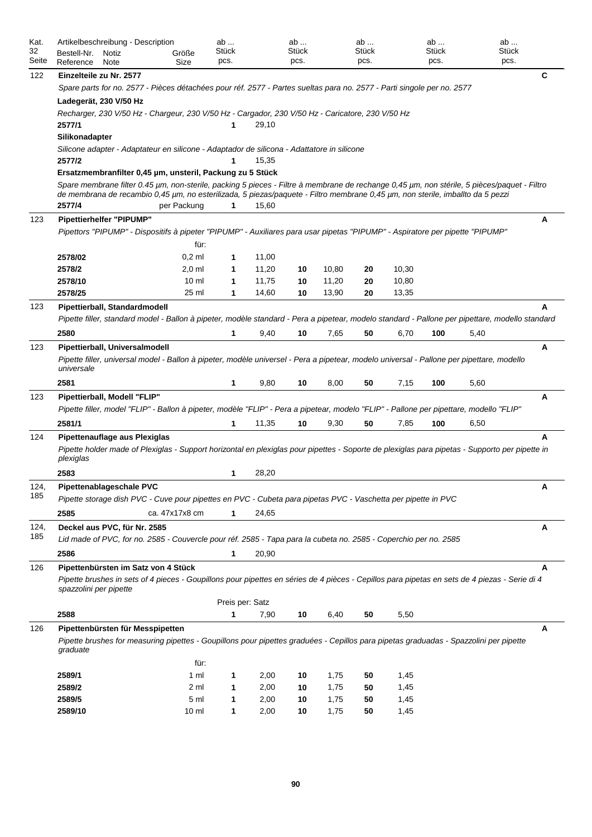| Kat.        | Artikelbeschreibung - Description                                                                                                                                         |                 | ab                   |       | ab            |       | ab            |       | ab            | ab            |   |
|-------------|---------------------------------------------------------------------------------------------------------------------------------------------------------------------------|-----------------|----------------------|-------|---------------|-------|---------------|-------|---------------|---------------|---|
| 32<br>Seite | Bestell-Nr.<br>Notiz                                                                                                                                                      | Größe           | Stück<br>pcs.        |       | Stück<br>pcs. |       | Stück<br>pcs. |       | Stück<br>pcs. | Stück<br>pcs. |   |
|             | Reference<br>Note<br>Einzelteile zu Nr. 2577                                                                                                                              | Size            |                      |       |               |       |               |       |               |               | С |
| 122         | Spare parts for no. 2577 - Pièces détachées pour réf. 2577 - Partes sueltas para no. 2577 - Parti singole per no. 2577                                                    |                 |                      |       |               |       |               |       |               |               |   |
|             | Ladegerät, 230 V/50 Hz                                                                                                                                                    |                 |                      |       |               |       |               |       |               |               |   |
|             | Recharger, 230 V/50 Hz - Chargeur, 230 V/50 Hz - Cargador, 230 V/50 Hz - Caricatore, 230 V/50 Hz                                                                          |                 |                      |       |               |       |               |       |               |               |   |
|             | 2577/1                                                                                                                                                                    |                 | 1                    | 29,10 |               |       |               |       |               |               |   |
|             | Silikonadapter                                                                                                                                                            |                 |                      |       |               |       |               |       |               |               |   |
|             | Silicone adapter - Adaptateur en silicone - Adaptador de silicona - Adattatore in silicone                                                                                |                 |                      |       |               |       |               |       |               |               |   |
|             | 2577/2                                                                                                                                                                    |                 |                      | 15,35 |               |       |               |       |               |               |   |
|             | Ersatzmembranfilter 0,45 µm, unsteril, Packung zu 5 Stück                                                                                                                 |                 |                      |       |               |       |               |       |               |               |   |
|             | Spare membrane filter 0.45 µm, non-sterile, packing 5 pieces - Filtre à membrane de rechange 0,45 µm, non stérile, 5 pièces/paquet - Filtro                               |                 |                      |       |               |       |               |       |               |               |   |
|             | de membrana de recambio 0,45 µm, no esterilizada, 5 piezas/paquete - Filtro membrane 0,45 µm, non sterile, imballto da 5 pezzi<br>2577/4                                  | per Packung     | 1                    | 15,60 |               |       |               |       |               |               |   |
| 123         | <b>Pipettierhelfer "PIPUMP"</b>                                                                                                                                           |                 |                      |       |               |       |               |       |               |               | Α |
|             | Pipettors "PIPUMP" - Dispositifs à pipeter "PIPUMP" - Auxiliares para usar pipetas "PIPUMP" - Aspiratore per pipette "PIPUMP"                                             |                 |                      |       |               |       |               |       |               |               |   |
|             |                                                                                                                                                                           | für:            |                      |       |               |       |               |       |               |               |   |
|             | 2578/02                                                                                                                                                                   | $0,2$ ml        | 1                    | 11,00 |               |       |               |       |               |               |   |
|             | 2578/2                                                                                                                                                                    | $2,0$ ml        | 1                    | 11,20 | 10            | 10,80 | 20            | 10,30 |               |               |   |
|             | 2578/10                                                                                                                                                                   | 10 <sub>m</sub> | 1                    | 11,75 | 10            | 11,20 | 20            | 10,80 |               |               |   |
|             | 2578/25                                                                                                                                                                   | 25 ml           | 1                    | 14,60 | 10            | 13,90 | 20            | 13,35 |               |               |   |
| 123         | Pipettierball, Standardmodell                                                                                                                                             |                 |                      |       |               |       |               |       |               |               | A |
|             | Pipette filler, standard model - Ballon à pipeter, modèle standard - Pera a pipetear, modelo standard - Pallone per pipettare, modello standard                           |                 |                      |       |               |       |               |       |               |               |   |
|             | 2580                                                                                                                                                                      |                 | 1                    | 9,40  | 10            | 7,65  | 50            | 6,70  | 100           | 5,40          |   |
| 123         | Pipettierball, Universalmodell                                                                                                                                            |                 |                      |       |               |       |               |       |               |               | Α |
|             | Pipette filler, universal model - Ballon à pipeter, modèle universel - Pera a pipetear, modelo universal - Pallone per pipettare, modello                                 |                 |                      |       |               |       |               |       |               |               |   |
|             | universale                                                                                                                                                                |                 |                      |       |               |       |               |       |               |               |   |
|             | 2581                                                                                                                                                                      |                 | 1                    | 9,80  | 10            | 8,00  | 50            | 7,15  | 100           | 5,60          |   |
| 123         | Pipettierball, Modell "FLIP"                                                                                                                                              |                 |                      |       |               |       |               |       |               |               | Α |
|             | Pipette filler, model "FLIP" - Ballon à pipeter, modèle "FLIP" - Pera a pipetear, modelo "FLIP" - Pallone per pipettare, modello "FLIP"                                   |                 |                      |       |               |       |               |       |               |               |   |
|             | 2581/1                                                                                                                                                                    |                 | 1                    | 11,35 | 10            | 9,30  | 50            | 7,85  | 100           | 6,50          |   |
| 124         | Pipettenauflage aus Plexiglas                                                                                                                                             |                 |                      |       |               |       |               |       |               |               | A |
|             | Pipette holder made of Plexiglas - Support horizontal en plexiglas pour pipettes - Soporte de plexiglas para pipetas - Supporto per pipette in                            |                 |                      |       |               |       |               |       |               |               |   |
|             | plexiglas                                                                                                                                                                 |                 |                      |       |               |       |               |       |               |               |   |
|             | 2583                                                                                                                                                                      |                 | 1                    | 28,20 |               |       |               |       |               |               |   |
| 124,<br>185 | Pipettenablageschale PVC                                                                                                                                                  |                 |                      |       |               |       |               |       |               |               | A |
|             | Pipette storage dish PVC - Cuve pour pipettes en PVC - Cubeta para pipetas PVC - Vaschetta per pipette in PVC                                                             |                 |                      |       |               |       |               |       |               |               |   |
|             | 2585                                                                                                                                                                      | ca. 47x17x8 cm  | $\mathbf{1}$         | 24,65 |               |       |               |       |               |               |   |
| 124,        | Deckel aus PVC, für Nr. 2585                                                                                                                                              |                 |                      |       |               |       |               |       |               |               | Α |
| 185         | Lid made of PVC, for no. 2585 - Couvercle pour réf. 2585 - Tapa para la cubeta no. 2585 - Coperchio per no. 2585                                                          |                 |                      |       |               |       |               |       |               |               |   |
|             | 2586                                                                                                                                                                      |                 | 1                    | 20,90 |               |       |               |       |               |               |   |
| 126         | Pipettenbürsten im Satz von 4 Stück                                                                                                                                       |                 |                      |       |               |       |               |       |               |               | A |
|             | Pipette brushes in sets of 4 pieces - Goupillons pour pipettes en séries de 4 pièces - Cepillos para pipetas en sets de 4 piezas - Serie di 4                             |                 |                      |       |               |       |               |       |               |               |   |
|             | spazzolini per pipette                                                                                                                                                    |                 |                      |       |               |       |               |       |               |               |   |
|             | 2588                                                                                                                                                                      |                 | Preis per: Satz<br>1 | 7,90  | 10            | 6,40  | 50            | 5,50  |               |               |   |
|             |                                                                                                                                                                           |                 |                      |       |               |       |               |       |               |               |   |
| 126         | Pipettenbürsten für Messpipetten<br>Pipette brushes for measuring pipettes - Goupillons pour pipettes graduées - Cepillos para pipetas graduadas - Spazzolini per pipette |                 |                      |       |               |       |               |       |               |               | Α |
|             | graduate                                                                                                                                                                  |                 |                      |       |               |       |               |       |               |               |   |
|             |                                                                                                                                                                           | für:            |                      |       |               |       |               |       |               |               |   |
|             | 2589/1                                                                                                                                                                    | 1 ml            | 1                    | 2,00  | 10            | 1,75  | 50            | 1,45  |               |               |   |
|             | 2589/2                                                                                                                                                                    | 2 ml            | 1                    | 2,00  | 10            | 1,75  | 50            | 1,45  |               |               |   |
|             | 2589/5                                                                                                                                                                    | 5 ml            | 1                    | 2,00  | 10            | 1,75  | 50            | 1,45  |               |               |   |
|             | 2589/10                                                                                                                                                                   | 10 <sub>m</sub> | 1                    | 2,00  | 10            | 1,75  | 50            | 1,45  |               |               |   |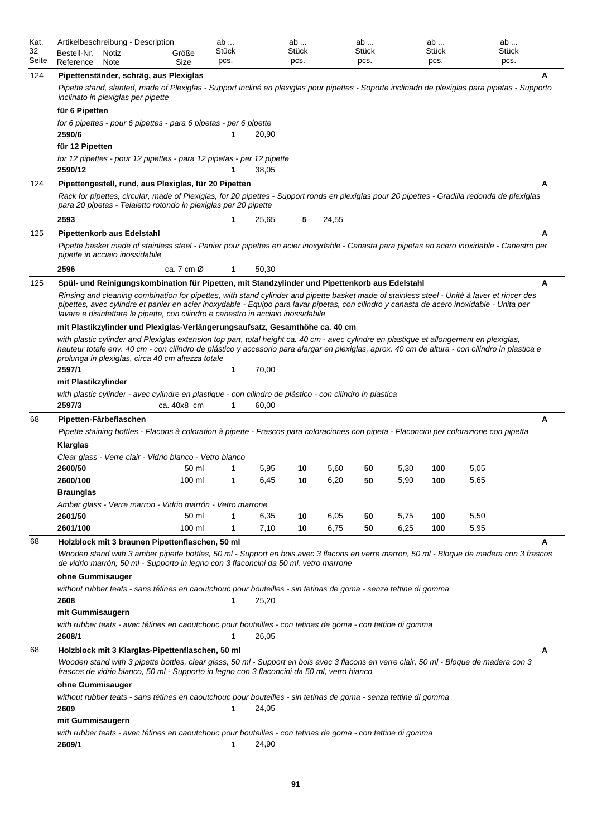| Kat.<br>32<br>Seite | Artikelbeschreibung - Description<br>Bestell-Nr.<br>Notiz<br>Reference<br>Note                                                                                                                                                                                                                                                                                                                                                                                                  | Größe<br>Size          | ab<br>Stück<br>pcs. |       | ab<br>Stück<br>pcs. |       | ab<br>Stück<br>pcs. |      | ab<br>Stück<br>pcs. |      | ab<br><b>Stück</b><br>pcs. |
|---------------------|---------------------------------------------------------------------------------------------------------------------------------------------------------------------------------------------------------------------------------------------------------------------------------------------------------------------------------------------------------------------------------------------------------------------------------------------------------------------------------|------------------------|---------------------|-------|---------------------|-------|---------------------|------|---------------------|------|----------------------------|
| 124                 | Pipettenständer, schräg, aus Plexiglas<br>Pipette stand, slanted, made of Plexiglas - Support incliné en plexiglas pour pipettes - Soporte inclinado de plexiglas para pipetas - Supporto<br>inclinato in plexiglas per pipette                                                                                                                                                                                                                                                 |                        |                     |       |                     |       |                     |      |                     |      | A                          |
|                     | für 6 Pipetten<br>for 6 pipettes - pour 6 pipettes - para 6 pipetas - per 6 pipette<br>2590/6                                                                                                                                                                                                                                                                                                                                                                                   |                        | 1                   | 20,90 |                     |       |                     |      |                     |      |                            |
|                     | für 12 Pipetten<br>for 12 pipettes - pour 12 pipettes - para 12 pipetas - per 12 pipette                                                                                                                                                                                                                                                                                                                                                                                        |                        |                     |       |                     |       |                     |      |                     |      |                            |
|                     | 2590/12                                                                                                                                                                                                                                                                                                                                                                                                                                                                         |                        | 1                   | 38,05 |                     |       |                     |      |                     |      |                            |
| 124                 | Pipettengestell, rund, aus Plexiglas, für 20 Pipetten<br>Rack for pipettes, circular, made of Plexiglas, for 20 pipettes - Support ronds en plexiglas pour 20 pipettes - Gradilla redonda de plexiglas<br>para 20 pipetas - Telaietto rotondo in plexiglas per 20 pipette                                                                                                                                                                                                       |                        |                     |       |                     |       |                     |      |                     |      | A                          |
|                     | 2593                                                                                                                                                                                                                                                                                                                                                                                                                                                                            |                        | 1                   | 25,65 | 5                   | 24,55 |                     |      |                     |      |                            |
| 125                 | Pipettenkorb aus Edelstahl                                                                                                                                                                                                                                                                                                                                                                                                                                                      |                        |                     |       |                     |       |                     |      |                     |      | A                          |
|                     | Pipette basket made of stainless steel - Panier pour pipettes en acier inoxydable - Canasta para pipetas en acero inoxidable - Canestro per<br>pipette in acciaio inossidabile                                                                                                                                                                                                                                                                                                  |                        |                     |       |                     |       |                     |      |                     |      |                            |
|                     | 2596                                                                                                                                                                                                                                                                                                                                                                                                                                                                            | ca. 7 cm $\varnothing$ | 1                   | 50,30 |                     |       |                     |      |                     |      |                            |
| 125                 | Spül- und Reinigungskombination für Pipetten, mit Standzylinder und Pipettenkorb aus Edelstahl<br>Rinsing and cleaning combination for pipettes, with stand cylinder and pipette basket made of stainless steel - Unité à laver et rincer des<br>pipettes, avec cylindre et panier en acier inoxydable - Equipo para lavar pipetas, con cilindro y canasta de acero inoxidable - Unita per<br>lavare e disinfettare le pipette, con cilindro e canestro in acciaio inossidabile |                        |                     |       |                     |       |                     |      |                     |      | A                          |
|                     | mit Plastikzylinder und Plexiglas-Verlängerungsaufsatz, Gesamthöhe ca. 40 cm<br>with plastic cylinder and Plexiglas extension top part, total height ca. 40 cm - avec cylindre en plastique et allongement en plexiglas,<br>hauteur totale env. 40 cm - con cilindro de plástico y accesorio para alargar en plexiglas, aprox. 40 cm de altura - con cilindro in plastica e<br>prolunga in plexiglas, circa 40 cm altezza totale<br>2597/1                                      |                        | 1                   | 70,00 |                     |       |                     |      |                     |      |                            |
|                     | mit Plastikzylinder                                                                                                                                                                                                                                                                                                                                                                                                                                                             |                        |                     |       |                     |       |                     |      |                     |      |                            |
|                     | with plastic cylinder - avec cylindre en plastique - con cilindro de plástico - con cilindro in plastica<br>2597/3                                                                                                                                                                                                                                                                                                                                                              | ca. 40x8 cm            | 1                   | 60,00 |                     |       |                     |      |                     |      |                            |
| 68                  | Pipetten-Färbeflaschen<br>Pipette staining bottles - Flacons à coloration à pipette - Frascos para coloraciones con pipeta - Flaconcini per colorazione con pipetta                                                                                                                                                                                                                                                                                                             |                        |                     |       |                     |       |                     |      |                     |      | A                          |
|                     | Klarglas                                                                                                                                                                                                                                                                                                                                                                                                                                                                        |                        |                     |       |                     |       |                     |      |                     |      |                            |
|                     | Clear glass - Verre clair - Vidrio blanco - Vetro bianco                                                                                                                                                                                                                                                                                                                                                                                                                        |                        |                     |       |                     |       |                     |      |                     |      |                            |
|                     | 2600/50                                                                                                                                                                                                                                                                                                                                                                                                                                                                         | 50 ml                  | 1                   | 5,95  | 10                  | 5,60  | 50                  | 5,30 | 100                 | 5,05 |                            |
|                     | 2600/100                                                                                                                                                                                                                                                                                                                                                                                                                                                                        | 100 ml                 | 1                   | 6,45  | 10                  | 6,20  | 50                  | 5.90 | 100                 | 5,65 |                            |
|                     | <b>Braunglas</b>                                                                                                                                                                                                                                                                                                                                                                                                                                                                |                        |                     |       |                     |       |                     |      |                     |      |                            |
|                     | Amber glass - Verre marron - Vidrio marrón - Vetro marrone                                                                                                                                                                                                                                                                                                                                                                                                                      |                        |                     |       |                     |       |                     |      |                     |      |                            |
|                     | 2601/50                                                                                                                                                                                                                                                                                                                                                                                                                                                                         | 50 ml                  | 1                   | 6,35  | 10                  | 6,05  | 50                  | 5,75 | 100                 | 5,50 |                            |
|                     | 2601/100                                                                                                                                                                                                                                                                                                                                                                                                                                                                        | 100 ml                 | 1                   | 7,10  | 10                  | 6,75  | 50                  | 6,25 | 100                 | 5,95 |                            |
| 68                  | Holzblock mit 3 braunen Pipettenflaschen, 50 ml<br>Wooden stand with 3 amber pipette bottles, 50 ml - Support en bois avec 3 flacons en verre marron, 50 ml - Bloque de madera con 3 frascos<br>de vidrio marrón, 50 ml - Supporto in legno con 3 flaconcini da 50 ml, vetro marrone                                                                                                                                                                                            |                        |                     |       |                     |       |                     |      |                     |      | A                          |
|                     | ohne Gummisauger                                                                                                                                                                                                                                                                                                                                                                                                                                                                |                        |                     |       |                     |       |                     |      |                     |      |                            |
|                     | without rubber teats - sans tétines en caoutchouc pour bouteilles - sin tetinas de goma - senza tettine di gomma<br>2608                                                                                                                                                                                                                                                                                                                                                        |                        | 1                   | 25,20 |                     |       |                     |      |                     |      |                            |
|                     | mit Gummisaugern<br>with rubber teats - avec tétines en caoutchouc pour bouteilles - con tetinas de goma - con tettine di gomma<br>2608/1                                                                                                                                                                                                                                                                                                                                       |                        | 1                   | 26,05 |                     |       |                     |      |                     |      |                            |
| 68                  | Holzblock mit 3 Klarglas-Pipettenflaschen, 50 ml                                                                                                                                                                                                                                                                                                                                                                                                                                |                        |                     |       |                     |       |                     |      |                     |      | A                          |
|                     | Wooden stand with 3 pipette bottles, clear glass, 50 ml - Support en bois avec 3 flacons en verre clair, 50 ml - Bloque de madera con 3<br>frascos de vidrio blanco, 50 ml - Supporto in legno con 3 flaconcini da 50 ml, vetro bianco                                                                                                                                                                                                                                          |                        |                     |       |                     |       |                     |      |                     |      |                            |
|                     | ohne Gummisauger                                                                                                                                                                                                                                                                                                                                                                                                                                                                |                        |                     |       |                     |       |                     |      |                     |      |                            |
|                     | without rubber teats - sans tétines en caoutchouc pour bouteilles - sin tetinas de goma - senza tettine di gomma<br>2609                                                                                                                                                                                                                                                                                                                                                        |                        | 1                   | 24,05 |                     |       |                     |      |                     |      |                            |
|                     | mit Gummisaugern<br>with rubber teats - avec tétines en caoutchouc pour bouteilles - con tetinas de goma - con tettine di gomma                                                                                                                                                                                                                                                                                                                                                 |                        |                     |       |                     |       |                     |      |                     |      |                            |
|                     | 2609/1                                                                                                                                                                                                                                                                                                                                                                                                                                                                          |                        | 1                   | 24,90 |                     |       |                     |      |                     |      |                            |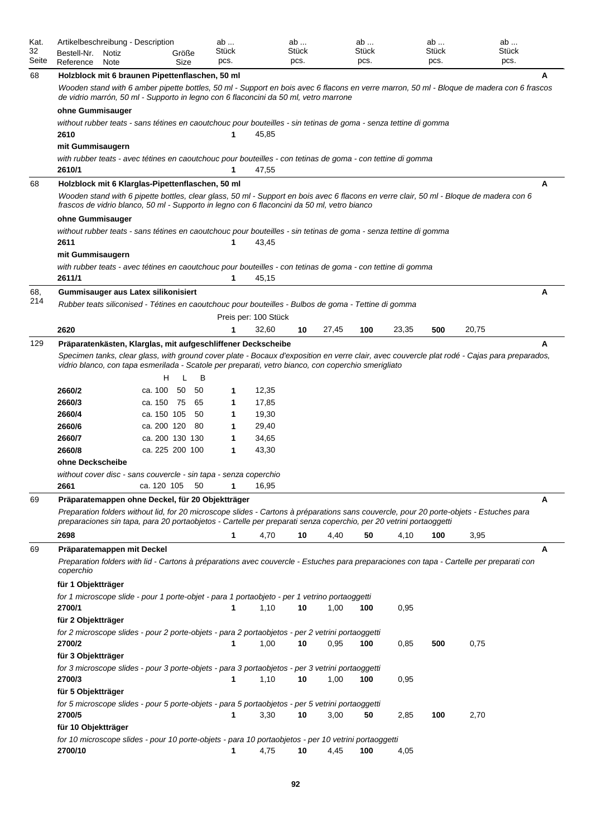| Kat.<br>32<br>Seite | Artikelbeschreibung - Description<br>Bestell-Nr.<br>Notiz<br>Reference<br>Note                                                                                                                                                                                                       |             | Größe<br>Size   | ab<br>Stück<br>pcs. |                      | ab<br>Stück<br>pcs. |       | ab<br>Stück<br>pcs. |       | ab<br>Stück<br>pcs. |       | ab<br>Stück<br>pcs. |  |  |
|---------------------|--------------------------------------------------------------------------------------------------------------------------------------------------------------------------------------------------------------------------------------------------------------------------------------|-------------|-----------------|---------------------|----------------------|---------------------|-------|---------------------|-------|---------------------|-------|---------------------|--|--|
| 68                  | Holzblock mit 6 braunen Pipettenflaschen, 50 ml<br>Wooden stand with 6 amber pipette bottles, 50 ml - Support en bois avec 6 flacons en verre marron, 50 ml - Bloque de madera con 6 frascos<br>de vidrio marrón, 50 ml - Supporto in legno con 6 flaconcini da 50 ml, vetro marrone |             |                 |                     |                      |                     |       |                     |       |                     |       | A                   |  |  |
|                     | ohne Gummisauger                                                                                                                                                                                                                                                                     |             |                 |                     |                      |                     |       |                     |       |                     |       |                     |  |  |
|                     | without rubber teats - sans tétines en caoutchouc pour bouteilles - sin tetinas de goma - senza tettine di gomma                                                                                                                                                                     |             |                 |                     |                      |                     |       |                     |       |                     |       |                     |  |  |
|                     | 2610                                                                                                                                                                                                                                                                                 |             |                 | 1                   | 45,85                |                     |       |                     |       |                     |       |                     |  |  |
|                     | mit Gummisaugern                                                                                                                                                                                                                                                                     |             |                 |                     |                      |                     |       |                     |       |                     |       |                     |  |  |
|                     | with rubber teats - avec tétines en caoutchouc pour bouteilles - con tetinas de goma - con tettine di gomma                                                                                                                                                                          |             |                 |                     |                      |                     |       |                     |       |                     |       |                     |  |  |
|                     | 2610/1                                                                                                                                                                                                                                                                               |             |                 | 1                   | 47,55                |                     |       |                     |       |                     |       |                     |  |  |
| 68                  | Holzblock mit 6 Klarglas-Pipettenflaschen, 50 ml                                                                                                                                                                                                                                     |             |                 |                     |                      |                     |       |                     |       |                     |       | Α                   |  |  |
|                     | Wooden stand with 6 pipette bottles, clear glass, 50 ml - Support en bois avec 6 flacons en verre clair, 50 ml - Bloque de madera con 6<br>frascos de vidrio blanco, 50 ml - Supporto in legno con 6 flaconcini da 50 ml, vetro bianco                                               |             |                 |                     |                      |                     |       |                     |       |                     |       |                     |  |  |
|                     | ohne Gummisauger                                                                                                                                                                                                                                                                     |             |                 |                     |                      |                     |       |                     |       |                     |       |                     |  |  |
|                     | without rubber teats - sans tétines en caoutchouc pour bouteilles - sin tetinas de goma - senza tettine di gomma                                                                                                                                                                     |             |                 |                     |                      |                     |       |                     |       |                     |       |                     |  |  |
|                     | 2611                                                                                                                                                                                                                                                                                 |             |                 | 1                   | 43,45                |                     |       |                     |       |                     |       |                     |  |  |
|                     | mit Gummisaugern                                                                                                                                                                                                                                                                     |             |                 |                     |                      |                     |       |                     |       |                     |       |                     |  |  |
|                     | with rubber teats - avec tétines en caoutchouc pour bouteilles - con tetinas de goma - con tettine di gomma                                                                                                                                                                          |             |                 |                     |                      |                     |       |                     |       |                     |       |                     |  |  |
|                     | 2611/1                                                                                                                                                                                                                                                                               |             |                 | 1                   | 45,15                |                     |       |                     |       |                     |       |                     |  |  |
| 68,                 | Gummisauger aus Latex silikonisiert                                                                                                                                                                                                                                                  |             |                 |                     |                      |                     |       |                     |       |                     |       | A                   |  |  |
| 214                 | Rubber teats siliconised - Tétines en caoutchouc pour bouteilles - Bulbos de goma - Tettine di gomma                                                                                                                                                                                 |             |                 |                     |                      |                     |       |                     |       |                     |       |                     |  |  |
|                     |                                                                                                                                                                                                                                                                                      |             |                 |                     | Preis per: 100 Stück |                     |       |                     |       |                     |       |                     |  |  |
|                     | 2620                                                                                                                                                                                                                                                                                 |             |                 |                     | 32,60                | 10                  | 27,45 | 100                 | 23,35 | 500                 | 20,75 |                     |  |  |
| 129                 | Präparatenkästen, Klarglas, mit aufgeschliffener Deckscheibe                                                                                                                                                                                                                         |             |                 |                     |                      |                     |       |                     |       |                     |       | A                   |  |  |
|                     | Specimen tanks, clear glass, with ground cover plate - Bocaux d'exposition en verre clair, avec couvercle plat rodé - Cajas para preparados,<br>vidrio blanco, con tapa esmerilada - Scatole per preparati, vetro bianco, con coperchio smerigliato<br>в                             |             |                 |                     |                      |                     |       |                     |       |                     |       |                     |  |  |
|                     |                                                                                                                                                                                                                                                                                      | н           |                 |                     |                      |                     |       |                     |       |                     |       |                     |  |  |
|                     | 2660/2                                                                                                                                                                                                                                                                               | ca. 100     | 50<br>50        | 1                   | 12,35                |                     |       |                     |       |                     |       |                     |  |  |
|                     | 2660/3                                                                                                                                                                                                                                                                               | ca. 150     | 75<br>65        | 1                   | 17,85                |                     |       |                     |       |                     |       |                     |  |  |
|                     | 2660/4                                                                                                                                                                                                                                                                               | ca. 150 105 | 50              | 1                   | 19,30                |                     |       |                     |       |                     |       |                     |  |  |
|                     | 2660/6                                                                                                                                                                                                                                                                               | ca. 200 120 | -80             | 1                   | 29,40                |                     |       |                     |       |                     |       |                     |  |  |
|                     | 2660/7                                                                                                                                                                                                                                                                               |             | ca. 200 130 130 | 1                   | 34,65                |                     |       |                     |       |                     |       |                     |  |  |
|                     | 2660/8                                                                                                                                                                                                                                                                               |             | ca. 225 200 100 | 1                   | 43,30                |                     |       |                     |       |                     |       |                     |  |  |
|                     | ohne Deckscheibe                                                                                                                                                                                                                                                                     |             |                 |                     |                      |                     |       |                     |       |                     |       |                     |  |  |
|                     | without cover disc - sans couvercle - sin tapa - senza coperchio                                                                                                                                                                                                                     |             |                 |                     |                      |                     |       |                     |       |                     |       |                     |  |  |
|                     | 2661                                                                                                                                                                                                                                                                                 | ca. 120 105 | 50              | 1                   | 16,95                |                     |       |                     |       |                     |       |                     |  |  |
| 69                  | Präparatemappen ohne Deckel, für 20 Objektträger                                                                                                                                                                                                                                     |             |                 |                     |                      |                     |       |                     |       |                     |       | Α                   |  |  |
|                     | Preparation folders without lid, for 20 microscope slides - Cartons à préparations sans couvercle, pour 20 porte-objets - Estuches para<br>preparaciones sin tapa, para 20 portaobjetos - Cartelle per preparati senza coperchio, per 20 vetrini portaoggetti                        |             |                 |                     |                      |                     |       |                     |       |                     |       |                     |  |  |
|                     | 2698                                                                                                                                                                                                                                                                                 |             |                 | $\mathbf{1}$        | 4,70                 | 10                  | 4,40  | 50                  | 4,10  | 100                 | 3,95  |                     |  |  |
| 69                  | Präparatemappen mit Deckel<br>Preparation folders with lid - Cartons à préparations avec couvercle - Estuches para preparaciones con tapa - Cartelle per preparati con<br>coperchio                                                                                                  |             |                 |                     |                      |                     |       |                     |       |                     |       | A                   |  |  |
|                     | für 1 Objektträger                                                                                                                                                                                                                                                                   |             |                 |                     |                      |                     |       |                     |       |                     |       |                     |  |  |
|                     | for 1 microscope slide - pour 1 porte-objet - para 1 portaobjeto - per 1 vetrino portaoggetti                                                                                                                                                                                        |             |                 |                     |                      |                     |       |                     |       |                     |       |                     |  |  |
|                     | 2700/1                                                                                                                                                                                                                                                                               |             |                 | 1                   | 1,10                 | 10                  | 1,00  | 100                 | 0,95  |                     |       |                     |  |  |
|                     | für 2 Objektträger                                                                                                                                                                                                                                                                   |             |                 |                     |                      |                     |       |                     |       |                     |       |                     |  |  |
|                     | for 2 microscope slides - pour 2 porte-objets - para 2 portaobjetos - per 2 vetrini portaoggetti                                                                                                                                                                                     |             |                 |                     |                      |                     |       |                     |       |                     |       |                     |  |  |
|                     | 2700/2                                                                                                                                                                                                                                                                               |             |                 | 1                   | 1,00                 | 10                  | 0,95  | 100                 | 0,85  | 500                 | 0,75  |                     |  |  |
|                     | für 3 Objektträger                                                                                                                                                                                                                                                                   |             |                 |                     |                      |                     |       |                     |       |                     |       |                     |  |  |
|                     | for 3 microscope slides - pour 3 porte-objets - para 3 portaobjetos - per 3 vetrini portaoggetti                                                                                                                                                                                     |             |                 |                     |                      |                     |       |                     |       |                     |       |                     |  |  |
|                     | 2700/3                                                                                                                                                                                                                                                                               |             |                 | 1                   | 1,10                 | 10                  | 1,00  | 100                 | 0,95  |                     |       |                     |  |  |
|                     | für 5 Objektträger                                                                                                                                                                                                                                                                   |             |                 |                     |                      |                     |       |                     |       |                     |       |                     |  |  |
|                     | for 5 microscope slides - pour 5 porte-objets - para 5 portaobjetos - per 5 vetrini portaoggetti                                                                                                                                                                                     |             |                 |                     |                      |                     |       |                     |       |                     |       |                     |  |  |
|                     | 2700/5                                                                                                                                                                                                                                                                               |             |                 | 1                   | 3,30                 | 10                  | 3,00  | 50                  | 2,85  | 100                 | 2,70  |                     |  |  |
|                     | für 10 Objektträger                                                                                                                                                                                                                                                                  |             |                 |                     |                      |                     |       |                     |       |                     |       |                     |  |  |
|                     | for 10 microscope slides - pour 10 porte-objets - para 10 portaobjetos - per 10 vetrini portaoggetti<br>2700/10                                                                                                                                                                      |             |                 | 1                   | 4,75                 | 10                  | 4,45  | 100                 | 4,05  |                     |       |                     |  |  |
|                     |                                                                                                                                                                                                                                                                                      |             |                 |                     |                      |                     |       |                     |       |                     |       |                     |  |  |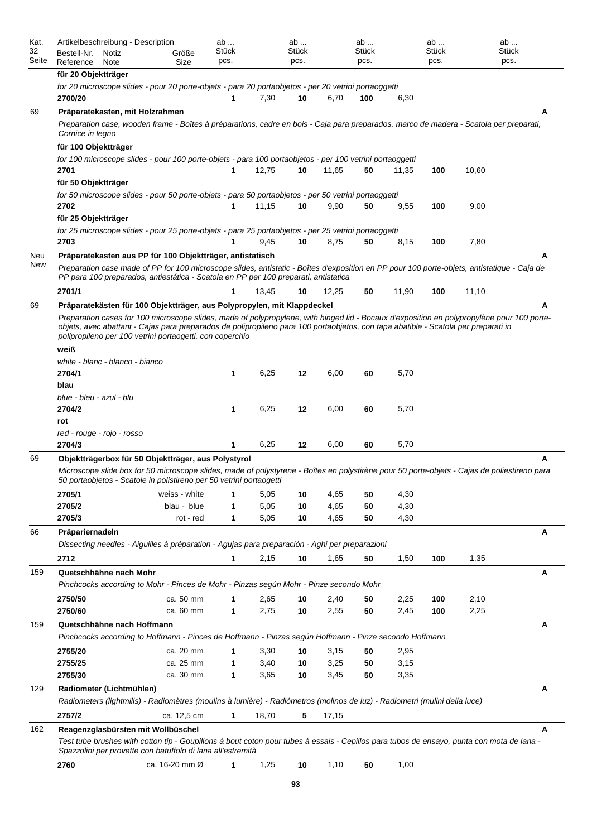| Kat.<br>32<br>Seite | Artikelbeschreibung - Description<br>Bestell-Nr.<br>Notiz<br>Reference<br>Note                                                                                                                                                                                                                                                                                                                                          | Größe<br>Size  | ab<br><b>Stück</b><br>pcs. |              | ab<br>Stück<br>pcs. |              | ab<br><b>Stück</b><br>pcs. |              | ab<br>Stück<br>pcs. |       | ab<br>Stück<br>pcs. |  |  |  |
|---------------------|-------------------------------------------------------------------------------------------------------------------------------------------------------------------------------------------------------------------------------------------------------------------------------------------------------------------------------------------------------------------------------------------------------------------------|----------------|----------------------------|--------------|---------------------|--------------|----------------------------|--------------|---------------------|-------|---------------------|--|--|--|
|                     | für 20 Objektträger<br>for 20 microscope slides - pour 20 porte-objets - para 20 portaobjetos - per 20 vetrini portaoggetti<br>2700/20                                                                                                                                                                                                                                                                                  |                | 1                          | 7,30         | 10                  | 6,70         | 100                        | 6,30         |                     |       |                     |  |  |  |
| 69                  | Präparatekasten, mit Holzrahmen                                                                                                                                                                                                                                                                                                                                                                                         |                |                            |              |                     |              |                            |              |                     |       | A                   |  |  |  |
|                     | Preparation case, wooden frame - Boîtes à préparations, cadre en bois - Caja para preparados, marco de madera - Scatola per preparati,<br>Cornice in legno                                                                                                                                                                                                                                                              |                |                            |              |                     |              |                            |              |                     |       |                     |  |  |  |
|                     | für 100 Objektträger                                                                                                                                                                                                                                                                                                                                                                                                    |                |                            |              |                     |              |                            |              |                     |       |                     |  |  |  |
|                     | for 100 microscope slides - pour 100 porte-objets - para 100 portaobjetos - per 100 vetrini portaoggetti                                                                                                                                                                                                                                                                                                                |                |                            |              |                     |              |                            |              |                     |       |                     |  |  |  |
|                     | 2701<br>für 50 Objektträger                                                                                                                                                                                                                                                                                                                                                                                             |                | 1                          | 12,75        | 10                  | 11,65        | 50                         | 11,35        | 100                 | 10,60 |                     |  |  |  |
|                     | for 50 microscope slides - pour 50 porte-objets - para 50 portaobjetos - per 50 vetrini portaoggetti                                                                                                                                                                                                                                                                                                                    |                |                            |              |                     |              |                            |              |                     |       |                     |  |  |  |
|                     | 2702                                                                                                                                                                                                                                                                                                                                                                                                                    |                | 1                          | 11,15        | 10                  | 9,90         | 50                         | 9,55         | 100                 | 9,00  |                     |  |  |  |
|                     | für 25 Objektträger                                                                                                                                                                                                                                                                                                                                                                                                     |                |                            |              |                     |              |                            |              |                     |       |                     |  |  |  |
|                     | for 25 microscope slides - pour 25 porte-objets - para 25 portaobjetos - per 25 vetrini portaoggetti                                                                                                                                                                                                                                                                                                                    |                |                            |              |                     |              |                            |              |                     |       |                     |  |  |  |
|                     | 2703                                                                                                                                                                                                                                                                                                                                                                                                                    |                | 1                          | 9,45         | 10                  | 8,75         | 50                         | 8,15         | 100                 | 7,80  |                     |  |  |  |
| Neu<br>New          | Präparatekasten aus PP für 100 Objektträger, antistatisch<br>Preparation case made of PP for 100 microscope slides, antistatic - Boîtes d'exposition en PP pour 100 porte-objets, antistatique - Caja de<br>PP para 100 preparados, antiestática - Scatola en PP per 100 preparati, antistatica                                                                                                                         |                |                            |              |                     |              |                            |              |                     |       | A                   |  |  |  |
|                     | 2701/1                                                                                                                                                                                                                                                                                                                                                                                                                  |                | 1                          | 13,45        | 10                  | 12,25        | 50                         | 11,90        | 100                 | 11,10 |                     |  |  |  |
| 69                  |                                                                                                                                                                                                                                                                                                                                                                                                                         |                |                            |              |                     |              |                            |              |                     |       | A                   |  |  |  |
|                     | Präparatekästen für 100 Objektträger, aus Polypropylen, mit Klappdeckel<br>Preparation cases for 100 microscope slides, made of polypropylene, with hinged lid - Bocaux d'exposition en polypropylène pour 100 porte-<br>objets, avec abattant - Cajas para preparados de polipropileno para 100 portaobjetos, con tapa abatible - Scatola per preparati in<br>polipropileno per 100 vetrini portaogetti, con coperchio |                |                            |              |                     |              |                            |              |                     |       |                     |  |  |  |
|                     | weiß                                                                                                                                                                                                                                                                                                                                                                                                                    |                |                            |              |                     |              |                            |              |                     |       |                     |  |  |  |
|                     | white - blanc - blanco - bianco<br>2704/1                                                                                                                                                                                                                                                                                                                                                                               |                | 1                          | 6,25         | 12                  | 6,00         | 60                         | 5,70         |                     |       |                     |  |  |  |
|                     | blau                                                                                                                                                                                                                                                                                                                                                                                                                    |                |                            |              |                     |              |                            |              |                     |       |                     |  |  |  |
|                     | blue - bleu - azul - blu<br>2704/2                                                                                                                                                                                                                                                                                                                                                                                      |                | 1                          | 6,25         | 12                  | 6,00         | 60                         | 5,70         |                     |       |                     |  |  |  |
|                     | rot<br>red - rouge - rojo - rosso<br>2704/3                                                                                                                                                                                                                                                                                                                                                                             |                | 1                          | 6,25         | 12                  | 6,00         | 60                         | 5,70         |                     |       |                     |  |  |  |
|                     |                                                                                                                                                                                                                                                                                                                                                                                                                         |                |                            |              |                     |              |                            |              |                     |       |                     |  |  |  |
| 69                  | Objektträgerbox für 50 Objektträger, aus Polystyrol<br>Microscope slide box for 50 microscope slides, made of polystyrene - Boîtes en polystirène pour 50 porte-objets - Cajas de poliestireno para<br>50 portaobjetos - Scatole in polistireno per 50 vetrini portaogetti                                                                                                                                              |                |                            |              |                     |              |                            |              |                     |       | A                   |  |  |  |
|                     | 2705/1                                                                                                                                                                                                                                                                                                                                                                                                                  | weiss - white  | 1                          | 5,05         | 10                  | 4,65         | 50                         | 4,30         |                     |       |                     |  |  |  |
|                     | 2705/2                                                                                                                                                                                                                                                                                                                                                                                                                  | blau - blue    | 1                          | 5,05         | 10                  | 4,65         | 50                         | 4,30         |                     |       |                     |  |  |  |
|                     | 2705/3                                                                                                                                                                                                                                                                                                                                                                                                                  | rot - red      | 1                          | 5,05         | 10                  | 4,65         | 50                         | 4,30         |                     |       |                     |  |  |  |
| 66                  | Präpariernadeln<br>Dissecting needles - Aiguilles à préparation - Agujas para preparación - Aghi per preparazioni                                                                                                                                                                                                                                                                                                       |                |                            |              |                     |              |                            |              |                     |       | A                   |  |  |  |
|                     | 2712                                                                                                                                                                                                                                                                                                                                                                                                                    |                | 1                          | 2,15         | 10                  | 1,65         | 50                         | 1,50         | 100                 | 1,35  |                     |  |  |  |
| 159                 | Quetschhähne nach Mohr                                                                                                                                                                                                                                                                                                                                                                                                  |                |                            |              |                     |              |                            |              |                     |       | Α                   |  |  |  |
|                     | Pinchcocks according to Mohr - Pinces de Mohr - Pinzas según Mohr - Pinze secondo Mohr                                                                                                                                                                                                                                                                                                                                  |                |                            |              |                     |              |                            |              |                     |       |                     |  |  |  |
|                     | 2750/50                                                                                                                                                                                                                                                                                                                                                                                                                 | ca. 50 mm      |                            |              |                     |              |                            |              | 100                 | 2,10  |                     |  |  |  |
|                     | 2750/60                                                                                                                                                                                                                                                                                                                                                                                                                 | ca. 60 mm      | 1<br>1                     | 2,65<br>2,75 | 10<br>10            | 2,40<br>2,55 | 50<br>50                   | 2,25<br>2,45 | 100                 | 2,25  |                     |  |  |  |
|                     |                                                                                                                                                                                                                                                                                                                                                                                                                         |                |                            |              |                     |              |                            |              |                     |       |                     |  |  |  |
| 159                 | Quetschhähne nach Hoffmann<br>Pinchcocks according to Hoffmann - Pinces de Hoffmann - Pinzas según Hoffmann - Pinze secondo Hoffmann                                                                                                                                                                                                                                                                                    |                |                            |              |                     |              |                            |              |                     |       | Α                   |  |  |  |
|                     | 2755/20                                                                                                                                                                                                                                                                                                                                                                                                                 | ca. 20 mm      | 1                          | 3,30         | 10                  | 3,15         | 50                         | 2,95         |                     |       |                     |  |  |  |
|                     | 2755/25                                                                                                                                                                                                                                                                                                                                                                                                                 | ca. 25 mm      | 1                          | 3,40         | 10                  | 3,25         | 50                         | 3,15         |                     |       |                     |  |  |  |
|                     | 2755/30                                                                                                                                                                                                                                                                                                                                                                                                                 | ca. 30 mm      | 1                          | 3,65         | 10                  | 3,45         | 50                         | 3,35         |                     |       |                     |  |  |  |
| 129                 | Radiometer (Lichtmühlen)<br>Radiometers (lightmills) - Radiomètres (moulins à lumière) - Radiómetros (molinos de luz) - Radiometri (mulini della luce)                                                                                                                                                                                                                                                                  |                |                            |              |                     |              |                            |              |                     |       | A                   |  |  |  |
|                     | 2757/2                                                                                                                                                                                                                                                                                                                                                                                                                  | ca. 12,5 cm    | 1                          | 18,70        | 5                   | 17,15        |                            |              |                     |       |                     |  |  |  |
| 162                 | Reagenzglasbürsten mit Wollbüschel                                                                                                                                                                                                                                                                                                                                                                                      |                |                            |              |                     |              |                            |              |                     |       | A                   |  |  |  |
|                     | Test tube brushes with cotton tip - Goupillons à bout coton pour tubes à essais - Cepillos para tubos de ensayo, punta con mota de lana -<br>Spazzolini per provette con batuffolo di lana all'estremità                                                                                                                                                                                                                |                |                            |              |                     |              |                            |              |                     |       |                     |  |  |  |
|                     | 2760                                                                                                                                                                                                                                                                                                                                                                                                                    | ca. 16-20 mm Ø | 1                          | 1,25         | 10                  | 1,10         | 50                         | 1,00         |                     |       |                     |  |  |  |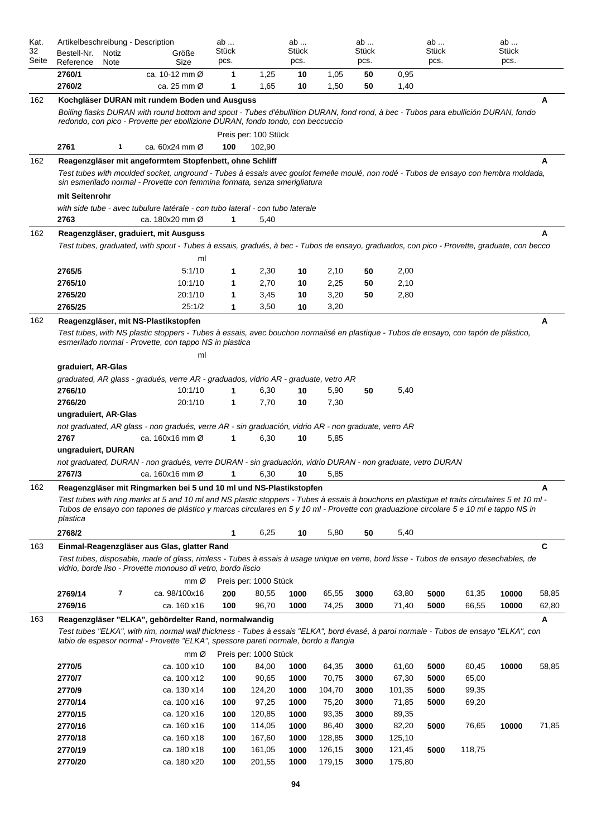| Kat.        | Artikelbeschreibung - Description |       |                                                                                                                                                                                                                  | ab                   |                       | ab            |              | ab            |              | ab            |        | ab            |             |
|-------------|-----------------------------------|-------|------------------------------------------------------------------------------------------------------------------------------------------------------------------------------------------------------------------|----------------------|-----------------------|---------------|--------------|---------------|--------------|---------------|--------|---------------|-------------|
| 32<br>Seite | Bestell-Nr.                       | Notiz | Größe                                                                                                                                                                                                            | <b>Stück</b><br>pcs. |                       | Stück<br>pcs. |              | Stück<br>pcs. |              | Stück<br>pcs. |        | Stück<br>pcs. |             |
|             | Reference<br>2760/1               | Note  | Size<br>ca. 10-12 mm Ø                                                                                                                                                                                           |                      |                       |               |              |               |              |               |        |               |             |
|             | 2760/2                            |       | ca. 25 mm Ø                                                                                                                                                                                                      | 1<br>1               | 1,25<br>1,65          | 10<br>10      | 1,05<br>1,50 | 50<br>50      | 0,95<br>1,40 |               |        |               |             |
| 162         |                                   |       | Kochgläser DURAN mit rundem Boden und Ausguss                                                                                                                                                                    |                      |                       |               |              |               |              |               |        |               | A           |
|             |                                   |       | Boiling flasks DURAN with round bottom and spout - Tubes d'ébullition DURAN, fond rond, à bec - Tubos para ebullición DURAN, fondo                                                                               |                      |                       |               |              |               |              |               |        |               |             |
|             |                                   |       | redondo, con pico - Provette per ebollizione DURAN, fondo tondo, con beccuccio                                                                                                                                   |                      |                       |               |              |               |              |               |        |               |             |
|             |                                   |       |                                                                                                                                                                                                                  |                      | Preis per: 100 Stück  |               |              |               |              |               |        |               |             |
|             | 2761                              | 1     | ca. 60x24 mm Ø                                                                                                                                                                                                   | 100                  | 102,90                |               |              |               |              |               |        |               |             |
| 162         |                                   |       | Reagenzgläser mit angeformtem Stopfenbett, ohne Schliff                                                                                                                                                          |                      |                       |               |              |               |              |               |        |               | A           |
|             |                                   |       | Test tubes with moulded socket, unground - Tubes à essais avec goulot femelle moulé, non rodé - Tubos de ensayo con hembra moldada,<br>sin esmerilado normal - Provette con femmina formata, senza smerigliatura |                      |                       |               |              |               |              |               |        |               |             |
|             | mit Seitenrohr                    |       |                                                                                                                                                                                                                  |                      |                       |               |              |               |              |               |        |               |             |
|             |                                   |       | with side tube - avec tubulure latérale - con tubo lateral - con tubo laterale                                                                                                                                   |                      |                       |               |              |               |              |               |        |               |             |
|             | 2763                              |       | ca. 180x20 mm Ø                                                                                                                                                                                                  | 1                    | 5,40                  |               |              |               |              |               |        |               |             |
| 162         |                                   |       | Reagenzgläser, graduiert, mit Ausguss                                                                                                                                                                            |                      |                       |               |              |               |              |               |        |               | A           |
|             |                                   |       | Test tubes, graduated, with spout - Tubes à essais, gradués, à bec - Tubos de ensayo, graduados, con pico - Provette, graduate, con becco                                                                        |                      |                       |               |              |               |              |               |        |               |             |
|             |                                   |       | ml                                                                                                                                                                                                               |                      |                       |               |              |               |              |               |        |               |             |
|             | 2765/5                            |       | 5:1/10                                                                                                                                                                                                           | 1                    | 2,30                  | 10            | 2,10         | 50            | 2,00         |               |        |               |             |
|             | 2765/10                           |       | 10:1/10                                                                                                                                                                                                          | 1                    | 2,70                  | 10            | 2,25         | 50            | 2,10         |               |        |               |             |
|             | 2765/20                           |       | 20:1/10                                                                                                                                                                                                          | 1                    | 3,45                  | 10            | 3,20         | 50            | 2,80         |               |        |               |             |
|             | 2765/25                           |       | 25:1/2                                                                                                                                                                                                           | 1                    | 3,50                  | 10            | 3,20         |               |              |               |        |               |             |
| 162         |                                   |       | Reagenzgläser, mit NS-Plastikstopfen                                                                                                                                                                             |                      |                       |               |              |               |              |               |        |               | A           |
|             |                                   |       | Test tubes, with NS plastic stoppers - Tubes à essais, avec bouchon normalisé en plastique - Tubos de ensayo, con tapón de plástico,<br>esmerilado normal - Provette, con tappo NS in plastica                   |                      |                       |               |              |               |              |               |        |               |             |
|             |                                   |       |                                                                                                                                                                                                                  |                      |                       |               |              |               |              |               |        |               |             |
|             | graduiert, AR-Glas                |       | ml                                                                                                                                                                                                               |                      |                       |               |              |               |              |               |        |               |             |
|             |                                   |       | graduated, AR glass - gradués, verre AR - graduados, vidrio AR - graduate, vetro AR                                                                                                                              |                      |                       |               |              |               |              |               |        |               |             |
|             | 2766/10                           |       | 10:1/10                                                                                                                                                                                                          | 1                    | 6,30                  | 10            | 5,90         | 50            | 5,40         |               |        |               |             |
|             | 2766/20                           |       | 20:1/10                                                                                                                                                                                                          | 1                    | 7,70                  | 10            | 7,30         |               |              |               |        |               |             |
|             | ungraduiert, AR-Glas              |       |                                                                                                                                                                                                                  |                      |                       |               |              |               |              |               |        |               |             |
|             |                                   |       | not graduated, AR glass - non gradués, verre AR - sin graduación, vidrio AR - non graduate, vetro AR                                                                                                             |                      |                       |               |              |               |              |               |        |               |             |
|             | 2767                              |       | ca. 160x16 mm Ø                                                                                                                                                                                                  | 1                    | 6,30                  | 10            | 5,85         |               |              |               |        |               |             |
|             | ungraduiert, DURAN                |       |                                                                                                                                                                                                                  |                      |                       |               |              |               |              |               |        |               |             |
|             |                                   |       | not graduated, DURAN - non gradués, verre DURAN - sin graduación, vidrio DURAN - non graduate, vetro DURAN                                                                                                       |                      |                       |               |              |               |              |               |        |               |             |
|             | 2767/3                            |       | ca. 160x16 mm Ø                                                                                                                                                                                                  | 1                    | 6,30                  | 10            | 5,85         |               |              |               |        |               |             |
| 162         |                                   |       | Reagenzgläser mit Ringmarken bei 5 und 10 ml und NS-Plastikstopfen                                                                                                                                               |                      |                       |               |              |               |              |               |        |               | A           |
|             |                                   |       | Test tubes with ring marks at 5 and 10 ml and NS plastic stoppers - Tubes à essais à bouchons en plastique et traits circulaires 5 et 10 ml -                                                                    |                      |                       |               |              |               |              |               |        |               |             |
|             |                                   |       | Tubos de ensayo con tapones de plástico y marcas circulares en 5 y 10 ml - Provette con graduazione circolare 5 e 10 ml e tappo NS in                                                                            |                      |                       |               |              |               |              |               |        |               |             |
|             | plastica                          |       |                                                                                                                                                                                                                  |                      |                       |               |              |               |              |               |        |               |             |
|             | 2768/2                            |       |                                                                                                                                                                                                                  | 1                    | 6,25                  | 10            | 5,80         | 50            | 5,40         |               |        |               |             |
| 163         |                                   |       | Einmal-Reagenzgläser aus Glas, glatter Rand                                                                                                                                                                      |                      |                       |               |              |               |              |               |        |               | $\mathbf c$ |
|             |                                   |       | Test tubes, disposable, made of glass, rimless - Tubes à essais à usage unique en verre, bord lisse - Tubos de ensayo desechables, de<br>vidrio, borde liso - Provette monouso di vetro, bordo liscio            |                      |                       |               |              |               |              |               |        |               |             |
|             |                                   |       | $mm\varnothing$                                                                                                                                                                                                  |                      | Preis per: 1000 Stück |               |              |               |              |               |        |               |             |
|             | 2769/14                           | 7     | ca. 98/100x16                                                                                                                                                                                                    | 200                  | 80,55                 | 1000          | 65,55        | 3000          | 63,80        | 5000          | 61,35  | 10000         | 58,85       |
|             | 2769/16                           |       | ca. 160 x16                                                                                                                                                                                                      | 100                  | 96,70                 | 1000          | 74,25        | 3000          | 71,40        | 5000          | 66,55  | 10000         | 62,80       |
| 163         |                                   |       | Reagenzgläser "ELKA", gebördelter Rand, normalwandig                                                                                                                                                             |                      |                       |               |              |               |              |               |        |               | Α           |
|             |                                   |       | Test tubes "ELKA", with rim, normal wall thickness - Tubes à essais "ELKA", bord évasé, à paroi normale - Tubos de ensayo "ELKA", con                                                                            |                      |                       |               |              |               |              |               |        |               |             |
|             |                                   |       | labio de espesor normal - Provette "ELKA", spessore pareti normale, bordo a flangia                                                                                                                              |                      |                       |               |              |               |              |               |        |               |             |
|             |                                   |       | mm Ø                                                                                                                                                                                                             |                      | Preis per: 1000 Stück |               |              |               |              |               |        |               |             |
|             | 2770/5                            |       | ca. 100 x10                                                                                                                                                                                                      | 100                  | 84,00                 | 1000          | 64,35        | 3000          | 61,60        | 5000          | 60,45  | 10000         | 58,85       |
|             | 2770/7                            |       | ca. 100 x12                                                                                                                                                                                                      | 100                  | 90,65                 | 1000          | 70,75        | 3000          | 67,30        | 5000          | 65,00  |               |             |
|             | 2770/9                            |       | ca. 130 x14                                                                                                                                                                                                      | 100                  | 124,20                | 1000          | 104,70       | 3000          | 101,35       | 5000          | 99,35  |               |             |
|             | 2770/14                           |       | ca. 100 x16                                                                                                                                                                                                      | 100                  | 97,25                 | 1000          | 75,20        | 3000          | 71,85        | 5000          | 69,20  |               |             |
|             | 2770/15                           |       | ca. 120 x16                                                                                                                                                                                                      | 100                  | 120,85                | 1000          | 93,35        | 3000          | 89,35        |               |        |               |             |
|             | 2770/16                           |       | ca. 160 x16                                                                                                                                                                                                      | 100                  | 114,05                | 1000          | 86,40        | 3000          | 82,20        | 5000          | 76,65  | 10000         | 71,85       |
|             | 2770/18                           |       | ca. 160 x18                                                                                                                                                                                                      | 100                  | 167,60                | 1000          | 128,85       | 3000          | 125,10       |               |        |               |             |
|             | 2770/19                           |       | ca. 180 x18                                                                                                                                                                                                      | 100                  | 161,05                | 1000          | 126,15       | 3000          | 121,45       | 5000          | 118,75 |               |             |
|             | 2770/20                           |       | ca. 180 x20                                                                                                                                                                                                      | 100                  | 201,55                | 1000          | 179,15       | 3000          | 175,80       |               |        |               |             |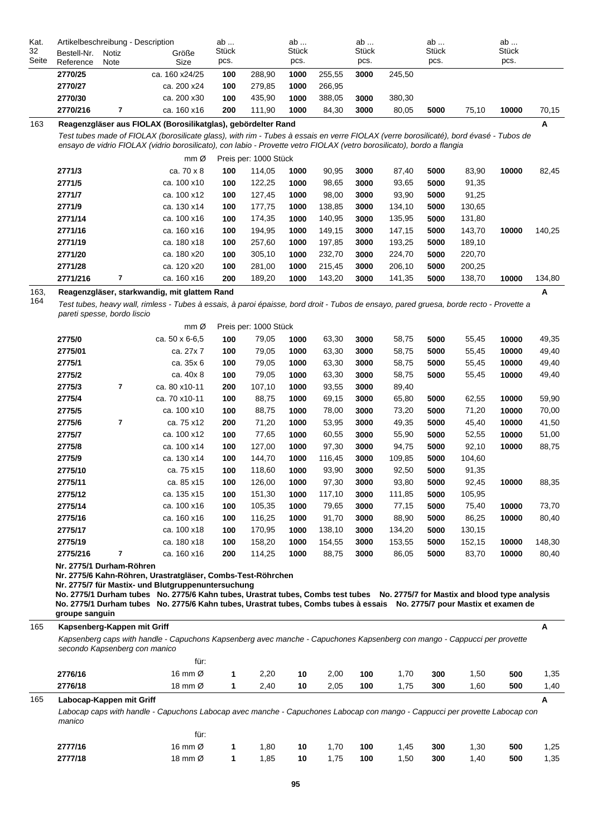| Kat.        |                                                                                                                                       | Artikelbeschreibung - Description |                                                              |                      |        | ab                   |        | ab                   |        | ab            |       | ab            |       |
|-------------|---------------------------------------------------------------------------------------------------------------------------------------|-----------------------------------|--------------------------------------------------------------|----------------------|--------|----------------------|--------|----------------------|--------|---------------|-------|---------------|-------|
| 32<br>Seite | Bestell-Nr.<br>Reference                                                                                                              | Notiz<br>Note                     | Größe<br>Size                                                | <b>Stück</b><br>pcs. |        | <b>Stück</b><br>pcs. |        | <b>Stück</b><br>pcs. |        | Stück<br>pcs. | 75.10 | Stück<br>pcs. |       |
|             | 2770/25                                                                                                                               |                                   | ca. 160 x24/25                                               | 100                  | 288.90 | 1000                 | 255.55 | 3000                 | 245.50 |               |       |               |       |
|             | 2770/27                                                                                                                               |                                   | ca. 200 x24                                                  | 100                  | 279.85 | 1000                 | 266.95 |                      |        |               |       |               |       |
|             | 2770/30                                                                                                                               |                                   | ca. 200 x30                                                  | 100                  | 435.90 | 1000                 | 388.05 | 3000                 | 380.30 |               |       |               |       |
|             | 2770/216                                                                                                                              |                                   | ca. 160 x16                                                  | 200                  | 111.90 | 1000                 | 84.30  | 3000                 | 80.05  | 5000          |       | 10000         | 70.15 |
| 163         |                                                                                                                                       |                                   | Reagenzgläser aus FIOLAX (Borosilikatglas), gebördelter Rand |                      |        |                      |        |                      |        |               |       |               | A     |
|             | Test tubes made of FIOLAX (borosilicate glass), with rim - Tubes à essais en verre FIOLAX (verre borosilicaté), bord évasé - Tubos de |                                   |                                                              |                      |        |                      |        |                      |        |               |       |               |       |

*ensayo de vidrio FIOLAX (vidrio borosilicato), con labio - Provette vetro FIOLAX (vetro borosilicato), bordo a flangia*

|          | $mm\varnothing$ |     | Preis per: 1000 Stück |      |        |      |        |      |        |       |        |
|----------|-----------------|-----|-----------------------|------|--------|------|--------|------|--------|-------|--------|
| 2771/3   | ca. 70 x 8      | 100 | 114.05                | 1000 | 90,95  | 3000 | 87.40  | 5000 | 83.90  | 10000 | 82,45  |
| 2771/5   | ca. 100 x10     | 100 | 122,25                | 1000 | 98,65  | 3000 | 93,65  | 5000 | 91,35  |       |        |
| 2771/7   | ca. 100 x12     | 100 | 127,45                | 1000 | 98,00  | 3000 | 93,90  | 5000 | 91,25  |       |        |
| 2771/9   | ca. 130 x14     | 100 | 177,75                | 1000 | 138,85 | 3000 | 134,10 | 5000 | 130,65 |       |        |
| 2771/14  | ca. 100 x16     | 100 | 174,35                | 1000 | 140,95 | 3000 | 135,95 | 5000 | 131,80 |       |        |
| 2771/16  | ca. 160 x16     | 100 | 194,95                | 1000 | 149,15 | 3000 | 147,15 | 5000 | 143,70 | 10000 | 140,25 |
| 2771/19  | ca. 180 x18     | 100 | 257,60                | 1000 | 197,85 | 3000 | 193,25 | 5000 | 189,10 |       |        |
| 2771/20  | ca. 180 x20     | 100 | 305,10                | 1000 | 232,70 | 3000 | 224,70 | 5000 | 220,70 |       |        |
| 2771/28  | ca. 120 x20     | 100 | 281,00                | 1000 | 215,45 | 3000 | 206,10 | 5000 | 200,25 |       |        |
| 2771/216 | ca. 160 x16     | 200 | 189,20                | 1000 | 143,20 | 3000 | 141,35 | 5000 | 138,70 | 10000 | 134,80 |

**A**

#### 163, 164 **Reagenzgläser, starkwandig, mit glattem Rand**

*Test tubes, heavy wall, rimless - Tubes à essais, à paroi épaisse, bord droit - Tubos de ensayo, pared gruesa, borde recto - Provette a pareti spesse, bordo liscio*

|          |                | $mm \varnothing$ |     | Preis per: 1000 Stück |      |        |      |        |      |        |       |        |
|----------|----------------|------------------|-----|-----------------------|------|--------|------|--------|------|--------|-------|--------|
| 2775/0   |                | ca. 50 x 6-6,5   | 100 | 79,05                 | 1000 | 63,30  | 3000 | 58,75  | 5000 | 55,45  | 10000 | 49,35  |
| 2775/01  |                | ca. 27x 7        | 100 | 79,05                 | 1000 | 63,30  | 3000 | 58,75  | 5000 | 55,45  | 10000 | 49,40  |
| 2775/1   |                | ca. 35x 6        | 100 | 79,05                 | 1000 | 63,30  | 3000 | 58,75  | 5000 | 55,45  | 10000 | 49,40  |
| 2775/2   |                | ca. 40x 8        | 100 | 79,05                 | 1000 | 63,30  | 3000 | 58,75  | 5000 | 55,45  | 10000 | 49,40  |
| 2775/3   | $\overline{7}$ | ca. 80 x10-11    | 200 | 107,10                | 1000 | 93,55  | 3000 | 89,40  |      |        |       |        |
| 2775/4   |                | ca. 70 x10-11    | 100 | 88,75                 | 1000 | 69,15  | 3000 | 65,80  | 5000 | 62,55  | 10000 | 59,90  |
| 2775/5   |                | ca. 100 x10      | 100 | 88,75                 | 1000 | 78,00  | 3000 | 73,20  | 5000 | 71,20  | 10000 | 70,00  |
| 2775/6   | 7              | ca. 75 x12       | 200 | 71,20                 | 1000 | 53,95  | 3000 | 49,35  | 5000 | 45,40  | 10000 | 41,50  |
| 2775/7   |                | ca. 100 x12      | 100 | 77,65                 | 1000 | 60,55  | 3000 | 55,90  | 5000 | 52,55  | 10000 | 51,00  |
| 2775/8   |                | ca. 100 x14      | 100 | 127,00                | 1000 | 97,30  | 3000 | 94,75  | 5000 | 92,10  | 10000 | 88,75  |
| 2775/9   |                | ca. 130 x14      | 100 | 144,70                | 1000 | 116,45 | 3000 | 109,85 | 5000 | 104,60 |       |        |
| 2775/10  |                | ca. 75 x15       | 100 | 118,60                | 1000 | 93,90  | 3000 | 92,50  | 5000 | 91,35  |       |        |
| 2775/11  |                | ca. 85 x15       | 100 | 126,00                | 1000 | 97,30  | 3000 | 93,80  | 5000 | 92,45  | 10000 | 88,35  |
| 2775/12  |                | ca. 135 x15      | 100 | 151,30                | 1000 | 117,10 | 3000 | 111,85 | 5000 | 105,95 |       |        |
| 2775/14  |                | ca. 100 x16      | 100 | 105,35                | 1000 | 79,65  | 3000 | 77,15  | 5000 | 75,40  | 10000 | 73,70  |
| 2775/16  |                | ca. 160 x16      | 100 | 116,25                | 1000 | 91,70  | 3000 | 88,90  | 5000 | 86,25  | 10000 | 80,40  |
| 2775/17  |                | ca. 100 x18      | 100 | 170,95                | 1000 | 138,10 | 3000 | 134,20 | 5000 | 130,15 |       |        |
| 2775/19  |                | ca. 180 x18      | 100 | 158,20                | 1000 | 154,55 | 3000 | 153,55 | 5000 | 152,15 | 10000 | 148,30 |
| 2775/216 | 7              | ca. 160 x16      | 200 | 114,25                | 1000 | 88,75  | 3000 | 86,05  | 5000 | 83,70  | 10000 | 80,40  |

**Nr. 2775/1 Durham-Röhren**

**Nr. 2775/6 Kahn-Röhren, Urastratgläser, Combs-Test-Röhrchen**

**Nr. 2775/7 für Mastix- und Blutgruppenuntersuchung**

**No. 2775/1 Durham tubes No. 2775/6 Kahn tubes, Urastrat tubes, Combs test tubes No. 2775/7 for Mastix and blood type analysis No. 2775/1 Durham tubes No. 2775/6 Kahn tubes, Urastrat tubes, Combs tubes à essais No. 2775/7 pour Mastix et examen de groupe sanguin**

|     | groupe sangum                                                                                                                                             |                     |   |      |    |      |     |      |     |      |     |      |  |  |
|-----|-----------------------------------------------------------------------------------------------------------------------------------------------------------|---------------------|---|------|----|------|-----|------|-----|------|-----|------|--|--|
| 165 | Kapsenberg-Kappen mit Griff                                                                                                                               |                     |   |      |    |      |     |      |     |      |     | A    |  |  |
|     | Kapsenberg caps with handle - Capuchons Kapsenberg avec manche - Capuchones Kapsenberg con mango - Cappucci per provette<br>secondo Kapsenberg con manico |                     |   |      |    |      |     |      |     |      |     |      |  |  |
|     |                                                                                                                                                           | für:                |   |      |    |      |     |      |     |      |     |      |  |  |
|     | 2776/16                                                                                                                                                   | 16 mm $\varnothing$ | 1 | 2,20 | 10 | 2,00 | 100 | 1,70 | 300 | 1,50 | 500 | 1,35 |  |  |
|     | 2776/18                                                                                                                                                   | 18 mm $\varnothing$ | 1 | 2,40 | 10 | 2,05 | 100 | 1,75 | 300 | 1,60 | 500 | 1,40 |  |  |
| 165 | Labocap-Kappen mit Griff                                                                                                                                  |                     |   |      |    |      |     |      |     |      |     |      |  |  |
|     | Labocap caps with handle - Capuchons Labocap avec manche - Capuchones Labocap con mango - Cappucci per provette Labocap con<br>manico                     |                     |   |      |    |      |     |      |     |      |     |      |  |  |
|     |                                                                                                                                                           | für:                |   |      |    |      |     |      |     |      |     |      |  |  |
|     | 2777/16                                                                                                                                                   | 16 mm $\varnothing$ | 1 | 1,80 | 10 | 1,70 | 100 | 1,45 | 300 | 1,30 | 500 | 1,25 |  |  |
|     | 2777/18                                                                                                                                                   | 18 mm $\varnothing$ |   | 1,85 | 10 | 1,75 | 100 | 1,50 | 300 | 1,40 | 500 | 1,35 |  |  |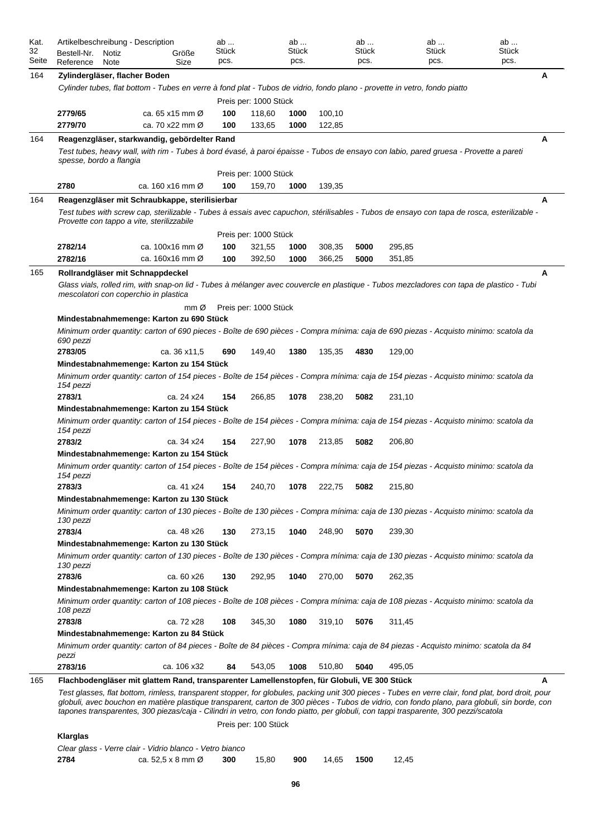| Kat.        | Artikelbeschreibung - Description                                                           |                               | ab            |                       | ab            |        | ab            | ab                                                                                                                                                                                                                                                                                                                                                                                                                                         | ab            |   |
|-------------|---------------------------------------------------------------------------------------------|-------------------------------|---------------|-----------------------|---------------|--------|---------------|--------------------------------------------------------------------------------------------------------------------------------------------------------------------------------------------------------------------------------------------------------------------------------------------------------------------------------------------------------------------------------------------------------------------------------------------|---------------|---|
| 32<br>Seite | Bestell-Nr.<br>Notiz                                                                        | Größe<br>Size                 | Stück<br>pcs. |                       | Stück<br>pcs. |        | Stück<br>pcs. | Stück<br>pcs.                                                                                                                                                                                                                                                                                                                                                                                                                              | Stück<br>pcs. |   |
|             | Reference<br>Note                                                                           |                               |               |                       |               |        |               |                                                                                                                                                                                                                                                                                                                                                                                                                                            |               |   |
| 164         | Zylindergläser, flacher Boden                                                               |                               |               |                       |               |        |               |                                                                                                                                                                                                                                                                                                                                                                                                                                            |               | A |
|             |                                                                                             |                               |               |                       |               |        |               | Cylinder tubes, flat bottom - Tubes en verre à fond plat - Tubos de vidrio, fondo plano - provette in vetro, fondo piatto                                                                                                                                                                                                                                                                                                                  |               |   |
|             |                                                                                             |                               |               | Preis per: 1000 Stück |               |        |               |                                                                                                                                                                                                                                                                                                                                                                                                                                            |               |   |
|             | 2779/65<br>2779/70                                                                          | ca. 65 x15 mm $\varnothing$   | 100           | 118,60                | 1000          | 100,10 |               |                                                                                                                                                                                                                                                                                                                                                                                                                                            |               |   |
|             |                                                                                             | ca. 70 x22 mm Ø               | 100           | 133,65                | 1000          | 122,85 |               |                                                                                                                                                                                                                                                                                                                                                                                                                                            |               |   |
| 164         | Reagenzgläser, starkwandig, gebördelter Rand                                                |                               |               |                       |               |        |               |                                                                                                                                                                                                                                                                                                                                                                                                                                            |               | Α |
|             | spesse, bordo a flangia                                                                     |                               |               |                       |               |        |               | Test tubes, heavy wall, with rim - Tubes à bord évasé, à paroi épaisse - Tubos de ensayo con labio, pared gruesa - Provette a pareti                                                                                                                                                                                                                                                                                                       |               |   |
|             |                                                                                             |                               |               | Preis per: 1000 Stück |               |        |               |                                                                                                                                                                                                                                                                                                                                                                                                                                            |               |   |
|             | 2780                                                                                        | ca. 160 x16 mm Ø              | 100           | 159,70                | 1000          | 139,35 |               |                                                                                                                                                                                                                                                                                                                                                                                                                                            |               |   |
| 164         | Reagenzgläser mit Schraubkappe, sterilisierbar                                              |                               |               |                       |               |        |               |                                                                                                                                                                                                                                                                                                                                                                                                                                            |               | A |
|             | Provette con tappo a vite, sterilizzabile                                                   |                               |               |                       |               |        |               | Test tubes with screw cap, sterilizable - Tubes à essais avec capuchon, stérilisables - Tubos de ensayo con tapa de rosca, esterilizable -                                                                                                                                                                                                                                                                                                 |               |   |
|             |                                                                                             |                               |               | Preis per: 1000 Stück |               |        |               |                                                                                                                                                                                                                                                                                                                                                                                                                                            |               |   |
|             | 2782/14                                                                                     | ca. 100x16 mm Ø               | 100           | 321,55                | 1000          | 308,35 | 5000          | 295,85                                                                                                                                                                                                                                                                                                                                                                                                                                     |               |   |
|             | 2782/16                                                                                     | ca. 160x16 mm Ø               | 100           | 392,50                | 1000          | 366,25 | 5000          | 351,85                                                                                                                                                                                                                                                                                                                                                                                                                                     |               |   |
| 165         | Rollrandgläser mit Schnappdeckel                                                            |                               |               |                       |               |        |               |                                                                                                                                                                                                                                                                                                                                                                                                                                            |               | A |
|             | mescolatori con coperchio in plastica                                                       |                               |               |                       |               |        |               | Glass vials, rolled rim, with snap-on lid - Tubes à mélanger avec couvercle en plastique - Tubos mezcladores con tapa de plastico - Tubi                                                                                                                                                                                                                                                                                                   |               |   |
|             |                                                                                             | $mm\varnothing$               |               | Preis per: 1000 Stück |               |        |               |                                                                                                                                                                                                                                                                                                                                                                                                                                            |               |   |
|             | Mindestabnahmemenge: Karton zu 690 Stück                                                    |                               |               |                       |               |        |               |                                                                                                                                                                                                                                                                                                                                                                                                                                            |               |   |
|             | 690 pezzi                                                                                   |                               |               |                       |               |        |               | Minimum order quantity: carton of 690 pieces - Boîte de 690 pièces - Compra mínima: caja de 690 piezas - Acquisto minimo: scatola da                                                                                                                                                                                                                                                                                                       |               |   |
|             | 2783/05                                                                                     | ca. 36 x11,5                  | 690           | 149,40                | 1380          | 135,35 | 4830          | 129,00                                                                                                                                                                                                                                                                                                                                                                                                                                     |               |   |
|             | Mindestabnahmemenge: Karton zu 154 Stück                                                    |                               |               |                       |               |        |               |                                                                                                                                                                                                                                                                                                                                                                                                                                            |               |   |
|             | 154 pezzi                                                                                   |                               |               |                       |               |        |               | Minimum order quantity: carton of 154 pieces - Boîte de 154 pièces - Compra mínima: caja de 154 piezas - Acquisto minimo: scatola da                                                                                                                                                                                                                                                                                                       |               |   |
|             | 2783/1                                                                                      | ca. 24 x24                    | 154           | 266,85                | 1078          | 238,20 | 5082          | 231,10                                                                                                                                                                                                                                                                                                                                                                                                                                     |               |   |
|             | Mindestabnahmemenge: Karton zu 154 Stück                                                    |                               |               |                       |               |        |               |                                                                                                                                                                                                                                                                                                                                                                                                                                            |               |   |
|             | 154 pezzi                                                                                   |                               |               |                       |               |        |               | Minimum order quantity: carton of 154 pieces - Boîte de 154 pièces - Compra mínima: caja de 154 piezas - Acquisto minimo: scatola da                                                                                                                                                                                                                                                                                                       |               |   |
|             | 2783/2                                                                                      | ca. 34 x24                    | 154           | 227,90                | 1078          | 213,85 | 5082          | 206,80                                                                                                                                                                                                                                                                                                                                                                                                                                     |               |   |
|             | Mindestabnahmemenge: Karton zu 154 Stück                                                    |                               |               |                       |               |        |               |                                                                                                                                                                                                                                                                                                                                                                                                                                            |               |   |
|             | 154 pezzi                                                                                   |                               |               |                       |               |        |               | Minimum order quantity: carton of 154 pieces - Boîte de 154 pièces - Compra mínima: caja de 154 piezas - Acquisto minimo: scatola da                                                                                                                                                                                                                                                                                                       |               |   |
|             | 2783/3                                                                                      | ca. 41 x24                    | 154           | 240,70                | 1078          | 222,75 | 5082          | 215,80                                                                                                                                                                                                                                                                                                                                                                                                                                     |               |   |
|             | Mindestabnahmemenge: Karton zu 130 Stück                                                    |                               |               |                       |               |        |               |                                                                                                                                                                                                                                                                                                                                                                                                                                            |               |   |
|             | 130 pezzi                                                                                   |                               |               |                       |               |        |               | Minimum order quantity: carton of 130 pieces - Boîte de 130 pièces - Compra mínima: caja de 130 piezas - Acquisto minimo: scatola da                                                                                                                                                                                                                                                                                                       |               |   |
|             | 2783/4                                                                                      | ca. 48 x26                    | 130           | 273,15                | 1040          | 248,90 | 5070          | 239,30                                                                                                                                                                                                                                                                                                                                                                                                                                     |               |   |
|             | Mindestabnahmemenge: Karton zu 130 Stück                                                    |                               |               |                       |               |        |               |                                                                                                                                                                                                                                                                                                                                                                                                                                            |               |   |
|             | 130 pezzi                                                                                   |                               |               |                       |               |        |               | Minimum order quantity: carton of 130 pieces - Boîte de 130 pièces - Compra mínima: caja de 130 piezas - Acquisto minimo: scatola da                                                                                                                                                                                                                                                                                                       |               |   |
|             | 2783/6                                                                                      | ca. 60 x26                    | 130           | 292,95                | 1040          | 270,00 | 5070          | 262,35                                                                                                                                                                                                                                                                                                                                                                                                                                     |               |   |
|             | Mindestabnahmemenge: Karton zu 108 Stück                                                    |                               |               |                       |               |        |               |                                                                                                                                                                                                                                                                                                                                                                                                                                            |               |   |
|             | 108 pezzi                                                                                   |                               |               |                       |               |        |               | Minimum order quantity: carton of 108 pieces - Boîte de 108 pièces - Compra mínima: caja de 108 piezas - Acquisto minimo: scatola da                                                                                                                                                                                                                                                                                                       |               |   |
|             | 2783/8                                                                                      | ca. 72 x28                    | 108           | 345,30                | 1080          | 319,10 | 5076          | 311,45                                                                                                                                                                                                                                                                                                                                                                                                                                     |               |   |
|             | Mindestabnahmemenge: Karton zu 84 Stück                                                     |                               |               |                       |               |        |               |                                                                                                                                                                                                                                                                                                                                                                                                                                            |               |   |
|             | pezzi                                                                                       |                               |               |                       |               |        |               | Minimum order quantity: carton of 84 pieces - Boîte de 84 pièces - Compra mínima: caja de 84 piezas - Acquisto minimo: scatola da 84                                                                                                                                                                                                                                                                                                       |               |   |
|             | 2783/16                                                                                     | ca. 106 x32                   | 84            | 543,05                | 1008          | 510,80 | 5040          | 495,05                                                                                                                                                                                                                                                                                                                                                                                                                                     |               |   |
| 165         | Flachbodengläser mit glattem Rand, transparenter Lamellenstopfen, für Globuli, VE 300 Stück |                               |               |                       |               |        |               |                                                                                                                                                                                                                                                                                                                                                                                                                                            |               | A |
|             |                                                                                             |                               |               |                       |               |        |               | Test glasses, flat bottom, rimless, transparent stopper, for globules, packing unit 300 pieces - Tubes en verre clair, fond plat, bord droit, pour<br>globuli, avec bouchon en matière plastique transparent, carton de 300 pièces - Tubos de vidrio, con fondo plano, para globuli, sin borde, con<br>tapones transparentes, 300 piezas/caja - Cilindri in vetro, con fondo piatto, per globuli, con tappi trasparente, 300 pezzi/scatola |               |   |
|             |                                                                                             |                               |               | Preis per: 100 Stück  |               |        |               |                                                                                                                                                                                                                                                                                                                                                                                                                                            |               |   |
|             | <b>Klarglas</b>                                                                             |                               |               |                       |               |        |               |                                                                                                                                                                                                                                                                                                                                                                                                                                            |               |   |
|             | Clear glass - Verre clair - Vidrio blanco - Vetro bianco<br>2784                            | ca. 52,5 x 8 mm $\varnothing$ | 300           | 15,80                 | 900           | 14,65  | 1500          | 12,45                                                                                                                                                                                                                                                                                                                                                                                                                                      |               |   |
|             |                                                                                             |                               |               |                       |               |        |               |                                                                                                                                                                                                                                                                                                                                                                                                                                            |               |   |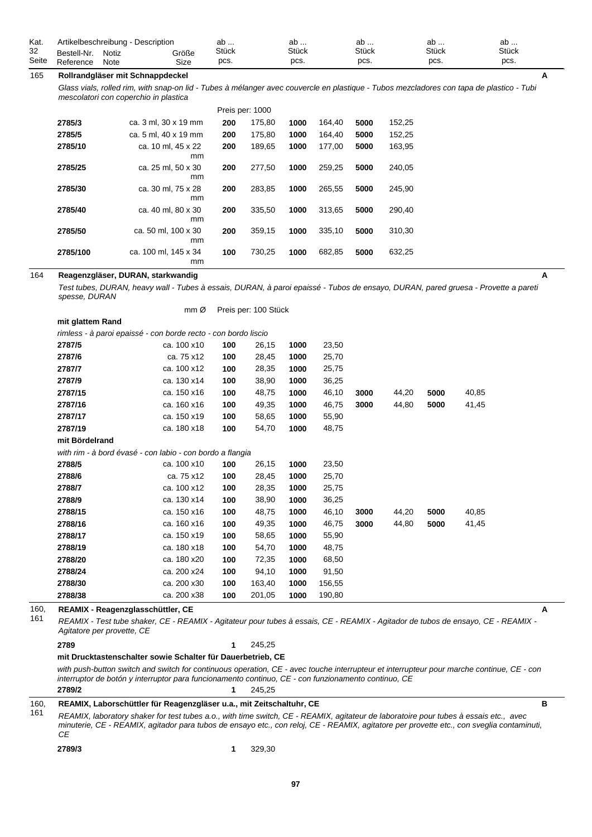| Kat.  |             | Artikelbeschreibung - Description |       | ab    | ab           | ab           | ab           | ab           |  |
|-------|-------------|-----------------------------------|-------|-------|--------------|--------------|--------------|--------------|--|
| 32    | Bestell-Nr. | Notiz                             | Größe | Stück | <b>Stück</b> | <b>Stück</b> | <b>Stück</b> | <b>Stück</b> |  |
| Seite | Reference   | Note                              | Size  | pcs.  | pcs.         | pcs.         | pcs.         | pcs.         |  |

# 165 **Rollrandgläser mit Schnappdeckel**

*Glass vials, rolled rim, with snap-on lid - Tubes à mélanger avec couvercle en plastique - Tubos mezcladores con tapa de plastico - Tubi mescolatori con coperchio in plastica*

| Preis per: 1000 |                            |     |        |      |        |      |        |  |  |  |
|-----------------|----------------------------|-----|--------|------|--------|------|--------|--|--|--|
| 2785/3          | ca. 3 ml, 30 x 19 mm       | 200 | 175,80 | 1000 | 164,40 | 5000 | 152,25 |  |  |  |
| 2785/5          | ca. 5 ml. 40 x 19 mm       | 200 | 175.80 | 1000 | 164.40 | 5000 | 152,25 |  |  |  |
| 2785/10         | ca. 10 ml. 45 x 22<br>mm   | 200 | 189.65 | 1000 | 177.00 | 5000 | 163.95 |  |  |  |
| 2785/25         | ca. 25 ml. 50 x 30<br>mm   | 200 | 277.50 | 1000 | 259.25 | 5000 | 240.05 |  |  |  |
| 2785/30         | ca. 30 ml. 75 x 28<br>mm   | 200 | 283.85 | 1000 | 265.55 | 5000 | 245,90 |  |  |  |
| 2785/40         | ca. 40 ml. 80 x 30<br>mm   | 200 | 335.50 | 1000 | 313.65 | 5000 | 290.40 |  |  |  |
| 2785/50         | ca. 50 ml, 100 x 30<br>mm  | 200 | 359.15 | 1000 | 335.10 | 5000 | 310,30 |  |  |  |
| 2785/100        | ca. 100 ml. 145 x 34<br>mm | 100 | 730.25 | 1000 | 682,85 | 5000 | 632,25 |  |  |  |

Preis per: 100 Stück

mm Ø

#### 164 **Reagenzgläser, DURAN, starkwandig**

*Test tubes, DURAN, heavy wall - Tubes à essais, DURAN, à paroi epaissé - Tubos de ensayo, DURAN, pared gruesa - Provette a pareti spesse, DURAN*

| mit glattem Rand                                               |             |     |        |      |        |      |       |      |       |   |
|----------------------------------------------------------------|-------------|-----|--------|------|--------|------|-------|------|-------|---|
| rimless - à paroi epaissé - con borde recto - con bordo liscio |             |     |        |      |        |      |       |      |       |   |
| 2787/5                                                         | ca. 100 x10 | 100 | 26,15  | 1000 | 23,50  |      |       |      |       |   |
| 2787/6                                                         | ca. 75 x12  | 100 | 28,45  | 1000 | 25,70  |      |       |      |       |   |
| 2787/7                                                         | ca. 100 x12 | 100 | 28,35  | 1000 | 25,75  |      |       |      |       |   |
| 2787/9                                                         | ca. 130 x14 | 100 | 38,90  | 1000 | 36,25  |      |       |      |       |   |
| 2787/15                                                        | ca. 150 x16 | 100 | 48,75  | 1000 | 46,10  | 3000 | 44,20 | 5000 | 40,85 |   |
| 2787/16                                                        | ca. 160 x16 | 100 | 49,35  | 1000 | 46,75  | 3000 | 44,80 | 5000 | 41,45 |   |
| 2787/17                                                        | ca. 150 x19 | 100 | 58,65  | 1000 | 55,90  |      |       |      |       |   |
| 2787/19                                                        | ca. 180 x18 | 100 | 54,70  | 1000 | 48,75  |      |       |      |       |   |
| mit Bördelrand                                                 |             |     |        |      |        |      |       |      |       |   |
| with rim - à bord évasé - con labio - con bordo a flangia      |             |     |        |      |        |      |       |      |       |   |
| 2788/5                                                         | ca. 100 x10 | 100 | 26,15  | 1000 | 23,50  |      |       |      |       |   |
| 2788/6                                                         | ca. 75 x12  | 100 | 28,45  | 1000 | 25,70  |      |       |      |       |   |
| 2788/7                                                         | ca. 100 x12 | 100 | 28,35  | 1000 | 25,75  |      |       |      |       |   |
| 2788/9                                                         | ca. 130 x14 | 100 | 38,90  | 1000 | 36,25  |      |       |      |       |   |
| 2788/15                                                        | ca. 150 x16 | 100 | 48,75  | 1000 | 46,10  | 3000 | 44,20 | 5000 | 40,85 |   |
| 2788/16                                                        | ca. 160 x16 | 100 | 49,35  | 1000 | 46,75  | 3000 | 44,80 | 5000 | 41,45 |   |
| 2788/17                                                        | ca. 150 x19 | 100 | 58,65  | 1000 | 55,90  |      |       |      |       |   |
| 2788/19                                                        | ca. 180 x18 | 100 | 54,70  | 1000 | 48,75  |      |       |      |       |   |
| 2788/20                                                        | ca. 180 x20 | 100 | 72,35  | 1000 | 68,50  |      |       |      |       |   |
| 2788/24                                                        | ca. 200 x24 | 100 | 94,10  | 1000 | 91,50  |      |       |      |       |   |
| 2788/30                                                        | ca. 200 x30 | 100 | 163,40 | 1000 | 156,55 |      |       |      |       |   |
| 2788/38                                                        | ca. 200 x38 | 100 | 201,05 | 1000 | 190,80 |      |       |      |       |   |
| REAMIX - Reagenzglasschüttler, CE                              |             |     |        |      |        |      |       |      |       | A |

#### 160, 161

*REAMIX - Test tube shaker, CE - REAMIX - Agitateur pour tubes à essais, CE - REAMIX - Agitador de tubos de ensayo, CE - REAMIX - Agitatore per provette, CE*

```
2789 1 245,25
```
# **mit Drucktastenschalter sowie Schalter für Dauerbetrieb, CE**

*with push-button switch and switch for continuous operation, CE - avec touche interrupteur et interrupteur pour marche continue, CE - con interruptor de botón y interruptor para funcionamento continuo, CE - con funzionamento continuo, CE* **2789/2 1** 245,25

160, **REAMIX, Laborschüttler für Reagenzgläser u.a., mit Zeitschaltuhr, CE B**

*REAMIX, laboratory shaker for test tubes a.o., with time switch, CE - REAMIX, agitateur de laboratoire pour tubes à essais etc., avec minuterie, CE - REAMIX, agitador para tubos de ensayo etc., con reloj, CE - REAMIX, agitatore per provette etc., con sveglia contaminuti, CE* 161

**2789/3 1** 329,30

**A**

**A**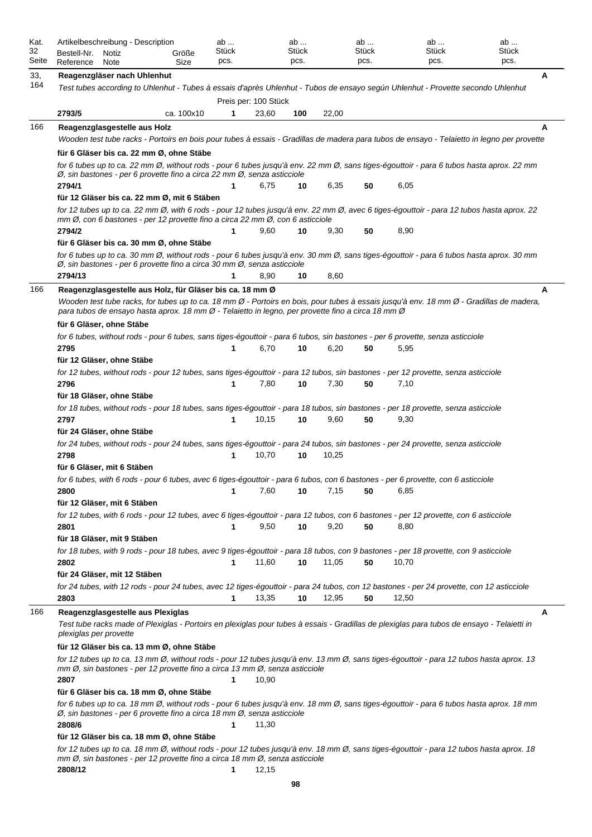| Kat.<br>32 | Artikelbeschreibung - Description<br>Bestell-Nr.                                                            | Notiz | Größe      | ab<br>Stück |                      | ab<br>Stück |       | ab<br>Stück |       | ab<br><b>Stück</b>                                                                                                                    | ab<br>Stück                                                                                                                                     |
|------------|-------------------------------------------------------------------------------------------------------------|-------|------------|-------------|----------------------|-------------|-------|-------------|-------|---------------------------------------------------------------------------------------------------------------------------------------|-------------------------------------------------------------------------------------------------------------------------------------------------|
| Seite      | Reference                                                                                                   | Note  | Size       | pcs.        |                      | pcs.        |       | pcs.        |       | pcs.                                                                                                                                  | pcs.                                                                                                                                            |
| 33,        | Reagenzgläser nach Uhlenhut                                                                                 |       |            |             |                      |             |       |             |       |                                                                                                                                       | Α                                                                                                                                               |
| 164        |                                                                                                             |       |            |             |                      |             |       |             |       |                                                                                                                                       | Test tubes according to Uhlenhut - Tubes à essais d'après Uhlenhut - Tubos de ensayo según Uhlenhut - Provette secondo Uhlenhut                 |
|            |                                                                                                             |       |            |             | Preis per: 100 Stück |             |       |             |       |                                                                                                                                       |                                                                                                                                                 |
|            | 2793/5                                                                                                      |       | ca. 100x10 | 1           | 23,60                | 100         | 22,00 |             |       |                                                                                                                                       |                                                                                                                                                 |
| 166        | Reagenzglasgestelle aus Holz                                                                                |       |            |             |                      |             |       |             |       |                                                                                                                                       | A                                                                                                                                               |
|            |                                                                                                             |       |            |             |                      |             |       |             |       |                                                                                                                                       | Wooden test tube racks - Portoirs en bois pour tubes à essais - Gradillas de madera para tubos de ensayo - Telaietto in legno per provette      |
|            | für 6 Gläser bis ca. 22 mm Ø, ohne Stäbe                                                                    |       |            |             |                      |             |       |             |       |                                                                                                                                       |                                                                                                                                                 |
|            | Ø, sin bastones - per 6 provette fino a circa 22 mm Ø, senza asticciole                                     |       |            |             |                      |             |       |             |       |                                                                                                                                       | for 6 tubes up to ca. 22 mm Ø, without rods - pour 6 tubes jusqu'à env. 22 mm Ø, sans tiges-égouttoir - para 6 tubos hasta aprox. 22 mm         |
|            | 2794/1                                                                                                      |       |            |             | 6,75                 | 10          | 6,35  | 50          | 6,05  |                                                                                                                                       |                                                                                                                                                 |
|            | für 12 Gläser bis ca. 22 mm Ø, mit 6 Stäben                                                                 |       |            |             |                      |             |       |             |       |                                                                                                                                       |                                                                                                                                                 |
|            | mm Ø, con 6 bastones - per 12 provette fino a circa 22 mm Ø, con 6 asticciole                               |       |            |             |                      |             |       |             |       |                                                                                                                                       | for 12 tubes up to ca. 22 mm Ø, with 6 rods - pour 12 tubes jusqu'à env. 22 mm Ø, avec 6 tiges-égouttoir - para 12 tubos hasta aprox. 22        |
|            | 2794/2                                                                                                      |       |            | 1           | 9,60                 | 10          | 9,30  | 50          | 8,90  |                                                                                                                                       |                                                                                                                                                 |
|            | für 6 Gläser bis ca. 30 mm Ø, ohne Stäbe                                                                    |       |            |             |                      |             |       |             |       |                                                                                                                                       |                                                                                                                                                 |
|            | Ø, sin bastones - per 6 provette fino a circa 30 mm Ø, senza asticciole                                     |       |            |             |                      |             |       |             |       |                                                                                                                                       | for 6 tubes up to ca. 30 mm Ø, without rods - pour 6 tubes jusqu'à env. 30 mm Ø, sans tiges-égouttoir - para 6 tubos hasta aprox. 30 mm         |
|            | 2794/13                                                                                                     |       |            | 1           | 8,90                 | 10          | 8,60  |             |       |                                                                                                                                       |                                                                                                                                                 |
| 166        | Reagenzglasgestelle aus Holz, für Gläser bis ca. 18 mm Ø                                                    |       |            |             |                      |             |       |             |       |                                                                                                                                       | A                                                                                                                                               |
|            | para tubos de ensayo hasta aprox. 18 mm Ø - Telaietto in legno, per provette fino a circa 18 mm Ø           |       |            |             |                      |             |       |             |       |                                                                                                                                       | Wooden test tube racks, for tubes up to ca. 18 mm Ø - Portoirs en bois, pour tubes à essais jusqu'à env. 18 mm Ø - Gradillas de madera,         |
|            | für 6 Gläser, ohne Stäbe                                                                                    |       |            |             |                      |             |       |             |       |                                                                                                                                       |                                                                                                                                                 |
|            |                                                                                                             |       |            |             |                      |             |       |             |       | for 6 tubes, without rods - pour 6 tubes, sans tiges-égouttoir - para 6 tubos, sin bastones - per 6 provette, senza asticciole        |                                                                                                                                                 |
|            | 2795                                                                                                        |       |            | 1           | 6,70                 | 10          | 6,20  | 50          | 5,95  |                                                                                                                                       |                                                                                                                                                 |
|            | für 12 Gläser, ohne Stäbe                                                                                   |       |            |             |                      |             |       |             |       | for 12 tubes, without rods - pour 12 tubes, sans tiges-égouttoir - para 12 tubos, sin bastones - per 12 provette, senza asticciole    |                                                                                                                                                 |
|            | 2796                                                                                                        |       |            | 1           | 7,80                 | 10          | 7,30  | 50          | 7,10  |                                                                                                                                       |                                                                                                                                                 |
|            | für 18 Gläser, ohne Stäbe                                                                                   |       |            |             |                      |             |       |             |       |                                                                                                                                       |                                                                                                                                                 |
|            |                                                                                                             |       |            |             |                      |             |       |             |       | for 18 tubes, without rods - pour 18 tubes, sans tiges-égouttoir - para 18 tubos, sin bastones - per 18 provette, senza asticciole    |                                                                                                                                                 |
|            | 2797                                                                                                        |       |            | 1           | 10,15                | 10          | 9,60  | 50          | 9,30  |                                                                                                                                       |                                                                                                                                                 |
|            | für 24 Gläser, ohne Stäbe                                                                                   |       |            |             |                      |             |       |             |       |                                                                                                                                       |                                                                                                                                                 |
|            |                                                                                                             |       |            |             |                      |             |       |             |       | for 24 tubes, without rods - pour 24 tubes, sans tiges-égouttoir - para 24 tubos, sin bastones - per 24 provette, senza asticciole    |                                                                                                                                                 |
|            | 2798                                                                                                        |       |            | 1           | 10,70                | 10          | 10,25 |             |       |                                                                                                                                       |                                                                                                                                                 |
|            | für 6 Gläser, mit 6 Stäben                                                                                  |       |            |             |                      |             |       |             |       |                                                                                                                                       |                                                                                                                                                 |
|            |                                                                                                             |       |            |             |                      |             |       |             |       | for 6 tubes, with 6 rods - pour 6 tubes, avec 6 tiges-égouttoir - para 6 tubos, con 6 bastones - per 6 provette, con 6 asticciole     |                                                                                                                                                 |
|            | 2800<br>für 12 Gläser, mit 6 Stäben                                                                         |       |            | 1           | 7,60                 | 10          | 7,15  | 50          | 6,85  |                                                                                                                                       |                                                                                                                                                 |
|            |                                                                                                             |       |            |             |                      |             |       |             |       | for 12 tubes, with 6 rods - pour 12 tubes, avec 6 tiges-égouttoir - para 12 tubos, con 6 bastones - per 12 provette, con 6 asticciole |                                                                                                                                                 |
|            | 2801                                                                                                        |       |            |             | 9,50                 | 10          | 9,20  | 50          | 8,80  |                                                                                                                                       |                                                                                                                                                 |
|            | für 18 Gläser, mit 9 Stäben                                                                                 |       |            |             |                      |             |       |             |       |                                                                                                                                       |                                                                                                                                                 |
|            |                                                                                                             |       |            |             |                      |             |       |             |       | for 18 tubes, with 9 rods - pour 18 tubes, avec 9 tiges-égouttoir - para 18 tubos, con 9 bastones - per 18 provette, con 9 asticciole |                                                                                                                                                 |
|            | 2802                                                                                                        |       |            |             | 11,60                | 10          | 11,05 | 50          | 10,70 |                                                                                                                                       |                                                                                                                                                 |
|            | für 24 Gläser, mit 12 Stäben                                                                                |       |            |             |                      |             |       |             |       |                                                                                                                                       |                                                                                                                                                 |
|            |                                                                                                             |       |            |             |                      |             |       |             |       |                                                                                                                                       | for 24 tubes, with 12 rods - pour 24 tubes, avec 12 tiges-égouttoir - para 24 tubos, con 12 bastones - per 24 provette, con 12 asticciole       |
|            | 2803                                                                                                        |       |            | 1           | 13,35                | 10          | 12,95 | 50          | 12,50 |                                                                                                                                       |                                                                                                                                                 |
| 166        | Reagenzglasgestelle aus Plexiglas<br>plexiglas per provette                                                 |       |            |             |                      |             |       |             |       |                                                                                                                                       | A<br>Test tube racks made of Plexiglas - Portoirs en plexiglas pour tubes à essais - Gradillas de plexiglas para tubos de ensayo - Telaietti in |
|            | für 12 Gläser bis ca. 13 mm Ø, ohne Stäbe                                                                   |       |            |             |                      |             |       |             |       |                                                                                                                                       |                                                                                                                                                 |
|            | mm Ø, sin bastones - per 12 provette fino a circa 13 mm Ø, senza asticciole<br>2807                         |       |            |             | 10,90                |             |       |             |       |                                                                                                                                       | for 12 tubes up to ca. 13 mm Ø, without rods - pour 12 tubes jusqu'à env. 13 mm Ø, sans tiges-égouttoir - para 12 tubos hasta aprox. 13         |
|            | für 6 Gläser bis ca. 18 mm Ø, ohne Stäbe                                                                    |       |            |             |                      |             |       |             |       |                                                                                                                                       |                                                                                                                                                 |
|            | $\varnothing$ , sin bastones - per 6 provette fino a circa 18 mm $\varnothing$ , senza asticciole<br>2808/6 |       |            | 1           | 11,30                |             |       |             |       |                                                                                                                                       | for 6 tubes up to ca. 18 mm Ø, without rods - pour 6 tubes jusqu'à env. 18 mm Ø, sans tiges-égouttoir - para 6 tubos hasta aprox. 18 mm         |
|            | für 12 Gläser bis ca. 18 mm Ø, ohne Stäbe                                                                   |       |            |             |                      |             |       |             |       |                                                                                                                                       |                                                                                                                                                 |
|            | mm Ø, sin bastones - per 12 provette fino a circa 18 mm Ø, senza asticciole                                 |       |            |             |                      |             |       |             |       |                                                                                                                                       | for 12 tubes up to ca. 18 mm Ø, without rods - pour 12 tubes jusqu'à env. 18 mm Ø, sans tiges-égouttoir - para 12 tubos hasta aprox. 18         |
|            | 2808/12                                                                                                     |       |            | 1           | 12,15                |             |       |             |       |                                                                                                                                       |                                                                                                                                                 |
|            |                                                                                                             |       |            |             |                      | 98          |       |             |       |                                                                                                                                       |                                                                                                                                                 |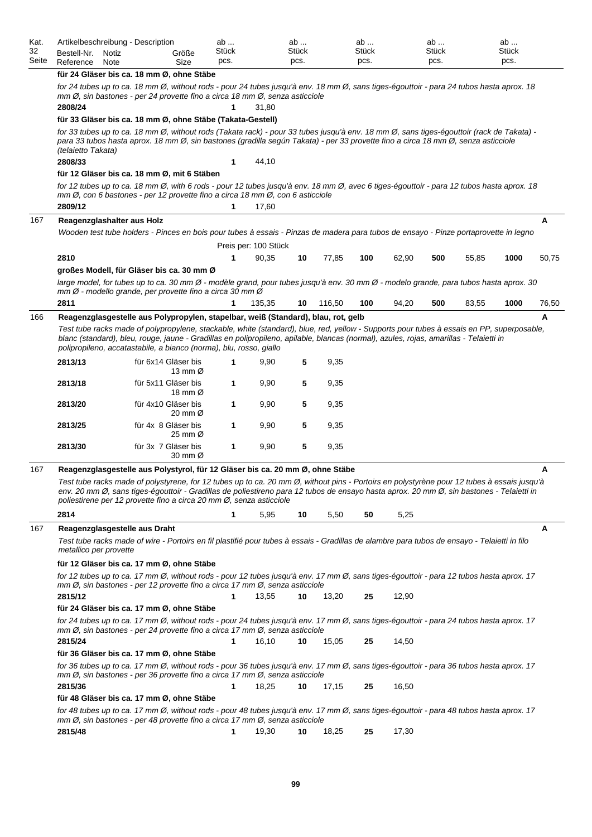| Kat.  | Artikelbeschreibung - Description                                                                                                                                                                                                                                                                                                                         |                                                                                                                                                                                                                                                                     |                                                                                                                                                                                                                                                                                                                                                               | ab    |   |                      | ab    |        | ab           |       | ab           |       | ab    |       |
|-------|-----------------------------------------------------------------------------------------------------------------------------------------------------------------------------------------------------------------------------------------------------------------------------------------------------------------------------------------------------------|---------------------------------------------------------------------------------------------------------------------------------------------------------------------------------------------------------------------------------------------------------------------|---------------------------------------------------------------------------------------------------------------------------------------------------------------------------------------------------------------------------------------------------------------------------------------------------------------------------------------------------------------|-------|---|----------------------|-------|--------|--------------|-------|--------------|-------|-------|-------|
| 32    | Bestell-Nr.                                                                                                                                                                                                                                                                                                                                               | Notiz                                                                                                                                                                                                                                                               | Größe                                                                                                                                                                                                                                                                                                                                                         | Stück |   |                      | Stück |        | <b>Stück</b> |       | <b>Stück</b> |       | Stück |       |
| Seite | Reference                                                                                                                                                                                                                                                                                                                                                 | Note                                                                                                                                                                                                                                                                | Size                                                                                                                                                                                                                                                                                                                                                          | pcs.  |   |                      | pcs.  |        | pcs.         |       | pcs.         |       | pcs.  |       |
|       |                                                                                                                                                                                                                                                                                                                                                           |                                                                                                                                                                                                                                                                     | für 24 Gläser bis ca. 18 mm Ø, ohne Stäbe                                                                                                                                                                                                                                                                                                                     |       |   |                      |       |        |              |       |              |       |       |       |
|       |                                                                                                                                                                                                                                                                                                                                                           |                                                                                                                                                                                                                                                                     | for 24 tubes up to ca. 18 mm Ø, without rods - pour 24 tubes jusqu'à env. 18 mm Ø, sans tiges-égouttoir - para 24 tubos hasta aprox. 18<br>mm Ø, sin bastones - per 24 provette fino a circa 18 mm Ø, senza asticciole                                                                                                                                        |       |   |                      |       |        |              |       |              |       |       |       |
|       | 2808/24                                                                                                                                                                                                                                                                                                                                                   |                                                                                                                                                                                                                                                                     | für 33 Gläser bis ca. 18 mm Ø, ohne Stäbe (Takata-Gestell)                                                                                                                                                                                                                                                                                                    |       | 1 | 31,80                |       |        |              |       |              |       |       |       |
|       |                                                                                                                                                                                                                                                                                                                                                           |                                                                                                                                                                                                                                                                     | for 33 tubes up to ca. 18 mm Ø, without rods (Takata rack) - pour 33 tubes jusqu'à env. 18 mm Ø, sans tiges-égouttoir (rack de Takata) -                                                                                                                                                                                                                      |       |   |                      |       |        |              |       |              |       |       |       |
|       | (telaietto Takata)                                                                                                                                                                                                                                                                                                                                        |                                                                                                                                                                                                                                                                     | para 33 tubos hasta aprox. 18 mm Ø, sin bastones (gradilla según Takata) - per 33 provette fino a circa 18 mm Ø, senza asticciole                                                                                                                                                                                                                             |       |   |                      |       |        |              |       |              |       |       |       |
|       | 2808/33                                                                                                                                                                                                                                                                                                                                                   |                                                                                                                                                                                                                                                                     |                                                                                                                                                                                                                                                                                                                                                               |       | 1 | 44,10                |       |        |              |       |              |       |       |       |
|       |                                                                                                                                                                                                                                                                                                                                                           |                                                                                                                                                                                                                                                                     | für 12 Gläser bis ca. 18 mm Ø, mit 6 Stäben                                                                                                                                                                                                                                                                                                                   |       |   |                      |       |        |              |       |              |       |       |       |
|       |                                                                                                                                                                                                                                                                                                                                                           |                                                                                                                                                                                                                                                                     | for 12 tubes up to ca. 18 mm Ø, with 6 rods - pour 12 tubes jusqu'à env. 18 mm Ø, avec 6 tiges-égouttoir - para 12 tubos hasta aprox. 18<br>mm Ø, con 6 bastones - per 12 provette fino a circa 18 mm Ø, con 6 asticciole                                                                                                                                     |       |   |                      |       |        |              |       |              |       |       |       |
|       | 2809/12                                                                                                                                                                                                                                                                                                                                                   |                                                                                                                                                                                                                                                                     |                                                                                                                                                                                                                                                                                                                                                               |       | 1 | 17,60                |       |        |              |       |              |       |       |       |
| 167   | Reagenzglashalter aus Holz                                                                                                                                                                                                                                                                                                                                |                                                                                                                                                                                                                                                                     |                                                                                                                                                                                                                                                                                                                                                               |       |   |                      |       |        |              |       |              |       |       | A     |
|       |                                                                                                                                                                                                                                                                                                                                                           |                                                                                                                                                                                                                                                                     | Wooden test tube holders - Pinces en bois pour tubes à essais - Pinzas de madera para tubos de ensayo - Pinze portaprovette in legno                                                                                                                                                                                                                          |       |   |                      |       |        |              |       |              |       |       |       |
|       |                                                                                                                                                                                                                                                                                                                                                           |                                                                                                                                                                                                                                                                     |                                                                                                                                                                                                                                                                                                                                                               |       |   | Preis per: 100 Stück |       |        |              |       |              |       |       |       |
|       | 2810                                                                                                                                                                                                                                                                                                                                                      |                                                                                                                                                                                                                                                                     |                                                                                                                                                                                                                                                                                                                                                               |       | 1 | 90,35                | 10    | 77,85  | 100          | 62,90 | 500          | 55,85 | 1000  | 50,75 |
|       |                                                                                                                                                                                                                                                                                                                                                           |                                                                                                                                                                                                                                                                     | großes Modell, für Gläser bis ca. 30 mm Ø                                                                                                                                                                                                                                                                                                                     |       |   |                      |       |        |              |       |              |       |       |       |
|       |                                                                                                                                                                                                                                                                                                                                                           |                                                                                                                                                                                                                                                                     | large model, for tubes up to ca. 30 mm Ø - modèle grand, pour tubes jusqu'à env. 30 mm Ø - modelo grande, para tubos hasta aprox. 30                                                                                                                                                                                                                          |       |   |                      |       |        |              |       |              |       |       |       |
|       |                                                                                                                                                                                                                                                                                                                                                           |                                                                                                                                                                                                                                                                     | $mm\varnothing$ - modello grande, per provette fino a circa 30 mm $\varnothing$                                                                                                                                                                                                                                                                               |       |   |                      |       |        |              |       |              |       |       |       |
|       | 2811                                                                                                                                                                                                                                                                                                                                                      |                                                                                                                                                                                                                                                                     |                                                                                                                                                                                                                                                                                                                                                               |       | 1 | 135.35               | 10    | 116,50 | 100          | 94,20 | 500          | 83,55 | 1000  | 76,50 |
| 166   |                                                                                                                                                                                                                                                                                                                                                           |                                                                                                                                                                                                                                                                     | Reagenzglasgestelle aus Polypropylen, stapelbar, weiß (Standard), blau, rot, gelb                                                                                                                                                                                                                                                                             |       |   |                      |       |        |              |       |              |       |       | А     |
|       | Test tube racks made of polypropylene, stackable, white (standard), blue, red, yellow - Supports pour tubes à essais en PP, superposable,<br>blanc (standard), bleu, rouge, jaune - Gradillas en polipropileno, apilable, blancas (normal), azules, rojas, amarillas - Telaietti in<br>polipropileno, accatastabile, a bianco (norma), blu, rosso, giallo |                                                                                                                                                                                                                                                                     |                                                                                                                                                                                                                                                                                                                                                               |       |   |                      |       |        |              |       |              |       |       |       |
|       | 2813/13                                                                                                                                                                                                                                                                                                                                                   |                                                                                                                                                                                                                                                                     | für 6x14 Gläser bis<br>13 mm $\varnothing$                                                                                                                                                                                                                                                                                                                    |       | 1 | 9,90                 | 5     | 9,35   |              |       |              |       |       |       |
|       | 2813/18                                                                                                                                                                                                                                                                                                                                                   |                                                                                                                                                                                                                                                                     | für 5x11 Gläser bis<br>18 mm Ø                                                                                                                                                                                                                                                                                                                                |       | 1 | 9,90                 | 5     | 9,35   |              |       |              |       |       |       |
|       | 2813/20                                                                                                                                                                                                                                                                                                                                                   |                                                                                                                                                                                                                                                                     | für 4x10 Gläser bis<br>20 mm $\varnothing$                                                                                                                                                                                                                                                                                                                    |       | 1 | 9,90                 | 5     | 9,35   |              |       |              |       |       |       |
|       | 2813/25                                                                                                                                                                                                                                                                                                                                                   |                                                                                                                                                                                                                                                                     | für 4x 8 Gläser bis<br>25 mm $\varnothing$                                                                                                                                                                                                                                                                                                                    |       | 1 | 9,90                 | 5     | 9,35   |              |       |              |       |       |       |
|       | 2813/30                                                                                                                                                                                                                                                                                                                                                   |                                                                                                                                                                                                                                                                     | für 3x 7 Gläser bis<br>30 mm $\varnothing$                                                                                                                                                                                                                                                                                                                    |       | 1 | 9,90                 | 5     | 9,35   |              |       |              |       |       |       |
| 167   |                                                                                                                                                                                                                                                                                                                                                           |                                                                                                                                                                                                                                                                     | Reagenzglasgestelle aus Polystyrol, für 12 Gläser bis ca. 20 mm Ø, ohne Stäbe                                                                                                                                                                                                                                                                                 |       |   |                      |       |        |              |       |              |       |       | А     |
|       |                                                                                                                                                                                                                                                                                                                                                           |                                                                                                                                                                                                                                                                     | Test tube racks made of polystyrene, for 12 tubes up to ca. 20 mm Ø, without pins - Portoirs en polystyrène pour 12 tubes à essais jusqu'à<br>env. 20 mm Ø, sans tiges-égouttoir - Gradillas de poliestireno para 12 tubos de ensayo hasta aprox. 20 mm Ø, sin bastones - Telaietti in<br>poliestirene per 12 provette fino a circa 20 mm Ø, senza asticciole |       |   |                      |       |        |              |       |              |       |       |       |
|       | 2814                                                                                                                                                                                                                                                                                                                                                      |                                                                                                                                                                                                                                                                     |                                                                                                                                                                                                                                                                                                                                                               |       | 1 | 5,95                 | 10    | 5,50   | 50           | 5,25  |              |       |       |       |
| 167   | Reagenzglasgestelle aus Draht                                                                                                                                                                                                                                                                                                                             |                                                                                                                                                                                                                                                                     |                                                                                                                                                                                                                                                                                                                                                               |       |   |                      |       |        |              |       |              |       |       | A     |
|       | metallico per provette                                                                                                                                                                                                                                                                                                                                    |                                                                                                                                                                                                                                                                     | Test tube racks made of wire - Portoirs en fil plastifié pour tubes à essais - Gradillas de alambre para tubos de ensayo - Telaietti in filo                                                                                                                                                                                                                  |       |   |                      |       |        |              |       |              |       |       |       |
|       |                                                                                                                                                                                                                                                                                                                                                           |                                                                                                                                                                                                                                                                     | für 12 Gläser bis ca. 17 mm Ø, ohne Stäbe                                                                                                                                                                                                                                                                                                                     |       |   |                      |       |        |              |       |              |       |       |       |
|       |                                                                                                                                                                                                                                                                                                                                                           |                                                                                                                                                                                                                                                                     | for 12 tubes up to ca. 17 mm Ø, without rods - pour 12 tubes jusqu'à env. 17 mm Ø, sans tiges-égouttoir - para 12 tubos hasta aprox. 17<br>$mm\varnothing$ , sin bastones - per 12 provette fino a circa 17 mm $\varnothing$ , senza asticciole                                                                                                               |       |   |                      |       |        |              |       |              |       |       |       |
|       | 2815/12                                                                                                                                                                                                                                                                                                                                                   |                                                                                                                                                                                                                                                                     |                                                                                                                                                                                                                                                                                                                                                               |       |   | 13,55                | 10    | 13,20  | 25           | 12,90 |              |       |       |       |
|       |                                                                                                                                                                                                                                                                                                                                                           |                                                                                                                                                                                                                                                                     | für 24 Gläser bis ca. 17 mm Ø, ohne Stäbe                                                                                                                                                                                                                                                                                                                     |       |   |                      |       |        |              |       |              |       |       |       |
|       |                                                                                                                                                                                                                                                                                                                                                           |                                                                                                                                                                                                                                                                     | for 24 tubes up to ca. 17 mm Ø, without rods - pour 24 tubes jusqu'à env. 17 mm Ø, sans tiges-égouttoir - para 24 tubos hasta aprox. 17<br>$mm\varnothing$ , sin bastones - per 24 provette fino a circa 17 mm $\varnothing$ , senza asticciole                                                                                                               |       |   |                      |       |        |              |       |              |       |       |       |
|       | 2815/24                                                                                                                                                                                                                                                                                                                                                   |                                                                                                                                                                                                                                                                     | für 36 Gläser bis ca. 17 mm Ø, ohne Stäbe                                                                                                                                                                                                                                                                                                                     |       | 1 | 16,10                | 10    | 15,05  | 25           | 14,50 |              |       |       |       |
|       |                                                                                                                                                                                                                                                                                                                                                           |                                                                                                                                                                                                                                                                     | for 36 tubes up to ca. 17 mm Ø, without rods - pour 36 tubes jusqu'à env. 17 mm Ø, sans tiges-égouttoir - para 36 tubos hasta aprox. 17                                                                                                                                                                                                                       |       |   |                      |       |        |              |       |              |       |       |       |
|       | 2815/36                                                                                                                                                                                                                                                                                                                                                   |                                                                                                                                                                                                                                                                     | mm Ø, sin bastones - per 36 provette fino a circa 17 mm Ø, senza asticciole                                                                                                                                                                                                                                                                                   |       | 1 | 18,25                | 10    | 17,15  | 25           | 16,50 |              |       |       |       |
|       |                                                                                                                                                                                                                                                                                                                                                           |                                                                                                                                                                                                                                                                     |                                                                                                                                                                                                                                                                                                                                                               |       |   |                      |       |        |              |       |              |       |       |       |
|       |                                                                                                                                                                                                                                                                                                                                                           | für 48 Gläser bis ca. 17 mm Ø, ohne Stäbe<br>for 48 tubes up to ca. 17 mm Ø, without rods - pour 48 tubes jusqu'à env. 17 mm Ø, sans tiges-égouttoir - para 48 tubos hasta aprox. 17<br>mm Ø, sin bastones - per 48 provette fino a circa 17 mm Ø, senza asticciole |                                                                                                                                                                                                                                                                                                                                                               |       |   |                      |       |        |              |       |              |       |       |       |
|       | 2815/48                                                                                                                                                                                                                                                                                                                                                   |                                                                                                                                                                                                                                                                     |                                                                                                                                                                                                                                                                                                                                                               |       | 1 | 19,30                | 10    | 18,25  | 25           | 17,30 |              |       |       |       |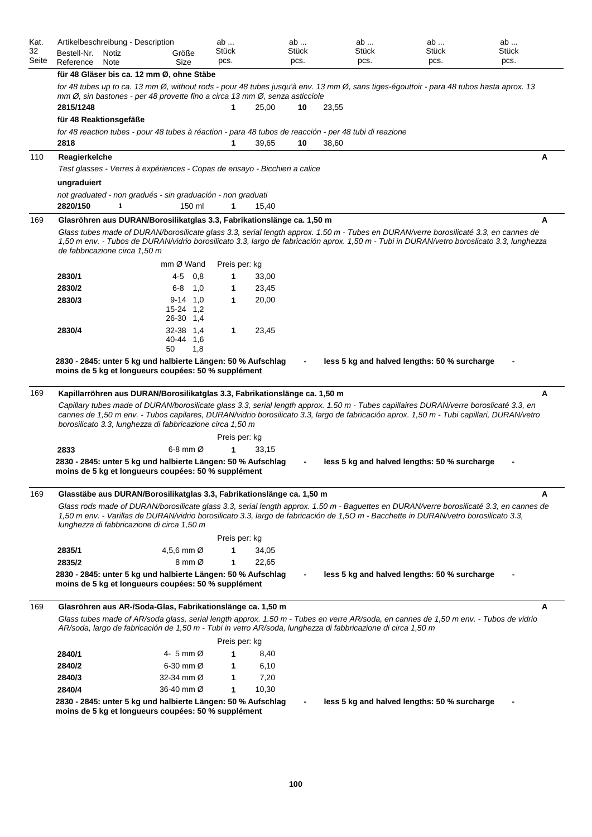| Kat.<br>32<br>Seite | Artikelbeschreibung - Description<br>Bestell-Nr.<br>Reference                                                                           | Notiz<br>Note |     | Größe<br>Size                 | ab<br>Stück<br>pcs. |                | ab<br>Stück<br>pcs. |       | ab<br><b>Stück</b><br>pcs. | ab<br><b>Stück</b><br>pcs.                                                                                                                                                                                                                                                         | ab<br>Stück<br>pcs. |
|---------------------|-----------------------------------------------------------------------------------------------------------------------------------------|---------------|-----|-------------------------------|---------------------|----------------|---------------------|-------|----------------------------|------------------------------------------------------------------------------------------------------------------------------------------------------------------------------------------------------------------------------------------------------------------------------------|---------------------|
|                     | für 48 Gläser bis ca. 12 mm Ø, ohne Stäbe                                                                                               |               |     |                               |                     |                |                     |       |                            |                                                                                                                                                                                                                                                                                    |                     |
|                     | mm Ø, sin bastones - per 48 provette fino a circa 13 mm Ø, senza asticciole<br>2815/1248                                                |               |     |                               | 1                   | 25,00          | 10                  | 23,55 |                            | for 48 tubes up to ca. 13 mm Ø, without rods - pour 48 tubes jusqu'à env. 13 mm Ø, sans tiges-égouttoir - para 48 tubos hasta aprox. 13                                                                                                                                            |                     |
|                     | für 48 Reaktionsgefäße                                                                                                                  |               |     |                               |                     |                |                     |       |                            |                                                                                                                                                                                                                                                                                    |                     |
|                     | for 48 reaction tubes - pour 48 tubes à réaction - para 48 tubos de reacción - per 48 tubi di reazione<br>2818                          |               |     |                               | 1                   | 39,65          | 10                  | 38,60 |                            |                                                                                                                                                                                                                                                                                    |                     |
| 110                 | Reagierkelche<br>Test glasses - Verres à expériences - Copas de ensayo - Bicchieri a calice                                             |               |     |                               |                     |                |                     |       |                            |                                                                                                                                                                                                                                                                                    | A                   |
|                     | ungraduiert<br>not graduated - non gradués - sin graduación - non graduati<br>2820/150                                                  | $\mathbf 1$   |     | 150 ml                        | 1                   | 15,40          |                     |       |                            |                                                                                                                                                                                                                                                                                    |                     |
| 169                 | Glasröhren aus DURAN/Borosilikatglas 3.3, Fabrikationslänge ca. 1,50 m                                                                  |               |     |                               |                     |                |                     |       |                            |                                                                                                                                                                                                                                                                                    | A                   |
|                     | de fabbricazione circa 1.50 m                                                                                                           |               |     | mm Ø Wand                     | Preis per: kg       |                |                     |       |                            | Glass tubes made of DURAN/borosilicate glass 3.3, serial length approx. 1.50 m - Tubes en DURAN/verre borosilicaté 3.3, en cannes de<br>1,50 m env. - Tubos de DURAN/vidrio borosilicato 3.3, largo de fabricación aprox. 1,50 m - Tubi in DURAN/vetro boroslicato 3.3, lunghezza  |                     |
|                     |                                                                                                                                         |               | 4-5 | 0,8                           | 1                   |                |                     |       |                            |                                                                                                                                                                                                                                                                                    |                     |
|                     | 2830/1<br>2830/2                                                                                                                        |               | 6-8 | 1,0                           | 1                   | 33,00<br>23,45 |                     |       |                            |                                                                                                                                                                                                                                                                                    |                     |
|                     | 2830/3                                                                                                                                  |               |     | $9-14$ 1,0                    | $\mathbf{1}$        | 20,00          |                     |       |                            |                                                                                                                                                                                                                                                                                    |                     |
|                     |                                                                                                                                         |               |     | 15-24 1.2<br>26-30 1,4        |                     |                |                     |       |                            |                                                                                                                                                                                                                                                                                    |                     |
|                     | 2830/4                                                                                                                                  |               | 50  | 32-38 1.4<br>40-44 1.6<br>1,8 | 1                   | 23,45          |                     |       |                            |                                                                                                                                                                                                                                                                                    |                     |
| 169                 | Kapillarröhren aus DURAN/Borosilikatglas 3.3, Fabrikationslänge ca. 1,50 m<br>borosilicato 3.3, lunghezza di fabbricazione circa 1,50 m |               |     |                               |                     |                |                     |       |                            | Capillary tubes made of DURAN/borosilicate glass 3.3, serial length approx. 1.50 m - Tubes capillaires DURAN/verre boroslicaté 3.3, en<br>cannes de 1,50 m env. - Tubos capilares, DURAN/vidrio borosilicato 3.3, largo de fabricación aprox. 1,50 m - Tubi capillari, DURAN/vetro | A                   |
|                     |                                                                                                                                         |               |     |                               | Preis per: kg       |                |                     |       |                            |                                                                                                                                                                                                                                                                                    |                     |
|                     | 2833                                                                                                                                    |               |     | 6-8 mm $\varnothing$          | 1                   | 33,15          |                     |       |                            |                                                                                                                                                                                                                                                                                    |                     |
|                     | 2830 - 2845: unter 5 kg und halbierte Längen: 50 % Aufschlag<br>moins de 5 kg et longueurs coupées: 50 % supplément                     |               |     |                               |                     |                |                     |       |                            | less 5 kg and halved lengths: 50 % surcharge                                                                                                                                                                                                                                       |                     |
| 169                 | Glasstäbe aus DURAN/Borosilikatglas 3.3, Fabrikationslänge ca. 1,50 m                                                                   |               |     |                               |                     |                |                     |       |                            |                                                                                                                                                                                                                                                                                    | А                   |
|                     | lunghezza di fabbricazione di circa 1,50 m                                                                                              |               |     |                               |                     |                |                     |       |                            | Glass rods made of DURAN/borosilicate glass 3.3, serial length approx. 1.50 m - Baguettes en DURAN/verre borosilicaté 3.3, en cannes de<br>1,50 m env. - Varillas de DURAN/vidrio borosilicato 3.3, largo de fabricación de 1,50 m - Bacchette in DURAN/vetro borosilicato 3.3,    |                     |
|                     |                                                                                                                                         |               |     |                               | Preis per: kg       |                |                     |       |                            |                                                                                                                                                                                                                                                                                    |                     |
|                     | 2835/1                                                                                                                                  |               |     | 4,5,6 mm $\varnothing$        | 1                   | 34,05          |                     |       |                            |                                                                                                                                                                                                                                                                                    |                     |
|                     | 2835/2<br>2830 - 2845: unter 5 kg und halbierte Längen: 50 % Aufschlag<br>moins de 5 kg et longueurs coupées: 50 % supplément           |               |     | $8 \text{ mm } \varnothing$   | 1                   | 22,65          |                     |       |                            | less 5 kg and halved lengths: 50 % surcharge                                                                                                                                                                                                                                       |                     |
| 169                 | Glasröhren aus AR-/Soda-Glas, Fabrikationslänge ca. 1,50 m                                                                              |               |     |                               |                     |                |                     |       |                            |                                                                                                                                                                                                                                                                                    | A                   |
|                     |                                                                                                                                         |               |     |                               |                     |                |                     |       |                            | Glass tubes made of AR/soda glass, serial length approx. 1.50 m - Tubes en verre AR/soda, en cannes de 1,50 m env. - Tubos de vidrio<br>AR/soda, largo de fabricación de 1,50 m - Tubi in vetro AR/soda, lunghezza di fabbricazione di circa 1,50 m                                |                     |
|                     |                                                                                                                                         |               |     |                               | Preis per: kg       |                |                     |       |                            |                                                                                                                                                                                                                                                                                    |                     |
|                     | 2840/1                                                                                                                                  |               |     | 4- 5 mm Ø                     | 1                   | 8,40           |                     |       |                            |                                                                                                                                                                                                                                                                                    |                     |
|                     | 2840/2                                                                                                                                  |               |     | $6-30$ mm $\varnothing$       | 1                   | 6,10           |                     |       |                            |                                                                                                                                                                                                                                                                                    |                     |
|                     | 2840/3                                                                                                                                  |               |     | 32-34 mm Ø                    | 1                   | 7,20           |                     |       |                            |                                                                                                                                                                                                                                                                                    |                     |
|                     | 2840/4<br>2830 - 2845: unter 5 kg und halbierte Längen: 50 % Aufschlag<br>moins de 5 kg et longueurs coupées: 50 % supplément           |               |     | 36-40 mm Ø                    | 1                   | 10,30          |                     |       |                            | less 5 kg and halved lengths: 50 % surcharge                                                                                                                                                                                                                                       |                     |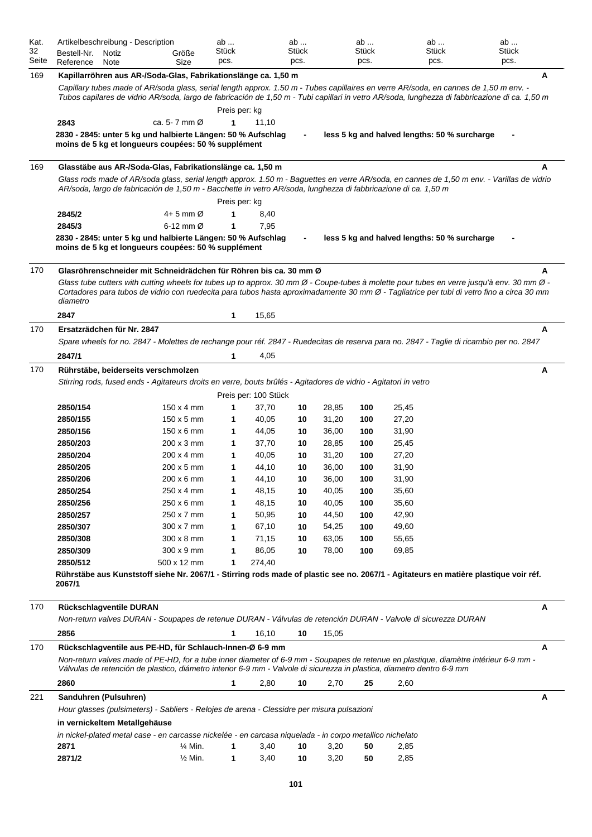| Kat.<br>32 | Artikelbeschreibung - Description                                                                                                                                                                                                                            |                                          | ab<br>Stück   |                      | ab<br>Stück |                | ab<br>Stück |                                              | ab<br>Stück | ab<br>Stück |   |
|------------|--------------------------------------------------------------------------------------------------------------------------------------------------------------------------------------------------------------------------------------------------------------|------------------------------------------|---------------|----------------------|-------------|----------------|-------------|----------------------------------------------|-------------|-------------|---|
| Seite      | Bestell-Nr.<br>Notiz<br>Reference<br>Note                                                                                                                                                                                                                    | Größe<br>Size                            | pcs.          |                      | pcs.        |                | pcs.        |                                              | pcs.        | pcs.        |   |
| 169        | Kapillarröhren aus AR-/Soda-Glas, Fabrikationslänge ca. 1,50 m                                                                                                                                                                                               |                                          |               |                      |             |                |             |                                              |             |             | A |
|            | Capillary tubes made of AR/soda glass, serial length approx. 1.50 m - Tubes capillaires en verre AR/soda, en cannes de 1,50 m env. -                                                                                                                         |                                          |               |                      |             |                |             |                                              |             |             |   |
|            | Tubos capilares de vidrio AR/soda, largo de fabricación de 1,50 m - Tubi capillari in vetro AR/soda, lunghezza di fabbricazione di ca. 1,50 m                                                                                                                |                                          |               |                      |             |                |             |                                              |             |             |   |
|            |                                                                                                                                                                                                                                                              |                                          | Preis per: kg |                      |             |                |             |                                              |             |             |   |
|            | 2843                                                                                                                                                                                                                                                         | ca. 5- 7 mm $\varnothing$                | 1             | 11,10                |             |                |             |                                              |             |             |   |
|            | 2830 - 2845: unter 5 kg und halbierte Längen: 50 % Aufschlag                                                                                                                                                                                                 |                                          |               |                      |             |                |             | less 5 kg and halved lengths: 50 % surcharge |             |             |   |
|            | moins de 5 kg et longueurs coupées: 50 % supplément                                                                                                                                                                                                          |                                          |               |                      |             |                |             |                                              |             |             |   |
| 169        | Glasstäbe aus AR-/Soda-Glas, Fabrikationslänge ca. 1,50 m                                                                                                                                                                                                    |                                          |               |                      |             |                |             |                                              |             |             | А |
|            | Glass rods made of AR/soda glass, serial length approx. 1.50 m - Baguettes en verre AR/soda, en cannes de 1,50 m env. - Varillas de vidrio<br>AR/soda, largo de fabricación de 1,50 m - Bacchette in vetro AR/soda, lunghezza di fabbricazione di ca. 1,50 m |                                          |               |                      |             |                |             |                                              |             |             |   |
|            |                                                                                                                                                                                                                                                              |                                          | Preis per: kg |                      |             |                |             |                                              |             |             |   |
|            | 2845/2                                                                                                                                                                                                                                                       | $4+5$ mm $\varnothing$                   | 1             | 8,40                 |             |                |             |                                              |             |             |   |
|            | 2845/3                                                                                                                                                                                                                                                       | $6-12$ mm $\varnothing$                  | 1             | 7,95                 |             |                |             |                                              |             |             |   |
|            | 2830 - 2845: unter 5 kg und halbierte Längen: 50 % Aufschlag<br>moins de 5 kg et longueurs coupées: 50 % supplément                                                                                                                                          |                                          |               |                      |             |                |             | less 5 kg and halved lengths: 50 % surcharge |             |             |   |
| 170        | Glasröhrenschneider mit Schneidrädchen für Röhren bis ca. 30 mm Ø                                                                                                                                                                                            |                                          |               |                      |             |                |             |                                              |             |             | A |
|            | Glass tube cutters with cutting wheels for tubes up to approx. 30 mm $\emptyset$ - Coupe-tubes à molette pour tubes en verre jusqu'à env. 30 mm $\emptyset$ -                                                                                                |                                          |               |                      |             |                |             |                                              |             |             |   |
|            | Cortadores para tubos de vidrio con ruedecita para tubos hasta aproximadamente 30 mm Ø - Tagliatrice per tubi di vetro fino a circa 30 mm                                                                                                                    |                                          |               |                      |             |                |             |                                              |             |             |   |
|            | diametro                                                                                                                                                                                                                                                     |                                          |               |                      |             |                |             |                                              |             |             |   |
|            | 2847                                                                                                                                                                                                                                                         |                                          | 1             | 15,65                |             |                |             |                                              |             |             |   |
| 170        | Ersatzrädchen für Nr. 2847                                                                                                                                                                                                                                   |                                          |               |                      |             |                |             |                                              |             |             | A |
|            | Spare wheels for no. 2847 - Molettes de rechange pour réf. 2847 - Ruedecitas de reserva para no. 2847 - Taglie di ricambio per no. 2847                                                                                                                      |                                          |               |                      |             |                |             |                                              |             |             |   |
|            | 2847/1                                                                                                                                                                                                                                                       |                                          | 1             | 4,05                 |             |                |             |                                              |             |             |   |
| 170        | Rührstäbe, beiderseits verschmolzen                                                                                                                                                                                                                          |                                          |               |                      |             |                |             |                                              |             |             | A |
|            | Stirring rods, fused ends - Agitateurs droits en verre, bouts brûlés - Agitadores de vidrio - Agitatori in vetro                                                                                                                                             |                                          |               |                      |             |                |             |                                              |             |             |   |
|            |                                                                                                                                                                                                                                                              |                                          |               | Preis per: 100 Stück |             |                |             |                                              |             |             |   |
|            | 2850/154                                                                                                                                                                                                                                                     | $150 \times 4$ mm                        | 1             | 37,70                | 10          | 28,85          | 100         | 25,45                                        |             |             |   |
|            | 2850/155<br>2850/156                                                                                                                                                                                                                                         | $150 \times 5$ mm<br>$150 \times 6$ mm   | 1<br>1        | 40,05<br>44,05       | 10<br>10    | 31,20<br>36,00 | 100<br>100  | 27,20<br>31,90                               |             |             |   |
|            | 2850/203                                                                                                                                                                                                                                                     | $200 \times 3$ mm                        | 1             | 37,70                | 10          | 28,85          | 100         | 25,45                                        |             |             |   |
|            | 2850/204                                                                                                                                                                                                                                                     | $200 \times 4$ mm                        | 1             | 40,05                | 10          | 31,20          | 100         | 27,20                                        |             |             |   |
|            | 2850/205                                                                                                                                                                                                                                                     | $200 \times 5$ mm                        | 1             | 44,10                | 10          | 36,00          | 100         | 31,90                                        |             |             |   |
|            | 2850/206                                                                                                                                                                                                                                                     | 200 x 6 mm                               |               | 44,10                | 10          | 36,00          | 100         | 31,90                                        |             |             |   |
|            | 2850/254                                                                                                                                                                                                                                                     | 250 x 4 mm                               | 1             | 48,15                | 10          | 40,05          | 100         | 35,60                                        |             |             |   |
|            | 2850/256                                                                                                                                                                                                                                                     | 250 x 6 mm                               | 1             | 48,15                | 10          | 40,05          | 100         | 35,60                                        |             |             |   |
|            | 2850/257                                                                                                                                                                                                                                                     | 250 x 7 mm                               | 1             | 50,95                | 10          | 44,50          | 100         | 42,90                                        |             |             |   |
|            | 2850/307                                                                                                                                                                                                                                                     | 300 x 7 mm                               | 1             | 67,10                | 10          | 54,25          | 100         | 49,60                                        |             |             |   |
|            | 2850/308                                                                                                                                                                                                                                                     | 300 x 8 mm                               | 1             | 71,15                | 10          | 63,05          | 100         | 55,65                                        |             |             |   |
|            | 2850/309                                                                                                                                                                                                                                                     | 300 x 9 mm                               | 1             | 86,05                | 10          | 78,00          | 100         | 69,85                                        |             |             |   |
|            | 2850/512<br>Rührstäbe aus Kunststoff siehe Nr. 2067/1 - Stirring rods made of plastic see no. 2067/1 - Agitateurs en matière plastique voir réf.                                                                                                             | 500 x 12 mm                              | 1             | 274,40               |             |                |             |                                              |             |             |   |
|            | 2067/1                                                                                                                                                                                                                                                       |                                          |               |                      |             |                |             |                                              |             |             |   |
| 170        | Rückschlagventile DURAN                                                                                                                                                                                                                                      |                                          |               |                      |             |                |             |                                              |             |             | A |
|            | Non-return valves DURAN - Soupapes de retenue DURAN - Válvulas de retención DURAN - Valvole di sicurezza DURAN                                                                                                                                               |                                          |               |                      |             |                |             |                                              |             |             |   |
|            | 2856                                                                                                                                                                                                                                                         |                                          | 1             | 16,10                | 10          | 15,05          |             |                                              |             |             |   |
| 170        | Rückschlagventile aus PE-HD, für Schlauch-Innen-Ø 6-9 mm<br>Non-return valves made of PE-HD, for a tube inner diameter of 6-9 mm - Soupapes de retenue en plastique, diamètre intérieur 6-9 mm -                                                             |                                          |               |                      |             |                |             |                                              |             |             | Α |
|            | Válvulas de retención de plastico, diámetro interior 6-9 mm - Valvole di sicurezza in plastica, diametro dentro 6-9 mm                                                                                                                                       |                                          |               |                      |             |                |             |                                              |             |             |   |
|            | 2860                                                                                                                                                                                                                                                         |                                          | 1             | 2,80                 | 10          | 2,70           | 25          | 2,60                                         |             |             |   |
| 221        | Sanduhren (Pulsuhren)                                                                                                                                                                                                                                        |                                          |               |                      |             |                |             |                                              |             |             | A |
|            | Hour glasses (pulsimeters) - Sabliers - Relojes de arena - Clessidre per misura pulsazioni                                                                                                                                                                   |                                          |               |                      |             |                |             |                                              |             |             |   |
|            | in vernickeltem Metallgehäuse                                                                                                                                                                                                                                |                                          |               |                      |             |                |             |                                              |             |             |   |
|            | in nickel-plated metal case - en carcasse nickelée - en carcasa niquelada - in corpo metallico nichelato                                                                                                                                                     |                                          |               |                      |             |                |             |                                              |             |             |   |
|            | 2871<br>2871/2                                                                                                                                                                                                                                               | $\frac{1}{4}$ Min.<br>$\frac{1}{2}$ Min. | 1<br>1        | 3,40<br>3,40         | 10<br>10    | 3,20<br>3,20   | 50<br>50    | 2,85<br>2,85                                 |             |             |   |
|            |                                                                                                                                                                                                                                                              |                                          |               |                      |             |                |             |                                              |             |             |   |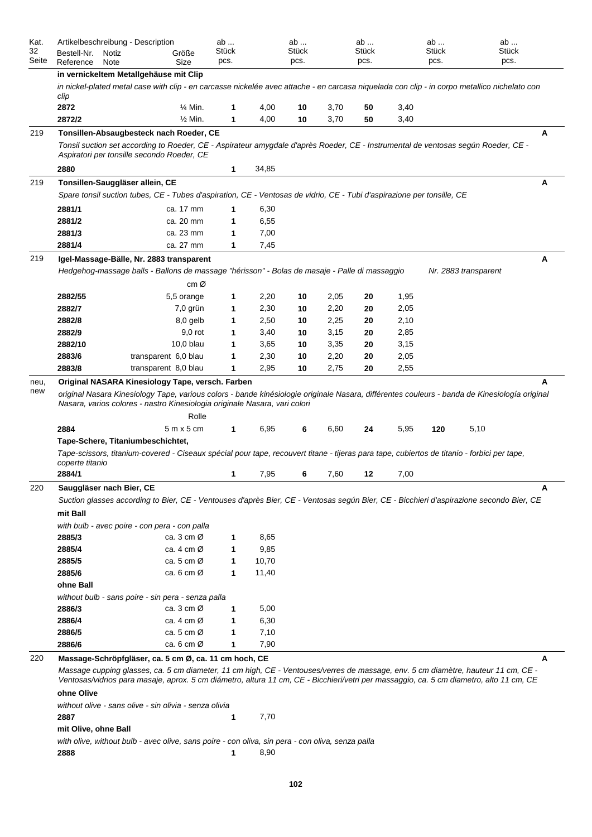| Kat.<br>32<br>Seite | Artikelbeschreibung - Description<br>Bestell-Nr.<br>Reference | Notiz<br>Note | Größe<br>Size                                                                                                                                                                                                                                                                                                                                                                                                                                                                                       |                    | ab<br>Stück<br>pcs. |               | ab<br><b>Stück</b><br>pcs. |              | $ab \dots$<br><b>Stück</b><br>pcs. |              | ab<br>Stück<br>pcs. |                      | ab<br>Stück<br>pcs. |
|---------------------|---------------------------------------------------------------|---------------|-----------------------------------------------------------------------------------------------------------------------------------------------------------------------------------------------------------------------------------------------------------------------------------------------------------------------------------------------------------------------------------------------------------------------------------------------------------------------------------------------------|--------------------|---------------------|---------------|----------------------------|--------------|------------------------------------|--------------|---------------------|----------------------|---------------------|
|                     |                                                               |               | in vernickeltem Metallgehäuse mit Clip                                                                                                                                                                                                                                                                                                                                                                                                                                                              |                    |                     |               |                            |              |                                    |              |                     |                      |                     |
|                     | clip                                                          |               | in nickel-plated metal case with clip - en carcasse nickelée avec attache - en carcasa niquelada con clip - in corpo metallico nichelato con                                                                                                                                                                                                                                                                                                                                                        |                    |                     |               |                            |              |                                    |              |                     |                      |                     |
|                     | 2872                                                          |               |                                                                                                                                                                                                                                                                                                                                                                                                                                                                                                     | $\frac{1}{4}$ Min. | 1                   | 4,00          | 10                         | 3,70         | 50                                 | 3,40         |                     |                      |                     |
|                     | 2872/2                                                        |               |                                                                                                                                                                                                                                                                                                                                                                                                                                                                                                     | $\frac{1}{2}$ Min. | 1                   | 4,00          | 10                         | 3,70         | 50                                 | 3,40         |                     |                      |                     |
| 219                 |                                                               |               | Tonsillen-Absaugbesteck nach Roeder, CE<br>Tonsil suction set according to Roeder, CE - Aspirateur amygdale d'après Roeder, CE - Instrumental de ventosas según Roeder, CE -<br>Aspiratori per tonsille secondo Roeder, CE                                                                                                                                                                                                                                                                          |                    |                     |               |                            |              |                                    |              |                     |                      | Α                   |
|                     | 2880                                                          |               |                                                                                                                                                                                                                                                                                                                                                                                                                                                                                                     |                    | 1                   | 34,85         |                            |              |                                    |              |                     |                      |                     |
| 219                 | Tonsillen-Sauggläser allein, CE                               |               |                                                                                                                                                                                                                                                                                                                                                                                                                                                                                                     |                    |                     |               |                            |              |                                    |              |                     |                      | A                   |
|                     |                                                               |               | Spare tonsil suction tubes, CE - Tubes d'aspiration, CE - Ventosas de vidrio, CE - Tubi d'aspirazione per tonsille, CE                                                                                                                                                                                                                                                                                                                                                                              |                    |                     |               |                            |              |                                    |              |                     |                      |                     |
|                     | 2881/1                                                        |               | ca. 17 mm                                                                                                                                                                                                                                                                                                                                                                                                                                                                                           |                    | 1                   | 6,30          |                            |              |                                    |              |                     |                      |                     |
|                     | 2881/2<br>2881/3                                              |               | ca. 20 mm<br>ca. 23 mm                                                                                                                                                                                                                                                                                                                                                                                                                                                                              |                    | 1<br>1              | 6,55<br>7,00  |                            |              |                                    |              |                     |                      |                     |
|                     | 2881/4                                                        |               | ca. 27 mm                                                                                                                                                                                                                                                                                                                                                                                                                                                                                           |                    | 1                   | 7,45          |                            |              |                                    |              |                     |                      |                     |
|                     |                                                               |               |                                                                                                                                                                                                                                                                                                                                                                                                                                                                                                     |                    |                     |               |                            |              |                                    |              |                     |                      |                     |
| 219                 |                                                               |               | Igel-Massage-Bälle, Nr. 2883 transparent<br>Hedgehog-massage balls - Ballons de massage "hérisson" - Bolas de masaje - Palle di massaggio                                                                                                                                                                                                                                                                                                                                                           | cm Ø               |                     |               |                            |              |                                    |              |                     | Nr. 2883 transparent | A                   |
|                     | 2882/55                                                       |               | 5,5 orange                                                                                                                                                                                                                                                                                                                                                                                                                                                                                          |                    | 1                   | 2,20          | 10                         | 2,05         | 20                                 | 1,95         |                     |                      |                     |
|                     | 2882/7                                                        |               |                                                                                                                                                                                                                                                                                                                                                                                                                                                                                                     | 7,0 grün           | 1                   | 2,30          | 10                         | 2,20         | 20                                 | 2,05         |                     |                      |                     |
|                     | 2882/8                                                        |               |                                                                                                                                                                                                                                                                                                                                                                                                                                                                                                     | 8,0 gelb           | 1                   | 2,50          | 10                         | 2,25         | 20                                 | 2,10         |                     |                      |                     |
|                     | 2882/9                                                        |               |                                                                                                                                                                                                                                                                                                                                                                                                                                                                                                     | $9,0$ rot          | 1                   | 3,40          | 10                         | 3,15         | 20                                 | 2,85         |                     |                      |                     |
|                     | 2882/10                                                       |               |                                                                                                                                                                                                                                                                                                                                                                                                                                                                                                     | 10,0 blau          | 1                   | 3,65          | 10                         | 3,35         | 20                                 | 3,15         |                     |                      |                     |
|                     | 2883/6                                                        |               | transparent 6,0 blau                                                                                                                                                                                                                                                                                                                                                                                                                                                                                |                    | 1                   | 2,30          | 10                         | 2,20         | 20                                 | 2,05         |                     |                      |                     |
|                     | 2883/8                                                        |               | transparent 8,0 blau                                                                                                                                                                                                                                                                                                                                                                                                                                                                                |                    | 1                   | 2,95          | 10                         | 2,75         | 20                                 | 2,55         |                     |                      |                     |
|                     | 2884<br>coperte titanio<br>2884/1                             |               | Nasara, varios colores - nastro Kinesiologia originale Nasara, vari colori<br>$5m \times 5cm$<br>Tape-Schere, Titaniumbeschichtet,<br>Tape-scissors, titanium-covered - Ciseaux spécial pour tape, recouvert titane - tijeras para tape, cubiertos de titanio - forbici per tape,                                                                                                                                                                                                                   | Rolle              | 1<br>1              | 6,95<br>7,95  | 6<br>6                     | 6,60<br>7,60 | 24<br>12                           | 5,95<br>7,00 | 120                 | 5,10                 |                     |
| 220                 | Sauggläser nach Bier, CE<br>mit Ball                          |               | Suction glasses according to Bier, CE - Ventouses d'après Bier, CE - Ventosas según Bier, CE - Bicchieri d'aspirazione secondo Bier, CE                                                                                                                                                                                                                                                                                                                                                             |                    |                     |               |                            |              |                                    |              |                     |                      | А                   |
|                     |                                                               |               | with bulb - avec poire - con pera - con palla                                                                                                                                                                                                                                                                                                                                                                                                                                                       |                    |                     |               |                            |              |                                    |              |                     |                      |                     |
|                     | 2885/3                                                        |               | ca. 3 cm $\varnothing$                                                                                                                                                                                                                                                                                                                                                                                                                                                                              |                    | 1                   | 8,65          |                            |              |                                    |              |                     |                      |                     |
|                     | 2885/4<br>2885/5                                              |               | ca. 4 cm $\varnothing$<br>ca. 5 cm $\varnothing$                                                                                                                                                                                                                                                                                                                                                                                                                                                    |                    | 1<br>1              | 9,85<br>10,70 |                            |              |                                    |              |                     |                      |                     |
|                     | 2885/6<br>ohne Ball                                           |               | ca. 6 cm $\varnothing$                                                                                                                                                                                                                                                                                                                                                                                                                                                                              |                    | 1                   | 11,40         |                            |              |                                    |              |                     |                      |                     |
|                     |                                                               |               | without bulb - sans poire - sin pera - senza palla                                                                                                                                                                                                                                                                                                                                                                                                                                                  |                    |                     |               |                            |              |                                    |              |                     |                      |                     |
|                     | 2886/3                                                        |               | ca. $3 \text{ cm } \varnothing$                                                                                                                                                                                                                                                                                                                                                                                                                                                                     |                    | 1                   | 5,00          |                            |              |                                    |              |                     |                      |                     |
|                     | 2886/4                                                        |               | ca. 4 cm $\varnothing$                                                                                                                                                                                                                                                                                                                                                                                                                                                                              |                    | 1                   | 6,30          |                            |              |                                    |              |                     |                      |                     |
|                     | 2886/5                                                        |               | ca. 5 cm $\varnothing$                                                                                                                                                                                                                                                                                                                                                                                                                                                                              |                    | 1                   | 7,10          |                            |              |                                    |              |                     |                      |                     |
|                     | 2886/6                                                        |               | ca. $6 \text{ cm } \varnothing$                                                                                                                                                                                                                                                                                                                                                                                                                                                                     |                    | 1                   | 7,90          |                            |              |                                    |              |                     |                      |                     |
| 220                 | ohne Olive<br>2887<br>mit Olive, ohne Ball                    |               | Massage-Schröpfgläser, ca. 5 cm Ø, ca. 11 cm hoch, CE<br>Massage cupping glasses, ca. 5 cm diameter, 11 cm high, CE - Ventouses/verres de massage, env. 5 cm diamètre, hauteur 11 cm, CE -<br>Ventosas/vidrios para masaje, aprox. 5 cm diámetro, altura 11 cm, CE - Bicchieri/vetri per massaggio, ca. 5 cm diametro, alto 11 cm, CE<br>without olive - sans olive - sin olivia - senza olivia<br>with olive, without bulb - avec olive, sans poire - con oliva, sin pera - con oliva, senza palla |                    | 1                   | 7,70          |                            |              |                                    |              |                     |                      | Α                   |
|                     | 2888                                                          |               |                                                                                                                                                                                                                                                                                                                                                                                                                                                                                                     |                    | 1                   | 8,90          |                            |              |                                    |              |                     |                      |                     |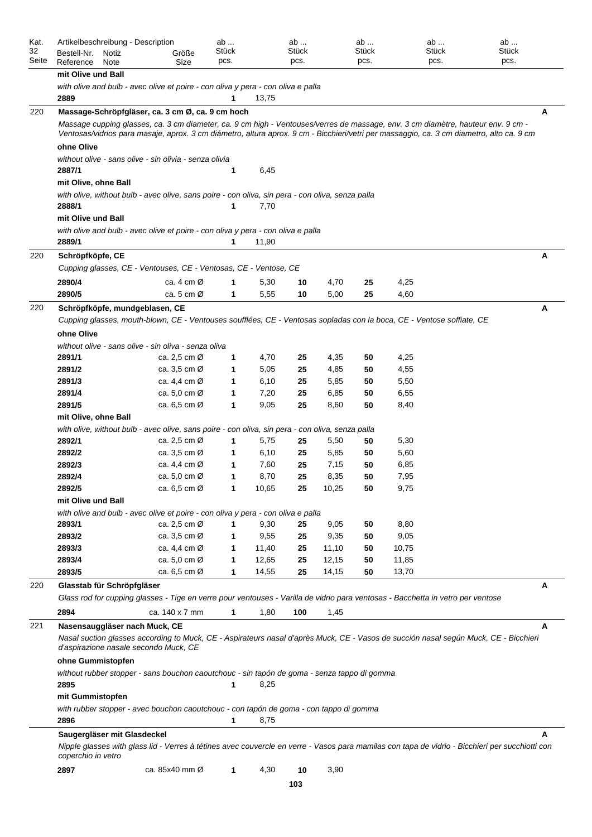| Kat.<br>32 | Artikelbeschreibung - Description         |                                                                                                                                                                                                                                                                              | ab<br>Stück  |       | ab<br>Stück |       | ab<br>Stück | ab<br>Stück | ab<br>Stück                                                                                                                                     |
|------------|-------------------------------------------|------------------------------------------------------------------------------------------------------------------------------------------------------------------------------------------------------------------------------------------------------------------------------|--------------|-------|-------------|-------|-------------|-------------|-------------------------------------------------------------------------------------------------------------------------------------------------|
| Seite      | Bestell-Nr.<br>Notiz<br>Reference<br>Note | Größe<br>Size                                                                                                                                                                                                                                                                | pcs.         |       | pcs.        |       | pcs.        | pcs.        | pcs.                                                                                                                                            |
|            | mit Olive und Ball                        |                                                                                                                                                                                                                                                                              |              |       |             |       |             |             |                                                                                                                                                 |
|            |                                           | with olive and bulb - avec olive et poire - con oliva y pera - con oliva e palla                                                                                                                                                                                             |              |       |             |       |             |             |                                                                                                                                                 |
|            | 2889                                      |                                                                                                                                                                                                                                                                              | 1            | 13,75 |             |       |             |             |                                                                                                                                                 |
| 220        |                                           | Massage-Schröpfgläser, ca. 3 cm Ø, ca. 9 cm hoch                                                                                                                                                                                                                             |              |       |             |       |             |             | A                                                                                                                                               |
|            |                                           | Massage cupping glasses, ca. 3 cm diameter, ca. 9 cm high - Ventouses/verres de massage, env. 3 cm diamètre, hauteur env. 9 cm -<br>Ventosas/vidrios para masaje, aprox. 3 cm diámetro, altura aprox. 9 cm - Bicchieri/vetri per massaggio, ca. 3 cm diametro, alto ca. 9 cm |              |       |             |       |             |             |                                                                                                                                                 |
|            | ohne Olive                                |                                                                                                                                                                                                                                                                              |              |       |             |       |             |             |                                                                                                                                                 |
|            | 2887/1                                    | without olive - sans olive - sin olivia - senza olivia                                                                                                                                                                                                                       | 1            | 6,45  |             |       |             |             |                                                                                                                                                 |
|            | mit Olive, ohne Ball                      |                                                                                                                                                                                                                                                                              |              |       |             |       |             |             |                                                                                                                                                 |
|            | 2888/1                                    | with olive, without bulb - avec olive, sans poire - con oliva, sin pera - con oliva, senza palla                                                                                                                                                                             | 1            | 7,70  |             |       |             |             |                                                                                                                                                 |
|            | mit Olive und Ball                        |                                                                                                                                                                                                                                                                              |              |       |             |       |             |             |                                                                                                                                                 |
|            |                                           | with olive and bulb - avec olive et poire - con oliva y pera - con oliva e palla                                                                                                                                                                                             |              |       |             |       |             |             |                                                                                                                                                 |
|            | 2889/1                                    |                                                                                                                                                                                                                                                                              | 1            | 11,90 |             |       |             |             |                                                                                                                                                 |
| 220        | Schröpfköpfe, CE                          |                                                                                                                                                                                                                                                                              |              |       |             |       |             |             | A                                                                                                                                               |
|            |                                           | Cupping glasses, CE - Ventouses, CE - Ventosas, CE - Ventose, CE                                                                                                                                                                                                             |              |       |             |       |             |             |                                                                                                                                                 |
|            | 2890/4                                    | ca. 4 cm $\varnothing$                                                                                                                                                                                                                                                       | 1            | 5,30  | 10          | 4,70  | 25          | 4,25        |                                                                                                                                                 |
|            | 2890/5                                    | ca. 5 cm $\varnothing$                                                                                                                                                                                                                                                       | 1            | 5,55  | 10          | 5,00  | 25          | 4,60        |                                                                                                                                                 |
|            |                                           |                                                                                                                                                                                                                                                                              |              |       |             |       |             |             |                                                                                                                                                 |
| 220        | Schröpfköpfe, mundgeblasen, CE            | Cupping glasses, mouth-blown, CE - Ventouses soufflées, CE - Ventosas sopladas con la boca, CE - Ventose soffiate, CE                                                                                                                                                        |              |       |             |       |             |             | A                                                                                                                                               |
|            |                                           |                                                                                                                                                                                                                                                                              |              |       |             |       |             |             |                                                                                                                                                 |
|            | ohne Olive                                |                                                                                                                                                                                                                                                                              |              |       |             |       |             |             |                                                                                                                                                 |
|            |                                           | without olive - sans olive - sin oliva - senza oliva                                                                                                                                                                                                                         |              |       |             |       |             |             |                                                                                                                                                 |
|            | 2891/1                                    | ca. 2,5 cm $\varnothing$                                                                                                                                                                                                                                                     | 1            | 4,70  | 25          | 4,35  | 50          | 4,25        |                                                                                                                                                 |
|            | 2891/2                                    | ca. 3,5 cm $\varnothing$                                                                                                                                                                                                                                                     | 1            | 5,05  | 25          | 4,85  | 50          | 4,55        |                                                                                                                                                 |
|            | 2891/3                                    | ca. 4,4 cm $\varnothing$                                                                                                                                                                                                                                                     | 1            | 6,10  | 25          | 5,85  | 50          | 5,50        |                                                                                                                                                 |
|            | 2891/4                                    | ca. 5,0 cm Ø                                                                                                                                                                                                                                                                 | 1            | 7,20  | 25          | 6,85  | 50          | 6,55        |                                                                                                                                                 |
|            | 2891/5                                    | ca. 6,5 cm Ø                                                                                                                                                                                                                                                                 | 1            | 9,05  | 25          | 8,60  | 50          | 8,40        |                                                                                                                                                 |
|            | mit Olive, ohne Ball                      |                                                                                                                                                                                                                                                                              |              |       |             |       |             |             |                                                                                                                                                 |
|            |                                           | with olive, without bulb - avec olive, sans poire - con oliva, sin pera - con oliva, senza palla                                                                                                                                                                             |              |       |             |       |             |             |                                                                                                                                                 |
|            | 2892/1                                    | ca. 2,5 cm $\varnothing$                                                                                                                                                                                                                                                     | 1            | 5,75  | 25          | 5,50  | 50          | 5,30        |                                                                                                                                                 |
|            | 2892/2                                    | ca. 3,5 cm Ø                                                                                                                                                                                                                                                                 | 1            | 6,10  | 25          | 5,85  | 50          | 5,60        |                                                                                                                                                 |
|            | 2892/3                                    | ca. 4,4 cm $\varnothing$                                                                                                                                                                                                                                                     | 1            | 7,60  | 25          | 7,15  | 50          | 6,85        |                                                                                                                                                 |
|            | 2892/4                                    | ca. 5,0 cm Ø                                                                                                                                                                                                                                                                 | 1            | 8,70  | 25          | 8,35  | 50          | 7,95        |                                                                                                                                                 |
|            | 2892/5                                    | ca. 6,5 cm Ø                                                                                                                                                                                                                                                                 | 1            | 10,65 | 25          | 10,25 | 50          | 9,75        |                                                                                                                                                 |
|            | mit Olive und Ball                        |                                                                                                                                                                                                                                                                              |              |       |             |       |             |             |                                                                                                                                                 |
|            |                                           | with olive and bulb - avec olive et poire - con oliva y pera - con oliva e palla                                                                                                                                                                                             |              |       |             |       |             |             |                                                                                                                                                 |
|            | 2893/1                                    | ca. 2,5 cm $\varnothing$                                                                                                                                                                                                                                                     | 1            | 9,30  | 25          | 9,05  | 50          | 8,80        |                                                                                                                                                 |
|            | 2893/2                                    | ca. 3,5 cm $\varnothing$                                                                                                                                                                                                                                                     | 1            | 9,55  | 25          | 9,35  | 50          | 9,05        |                                                                                                                                                 |
|            | 2893/3                                    | ca. 4,4 cm Ø                                                                                                                                                                                                                                                                 | 1            | 11,40 | 25          | 11,10 | 50          | 10,75       |                                                                                                                                                 |
|            | 2893/4                                    | ca. 5,0 cm $\varnothing$                                                                                                                                                                                                                                                     | 1            | 12,65 | 25          | 12,15 | 50          | 11,85       |                                                                                                                                                 |
|            | 2893/5                                    | ca. 6,5 cm Ø                                                                                                                                                                                                                                                                 | 1            | 14,55 | 25          | 14,15 | 50          | 13,70       |                                                                                                                                                 |
| 220        | Glasstab für Schröpfgläser                |                                                                                                                                                                                                                                                                              |              |       |             |       |             |             | A                                                                                                                                               |
|            |                                           | Glass rod for cupping glasses - Tige en verre pour ventouses - Varilla de vidrio para ventosas - Bacchetta in vetro per ventose                                                                                                                                              |              |       |             |       |             |             |                                                                                                                                                 |
|            | 2894                                      | ca. 140 x 7 mm                                                                                                                                                                                                                                                               | 1            | 1,80  | 100         | 1,45  |             |             |                                                                                                                                                 |
| 221        | Nasensauggläser nach Muck, CE             |                                                                                                                                                                                                                                                                              |              |       |             |       |             |             | Α                                                                                                                                               |
|            |                                           | Nasal suction glasses according to Muck, CE - Aspirateurs nasal d'après Muck, CE - Vasos de succión nasal según Muck, CE - Bicchieri<br>d'aspirazione nasale secondo Muck, CE                                                                                                |              |       |             |       |             |             |                                                                                                                                                 |
|            | ohne Gummistopfen                         |                                                                                                                                                                                                                                                                              |              |       |             |       |             |             |                                                                                                                                                 |
|            |                                           | without rubber stopper - sans bouchon caoutchouc - sin tapón de goma - senza tappo di gomma                                                                                                                                                                                  |              |       |             |       |             |             |                                                                                                                                                 |
|            | 2895                                      |                                                                                                                                                                                                                                                                              | 1            | 8,25  |             |       |             |             |                                                                                                                                                 |
|            | mit Gummistopfen                          |                                                                                                                                                                                                                                                                              |              |       |             |       |             |             |                                                                                                                                                 |
|            |                                           | with rubber stopper - avec bouchon caoutchouc - con tapón de goma - con tappo di gomma                                                                                                                                                                                       |              |       |             |       |             |             |                                                                                                                                                 |
|            | 2896                                      |                                                                                                                                                                                                                                                                              | 1            | 8,75  |             |       |             |             |                                                                                                                                                 |
|            | Saugergläser mit Glasdeckel               |                                                                                                                                                                                                                                                                              |              |       |             |       |             |             | A                                                                                                                                               |
|            | coperchio in vetro                        |                                                                                                                                                                                                                                                                              |              |       |             |       |             |             | Nipple glasses with glass lid - Verres à tétines avec couvercle en verre - Vasos para mamilas con tapa de vidrio - Bicchieri per succhiotti con |
|            | 2897                                      | ca. 85x40 mm Ø                                                                                                                                                                                                                                                               | $\mathbf{1}$ | 4,30  | 10          | 3,90  |             |             |                                                                                                                                                 |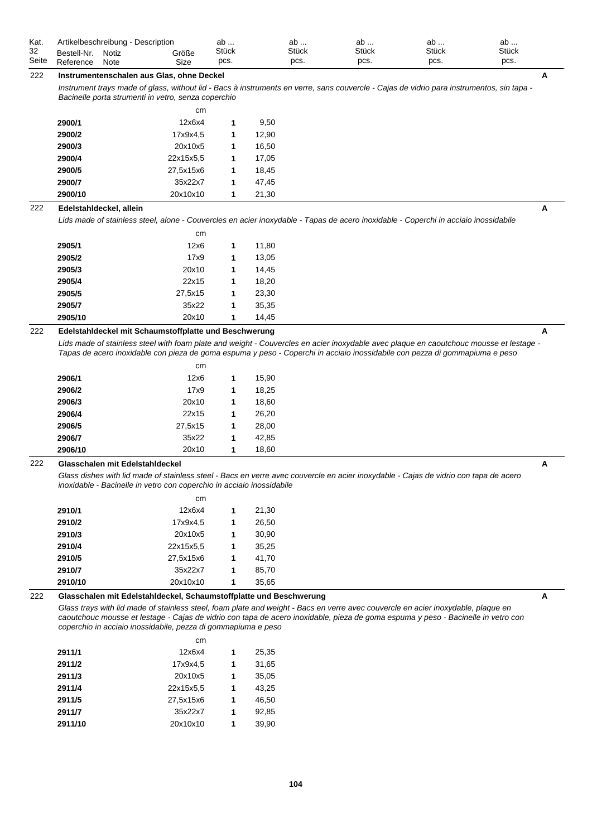| Kat.  |                   | Artikelbeschreibung - Description |       | ab           | av           | ab           | ab           | ab           |  |
|-------|-------------------|-----------------------------------|-------|--------------|--------------|--------------|--------------|--------------|--|
| 32    | <b>Bestell-Nr</b> | Notiz                             | Größe | <b>Stück</b> | <b>Stück</b> | <b>Stück</b> | <b>Stück</b> | <b>Stück</b> |  |
| Seite | Reference         | Note                              | Size  | pcs.         | pcs.         | pcs.         | pcs.         | pcs.         |  |

# 222 **Instrumentenschalen aus Glas, ohne Deckel A**

*Instrument trays made of glass, without lid - Bacs à instruments en verre, sans couvercle - Cajas de vidrio para instrumentos, sin tapa - Bacinelle porta strumenti in vetro, senza coperchio*

|         | cm        |   |       |
|---------|-----------|---|-------|
| 2900/1  | 12x6x4    | 1 | 9,50  |
| 2900/2  | 17x9x4,5  | 1 | 12.90 |
| 2900/3  | 20x10x5   | 1 | 16.50 |
| 2900/4  | 22x15x5.5 | 1 | 17,05 |
| 2900/5  | 27,5x15x6 | 1 | 18.45 |
| 2900/7  | 35x22x7   | 1 | 47.45 |
| 2900/10 | 20x10x10  | 1 | 21,30 |

#### 222 **Edelstahldeckel, allein A**

*Lids made of stainless steel, alone - Couvercles en acier inoxydable - Tapas de acero inoxidable - Coperchi in acciaio inossidabile*

|         | cm      |   |       |
|---------|---------|---|-------|
| 2905/1  | 12x6    | 1 | 11,80 |
| 2905/2  | 17x9    | 1 | 13,05 |
| 2905/3  | 20x10   | 1 | 14,45 |
| 2905/4  | 22x15   | 1 | 18,20 |
| 2905/5  | 27.5x15 | 1 | 23,30 |
| 2905/7  | 35x22   | 1 | 35,35 |
| 2905/10 | 20x10   | 1 | 14.45 |

## 222 **Edelstahldeckel mit Schaumstoffplatte und Beschwerung A**

Lids made of stainless steel with foam plate and weight - Couvercles en acier inoxydable avec plaque en caoutchouc mousse et lestage *Tapas de acero inoxidable con pieza de goma espuma y peso - Coperchi in acciaio inossidabile con pezza di gommapiuma e peso*

|         | cm      |   |       |
|---------|---------|---|-------|
| 2906/1  | 12x6    | 1 | 15,90 |
| 2906/2  | 17x9    | 1 | 18,25 |
| 2906/3  | 20x10   | 1 | 18,60 |
| 2906/4  | 22x15   | 1 | 26,20 |
| 2906/5  | 27,5x15 | 1 | 28,00 |
| 2906/7  | 35x22   | 1 | 42,85 |
| 2906/10 | 20x10   | 1 | 18,60 |

#### 222 **Glasschalen mit Edelstahldeckel A**

*Glass dishes with lid made of stainless steel - Bacs en verre avec couvercle en acier inoxydable - Cajas de vidrio con tapa de acero inoxidable - Bacinelle in vetro con coperchio in acciaio inossidabile*

|         | cm        |   |       |
|---------|-----------|---|-------|
| 2910/1  | 12x6x4    | 1 | 21,30 |
| 2910/2  | 17x9x4,5  | 1 | 26,50 |
| 2910/3  | 20x10x5   | 1 | 30,90 |
| 2910/4  | 22x15x5.5 | 1 | 35,25 |
| 2910/5  | 27,5x15x6 | 1 | 41,70 |
| 2910/7  | 35x22x7   | 1 | 85,70 |
| 2910/10 | 20x10x10  | 1 | 35,65 |

# **222** Glasschalen mit Edelstahldeckel, Schaumstoffplatte und Beschwerung A<br>A

Glass trays with lid made of stainless steel, foam plate and weight - Bacs en verre avec couvercle en acier inoxydable, plaque en *caoutchouc mousse et lestage - Cajas de vidrio con tapa de acero inoxidable, pieza de goma espuma y peso - Bacinelle in vetro con coperchio in acciaio inossidabile, pezza di gommapiuma e peso*

|         | cm        |   |       |
|---------|-----------|---|-------|
| 2911/1  | 12x6x4    | 1 | 25,35 |
| 2911/2  | 17x9x4.5  | 1 | 31,65 |
| 2911/3  | 20x10x5   | 1 | 35,05 |
| 2911/4  | 22x15x5.5 | 1 | 43,25 |
| 2911/5  | 27,5x15x6 | 1 | 46.50 |
| 2911/7  | 35x22x7   | 1 | 92,85 |
| 2911/10 | 20x10x10  | 1 | 39.90 |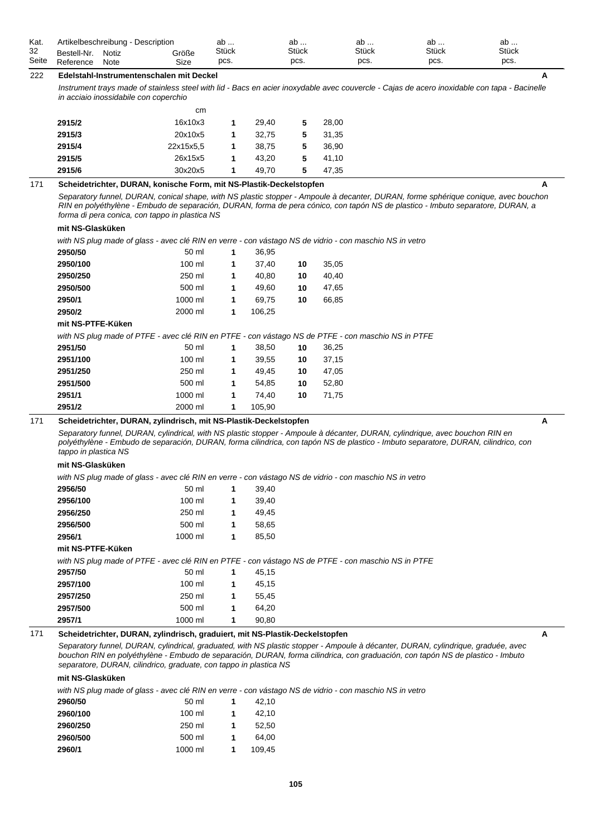| Kat.  |             | Artikelbeschreibung - Description |       | ab    | - ab         | ab           | ab           | ab           |  |
|-------|-------------|-----------------------------------|-------|-------|--------------|--------------|--------------|--------------|--|
| 32    | Bestell-Nr. | Notiz                             | Größe | Stück | <b>Stück</b> | <b>Stück</b> | <b>Stück</b> | <b>Stück</b> |  |
| Seite | Reference   | Note                              | Size  | pcs.  | pcs.         | pcs.         | pcs.         | pcs.         |  |

# 222 **Edelstahl-Instrumentenschalen mit Deckel A**

*Instrument trays made of stainless steel with lid - Bacs en acier inoxydable avec couvercle - Cajas de acero inoxidable con tapa - Bacinelle in acciaio inossidabile con coperchio*

|        | cm        |   |       |   |       |
|--------|-----------|---|-------|---|-------|
| 2915/2 | 16x10x3   |   | 29.40 | 5 | 28,00 |
| 2915/3 | 20x10x5   | 1 | 32.75 | 5 | 31,35 |
| 2915/4 | 22x15x5.5 | 1 | 38.75 | 5 | 36.90 |
| 2915/5 | 26x15x5   | 1 | 43.20 | 5 | 41.10 |
| 2915/6 | 30x20x5   | 1 | 49.70 | 5 | 47.35 |

### 171 **Scheidetrichter, DURAN, konische Form, mit NS-Plastik-Deckelstopfen A**

*Separatory funnel, DURAN, conical shape, with NS plastic stopper - Ampoule à decanter, DURAN, forme sphérique conique, avec bouchon RIN en polyéthylène - Embudo de separación, DURAN, forma de pera cónico, con tapón NS de plastico - Imbuto separatore, DURAN, a forma di pera conica, con tappo in plastica NS*

### **mit NS-Glasküken**

*with NS plug made of glass - avec clé RIN en verre - con vástago NS de vidrio - con maschio NS in vetro*

| 2950/50                                                                                            | 50 ml   | 1 | 36,95  |    |       |  |
|----------------------------------------------------------------------------------------------------|---------|---|--------|----|-------|--|
| 2950/100                                                                                           | 100 ml  | 1 | 37,40  | 10 | 35,05 |  |
| 2950/250                                                                                           | 250 ml  | 1 | 40,80  | 10 | 40,40 |  |
| 2950/500                                                                                           | 500 ml  | 1 | 49,60  | 10 | 47,65 |  |
| 2950/1                                                                                             | 1000 ml | 1 | 69,75  | 10 | 66,85 |  |
| 2950/2                                                                                             | 2000 ml | 1 | 106,25 |    |       |  |
| mit NS-PTFE-Küken                                                                                  |         |   |        |    |       |  |
| with NS plug made of PTFE - avec clé RIN en PTFE - con vástago NS de PTFE - con maschio NS in PTFE |         |   |        |    |       |  |
| 2951/50                                                                                            | 50 ml   | 1 | 38,50  | 10 | 36,25 |  |
| 2951/100                                                                                           | 100 ml  | 1 | 39,55  | 10 | 37,15 |  |
| 2951/250                                                                                           | 250 ml  | 1 | 49,45  | 10 | 47,05 |  |
| 2951/500                                                                                           | 500 ml  | 1 | 54,85  | 10 | 52,80 |  |
|                                                                                                    |         |   |        |    |       |  |
| 2951/1                                                                                             | 1000 ml | 1 | 74.40  | 10 | 71,75 |  |

### 171 **Scheidetrichter, DURAN, zylindrisch, mit NS-Plastik-Deckelstopfen A**

*Separatory funnel, DURAN, cylindrical, with NS plastic stopper - Ampoule à décanter, DURAN, cylindrique, avec bouchon RIN en*  polyéthylène - Embudo de separación, DURAN, forma cilindrica, con tapón NS de plastico - Imbuto separatore, DURAN, cilindrico, con *tappo in plastica NS*

### **mit NS-Glasküken**

*with NS plug made of glass - avec clé RIN en verre - con vástago NS de vidrio - con maschio NS in vetro*

| 50 ml            | 1 | 39,40                                                                                              |
|------------------|---|----------------------------------------------------------------------------------------------------|
| 100 ml           | 1 | 39,40                                                                                              |
| 250 ml           | 1 | 49.45                                                                                              |
| 500 ml           | 1 | 58.65                                                                                              |
| 1000 ml          | 1 | 85,50                                                                                              |
|                  |   |                                                                                                    |
|                  |   | with NS plug made of PTFE - avec clé RIN en PTFE - con vástago NS de PTFE - con maschio NS in PTFE |
| 50 ml            | 1 | 45,15                                                                                              |
| $100 \text{ ml}$ | 1 | 45.15                                                                                              |
| 250 ml           | 1 | 55.45                                                                                              |
| 500 ml           | 1 | 64.20                                                                                              |
| 1000 ml          | 1 | 90,80                                                                                              |
|                  |   |                                                                                                    |

### 171 **Scheidetrichter, DURAN, zylindrisch, graduiert, mit NS-Plastik-Deckelstopfen A**

*Separatory funnel, DURAN, cylindrical, graduated, with NS plastic stopper - Ampoule à décanter, DURAN, cylindrique, graduée, avec bouchon RIN en polyéthylène - Embudo de separación, DURAN, forma cilindrica, con graduación, con tapón NS de plastico - Imbuto separatore, DURAN, cilindrico, graduate, con tappo in plastica NS*

### **mit NS-Glasküken**

*with NS plug made of glass - avec clé RIN en verre - con vástago NS de vidrio - con maschio NS in vetro*

| 2960/50  | 50 ml    |   | 42.10  |
|----------|----------|---|--------|
| 2960/100 | $100$ ml | 1 | 42.10  |
| 2960/250 | 250 ml   | 1 | 52.50  |
| 2960/500 | 500 ml   | 1 | 64.00  |
| 2960/1   | 1000 ml  |   | 109.45 |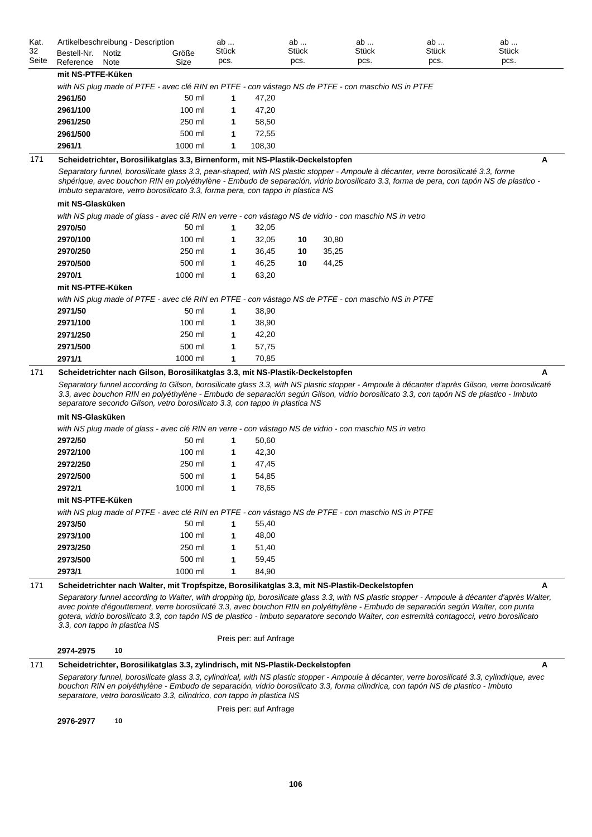| Kat.<br>32<br>Seite | Artikelbeschreibung - Description<br>Bestell-Nr.<br>Reference | Notiz<br>Note | Größe<br>Size                                                                                                                                                                                                                                                                                                                                                    | ab<br><b>Stück</b><br>pcs. |                        | ab<br>Stück<br>pcs. |       | ab<br>Stück<br>pcs. | ab<br>Stück<br>pcs. | ab<br><b>Stück</b><br>pcs.                                                                                                                     |
|---------------------|---------------------------------------------------------------|---------------|------------------------------------------------------------------------------------------------------------------------------------------------------------------------------------------------------------------------------------------------------------------------------------------------------------------------------------------------------------------|----------------------------|------------------------|---------------------|-------|---------------------|---------------------|------------------------------------------------------------------------------------------------------------------------------------------------|
|                     | mit NS-PTFE-Küken                                             |               |                                                                                                                                                                                                                                                                                                                                                                  |                            |                        |                     |       |                     |                     |                                                                                                                                                |
|                     |                                                               |               | with NS plug made of PTFE - avec clé RIN en PTFE - con vástago NS de PTFE - con maschio NS in PTFE                                                                                                                                                                                                                                                               |                            |                        |                     |       |                     |                     |                                                                                                                                                |
|                     | 2961/50                                                       |               | 50 ml                                                                                                                                                                                                                                                                                                                                                            | 1                          | 47,20                  |                     |       |                     |                     |                                                                                                                                                |
|                     | 2961/100                                                      |               | 100 ml                                                                                                                                                                                                                                                                                                                                                           | 1                          | 47,20                  |                     |       |                     |                     |                                                                                                                                                |
|                     | 2961/250                                                      |               | 250 ml                                                                                                                                                                                                                                                                                                                                                           | 1                          | 58,50                  |                     |       |                     |                     |                                                                                                                                                |
|                     | 2961/500                                                      |               | 500 ml                                                                                                                                                                                                                                                                                                                                                           | 1                          | 72,55                  |                     |       |                     |                     |                                                                                                                                                |
|                     | 2961/1                                                        |               | 1000 ml                                                                                                                                                                                                                                                                                                                                                          | 1                          | 108,30                 |                     |       |                     |                     |                                                                                                                                                |
| 171                 |                                                               |               | Scheidetrichter, Borosilikatglas 3.3, Birnenform, mit NS-Plastik-Deckelstopfen                                                                                                                                                                                                                                                                                   |                            |                        |                     |       |                     |                     | A                                                                                                                                              |
|                     |                                                               |               | Separatory funnel, borosilicate glass 3.3, pear-shaped, with NS plastic stopper - Ampoule à décanter, verre borosilicaté 3.3, forme<br>shpérique, avec bouchon RIN en polyéthylène - Embudo de separación, vidrio borosilicato 3.3, forma de pera, con tapón NS de plastico -<br>Imbuto separatore, vetro borosilicato 3.3, forma pera, con tappo in plastica NS |                            |                        |                     |       |                     |                     |                                                                                                                                                |
|                     | mit NS-Glasküken                                              |               |                                                                                                                                                                                                                                                                                                                                                                  |                            |                        |                     |       |                     |                     |                                                                                                                                                |
|                     |                                                               |               | with NS plug made of glass - avec clé RIN en verre - con vástago NS de vidrio - con maschio NS in vetro                                                                                                                                                                                                                                                          |                            |                        |                     |       |                     |                     |                                                                                                                                                |
|                     | 2970/50                                                       |               | 50 ml                                                                                                                                                                                                                                                                                                                                                            | 1                          | 32,05                  |                     |       |                     |                     |                                                                                                                                                |
|                     | 2970/100                                                      |               | 100 ml                                                                                                                                                                                                                                                                                                                                                           | 1                          | 32,05                  | 10                  | 30,80 |                     |                     |                                                                                                                                                |
|                     | 2970/250                                                      |               | 250 ml                                                                                                                                                                                                                                                                                                                                                           | 1                          | 36,45                  | 10                  | 35,25 |                     |                     |                                                                                                                                                |
|                     | 2970/500                                                      |               | 500 ml                                                                                                                                                                                                                                                                                                                                                           | 1                          | 46,25                  | 10                  | 44,25 |                     |                     |                                                                                                                                                |
|                     | 2970/1                                                        |               | 1000 ml                                                                                                                                                                                                                                                                                                                                                          | 1                          | 63,20                  |                     |       |                     |                     |                                                                                                                                                |
|                     | mit NS-PTFE-Küken                                             |               |                                                                                                                                                                                                                                                                                                                                                                  |                            |                        |                     |       |                     |                     |                                                                                                                                                |
|                     |                                                               |               | with NS plug made of PTFE - avec clé RIN en PTFE - con vástago NS de PTFE - con maschio NS in PTFE                                                                                                                                                                                                                                                               |                            |                        |                     |       |                     |                     |                                                                                                                                                |
|                     | 2971/50                                                       |               | 50 ml                                                                                                                                                                                                                                                                                                                                                            | 1                          | 38,90                  |                     |       |                     |                     |                                                                                                                                                |
|                     | 2971/100                                                      |               | 100 ml                                                                                                                                                                                                                                                                                                                                                           | 1                          | 38,90                  |                     |       |                     |                     |                                                                                                                                                |
|                     | 2971/250                                                      |               | 250 ml                                                                                                                                                                                                                                                                                                                                                           | 1                          | 42,20                  |                     |       |                     |                     |                                                                                                                                                |
|                     | 2971/500                                                      |               | 500 ml                                                                                                                                                                                                                                                                                                                                                           | 1                          | 57,75                  |                     |       |                     |                     |                                                                                                                                                |
| 171                 | 2971/1                                                        |               | 1000 ml<br>Scheidetrichter nach Gilson, Borosilikatglas 3.3, mit NS-Plastik-Deckelstopfen                                                                                                                                                                                                                                                                        | 1                          | 70,85                  |                     |       |                     |                     | A                                                                                                                                              |
|                     | mit NS-Glasküken                                              |               | 3.3, avec bouchon RIN en polyéthylène - Embudo de separación según Gilson, vidrio borosilicato 3.3, con tapón NS de plastico - Imbuto<br>separatore secondo Gilson, vetro borosilicato 3.3, con tappo in plastica NS                                                                                                                                             |                            |                        |                     |       |                     |                     |                                                                                                                                                |
|                     |                                                               |               | with NS plug made of glass - avec clé RIN en verre - con vástago NS de vidrio - con maschio NS in vetro                                                                                                                                                                                                                                                          |                            |                        |                     |       |                     |                     |                                                                                                                                                |
|                     | 2972/50                                                       |               | 50 ml                                                                                                                                                                                                                                                                                                                                                            | 1                          | 50,60                  |                     |       |                     |                     |                                                                                                                                                |
|                     | 2972/100                                                      |               | 100 ml                                                                                                                                                                                                                                                                                                                                                           | 1                          | 42,30                  |                     |       |                     |                     |                                                                                                                                                |
|                     | 2972/250                                                      |               | 250 ml                                                                                                                                                                                                                                                                                                                                                           | 1                          | 47,45                  |                     |       |                     |                     |                                                                                                                                                |
|                     | 2972/500                                                      |               | 500 ml                                                                                                                                                                                                                                                                                                                                                           | 1                          | 54,85                  |                     |       |                     |                     |                                                                                                                                                |
|                     | 2972/1                                                        |               | 1000 ml                                                                                                                                                                                                                                                                                                                                                          | 1                          | 78,65                  |                     |       |                     |                     |                                                                                                                                                |
|                     | mit NS-PTFE-Küken                                             |               |                                                                                                                                                                                                                                                                                                                                                                  |                            |                        |                     |       |                     |                     |                                                                                                                                                |
|                     |                                                               |               | with NS plug made of PTFE - avec clé RIN en PTFE - con vástago NS de PTFE - con maschio NS in PTFE                                                                                                                                                                                                                                                               |                            |                        |                     |       |                     |                     |                                                                                                                                                |
|                     | 2973/50                                                       |               | 50 ml                                                                                                                                                                                                                                                                                                                                                            | 1                          | 55,40                  |                     |       |                     |                     |                                                                                                                                                |
|                     | 2973/100                                                      |               | 100 ml                                                                                                                                                                                                                                                                                                                                                           | 1                          | 48,00                  |                     |       |                     |                     |                                                                                                                                                |
|                     | 2973/250                                                      |               | 250 ml                                                                                                                                                                                                                                                                                                                                                           | 1                          | 51,40                  |                     |       |                     |                     |                                                                                                                                                |
|                     | 2973/500                                                      |               | 500 ml                                                                                                                                                                                                                                                                                                                                                           | 1                          | 59,45                  |                     |       |                     |                     |                                                                                                                                                |
|                     | 2973/1                                                        |               | 1000 ml                                                                                                                                                                                                                                                                                                                                                          | 1                          | 84,90                  |                     |       |                     |                     |                                                                                                                                                |
| 171                 |                                                               |               | Scheidetrichter nach Walter, mit Tropfspitze, Borosilikatglas 3.3, mit NS-Plastik-Deckelstopfen                                                                                                                                                                                                                                                                  |                            |                        |                     |       |                     |                     | A                                                                                                                                              |
|                     | 3.3, con tappo in plastica NS                                 |               | avec pointe d'égouttement, verre borosilicaté 3.3, avec bouchon RIN en polyéthylène - Embudo de separación según Walter, con punta<br>gotera, vidrio borosilicato 3.3, con tapón NS de plastico - Imbuto separatore secondo Walter, con estremità contagocci, vetro borosilicato                                                                                 |                            |                        |                     |       |                     |                     | Separatory funnel according to Walter, with dropping tip, borosilicate glass 3.3, with NS plastic stopper - Ampoule à décanter d'après Walter, |
|                     |                                                               | 10            |                                                                                                                                                                                                                                                                                                                                                                  |                            | Preis per: auf Anfrage |                     |       |                     |                     |                                                                                                                                                |
|                     | 2974-2975                                                     |               |                                                                                                                                                                                                                                                                                                                                                                  |                            |                        |                     |       |                     |                     |                                                                                                                                                |
| 171                 |                                                               |               | Scheidetrichter, Borosilikatglas 3.3, zylindrisch, mit NS-Plastik-Deckelstopfen                                                                                                                                                                                                                                                                                  |                            |                        |                     |       |                     |                     | A                                                                                                                                              |
|                     |                                                               |               | Separatory funnel, borosilicate glass 3.3, cylindrical, with NS plastic stopper - Ampoule à décanter, verre borosilicaté 3.3, cylindrique, avec<br>bouchon RIN en polyéthylène - Embudo de separación, vidrio borosilicato 3.3, forma cilindrica, con tapón NS de plastico - Imbuto<br>separatore, vetro borosilicato 3.3, cilindrico, con tappo in plastica NS  |                            |                        |                     |       |                     |                     |                                                                                                                                                |
|                     |                                                               |               |                                                                                                                                                                                                                                                                                                                                                                  |                            | Preis per: auf Anfrage |                     |       |                     |                     |                                                                                                                                                |

**2976-2977 10**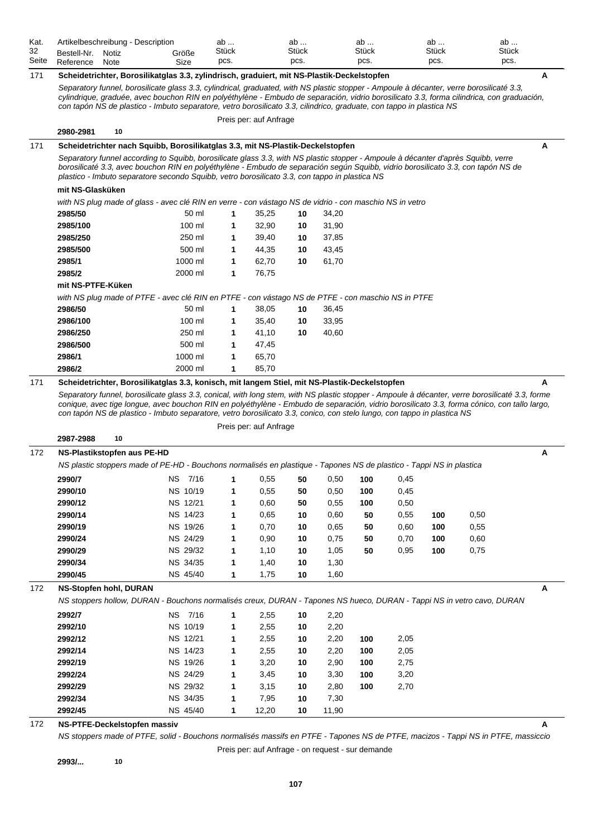| Kat.        | Artikelbeschreibung - Description                                                                                                                                                                                                                                                              |                    | ab            |                        | ab            |       | ab            |      | ab            | ab                   |   |
|-------------|------------------------------------------------------------------------------------------------------------------------------------------------------------------------------------------------------------------------------------------------------------------------------------------------|--------------------|---------------|------------------------|---------------|-------|---------------|------|---------------|----------------------|---|
| 32<br>Seite | Bestell-Nr.<br>Notiz                                                                                                                                                                                                                                                                           | Größe              | Stück<br>pcs. |                        | Stück<br>pcs. |       | Stück<br>pcs. |      | Stück<br>pcs. | <b>Stück</b><br>pcs. |   |
|             | Reference<br>Note                                                                                                                                                                                                                                                                              | Size               |               |                        |               |       |               |      |               |                      |   |
| 171         | Scheidetrichter, Borosilikatglas 3.3, zylindrisch, graduiert, mit NS-Plastik-Deckelstopfen                                                                                                                                                                                                     |                    |               |                        |               |       |               |      |               |                      | Α |
|             | Separatory funnel, borosilicate glass 3.3, cylindrical, graduated, with NS plastic stopper - Ampoule à décanter, verre borosilicaté 3.3,<br>cylindrique, graduée, avec bouchon RIN en polyéthylène - Embudo de separación, vidrio borosilicato 3.3, forma cilindrica, con graduación,          |                    |               |                        |               |       |               |      |               |                      |   |
|             | con tapón NS de plastico - Imbuto separatore, vetro borosilicato 3.3, cilindrico, graduate, con tappo in plastica NS                                                                                                                                                                           |                    |               |                        |               |       |               |      |               |                      |   |
|             |                                                                                                                                                                                                                                                                                                |                    |               | Preis per: auf Anfrage |               |       |               |      |               |                      |   |
|             | 10<br>2980-2981                                                                                                                                                                                                                                                                                |                    |               |                        |               |       |               |      |               |                      |   |
| 171         | Scheidetrichter nach Squibb, Borosilikatglas 3.3, mit NS-Plastik-Deckelstopfen                                                                                                                                                                                                                 |                    |               |                        |               |       |               |      |               |                      | Α |
|             | Separatory funnel according to Squibb, borosilicate glass 3.3, with NS plastic stopper - Ampoule à décanter d'après Squibb, verre<br>borosilicaté 3.3, avec bouchon RIN en polyéthylène - Embudo de separación según Squibb, vidrio borosilicato 3.3, con tapón NS de                          |                    |               |                        |               |       |               |      |               |                      |   |
|             | plastico - Imbuto separatore secondo Squibb, vetro borosilicato 3.3, con tappo in plastica NS                                                                                                                                                                                                  |                    |               |                        |               |       |               |      |               |                      |   |
|             | mit NS-Glasküken                                                                                                                                                                                                                                                                               |                    |               |                        |               |       |               |      |               |                      |   |
|             | with NS plug made of glass - avec clé RIN en verre - con vástago NS de vidrio - con maschio NS in vetro                                                                                                                                                                                        |                    |               |                        |               |       |               |      |               |                      |   |
|             | 2985/50                                                                                                                                                                                                                                                                                        | 50 ml              | 1             | 35,25                  | 10            | 34,20 |               |      |               |                      |   |
|             | 2985/100                                                                                                                                                                                                                                                                                       | 100 ml             | 1             | 32,90                  | 10            | 31,90 |               |      |               |                      |   |
|             | 2985/250                                                                                                                                                                                                                                                                                       | 250 ml             | 1             | 39,40                  | 10            | 37,85 |               |      |               |                      |   |
|             | 2985/500                                                                                                                                                                                                                                                                                       | 500 ml             | 1             | 44,35                  | 10            | 43,45 |               |      |               |                      |   |
|             | 2985/1                                                                                                                                                                                                                                                                                         | 1000 ml            | 1             | 62,70                  | 10            | 61,70 |               |      |               |                      |   |
|             | 2985/2                                                                                                                                                                                                                                                                                         | 2000 ml            | 1             | 76,75                  |               |       |               |      |               |                      |   |
|             | mit NS-PTFE-Küken                                                                                                                                                                                                                                                                              |                    |               |                        |               |       |               |      |               |                      |   |
|             | with NS plug made of PTFE - avec clé RIN en PTFE - con vástago NS de PTFE - con maschio NS in PTFE                                                                                                                                                                                             |                    |               |                        |               |       |               |      |               |                      |   |
|             | 2986/50                                                                                                                                                                                                                                                                                        | 50 ml              | 1             | 38,05                  | 10            | 36,45 |               |      |               |                      |   |
|             | 2986/100                                                                                                                                                                                                                                                                                       | 100 ml             | 1             | 35,40                  | 10            | 33,95 |               |      |               |                      |   |
|             | 2986/250                                                                                                                                                                                                                                                                                       | 250 ml             | 1             | 41,10                  | 10            | 40,60 |               |      |               |                      |   |
|             | 2986/500                                                                                                                                                                                                                                                                                       | 500 ml             | 1             | 47,45                  |               |       |               |      |               |                      |   |
|             | 2986/1<br>2986/2                                                                                                                                                                                                                                                                               | 1000 ml<br>2000 ml | 1<br>1        | 65,70                  |               |       |               |      |               |                      |   |
|             |                                                                                                                                                                                                                                                                                                |                    |               | 85,70                  |               |       |               |      |               |                      |   |
| 171         | Scheidetrichter, Borosilikatglas 3.3, konisch, mit langem Stiel, mit NS-Plastik-Deckelstopfen                                                                                                                                                                                                  |                    |               |                        |               |       |               |      |               |                      | A |
|             | Separatory funnel, borosilicate glass 3.3, conical, with long stem, with NS plastic stopper - Ampoule à décanter, verre borosilicaté 3.3, forme<br>conique, avec tige longue, avec bouchon RIN en polyéthylène - Embudo de separación, vidrio borosilicato 3.3, forma cónico, con tallo largo, |                    |               |                        |               |       |               |      |               |                      |   |
|             | con tapón NS de plastico - Imbuto separatore, vetro borosilicato 3.3, conico, con stelo lungo, con tappo in plastica NS                                                                                                                                                                        |                    |               |                        |               |       |               |      |               |                      |   |
|             |                                                                                                                                                                                                                                                                                                |                    |               | Preis per: auf Anfrage |               |       |               |      |               |                      |   |
|             | 2987-2988<br>10                                                                                                                                                                                                                                                                                |                    |               |                        |               |       |               |      |               |                      |   |
| 172         | NS-Plastikstopfen aus PE-HD                                                                                                                                                                                                                                                                    |                    |               |                        |               |       |               |      |               |                      | Α |
|             | NS plastic stoppers made of PE-HD - Bouchons normalisés en plastique - Tapones NS de plastico - Tappi NS in plastica                                                                                                                                                                           |                    |               |                        |               |       |               |      |               |                      |   |
|             | 2990/7                                                                                                                                                                                                                                                                                         | NS.<br>7/16        | 1             | 0,55                   | 50            | 0,50  | 100           | 0,45 |               |                      |   |
|             | 2990/10                                                                                                                                                                                                                                                                                        | NS 10/19           | 1             | 0,55                   | 50            | 0,50  | 100           | 0,45 |               |                      |   |
|             | 2990/12                                                                                                                                                                                                                                                                                        | NS 12/21           | 1             | 0,60                   | 50            | 0,55  | 100           | 0,50 |               |                      |   |
|             | 2990/14                                                                                                                                                                                                                                                                                        | NS 14/23           | 1             | 0,65                   | 10            | 0,60  | 50            | 0,55 | 100           | 0,50                 |   |
|             | 2990/19                                                                                                                                                                                                                                                                                        | NS 19/26           | 1             | 0,70                   | 10            | 0,65  | 50            | 0,60 | 100           | 0,55                 |   |
|             | 2990/24                                                                                                                                                                                                                                                                                        | NS 24/29           | 1             | 0,90                   | 10            | 0,75  | 50            | 0,70 | 100           | 0,60                 |   |
|             | 2990/29                                                                                                                                                                                                                                                                                        | NS 29/32           | 1             | 1,10                   | 10            | 1,05  | 50            | 0,95 | 100           | 0,75                 |   |
|             | 2990/34                                                                                                                                                                                                                                                                                        | NS 34/35           | 1             | 1,40                   | 10            | 1,30  |               |      |               |                      |   |
|             | 2990/45                                                                                                                                                                                                                                                                                        | NS 45/40           | 1             | 1,75                   | 10            | 1,60  |               |      |               |                      |   |
| 172         | <b>NS-Stopfen hohl, DURAN</b>                                                                                                                                                                                                                                                                  |                    |               |                        |               |       |               |      |               |                      | A |
|             | NS stoppers hollow, DURAN - Bouchons normalisés creux, DURAN - Tapones NS hueco, DURAN - Tappi NS in vetro cavo, DURAN                                                                                                                                                                         |                    |               |                        |               |       |               |      |               |                      |   |
|             | 2992/7                                                                                                                                                                                                                                                                                         | NS 7/16            | 1             | 2,55                   | 10            | 2,20  |               |      |               |                      |   |
|             | 2992/10                                                                                                                                                                                                                                                                                        | NS 10/19           | 1             | 2,55                   | 10            | 2,20  |               |      |               |                      |   |
|             | 2992/12                                                                                                                                                                                                                                                                                        | NS 12/21           | 1             | 2,55                   | 10            | 2,20  | 100           | 2,05 |               |                      |   |
|             | 2992/14                                                                                                                                                                                                                                                                                        | NS 14/23           | 1             | 2,55                   | 10            | 2,20  | 100           | 2,05 |               |                      |   |
|             | 2992/19                                                                                                                                                                                                                                                                                        | NS 19/26           | 1             | 3,20                   | 10            | 2,90  | 100           | 2,75 |               |                      |   |
|             | 2992/24                                                                                                                                                                                                                                                                                        | NS 24/29           | 1             | 3,45                   | 10            | 3,30  | 100           | 3,20 |               |                      |   |
|             | 2992/29                                                                                                                                                                                                                                                                                        | NS 29/32           | 1             | 3,15                   | 10            | 2,80  | 100           | 2,70 |               |                      |   |
|             | 2992/34                                                                                                                                                                                                                                                                                        | NS 34/35           | 1             | 7,95                   | 10            | 7,30  |               |      |               |                      |   |
|             | 2992/45                                                                                                                                                                                                                                                                                        | NS 45/40           | 1             | 12,20                  | 10            | 11,90 |               |      |               |                      |   |
| 172         | NS-PTFE-Deckelstopfen massiv                                                                                                                                                                                                                                                                   |                    |               |                        |               |       |               |      |               |                      | A |

*NS stoppers made of PTFE, solid - Bouchons normalisés massifs en PTFE - Tapones NS de PTFE, macizos - Tappi NS in PTFE, massiccio* Preis per: auf Anfrage - on request - sur demande

**2993/... 10**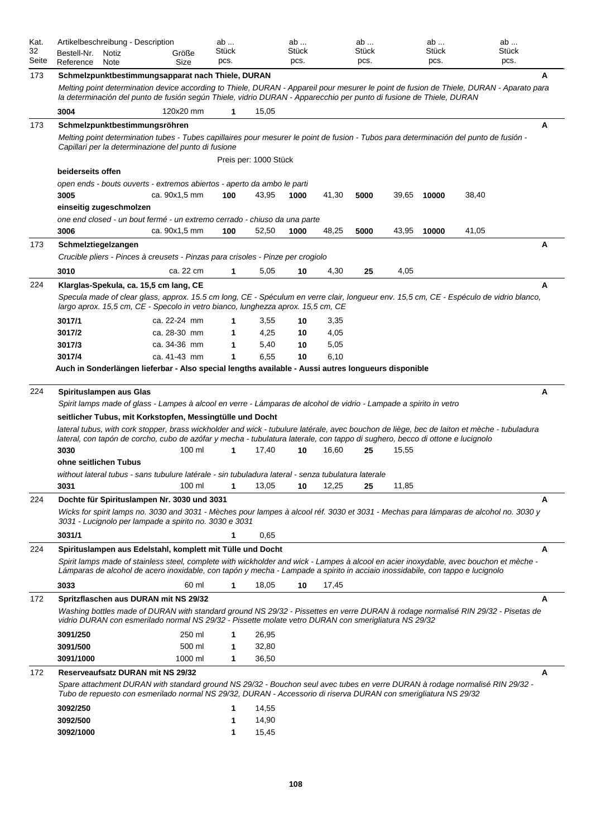| Kat.        | Artikelbeschreibung - Description                                                                                                                                                                                                                                       |               | ab            |                       | ab            |       | ab                   |       | ab                   |       | ab                   |  |
|-------------|-------------------------------------------------------------------------------------------------------------------------------------------------------------------------------------------------------------------------------------------------------------------------|---------------|---------------|-----------------------|---------------|-------|----------------------|-------|----------------------|-------|----------------------|--|
| 32<br>Seite | Bestell-Nr.<br>Notiz                                                                                                                                                                                                                                                    | Größe         | Stück<br>pcs. |                       | Stück<br>pcs. |       | <b>Stück</b><br>pcs. |       | <b>Stück</b><br>pcs. |       | <b>Stück</b><br>pcs. |  |
|             | Reference<br>Note                                                                                                                                                                                                                                                       | Size          |               |                       |               |       |                      |       |                      |       |                      |  |
| 173         | Schmelzpunktbestimmungsapparat nach Thiele, DURAN<br>Melting point determination device according to Thiele, DURAN - Appareil pour mesurer le point de fusion de Thiele, DURAN - Aparato para                                                                           |               |               |                       |               |       |                      |       |                      |       | А                    |  |
|             | la determinación del punto de fusión según Thiele, vidrio DURAN - Apparecchio per punto di fusione de Thiele, DURAN                                                                                                                                                     |               |               |                       |               |       |                      |       |                      |       |                      |  |
|             | 3004                                                                                                                                                                                                                                                                    | 120x20 mm     | 1             | 15,05                 |               |       |                      |       |                      |       |                      |  |
| 173         | Schmelzpunktbestimmungsröhren                                                                                                                                                                                                                                           |               |               |                       |               |       |                      |       |                      |       | A                    |  |
|             | Melting point determination tubes - Tubes capillaires pour mesurer le point de fusion - Tubos para determinación del punto de fusión -<br>Capillari per la determinazione del punto di fusione                                                                          |               |               |                       |               |       |                      |       |                      |       |                      |  |
|             |                                                                                                                                                                                                                                                                         |               |               | Preis per: 1000 Stück |               |       |                      |       |                      |       |                      |  |
|             | beiderseits offen                                                                                                                                                                                                                                                       |               |               |                       |               |       |                      |       |                      |       |                      |  |
|             | open ends - bouts ouverts - extremos abiertos - aperto da ambo le parti<br>3005                                                                                                                                                                                         | ca. 90x1,5 mm | 100           | 43,95                 | 1000          | 41,30 | 5000                 | 39,65 | 10000                | 38,40 |                      |  |
|             | einseitig zugeschmolzen                                                                                                                                                                                                                                                 |               |               |                       |               |       |                      |       |                      |       |                      |  |
|             | one end closed - un bout fermé - un extremo cerrado - chiuso da una parte                                                                                                                                                                                               |               |               |                       |               |       |                      |       |                      |       |                      |  |
|             | 3006                                                                                                                                                                                                                                                                    | ca. 90x1,5 mm | 100           | 52,50                 | 1000          | 48,25 | 5000                 | 43,95 | 10000                | 41,05 |                      |  |
| 173         | Schmelztiegelzangen                                                                                                                                                                                                                                                     |               |               |                       |               |       |                      |       |                      |       | Α                    |  |
|             | Crucible pliers - Pinces à creusets - Pinzas para crisoles - Pinze per crogiolo                                                                                                                                                                                         |               |               |                       |               |       |                      |       |                      |       |                      |  |
|             | 3010                                                                                                                                                                                                                                                                    | ca. 22 cm     | 1             | 5,05                  | 10            | 4,30  | 25                   | 4,05  |                      |       |                      |  |
| 224         | Klarglas-Spekula, ca. 15,5 cm lang, CE                                                                                                                                                                                                                                  |               |               |                       |               |       |                      |       |                      |       | A                    |  |
|             | Specula made of clear glass, approx. 15.5 cm long, CE - Spéculum en verre clair, longueur env. 15.5 cm, CE - Espéculo de vidrio blanco,<br>largo aprox. 15,5 cm, CE - Specolo in vetro bianco, lunghezza aprox. 15,5 cm, CE                                             |               |               |                       |               |       |                      |       |                      |       |                      |  |
|             | 3017/1                                                                                                                                                                                                                                                                  | ca. 22-24 mm  | 1             | 3,55                  | 10            | 3,35  |                      |       |                      |       |                      |  |
|             | 3017/2                                                                                                                                                                                                                                                                  | ca. 28-30 mm  | 1             | 4,25                  | 10            | 4,05  |                      |       |                      |       |                      |  |
|             | 3017/3                                                                                                                                                                                                                                                                  | ca. 34-36 mm  | 1             | 5,40                  | 10            | 5,05  |                      |       |                      |       |                      |  |
|             | 3017/4                                                                                                                                                                                                                                                                  | ca. 41-43 mm  | 1             | 6,55                  | 10            | 6.10  |                      |       |                      |       |                      |  |
|             | Auch in Sonderlängen lieferbar - Also special lengths available - Aussi autres longueurs disponible                                                                                                                                                                     |               |               |                       |               |       |                      |       |                      |       |                      |  |
| 224         | Spirituslampen aus Glas                                                                                                                                                                                                                                                 |               |               |                       |               |       |                      |       |                      |       | Α                    |  |
|             | Spirit lamps made of glass - Lampes à alcool en verre - Lámparas de alcohol de vidrio - Lampade a spirito in vetro                                                                                                                                                      |               |               |                       |               |       |                      |       |                      |       |                      |  |
|             | seitlicher Tubus, mit Korkstopfen, Messingtülle und Docht                                                                                                                                                                                                               |               |               |                       |               |       |                      |       |                      |       |                      |  |
|             | lateral tubus, with cork stopper, brass wickholder and wick - tubulure latérale, avec bouchon de liège, bec de laiton et mèche - tubuladura                                                                                                                             |               |               |                       |               |       |                      |       |                      |       |                      |  |
|             | lateral, con tapón de corcho, cubo de azófar y mecha - tubulatura laterale, con tappo di sughero, becco di ottone e lucignolo                                                                                                                                           |               |               |                       |               |       |                      |       |                      |       |                      |  |
|             | 3030<br>ohne seitlichen Tubus                                                                                                                                                                                                                                           | 100 ml        | 1             | 17,40                 | 10            | 16,60 | 25                   | 15,55 |                      |       |                      |  |
|             | without lateral tubus - sans tubulure latérale - sin tubuladura lateral - senza tubulatura laterale                                                                                                                                                                     |               |               |                       |               |       |                      |       |                      |       |                      |  |
|             | 3031                                                                                                                                                                                                                                                                    | 100 ml        | 1             | 13,05                 | 10            | 12,25 | 25                   | 11,85 |                      |       |                      |  |
| 224         | Dochte für Spirituslampen Nr. 3030 und 3031                                                                                                                                                                                                                             |               |               |                       |               |       |                      |       |                      |       | A                    |  |
|             | Wicks for spirit lamps no. 3030 and 3031 - Mèches pour lampes à alcool réf. 3030 et 3031 - Mechas para lámparas de alcohol no. 3030 y<br>3031 - Lucignolo per lampade a spirito no. 3030 e 3031                                                                         |               |               |                       |               |       |                      |       |                      |       |                      |  |
|             | 3031/1                                                                                                                                                                                                                                                                  |               | 1             | 0,65                  |               |       |                      |       |                      |       |                      |  |
| 224         | Spirituslampen aus Edelstahl, komplett mit Tülle und Docht                                                                                                                                                                                                              |               |               |                       |               |       |                      |       |                      |       | A                    |  |
|             | Spirit lamps made of stainless steel, complete with wickholder and wick - Lampes à alcool en acier inoxydable, avec bouchon et mèche -<br>Lámparas de alcohol de acero inoxidable, con tapón y mecha - Lampade a spirito in acciaio inossidabile, con tappo e lucignolo |               |               |                       |               |       |                      |       |                      |       |                      |  |
|             | 3033                                                                                                                                                                                                                                                                    | 60 ml         | 1             | 18,05                 | 10            | 17,45 |                      |       |                      |       |                      |  |
| 172         | Spritzflaschen aus DURAN mit NS 29/32                                                                                                                                                                                                                                   |               |               |                       |               |       |                      |       |                      |       | A                    |  |
|             | Washing bottles made of DURAN with standard ground NS 29/32 - Pissettes en verre DURAN à rodage normalisé RIN 29/32 - Pisetas de<br>vidrio DURAN con esmerilado normal NS 29/32 - Pissette molate vetro DURAN con smerigliatura NS 29/32                                |               |               |                       |               |       |                      |       |                      |       |                      |  |
|             | 3091/250                                                                                                                                                                                                                                                                | 250 ml        | 1             | 26,95                 |               |       |                      |       |                      |       |                      |  |
|             | 3091/500                                                                                                                                                                                                                                                                | 500 ml        | 1             | 32,80                 |               |       |                      |       |                      |       |                      |  |
|             |                                                                                                                                                                                                                                                                         |               |               |                       |               |       |                      |       |                      |       |                      |  |
|             | 3091/1000                                                                                                                                                                                                                                                               | 1000 ml       | 1             | 36,50                 |               |       |                      |       |                      |       |                      |  |
| 172         | Reserveaufsatz DURAN mit NS 29/32                                                                                                                                                                                                                                       |               |               |                       |               |       |                      |       |                      |       | Α                    |  |
|             | Spare attachment DURAN with standard ground NS 29/32 - Bouchon seul avec tubes en verre DURAN à rodage normalisé RIN 29/32 -<br>Tubo de repuesto con esmerilado normal NS 29/32, DURAN - Accessorio di riserva DURAN con smerigliatura NS 29/32                         |               |               |                       |               |       |                      |       |                      |       |                      |  |
|             | 3092/250                                                                                                                                                                                                                                                                |               | 1             | 14,55                 |               |       |                      |       |                      |       |                      |  |
|             | 3092/500<br>3092/1000                                                                                                                                                                                                                                                   |               | 1<br>1        | 14,90<br>15,45        |               |       |                      |       |                      |       |                      |  |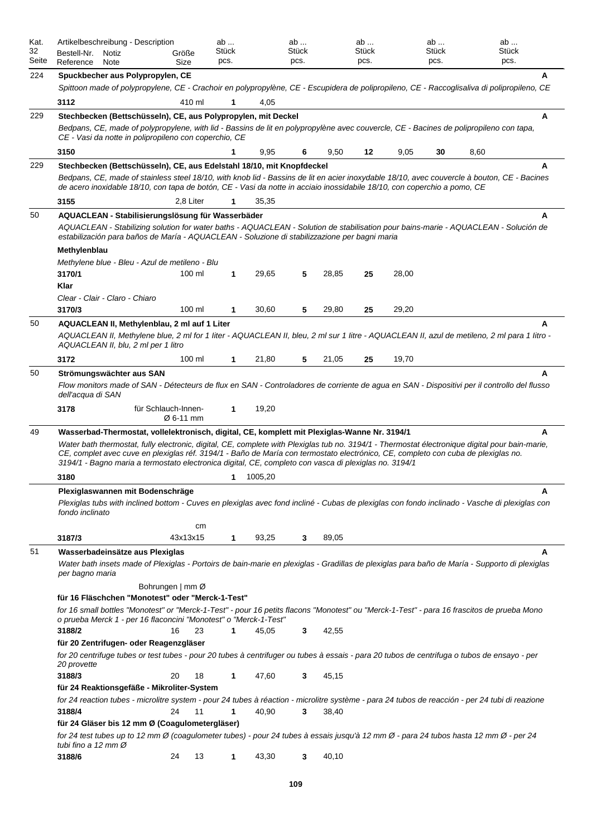| Kat.<br>32<br>Seite | Artikelbeschreibung - Description<br>Bestell-Nr.<br>Notiz<br>Reference<br>Note                                                                                                                                                             | Größe<br>Size                    | ab<br>Stück<br>pcs. |         | ab<br>Stück<br>pcs. |       | ab<br><b>Stück</b><br>pcs. |       | ab<br>Stück<br>pcs. | ab<br><b>Stück</b><br>pcs.                                                                                                                         |
|---------------------|--------------------------------------------------------------------------------------------------------------------------------------------------------------------------------------------------------------------------------------------|----------------------------------|---------------------|---------|---------------------|-------|----------------------------|-------|---------------------|----------------------------------------------------------------------------------------------------------------------------------------------------|
| 224                 |                                                                                                                                                                                                                                            |                                  |                     |         |                     |       |                            |       |                     | A                                                                                                                                                  |
|                     | Spuckbecher aus Polypropylen, CE                                                                                                                                                                                                           |                                  |                     |         |                     |       |                            |       |                     | Spittoon made of polypropylene, CE - Crachoir en polypropylène, CE - Escupidera de polipropileno, CE - Raccoglisaliva di polipropileno, CE         |
|                     | 3112                                                                                                                                                                                                                                       | 410 ml                           | 1                   | 4,05    |                     |       |                            |       |                     |                                                                                                                                                    |
| 229                 | Stechbecken (Bettschüsseln), CE, aus Polypropylen, mit Deckel                                                                                                                                                                              |                                  |                     |         |                     |       |                            |       |                     | A                                                                                                                                                  |
|                     | Bedpans, CE, made of polypropylene, with lid - Bassins de lit en polypropylène avec couvercle, CE - Bacines de polipropileno con tapa,<br>CE - Vasi da notte in polipropileno con coperchio, CE                                            |                                  |                     |         |                     |       |                            |       |                     |                                                                                                                                                    |
|                     | 3150                                                                                                                                                                                                                                       |                                  |                     | 9,95    | 6                   | 9,50  | 12                         | 9,05  | 30                  | 8,60                                                                                                                                               |
| 229                 | Stechbecken (Bettschüsseln), CE, aus Edelstahl 18/10, mit Knopfdeckel                                                                                                                                                                      |                                  |                     |         |                     |       |                            |       |                     | A                                                                                                                                                  |
|                     | de acero inoxidable 18/10, con tapa de botón, CE - Vasi da notte in acciaio inossidabile 18/10, con coperchio a pomo, CE                                                                                                                   |                                  |                     |         |                     |       |                            |       |                     | Bedpans, CE, made of stainless steel 18/10, with knob lid - Bassins de lit en acier inoxydable 18/10, avec couvercle à bouton, CE - Bacines        |
|                     | 3155                                                                                                                                                                                                                                       | 2,8 Liter                        |                     | 35,35   |                     |       |                            |       |                     |                                                                                                                                                    |
| 50                  | AQUACLEAN - Stabilisierungslösung für Wasserbäder<br>estabilización para baños de María - AQUACLEAN - Soluzione di stabilizzazione per bagni maria                                                                                         |                                  |                     |         |                     |       |                            |       |                     | A<br>AQUACLEAN - Stabilizing solution for water baths - AQUACLEAN - Solution de stabilisation pour bains-marie - AQUACLEAN - Solución de           |
|                     | Methylenblau                                                                                                                                                                                                                               |                                  |                     |         |                     |       |                            |       |                     |                                                                                                                                                    |
|                     | Methylene blue - Bleu - Azul de metileno - Blu<br>3170/1                                                                                                                                                                                   | 100 ml                           | 1                   | 29,65   | 5                   | 28,85 | 25                         | 28,00 |                     |                                                                                                                                                    |
|                     | Klar                                                                                                                                                                                                                                       |                                  |                     |         |                     |       |                            |       |                     |                                                                                                                                                    |
|                     | Clear - Clair - Claro - Chiaro                                                                                                                                                                                                             |                                  |                     |         |                     |       |                            |       |                     |                                                                                                                                                    |
|                     | 3170/3                                                                                                                                                                                                                                     | 100 ml                           | 1                   | 30,60   | 5                   | 29,80 | 25                         | 29,20 |                     |                                                                                                                                                    |
| 50                  | AQUACLEAN II, Methylenblau, 2 ml auf 1 Liter                                                                                                                                                                                               |                                  |                     |         |                     |       |                            |       |                     | A                                                                                                                                                  |
|                     | AQUACLEAN II, blu, 2 ml per 1 litro                                                                                                                                                                                                        |                                  |                     |         |                     |       |                            |       |                     | AQUACLEAN II, Methylene blue, 2 ml for 1 liter - AQUACLEAN II, bleu, 2 ml sur 1 litre - AQUACLEAN II, azul de metileno, 2 ml para 1 litro -        |
|                     | 3172                                                                                                                                                                                                                                       | 100 ml                           | 1                   | 21,80   | 5                   | 21,05 | 25                         | 19,70 |                     |                                                                                                                                                    |
| 50                  | Strömungswächter aus SAN<br>dell'acqua di SAN                                                                                                                                                                                              |                                  |                     |         |                     |       |                            |       |                     | A<br>Flow monitors made of SAN - Détecteurs de flux en SAN - Controladores de corriente de agua en SAN - Dispositivi per il controllo del flusso   |
|                     | 3178                                                                                                                                                                                                                                       | für Schlauch-Innen-<br>Ø 6-11 mm | 1                   | 19,20   |                     |       |                            |       |                     |                                                                                                                                                    |
| 49                  | Wasserbad-Thermostat, vollelektronisch, digital, CE, komplett mit Plexiglas-Wanne Nr. 3194/1                                                                                                                                               |                                  |                     |         |                     |       |                            |       |                     | A                                                                                                                                                  |
|                     | CE, complet avec cuve en plexiglas réf. 3194/1 - Baño de María con termostato electrónico, CE, completo con cuba de plexiglas no.<br>3194/1 - Bagno maria a termostato electronica digital, CE, completo con vasca di plexiglas no. 3194/1 |                                  |                     |         |                     |       |                            |       |                     | Water bath thermostat, fully electronic, digital, CE, complete with Plexiglas tub no. 3194/1 - Thermostat électronique digital pour bain-marie,    |
|                     | 3180                                                                                                                                                                                                                                       |                                  | 1                   | 1005,20 |                     |       |                            |       |                     |                                                                                                                                                    |
|                     | Plexiglaswannen mit Bodenschräge                                                                                                                                                                                                           |                                  |                     |         |                     |       |                            |       |                     | A                                                                                                                                                  |
|                     | fondo inclinato                                                                                                                                                                                                                            |                                  |                     |         |                     |       |                            |       |                     | Plexiglas tubs with inclined bottom - Cuves en plexiglas avec fond incliné - Cubas de plexiglas con fondo inclinado - Vasche di plexiglas con      |
|                     |                                                                                                                                                                                                                                            | cm                               |                     |         |                     |       |                            |       |                     |                                                                                                                                                    |
|                     | 3187/3                                                                                                                                                                                                                                     | 43x13x15                         | 1                   | 93,25   | 3                   | 89,05 |                            |       |                     |                                                                                                                                                    |
| 51                  | Wasserbadeinsätze aus Plexiglas<br>per bagno maria                                                                                                                                                                                         |                                  |                     |         |                     |       |                            |       |                     | A<br>Water bath insets made of Plexiglas - Portoirs de bain-marie en plexiglas - Gradillas de plexiglas para baño de María - Supporto di plexiglas |
|                     |                                                                                                                                                                                                                                            | Bohrungen   mm Ø                 |                     |         |                     |       |                            |       |                     |                                                                                                                                                    |
|                     | für 16 Fläschchen "Monotest" oder "Merck-1-Test"                                                                                                                                                                                           |                                  |                     |         |                     |       |                            |       |                     |                                                                                                                                                    |
|                     | o prueba Merck 1 - per 16 flaconcini "Monotest" o "Merck-1-Test"                                                                                                                                                                           |                                  |                     |         |                     |       |                            |       |                     | for 16 small bottles "Monotest" or "Merck-1-Test" - pour 16 petits flacons "Monotest" ou "Merck-1-Test" - para 16 frascitos de prueba Mono         |
|                     | 3188/2                                                                                                                                                                                                                                     | 23<br>16                         | $\mathbf{1}$        | 45,05   | 3                   | 42,55 |                            |       |                     |                                                                                                                                                    |
|                     | für 20 Zentrifugen- oder Reagenzgläser<br>for 20 centrifuge tubes or test tubes - pour 20 tubes à centrifuger ou tubes à essais - para 20 tubos de centrifuga o tubos de ensayo - per<br>20 provette                                       |                                  |                     |         |                     |       |                            |       |                     |                                                                                                                                                    |
|                     | 3188/3                                                                                                                                                                                                                                     | 20<br>18                         | 1                   | 47,60   | 3                   | 45,15 |                            |       |                     |                                                                                                                                                    |
|                     | für 24 Reaktionsgefäße - Mikroliter-System                                                                                                                                                                                                 |                                  |                     |         |                     |       |                            |       |                     | for 24 reaction tubes - microlitre system - pour 24 tubes à réaction - microlitre système - para 24 tubos de reacción - per 24 tubi di reazione    |
|                     | 3188/4                                                                                                                                                                                                                                     | 24<br>11                         | 1                   | 40,90   | 3                   | 38,40 |                            |       |                     |                                                                                                                                                    |
|                     | für 24 Gläser bis 12 mm Ø (Coagulometergläser)<br>for 24 test tubes up to 12 mm Ø (coagulometer tubes) - pour 24 tubes à essais jusqu'à 12 mm Ø - para 24 tubos hasta 12 mm Ø - per 24<br>tubi fino a 12 mm Ø                              |                                  |                     |         |                     |       |                            |       |                     |                                                                                                                                                    |
|                     | 3188/6                                                                                                                                                                                                                                     | 24<br>13                         | 1                   | 43,30   | 3                   | 40,10 |                            |       |                     |                                                                                                                                                    |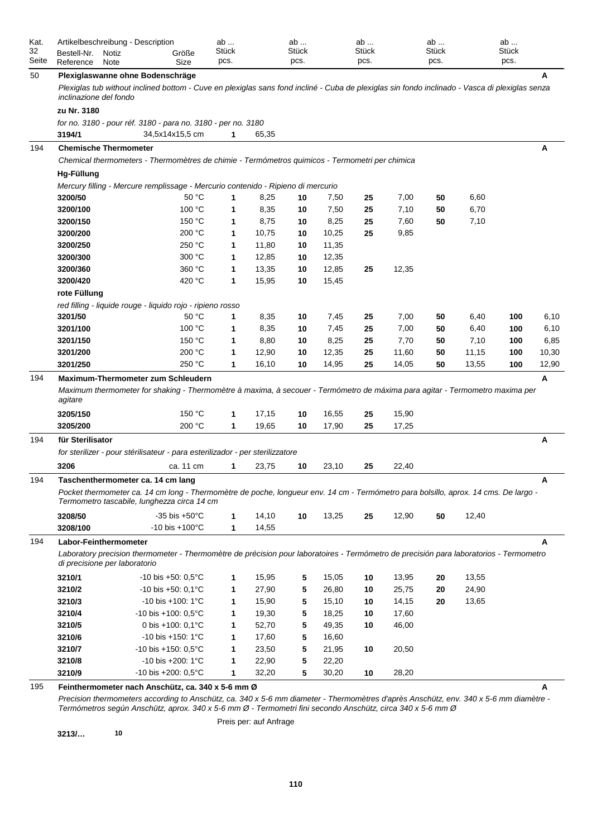| Kat.<br>32<br>Seite | Artikelbeschreibung - Description<br>Bestell-Nr.<br>Notiz<br>Reference<br>Note | Größe<br>Size                                                                                                                                                                      | ab<br>Stück<br>pcs. |       | ab<br>Stück<br>pcs. |       | ab<br>Stück<br>pcs. |       | ab<br><b>Stück</b><br>pcs. |       | ab<br>Stück<br>pcs. |       |
|---------------------|--------------------------------------------------------------------------------|------------------------------------------------------------------------------------------------------------------------------------------------------------------------------------|---------------------|-------|---------------------|-------|---------------------|-------|----------------------------|-------|---------------------|-------|
| 50                  |                                                                                | Plexiglaswanne ohne Bodenschräge                                                                                                                                                   |                     |       |                     |       |                     |       |                            |       |                     | A     |
|                     | <i>inclinazione del fondo</i>                                                  | Plexiglas tub without inclined bottom - Cuve en plexiglas sans fond incliné - Cuba de plexiglas sin fondo inclinado - Vasca di plexiglas senza                                     |                     |       |                     |       |                     |       |                            |       |                     |       |
|                     | zu Nr. 3180                                                                    |                                                                                                                                                                                    |                     |       |                     |       |                     |       |                            |       |                     |       |
|                     | 3194/1                                                                         | for no. 3180 - pour réf. 3180 - para no. 3180 - per no. 3180<br>34,5x14x15,5 cm                                                                                                    | 1                   | 65,35 |                     |       |                     |       |                            |       |                     |       |
| 194                 | <b>Chemische Thermometer</b>                                                   |                                                                                                                                                                                    |                     |       |                     |       |                     |       |                            |       |                     | Α     |
|                     |                                                                                | Chemical thermometers - Thermomètres de chimie - Termómetros quimicos - Termometri per chimica                                                                                     |                     |       |                     |       |                     |       |                            |       |                     |       |
|                     | Hq-Füllung                                                                     |                                                                                                                                                                                    |                     |       |                     |       |                     |       |                            |       |                     |       |
|                     |                                                                                | Mercury filling - Mercure remplissage - Mercurio contenido - Ripieno di mercurio                                                                                                   |                     |       |                     |       |                     |       |                            |       |                     |       |
|                     | 3200/50                                                                        | 50 °C                                                                                                                                                                              | 1                   | 8,25  | 10                  | 7,50  | 25                  | 7,00  | 50                         | 6,60  |                     |       |
|                     | 3200/100                                                                       | 100 °C                                                                                                                                                                             | 1                   | 8,35  | 10                  | 7,50  | 25                  | 7,10  | 50                         | 6,70  |                     |       |
|                     | 3200/150                                                                       | 150 °C                                                                                                                                                                             | 1                   | 8,75  | 10                  | 8,25  | 25                  | 7,60  | 50                         | 7,10  |                     |       |
|                     | 3200/200                                                                       | 200 °C                                                                                                                                                                             | 1                   | 10,75 | 10                  | 10,25 | 25                  | 9,85  |                            |       |                     |       |
|                     | 3200/250                                                                       | 250 °C                                                                                                                                                                             | 1                   | 11,80 | 10                  | 11,35 |                     |       |                            |       |                     |       |
|                     | 3200/300                                                                       | 300 °C                                                                                                                                                                             | 1                   | 12,85 | 10                  | 12,35 |                     |       |                            |       |                     |       |
|                     | 3200/360                                                                       | 360 °C                                                                                                                                                                             | 1                   | 13,35 | 10                  | 12,85 | 25                  | 12,35 |                            |       |                     |       |
|                     | 3200/420                                                                       | 420 °C                                                                                                                                                                             | 1                   | 15,95 | 10                  | 15,45 |                     |       |                            |       |                     |       |
|                     | rote Füllung                                                                   |                                                                                                                                                                                    |                     |       |                     |       |                     |       |                            |       |                     |       |
|                     |                                                                                | red filling - liquide rouge - liquido rojo - ripieno rosso                                                                                                                         |                     |       |                     |       |                     |       |                            |       |                     |       |
|                     | 3201/50                                                                        | 50 °C                                                                                                                                                                              | 1                   | 8,35  | 10                  | 7,45  | 25                  | 7,00  | 50                         | 6,40  | 100                 | 6,10  |
|                     | 3201/100                                                                       | 100 °C                                                                                                                                                                             | 1                   | 8,35  | 10                  | 7,45  | 25                  | 7,00  | 50                         | 6,40  | 100                 | 6,10  |
|                     | 3201/150                                                                       | 150 °C                                                                                                                                                                             | 1                   | 8,80  | 10                  | 8,25  | 25                  | 7,70  | 50                         | 7,10  | 100                 | 6,85  |
|                     | 3201/200                                                                       | 200 °C                                                                                                                                                                             | 1                   | 12,90 | 10                  | 12,35 | 25                  | 11,60 | 50                         | 11,15 | 100                 | 10,30 |
|                     | 3201/250                                                                       | 250 °C                                                                                                                                                                             | 1                   | 16,10 | 10                  | 14,95 | 25                  | 14,05 | 50                         | 13,55 | 100                 | 12,90 |
| 194                 |                                                                                | <b>Maximum-Thermometer zum Schleudern</b>                                                                                                                                          |                     |       |                     |       |                     |       |                            |       |                     | A     |
|                     | agitare                                                                        | Maximum thermometer for shaking - Thermomètre à maxima, à secouer - Termómetro de máxima para agitar - Termometro maxima per                                                       |                     |       |                     |       |                     |       |                            |       |                     |       |
|                     | 3205/150                                                                       | 150 °C                                                                                                                                                                             | 1                   | 17,15 | 10                  | 16,55 | 25                  | 15,90 |                            |       |                     |       |
|                     | 3205/200                                                                       | 200 °C                                                                                                                                                                             | 1                   | 19,65 | 10                  | 17,90 | 25                  | 17,25 |                            |       |                     |       |
| 194                 | für Sterilisator                                                               |                                                                                                                                                                                    |                     |       |                     |       |                     |       |                            |       |                     | A     |
|                     |                                                                                | for sterilizer - pour stérilisateur - para esterilizador - per sterilizzatore                                                                                                      |                     |       |                     |       |                     |       |                            |       |                     |       |
|                     | 3206                                                                           | ca. 11 cm                                                                                                                                                                          | 1                   | 23,75 | 10                  | 23,10 | 25                  | 22,40 |                            |       |                     |       |
|                     |                                                                                |                                                                                                                                                                                    |                     |       |                     |       |                     |       |                            |       |                     | A     |
| 194                 |                                                                                | Taschenthermometer ca. 14 cm lang                                                                                                                                                  |                     |       |                     |       |                     |       |                            |       |                     |       |
|                     |                                                                                | Pocket thermometer ca. 14 cm long - Thermomètre de poche, longueur env. 14 cm - Termómetro para bolsillo, aprox. 14 cms. De largo -<br>Termometro tascabile, lunghezza circa 14 cm |                     |       |                     |       |                     |       |                            |       |                     |       |
|                     | 3208/50                                                                        | $-35$ bis $+50^{\circ}$ C                                                                                                                                                          | 1                   | 14,10 | 10                  | 13,25 | 25                  | 12,90 | 50                         | 12,40 |                     |       |
|                     | 3208/100                                                                       | $-10$ bis $+100^{\circ}$ C                                                                                                                                                         | 1                   | 14,55 |                     |       |                     |       |                            |       |                     |       |
| 194                 | Labor-Feinthermometer                                                          |                                                                                                                                                                                    |                     |       |                     |       |                     |       |                            |       |                     | A     |
|                     | di precisione per laboratorio                                                  | Laboratory precision thermometer - Thermomètre de précision pour laboratoires - Termómetro de precisión para laboratorios - Termometro                                             |                     |       |                     |       |                     |       |                            |       |                     |       |
|                     | 3210/1                                                                         | $-10$ bis $+50:0,5^{\circ}$ C                                                                                                                                                      | 1                   | 15,95 | 5                   | 15,05 | 10                  | 13,95 | 20                         | 13,55 |                     |       |
|                     | 3210/2                                                                         | $-10$ bis $+50:0,1^{\circ}$ C                                                                                                                                                      | 1                   | 27,90 | 5                   | 26,80 | 10                  | 25,75 | 20                         | 24,90 |                     |       |
|                     | 3210/3                                                                         | $-10$ bis $+100$ : 1 $^{\circ}$ C                                                                                                                                                  | 1                   | 15,90 | 5                   | 15,10 | 10                  | 14,15 | 20                         | 13,65 |                     |       |
|                     | 3210/4                                                                         | $-10$ bis $+100$ : 0,5°C                                                                                                                                                           | 1                   | 19,30 | 5                   | 18,25 | 10                  | 17,60 |                            |       |                     |       |
|                     | 3210/5                                                                         | 0 bis +100: 0,1°C                                                                                                                                                                  | 1                   | 52,70 | 5                   | 49,35 | 10                  | 46,00 |                            |       |                     |       |
|                     | 3210/6                                                                         | $-10$ bis $+150$ : 1 $^{\circ}$ C                                                                                                                                                  | 1                   | 17,60 | 5                   | 16,60 |                     |       |                            |       |                     |       |
|                     | 3210/7                                                                         | $-10$ bis $+150$ : 0,5°C                                                                                                                                                           | 1                   | 23,50 | 5                   | 21,95 | 10                  | 20,50 |                            |       |                     |       |
|                     | 3210/8                                                                         | $-10$ bis $+200$ : 1 $^{\circ}$ C                                                                                                                                                  | 1                   | 22,90 | 5                   | 22,20 |                     |       |                            |       |                     |       |
|                     | 3210/9                                                                         | $-10$ bis $+200$ : 0,5°C                                                                                                                                                           | 1                   | 32,20 | 5                   | 30,20 | 10                  | 28,20 |                            |       |                     |       |
| 195                 |                                                                                | Feinthermometer nach Anschütz, ca. 340 x 5-6 mm Ø                                                                                                                                  |                     |       |                     |       |                     |       |                            |       |                     | Α     |

*Precision thermometers according to Anschütz, ca. 340 x 5-6 mm diameter - Thermomètres d'après Anschütz, env. 340 x 5-6 mm diamètre - Termómetros según Anschütz, aprox. 340 x 5-6 mm Ø - Termometri fini secondo Anschütz, circa 340 x 5-6 mm Ø*

Preis per: auf Anfrage

**3213/… 10**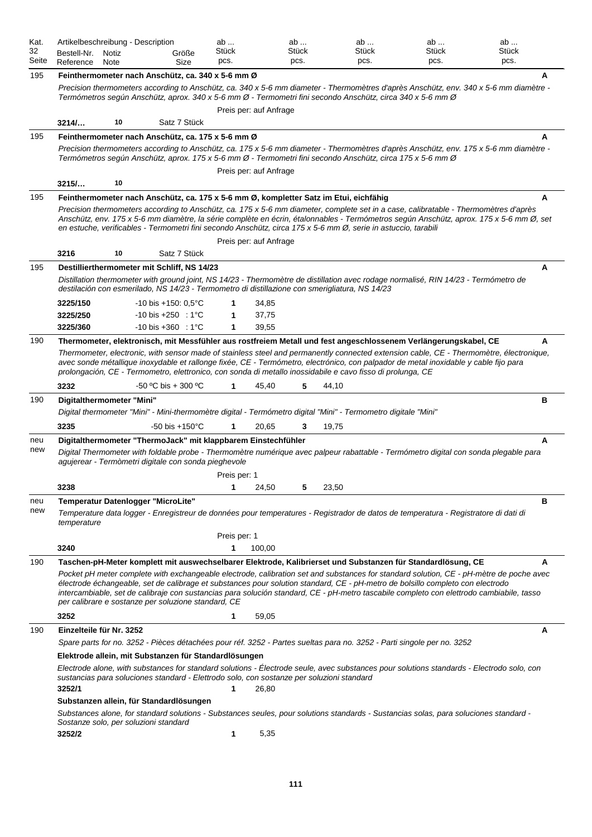| Kat.<br>32<br>Seite | Artikelbeschreibung - Description<br>Bestell-Nr.<br>Notiz<br>Reference<br>Note                                                                                                                                                                                                                                                                                                                                                                                                                                                                                                              | Größe<br>Size                  | ab<br>Stück<br>pcs. |                        | ab<br>Stück<br>pcs. | ab<br>Stück<br>pcs. | ab<br>Stück<br>pcs. | ab<br>Stück<br>pcs. |
|---------------------|---------------------------------------------------------------------------------------------------------------------------------------------------------------------------------------------------------------------------------------------------------------------------------------------------------------------------------------------------------------------------------------------------------------------------------------------------------------------------------------------------------------------------------------------------------------------------------------------|--------------------------------|---------------------|------------------------|---------------------|---------------------|---------------------|---------------------|
| 195                 | Feinthermometer nach Anschütz, ca. 340 x 5-6 mm Ø                                                                                                                                                                                                                                                                                                                                                                                                                                                                                                                                           |                                |                     |                        |                     |                     |                     | A                   |
|                     | Precision thermometers according to Anschütz, ca. 340 x 5-6 mm diameter - Thermomètres d'après Anschütz, env. 340 x 5-6 mm diamètre -<br>Termómetros según Anschütz, aprox. 340 x 5-6 mm Ø - Termometri fini secondo Anschütz, circa 340 x 5-6 mm Ø                                                                                                                                                                                                                                                                                                                                         |                                |                     | Preis per: auf Anfrage |                     |                     |                     |                     |
|                     | 3214/<br>10                                                                                                                                                                                                                                                                                                                                                                                                                                                                                                                                                                                 | Satz 7 Stück                   |                     |                        |                     |                     |                     |                     |
| 195                 | Feinthermometer nach Anschütz, ca. 175 x 5-6 mm Ø                                                                                                                                                                                                                                                                                                                                                                                                                                                                                                                                           |                                |                     |                        |                     |                     |                     | А                   |
|                     | Precision thermometers according to Anschütz, ca. 175 x 5-6 mm diameter - Thermomètres d'après Anschütz, env. 175 x 5-6 mm diamètre -<br>Termómetros según Anschütz, aprox. 175 x 5-6 mm Ø - Termometri fini secondo Anschütz, circa 175 x 5-6 mm Ø                                                                                                                                                                                                                                                                                                                                         |                                |                     | Preis per: auf Anfrage |                     |                     |                     |                     |
|                     | 3215/<br>10                                                                                                                                                                                                                                                                                                                                                                                                                                                                                                                                                                                 |                                |                     |                        |                     |                     |                     |                     |
| 195                 | Feinthermometer nach Anschütz, ca. 175 x 5-6 mm Ø, kompletter Satz im Etui, eichfähig<br>Precision thermometers according to Anschütz, ca. 175 x 5-6 mm diameter, complete set in a case, calibratable - Thermomètres d'après<br>Anschütz, env. 175 x 5-6 mm diamètre, la série complète en écrin, étalonnables - Termómetros según Anschütz, aprox. 175 x 5-6 mm Ø, set<br>en estuche, verificables - Termometri fini secondo Anschütz, circa 175 x 5-6 mm Ø, serie in astuccio, tarabili                                                                                                  |                                |                     | Preis per: auf Anfrage |                     |                     |                     | A                   |
|                     | 10<br>3216                                                                                                                                                                                                                                                                                                                                                                                                                                                                                                                                                                                  | Satz 7 Stück                   |                     |                        |                     |                     |                     |                     |
| 195                 | Destillierthermometer mit Schliff, NS 14/23                                                                                                                                                                                                                                                                                                                                                                                                                                                                                                                                                 |                                |                     |                        |                     |                     |                     | А                   |
|                     | Distillation thermometer with ground joint, NS 14/23 - Thermomètre de distillation avec rodage normalisé, RIN 14/23 - Termómetro de<br>destilación con esmerilado, NS 14/23 - Termometro di distillazione con smerigliatura, NS 14/23                                                                                                                                                                                                                                                                                                                                                       |                                |                     |                        |                     |                     |                     |                     |
|                     | 3225/150                                                                                                                                                                                                                                                                                                                                                                                                                                                                                                                                                                                    | $-10$ bis $+150$ : 0.5°C       | 1                   | 34,85                  |                     |                     |                     |                     |
|                     | 3225/250                                                                                                                                                                                                                                                                                                                                                                                                                                                                                                                                                                                    | $-10$ bis $+250$ : 1 °C        | 1                   | 37,75                  |                     |                     |                     |                     |
|                     | 3225/360                                                                                                                                                                                                                                                                                                                                                                                                                                                                                                                                                                                    | $-10 \text{ bis } +360$ : 1 °C | 1                   | 39,55                  |                     |                     |                     |                     |
| 190                 | Thermometer, elektronisch, mit Messfühler aus rostfreiem Metall und fest angeschlossenem Verlängerungskabel, CE<br>Thermometer, electronic, with sensor made of stainless steel and permanently connected extension cable, CE - Thermomètre, électronique,<br>avec sonde métallique inoxydable et rallonge fixée, CE - Termómetro, electrónico, con palpador de metal inoxidable y cable fijo para<br>prolongación, CE - Termometro, elettronico, con sonda di metallo inossidabile e cavo fisso di prolunga, CE                                                                            |                                |                     |                        |                     |                     |                     | A                   |
|                     | 3232                                                                                                                                                                                                                                                                                                                                                                                                                                                                                                                                                                                        | $-50$ °C bis + 300 °C          | 1                   | 45,40                  | 5                   | 44,10               |                     |                     |
| 190                 | Digitalthermometer "Mini"                                                                                                                                                                                                                                                                                                                                                                                                                                                                                                                                                                   |                                |                     |                        |                     |                     |                     | в                   |
|                     | Digital thermometer "Mini" - Mini-thermomètre digital - Termómetro digital "Mini" - Termometro digitale "Mini"                                                                                                                                                                                                                                                                                                                                                                                                                                                                              |                                |                     |                        |                     |                     |                     |                     |
|                     | 3235                                                                                                                                                                                                                                                                                                                                                                                                                                                                                                                                                                                        | $-50$ bis $+150^{\circ}$ C     | 1                   | 20,65                  | 3                   | 19,75               |                     |                     |
| neu<br>new          | Digitalthermometer "ThermoJack" mit klappbarem Einstechfühler<br>Digital Thermometer with foldable probe - Thermomètre numérique avec palpeur rabattable - Termómetro digital con sonda plegable para<br>aquierear - Termòmetri digitale con sonda pieghevole                                                                                                                                                                                                                                                                                                                               |                                |                     |                        |                     |                     |                     | A                   |
|                     | 3238                                                                                                                                                                                                                                                                                                                                                                                                                                                                                                                                                                                        |                                | Preis per: 1<br>1   |                        | 5                   |                     |                     |                     |
|                     |                                                                                                                                                                                                                                                                                                                                                                                                                                                                                                                                                                                             |                                |                     | 24,50                  |                     | 23,50               |                     |                     |
| neu<br>new          | Temperatur Datenlogger "MicroLite"<br>Temperature data logger - Enregistreur de données pour temperatures - Registrador de datos de temperatura - Registratore di dati di<br>temperature                                                                                                                                                                                                                                                                                                                                                                                                    |                                |                     |                        |                     |                     |                     | в                   |
|                     |                                                                                                                                                                                                                                                                                                                                                                                                                                                                                                                                                                                             |                                | Preis per: 1        |                        |                     |                     |                     |                     |
|                     | 3240                                                                                                                                                                                                                                                                                                                                                                                                                                                                                                                                                                                        |                                | 1                   | 100,00                 |                     |                     |                     |                     |
| 190                 | Taschen-pH-Meter komplett mit auswechselbarer Elektrode, Kalibrierset und Substanzen für Standardlösung, CE<br>Pocket pH meter complete with exchangeable electrode, calibration set and substances for standard solution, CE - pH-mètre de poche avec<br>électrode échangeable, set de calibrage et substances pour solution standard, CE - pH-metro de bolsillo completo con electrodo<br>intercambiable, set de calibraje con sustancias para solución standard, CE - pH-metro tascabile completo con elettrodo cambiabile, tasso<br>per calibrare e sostanze per soluzione standard, CE |                                |                     |                        |                     |                     |                     | A                   |
|                     | 3252                                                                                                                                                                                                                                                                                                                                                                                                                                                                                                                                                                                        |                                | 1                   | 59,05                  |                     |                     |                     |                     |
| 190                 | Einzelteile für Nr. 3252                                                                                                                                                                                                                                                                                                                                                                                                                                                                                                                                                                    |                                |                     |                        |                     |                     |                     | A                   |
|                     | Spare parts for no. 3252 - Pièces détachées pour réf. 3252 - Partes sueltas para no. 3252 - Parti singole per no. 3252                                                                                                                                                                                                                                                                                                                                                                                                                                                                      |                                |                     |                        |                     |                     |                     |                     |
|                     | Elektrode allein, mit Substanzen für Standardlösungen                                                                                                                                                                                                                                                                                                                                                                                                                                                                                                                                       |                                |                     |                        |                     |                     |                     |                     |
|                     | Electrode alone, with substances for standard solutions - Electrode seule, avec substances pour solutions standards - Electrodo solo, con<br>sustancias para soluciones standard - Elettrodo solo, con sostanze per soluzioni standard<br>3252/1                                                                                                                                                                                                                                                                                                                                            |                                | 1                   | 26,80                  |                     |                     |                     |                     |
|                     | Substanzen allein, für Standardlösungen                                                                                                                                                                                                                                                                                                                                                                                                                                                                                                                                                     |                                |                     |                        |                     |                     |                     |                     |
|                     | Substances alone, for standard solutions - Substances seules, pour solutions standards - Sustancias solas, para soluciones standard -<br>Sostanze solo, per soluzioni standard                                                                                                                                                                                                                                                                                                                                                                                                              |                                |                     |                        |                     |                     |                     |                     |
|                     | 3252/2                                                                                                                                                                                                                                                                                                                                                                                                                                                                                                                                                                                      |                                | 1                   | 5,35                   |                     |                     |                     |                     |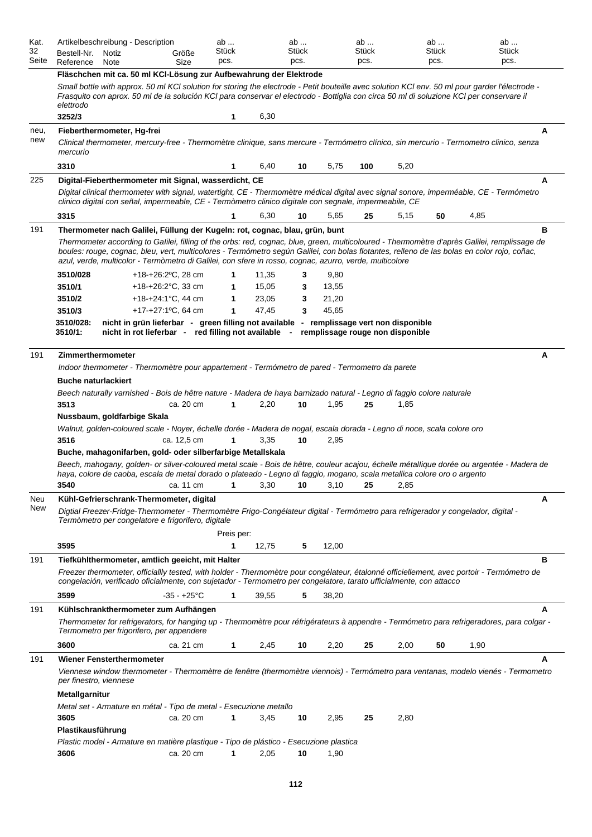| Kat.<br>32<br>Seite | Artikelbeschreibung - Description<br>Bestell-Nr.<br>Notiz<br>Reference<br>Note                                                                                                                                                                                                                                                                                                                                                                                                             | Größe<br>Size                                                                                                                                                                                                                                                                                              | ab<br>Stück<br>pcs. | ab<br>Stück<br>pcs. |                                  | ab<br>Stück<br>pcs. |      | ab<br>Stück<br>pcs. | ab<br>Stück<br>pcs. |   |  |  |
|---------------------|--------------------------------------------------------------------------------------------------------------------------------------------------------------------------------------------------------------------------------------------------------------------------------------------------------------------------------------------------------------------------------------------------------------------------------------------------------------------------------------------|------------------------------------------------------------------------------------------------------------------------------------------------------------------------------------------------------------------------------------------------------------------------------------------------------------|---------------------|---------------------|----------------------------------|---------------------|------|---------------------|---------------------|---|--|--|
|                     |                                                                                                                                                                                                                                                                                                                                                                                                                                                                                            | Fläschchen mit ca. 50 ml KCI-Lösung zur Aufbewahrung der Elektrode                                                                                                                                                                                                                                         |                     |                     |                                  |                     |      |                     |                     |   |  |  |
|                     | elettrodo                                                                                                                                                                                                                                                                                                                                                                                                                                                                                  | Small bottle with approx. 50 ml KCl solution for storing the electrode - Petit bouteille avec solution KCl env. 50 ml pour garder l'électrode -<br>Frasquito con aprox. 50 ml de la solución KCI para conservar el electrodo - Bottiglia con circa 50 ml di soluzione KCI per conservare il                |                     |                     |                                  |                     |      |                     |                     |   |  |  |
|                     | 3252/3                                                                                                                                                                                                                                                                                                                                                                                                                                                                                     |                                                                                                                                                                                                                                                                                                            | 1                   | 6,30                |                                  |                     |      |                     |                     |   |  |  |
| neu,<br>new         | Fieberthermometer, Hg-frei<br>mercurio                                                                                                                                                                                                                                                                                                                                                                                                                                                     | Clinical thermometer, mercury-free - Thermomètre clinique, sans mercure - Termómetro clínico, sin mercurio - Termometro clinico, senza                                                                                                                                                                     |                     |                     |                                  |                     |      |                     |                     | A |  |  |
|                     | 3310                                                                                                                                                                                                                                                                                                                                                                                                                                                                                       |                                                                                                                                                                                                                                                                                                            | 1                   | 6,40                | 10<br>5,75                       | 100                 | 5,20 |                     |                     |   |  |  |
| 225                 |                                                                                                                                                                                                                                                                                                                                                                                                                                                                                            | Digital-Fieberthermometer mit Signal, wasserdicht, CE<br>Digital clinical thermometer with signal, watertight, CE - Thermomètre médical digital avec signal sonore, imperméable, CE - Termómetro<br>clinico digital con señal, impermeable, CE - Termòmetro clinico digitale con segnale, impermeabile, CE |                     |                     |                                  |                     |      |                     |                     | A |  |  |
|                     | 3315                                                                                                                                                                                                                                                                                                                                                                                                                                                                                       |                                                                                                                                                                                                                                                                                                            | $\mathbf 1$         | 6,30                | 5,65<br>10                       | 25                  | 5,15 | 50                  | 4,85                |   |  |  |
| 191                 | в<br>Thermometer nach Galilei, Füllung der Kugeln: rot, cognac, blau, grün, bunt<br>Thermometer according to Galilei, filling of the orbs: red, cognac, blue, green, multicoloured - Thermomètre d'après Galilei, remplissage de<br>boules: rouge, cognac, bleu, vert, multicolores - Termómetro según Galilei, con bolas flotantes, relleno de las bolas en color rojo, coñac,<br>azul, verde, multicolor - Termòmetro di Galilei, con sfere in rosso, cognac, azurro, verde, multicolore |                                                                                                                                                                                                                                                                                                            |                     |                     |                                  |                     |      |                     |                     |   |  |  |
|                     | 3510/028                                                                                                                                                                                                                                                                                                                                                                                                                                                                                   | $+18+26:2°C$ , 28 cm                                                                                                                                                                                                                                                                                       |                     | 11,35               | 9,80<br>3                        |                     |      |                     |                     |   |  |  |
|                     | 3510/1<br>3510/2                                                                                                                                                                                                                                                                                                                                                                                                                                                                           | +18-+26:2 $^{\circ}$ C, 33 cm<br>$+18-+24:1^{\circ}C$ , 44 cm                                                                                                                                                                                                                                              | 1<br>1              | 15,05<br>23,05      | 13,55<br>3<br>21,20<br>3         |                     |      |                     |                     |   |  |  |
|                     | 3510/3                                                                                                                                                                                                                                                                                                                                                                                                                                                                                     | +17-+27:1 <sup>o</sup> C, 64 cm                                                                                                                                                                                                                                                                            | 1                   | 47,45               | 45,65<br>3                       |                     |      |                     |                     |   |  |  |
|                     | 3510/028:<br>3510/1:                                                                                                                                                                                                                                                                                                                                                                                                                                                                       | nicht in grün lieferbar - green filling not available - remplissage vert non disponible<br>nicht in rot lieferbar - red filling not available -                                                                                                                                                            |                     |                     | remplissage rouge non disponible |                     |      |                     |                     |   |  |  |
| 191                 | Zimmerthermometer                                                                                                                                                                                                                                                                                                                                                                                                                                                                          |                                                                                                                                                                                                                                                                                                            |                     |                     |                                  |                     |      |                     |                     | Α |  |  |
|                     |                                                                                                                                                                                                                                                                                                                                                                                                                                                                                            | Indoor thermometer - Thermomètre pour appartement - Termómetro de pared - Termometro da parete                                                                                                                                                                                                             |                     |                     |                                  |                     |      |                     |                     |   |  |  |
|                     | <b>Buche naturlackiert</b>                                                                                                                                                                                                                                                                                                                                                                                                                                                                 |                                                                                                                                                                                                                                                                                                            |                     |                     |                                  |                     |      |                     |                     |   |  |  |
|                     |                                                                                                                                                                                                                                                                                                                                                                                                                                                                                            | Beech naturally varnished - Bois de hêtre nature - Madera de haya barnizado natural - Legno di faggio colore naturale                                                                                                                                                                                      |                     |                     |                                  |                     |      |                     |                     |   |  |  |
|                     | 3513<br>Nussbaum, goldfarbige Skala                                                                                                                                                                                                                                                                                                                                                                                                                                                        | ca. 20 cm                                                                                                                                                                                                                                                                                                  | 1                   | 2,20                | 10<br>1,95                       | 25                  | 1,85 |                     |                     |   |  |  |
|                     |                                                                                                                                                                                                                                                                                                                                                                                                                                                                                            | Walnut, golden-coloured scale - Noyer, échelle dorée - Madera de nogal, escala dorada - Legno di noce, scala colore oro                                                                                                                                                                                    |                     |                     |                                  |                     |      |                     |                     |   |  |  |
|                     | 3516                                                                                                                                                                                                                                                                                                                                                                                                                                                                                       | ca. 12,5 cm                                                                                                                                                                                                                                                                                                | 1                   | 3,35                | 10<br>2,95                       |                     |      |                     |                     |   |  |  |
|                     |                                                                                                                                                                                                                                                                                                                                                                                                                                                                                            | Buche, mahagonifarben, gold- oder silberfarbige Metallskala                                                                                                                                                                                                                                                |                     |                     |                                  |                     |      |                     |                     |   |  |  |
|                     |                                                                                                                                                                                                                                                                                                                                                                                                                                                                                            | Beech, mahogany, golden- or silver-coloured metal scale - Bois de hêtre, couleur acajou, échelle métallique dorée ou argentée - Madera de<br>haya, colore de caoba, escala de metal dorado o plateado - Legno di faggio, mogano, scala metallica colore oro o argento                                      |                     |                     |                                  |                     |      |                     |                     |   |  |  |
|                     | 3540                                                                                                                                                                                                                                                                                                                                                                                                                                                                                       | ca. 11 cm                                                                                                                                                                                                                                                                                                  | 1                   | 3,30                | 10<br>3,10                       | 25                  | 2,85 |                     |                     |   |  |  |
| Neu<br>New          |                                                                                                                                                                                                                                                                                                                                                                                                                                                                                            | Kühl-Gefrierschrank-Thermometer, digital<br>Digtial Freezer-Fridge-Thermometer - Thermomètre Frigo-Congélateur digital - Termómetro para refrigerador y congelador, digital -<br>Termòmetro per congelatore e frigorifero, digitale                                                                        | Preis per:          |                     |                                  |                     |      |                     |                     | A |  |  |
|                     | 3595                                                                                                                                                                                                                                                                                                                                                                                                                                                                                       |                                                                                                                                                                                                                                                                                                            | 1                   | 12,75               | 5<br>12,00                       |                     |      |                     |                     |   |  |  |
| 191                 |                                                                                                                                                                                                                                                                                                                                                                                                                                                                                            | Tiefkühlthermometer, amtlich geeicht, mit Halter                                                                                                                                                                                                                                                           |                     |                     |                                  |                     |      |                     |                     | в |  |  |
|                     |                                                                                                                                                                                                                                                                                                                                                                                                                                                                                            | Freezer thermometer, officiallly tested, with holder - Thermomètre pour congélateur, étalonné officiellement, avec portoir - Termómetro de<br>congelación, verificado oficialmente, con sujetador - Termometro per congelatore, tarato ufficialmente, con attacco                                          |                     |                     |                                  |                     |      |                     |                     |   |  |  |
|                     | 3599                                                                                                                                                                                                                                                                                                                                                                                                                                                                                       | $-35 - +25$ °C                                                                                                                                                                                                                                                                                             | $\mathbf 1$         | 39,55               | 5<br>38,20                       |                     |      |                     |                     |   |  |  |
| 191                 |                                                                                                                                                                                                                                                                                                                                                                                                                                                                                            | Kühlschrankthermometer zum Aufhängen<br>Thermometer for refrigerators, for hanging up - Thermomètre pour réfrigérateurs à appendre - Termómetro para refrigeradores, para colgar -<br>Termometro per frigorifero, per appendere                                                                            |                     |                     |                                  |                     |      |                     |                     | A |  |  |
|                     | 3600                                                                                                                                                                                                                                                                                                                                                                                                                                                                                       | ca. 21 cm                                                                                                                                                                                                                                                                                                  | $\mathbf{1}$        | 2,45                | 2,20<br>10                       | 25                  | 2,00 | 50                  | 1,90                |   |  |  |
| 191                 | <b>Wiener Fensterthermometer</b><br>per finestro, viennese<br>Metallgarnitur                                                                                                                                                                                                                                                                                                                                                                                                               | Viennese window thermometer - Thermomètre de fenêtre (thermomètre viennois) - Termómetro para ventanas, modelo vienés - Termometro                                                                                                                                                                         |                     |                     |                                  |                     |      |                     |                     | A |  |  |
|                     |                                                                                                                                                                                                                                                                                                                                                                                                                                                                                            | Metal set - Armature en métal - Tipo de metal - Esecuzione metallo                                                                                                                                                                                                                                         |                     |                     |                                  |                     |      |                     |                     |   |  |  |
|                     | 3605                                                                                                                                                                                                                                                                                                                                                                                                                                                                                       | ca. 20 cm                                                                                                                                                                                                                                                                                                  | 1                   | 3,45                | 2,95<br>10                       | 25                  | 2,80 |                     |                     |   |  |  |
|                     | Plastikausführung                                                                                                                                                                                                                                                                                                                                                                                                                                                                          |                                                                                                                                                                                                                                                                                                            |                     |                     |                                  |                     |      |                     |                     |   |  |  |
|                     | 3606                                                                                                                                                                                                                                                                                                                                                                                                                                                                                       | Plastic model - Armature en matière plastique - Tipo de plástico - Esecuzione plastica<br>ca. 20 cm                                                                                                                                                                                                        | 1                   | 2,05                | 1,90<br>10                       |                     |      |                     |                     |   |  |  |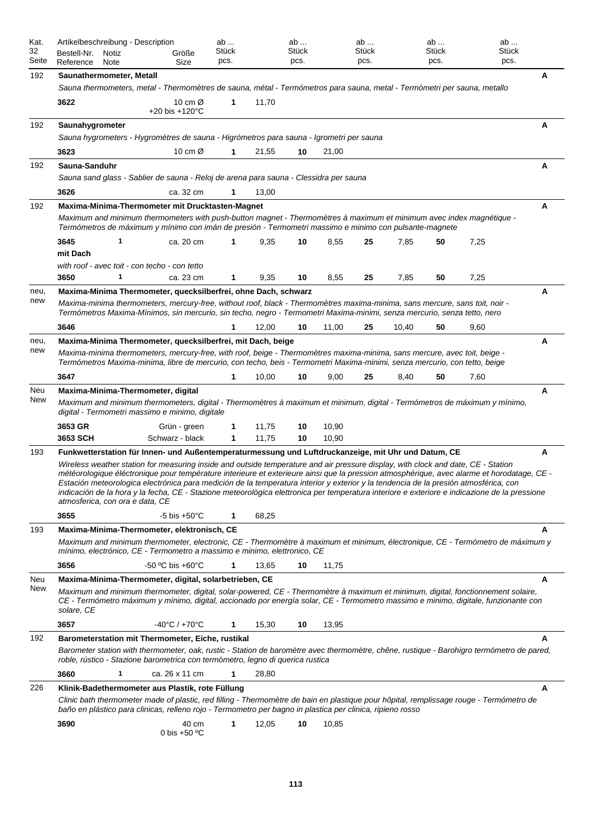| Kat.<br>32  | Artikelbeschreibung - Description<br>Bestell-Nr.<br>Notiz                                                                                                                                                                                                                                                                                                                                                                                                                                                                                                                                                                                                                                                          | Größe                                             | ab<br>Stück |       | ab<br><b>Stück</b> |       | ab<br>Stück |       | ab<br>Stück | ab<br>Stück |   |
|-------------|--------------------------------------------------------------------------------------------------------------------------------------------------------------------------------------------------------------------------------------------------------------------------------------------------------------------------------------------------------------------------------------------------------------------------------------------------------------------------------------------------------------------------------------------------------------------------------------------------------------------------------------------------------------------------------------------------------------------|---------------------------------------------------|-------------|-------|--------------------|-------|-------------|-------|-------------|-------------|---|
| Seite       | Reference<br>Note                                                                                                                                                                                                                                                                                                                                                                                                                                                                                                                                                                                                                                                                                                  | Size                                              | pcs.        |       | pcs.               |       | pcs.        |       | pcs.        | pcs.        |   |
| 192         | Saunathermometer, Metall<br>Sauna thermometers, metal - Thermomètres de sauna, métal - Termómetros para sauna, metal - Termòmetri per sauna, metallo                                                                                                                                                                                                                                                                                                                                                                                                                                                                                                                                                               |                                                   |             |       |                    |       |             |       |             |             | Α |
|             | 3622                                                                                                                                                                                                                                                                                                                                                                                                                                                                                                                                                                                                                                                                                                               | 10 cm $\varnothing$<br>$+20$ bis $+120^{\circ}$ C | 1           | 11,70 |                    |       |             |       |             |             |   |
| 192         | Saunahygrometer                                                                                                                                                                                                                                                                                                                                                                                                                                                                                                                                                                                                                                                                                                    |                                                   |             |       |                    |       |             |       |             |             | А |
|             | Sauna hygrometers - Hygromètres de sauna - Higrómetros para sauna - Igrometri per sauna                                                                                                                                                                                                                                                                                                                                                                                                                                                                                                                                                                                                                            |                                                   |             |       |                    |       |             |       |             |             |   |
|             | 3623                                                                                                                                                                                                                                                                                                                                                                                                                                                                                                                                                                                                                                                                                                               | 10 cm $\varnothing$                               | 1           | 21,55 | 10                 | 21,00 |             |       |             |             |   |
| 192         | Sauna-Sanduhr                                                                                                                                                                                                                                                                                                                                                                                                                                                                                                                                                                                                                                                                                                      |                                                   |             |       |                    |       |             |       |             |             | Α |
|             | Sauna sand glass - Sablier de sauna - Reloj de arena para sauna - Clessidra per sauna                                                                                                                                                                                                                                                                                                                                                                                                                                                                                                                                                                                                                              |                                                   |             |       |                    |       |             |       |             |             |   |
|             | 3626                                                                                                                                                                                                                                                                                                                                                                                                                                                                                                                                                                                                                                                                                                               | ca. 32 cm                                         |             | 13,00 |                    |       |             |       |             |             |   |
| 192         | Maxima-Minima-Thermometer mit Drucktasten-Magnet<br>Maximum and minimum thermometers with push-button magnet - Thermomètres à maximum et minimum avec index magnétique -<br>Termómetros de máximum y mínimo con imán de presión - Termometri massimo e minimo con pulsante-magnete                                                                                                                                                                                                                                                                                                                                                                                                                                 |                                                   |             |       |                    |       |             |       |             |             | Α |
|             | 3645<br>1                                                                                                                                                                                                                                                                                                                                                                                                                                                                                                                                                                                                                                                                                                          | ca. 20 cm                                         | 1           | 9,35  | 10                 | 8,55  | 25          | 7,85  | 50          | 7,25        |   |
|             | mit Dach                                                                                                                                                                                                                                                                                                                                                                                                                                                                                                                                                                                                                                                                                                           |                                                   |             |       |                    |       |             |       |             |             |   |
|             | with roof - avec toit - con techo - con tetto                                                                                                                                                                                                                                                                                                                                                                                                                                                                                                                                                                                                                                                                      |                                                   |             |       |                    |       |             |       |             |             |   |
|             | 3650<br>1                                                                                                                                                                                                                                                                                                                                                                                                                                                                                                                                                                                                                                                                                                          | ca. 23 cm                                         | 1           | 9,35  | 10                 | 8,55  | 25          | 7,85  | 50          | 7,25        |   |
| neu,<br>new | Maxima-Minima Thermometer, quecksilberfrei, ohne Dach, schwarz<br>Maxima-minima thermometers, mercury-free, without roof, black - Thermomètres maxima-minima, sans mercure, sans toit, noir -<br>Termómetros Maxima-Mínimos, sin mercurio, sin techo, negro - Termometri Maxima-minimi, senza mercurio, senza tetto, nero                                                                                                                                                                                                                                                                                                                                                                                          |                                                   |             |       |                    |       |             |       |             |             | А |
|             | 3646                                                                                                                                                                                                                                                                                                                                                                                                                                                                                                                                                                                                                                                                                                               |                                                   | 1           | 12,00 | 10                 | 11,00 | 25          | 10,40 | 50          | 9,60        |   |
| neu,        | Maxima-Minima Thermometer, quecksilberfrei, mit Dach, beige                                                                                                                                                                                                                                                                                                                                                                                                                                                                                                                                                                                                                                                        |                                                   |             |       |                    |       |             |       |             |             | Α |
| new         | Maxima-minima thermometers, mercury-free, with roof, beige - Thermomètres maxima-minima, sans mercure, avec toit, beige -<br>Termómetros Maxima-minima, libre de mercurio, con techo, beis - Termometri Maxima-minimi, senza mercurio, con tetto, beige                                                                                                                                                                                                                                                                                                                                                                                                                                                            |                                                   |             |       |                    |       |             |       |             |             |   |
|             | 3647                                                                                                                                                                                                                                                                                                                                                                                                                                                                                                                                                                                                                                                                                                               |                                                   | 1           | 10,00 | 10                 | 9,00  | 25          | 8,40  | 50          | 7,60        |   |
| Neu<br>New  | Maxima-Minima-Thermometer, digital<br>Maximum and minimum thermometers, digital - Thermomètres à maximum et minimum, digital - Termómetros de máximum y mínimo,                                                                                                                                                                                                                                                                                                                                                                                                                                                                                                                                                    |                                                   |             |       |                    |       |             |       |             |             | Α |
|             | digital - Termometri massimo e minimo, digitale                                                                                                                                                                                                                                                                                                                                                                                                                                                                                                                                                                                                                                                                    |                                                   |             |       |                    |       |             |       |             |             |   |
|             | 3653 GR                                                                                                                                                                                                                                                                                                                                                                                                                                                                                                                                                                                                                                                                                                            | Grün - green                                      | 1           | 11,75 | 10                 | 10,90 |             |       |             |             |   |
|             | 3653 SCH                                                                                                                                                                                                                                                                                                                                                                                                                                                                                                                                                                                                                                                                                                           | Schwarz - black                                   | 1           | 11,75 | 10                 | 10,90 |             |       |             |             |   |
| 193         | Funkwetterstation für Innen- und Außentemperaturmessung und Luftdruckanzeige, mit Uhr und Datum, CE<br>Wireless weather station for measuring inside and outside temperature and air pressure display, with clock and date, CE - Station<br>météorologique éléctronique pour température interieure et exterieure ainsi que la pression atmosphérique, avec alarme et horodatage, CE -<br>Estación meteorologica electrónica para medición de la temperatura interior y exterior y la tendencia de la presión atmosférica, con<br>indicación de la hora y la fecha, CE - Stazione meteorològica elettronica per temperatura interiore e exteriore e indicazione de la pressione<br>atmosferica, con ora e data, CE |                                                   |             |       |                    |       |             |       |             |             | Α |
|             | 3655                                                                                                                                                                                                                                                                                                                                                                                                                                                                                                                                                                                                                                                                                                               | $-5$ bis $+50^{\circ}$ C                          | 1           | 68,25 |                    |       |             |       |             |             |   |
| 193         | Maxima-Minima-Thermometer, elektronisch, CE<br>Maximum and minimum thermometer, electronic, CE - Thermomètre à maximum et minimum, électronique, CE - Termómetro de máximum y<br>mínimo, electrónico, CE - Termometro a massimo e minimo, elettronico, CE                                                                                                                                                                                                                                                                                                                                                                                                                                                          |                                                   |             |       |                    |       |             |       |             |             | А |
|             | 3656                                                                                                                                                                                                                                                                                                                                                                                                                                                                                                                                                                                                                                                                                                               | $-50 °C$ bis $+60 °C$                             | 1           | 13,65 | 10                 | 11,75 |             |       |             |             |   |
| Neu         | Maxima-Minima-Thermometer, digital, solarbetrieben, CE                                                                                                                                                                                                                                                                                                                                                                                                                                                                                                                                                                                                                                                             |                                                   |             |       |                    |       |             |       |             |             | Α |
| <b>New</b>  | Maximum and minimum thermometer, digital, solar-powered, CE - Thermomètre à maximum et minimum, digital, fonctionnement solaire,<br>CE - Termómetro máximum y mínimo, digital, accionado por energía solar, CE - Termometro massimo e minimo, digitale, funzionante con<br>solare, CE                                                                                                                                                                                                                                                                                                                                                                                                                              |                                                   |             |       |                    |       |             |       |             |             |   |
|             | 3657                                                                                                                                                                                                                                                                                                                                                                                                                                                                                                                                                                                                                                                                                                               | $-40^{\circ}$ C / $+70^{\circ}$ C                 | 1           | 15,30 | 10                 | 13,95 |             |       |             |             |   |
| 192         | Barometerstation mit Thermometer, Eiche, rustikal                                                                                                                                                                                                                                                                                                                                                                                                                                                                                                                                                                                                                                                                  |                                                   |             |       |                    |       |             |       |             |             | А |
|             | Barometer station with thermometer, oak, rustic - Station de baromètre avec thermomètre, chêne, rustique - Barohigro termómetro de pared,<br>roble, rústico - Stazione barometrica con termòmetro, legno di querica rustica                                                                                                                                                                                                                                                                                                                                                                                                                                                                                        |                                                   |             |       |                    |       |             |       |             |             |   |
|             | 3660<br>1                                                                                                                                                                                                                                                                                                                                                                                                                                                                                                                                                                                                                                                                                                          | ca. 26 x 11 cm                                    | 1           | 28,80 |                    |       |             |       |             |             |   |
| 226         | Klinik-Badethermometer aus Plastik, rote Füllung<br>Clinic bath thermometer made of plastic, red filling - Thermomètre de bain en plastique pour hôpital, remplissage rouge - Termómetro de                                                                                                                                                                                                                                                                                                                                                                                                                                                                                                                        |                                                   |             |       |                    |       |             |       |             |             | A |
|             | baño en plástico para clinicas, relleno rojo - Termometro per bagno in plastica per clinica, ripieno rosso<br>3690                                                                                                                                                                                                                                                                                                                                                                                                                                                                                                                                                                                                 | 40 cm<br>0 bis +50 $°C$                           | 1           | 12,05 | 10                 | 10,85 |             |       |             |             |   |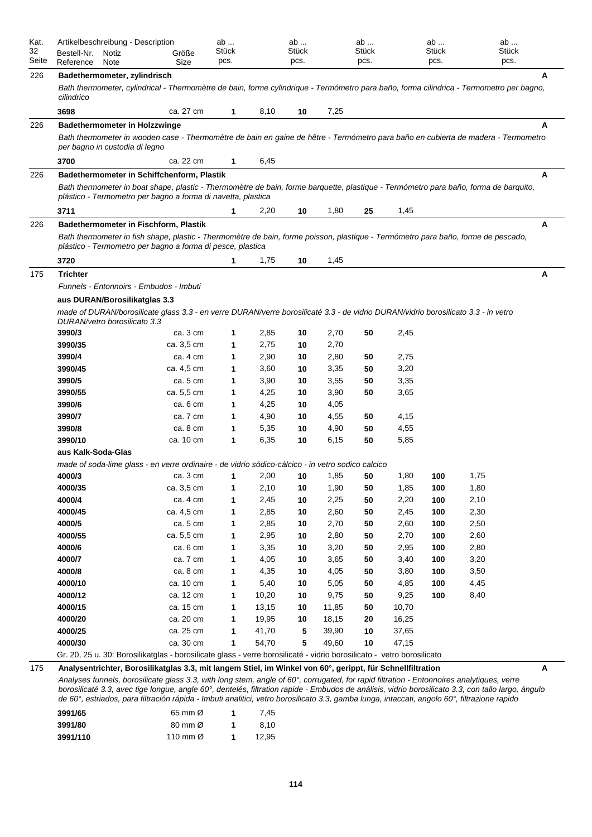| Kat.        | Artikelbeschreibung - Description                                                                                                                                                                    |                        | ab            |                | ab            |               | ab            |              | ab            |      | ab    |
|-------------|------------------------------------------------------------------------------------------------------------------------------------------------------------------------------------------------------|------------------------|---------------|----------------|---------------|---------------|---------------|--------------|---------------|------|-------|
| 32<br>Seite | Bestell-Nr.<br>Notiz<br>Reference<br>Note                                                                                                                                                            | Größe<br>Size          | Stück<br>pcs. |                | Stück<br>pcs. |               | Stück<br>pcs. |              | Stück<br>pcs. | pcs. | Stück |
|             |                                                                                                                                                                                                      |                        |               |                |               |               |               |              |               |      |       |
| 226         | Badethermometer, zylindrisch<br>Bath thermometer, cylindrical - Thermomètre de bain, forme cylindrique - Termómetro para baño, forma cilindrica - Termometro per bagno,<br>cilindrico                |                        |               |                |               |               |               |              |               |      | A     |
|             | 3698                                                                                                                                                                                                 | ca. 27 cm              | $\mathbf{1}$  | 8,10           | 10            | 7,25          |               |              |               |      |       |
| 226         | <b>Badethermometer in Holzzwinge</b>                                                                                                                                                                 |                        |               |                |               |               |               |              |               |      | A     |
|             | Bath thermometer in wooden case - Thermomètre de bain en gaine de hêtre - Termómetro para baño en cubierta de madera - Termometro<br>per bagno in custodia di legno                                  |                        |               |                |               |               |               |              |               |      |       |
|             | 3700                                                                                                                                                                                                 | ca. 22 cm              | 1             | 6,45           |               |               |               |              |               |      |       |
| 226         | Badethermometer in Schiffchenform, Plastik                                                                                                                                                           |                        |               |                |               |               |               |              |               |      | Α     |
|             | Bath thermometer in boat shape, plastic - Thermomètre de bain, forme barquette, plastique - Termómetro para baño, forma de barquito,<br>plástico - Termometro per bagno a forma di navetta, plastica |                        |               |                |               |               |               |              |               |      |       |
|             | 3711                                                                                                                                                                                                 |                        | 1             | 2,20           | 10            | 1,80          | 25            | 1,45         |               |      |       |
| 226         | Badethermometer in Fischform, Plastik                                                                                                                                                                |                        |               |                |               |               |               |              |               |      | A     |
|             | Bath thermometer in fish shape, plastic - Thermomètre de bain, forme poisson, plastique - Termómetro para baño, forme de pescado,<br>plástico - Termometro per bagno a forma di pesce, plastica      |                        |               |                |               |               |               |              |               |      |       |
|             | 3720                                                                                                                                                                                                 |                        | 1             | 1,75           | 10            | 1,45          |               |              |               |      |       |
| 175         | <b>Trichter</b><br>Funnels - Entonnoirs - Embudos - Imbuti                                                                                                                                           |                        |               |                |               |               |               |              |               |      | Α     |
|             | aus DURAN/Borosilikatglas 3.3                                                                                                                                                                        |                        |               |                |               |               |               |              |               |      |       |
|             | made of DURAN/borosilicate glass 3.3 - en verre DURAN/verre borosilicaté 3.3 - de vidrio DURAN/vidrio borosilicato 3.3 - in vetro<br>DURAN/vetro borosilicato 3.3                                    |                        |               |                |               |               |               |              |               |      |       |
|             | 3990/3                                                                                                                                                                                               | ca. 3 cm               | 1             | 2,85           | 10            | 2,70          | 50            | 2,45         |               |      |       |
|             | 3990/35                                                                                                                                                                                              | ca. 3,5 cm             | 1             | 2,75           | 10            | 2,70          |               |              |               |      |       |
|             | 3990/4                                                                                                                                                                                               | ca. 4 cm               | 1             | 2,90           | 10            | 2,80          | 50            | 2,75         |               |      |       |
|             | 3990/45                                                                                                                                                                                              | ca. 4,5 cm             | 1             | 3,60           | 10            | 3,35          | 50            | 3,20         |               |      |       |
|             | 3990/5                                                                                                                                                                                               | ca. 5 cm               | 1             | 3,90           | 10            | 3,55          | 50            | 3,35         |               |      |       |
|             | 3990/55                                                                                                                                                                                              | ca. 5,5 cm             | 1             | 4,25           | 10            | 3,90          | 50            | 3,65         |               |      |       |
|             | 3990/6                                                                                                                                                                                               | ca. 6 cm               | 1             | 4,25           | 10            | 4,05          |               |              |               |      |       |
|             | 3990/7                                                                                                                                                                                               | ca. 7 cm               | 1             | 4,90           | 10            | 4,55          | 50            | 4,15         |               |      |       |
|             | 3990/8                                                                                                                                                                                               | ca. 8 cm               | 1             | 5,35           | 10            | 4,90          | 50            | 4,55         |               |      |       |
|             | 3990/10                                                                                                                                                                                              | ca. 10 cm              | 1             | 6,35           | 10            | 6,15          | 50            | 5,85         |               |      |       |
|             | aus Kalk-Soda-Glas                                                                                                                                                                                   |                        |               |                |               |               |               |              |               |      |       |
|             | made of soda-lime glass - en verre ordinaire - de vidrio sódico-cálcico - in vetro sodico calcico                                                                                                    |                        |               |                |               |               |               |              |               |      |       |
|             | 4000/3                                                                                                                                                                                               | ca. 3 cm               | 1             | 2,00           | 10            | 1,85          | 50            | 1,80         | 100           | 1,75 |       |
|             | 4000/35                                                                                                                                                                                              | ca. 3,5 cm             | 1             | 2,10           | 10            | 1,90          | 50            | 1,85         | 100           | 1,80 |       |
|             | 4000/4                                                                                                                                                                                               | ca. 4 cm               | 1             | 2,45           | 10            | 2,25          | 50            | 2,20         | 100           | 2,10 |       |
|             | 4000/45                                                                                                                                                                                              | ca. 4,5 cm             | 1             | 2,85           | 10            | 2,60          | 50            | 2,45         | 100           | 2,30 |       |
|             | 4000/5                                                                                                                                                                                               | ca. 5 cm               | 1             | 2,85           | 10            | 2,70          | 50            | 2,60         | 100           | 2,50 |       |
|             | 4000/55                                                                                                                                                                                              | ca. 5,5 cm             | 1             | 2,95           | 10            | 2,80          | 50            | 2,70         | 100           | 2,60 |       |
|             | 4000/6                                                                                                                                                                                               | ca. 6 cm               | 1             | 3,35           | 10            | 3,20          | 50            | 2,95         | 100           | 2,80 |       |
|             | 4000/7                                                                                                                                                                                               | ca. 7 cm               | 1             | 4,05           | 10            | 3,65          | 50            | 3,40         | 100           | 3,20 |       |
|             | 4000/8                                                                                                                                                                                               | ca. 8 cm               | 1             | 4,35           | 10            | 4,05          | 50            | 3,80         | 100           | 3,50 |       |
|             | 4000/10<br>4000/12                                                                                                                                                                                   | ca. 10 cm              | 1             | 5,40           | 10<br>10      | 5,05          | 50<br>50      | 4,85<br>9,25 | 100<br>100    | 4,45 |       |
|             | 4000/15                                                                                                                                                                                              | ca. 12 cm<br>ca. 15 cm | 1<br>1        | 10,20<br>13,15 | 10            | 9,75<br>11,85 | 50            | 10,70        |               | 8,40 |       |
|             | 4000/20                                                                                                                                                                                              | ca. 20 cm              | 1             | 19,95          | 10            | 18,15         | 20            | 16,25        |               |      |       |
|             | 4000/25                                                                                                                                                                                              | ca. 25 cm              | 1             | 41,70          | 5             | 39,90         | 10            | 37,65        |               |      |       |
|             | 4000/30                                                                                                                                                                                              | ca. 30 cm              | 1             | 54,70          | 5             | 49,60         | 10            | 47,15        |               |      |       |
|             | Gr. 20, 25 u. 30: Borosilikatglas - borosilicate glass - verre borosilicaté - vidrio borosilicato - vetro borosilicato                                                                               |                        |               |                |               |               |               |              |               |      |       |
| 175         | Analysentrichter, Borosilikatglas 3.3, mit langem Stiel, im Winkel von 60°, gerippt, für Schnellfiltration                                                                                           |                        |               |                |               |               |               |              |               |      | Α     |
|             |                                                                                                                                                                                                      |                        |               |                |               |               |               |              |               |      |       |

*Analyses funnels, borosilicate glass 3.3, with long stem, angle of 60°, corrugated, for rapid filtration - Entonnoires analytiques, verre borosilicaté 3.3, avec tige longue, angle 60°, dentelés, filtration rapide - Embudos de análisis, vidrio borosilicato 3.3, con tallo largo, ángulo de 60°, estriados, para filtración rápida - Imbuti analitici, vetro borosilicato 3.3, gamba lunga, intaccati, angolo 60°, filtrazione rapido*

| 3991/65  | 65 mm $\varnothing$           | 7.45  |
|----------|-------------------------------|-------|
| 3991/80  | $80 \text{ mm}$ $\varnothing$ | 8.10  |
| 3991/110 | 110 mm $\varnothing$          | 12.95 |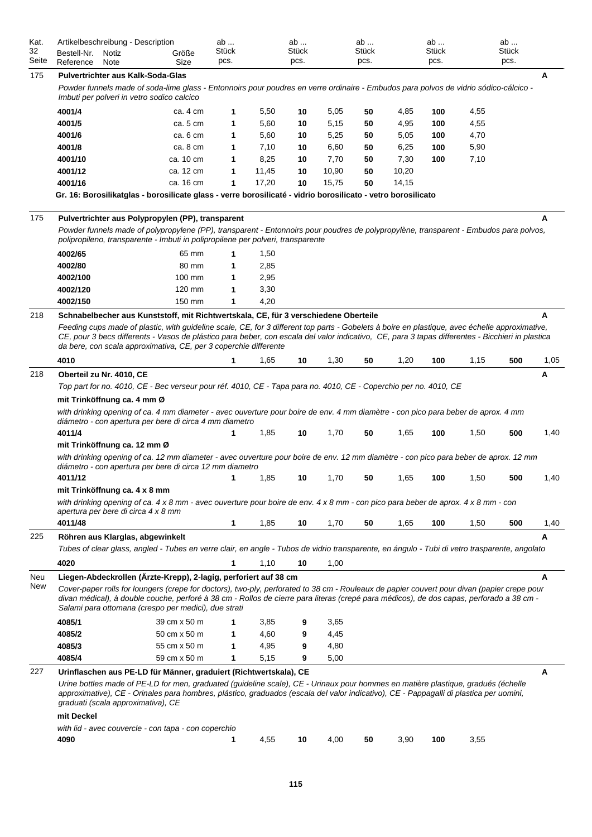| Kat.<br>32<br>Seite | Artikelbeschreibung - Description<br>Bestell-Nr.<br>Reference | Notiz<br>Note | Größe<br>Size                                                                                                                                                                                                                                                                                                                                                          | ab<br>Stück<br>pcs. |       | ab<br>Stück<br>pcs. |       | ab<br>Stück<br>pcs. |       | ab<br>Stück<br>pcs. |      | ab<br>Stück<br>pcs. |      |
|---------------------|---------------------------------------------------------------|---------------|------------------------------------------------------------------------------------------------------------------------------------------------------------------------------------------------------------------------------------------------------------------------------------------------------------------------------------------------------------------------|---------------------|-------|---------------------|-------|---------------------|-------|---------------------|------|---------------------|------|
| 175                 | <b>Pulvertrichter aus Kalk-Soda-Glas</b>                      |               |                                                                                                                                                                                                                                                                                                                                                                        |                     |       |                     |       |                     |       |                     |      |                     | A    |
|                     |                                                               |               | Powder funnels made of soda-lime glass - Entonnoirs pour poudres en verre ordinaire - Embudos para polvos de vidrio sódico-cálcico -<br>Imbuti per polveri in vetro sodico calcico                                                                                                                                                                                     |                     |       |                     |       |                     |       |                     |      |                     |      |
|                     | 4001/4                                                        |               | ca. 4 cm                                                                                                                                                                                                                                                                                                                                                               | 1                   | 5,50  | 10                  | 5,05  | 50                  | 4,85  | 100                 | 4,55 |                     |      |
|                     | 4001/5                                                        |               | ca. 5 cm                                                                                                                                                                                                                                                                                                                                                               | 1                   | 5,60  | 10                  | 5,15  | 50                  | 4,95  | 100                 | 4,55 |                     |      |
|                     | 4001/6                                                        |               | ca. 6 cm                                                                                                                                                                                                                                                                                                                                                               | 1                   | 5,60  | 10                  | 5,25  | 50                  | 5,05  | 100                 | 4,70 |                     |      |
|                     | 4001/8                                                        |               | ca. 8 cm                                                                                                                                                                                                                                                                                                                                                               | 1                   | 7,10  | 10                  | 6,60  | 50                  | 6,25  | 100                 | 5,90 |                     |      |
|                     | 4001/10                                                       |               | ca. 10 cm                                                                                                                                                                                                                                                                                                                                                              | 1                   | 8,25  | 10                  | 7,70  | 50                  | 7,30  | 100                 | 7,10 |                     |      |
|                     | 4001/12                                                       |               | ca. 12 cm                                                                                                                                                                                                                                                                                                                                                              | 1                   | 11,45 | 10                  | 10,90 | 50                  | 10,20 |                     |      |                     |      |
|                     | 4001/16                                                       |               | ca. 16 cm                                                                                                                                                                                                                                                                                                                                                              | 1                   | 17,20 | 10                  | 15,75 | 50                  | 14,15 |                     |      |                     |      |
|                     |                                                               |               | Gr. 16: Borosilikatglas - borosilicate glass - verre borosilicaté - vidrio borosilicato - vetro borosilicato                                                                                                                                                                                                                                                           |                     |       |                     |       |                     |       |                     |      |                     |      |
| 175                 |                                                               |               | Pulvertrichter aus Polypropylen (PP), transparent                                                                                                                                                                                                                                                                                                                      |                     |       |                     |       |                     |       |                     |      |                     | A    |
|                     |                                                               |               | Powder funnels made of polypropylene (PP), transparent - Entonnoirs pour poudres de polypropylène, transparent - Embudos para polvos,<br>polipropileno, transparente - Imbuti in polipropilene per polveri, transparente                                                                                                                                               |                     |       |                     |       |                     |       |                     |      |                     |      |
|                     | 4002/65                                                       |               | 65 mm                                                                                                                                                                                                                                                                                                                                                                  | 1                   | 1,50  |                     |       |                     |       |                     |      |                     |      |
|                     | 4002/80                                                       |               | 80 mm                                                                                                                                                                                                                                                                                                                                                                  | 1                   | 2,85  |                     |       |                     |       |                     |      |                     |      |
|                     | 4002/100                                                      |               | 100 mm                                                                                                                                                                                                                                                                                                                                                                 | 1                   | 2,95  |                     |       |                     |       |                     |      |                     |      |
|                     | 4002/120                                                      |               | 120 mm                                                                                                                                                                                                                                                                                                                                                                 | 1                   | 3,30  |                     |       |                     |       |                     |      |                     |      |
|                     | 4002/150                                                      |               | 150 mm                                                                                                                                                                                                                                                                                                                                                                 | 1                   | 4,20  |                     |       |                     |       |                     |      |                     |      |
| 218                 |                                                               |               | Schnabelbecher aus Kunststoff, mit Richtwertskala, CE, für 3 verschiedene Oberteile                                                                                                                                                                                                                                                                                    |                     |       |                     |       |                     |       |                     |      |                     | A    |
|                     |                                                               |               | Feeding cups made of plastic, with guideline scale, CE, for 3 different top parts - Gobelets à boire en plastique, avec échelle approximative,<br>CE, pour 3 becs differents - Vasos de plástico para beber, con escala del valor indicativo, CE, para 3 tapas differentes - Bicchieri in plastica<br>da bere, con scala approximativa, CE, per 3 coperchie differente |                     |       |                     |       |                     |       |                     |      |                     |      |
|                     | 4010                                                          |               |                                                                                                                                                                                                                                                                                                                                                                        | 1                   | 1,65  | 10                  | 1,30  | 50                  | 1,20  | 100                 | 1,15 | 500                 | 1,05 |
| 218                 | Oberteil zu Nr. 4010, CE                                      |               |                                                                                                                                                                                                                                                                                                                                                                        |                     |       |                     |       |                     |       |                     |      |                     | Α    |
|                     |                                                               |               | Top part for no. 4010, CE - Bec verseur pour réf. 4010, CE - Tapa para no. 4010, CE - Coperchio per no. 4010, CE                                                                                                                                                                                                                                                       |                     |       |                     |       |                     |       |                     |      |                     |      |
|                     | mit Trinköffnung ca. 4 mm Ø                                   |               |                                                                                                                                                                                                                                                                                                                                                                        |                     |       |                     |       |                     |       |                     |      |                     |      |
|                     |                                                               |               | with drinking opening of ca. 4 mm diameter - avec ouverture pour boire de env. 4 mm diamètre - con pico para beber de aprox. 4 mm<br>diámetro - con apertura per bere di circa 4 mm diametro                                                                                                                                                                           |                     |       |                     |       |                     |       |                     |      |                     |      |
|                     | 4011/4                                                        |               |                                                                                                                                                                                                                                                                                                                                                                        | 1                   | 1,85  | 10                  | 1,70  | 50                  | 1,65  | 100                 | 1,50 | 500                 | 1,40 |
|                     | mit Trinköffnung ca. 12 mm Ø                                  |               |                                                                                                                                                                                                                                                                                                                                                                        |                     |       |                     |       |                     |       |                     |      |                     |      |
|                     |                                                               |               | with drinking opening of ca. 12 mm diameter - avec ouverture pour boire de env. 12 mm diamètre - con pico para beber de aprox. 12 mm<br>diámetro - con apertura per bere di circa 12 mm diametro                                                                                                                                                                       |                     |       |                     |       |                     |       |                     |      |                     |      |
|                     | 4011/12                                                       |               |                                                                                                                                                                                                                                                                                                                                                                        | 1                   | 1,85  | 10                  | 1,70  | 50                  | 1,65  | 100                 | 1,50 | 500                 | 1,40 |
|                     | mit Trinköffnung ca. 4 x 8 mm                                 |               |                                                                                                                                                                                                                                                                                                                                                                        |                     |       |                     |       |                     |       |                     |      |                     |      |
|                     | apertura per bere di circa 4 x 8 mm                           |               | with drinking opening of ca. 4 x 8 mm - avec ouverture pour boire de env. 4 x 8 mm - con pico para beber de aprox. 4 x 8 mm - con                                                                                                                                                                                                                                      |                     |       |                     |       |                     |       |                     |      |                     |      |
|                     | 4011/48                                                       |               |                                                                                                                                                                                                                                                                                                                                                                        | 1                   | 1,85  | 10                  | 1,70  | 50                  | 1,65  | 100                 | 1,50 | 500                 | 1,40 |
| 225                 | Röhren aus Klarglas, abgewinkelt                              |               | Tubes of clear glass, angled - Tubes en verre clair, en angle - Tubos de vidrio transparente, en ángulo - Tubi di vetro trasparente, angolato                                                                                                                                                                                                                          |                     |       |                     |       |                     |       |                     |      |                     | A    |
|                     | 4020                                                          |               |                                                                                                                                                                                                                                                                                                                                                                        | 1                   | 1,10  | 10                  | 1,00  |                     |       |                     |      |                     |      |
| Neu                 |                                                               |               | Liegen-Abdeckrollen (Ärzte-Krepp), 2-lagig, perforiert auf 38 cm                                                                                                                                                                                                                                                                                                       |                     |       |                     |       |                     |       |                     |      |                     | A    |
| New                 |                                                               |               | Cover-paper rolls for loungers (crepe for doctors), two-ply, perforated to 38 cm - Rouleaux de papier couvert pour divan (papier crepe pour<br>divan médical), à double couche, perforé à 38 cm - Rollos de cierre para literas (crepé para médicos), de dos capas, perforado a 38 cm -<br>Salami para ottomana (crespo per medici), due strati                        |                     |       |                     |       |                     |       |                     |      |                     |      |
|                     | 4085/1                                                        |               | 39 cm x 50 m                                                                                                                                                                                                                                                                                                                                                           | 1                   | 3,85  | 9                   | 3,65  |                     |       |                     |      |                     |      |
|                     | 4085/2                                                        |               | 50 cm x 50 m                                                                                                                                                                                                                                                                                                                                                           | 1                   | 4,60  | 9                   | 4,45  |                     |       |                     |      |                     |      |
|                     | 4085/3                                                        |               | 55 cm x 50 m                                                                                                                                                                                                                                                                                                                                                           | 1                   | 4,95  | 9                   | 4,80  |                     |       |                     |      |                     |      |
|                     | 4085/4                                                        |               | 59 cm x 50 m                                                                                                                                                                                                                                                                                                                                                           | 1                   | 5,15  | 9                   | 5,00  |                     |       |                     |      |                     |      |
|                     |                                                               |               |                                                                                                                                                                                                                                                                                                                                                                        |                     |       |                     |       |                     |       |                     |      |                     |      |
| 227                 | graduati (scala approximativa), CE                            |               | Urinflaschen aus PE-LD für Männer, graduiert (Richtwertskala), CE<br>Urine bottles made of PE-LD for men, graduated (guideline scale), CE - Urinaux pour hommes en matière plastique, gradués (échelle<br>approximative), CE - Orinales para hombres, plástico, graduados (escala del valor indicativo), CE - Pappagalli di plastica per uomini,                       |                     |       |                     |       |                     |       |                     |      |                     | A    |
|                     | mit Deckel                                                    |               |                                                                                                                                                                                                                                                                                                                                                                        |                     |       |                     |       |                     |       |                     |      |                     |      |
|                     |                                                               |               | with lid - avec couvercle - con tapa - con coperchio                                                                                                                                                                                                                                                                                                                   |                     |       |                     |       |                     |       |                     |      |                     |      |
|                     | 4090                                                          |               |                                                                                                                                                                                                                                                                                                                                                                        | 1                   | 4,55  | 10                  | 4,00  | 50                  | 3,90  | 100                 | 3,55 |                     |      |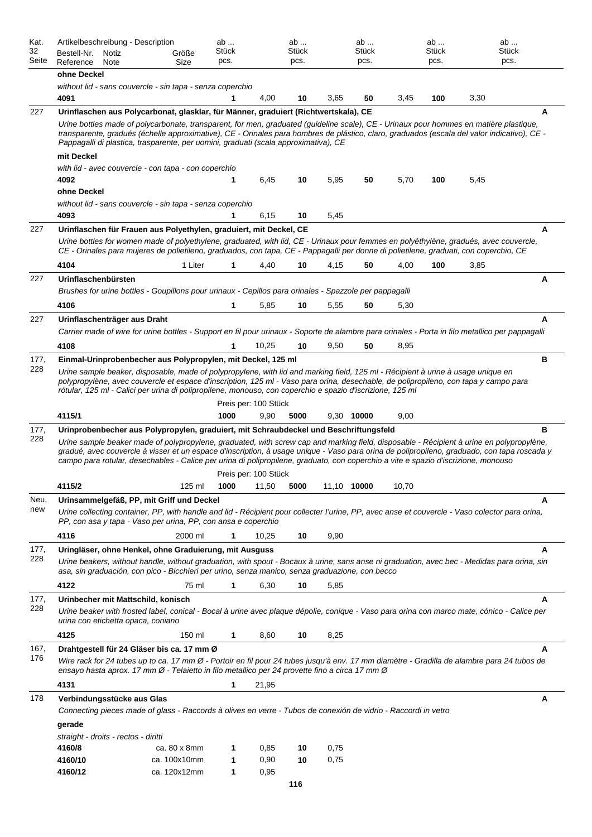| Kat.<br>32  | Artikelbeschreibung - Description<br>Bestell-Nr. Notiz                                                                                                                                                                                                                                                                                                                                                                        | Größe        | ab<br>Stück  |                      | ab<br>Stück |             | ab<br>Stück |       | ab<br>Stück | ab<br>Stück |   |
|-------------|-------------------------------------------------------------------------------------------------------------------------------------------------------------------------------------------------------------------------------------------------------------------------------------------------------------------------------------------------------------------------------------------------------------------------------|--------------|--------------|----------------------|-------------|-------------|-------------|-------|-------------|-------------|---|
| Seite       | Reference<br>Note                                                                                                                                                                                                                                                                                                                                                                                                             | Size         | pcs.         |                      | pcs.        |             | pcs.        |       | pcs.        | pcs.        |   |
|             | ohne Deckel                                                                                                                                                                                                                                                                                                                                                                                                                   |              |              |                      |             |             |             |       |             |             |   |
|             | without lid - sans couvercle - sin tapa - senza coperchio<br>4091                                                                                                                                                                                                                                                                                                                                                             |              | 1            | 4,00                 | 10          | 3,65        | 50          | 3,45  | 100         | 3,30        |   |
| 227         | Urinflaschen aus Polycarbonat, glasklar, für Männer, graduiert (Richtwertskala), CE                                                                                                                                                                                                                                                                                                                                           |              |              |                      |             |             |             |       |             |             | Α |
|             | Urine bottles made of polycarbonate, transparent, for men, graduated (guideline scale), CE - Urinaux pour hommes en matière plastique,                                                                                                                                                                                                                                                                                        |              |              |                      |             |             |             |       |             |             |   |
|             | transparente, gradués (échelle approximative), CE - Orinales para hombres de plástico, claro, graduados (escala del valor indicativo), CE -<br>Pappagalli di plastica, trasparente, per uomini, graduati (scala approximativa), CE                                                                                                                                                                                            |              |              |                      |             |             |             |       |             |             |   |
|             | mit Deckel                                                                                                                                                                                                                                                                                                                                                                                                                    |              |              |                      |             |             |             |       |             |             |   |
|             | with lid - avec couvercle - con tapa - con coperchio                                                                                                                                                                                                                                                                                                                                                                          |              |              |                      |             |             |             |       |             |             |   |
|             | 4092                                                                                                                                                                                                                                                                                                                                                                                                                          |              | 1            | 6,45                 | 10          | 5,95        | 50          | 5,70  | 100         | 5,45        |   |
|             | ohne Deckel<br>without lid - sans couvercle - sin tapa - senza coperchio                                                                                                                                                                                                                                                                                                                                                      |              |              |                      |             |             |             |       |             |             |   |
|             | 4093                                                                                                                                                                                                                                                                                                                                                                                                                          |              | 1            | 6,15                 | 10          | 5,45        |             |       |             |             |   |
| 227         | Urinflaschen für Frauen aus Polyethylen, graduiert, mit Deckel, CE                                                                                                                                                                                                                                                                                                                                                            |              |              |                      |             |             |             |       |             |             | A |
|             | Urine bottles for women made of polyethylene, graduated, with lid, CE - Urinaux pour femmes en polyéthylène, gradués, avec couvercle,                                                                                                                                                                                                                                                                                         |              |              |                      |             |             |             |       |             |             |   |
|             | CE - Orinales para mujeres de polietileno, graduados, con tapa, CE - Pappagalli per donne di polietilene, graduati, con coperchio, CE                                                                                                                                                                                                                                                                                         |              |              |                      |             |             |             |       |             |             |   |
|             | 4104                                                                                                                                                                                                                                                                                                                                                                                                                          | 1 Liter      | 1            | 4,40                 | 10          | 4,15        | 50          | 4,00  | 100         | 3,85        |   |
| 227         | Urinflaschenbürsten                                                                                                                                                                                                                                                                                                                                                                                                           |              |              |                      |             |             |             |       |             |             | Α |
|             | Brushes for urine bottles - Goupillons pour urinaux - Cepillos para orinales - Spazzole per pappagalli                                                                                                                                                                                                                                                                                                                        |              |              |                      |             |             |             |       |             |             |   |
|             | 4106                                                                                                                                                                                                                                                                                                                                                                                                                          |              | 1            | 5,85                 | 10          | 5,55        | 50          | 5,30  |             |             |   |
| 227         | Urinflaschenträger aus Draht                                                                                                                                                                                                                                                                                                                                                                                                  |              |              |                      |             |             |             |       |             |             | A |
|             | Carrier made of wire for urine bottles - Support en fil pour urinaux - Soporte de alambre para orinales - Porta in filo metallico per pappagalli                                                                                                                                                                                                                                                                              |              |              |                      |             |             |             |       |             |             |   |
|             | 4108                                                                                                                                                                                                                                                                                                                                                                                                                          |              | $\mathbf{1}$ | 10,25                | 10          | 9,50        | 50          | 8,95  |             |             |   |
| 177,<br>228 | Einmal-Urinprobenbecher aus Polypropylen, mit Deckel, 125 ml<br>Urine sample beaker, disposable, made of polypropylene, with lid and marking field, 125 ml - Récipient à urine à usage unique en                                                                                                                                                                                                                              |              |              |                      |             |             |             |       |             |             | в |
|             | polypropylène, avec couvercle et espace d'inscription, 125 ml - Vaso para orina, desechable, de polipropileno, con tapa y campo para<br>rótular, 125 ml - Calici per urina di polipropilene, monouso, con coperchio e spazio d'iscrizione, 125 ml                                                                                                                                                                             |              |              |                      |             |             |             |       |             |             |   |
|             |                                                                                                                                                                                                                                                                                                                                                                                                                               |              |              | Preis per: 100 Stück |             |             |             |       |             |             |   |
|             | 4115/1                                                                                                                                                                                                                                                                                                                                                                                                                        |              | 1000         | 9,90                 | 5000        | 9,30 10000  |             | 9,00  |             |             |   |
| 177,<br>228 | Urinprobenbecher aus Polypropylen, graduiert, mit Schraubdeckel und Beschriftungsfeld                                                                                                                                                                                                                                                                                                                                         |              |              |                      |             |             |             |       |             |             | в |
|             | Urine sample beaker made of polypropylene, graduated, with screw cap and marking field, disposable - Récipient à urine en polypropylène,<br>gradué, avec couvercle à visser et un espace d'inscription, à usage unique - Vaso para orina de polipropileno, graduado, con tapa roscada y<br>campo para rotular, desechables - Calice per urina di polipropilene, graduato, con coperchio a vite e spazio d'iscrizione, monouso |              |              |                      |             |             |             |       |             |             |   |
|             |                                                                                                                                                                                                                                                                                                                                                                                                                               |              |              | Preis per: 100 Stück |             |             |             |       |             |             |   |
|             | 4115/2                                                                                                                                                                                                                                                                                                                                                                                                                        | 125 ml       | 1000         | 11,50                | 5000        | 11,10 10000 |             | 10,70 |             |             |   |
| Neu,<br>new | Urinsammelgefäß, PP, mit Griff und Deckel<br>Urine collecting container, PP, with handle and lid - Récipient pour collecter l'urine, PP, avec anse et couvercle - Vaso colector para orina,<br>PP, con asa y tapa - Vaso per urina, PP, con ansa e coperchio                                                                                                                                                                  |              |              |                      |             |             |             |       |             |             | А |
|             | 4116                                                                                                                                                                                                                                                                                                                                                                                                                          | 2000 ml      | 1            | 10,25                | 10          | 9,90        |             |       |             |             |   |
| 177,<br>228 | Uringläser, ohne Henkel, ohne Graduierung, mit Ausguss<br>Urine beakers, without handle, without graduation, with spout - Bocaux à urine, sans anse ni graduation, avec bec - Medidas para orina, sin                                                                                                                                                                                                                         |              |              |                      |             |             |             |       |             |             | A |
|             | asa, sin graduación, con pico - Bicchieri per urino, senza manico, senza graduazione, con becco                                                                                                                                                                                                                                                                                                                               |              |              |                      |             |             |             |       |             |             |   |
|             | 4122                                                                                                                                                                                                                                                                                                                                                                                                                          | 75 ml        | 1            | 6,30                 | 10          | 5,85        |             |       |             |             |   |
| 177,<br>228 | Urinbecher mit Mattschild, konisch<br>Urine beaker with frosted label, conical - Bocal à urine avec plaque dépolie, conique - Vaso para orina con marco mate, cónico - Calice per<br>urina con etichetta opaca, coniano                                                                                                                                                                                                       |              |              |                      |             |             |             |       |             |             | A |
|             | 4125                                                                                                                                                                                                                                                                                                                                                                                                                          | 150 ml       | 1            | 8,60                 | 10          | 8,25        |             |       |             |             |   |
| 167,        | Drahtgestell für 24 Gläser bis ca. 17 mm Ø                                                                                                                                                                                                                                                                                                                                                                                    |              |              |                      |             |             |             |       |             |             | A |
| 176         | Wire rack for 24 tubes up to ca. 17 mm Ø - Portoir en fil pour 24 tubes jusqu'à env. 17 mm diamètre - Gradilla de alambre para 24 tubos de<br>ensayo hasta aprox. 17 mm Ø - Telaietto in filo metallico per 24 provette fino a circa 17 mm Ø                                                                                                                                                                                  |              |              |                      |             |             |             |       |             |             |   |
|             | 4131                                                                                                                                                                                                                                                                                                                                                                                                                          |              | 1            | 21,95                |             |             |             |       |             |             |   |
| 178         | Verbindungsstücke aus Glas                                                                                                                                                                                                                                                                                                                                                                                                    |              |              |                      |             |             |             |       |             |             | A |
|             | Connecting pieces made of glass - Raccords à olives en verre - Tubos de conexión de vidrio - Raccordi in vetro                                                                                                                                                                                                                                                                                                                |              |              |                      |             |             |             |       |             |             |   |
|             | gerade                                                                                                                                                                                                                                                                                                                                                                                                                        |              |              |                      |             |             |             |       |             |             |   |
|             | straight - droits - rectos - diritti<br>4160/8                                                                                                                                                                                                                                                                                                                                                                                | ca. 80 x 8mm | 1            | 0,85                 | 10          | 0,75        |             |       |             |             |   |
|             | 4160/10                                                                                                                                                                                                                                                                                                                                                                                                                       | ca. 100x10mm | 1            | 0,90                 | 10          | 0,75        |             |       |             |             |   |
|             | 4160/12                                                                                                                                                                                                                                                                                                                                                                                                                       | ca. 120x12mm | 1            | 0,95                 |             |             |             |       |             |             |   |
|             |                                                                                                                                                                                                                                                                                                                                                                                                                               |              |              |                      | 116         |             |             |       |             |             |   |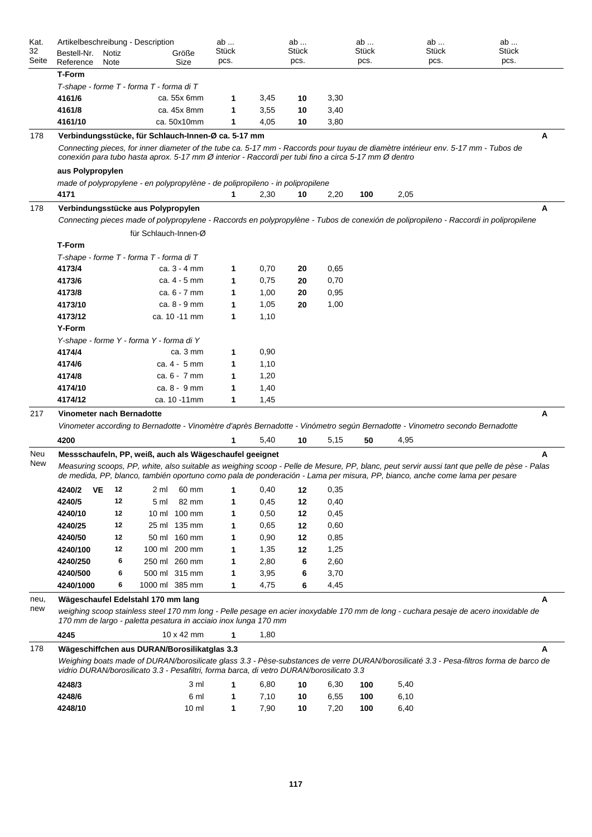| Kat.  | Artikelbeschreibung - Description                                                                                                        |                      |                   | ab           |      | ab    |      | ab    | ab                                                                                                                                          | ab           |  |
|-------|------------------------------------------------------------------------------------------------------------------------------------------|----------------------|-------------------|--------------|------|-------|------|-------|---------------------------------------------------------------------------------------------------------------------------------------------|--------------|--|
| 32    | Bestell-Nr.<br>Notiz                                                                                                                     |                      | Größe             | <b>Stück</b> |      | Stück |      | Stück | Stück                                                                                                                                       | <b>Stück</b> |  |
| Seite | Reference<br>Note                                                                                                                        |                      | Size              | pcs.         |      | pcs.  |      | pcs.  | pcs.                                                                                                                                        | pcs.         |  |
|       | <b>T-Form</b>                                                                                                                            |                      |                   |              |      |       |      |       |                                                                                                                                             |              |  |
|       | T-shape - forme T - forma T - forma di T                                                                                                 |                      |                   |              |      |       |      |       |                                                                                                                                             |              |  |
|       | 4161/6                                                                                                                                   |                      | ca. 55x 6mm       | 1            | 3,45 | 10    | 3,30 |       |                                                                                                                                             |              |  |
|       | 4161/8                                                                                                                                   |                      | ca. 45x 8mm       | 1            | 3,55 | 10    | 3,40 |       |                                                                                                                                             |              |  |
|       | 4161/10                                                                                                                                  |                      | ca. 50x10mm       | 1            | 4,05 | 10    | 3,80 |       |                                                                                                                                             |              |  |
| 178   | Verbindungsstücke, für Schlauch-Innen-Ø ca. 5-17 mm                                                                                      |                      |                   |              |      |       |      |       |                                                                                                                                             | А            |  |
|       | conexión para tubo hasta aprox. 5-17 mm Ø interior - Raccordi per tubi fino a circa 5-17 mm Ø dentro                                     |                      |                   |              |      |       |      |       | Connecting pieces, for inner diameter of the tube ca. 5-17 mm - Raccords pour tuyau de diamètre intérieur env. 5-17 mm - Tubos de           |              |  |
|       | aus Polypropylen                                                                                                                         |                      |                   |              |      |       |      |       |                                                                                                                                             |              |  |
|       | made of polypropylene - en polypropylène - de polipropileno - in polipropilene                                                           |                      |                   |              |      |       |      |       |                                                                                                                                             |              |  |
|       | 4171                                                                                                                                     |                      |                   | 1            | 2,30 | 10    | 2,20 | 100   | 2,05                                                                                                                                        |              |  |
| 178   | Verbindungsstücke aus Polypropylen                                                                                                       |                      |                   |              |      |       |      |       |                                                                                                                                             | А            |  |
|       |                                                                                                                                          |                      |                   |              |      |       |      |       | Connecting pieces made of polypropylene - Raccords en polypropylène - Tubos de conexión de polipropileno - Raccordi in polipropilene        |              |  |
|       |                                                                                                                                          | für Schlauch-Innen-Ø |                   |              |      |       |      |       |                                                                                                                                             |              |  |
|       | <b>T-Form</b>                                                                                                                            |                      |                   |              |      |       |      |       |                                                                                                                                             |              |  |
|       | T-shape - forme T - forma T - forma di T                                                                                                 |                      |                   |              |      |       |      |       |                                                                                                                                             |              |  |
|       | 4173/4                                                                                                                                   |                      | ca. $3 - 4$ mm    | 1            | 0,70 | 20    | 0,65 |       |                                                                                                                                             |              |  |
|       | 4173/6                                                                                                                                   |                      | ca. 4 - 5 mm      | 1            | 0,75 | 20    | 0,70 |       |                                                                                                                                             |              |  |
|       | 4173/8                                                                                                                                   |                      | ca. 6 - 7 mm      | 1            | 1,00 | 20    | 0,95 |       |                                                                                                                                             |              |  |
|       | 4173/10                                                                                                                                  |                      | ca. 8 - 9 mm      | 1            | 1,05 | 20    | 1,00 |       |                                                                                                                                             |              |  |
|       | 4173/12                                                                                                                                  |                      | ca. 10 -11 mm     | 1            | 1,10 |       |      |       |                                                                                                                                             |              |  |
|       | <b>Y-Form</b>                                                                                                                            |                      |                   |              |      |       |      |       |                                                                                                                                             |              |  |
|       |                                                                                                                                          |                      |                   |              |      |       |      |       |                                                                                                                                             |              |  |
|       | Y-shape - forme Y - forma Y - forma di Y                                                                                                 |                      |                   |              |      |       |      |       |                                                                                                                                             |              |  |
|       | 4174/4                                                                                                                                   |                      | ca. 3 mm          | 1            | 0,90 |       |      |       |                                                                                                                                             |              |  |
|       | 4174/6                                                                                                                                   |                      | ca. 4 - 5 mm      | 1            | 1,10 |       |      |       |                                                                                                                                             |              |  |
|       | 4174/8                                                                                                                                   |                      | ca. 6 - 7 mm      | 1            | 1,20 |       |      |       |                                                                                                                                             |              |  |
|       | 4174/10                                                                                                                                  |                      | ca. 8 - 9 mm      | 1            | 1,40 |       |      |       |                                                                                                                                             |              |  |
|       | 4174/12                                                                                                                                  |                      | ca. 10 -11mm      | 1            | 1,45 |       |      |       |                                                                                                                                             |              |  |
| 217   | Vinometer nach Bernadotte                                                                                                                |                      |                   |              |      |       |      |       |                                                                                                                                             | Α            |  |
|       |                                                                                                                                          |                      |                   |              |      |       |      |       | Vinometer according to Bernadotte - Vinomètre d'après Bernadotte - Vinómetro según Bernadotte - Vinometro secondo Bernadotte                |              |  |
|       | 4200                                                                                                                                     |                      |                   | 1            | 5,40 | 10    | 5,15 | 50    | 4,95                                                                                                                                        |              |  |
| Neu   | Messschaufeln, PP, weiß, auch als Wägeschaufel geeignet                                                                                  |                      |                   |              |      |       |      |       |                                                                                                                                             | А            |  |
| New   |                                                                                                                                          |                      |                   |              |      |       |      |       | Measuring scoops, PP, white, also suitable as weighing scoop - Pelle de Mesure, PP, blanc, peut servir aussi tant que pelle de pèse - Palas |              |  |
|       |                                                                                                                                          |                      |                   |              |      |       |      |       | de medida, PP, blanco, también oportuno como pala de ponderación - Lama per misura, PP, bianco, anche come lama per pesare                  |              |  |
|       | 4240/2<br>VE<br>12                                                                                                                       | 2 ml                 | 60 mm             | 1            | 0,40 | 12    | 0,35 |       |                                                                                                                                             |              |  |
|       | 4240/5<br>12                                                                                                                             | 5 ml                 | 82 mm             | 1            | 0,45 | 12    | 0,40 |       |                                                                                                                                             |              |  |
|       | 4240/10<br>12                                                                                                                            |                      | 10 ml 100 mm      | 1            | 0,50 | 12    | 0,45 |       |                                                                                                                                             |              |  |
|       | 12<br>4240/25                                                                                                                            |                      | 25 ml 135 mm      | 1            | 0,65 | 12    | 0,60 |       |                                                                                                                                             |              |  |
|       | 12<br>4240/50                                                                                                                            |                      | 50 ml 160 mm      | 1            | 0,90 | 12    | 0,85 |       |                                                                                                                                             |              |  |
|       | 4240/100<br>12                                                                                                                           | 100 ml 200 mm        |                   | 1            | 1,35 | 12    | 1,25 |       |                                                                                                                                             |              |  |
|       | 4240/250                                                                                                                                 | 250 ml 260 mm<br>6   |                   | 1            | 2,80 | 6     | 2,60 |       |                                                                                                                                             |              |  |
|       | 4240/500                                                                                                                                 | 500 ml 315 mm<br>6   |                   | 1            | 3,95 | 6     | 3,70 |       |                                                                                                                                             |              |  |
|       | 4240/1000                                                                                                                                | 1000 ml 385 mm<br>6  |                   | 1            | 4,75 | 6     | 4,45 |       |                                                                                                                                             |              |  |
| neu,  | Wägeschaufel Edelstahl 170 mm lang                                                                                                       |                      |                   |              |      |       |      |       |                                                                                                                                             | A            |  |
| new   |                                                                                                                                          |                      |                   |              |      |       |      |       | weighing scoop stainless steel 170 mm long - Pelle pesage en acier inoxydable 170 mm de long - cuchara pesaje de acero inoxidable de        |              |  |
|       | 170 mm de largo - paletta pesatura in acciaio inox lunga 170 mm                                                                          |                      |                   |              |      |       |      |       |                                                                                                                                             |              |  |
|       | 4245                                                                                                                                     |                      | $10 \times 42$ mm | $\mathbf{1}$ | 1,80 |       |      |       |                                                                                                                                             |              |  |
| 178   | Wägeschiffchen aus DURAN/Borosilikatglas 3.3<br>vidrio DURAN/borosilicato 3.3 - Pesafiltri, forma barca, di vetro DURAN/borosilicato 3.3 |                      |                   |              |      |       |      |       | Weighing boats made of DURAN/borosilicate glass 3.3 - Pèse-substances de verre DURAN/borosilicaté 3.3 - Pesa-filtros forma de barco de      | A            |  |
|       | 4248/3                                                                                                                                   |                      | 3 ml              | 1            | 6,80 | 10    | 6,30 | 100   | 5,40                                                                                                                                        |              |  |
|       | 4248/6                                                                                                                                   |                      | 6 ml              | 1            | 7,10 | 10    | 6,55 | 100   | 6,10                                                                                                                                        |              |  |
|       | 4248/10                                                                                                                                  |                      | $10 \mathrm{m}$   | $\mathbf{1}$ | 7,90 | 10    | 7,20 | 100   | 6,40                                                                                                                                        |              |  |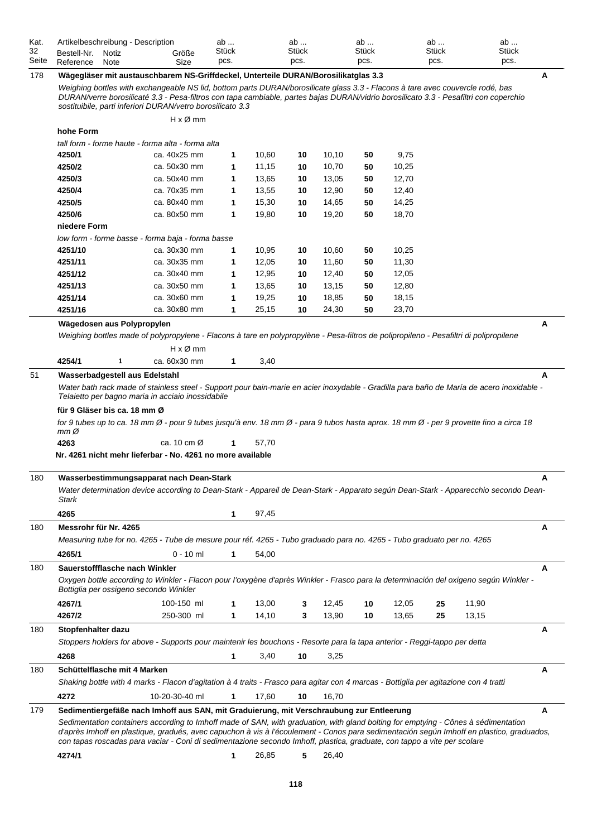| Kat.  |             | Artikelbeschreibung - Description |       | ab           | ab    | ab           | ab           | ab           |  |
|-------|-------------|-----------------------------------|-------|--------------|-------|--------------|--------------|--------------|--|
| 32    | Bestell-Nr. | Notiz                             | Größe | <b>Stück</b> | Stück | <b>Stück</b> | <b>Stück</b> | <b>Stück</b> |  |
| Seite | Reference   | Note                              | Size  | pcs.         | pcs.  | pcs.         | pcs.         | pcs.         |  |

# 178 **Wägegläser mit austauschbarem NS-Griffdeckel, Unterteile DURAN/Borosilikatglas 3.3 A**

*Weighing bottles with exchangeable NS lid, bottom parts DURAN/borosilicate glass 3.3 - Flacons à tare avec couvercle rodé, bas DURAN/verre borosilicaté 3.3 - Pesa-filtros con tapa cambiable, partes bajas DURAN/vidrio borosilicato 3.3 - Pesafiltri con coperchio sostituibile, parti inferiori DURAN/vetro borosilicato 3.3*

|     |                                        | $H \times \emptyset$ mm                                                                                                                                                                                                                                                                                                                                                                                    |              |       |    |       |    |       |    |       |   |
|-----|----------------------------------------|------------------------------------------------------------------------------------------------------------------------------------------------------------------------------------------------------------------------------------------------------------------------------------------------------------------------------------------------------------------------------------------------------------|--------------|-------|----|-------|----|-------|----|-------|---|
|     | hohe Form                              |                                                                                                                                                                                                                                                                                                                                                                                                            |              |       |    |       |    |       |    |       |   |
|     |                                        | tall form - forme haute - forma alta - forma alta                                                                                                                                                                                                                                                                                                                                                          |              |       |    |       |    |       |    |       |   |
|     | 4250/1                                 | ca. 40x25 mm                                                                                                                                                                                                                                                                                                                                                                                               | 1            | 10,60 | 10 | 10,10 | 50 | 9,75  |    |       |   |
|     | 4250/2                                 | ca. 50x30 mm                                                                                                                                                                                                                                                                                                                                                                                               | 1            | 11,15 | 10 | 10,70 | 50 | 10,25 |    |       |   |
|     | 4250/3                                 | ca. 50x40 mm                                                                                                                                                                                                                                                                                                                                                                                               | 1            | 13,65 | 10 | 13,05 | 50 | 12,70 |    |       |   |
|     | 4250/4                                 | ca. 70x35 mm                                                                                                                                                                                                                                                                                                                                                                                               | 1            | 13,55 | 10 | 12,90 | 50 | 12,40 |    |       |   |
|     | 4250/5                                 | ca. 80x40 mm                                                                                                                                                                                                                                                                                                                                                                                               | 1            | 15,30 | 10 | 14,65 | 50 | 14,25 |    |       |   |
|     | 4250/6                                 | ca. 80x50 mm                                                                                                                                                                                                                                                                                                                                                                                               | 1            | 19,80 | 10 | 19,20 | 50 | 18,70 |    |       |   |
|     | niedere Form                           |                                                                                                                                                                                                                                                                                                                                                                                                            |              |       |    |       |    |       |    |       |   |
|     |                                        | low form - forme basse - forma baja - forma basse                                                                                                                                                                                                                                                                                                                                                          |              |       |    |       |    |       |    |       |   |
|     | 4251/10                                | ca. 30x30 mm                                                                                                                                                                                                                                                                                                                                                                                               | 1            | 10,95 | 10 | 10,60 | 50 | 10,25 |    |       |   |
|     | 4251/11                                | ca. 30x35 mm                                                                                                                                                                                                                                                                                                                                                                                               | 1            | 12,05 | 10 | 11,60 | 50 | 11,30 |    |       |   |
|     | 4251/12                                | ca. 30x40 mm                                                                                                                                                                                                                                                                                                                                                                                               | 1            | 12,95 | 10 | 12,40 | 50 | 12,05 |    |       |   |
|     | 4251/13                                | ca. 30x50 mm                                                                                                                                                                                                                                                                                                                                                                                               | 1            | 13,65 | 10 | 13,15 | 50 | 12,80 |    |       |   |
|     | 4251/14                                | ca. 30x60 mm                                                                                                                                                                                                                                                                                                                                                                                               | 1            | 19,25 | 10 | 18,85 | 50 | 18,15 |    |       |   |
|     | 4251/16                                | ca. 30x80 mm                                                                                                                                                                                                                                                                                                                                                                                               | $\mathbf{1}$ | 25,15 | 10 | 24,30 | 50 | 23,70 |    |       |   |
|     | Wägedosen aus Polypropylen             |                                                                                                                                                                                                                                                                                                                                                                                                            |              |       |    |       |    |       |    |       | A |
|     |                                        | Weighing bottles made of polypropylene - Flacons à tare en polypropylène - Pesa-filtros de polipropileno - Pesafiltri di polipropilene                                                                                                                                                                                                                                                                     |              |       |    |       |    |       |    |       |   |
|     |                                        | $H \times \emptyset$ mm                                                                                                                                                                                                                                                                                                                                                                                    |              |       |    |       |    |       |    |       |   |
|     | 4254/1<br>1                            | ca. 60x30 mm                                                                                                                                                                                                                                                                                                                                                                                               |              |       |    |       |    |       |    |       |   |
|     |                                        |                                                                                                                                                                                                                                                                                                                                                                                                            | 1            | 3,40  |    |       |    |       |    |       |   |
| 51  | Wasserbadgestell aus Edelstahl         |                                                                                                                                                                                                                                                                                                                                                                                                            |              |       |    |       |    |       |    |       | A |
|     |                                        | Water bath rack made of stainless steel - Support pour bain-marie en acier inoxydable - Gradilla para baño de María de acero inoxidable -<br>Telaietto per bagno maria in acciaio inossidabile                                                                                                                                                                                                             |              |       |    |       |    |       |    |       |   |
|     |                                        |                                                                                                                                                                                                                                                                                                                                                                                                            |              |       |    |       |    |       |    |       |   |
|     | für 9 Gläser bis ca. 18 mm Ø           |                                                                                                                                                                                                                                                                                                                                                                                                            |              |       |    |       |    |       |    |       |   |
|     | $mm\varnothing$                        | for 9 tubes up to ca. 18 mm Ø - pour 9 tubes jusqu'à env. 18 mm Ø - para 9 tubos hasta aprox. 18 mm Ø - per 9 provette fino a circa 18                                                                                                                                                                                                                                                                     |              |       |    |       |    |       |    |       |   |
|     | 4263                                   | ca. 10 cm $\varnothing$                                                                                                                                                                                                                                                                                                                                                                                    | 1            | 57,70 |    |       |    |       |    |       |   |
|     |                                        | Nr. 4261 nicht mehr lieferbar - No. 4261 no more available                                                                                                                                                                                                                                                                                                                                                 |              |       |    |       |    |       |    |       |   |
|     |                                        |                                                                                                                                                                                                                                                                                                                                                                                                            |              |       |    |       |    |       |    |       |   |
| 180 |                                        | Wasserbestimmungsapparat nach Dean-Stark                                                                                                                                                                                                                                                                                                                                                                   |              |       |    |       |    |       |    |       | A |
|     | Stark                                  | Water determination device according to Dean-Stark - Appareil de Dean-Stark - Apparato según Dean-Stark - Apparecchio secondo Dean-                                                                                                                                                                                                                                                                        |              |       |    |       |    |       |    |       |   |
|     | 4265                                   |                                                                                                                                                                                                                                                                                                                                                                                                            | 1            | 97,45 |    |       |    |       |    |       |   |
| 180 | Messrohr für Nr. 4265                  |                                                                                                                                                                                                                                                                                                                                                                                                            |              |       |    |       |    |       |    |       | Α |
|     |                                        |                                                                                                                                                                                                                                                                                                                                                                                                            |              |       |    |       |    |       |    |       |   |
|     |                                        | Measuring tube for no. 4265 - Tube de mesure pour réf. 4265 - Tubo graduado para no. 4265 - Tubo graduato per no. 4265                                                                                                                                                                                                                                                                                     |              |       |    |       |    |       |    |       |   |
|     | 4265/1                                 | $0 - 10$ ml                                                                                                                                                                                                                                                                                                                                                                                                | 1            | 54,00 |    |       |    |       |    |       |   |
| 180 | Sauerstoffflasche nach Winkler         |                                                                                                                                                                                                                                                                                                                                                                                                            |              |       |    |       |    |       |    |       | A |
|     |                                        | Oxygen bottle according to Winkler - Flacon pour l'oxygène d'après Winkler - Frasco para la determinación del oxigeno según Winkler -                                                                                                                                                                                                                                                                      |              |       |    |       |    |       |    |       |   |
|     | Bottiglia per ossigeno secondo Winkler |                                                                                                                                                                                                                                                                                                                                                                                                            |              |       |    |       |    |       |    |       |   |
|     | 4267/1                                 | 100-150 ml                                                                                                                                                                                                                                                                                                                                                                                                 | 1            | 13,00 | 3  | 12,45 | 10 | 12,05 | 25 | 11,90 |   |
|     | 4267/2                                 | 250-300 ml                                                                                                                                                                                                                                                                                                                                                                                                 | 1            | 14,10 | 3  | 13,90 | 10 | 13,65 | 25 | 13,15 |   |
| 180 | Stopfenhalter dazu                     |                                                                                                                                                                                                                                                                                                                                                                                                            |              |       |    |       |    |       |    |       | Α |
|     |                                        | Stoppers holders for above - Supports pour maintenir les bouchons - Resorte para la tapa anterior - Reggi-tappo per detta                                                                                                                                                                                                                                                                                  |              |       |    |       |    |       |    |       |   |
|     | 4268                                   |                                                                                                                                                                                                                                                                                                                                                                                                            | 1            | 3,40  | 10 | 3,25  |    |       |    |       |   |
| 180 | Schüttelflasche mit 4 Marken           |                                                                                                                                                                                                                                                                                                                                                                                                            |              |       |    |       |    |       |    |       | Α |
|     |                                        | Shaking bottle with 4 marks - Flacon d'agitation à 4 traits - Frasco para agitar con 4 marcas - Bottiglia per agitazione con 4 tratti                                                                                                                                                                                                                                                                      |              |       |    |       |    |       |    |       |   |
|     |                                        |                                                                                                                                                                                                                                                                                                                                                                                                            |              |       |    |       |    |       |    |       |   |
|     | 4272                                   | 10-20-30-40 ml                                                                                                                                                                                                                                                                                                                                                                                             | 1            | 17,60 | 10 | 16,70 |    |       |    |       |   |
| 179 |                                        | Sedimentiergefäße nach Imhoff aus SAN, mit Graduierung, mit Verschraubung zur Entleerung                                                                                                                                                                                                                                                                                                                   |              |       |    |       |    |       |    |       | Α |
|     |                                        | Sedimentation containers according to Imhoff made of SAN, with graduation, with gland bolting for emptying - Cônes à sédimentation<br>d'après Imhoff en plastique, gradués, avec capuchon à vis à l'écoulement - Conos para sedimentación según Imhoff en plastico, graduados,<br>con tapas roscadas para vaciar - Coni di sedimentazione secondo Imhoff, plastica, graduate, con tappo a vite per scolare |              |       |    |       |    |       |    |       |   |
|     |                                        |                                                                                                                                                                                                                                                                                                                                                                                                            |              |       |    |       |    |       |    |       |   |
|     | 4274/1                                 |                                                                                                                                                                                                                                                                                                                                                                                                            | 1            | 26,85 | 5  | 26,40 |    |       |    |       |   |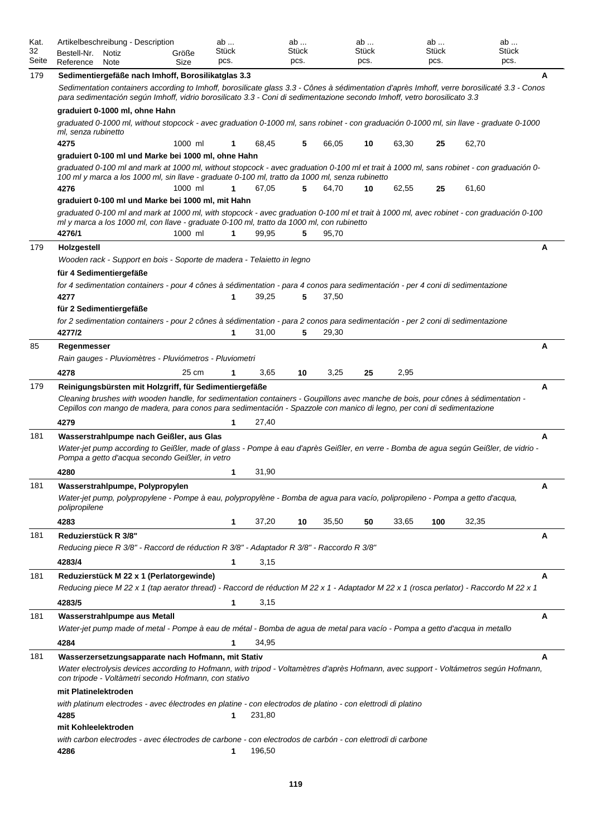| Kat.<br>32<br>Seite | Artikelbeschreibung - Description<br>Bestell-Nr.<br>Notiz<br>Reference<br>Note                                                                                                                                                                                                                                                | Größe<br>Size | ab<br>Stück<br>pcs. |        | ab<br>Stück<br>pcs. |       | ab<br>Stück<br>pcs. |       | ab<br>Stück<br>pcs. | ab<br>Stück<br>pcs. |   |
|---------------------|-------------------------------------------------------------------------------------------------------------------------------------------------------------------------------------------------------------------------------------------------------------------------------------------------------------------------------|---------------|---------------------|--------|---------------------|-------|---------------------|-------|---------------------|---------------------|---|
| 179                 | Sedimentiergefäße nach Imhoff, Borosilikatglas 3.3<br>Sedimentation containers according to Imhoff, borosilicate glass 3.3 - Cônes à sédimentation d'après Imhoff, verre borosilicaté 3.3 - Conos<br>para sedimentación según Imhoff, vidrio borosilicato 3.3 - Coni di sedimentazione secondo Imhoff, vetro borosilicato 3.3 |               |                     |        |                     |       |                     |       |                     |                     | A |
|                     | graduiert 0-1000 ml, ohne Hahn                                                                                                                                                                                                                                                                                                |               |                     |        |                     |       |                     |       |                     |                     |   |
|                     | graduated 0-1000 ml, without stopcock - avec graduation 0-1000 ml, sans robinet - con graduación 0-1000 ml, sin llave - graduate 0-1000<br>ml, senza rubinetto                                                                                                                                                                |               |                     |        |                     |       |                     |       |                     |                     |   |
|                     | 4275<br>graduiert 0-100 ml und Marke bei 1000 ml, ohne Hahn                                                                                                                                                                                                                                                                   | 1000 ml       | 1                   | 68,45  | 5                   | 66,05 | 10                  | 63,30 | 25                  | 62,70               |   |
|                     | graduated 0-100 ml and mark at 1000 ml, without stopcock - avec graduation 0-100 ml et trait à 1000 ml, sans robinet - con graduación 0-                                                                                                                                                                                      |               |                     |        |                     |       |                     |       |                     |                     |   |
|                     | 100 ml y marca a los 1000 ml, sin llave - graduate 0-100 ml, tratto da 1000 ml, senza rubinetto<br>4276                                                                                                                                                                                                                       | 1000 ml       | 1                   | 67,05  | 5                   | 64,70 | 10                  | 62,55 | 25                  | 61,60               |   |
|                     | graduiert 0-100 ml und Marke bei 1000 ml, mit Hahn                                                                                                                                                                                                                                                                            |               |                     |        |                     |       |                     |       |                     |                     |   |
|                     | graduated 0-100 ml and mark at 1000 ml, with stopcock - avec graduation 0-100 ml et trait à 1000 ml, avec robinet - con graduación 0-100<br>ml y marca a los 1000 ml, con llave - graduate 0-100 ml, tratto da 1000 ml, con rubinetto<br>4276/1                                                                               | 1000 ml       | 1                   | 99,95  | 5                   | 95,70 |                     |       |                     |                     |   |
| 179                 | Holzgestell                                                                                                                                                                                                                                                                                                                   |               |                     |        |                     |       |                     |       |                     |                     | А |
|                     | Wooden rack - Support en bois - Soporte de madera - Telaietto in legno                                                                                                                                                                                                                                                        |               |                     |        |                     |       |                     |       |                     |                     |   |
|                     | für 4 Sedimentiergefäße                                                                                                                                                                                                                                                                                                       |               |                     |        |                     |       |                     |       |                     |                     |   |
|                     | for 4 sedimentation containers - pour 4 cônes à sédimentation - para 4 conos para sedimentación - per 4 coni di sedimentazione<br>4277                                                                                                                                                                                        |               | 1                   | 39,25  | 5                   | 37,50 |                     |       |                     |                     |   |
|                     | für 2 Sedimentiergefäße                                                                                                                                                                                                                                                                                                       |               |                     |        |                     |       |                     |       |                     |                     |   |
|                     | for 2 sedimentation containers - pour 2 cônes à sédimentation - para 2 conos para sedimentación - per 2 coni di sedimentazione                                                                                                                                                                                                |               |                     |        |                     |       |                     |       |                     |                     |   |
|                     | 4277/2                                                                                                                                                                                                                                                                                                                        |               | 1                   | 31,00  | 5                   | 29,30 |                     |       |                     |                     |   |
| 85                  | Regenmesser<br>Rain gauges - Pluviomètres - Pluviómetros - Pluviometri                                                                                                                                                                                                                                                        |               |                     |        |                     |       |                     |       |                     |                     | Α |
|                     | 4278                                                                                                                                                                                                                                                                                                                          | 25 cm         | 1                   | 3,65   | 10                  | 3,25  | 25                  | 2,95  |                     |                     |   |
| 179                 | Reinigungsbürsten mit Holzgriff, für Sedimentiergefäße<br>Cleaning brushes with wooden handle, for sedimentation containers - Goupillons avec manche de bois, pour cônes à sédimentation -<br>Cepillos con mango de madera, para conos para sedimentación - Spazzole con manico di legno, per coni di sedimentazione          |               |                     |        |                     |       |                     |       |                     |                     | Α |
|                     | 4279                                                                                                                                                                                                                                                                                                                          |               | 1                   | 27,40  |                     |       |                     |       |                     |                     |   |
| 181                 | Wasserstrahlpumpe nach Geißler, aus Glas<br>Water-jet pump according to Geißler, made of glass - Pompe à eau d'après Geißler, en verre - Bomba de agua según Geißler, de vidrio -<br>Pompa a getto d'acqua secondo Geißler, in vetro                                                                                          |               |                     |        |                     |       |                     |       |                     |                     | A |
|                     | 4280                                                                                                                                                                                                                                                                                                                          |               | 1                   | 31,90  |                     |       |                     |       |                     |                     |   |
| 181                 | Wasserstrahlpumpe, Polypropylen<br>Water-jet pump, polypropylene - Pompe à eau, polypropylène - Bomba de aqua para vacío, polipropileno - Pompa a getto d'acqua,<br>polipropilene                                                                                                                                             |               |                     |        |                     |       |                     |       |                     |                     | Α |
|                     | 4283                                                                                                                                                                                                                                                                                                                          |               | 1                   | 37,20  | 10                  | 35,50 | 50                  | 33,65 | 100                 | 32,35               |   |
| 181                 | Reduzierstück R 3/8"                                                                                                                                                                                                                                                                                                          |               |                     |        |                     |       |                     |       |                     |                     | Α |
|                     | Reducing piece R 3/8" - Raccord de réduction R 3/8" - Adaptador R 3/8" - Raccordo R 3/8"                                                                                                                                                                                                                                      |               |                     |        |                     |       |                     |       |                     |                     |   |
|                     | 4283/4                                                                                                                                                                                                                                                                                                                        |               | 1                   | 3,15   |                     |       |                     |       |                     |                     |   |
| 181                 | Reduzierstück M 22 x 1 (Perlatorgewinde)<br>Reducing piece M 22 x 1 (tap aerator thread) - Raccord de réduction M 22 x 1 - Adaptador M 22 x 1 (rosca perlator) - Raccordo M 22 x 1                                                                                                                                            |               |                     |        |                     |       |                     |       |                     |                     | А |
|                     | 4283/5                                                                                                                                                                                                                                                                                                                        |               | 1                   | 3,15   |                     |       |                     |       |                     |                     |   |
| 181                 | Wasserstrahlpumpe aus Metall                                                                                                                                                                                                                                                                                                  |               |                     |        |                     |       |                     |       |                     |                     | Α |
|                     | Water-jet pump made of metal - Pompe à eau de métal - Bomba de agua de metal para vacío - Pompa a getto d'acqua in metallo                                                                                                                                                                                                    |               |                     |        |                     |       |                     |       |                     |                     |   |
|                     | 4284                                                                                                                                                                                                                                                                                                                          |               | 1                   | 34,95  |                     |       |                     |       |                     |                     |   |
| 181                 | Wasserzersetzungsapparate nach Hofmann, mit Stativ<br>Water electrolysis devices according to Hofmann, with tripod - Voltamètres d'après Hofmann, avec support - Voltámetros según Hofmann,<br>con tripode - Voltàmetri secondo Hofmann, con stativo                                                                          |               |                     |        |                     |       |                     |       |                     |                     | A |
|                     | mit Platinelektroden                                                                                                                                                                                                                                                                                                          |               |                     |        |                     |       |                     |       |                     |                     |   |
|                     | with platinum electrodes - avec électrodes en platine - con electrodos de platino - con elettrodi di platino<br>4285                                                                                                                                                                                                          |               | 1                   | 231,80 |                     |       |                     |       |                     |                     |   |
|                     | mit Kohleelektroden<br>with carbon electrodes - avec électrodes de carbone - con electrodos de carbón - con elettrodi di carbone<br>4286                                                                                                                                                                                      |               | 1                   | 196,50 |                     |       |                     |       |                     |                     |   |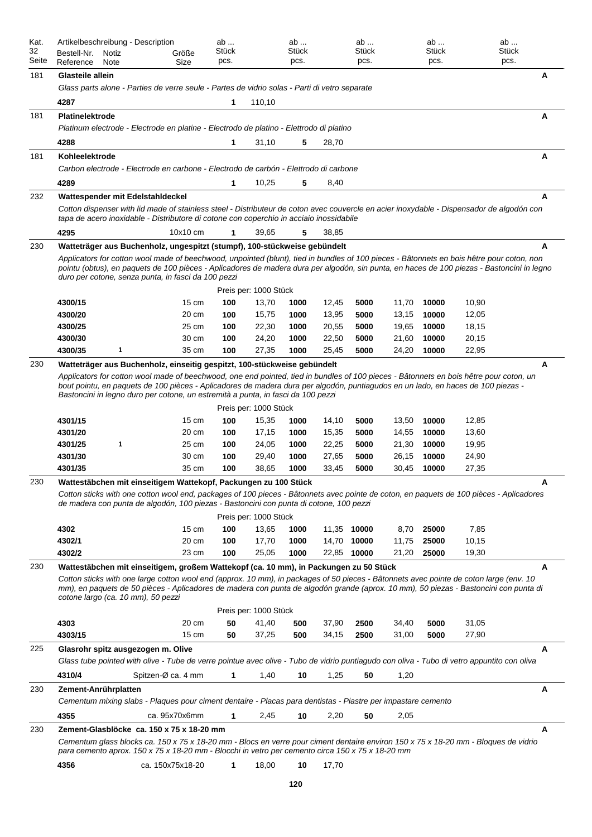| Kat.<br>32<br>Seite | Artikelbeschreibung - Description<br>Bestell-Nr.<br>Notiz<br>Reference<br>Note                                                                                                                                                                                                                                       |                    | Größe<br>Size   | ab<br>Stück<br>pcs. |                       | ab<br>Stück<br>pcs. |                | ab<br>Stück<br>pcs. |                | ab<br><b>Stück</b><br>pcs. |                | ab<br>Stück<br>pcs. |   |
|---------------------|----------------------------------------------------------------------------------------------------------------------------------------------------------------------------------------------------------------------------------------------------------------------------------------------------------------------|--------------------|-----------------|---------------------|-----------------------|---------------------|----------------|---------------------|----------------|----------------------------|----------------|---------------------|---|
| 181                 | Glasteile allein                                                                                                                                                                                                                                                                                                     |                    |                 |                     |                       |                     |                |                     |                |                            |                |                     | A |
|                     | Glass parts alone - Parties de verre seule - Partes de vidrio solas - Parti di vetro separate                                                                                                                                                                                                                        |                    |                 |                     |                       |                     |                |                     |                |                            |                |                     |   |
|                     | 4287                                                                                                                                                                                                                                                                                                                 |                    |                 | 1                   | 110,10                |                     |                |                     |                |                            |                |                     |   |
|                     | Platinelektrode                                                                                                                                                                                                                                                                                                      |                    |                 |                     |                       |                     |                |                     |                |                            |                |                     | Α |
| 181                 | Platinum electrode - Electrode en platine - Electrodo de platino - Elettrodo di platino                                                                                                                                                                                                                              |                    |                 |                     |                       |                     |                |                     |                |                            |                |                     |   |
|                     |                                                                                                                                                                                                                                                                                                                      |                    |                 |                     |                       |                     |                |                     |                |                            |                |                     |   |
|                     | 4288                                                                                                                                                                                                                                                                                                                 |                    |                 | 1                   | 31,10                 | 5                   | 28,70          |                     |                |                            |                |                     |   |
| 181                 | Kohleelektrode<br>Carbon electrode - Electrode en carbone - Electrodo de carbón - Elettrodo di carbone                                                                                                                                                                                                               |                    |                 |                     |                       |                     |                |                     |                |                            |                |                     | A |
|                     |                                                                                                                                                                                                                                                                                                                      |                    |                 |                     |                       |                     |                |                     |                |                            |                |                     |   |
|                     | 4289                                                                                                                                                                                                                                                                                                                 |                    |                 | 1                   | 10,25                 | 5                   | 8,40           |                     |                |                            |                |                     |   |
| 232                 | Wattespender mit Edelstahldeckel                                                                                                                                                                                                                                                                                     |                    |                 |                     |                       |                     |                |                     |                |                            |                |                     | A |
|                     | Cotton dispenser with lid made of stainless steel - Distributeur de coton avec couvercle en acier inoxydable - Dispensador de algodón con<br>tapa de acero inoxidable - Distributore di cotone con coperchio in acciaio inossidabile                                                                                 |                    |                 |                     |                       |                     |                |                     |                |                            |                |                     |   |
|                     | 4295                                                                                                                                                                                                                                                                                                                 |                    | 10x10 cm        | 1                   | 39,65                 | 5                   | 38,85          |                     |                |                            |                |                     |   |
|                     |                                                                                                                                                                                                                                                                                                                      |                    |                 |                     |                       |                     |                |                     |                |                            |                |                     |   |
| 230                 | Watteträger aus Buchenholz, ungespitzt (stumpf), 100-stückweise gebündelt<br>Applicators for cotton wool made of beechwood, unpointed (blunt), tied in bundles of 100 pieces - Bâtonnets en bois hêtre pour coton, non                                                                                               |                    |                 |                     |                       |                     |                |                     |                |                            |                |                     | A |
|                     | pointu (obtus), en paquets de 100 pièces - Aplicadores de madera dura per algodón, sin punta, en haces de 100 piezas - Bastoncini in legno<br>duro per cotone, senza punta, in fasci da 100 pezzi                                                                                                                    |                    |                 |                     |                       |                     |                |                     |                |                            |                |                     |   |
|                     |                                                                                                                                                                                                                                                                                                                      |                    |                 |                     | Preis per: 1000 Stück |                     |                |                     |                |                            |                |                     |   |
|                     | 4300/15                                                                                                                                                                                                                                                                                                              |                    | $15 \text{ cm}$ | 100                 | 13,70                 | 1000                | 12,45          | 5000                | 11,70          | 10000                      | 10,90          |                     |   |
|                     | 4300/20                                                                                                                                                                                                                                                                                                              |                    | 20 cm           | 100                 | 15,75                 | 1000                | 13,95          | 5000                | 13,15          | 10000                      | 12,05          |                     |   |
|                     | 4300/25                                                                                                                                                                                                                                                                                                              |                    | 25 cm           | 100                 | 22,30                 | 1000                | 20,55          | 5000                | 19,65          | 10000                      | 18,15          |                     |   |
|                     | 4300/30                                                                                                                                                                                                                                                                                                              |                    | 30 cm           | 100                 | 24,20                 | 1000                | 22,50          | 5000                | 21,60          | 10000                      | 20,15          |                     |   |
|                     | 4300/35<br>1                                                                                                                                                                                                                                                                                                         |                    | 35 cm           | 100                 | 27,35                 | 1000                | 25,45          | 5000                | 24,20          | 10000                      | 22,95          |                     |   |
| 230                 | Watteträger aus Buchenholz, einseitig gespitzt, 100-stückweise gebündelt                                                                                                                                                                                                                                             |                    |                 |                     |                       |                     |                |                     |                |                            |                |                     | A |
|                     | bout pointu, en paquets de 100 pièces - Aplicadores de madera dura per algodón, puntiagudos en un lado, en haces de 100 piezas -<br>Bastoncini in legno duro per cotone, un estremità a punta, in fasci da 100 pezzi                                                                                                 |                    |                 |                     | Preis per: 1000 Stück |                     |                |                     |                |                            |                |                     |   |
|                     | 4301/15                                                                                                                                                                                                                                                                                                              |                    | $15 \text{ cm}$ | 100                 | 15,35                 | 1000                | 14,10          | 5000                | 13,50          | 10000                      | 12,85          |                     |   |
|                     | 4301/20                                                                                                                                                                                                                                                                                                              |                    | 20 cm           | 100                 | 17,15                 | 1000                | 15,35          | 5000                | 14,55          | 10000                      | 13,60          |                     |   |
|                     | 4301/25<br>1<br>4301/30                                                                                                                                                                                                                                                                                              |                    | 25 cm<br>30 cm  | 100<br>100          | 24,05<br>29,40        | 1000<br>1000        | 22,25<br>27,65 | 5000<br>5000        | 21,30<br>26,15 | 10000<br>10000             | 19,95<br>24,90 |                     |   |
|                     | 4301/35                                                                                                                                                                                                                                                                                                              |                    | 35 cm           | 100                 | 38,65                 | 1000                | 33,45          | 5000                | 30,45          | 10000                      | 27,35          |                     |   |
| 230                 | Wattestäbchen mit einseitigem Wattekopf, Packungen zu 100 Stück                                                                                                                                                                                                                                                      |                    |                 |                     |                       |                     |                |                     |                |                            |                |                     |   |
|                     | Cotton sticks with one cotton wool end, packages of 100 pieces - Bâtonnets avec pointe de coton, en paquets de 100 pièces - Aplicadores<br>de madera con punta de algodón, 100 piezas - Bastoncini con punta di cotone, 100 pezzi                                                                                    |                    |                 |                     |                       |                     |                |                     |                |                            |                |                     |   |
|                     |                                                                                                                                                                                                                                                                                                                      |                    |                 |                     | Preis per: 1000 Stück |                     |                |                     |                |                            |                |                     |   |
|                     | 4302                                                                                                                                                                                                                                                                                                                 |                    | $15 \text{ cm}$ | 100                 | 13,65                 | 1000                | 11,35          | 10000               | 8,70           | 25000                      | 7,85           |                     |   |
|                     | 4302/1                                                                                                                                                                                                                                                                                                               |                    | 20 cm           | 100                 | 17,70                 | 1000                | 14,70          | 10000               | 11,75          | 25000                      | 10,15          |                     |   |
|                     | 4302/2                                                                                                                                                                                                                                                                                                               |                    | 23 cm           | 100                 | 25,05                 | 1000                | 22,85          | 10000               | 21,20          | 25000                      | 19,30          |                     |   |
| 230                 | Wattestäbchen mit einseitigem, großem Wattekopf (ca. 10 mm), in Packungen zu 50 Stück                                                                                                                                                                                                                                |                    |                 |                     |                       |                     |                |                     |                |                            |                |                     | A |
|                     | Cotton sticks with one large cotton wool end (approx. 10 mm), in packages of 50 pieces - Bâtonnets avec pointe de coton large (env. 10<br>mm), en paquets de 50 pièces - Aplicadores de madera con punta de algodón grande (aprox. 10 mm), 50 piezas - Bastoncini con punta di<br>cotone largo (ca. 10 mm), 50 pezzi |                    |                 |                     |                       |                     |                |                     |                |                            |                |                     |   |
|                     |                                                                                                                                                                                                                                                                                                                      |                    |                 |                     | Preis per: 1000 Stück |                     |                |                     |                |                            |                |                     |   |
|                     | 4303                                                                                                                                                                                                                                                                                                                 |                    | 20 cm           | 50                  | 41,40                 | 500                 | 37,90          | 2500                | 34,40          | 5000                       | 31,05          |                     |   |
|                     | 4303/15                                                                                                                                                                                                                                                                                                              |                    | $15 \text{ cm}$ | 50                  | 37,25                 | 500                 | 34,15          | 2500                | 31,00          | 5000                       | 27,90          |                     |   |
| 225                 | Glasrohr spitz ausgezogen m. Olive                                                                                                                                                                                                                                                                                   |                    |                 |                     |                       |                     |                |                     |                |                            |                |                     | A |
|                     | Glass tube pointed with olive - Tube de verre pointue avec olive - Tubo de vidrio puntiagudo con oliva - Tubo di vetro appuntito con oliva                                                                                                                                                                           |                    |                 |                     |                       |                     |                |                     |                |                            |                |                     |   |
|                     | 4310/4                                                                                                                                                                                                                                                                                                               | Spitzen-Ø ca. 4 mm |                 | 1                   | 1,40                  | 10                  | 1,25           | 50                  | 1,20           |                            |                |                     |   |
| 230                 | Zement-Anrührplatten                                                                                                                                                                                                                                                                                                 |                    |                 |                     |                       |                     |                |                     |                |                            |                |                     | Α |
|                     | Cementum mixing slabs - Plaques pour ciment dentaire - Placas para dentistas - Piastre per impastare cemento                                                                                                                                                                                                         |                    |                 |                     |                       |                     |                |                     |                |                            |                |                     |   |
|                     | 4355                                                                                                                                                                                                                                                                                                                 |                    | ca. 95x70x6mm   | 1                   | 2,45                  | 10                  | 2,20           | 50                  | 2,05           |                            |                |                     |   |
| 230                 | Zement-Glasblöcke ca. 150 x 75 x 18-20 mm                                                                                                                                                                                                                                                                            |                    |                 |                     |                       |                     |                |                     |                |                            |                |                     | A |
|                     | Cementum glass blocks ca. 150 x 75 x 18-20 mm - Blocs en verre pour ciment dentaire environ 150 x 75 x 18-20 mm - Bloques de vidrio<br>para cemento aprox. 150 x 75 x 18-20 mm - Blocchi in vetro per cemento circa 150 x 75 x 18-20 mm                                                                              |                    |                 |                     |                       |                     |                |                     |                |                            |                |                     |   |
|                     | 4356                                                                                                                                                                                                                                                                                                                 | ca. 150x75x18-20   |                 | 1                   | 18,00                 | 10                  | 17,70          |                     |                |                            |                |                     |   |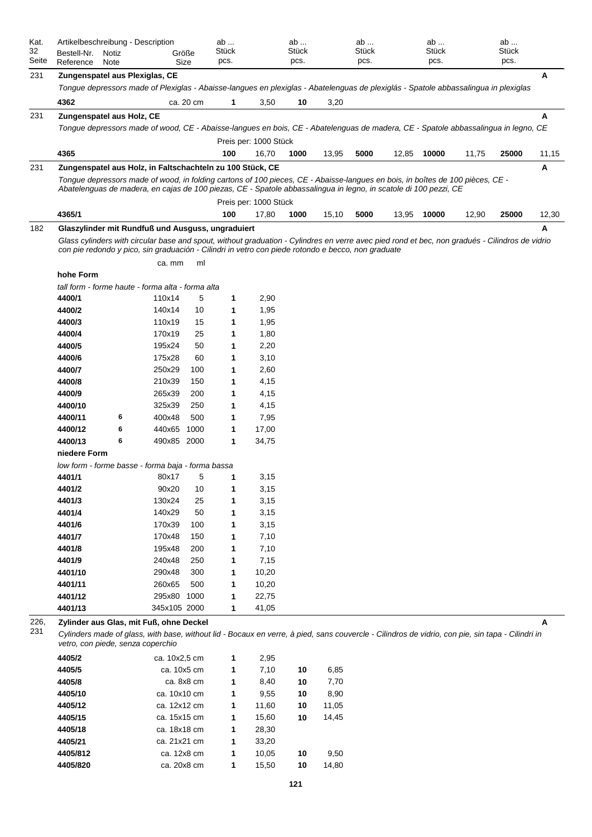| Kat.<br>32<br>Seite | Artikelbeschreibung - Description<br>Bestell-Nr.<br>Reference | Notiz<br>Note |                                                                                                                                                                                                                                                                | Größe<br>Size | ab<br>Stück<br>pcs. |                       | ab<br><b>Stück</b><br>pcs. |       | ab<br><b>Stück</b><br>pcs. |       | ab<br>Stück<br>pcs. |       | ab<br>Stück<br>pcs. |       |
|---------------------|---------------------------------------------------------------|---------------|----------------------------------------------------------------------------------------------------------------------------------------------------------------------------------------------------------------------------------------------------------------|---------------|---------------------|-----------------------|----------------------------|-------|----------------------------|-------|---------------------|-------|---------------------|-------|
| 231                 | Zungenspatel aus Plexiglas, CE                                |               |                                                                                                                                                                                                                                                                |               |                     |                       |                            |       |                            |       |                     |       |                     | Α     |
|                     |                                                               |               | Tongue depressors made of Plexiglas - Abaisse-langues en plexiglas - Abatelenguas de plexiglás - Spatole abbassalingua in plexiglas                                                                                                                            |               |                     |                       |                            |       |                            |       |                     |       |                     |       |
|                     | 4362                                                          |               |                                                                                                                                                                                                                                                                | ca. 20 cm     | 1                   | 3,50                  | 10                         | 3,20  |                            |       |                     |       |                     |       |
| 231                 | Zungenspatel aus Holz, CE                                     |               |                                                                                                                                                                                                                                                                |               |                     |                       |                            |       |                            |       |                     |       |                     | Α     |
|                     |                                                               |               | Tongue depressors made of wood, CE - Abaisse-langues en bois, CE - Abatelenguas de madera, CE - Spatole abbassalingua in legno, CE                                                                                                                             |               |                     |                       |                            |       |                            |       |                     |       |                     |       |
|                     |                                                               |               |                                                                                                                                                                                                                                                                |               |                     | Preis per: 1000 Stück |                            |       |                            |       |                     |       |                     |       |
|                     | 4365                                                          |               |                                                                                                                                                                                                                                                                |               | 100                 | 16,70                 | 1000                       | 13,95 | 5000                       | 12,85 | 10000               | 11,75 | 25000               | 11,15 |
| 231                 |                                                               |               | Zungenspatel aus Holz, in Faltschachteln zu 100 Stück, CE                                                                                                                                                                                                      |               |                     |                       |                            |       |                            |       |                     |       |                     | Α     |
|                     |                                                               |               | Tonque depressors made of wood, in folding cartons of 100 pieces, CE - Abaisse-langues en bois, in boîtes de 100 pièces, CE -<br>Abatelenguas de madera, en cajas de 100 piezas, CE - Spatole abbassalingua in legno, in scatole di 100 pezzi, CE              |               |                     |                       |                            |       |                            |       |                     |       |                     |       |
|                     |                                                               |               |                                                                                                                                                                                                                                                                |               |                     | Preis per: 1000 Stück |                            |       |                            |       |                     |       |                     |       |
|                     | 4365/1                                                        |               |                                                                                                                                                                                                                                                                |               | 100                 | 17,80                 | 1000                       | 15,10 | 5000                       | 13,95 | 10000               | 12,90 | 25000               | 12,30 |
| 182                 |                                                               |               | Glaszylinder mit Rundfuß und Ausguss, ungraduiert                                                                                                                                                                                                              |               |                     |                       |                            |       |                            |       |                     |       |                     | А     |
|                     |                                                               |               | Glass cylinders with circular base and spout, without graduation - Cylindres en verre avec pied rond et bec, non gradués - Cilindros de vidrio<br>con pie redondo y pico, sin graduación - Cilindri in vetro con piede rotondo e becco, non graduate<br>ca. mm | ml            |                     |                       |                            |       |                            |       |                     |       |                     |       |
|                     | hohe Form                                                     |               |                                                                                                                                                                                                                                                                |               |                     |                       |                            |       |                            |       |                     |       |                     |       |
|                     |                                                               |               | tall form - forme haute - forma alta - forma alta                                                                                                                                                                                                              |               |                     |                       |                            |       |                            |       |                     |       |                     |       |
|                     | 4400/1                                                        |               | 110x14                                                                                                                                                                                                                                                         | 5             | 1                   | 2,90                  |                            |       |                            |       |                     |       |                     |       |
|                     | 4400/2                                                        |               | 140x14                                                                                                                                                                                                                                                         | 10            | 1                   | 1,95                  |                            |       |                            |       |                     |       |                     |       |
|                     | 4400/3                                                        |               | 110x19                                                                                                                                                                                                                                                         | 15            | 1                   | 1,95                  |                            |       |                            |       |                     |       |                     |       |
|                     | 4400/4                                                        |               | 170x19                                                                                                                                                                                                                                                         | 25            | 1                   | 1,80                  |                            |       |                            |       |                     |       |                     |       |
|                     | 4400/5                                                        |               | 195x24                                                                                                                                                                                                                                                         | 50            | 1                   | 2,20                  |                            |       |                            |       |                     |       |                     |       |
|                     | 4400/6                                                        |               | 175x28                                                                                                                                                                                                                                                         | 60            | 1                   | 3,10                  |                            |       |                            |       |                     |       |                     |       |
|                     | 4400/7                                                        |               | 250x29                                                                                                                                                                                                                                                         | 100           | 1                   | 2,60                  |                            |       |                            |       |                     |       |                     |       |
|                     | 4400/8                                                        |               | 210x39                                                                                                                                                                                                                                                         | 150           | 1                   | 4,15                  |                            |       |                            |       |                     |       |                     |       |
|                     | 4400/9                                                        |               | 265x39                                                                                                                                                                                                                                                         | 200           | 1                   | 4,15                  |                            |       |                            |       |                     |       |                     |       |
|                     | 4400/10                                                       |               | 325x39                                                                                                                                                                                                                                                         | 250           | 1                   | 4,15                  |                            |       |                            |       |                     |       |                     |       |
|                     | 4400/11                                                       | 6             | 400x48                                                                                                                                                                                                                                                         | 500           | 1                   | 7,95                  |                            |       |                            |       |                     |       |                     |       |
|                     | 4400/12                                                       | 6             | 440x65                                                                                                                                                                                                                                                         | 1000          | 1                   | 17,00                 |                            |       |                            |       |                     |       |                     |       |
|                     | 4400/13                                                       | 6             | 490x85 2000                                                                                                                                                                                                                                                    |               | 1                   | 34,75                 |                            |       |                            |       |                     |       |                     |       |
|                     | niedere Form                                                  |               |                                                                                                                                                                                                                                                                |               |                     |                       |                            |       |                            |       |                     |       |                     |       |
|                     |                                                               |               | low form - forme basse - forma baja - forma bassa                                                                                                                                                                                                              |               |                     |                       |                            |       |                            |       |                     |       |                     |       |
|                     | 4401/1                                                        |               | 80x17                                                                                                                                                                                                                                                          | 5             | 1                   | 3,15                  |                            |       |                            |       |                     |       |                     |       |
|                     | 4401/2                                                        |               | 90x20                                                                                                                                                                                                                                                          | 10            | 1                   | 3,15                  |                            |       |                            |       |                     |       |                     |       |
|                     | 4401/3                                                        |               | 130x24                                                                                                                                                                                                                                                         | 25            | 1                   | 3,15                  |                            |       |                            |       |                     |       |                     |       |
|                     | 4401/4                                                        |               | 140x29                                                                                                                                                                                                                                                         | 50            | 1                   | 3,15                  |                            |       |                            |       |                     |       |                     |       |
|                     | 4401/6                                                        |               | 170x39                                                                                                                                                                                                                                                         | 100           | 1                   | 3,15                  |                            |       |                            |       |                     |       |                     |       |
|                     | 4401/7                                                        |               | 170x48                                                                                                                                                                                                                                                         | 150           | 1                   | 7,10                  |                            |       |                            |       |                     |       |                     |       |
|                     | 4401/8                                                        |               | 195x48                                                                                                                                                                                                                                                         | 200           | 1                   | 7,10                  |                            |       |                            |       |                     |       |                     |       |
|                     | 4401/9                                                        |               | 240x48                                                                                                                                                                                                                                                         | 250           | 1                   | 7,15                  |                            |       |                            |       |                     |       |                     |       |
|                     | 4401/10                                                       |               | 290x48                                                                                                                                                                                                                                                         | 300           | 1                   | 10,20                 |                            |       |                            |       |                     |       |                     |       |
|                     | 4401/11                                                       |               | 260x65                                                                                                                                                                                                                                                         | 500           | 1                   | 10,20                 |                            |       |                            |       |                     |       |                     |       |
|                     | 4401/12                                                       |               | 295x80                                                                                                                                                                                                                                                         | 1000          | 1                   | 22,75                 |                            |       |                            |       |                     |       |                     |       |
|                     | 4401/13                                                       |               | 345x105 2000                                                                                                                                                                                                                                                   |               | 1                   | 41,05                 |                            |       |                            |       |                     |       |                     |       |
| 226,<br>231         |                                                               |               | Zylinder aus Glas, mit Fuß, ohne Deckel<br>Cylinders made of glass, with base, without lid - Bocaux en verre, à pied, sans couvercle - Cilindros de vidrio, con pie, sin tapa - Cilindri in<br>vetro, con piede, senza coperchio                               |               |                     |                       |                            |       |                            |       |                     |       |                     | А     |

| 4405/2   | ca. 10x2,5 cm | 1 | 2,95  |    |       |
|----------|---------------|---|-------|----|-------|
| 4405/5   | ca. 10x5 cm   | 1 | 7,10  | 10 | 6,85  |
| 4405/8   | ca. 8x8 cm    | 1 | 8,40  | 10 | 7,70  |
| 4405/10  | ca. 10x10 cm  | 1 | 9,55  | 10 | 8,90  |
| 4405/12  | ca. 12x12 cm  | 1 | 11,60 | 10 | 11,05 |
| 4405/15  | ca. 15x15 cm  | 1 | 15,60 | 10 | 14,45 |
| 4405/18  | ca. 18x18 cm  | 1 | 28,30 |    |       |
| 4405/21  | ca. 21x21 cm  | 1 | 33,20 |    |       |
| 4405/812 | ca. 12x8 cm   | 1 | 10,05 | 10 | 9,50  |
| 4405/820 | ca. 20x8 cm   | 1 | 15,50 | 10 | 14,80 |
|          |               |   |       |    |       |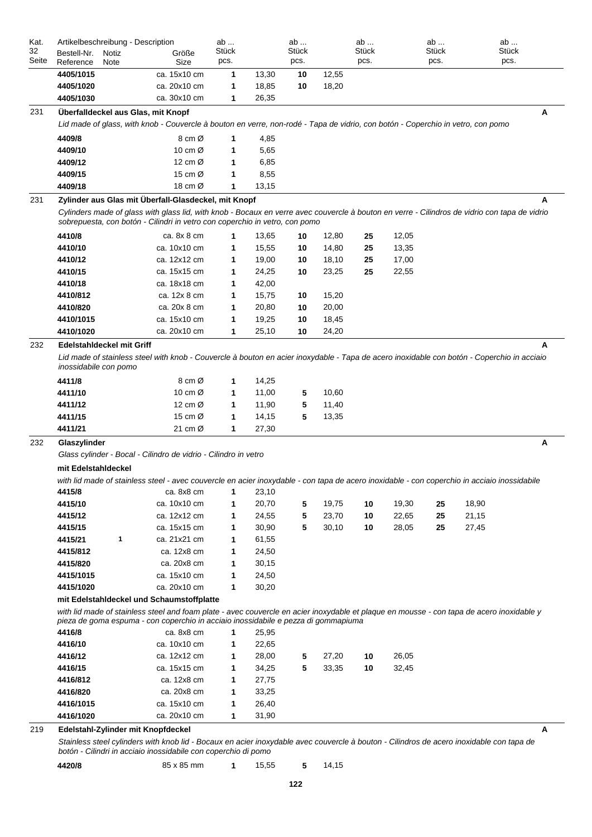| 32<br>Seite | Artikelbeschreibung - Description<br>Bestell-Nr.<br>Notiz<br>Reference<br>Note                                                  | Größe<br>Size                             | ab<br>Stück<br>pcs. |                         | ab<br><b>Stück</b><br>pcs. |                | ab<br>Stück<br>pcs. |                | ab<br>Stück<br>pcs. | ab<br>Stück<br>pcs.                                                                                                                           |
|-------------|---------------------------------------------------------------------------------------------------------------------------------|-------------------------------------------|---------------------|-------------------------|----------------------------|----------------|---------------------|----------------|---------------------|-----------------------------------------------------------------------------------------------------------------------------------------------|
|             | 4405/1015                                                                                                                       | ca. 15x10 cm                              | 1                   | 13,30                   | 10                         | 12,55          |                     |                |                     |                                                                                                                                               |
|             | 4405/1020                                                                                                                       | ca. 20x10 cm                              | 1                   | 18,85                   | 10                         | 18,20          |                     |                |                     |                                                                                                                                               |
|             | 4405/1030                                                                                                                       | ca. 30x10 cm                              | 1                   | 26,35                   |                            |                |                     |                |                     |                                                                                                                                               |
| 231         | Überfalldeckel aus Glas, mit Knopf                                                                                              |                                           |                     |                         |                            |                |                     |                |                     |                                                                                                                                               |
|             | Lid made of glass, with knob - Couvercle à bouton en verre, non-rodé - Tapa de vidrio, con botón - Coperchio in vetro, con pomo |                                           |                     |                         |                            |                |                     |                |                     |                                                                                                                                               |
|             | 4409/8                                                                                                                          | 8 cm Ø                                    | 1                   | 4,85                    |                            |                |                     |                |                     |                                                                                                                                               |
|             | 4409/10                                                                                                                         | 10 cm $\varnothing$                       | 1                   | 5,65                    |                            |                |                     |                |                     |                                                                                                                                               |
|             | 4409/12                                                                                                                         | 12 cm $\varnothing$                       | 1                   | 6,85                    |                            |                |                     |                |                     |                                                                                                                                               |
|             | 4409/15                                                                                                                         | 15 cm $\varnothing$                       | 1                   | 8,55                    |                            |                |                     |                |                     |                                                                                                                                               |
|             | 4409/18                                                                                                                         | 18 cm $\varnothing$                       | 1                   | 13,15                   |                            |                |                     |                |                     |                                                                                                                                               |
| 231         | Zylinder aus Glas mit Überfall-Glasdeckel, mit Knopf                                                                            |                                           |                     |                         |                            |                |                     |                |                     |                                                                                                                                               |
|             | sobrepuesta, con botón - Cilindri in vetro con coperchio in vetro, con pomo                                                     |                                           |                     |                         |                            |                |                     |                |                     | Cylinders made of glass with glass lid, with knob - Bocaux en verre avec couvercle à bouton en verre - Cilindros de vidrio con tapa de vidrio |
|             | 4410/8                                                                                                                          | ca. 8x 8 cm                               | 1                   | 13,65                   | 10                         | 12,80          | 25                  | 12,05          |                     |                                                                                                                                               |
|             | 4410/10                                                                                                                         | ca. 10x10 cm                              | 1                   | 15,55                   | 10                         | 14,80          | 25                  | 13,35          |                     |                                                                                                                                               |
|             | 4410/12                                                                                                                         | ca. 12x12 cm                              | 1                   | 19,00                   | 10                         | 18,10          | 25                  | 17,00          |                     |                                                                                                                                               |
|             | 4410/15                                                                                                                         | ca. 15x15 cm                              | 1                   | 24,25                   | 10                         | 23,25          | 25                  | 22,55          |                     |                                                                                                                                               |
|             | 4410/18                                                                                                                         | ca. 18x18 cm                              | 1                   | 42,00                   |                            |                |                     |                |                     |                                                                                                                                               |
|             | 4410/812                                                                                                                        | ca. 12x 8 cm                              | 1                   | 15,75                   | 10                         | 15,20          |                     |                |                     |                                                                                                                                               |
|             | 4410/820                                                                                                                        | ca. 20x 8 cm                              | 1                   | 20,80                   | 10                         | 20,00          |                     |                |                     |                                                                                                                                               |
|             | 4410/1015                                                                                                                       | ca. 15x10 cm                              | 1                   | 19,25                   | 10                         | 18,45          |                     |                |                     |                                                                                                                                               |
|             | 4410/1020                                                                                                                       | ca. 20x10 cm                              | 1                   | 25,10                   | 10                         | 24,20          |                     |                |                     |                                                                                                                                               |
|             |                                                                                                                                 |                                           |                     |                         |                            |                |                     |                |                     |                                                                                                                                               |
|             | 4411/12<br>4411/15<br>4411/21                                                                                                   | 12 cm $\varnothing$<br>15 cm Ø<br>21 cm Ø | 1<br>1<br>1         | 11,90<br>14,15<br>27,30 | 5<br>5                     | 11,40<br>13,35 |                     |                |                     |                                                                                                                                               |
|             | Glaszylinder<br>Glass cylinder - Bocal - Cilindro de vidrio - Cilindro in vetro<br>mit Edelstahldeckel                          |                                           |                     |                         |                            |                |                     |                |                     |                                                                                                                                               |
|             |                                                                                                                                 |                                           |                     |                         |                            |                |                     |                |                     | with lid made of stainless steel - avec couvercle en acier inoxydable - con tapa de acero inoxidable - con coperchio in acciaio inossidabile  |
|             | 4415/8                                                                                                                          | ca. 8x8 cm                                | 1                   | 23,10                   |                            |                |                     |                |                     |                                                                                                                                               |
|             | 4415/10                                                                                                                         | ca. 10x10 cm                              | 1                   | 20,70                   | 5                          | 19,75          | 10                  | 19,30          | 25                  | 18,90                                                                                                                                         |
|             | 4415/12<br>4415/15                                                                                                              | ca. 12x12 cm<br>ca. 15x15 cm              | 1<br>1              | 24,55<br>30,90          | 5<br>5                     | 23,70<br>30,10 | 10<br>10            | 22,65<br>28,05 | 25<br>25            | 21,15<br>27,45                                                                                                                                |
|             | 1<br>4415/21                                                                                                                    | ca. 21x21 cm                              | 1                   | 61,55                   |                            |                |                     |                |                     |                                                                                                                                               |
|             | 4415/812                                                                                                                        | ca. 12x8 cm                               | 1                   | 24,50                   |                            |                |                     |                |                     |                                                                                                                                               |
|             | 4415/820                                                                                                                        | ca. 20x8 cm                               | 1                   | 30,15                   |                            |                |                     |                |                     |                                                                                                                                               |
|             | 4415/1015                                                                                                                       | ca. 15x10 cm                              | 1                   | 24,50                   |                            |                |                     |                |                     |                                                                                                                                               |
|             | 4415/1020                                                                                                                       | ca. 20x10 cm                              | 1                   | 30,20                   |                            |                |                     |                |                     |                                                                                                                                               |
|             | mit Edelstahldeckel und Schaumstoffplatte                                                                                       |                                           |                     |                         |                            |                |                     |                |                     |                                                                                                                                               |
|             | pieza de goma espuma - con coperchio in acciaio inossidabile e pezza di gommapiuma                                              |                                           |                     |                         |                            |                |                     |                |                     | with lid made of stainless steel and foam plate - avec couvercle en acier inoxydable et plaque en mousse - con tapa de acero inoxidable y     |
|             | 4416/8                                                                                                                          | ca. 8x8 cm                                | $\mathbf{1}$        | 25,95                   |                            |                |                     |                |                     |                                                                                                                                               |
|             | 4416/10                                                                                                                         | ca. 10x10 cm                              | 1                   | 22,65                   |                            |                |                     |                |                     |                                                                                                                                               |
|             | 4416/12                                                                                                                         | ca. 12x12 cm                              | 1                   | 28,00                   | 5                          | 27,20          | 10                  | 26,05          |                     |                                                                                                                                               |
| 232         | 4416/15                                                                                                                         | ca. 15x15 cm                              | 1                   | 34,25                   | 5                          | 33,35          | 10                  | 32,45          |                     |                                                                                                                                               |
|             | 4416/812                                                                                                                        | ca. 12x8 cm                               | 1                   | 27,75                   |                            |                |                     |                |                     |                                                                                                                                               |
|             | 4416/820                                                                                                                        | ca. 20x8 cm                               | 1                   | 33,25                   |                            |                |                     |                |                     |                                                                                                                                               |
|             | 4416/1015<br>4416/1020                                                                                                          | ca. 15x10 cm<br>ca. 20x10 cm              | 1<br>1              | 26,40<br>31,90          |                            |                |                     |                |                     |                                                                                                                                               |

|  | 4420/8 | 85 x 85 mm |  | 15.55 |  | 14,15 |
|--|--------|------------|--|-------|--|-------|
|--|--------|------------|--|-------|--|-------|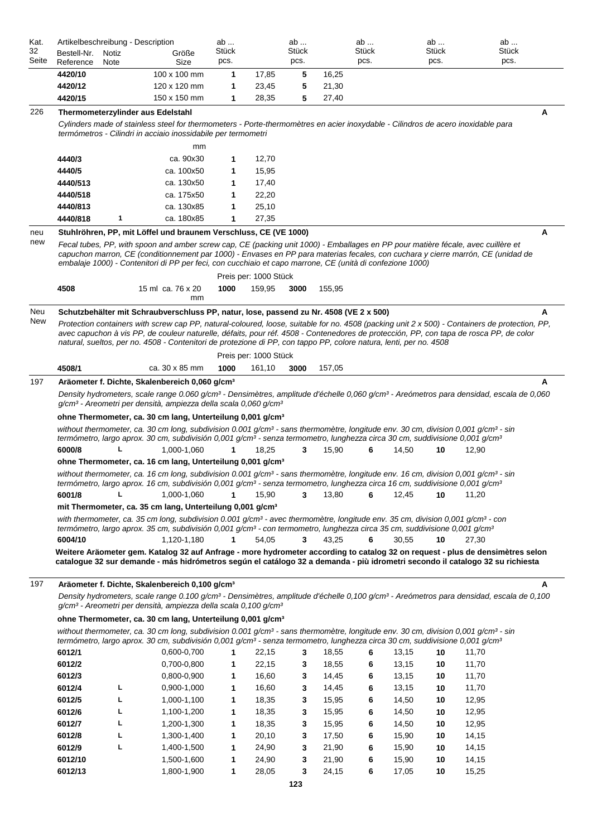| Kat.<br>32        | Artikelbeschreibung - Description<br>Bestell-Nr.<br>Notiz                                                                                      | Größe                                                                                                                                                                                                                                                                                                                                                                                      | ab<br>Stück |                       | ab<br>Stück |        | ab<br>Stück |       | ab<br>Stück | ab<br>Stück |        |
|-------------------|------------------------------------------------------------------------------------------------------------------------------------------------|--------------------------------------------------------------------------------------------------------------------------------------------------------------------------------------------------------------------------------------------------------------------------------------------------------------------------------------------------------------------------------------------|-------------|-----------------------|-------------|--------|-------------|-------|-------------|-------------|--------|
| Seite             | Reference<br>Note                                                                                                                              | Size                                                                                                                                                                                                                                                                                                                                                                                       | pcs.        |                       | pcs.        |        | pcs.        |       | pcs.        | pcs.        |        |
|                   | 4420/10                                                                                                                                        | 100 x 100 mm                                                                                                                                                                                                                                                                                                                                                                               | 1           | 17,85                 | 5           | 16,25  |             |       |             |             |        |
|                   | 4420/12                                                                                                                                        | 120 x 120 mm                                                                                                                                                                                                                                                                                                                                                                               | 1           | 23,45                 | 5           | 21,30  |             |       |             |             |        |
|                   | 4420/15                                                                                                                                        | 150 x 150 mm                                                                                                                                                                                                                                                                                                                                                                               | 1           | 28,35                 | 5           | 27,40  |             |       |             |             |        |
| 226               | Thermometerzylinder aus Edelstahl                                                                                                              |                                                                                                                                                                                                                                                                                                                                                                                            |             |                       |             |        |             |       |             |             | Α      |
|                   |                                                                                                                                                | Cylinders made of stainless steel for thermometers - Porte-thermomètres en acier inoxydable - Cilindros de acero inoxidable para<br>termómetros - Cilindri in acciaio inossidabile per termometri                                                                                                                                                                                          |             |                       |             |        |             |       |             |             |        |
|                   |                                                                                                                                                | mm<br>ca. 90x30                                                                                                                                                                                                                                                                                                                                                                            |             |                       |             |        |             |       |             |             |        |
|                   | 4440/3<br>4440/5                                                                                                                               | ca. 100x50                                                                                                                                                                                                                                                                                                                                                                                 | 1<br>1      | 12,70<br>15,95        |             |        |             |       |             |             |        |
|                   | 4440/513                                                                                                                                       | ca. 130x50                                                                                                                                                                                                                                                                                                                                                                                 | 1           | 17,40                 |             |        |             |       |             |             |        |
|                   | 4440/518                                                                                                                                       | ca. 175x50                                                                                                                                                                                                                                                                                                                                                                                 | 1           | 22,20                 |             |        |             |       |             |             |        |
|                   | 4440/813                                                                                                                                       | ca. 130x85                                                                                                                                                                                                                                                                                                                                                                                 | 1           | 25,10                 |             |        |             |       |             |             |        |
|                   | 4440/818<br>1                                                                                                                                  | ca. 180x85                                                                                                                                                                                                                                                                                                                                                                                 | 1           | 27,35                 |             |        |             |       |             |             |        |
|                   |                                                                                                                                                |                                                                                                                                                                                                                                                                                                                                                                                            |             |                       |             |        |             |       |             |             | А      |
| neu<br>new        |                                                                                                                                                | Stuhlröhren, PP, mit Löffel und braunem Verschluss, CE (VE 1000)                                                                                                                                                                                                                                                                                                                           |             |                       |             |        |             |       |             |             |        |
|                   |                                                                                                                                                | Fecal tubes, PP, with spoon and amber screw cap, CE (packing unit 1000) - Emballages en PP pour matière fécale, avec cuillère et<br>capuchon marron, CE (conditionnement par 1000) - Envases en PP para materias fecales, con cuchara y cierre marrón, CE (unidad de                                                                                                                       |             |                       |             |        |             |       |             |             |        |
|                   |                                                                                                                                                | embalaje 1000) - Contenitori di PP per feci, con cucchiaio et capo marrone, CE (unità di confezione 1000)                                                                                                                                                                                                                                                                                  |             | Preis per: 1000 Stück |             |        |             |       |             |             |        |
|                   | 4508                                                                                                                                           | 15 ml ca. 76 x 20                                                                                                                                                                                                                                                                                                                                                                          | 1000        | 159,95                | 3000        | 155,95 |             |       |             |             |        |
|                   |                                                                                                                                                | mm                                                                                                                                                                                                                                                                                                                                                                                         |             |                       |             |        |             |       |             |             |        |
| Neu               |                                                                                                                                                | Schutzbehälter mit Schraubverschluss PP, natur, lose, passend zu Nr. 4508 (VE 2 x 500)                                                                                                                                                                                                                                                                                                     |             |                       |             |        |             |       |             |             |        |
|                   | Protection containers with screw cap PP, natural-coloured, loose, suitable for no. 4508 (packing unit 2 x 500) - Containers de protection, PP, | avec capuchon à vis PP, de couleur naturelle, défaits, pour réf. 4508 - Contenedores de protección, PP, con tapa de rosca PP, de color<br>natural, sueltos, per no. 4508 - Contenitori de protezione di PP, con tappo PP, colore natura, lenti, per no. 4508                                                                                                                               |             |                       |             |        |             |       |             |             |        |
|                   |                                                                                                                                                |                                                                                                                                                                                                                                                                                                                                                                                            |             | Preis per: 1000 Stück |             |        |             |       |             |             |        |
|                   | 4508/1                                                                                                                                         | ca. 30 x 85 mm                                                                                                                                                                                                                                                                                                                                                                             | 1000        | 161,10                | 3000        | 157,05 |             |       |             |             |        |
|                   |                                                                                                                                                | Aräometer f. Dichte, Skalenbereich 0,060 g/cm <sup>3</sup><br>Density hydrometers, scale range 0.060 g/cm <sup>3</sup> - Densimètres, amplitude d'échelle 0,060 g/cm <sup>3</sup> - Areómetros para densidad, escala de 0,060<br>g/cm <sup>3</sup> - Areometri per densità, ampiezza della scala 0,060 g/cm <sup>3</sup>                                                                   |             |                       |             |        |             |       |             |             |        |
|                   |                                                                                                                                                | ohne Thermometer, ca. 30 cm lang, Unterteilung 0,001 g/cm <sup>3</sup>                                                                                                                                                                                                                                                                                                                     |             |                       |             |        |             |       |             |             |        |
|                   |                                                                                                                                                | without thermometer, ca. 30 cm long, subdivision 0.001 g/cm <sup>3</sup> - sans thermomètre, longitude env. 30 cm, division 0,001 g/cm <sup>3</sup> - sin<br>termómetro, largo aprox. 30 cm, subdivisión 0,001 g/cm <sup>3</sup> - senza termometro, lunghezza circa 30 cm, suddivisione 0,001 g/cm <sup>3</sup>                                                                           | 1           |                       |             |        |             |       |             |             |        |
|                   | 6000/8                                                                                                                                         | 1,000-1,060                                                                                                                                                                                                                                                                                                                                                                                |             | 18,25                 | 3           | 15,90  | 6           | 14,50 | 10          | 12,90       |        |
|                   |                                                                                                                                                | ohne Thermometer, ca. 16 cm lang, Unterteilung 0,001 g/cm <sup>3</sup><br>without thermometer, ca. 16 cm long, subdivision 0.001 g/cm <sup>3</sup> - sans thermomètre, longitude env. 16 cm, division 0,001 g/cm <sup>3</sup> - sin<br>termómetro, largo aprox. 16 cm, subdivisión 0,001 g/cm <sup>3</sup> - senza termometro, lunghezza circa 16 cm, suddivisione 0,001 g/cm <sup>3</sup> |             |                       |             |        |             |       |             |             |        |
|                   | 6001/8                                                                                                                                         | 1,000-1,060                                                                                                                                                                                                                                                                                                                                                                                | 1           | 15,90                 | 3           | 13,80  | 6           | 12.45 | 10          | 11,20       |        |
|                   |                                                                                                                                                | mit Thermometer, ca. 35 cm lang, Unterteilung 0,001 g/cm <sup>3</sup>                                                                                                                                                                                                                                                                                                                      |             |                       |             |        |             |       |             |             |        |
|                   |                                                                                                                                                | with thermometer, ca. 35 cm long, subdivision 0.001 g/cm <sup>3</sup> - avec thermomètre, longitude env. 35 cm, division 0,001 g/cm <sup>3</sup> - con                                                                                                                                                                                                                                     |             |                       |             |        |             |       |             |             |        |
|                   |                                                                                                                                                | termómetro, largo aprox. 35 cm, subdivisión 0,001 g/cm <sup>3</sup> - con termometro, lunghezza circa 35 cm, suddivisione 0,001 g/cm <sup>3</sup>                                                                                                                                                                                                                                          |             |                       |             |        |             |       |             |             |        |
|                   | 6004/10                                                                                                                                        | 1,120-1,180                                                                                                                                                                                                                                                                                                                                                                                | 1           | 54,05                 | 3           | 43,25  | 6           | 30,55 | 10          | 27,30       |        |
|                   |                                                                                                                                                | Weitere Aräometer gem. Katalog 32 auf Anfrage - more hydrometer according to catalog 32 on request - plus de densimètres selon<br>cataloque 32 sur demande - más hidrómetros según el catálogo 32 a demanda - più idrometri secondo il catalogo 32 su richiesta                                                                                                                            |             |                       |             |        |             |       |             |             |        |
|                   |                                                                                                                                                | Aräometer f. Dichte, Skalenbereich 0,100 g/cm <sup>3</sup>                                                                                                                                                                                                                                                                                                                                 |             |                       |             |        |             |       |             |             |        |
|                   |                                                                                                                                                | Density hydrometers, scale range 0.100 g/cm <sup>3</sup> - Densimètres, amplitude d'échelle 0,100 g/cm <sup>3</sup> - Areómetros para densidad, escala de 0,100<br>g/cm <sup>3</sup> - Areometri per densità, ampiezza della scala 0,100 g/cm <sup>3</sup>                                                                                                                                 |             |                       |             |        |             |       |             |             |        |
|                   |                                                                                                                                                | ohne Thermometer, ca. 30 cm lang, Unterteilung 0,001 g/cm <sup>3</sup>                                                                                                                                                                                                                                                                                                                     |             |                       |             |        |             |       |             |             |        |
|                   |                                                                                                                                                | without thermometer, ca. 30 cm long, subdivision 0.001 g/cm <sup>3</sup> - sans thermomètre, longitude env. 30 cm, division 0,001 g/cm <sup>3</sup> - sin<br>termómetro, largo aprox. 30 cm, subdivisión 0,001 g/cm <sup>3</sup> - senza termometro, lunghezza circa 30 cm, suddivisione 0,001 g/cm <sup>3</sup>                                                                           |             |                       |             |        |             |       |             |             |        |
|                   | 6012/1                                                                                                                                         | 0,600-0,700                                                                                                                                                                                                                                                                                                                                                                                | 1           | 22,15                 | 3           | 18,55  | 6           | 13,15 | 10          | 11,70       |        |
| New<br>197<br>197 | 6012/2                                                                                                                                         | 0,700-0,800                                                                                                                                                                                                                                                                                                                                                                                | 1           | 22,15                 | 3           | 18,55  | 6           | 13,15 | 10          | 11,70       | A<br>Α |

| 6012/2  |   | 0,700-0,800 | 1 | 22,15 | 3 | 18,55 | 6 | 13,15 | 10 | 11,70 |
|---------|---|-------------|---|-------|---|-------|---|-------|----|-------|
| 6012/3  |   | 0,800-0,900 | 1 | 16,60 | 3 | 14,45 | 6 | 13,15 | 10 | 11,70 |
| 6012/4  |   | 0,900-1,000 | 1 | 16,60 | 3 | 14,45 | 6 | 13,15 | 10 | 11,70 |
| 6012/5  | ┗ | 1,000-1,100 | 1 | 18,35 | 3 | 15,95 | 6 | 14,50 | 10 | 12,95 |
| 6012/6  | ┗ | 1,100-1,200 | 1 | 18,35 | 3 | 15,95 | 6 | 14,50 | 10 | 12,95 |
| 6012/7  |   | 1,200-1,300 | 1 | 18,35 | 3 | 15,95 | 6 | 14,50 | 10 | 12,95 |
| 6012/8  | ┗ | 1,300-1,400 | 1 | 20,10 | 3 | 17,50 | 6 | 15,90 | 10 | 14,15 |
| 6012/9  |   | 1,400-1,500 | 1 | 24,90 | 3 | 21,90 | 6 | 15,90 | 10 | 14,15 |
| 6012/10 |   | 1,500-1,600 | 1 | 24,90 | 3 | 21,90 | 6 | 15,90 | 10 | 14,15 |
| 6012/13 |   | 1.800-1.900 | 1 | 28,05 | 3 | 24,15 | 6 | 17,05 | 10 | 15,25 |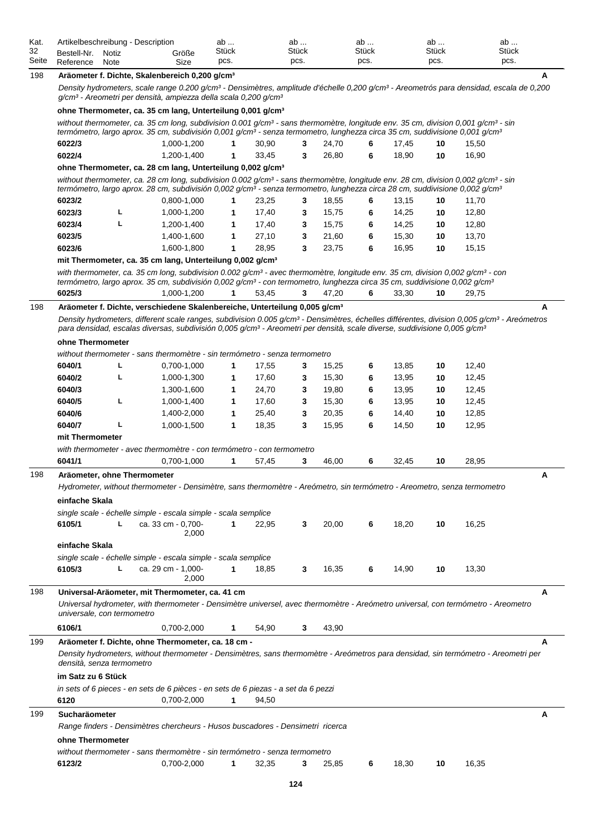| Kat.<br>32 | Bestell-Nr.                | Notiz | Artikelbeschreibung - Description<br>Größe                                                                                                                                                                                                                                                                                                                                                                         | ab<br>Stück |                | ab<br><b>Stück</b> |                | ab<br><b>Stück</b> |                | ab<br><b>Stück</b> | ab<br><b>Stück</b> |   |
|------------|----------------------------|-------|--------------------------------------------------------------------------------------------------------------------------------------------------------------------------------------------------------------------------------------------------------------------------------------------------------------------------------------------------------------------------------------------------------------------|-------------|----------------|--------------------|----------------|--------------------|----------------|--------------------|--------------------|---|
| Seite      | Reference                  | Note  | Size                                                                                                                                                                                                                                                                                                                                                                                                               | pcs.        |                | pcs.               |                | pcs.               |                | pcs.               | pcs.               |   |
| 198        |                            |       | Aräometer f. Dichte, Skalenbereich 0,200 g/cm <sup>3</sup><br>Density hydrometers, scale range 0.200 g/cm <sup>3</sup> - Densimètres, amplitude d'échelle 0,200 g/cm <sup>3</sup> - Areometrós para densidad, escala de 0,200<br>g/cm <sup>3</sup> - Areometri per densità, ampiezza della scala 0,200 g/cm <sup>3</sup>                                                                                           |             |                |                    |                |                    |                |                    |                    | A |
|            |                            |       |                                                                                                                                                                                                                                                                                                                                                                                                                    |             |                |                    |                |                    |                |                    |                    |   |
|            |                            |       | ohne Thermometer, ca. 35 cm lang, Unterteilung 0,001 g/cm <sup>3</sup><br>without thermometer, ca. 35 cm long, subdivision 0.001 g/cm <sup>3</sup> - sans thermomètre, longitude env. 35 cm, division 0,001 g/cm <sup>3</sup> - sin<br>termómetro, largo aprox. 35 cm, subdivisión 0,001 g/cm <sup>3</sup> - senza termometro, lunghezza circa 35 cm, suddivisione 0,001 g/cm <sup>3</sup>                         |             |                |                    |                |                    |                |                    |                    |   |
|            | 6022/3                     |       | 1,000-1,200                                                                                                                                                                                                                                                                                                                                                                                                        | 1           | 30,90          | 3                  | 24,70          | 6                  | 17,45          | 10                 | 15,50              |   |
|            | 6022/4                     |       | 1,200-1,400                                                                                                                                                                                                                                                                                                                                                                                                        | 1           | 33,45          | 3                  | 26,80          | 6                  | 18,90          | 10                 | 16,90              |   |
|            |                            |       | ohne Thermometer, ca. 28 cm lang, Unterteilung 0,002 g/cm <sup>3</sup>                                                                                                                                                                                                                                                                                                                                             |             |                |                    |                |                    |                |                    |                    |   |
|            |                            |       | without thermometer, ca. 28 cm long, subdivision 0.002 $q/cm^3$ - sans thermomètre, longitude env. 28 cm, division 0,002 $q/cm^3$ - sin<br>termómetro, largo aprox. 28 cm, subdivisión 0,002 g/cm <sup>3</sup> - senza termometro, lunghezza circa 28 cm, suddivisione 0,002 g/cm <sup>3</sup>                                                                                                                     |             |                |                    |                |                    |                |                    |                    |   |
|            | 6023/2                     |       | 0,800-1,000                                                                                                                                                                                                                                                                                                                                                                                                        | 1           | 23,25          | 3                  | 18,55          | 6                  | 13,15          | 10                 | 11,70              |   |
|            | 6023/3                     | г     | 1,000-1,200                                                                                                                                                                                                                                                                                                                                                                                                        | 1           | 17,40          | 3                  | 15,75          | 6                  | 14,25          | 10                 | 12,80              |   |
|            | 6023/4                     | L     | 1,200-1,400                                                                                                                                                                                                                                                                                                                                                                                                        | 1           | 17,40          | 3                  | 15,75          | 6                  | 14,25          | 10                 | 12,80              |   |
|            | 6023/5                     |       | 1,400-1,600                                                                                                                                                                                                                                                                                                                                                                                                        | 1           | 27,10          | 3                  | 21,60          | 6                  | 15,30          | 10                 | 13,70              |   |
|            | 6023/6                     |       | 1.600-1.800                                                                                                                                                                                                                                                                                                                                                                                                        | 1           | 28,95          | 3                  | 23,75          | 6                  | 16,95          | 10                 | 15,15              |   |
|            |                            |       | mit Thermometer, ca. 35 cm lang, Unterteilung 0,002 g/cm <sup>3</sup>                                                                                                                                                                                                                                                                                                                                              |             |                |                    |                |                    |                |                    |                    |   |
|            |                            |       | with thermometer, ca. 35 cm long, subdivision 0.002 g/cm <sup>3</sup> - avec thermomètre, longitude env. 35 cm, division 0,002 g/cm <sup>3</sup> - con<br>termómetro, largo aprox. 35 cm, subdivisión 0,002 g/cm <sup>3</sup> - con termometro, lunghezza circa 35 cm, suddivisione 0,002 g/cm <sup>3</sup>                                                                                                        |             |                |                    |                |                    |                |                    |                    |   |
|            | 6025/3                     |       | 1,000-1,200                                                                                                                                                                                                                                                                                                                                                                                                        |             | 53,45          | 3                  | 47,20          | 6                  | 33,30          | 10                 | 29,75              |   |
| 198        |                            |       | Aräometer f. Dichte, verschiedene Skalenbereiche, Unterteilung 0,005 g/cm <sup>3</sup><br>Density hydrometers, different scale ranges, subdivision 0.005 g/cm <sup>3</sup> - Densimètres, échelles différentes, division 0,005 g/cm <sup>3</sup> - Areómetros<br>para densidad, escalas diversas, subdivisión 0,005 g/cm <sup>3</sup> - Areometri per densità, scale diverse, suddivisione 0,005 g/cm <sup>3</sup> |             |                |                    |                |                    |                |                    |                    | A |
|            | ohne Thermometer           |       |                                                                                                                                                                                                                                                                                                                                                                                                                    |             |                |                    |                |                    |                |                    |                    |   |
|            |                            |       |                                                                                                                                                                                                                                                                                                                                                                                                                    |             |                |                    |                |                    |                |                    |                    |   |
|            | 6040/1                     | L     | without thermometer - sans thermomètre - sin termómetro - senza termometro                                                                                                                                                                                                                                                                                                                                         | 1           |                |                    |                |                    |                |                    | 12,40              |   |
|            | 6040/2                     | г     | 0,700-1,000                                                                                                                                                                                                                                                                                                                                                                                                        |             | 17,55<br>17,60 | 3                  | 15,25<br>15,30 | 6                  | 13,85<br>13,95 | 10                 | 12,45              |   |
|            | 6040/3                     |       | 1,000-1,300                                                                                                                                                                                                                                                                                                                                                                                                        | 1           | 24,70          | 3                  | 19,80          | 6                  | 13,95          | 10                 |                    |   |
|            | 6040/5                     | г     | 1,300-1,600                                                                                                                                                                                                                                                                                                                                                                                                        | 1           | 17,60          | 3                  | 15,30          | 6                  | 13,95          | 10                 | 12,45              |   |
|            |                            |       | 1,000-1,400                                                                                                                                                                                                                                                                                                                                                                                                        | 1           |                | 3                  |                | 6                  |                | 10                 | 12,45              |   |
|            | 6040/6<br>6040/7           | г     | 1,400-2,000                                                                                                                                                                                                                                                                                                                                                                                                        | 1           | 25,40          | 3                  | 20,35          | 6                  | 14,40          | 10                 | 12,85              |   |
|            |                            |       | 1,000-1,500                                                                                                                                                                                                                                                                                                                                                                                                        | 1           | 18,35          | 3                  | 15,95          | 6                  | 14,50          | 10                 | 12,95              |   |
|            | mit Thermometer            |       |                                                                                                                                                                                                                                                                                                                                                                                                                    |             |                |                    |                |                    |                |                    |                    |   |
|            | 6041/1                     |       | with thermometer - avec thermomètre - con termómetro - con termometro<br>0,700-1,000                                                                                                                                                                                                                                                                                                                               | 1           | 57,45          | 3                  | 46,00          | 6                  | 32,45          | 10                 | 28,95              |   |
|            |                            |       |                                                                                                                                                                                                                                                                                                                                                                                                                    |             |                |                    |                |                    |                |                    |                    |   |
| 198        |                            |       | Aräometer, ohne Thermometer                                                                                                                                                                                                                                                                                                                                                                                        |             |                |                    |                |                    |                |                    |                    | Α |
|            | einfache Skala             |       | Hydrometer, without thermometer - Densimètre, sans thermomètre - Areómetro, sin termómetro - Areometro, senza termometro                                                                                                                                                                                                                                                                                           |             |                |                    |                |                    |                |                    |                    |   |
|            |                            |       |                                                                                                                                                                                                                                                                                                                                                                                                                    |             |                |                    |                |                    |                |                    |                    |   |
|            | 6105/1                     | L     | single scale - échelle simple - escala simple - scala semplice<br>ca. 33 cm - 0,700-                                                                                                                                                                                                                                                                                                                               | 1           | 22,95          | 3                  | 20,00          | 6                  | 18,20          | 10                 | 16,25              |   |
|            |                            |       | 2,000                                                                                                                                                                                                                                                                                                                                                                                                              |             |                |                    |                |                    |                |                    |                    |   |
|            | einfache Skala             |       |                                                                                                                                                                                                                                                                                                                                                                                                                    |             |                |                    |                |                    |                |                    |                    |   |
|            |                            |       | single scale - échelle simple - escala simple - scala semplice                                                                                                                                                                                                                                                                                                                                                     |             |                |                    |                |                    |                |                    |                    |   |
|            | 6105/3                     | г     | ca. 29 cm - 1,000-<br>2,000                                                                                                                                                                                                                                                                                                                                                                                        | 1           | 18,85          | 3                  | 16,35          | 6                  | 14,90          | 10                 | 13,30              |   |
| 198        |                            |       | Universal-Aräometer, mit Thermometer, ca. 41 cm                                                                                                                                                                                                                                                                                                                                                                    |             |                |                    |                |                    |                |                    |                    | A |
|            | universale, con termometro |       | Universal hydrometer, with thermometer - Densimètre universel, avec thermomètre - Areómetro universal, con termómetro - Areometro                                                                                                                                                                                                                                                                                  |             |                |                    |                |                    |                |                    |                    |   |
|            | 6106/1                     |       | 0,700-2,000                                                                                                                                                                                                                                                                                                                                                                                                        | 1           | 54,90          | 3                  | 43,90          |                    |                |                    |                    |   |
| 199        |                            |       | Aräometer f. Dichte, ohne Thermometer, ca. 18 cm -                                                                                                                                                                                                                                                                                                                                                                 |             |                |                    |                |                    |                |                    |                    | A |
|            | densità, senza termometro  |       | Density hydrometers, without thermometer - Densimètres, sans thermomètre - Areómetros para densidad, sin termómetro - Areometri per                                                                                                                                                                                                                                                                                |             |                |                    |                |                    |                |                    |                    |   |
|            | im Satz zu 6 Stück         |       |                                                                                                                                                                                                                                                                                                                                                                                                                    |             |                |                    |                |                    |                |                    |                    |   |
|            | 6120                       |       | in sets of 6 pieces - en sets de 6 pièces - en sets de 6 piezas - a set da 6 pezzi<br>0,700-2,000                                                                                                                                                                                                                                                                                                                  | 1           | 94,50          |                    |                |                    |                |                    |                    |   |
| 199        | Sucharäometer              |       |                                                                                                                                                                                                                                                                                                                                                                                                                    |             |                |                    |                |                    |                |                    |                    | А |
|            |                            |       | Range finders - Densimètres chercheurs - Husos buscadores - Densimetri ricerca                                                                                                                                                                                                                                                                                                                                     |             |                |                    |                |                    |                |                    |                    |   |
|            | ohne Thermometer           |       |                                                                                                                                                                                                                                                                                                                                                                                                                    |             |                |                    |                |                    |                |                    |                    |   |
|            |                            |       | without thermometer - sans thermomètre - sin termómetro - senza termometro                                                                                                                                                                                                                                                                                                                                         |             |                |                    |                |                    |                |                    |                    |   |
|            | 6123/2                     |       | 0,700-2,000                                                                                                                                                                                                                                                                                                                                                                                                        | 1           | 32,35          | 3                  | 25,85          | 6                  | 18,30          | 10                 | 16,35              |   |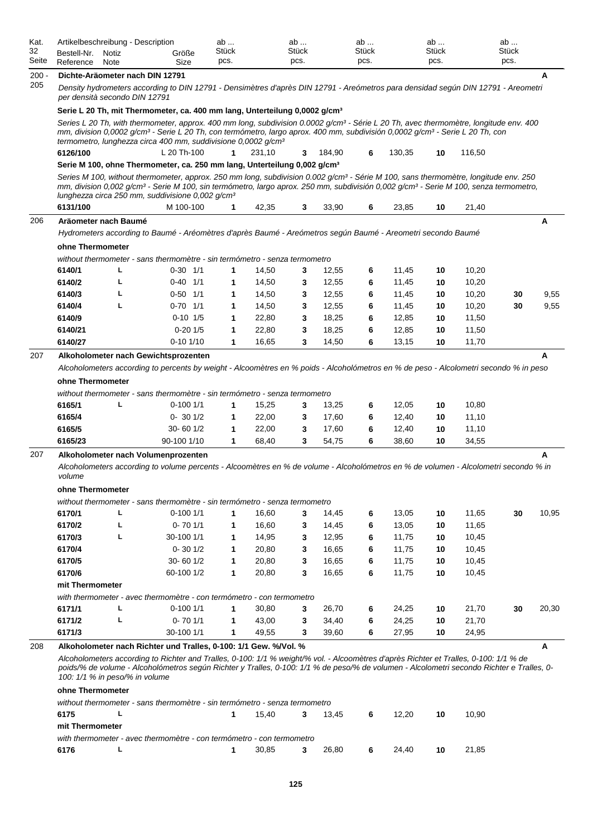| Kat.<br>32<br>Seite | Artikelbeschreibung - Description<br>Bestell-Nr.<br>Reference | Notiz<br>Note | Größe<br>Size                                                                                                                                                                                                                                                                                                                                                                                                                                                            | ab<br>Stück<br>pcs. |                | ab<br><b>Stück</b><br>pcs. |                | ab<br><b>Stück</b><br>pcs. |                | ab<br><b>Stück</b><br>pcs. |                | ab<br><b>Stück</b><br>pcs. |       |
|---------------------|---------------------------------------------------------------|---------------|--------------------------------------------------------------------------------------------------------------------------------------------------------------------------------------------------------------------------------------------------------------------------------------------------------------------------------------------------------------------------------------------------------------------------------------------------------------------------|---------------------|----------------|----------------------------|----------------|----------------------------|----------------|----------------------------|----------------|----------------------------|-------|
| $200 -$             | Dichte-Aräometer nach DIN 12791                               |               |                                                                                                                                                                                                                                                                                                                                                                                                                                                                          |                     |                |                            |                |                            |                |                            |                |                            | A     |
| 205                 | per densità secondo DIN 12791                                 |               | Density hydrometers according to DIN 12791 - Densimètres d'après DIN 12791 - Areómetros para densidad según DIN 12791 - Areometri                                                                                                                                                                                                                                                                                                                                        |                     |                |                            |                |                            |                |                            |                |                            |       |
|                     |                                                               |               | Serie L 20 Th, mit Thermometer, ca. 400 mm lang, Unterteilung 0,0002 g/cm <sup>3</sup>                                                                                                                                                                                                                                                                                                                                                                                   |                     |                |                            |                |                            |                |                            |                |                            |       |
|                     |                                                               |               | Series L 20 Th, with thermometer, approx. 400 mm long, subdivision 0.0002 g/cm <sup>3</sup> - Série L 20 Th, avec thermomètre, longitude env. 400<br>mm, division 0,0002 g/cm <sup>3</sup> - Serie L 20 Th, con termómetro, largo aprox. 400 mm, subdivisión 0,0002 g/cm <sup>3</sup> - Serie L 20 Th, con<br>termometro, lunghezza circa 400 mm, suddivisione 0,0002 g/cm <sup>3</sup>                                                                                  |                     |                |                            |                |                            |                |                            |                |                            |       |
|                     | 6126/100                                                      |               | L 20 Th-100                                                                                                                                                                                                                                                                                                                                                                                                                                                              | 1                   | 231,10         | 3                          | 184.90         | 6                          | 130,35         | 10                         | 116,50         |                            |       |
|                     |                                                               |               | Serie M 100, ohne Thermometer, ca. 250 mm lang, Unterteilung 0,002 g/cm <sup>3</sup><br>Series M 100, without thermometer, approx. 250 mm long, subdivision 0.002 g/cm <sup>3</sup> - Série M 100, sans thermomètre, longitude env. 250<br>mm, division 0,002 g/cm <sup>3</sup> - Serie M 100, sin termómetro, largo aprox. 250 mm, subdivisión 0,002 g/cm <sup>3</sup> - Serie M 100, senza termometro,<br>lunghezza circa 250 mm, suddivisione 0,002 g/cm <sup>3</sup> |                     |                |                            |                |                            |                |                            |                |                            |       |
|                     | 6131/100                                                      |               | M 100-100                                                                                                                                                                                                                                                                                                                                                                                                                                                                | 1                   | 42,35          | 3                          | 33,90          | 6                          | 23,85          | 10                         | 21,40          |                            |       |
| 206                 | Aräometer nach Baumé                                          |               |                                                                                                                                                                                                                                                                                                                                                                                                                                                                          |                     |                |                            |                |                            |                |                            |                |                            | A     |
|                     |                                                               |               | Hydrometers according to Baumé - Aréomètres d'après Baumé - Areómetros según Baumé - Areometri secondo Baumé                                                                                                                                                                                                                                                                                                                                                             |                     |                |                            |                |                            |                |                            |                |                            |       |
|                     | ohne Thermometer                                              |               |                                                                                                                                                                                                                                                                                                                                                                                                                                                                          |                     |                |                            |                |                            |                |                            |                |                            |       |
|                     |                                                               |               | without thermometer - sans thermomètre - sin termómetro - senza termometro                                                                                                                                                                                                                                                                                                                                                                                               |                     |                |                            |                |                            |                |                            |                |                            |       |
|                     | 6140/1                                                        | г             | $0-30$ $1/1$                                                                                                                                                                                                                                                                                                                                                                                                                                                             | 1                   | 14,50          | 3                          | 12,55          | 6                          | 11,45          | 10                         | 10,20          |                            |       |
|                     | 6140/2                                                        | L             | $0-40$ $1/1$                                                                                                                                                                                                                                                                                                                                                                                                                                                             | 1                   | 14,50          | 3                          | 12,55          | 6                          | 11,45          | 10                         | 10,20          |                            |       |
|                     | 6140/3                                                        | L             | $0-50$ $1/1$                                                                                                                                                                                                                                                                                                                                                                                                                                                             | 1                   | 14,50          | 3                          | 12,55          | 6                          | 11,45          | 10                         | 10,20          | 30                         | 9,55  |
|                     | 6140/4                                                        | L             | $0-70$ 1/1                                                                                                                                                                                                                                                                                                                                                                                                                                                               | 1                   | 14,50          | 3                          | 12,55          | 6                          | 11,45          | 10                         | 10,20          | 30                         | 9,55  |
|                     | 6140/9                                                        |               | $0-10$ $1/5$                                                                                                                                                                                                                                                                                                                                                                                                                                                             | 1                   | 22,80          | 3                          | 18,25          | 6                          | 12,85          | 10                         | 11,50          |                            |       |
|                     | 6140/21                                                       |               | $0-20$ 1/5                                                                                                                                                                                                                                                                                                                                                                                                                                                               | 1                   | 22,80          | 3                          | 18,25          | 6                          | 12,85          | 10                         | 11,50          |                            |       |
|                     | 6140/27                                                       |               | $0-10$ $1/10$                                                                                                                                                                                                                                                                                                                                                                                                                                                            | 1                   | 16,65          | 3                          | 14,50          | 6                          | 13,15          | 10                         | 11,70          |                            |       |
| 207                 |                                                               |               | Alkoholometer nach Gewichtsprozenten                                                                                                                                                                                                                                                                                                                                                                                                                                     |                     |                |                            |                |                            |                |                            |                |                            | A     |
|                     | ohne Thermometer                                              |               | Alcoholometers according to percents by weight - Alcoomètres en % poids - Alcoholómetros en % de peso - Alcolometri secondo % in peso                                                                                                                                                                                                                                                                                                                                    |                     |                |                            |                |                            |                |                            |                |                            |       |
|                     |                                                               |               | without thermometer - sans thermomètre - sin termómetro - senza termometro                                                                                                                                                                                                                                                                                                                                                                                               |                     |                |                            |                |                            |                |                            |                |                            |       |
|                     | 6165/1                                                        | L             | $0-1001/1$                                                                                                                                                                                                                                                                                                                                                                                                                                                               | 1                   | 15,25          | 3                          | 13,25          | 6                          | 12,05          | 10                         | 10,80          |                            |       |
|                     | 6165/4                                                        |               | $0 - 301/2$                                                                                                                                                                                                                                                                                                                                                                                                                                                              | 1                   | 22,00          | 3                          | 17,60          | 6                          | 12,40          | 10                         | 11,10          |                            |       |
|                     | 6165/5<br>6165/23                                             |               | $30 - 601/2$<br>90-100 1/10                                                                                                                                                                                                                                                                                                                                                                                                                                              | 1<br>1              | 22,00<br>68,40 | 3<br>3                     | 17,60<br>54,75 | 6<br>6                     | 12,40<br>38,60 | 10<br>10                   | 11,10<br>34,55 |                            |       |
|                     |                                                               |               |                                                                                                                                                                                                                                                                                                                                                                                                                                                                          |                     |                |                            |                |                            |                |                            |                |                            |       |
| 207                 | volume                                                        |               | Alkoholometer nach Volumenprozenten<br>Alcoholometers according to volume percents - Alcoomètres en % de volume - Alcoholómetros en % de volumen - Alcolometri secondo % in                                                                                                                                                                                                                                                                                              |                     |                |                            |                |                            |                |                            |                |                            | A     |
|                     | ohne Thermometer                                              |               |                                                                                                                                                                                                                                                                                                                                                                                                                                                                          |                     |                |                            |                |                            |                |                            |                |                            |       |
|                     |                                                               |               | without thermometer - sans thermomètre - sin termómetro - senza termometro                                                                                                                                                                                                                                                                                                                                                                                               |                     |                |                            |                |                            |                |                            |                |                            |       |
|                     | 6170/1                                                        | L             | $0-1001/1$                                                                                                                                                                                                                                                                                                                                                                                                                                                               | 1                   | 16,60          | 3                          | 14,45          | 6                          | 13,05          | 10                         | 11,65          | 30                         | 10,95 |
|                     | 6170/2                                                        | г             | $0 - 701/1$                                                                                                                                                                                                                                                                                                                                                                                                                                                              | 1                   | 16,60          | 3                          | 14,45          | 6                          | 13,05          | 10                         | 11,65          |                            |       |
|                     | 6170/3                                                        | г             | 30-100 1/1                                                                                                                                                                                                                                                                                                                                                                                                                                                               | 1                   | 14,95          | 3                          | 12,95          | 6                          | 11,75          | 10                         | 10,45          |                            |       |
|                     | 6170/4                                                        |               | $0 - 301/2$                                                                                                                                                                                                                                                                                                                                                                                                                                                              | $\mathbf{1}$        | 20,80          | 3                          | 16,65          | 6                          | 11,75          | 10                         | 10,45          |                            |       |
|                     | 6170/5                                                        |               | 30-60 1/2                                                                                                                                                                                                                                                                                                                                                                                                                                                                | 1                   | 20,80          | 3                          | 16,65          | 6                          | 11,75          | 10                         | 10,45          |                            |       |
|                     | 6170/6                                                        |               | 60-100 1/2                                                                                                                                                                                                                                                                                                                                                                                                                                                               | 1                   | 20,80          | 3                          | 16,65          | 6                          | 11,75          | 10                         | 10,45          |                            |       |
|                     | mit Thermometer                                               |               |                                                                                                                                                                                                                                                                                                                                                                                                                                                                          |                     |                |                            |                |                            |                |                            |                |                            |       |
|                     |                                                               |               | with thermometer - avec thermomètre - con termómetro - con termometro                                                                                                                                                                                                                                                                                                                                                                                                    |                     |                |                            |                |                            |                |                            |                |                            |       |
|                     | 6171/1                                                        | L             | $0-1001/1$                                                                                                                                                                                                                                                                                                                                                                                                                                                               | 1                   | 30,80          | 3                          | 26,70          | 6                          | 24,25          | 10                         | 21,70          | 30                         | 20,30 |
|                     | 6171/2                                                        | г             | $0 - 701/1$                                                                                                                                                                                                                                                                                                                                                                                                                                                              | 1                   | 43,00          | 3                          | 34,40          | 6                          | 24,25          | 10                         | 21,70          |                            |       |
|                     | 6171/3                                                        |               | 30-100 1/1                                                                                                                                                                                                                                                                                                                                                                                                                                                               | $\mathbf{1}$        | 49,55          | 3                          | 39,60          | 6                          | 27,95          | 10                         | 24,95          |                            |       |
| 208                 |                                                               |               | Alkoholometer nach Richter und Tralles, 0-100: 1/1 Gew. %/Vol. %                                                                                                                                                                                                                                                                                                                                                                                                         |                     |                |                            |                |                            |                |                            |                |                            | A     |
|                     | 100: 1/1 % in peso/% in volume                                |               | Alcoholometers according to Richter and Tralles, 0-100: 1/1 % weight/% vol. - Alcoomètres d'après Richter et Tralles, 0-100: 1/1 % de<br>poids/% de volume - Alcoholómetros según Richter y Tralles, 0-100: 1/1 % de peso/% de volumen - Alcolometri secondo Richter e Tralles, 0-                                                                                                                                                                                       |                     |                |                            |                |                            |                |                            |                |                            |       |
|                     | ohne Thermometer                                              |               |                                                                                                                                                                                                                                                                                                                                                                                                                                                                          |                     |                |                            |                |                            |                |                            |                |                            |       |
|                     | 6175                                                          |               | without thermometer - sans thermomètre - sin termómetro - senza termometro                                                                                                                                                                                                                                                                                                                                                                                               | 1                   | 15,40          | 3                          | 13,45          | 6                          | 12,20          | 10                         | 10,90          |                            |       |
|                     | mit Thermometer                                               |               |                                                                                                                                                                                                                                                                                                                                                                                                                                                                          |                     |                |                            |                |                            |                |                            |                |                            |       |

|      | with thermometer - avec thermomètre - con termómetro - con termometro |                       |  |  |                   |       |
|------|-----------------------------------------------------------------------|-----------------------|--|--|-------------------|-------|
| 6176 |                                                                       | 30.85 3 26.80 6 24.40 |  |  | $\blacksquare$ 10 | 21.85 |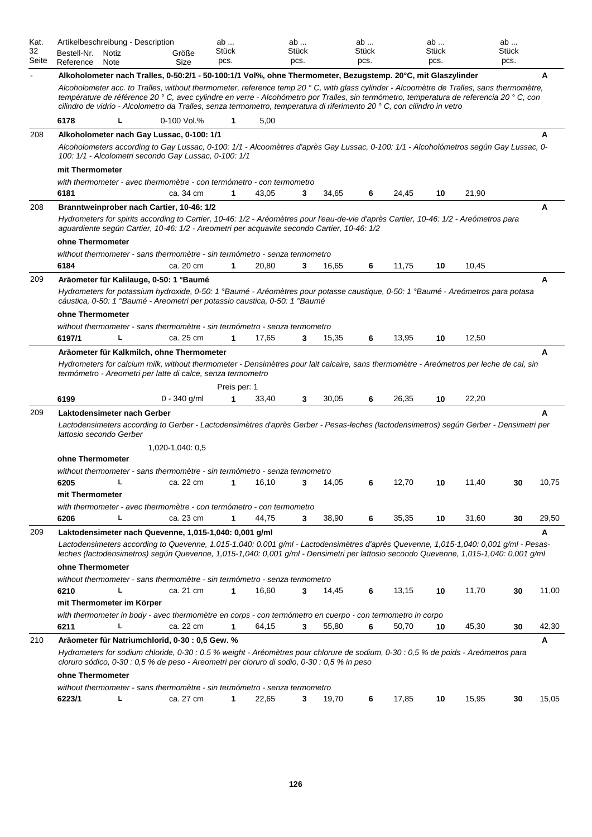| Kat.<br>32<br>Seite | Artikelbeschreibung - Description<br>Bestell-Nr.<br>Notiz<br>Reference<br>Note                                                                                                                                                                                                                                                                                                                                   | Größe<br>Size    | ab<br>Stück<br>pcs. |         | ab<br>Stück<br>pcs. |       | ab<br>Stück<br>pcs. |       | ab<br>Stück<br>pcs. |       | ab<br>Stück<br>pcs. |       |
|---------------------|------------------------------------------------------------------------------------------------------------------------------------------------------------------------------------------------------------------------------------------------------------------------------------------------------------------------------------------------------------------------------------------------------------------|------------------|---------------------|---------|---------------------|-------|---------------------|-------|---------------------|-------|---------------------|-------|
|                     | Alkoholometer nach Tralles, 0-50:2/1 - 50-100:1/1 Vol%, ohne Thermometer, Bezugstemp. 20°C, mit Glaszylinder                                                                                                                                                                                                                                                                                                     |                  |                     |         |                     |       |                     |       |                     |       |                     | A     |
|                     | Alcoholometer acc. to Tralles, without thermometer, reference temp 20 ° C, with glass cylinder - Alcoomètre de Tralles, sans thermomètre,<br>température de référence 20 ° C, avec cylindre en verre - Alcohómetro por Tralles, sin termómetro, temperatura de referencia 20 ° C, con<br>cilindro de vidrio - Alcolometro da Tralles, senza termometro, temperatura di riferimento 20 ° C, con cilindro in vetro |                  |                     |         |                     |       |                     |       |                     |       |                     |       |
|                     | 6178<br>L                                                                                                                                                                                                                                                                                                                                                                                                        | 0-100 Vol.%      | 1                   | 5,00    |                     |       |                     |       |                     |       |                     |       |
| 208                 | Alkoholometer nach Gay Lussac, 0-100: 1/1                                                                                                                                                                                                                                                                                                                                                                        |                  |                     |         |                     |       |                     |       |                     |       |                     | А     |
|                     | Alcoholometers according to Gay Lussac, 0-100: 1/1 - Alcoomètres d'après Gay Lussac, 0-100: 1/1 - Alcoholómetros según Gay Lussac, 0-<br>100: 1/1 - Alcolometri secondo Gay Lussac, 0-100: 1/1                                                                                                                                                                                                                   |                  |                     |         |                     |       |                     |       |                     |       |                     |       |
|                     | mit Thermometer                                                                                                                                                                                                                                                                                                                                                                                                  |                  |                     |         |                     |       |                     |       |                     |       |                     |       |
|                     | with thermometer - avec thermomètre - con termómetro - con termometro                                                                                                                                                                                                                                                                                                                                            |                  |                     |         |                     |       |                     |       |                     |       |                     |       |
|                     | 6181                                                                                                                                                                                                                                                                                                                                                                                                             | ca. 34 cm        | 1                   | 43,05   | 3                   | 34,65 | 6                   | 24,45 | 10                  | 21,90 |                     |       |
| 208                 | Branntweinprober nach Cartier, 10-46: 1/2                                                                                                                                                                                                                                                                                                                                                                        |                  |                     |         |                     |       |                     |       |                     |       |                     | A     |
|                     | Hydrometers for spirits according to Cartier, 10-46: 1/2 - Aréomètres pour l'eau-de-vie d'après Cartier, 10-46: 1/2 - Areómetros para<br>aguardiente según Cartier, 10-46: 1/2 - Areometri per acquavite secondo Cartier, 10-46: 1/2                                                                                                                                                                             |                  |                     |         |                     |       |                     |       |                     |       |                     |       |
|                     | ohne Thermometer                                                                                                                                                                                                                                                                                                                                                                                                 |                  |                     |         |                     |       |                     |       |                     |       |                     |       |
|                     | without thermometer - sans thermomètre - sin termómetro - senza termometro                                                                                                                                                                                                                                                                                                                                       |                  |                     |         |                     |       |                     |       |                     |       |                     |       |
|                     | 6184                                                                                                                                                                                                                                                                                                                                                                                                             | ca. 20 cm        | $\mathbf{1}$        | 20,80   | 3                   | 16,65 | 6                   | 11,75 | 10                  | 10,45 |                     |       |
| 209                 | Aräometer für Kalilauge, 0-50: 1 °Baumé<br>Hydrometers for potassium hydroxide, 0-50: 1 °Baumé - Aréomètres pour potasse caustique, 0-50: 1 °Baumé - Areómetros para potasa<br>cáustica, 0-50: 1 °Baumé - Areometri per potassio caustica, 0-50: 1 °Baumé                                                                                                                                                        |                  |                     |         |                     |       |                     |       |                     |       |                     | A     |
|                     | ohne Thermometer                                                                                                                                                                                                                                                                                                                                                                                                 |                  |                     |         |                     |       |                     |       |                     |       |                     |       |
|                     | without thermometer - sans thermomètre - sin termómetro - senza termometro                                                                                                                                                                                                                                                                                                                                       |                  |                     |         |                     |       |                     |       |                     |       |                     |       |
|                     | 6197/1<br>L                                                                                                                                                                                                                                                                                                                                                                                                      | ca. 25 cm        | 1                   | 17,65   | 3                   | 15,35 | 6                   | 13,95 | 10                  | 12,50 |                     |       |
|                     | Hydrometers for calcium milk, without thermometer - Densimètres pour lait calcaire, sans thermomètre - Areómetros per leche de cal, sin<br>termómetro - Areometri per latte di calce, senza termometro                                                                                                                                                                                                           |                  | Preis per: 1        |         |                     |       |                     |       |                     |       |                     |       |
|                     | 6199                                                                                                                                                                                                                                                                                                                                                                                                             | $0 - 340$ g/ml   | 1                   | 33,40   | 3                   | 30,05 | 6                   | 26,35 | 10                  | 22,20 |                     |       |
| 209                 | Laktodensimeter nach Gerber<br>Lactodensimeters according to Gerber - Lactodensimètres d'après Gerber - Pesas-leches (lactodensimetros) según Gerber - Densimetri per<br>lattosio secondo Gerber                                                                                                                                                                                                                 | 1,020-1,040: 0,5 |                     |         |                     |       |                     |       |                     |       |                     | A     |
|                     | ohne Thermometer                                                                                                                                                                                                                                                                                                                                                                                                 |                  |                     |         |                     |       |                     |       |                     |       |                     |       |
|                     | without thermometer - sans thermomètre - sin termómetro - senza termometro                                                                                                                                                                                                                                                                                                                                       |                  |                     |         |                     |       |                     |       |                     |       |                     |       |
|                     | 6205                                                                                                                                                                                                                                                                                                                                                                                                             | ca. 22 cm        |                     | 1 16,10 | 3                   | 14,05 | 6                   | 12,70 | 10                  | 11,40 | 30                  | 10,75 |
|                     | mit Thermometer                                                                                                                                                                                                                                                                                                                                                                                                  |                  |                     |         |                     |       |                     |       |                     |       |                     |       |
|                     | with thermometer - avec thermomètre - con termómetro - con termometro                                                                                                                                                                                                                                                                                                                                            |                  |                     |         |                     |       |                     |       |                     |       |                     |       |
|                     | 6206<br>г                                                                                                                                                                                                                                                                                                                                                                                                        | ca. 23 cm        | 1                   | 44,75   | 3                   | 38,90 | 6                   | 35,35 | 10                  | 31,60 | 30                  | 29,50 |
| 209                 | Laktodensimeter nach Quevenne, 1,015-1,040: 0,001 g/ml<br>Lactodensimeters according to Quevenne, 1.015-1.040: 0.001 g/ml - Lactodensimètres d'après Quevenne, 1,015-1,040: 0,001 g/ml - Pesas-<br>leches (lactodensimetros) según Quevenne, 1,015-1,040: 0,001 g/ml - Densimetri per lattosio secondo Quevenne, 1,015-1,040: 0,001 g/ml                                                                         |                  |                     |         |                     |       |                     |       |                     |       |                     | Α     |
|                     | ohne Thermometer                                                                                                                                                                                                                                                                                                                                                                                                 |                  |                     |         |                     |       |                     |       |                     |       |                     |       |
|                     | without thermometer - sans thermomètre - sin termómetro - senza termometro                                                                                                                                                                                                                                                                                                                                       |                  |                     |         |                     |       |                     |       |                     |       |                     |       |
|                     | 6210<br>г                                                                                                                                                                                                                                                                                                                                                                                                        | ca. 21 cm        | 1                   | 16,60   | 3                   | 14,45 | 6                   | 13,15 | 10                  | 11,70 | 30                  | 11,00 |
|                     | mit Thermometer im Körper                                                                                                                                                                                                                                                                                                                                                                                        |                  |                     |         |                     |       |                     |       |                     |       |                     |       |
|                     | with thermometer in body - avec thermomètre en corps - con termómetro en cuerpo - con termometro in corpo<br>6211<br>L                                                                                                                                                                                                                                                                                           | ca. 22 cm        | 1                   | 64,15   | 3                   | 55,80 | 6                   | 50,70 | 10                  | 45,30 | 30                  | 42,30 |
| 210                 | Aräometer für Natriumchlorid, 0-30: 0,5 Gew. %                                                                                                                                                                                                                                                                                                                                                                   |                  |                     |         |                     |       |                     |       |                     |       |                     | Α     |
|                     | Hydrometers for sodium chloride, 0-30 : 0.5 % weight - Aréomètres pour chlorure de sodium, 0-30 : 0,5 % de poids - Areómetros para<br>cloruro sódico, 0-30 : 0,5 % de peso - Areometri per cloruro di sodio, 0-30 : 0,5 % in peso                                                                                                                                                                                |                  |                     |         |                     |       |                     |       |                     |       |                     |       |
|                     | ohne Thermometer                                                                                                                                                                                                                                                                                                                                                                                                 |                  |                     |         |                     |       |                     |       |                     |       |                     |       |
|                     | without thermometer - sans thermomètre - sin termómetro - senza termometro<br>6223/1<br>L                                                                                                                                                                                                                                                                                                                        | ca. 27 cm        | 1                   | 22,65   | 3                   | 19,70 | 6                   | 17,85 | 10                  | 15,95 | 30                  | 15,05 |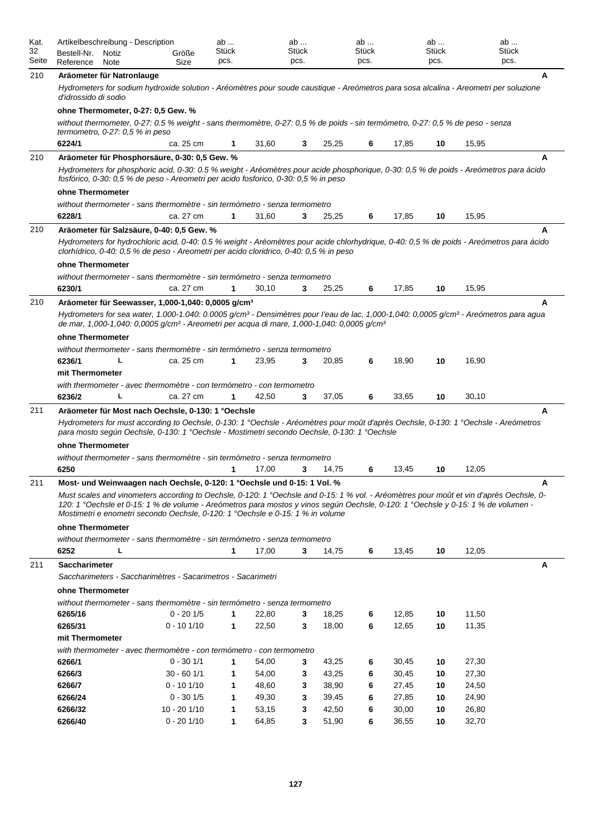| Kat.<br>32<br>Seite | Artikelbeschreibung - Description<br>Bestell-Nr.<br>Notiz<br>Reference<br>Note                                                                                                                                                                                                                                                                                                         | Größe<br>Size | ab<br>Stück<br>pcs. |       | ab<br>Stück<br>pcs. |       | ab<br>Stück<br>pcs. |       | ab<br>Stück<br>pcs. | ab<br><b>Stück</b><br>pcs. |   |
|---------------------|----------------------------------------------------------------------------------------------------------------------------------------------------------------------------------------------------------------------------------------------------------------------------------------------------------------------------------------------------------------------------------------|---------------|---------------------|-------|---------------------|-------|---------------------|-------|---------------------|----------------------------|---|
| 210                 | Aräometer für Natronlauge                                                                                                                                                                                                                                                                                                                                                              |               |                     |       |                     |       |                     |       |                     |                            | A |
|                     | Hydrometers for sodium hydroxide solution - Aréomètres pour soude caustique - Areómetros para sosa alcalina - Areometri per soluzione<br>d'idrossido di sodio                                                                                                                                                                                                                          |               |                     |       |                     |       |                     |       |                     |                            |   |
|                     | ohne Thermometer, 0-27: 0,5 Gew. %                                                                                                                                                                                                                                                                                                                                                     |               |                     |       |                     |       |                     |       |                     |                            |   |
|                     | without thermometer, 0-27: 0.5 % weight - sans thermomètre, 0-27: 0,5 % de poids - sin termómetro, 0-27: 0,5 % de peso - senza<br>termometro, $0-27:0,5%$ in peso                                                                                                                                                                                                                      |               |                     |       |                     |       |                     |       |                     |                            |   |
|                     | 6224/1                                                                                                                                                                                                                                                                                                                                                                                 | ca. 25 cm     | 1                   | 31,60 | 3                   | 25,25 | 6                   | 17,85 | 10                  | 15,95                      |   |
| 210                 | Aräometer für Phosphorsäure, 0-30: 0,5 Gew. %<br>Hydrometers for phosphoric acid, 0-30: 0.5 % weight - Aréomètres pour acide phosphorique, 0-30: 0,5 % de poids - Areómetros para ácido<br>fosfórico, 0-30: 0,5 % de peso - Areometri per acido fosforico, 0-30: 0,5 % in peso                                                                                                         |               |                     |       |                     |       |                     |       |                     |                            | A |
|                     | ohne Thermometer                                                                                                                                                                                                                                                                                                                                                                       |               |                     |       |                     |       |                     |       |                     |                            |   |
|                     | without thermometer - sans thermomètre - sin termómetro - senza termometro<br>6228/1                                                                                                                                                                                                                                                                                                   | ca. 27 cm     | 1                   | 31,60 | 3                   | 25,25 | 6                   | 17,85 | 10                  | 15,95                      |   |
|                     |                                                                                                                                                                                                                                                                                                                                                                                        |               |                     |       |                     |       |                     |       |                     |                            |   |
| 210                 | Aräometer für Salzsäure, 0-40; 0.5 Gew. %<br>Hydrometers for hydrochloric acid, 0-40: 0.5 % weight - Aréomètres pour acide chlorhydrique, 0-40: 0.5 % de poids - Areómetros para ácido<br>clorhídrico, 0-40: 0,5 % de peso - Areometri per acido cloridrico, 0-40: 0,5 % in peso<br>ohne Thermometer<br>without thermometer - sans thermomètre - sin termómetro - senza termometro     |               |                     |       |                     |       |                     |       |                     |                            | A |
|                     | 6230/1                                                                                                                                                                                                                                                                                                                                                                                 | ca. 27 cm     | 1                   | 30,10 | 3                   | 25,25 | 6                   | 17,85 | 10                  | 15,95                      |   |
| 210                 | Aräometer für Seewasser, 1,000-1,040: 0,0005 g/cm <sup>3</sup>                                                                                                                                                                                                                                                                                                                         |               |                     |       |                     |       |                     |       |                     |                            | A |
|                     | Hydrometers for sea water, 1.000-1.040: 0.0005 g/cm <sup>3</sup> - Densimètres pour l'eau de lac, 1,000-1,040: 0,0005 g/cm <sup>3</sup> - Areómetros para agua<br>de mar, 1,000-1,040: 0,0005 g/cm <sup>3</sup> - Areometri per acqua di mare, 1,000-1,040: 0,0005 g/cm <sup>3</sup><br>ohne Thermometer<br>without thermometer - sans thermomètre - sin termómetro - senza termometro |               |                     |       |                     |       |                     |       |                     |                            |   |
|                     | 6236/1<br>L                                                                                                                                                                                                                                                                                                                                                                            | ca. 25 cm     |                     | 23,95 | 3                   | 20,85 | 6                   | 18,90 | 10                  | 16,90                      |   |
|                     | mit Thermometer                                                                                                                                                                                                                                                                                                                                                                        |               |                     |       |                     |       |                     |       |                     |                            |   |
|                     | with thermometer - avec thermomètre - con termómetro - con termometro                                                                                                                                                                                                                                                                                                                  |               |                     |       |                     |       |                     |       |                     |                            |   |
|                     | 6236/2<br>L                                                                                                                                                                                                                                                                                                                                                                            | ca. 27 cm     | 1                   | 42,50 | 3                   | 37,05 | 6                   | 33,65 | 10                  | 30,10                      |   |
| 211                 | Aräometer für Most nach Oechsle, 0-130: 1 °Oechsle                                                                                                                                                                                                                                                                                                                                     |               |                     |       |                     |       |                     |       |                     |                            | A |
|                     | Hydrometers for must according to Oechsle, 0-130: 1 °Oechsle - Aréomètres pour moût d'après Oechsle, 0-130: 1 °Oechsle - Areómetros<br>para mosto según Oechsle, 0-130: 1 °Oechsle - Mostimetri secondo Oechsle, 0-130: 1 °Oechsle                                                                                                                                                     |               |                     |       |                     |       |                     |       |                     |                            |   |
|                     | ohne Thermometer                                                                                                                                                                                                                                                                                                                                                                       |               |                     |       |                     |       |                     |       |                     |                            |   |
|                     | without thermometer - sans thermomètre - sin termómetro - senza termometro                                                                                                                                                                                                                                                                                                             |               |                     |       |                     |       |                     |       |                     |                            |   |
|                     | 6250                                                                                                                                                                                                                                                                                                                                                                                   |               | 1                   | 17,00 | 3                   | 14,75 | 6                   | 13,45 | 10                  | 12,05                      |   |
| 211                 | Most- und Weinwaagen nach Oechsle, 0-120: 1 °Oechsle und 0-15: 1 Vol. %                                                                                                                                                                                                                                                                                                                |               |                     |       |                     |       |                     |       |                     |                            | A |
|                     | Must scales and vinometers according to Oechsle, 0-120: 1 °Oechsle and 0-15: 1 % vol. - Aréomètres pour moût et vin d'après Oechsle, 0-<br>120: 1 °Oechsle et 0-15: 1 % de volume - Areómetros para mostos y vinos según Oechsle, 0-120: 1 °Oechsle y 0-15: 1 % de volumen -<br>Mostimetri e enometri secondo Oechsle, 0-120: 1 °Oechsle e 0-15: 1 % in volume                         |               |                     |       |                     |       |                     |       |                     |                            |   |
|                     | ohne Thermometer                                                                                                                                                                                                                                                                                                                                                                       |               |                     |       |                     |       |                     |       |                     |                            |   |
|                     | without thermometer - sans thermomètre - sin termómetro - senza termometro<br>6252<br>L                                                                                                                                                                                                                                                                                                |               | 1                   | 17,00 | 3                   | 14,75 | 6                   | 13,45 | 10                  | 12,05                      |   |
|                     |                                                                                                                                                                                                                                                                                                                                                                                        |               |                     |       |                     |       |                     |       |                     |                            |   |
| 211                 | <b>Saccharimeter</b><br>Saccharimeters - Saccharimètres - Sacarimetros - Sacarimetri                                                                                                                                                                                                                                                                                                   |               |                     |       |                     |       |                     |       |                     |                            | A |
|                     | ohne Thermometer                                                                                                                                                                                                                                                                                                                                                                       |               |                     |       |                     |       |                     |       |                     |                            |   |
|                     | without thermometer - sans thermomètre - sin termómetro - senza termometro                                                                                                                                                                                                                                                                                                             |               |                     |       |                     |       |                     |       |                     |                            |   |
|                     | 6265/16                                                                                                                                                                                                                                                                                                                                                                                | $0 - 201/5$   | $\mathbf{1}$        | 22,80 | 3                   | 18,25 | 6                   | 12,85 | 10                  | 11,50                      |   |
|                     | 6265/31                                                                                                                                                                                                                                                                                                                                                                                | $0 - 101/10$  | $\mathbf{1}$        | 22,50 | 3                   | 18,00 | 6                   | 12,65 | 10                  | 11,35                      |   |
|                     | mit Thermometer                                                                                                                                                                                                                                                                                                                                                                        |               |                     |       |                     |       |                     |       |                     |                            |   |
|                     | with thermometer - avec thermomètre - con termómetro - con termometro<br>6266/1                                                                                                                                                                                                                                                                                                        | $0 - 30 1/1$  | 1                   | 54,00 | 3                   | 43,25 |                     | 30,45 |                     | 27,30                      |   |
|                     | 6266/3                                                                                                                                                                                                                                                                                                                                                                                 | $30 - 601/1$  | 1                   | 54,00 | 3                   | 43,25 | 6<br>6              | 30,45 | 10<br>10            | 27,30                      |   |
|                     | 6266/7                                                                                                                                                                                                                                                                                                                                                                                 | $0 - 101/10$  | 1                   | 48,60 | 3                   | 38,90 | 6                   | 27,45 | 10                  | 24,50                      |   |
|                     | 6266/24                                                                                                                                                                                                                                                                                                                                                                                | $0 - 301/5$   | 1                   | 49,30 | 3                   | 39,45 | 6                   | 27,85 | 10                  | 24,90                      |   |
|                     | 6266/32                                                                                                                                                                                                                                                                                                                                                                                | 10 - 20 1/10  | 1                   | 53,15 | 3                   | 42,50 | 6                   | 30,00 | 10                  | 26,80                      |   |
|                     | 6266/40                                                                                                                                                                                                                                                                                                                                                                                | $0 - 201/10$  | 1                   | 64,85 | 3                   | 51,90 | 6                   | 36,55 | 10                  | 32,70                      |   |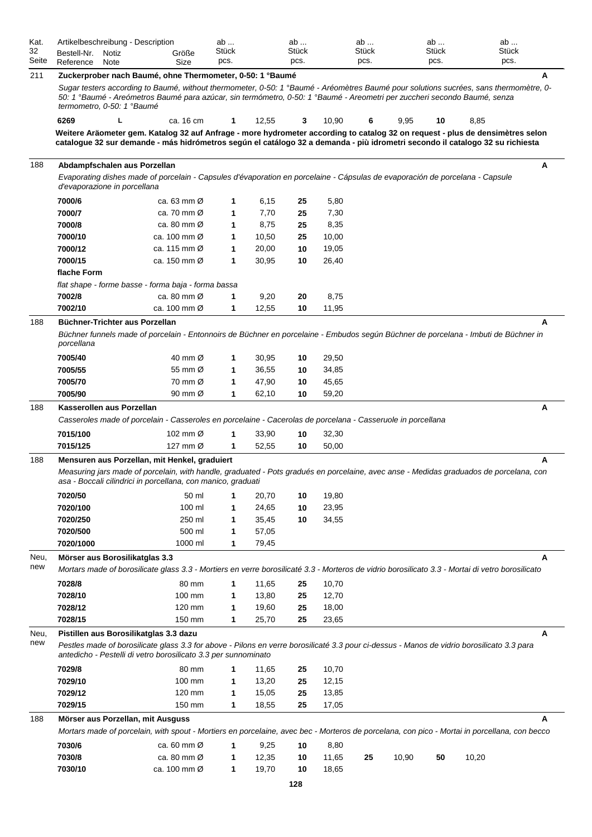| Kat.        | Artikelbeschreibung - Description |       |                                                                                                                                                                                                                                                                    | ab    |       | ab       |                | ab    |       | ab    | ab    |   |
|-------------|-----------------------------------|-------|--------------------------------------------------------------------------------------------------------------------------------------------------------------------------------------------------------------------------------------------------------------------|-------|-------|----------|----------------|-------|-------|-------|-------|---|
| 32          | Bestell-Nr.                       | Notiz | Größe                                                                                                                                                                                                                                                              | Stück |       | Stück    |                | Stück |       | Stück | Stück |   |
| Seite       | Reference                         | Note  | Size                                                                                                                                                                                                                                                               | pcs.  |       | pcs.     |                | pcs.  |       | pcs.  | pcs.  |   |
| 211         |                                   |       | Zuckerprober nach Baumé, ohne Thermometer, 0-50: 1 °Baumé                                                                                                                                                                                                          |       |       |          |                |       |       |       |       | А |
|             | termometro, 0-50: 1 °Baumé        |       | Sugar testers according to Baumé, without thermometer, 0-50: 1 °Baumé - Aréomètres Baumé pour solutions sucrées, sans thermomètre, 0-<br>50: 1 °Baumé - Areómetros Baumé para azúcar, sin termómetro, 0-50: 1 °Baumé - Areometri per zuccheri secondo Baumé, senza |       |       |          |                |       |       |       |       |   |
|             | 6269                              | L     | ca. 16 cm                                                                                                                                                                                                                                                          | 1     | 12,55 | 3        | 10,90          | 6     | 9,95  | 10    | 8,85  |   |
|             |                                   |       | Weitere Aräometer gem. Katalog 32 auf Anfrage - more hydrometer according to catalog 32 on request - plus de densimètres selon                                                                                                                                     |       |       |          |                |       |       |       |       |   |
|             |                                   |       | catalogue 32 sur demande - más hidrómetros según el catálogo 32 a demanda - più idrometri secondo il catalogo 32 su richiesta                                                                                                                                      |       |       |          |                |       |       |       |       |   |
|             |                                   |       |                                                                                                                                                                                                                                                                    |       |       |          |                |       |       |       |       |   |
| 188         |                                   |       | Abdampfschalen aus Porzellan                                                                                                                                                                                                                                       |       |       |          |                |       |       |       |       | A |
|             | d'evaporazione in porcellana      |       | Evaporating dishes made of porcelain - Capsules d'évaporation en porcelaine - Cápsulas de evaporación de porcelana - Capsule                                                                                                                                       |       |       |          |                |       |       |       |       |   |
|             | 7000/6                            |       | ca. 63 mm $\varnothing$                                                                                                                                                                                                                                            | 1     | 6,15  | 25       | 5,80           |       |       |       |       |   |
|             | 7000/7                            |       | ca. 70 mm $\varnothing$                                                                                                                                                                                                                                            | 1     | 7,70  | 25       | 7,30           |       |       |       |       |   |
|             | 7000/8                            |       | ca. 80 mm $\varnothing$                                                                                                                                                                                                                                            | 1     | 8,75  | 25       | 8,35           |       |       |       |       |   |
|             | 7000/10                           |       | ca. 100 mm $\varnothing$                                                                                                                                                                                                                                           | 1     | 10,50 | 25       | 10,00          |       |       |       |       |   |
|             | 7000/12                           |       | ca. 115 mm $\varnothing$                                                                                                                                                                                                                                           | 1     | 20,00 | 10       | 19,05          |       |       |       |       |   |
|             | 7000/15                           |       | ca. 150 mm $\varnothing$                                                                                                                                                                                                                                           | 1     | 30,95 | 10       | 26,40          |       |       |       |       |   |
|             | flache Form                       |       |                                                                                                                                                                                                                                                                    |       |       |          |                |       |       |       |       |   |
|             |                                   |       | flat shape - forme basse - forma baja - forma bassa                                                                                                                                                                                                                |       |       |          |                |       |       |       |       |   |
|             | 7002/8                            |       | ca. 80 mm $\varnothing$                                                                                                                                                                                                                                            | 1     | 9,20  | 20       | 8,75           |       |       |       |       |   |
|             | 7002/10                           |       | ca. 100 mm $\varnothing$                                                                                                                                                                                                                                           | 1     | 12,55 | 10       | 11,95          |       |       |       |       |   |
| 188         |                                   |       | Büchner-Trichter aus Porzellan                                                                                                                                                                                                                                     |       |       |          |                |       |       |       |       | A |
|             | porcellana                        |       | Büchner funnels made of porcelain - Entonnoirs de Büchner en porcelaine - Embudos según Büchner de porcelana - Imbuti de Büchner in                                                                                                                                |       |       |          |                |       |       |       |       |   |
|             | 7005/40                           |       | 40 mm Ø                                                                                                                                                                                                                                                            | 1     | 30,95 | 10       | 29,50          |       |       |       |       |   |
|             | 7005/55                           |       | 55 mm Ø                                                                                                                                                                                                                                                            | 1     | 36,55 | 10       | 34,85          |       |       |       |       |   |
|             | 7005/70                           |       | 70 mm Ø                                                                                                                                                                                                                                                            | 1     | 47,90 | 10       | 45,65          |       |       |       |       |   |
|             | 7005/90                           |       | 90 mm $\varnothing$                                                                                                                                                                                                                                                | 1     | 62,10 | 10       | 59,20          |       |       |       |       |   |
| 188         | Kasserollen aus Porzellan         |       |                                                                                                                                                                                                                                                                    |       |       |          |                |       |       |       |       | Α |
|             |                                   |       | Casseroles made of porcelain - Casseroles en porcelaine - Cacerolas de porcelana - Casseruole in porcellana                                                                                                                                                        |       |       |          |                |       |       |       |       |   |
|             | 7015/100                          |       | 102 mm Ø                                                                                                                                                                                                                                                           | 1     | 33,90 |          |                |       |       |       |       |   |
|             | 7015/125                          |       | 127 mm Ø                                                                                                                                                                                                                                                           | 1     | 52,55 | 10<br>10 | 32,30<br>50,00 |       |       |       |       |   |
|             |                                   |       |                                                                                                                                                                                                                                                                    |       |       |          |                |       |       |       |       |   |
| 188         |                                   |       | Mensuren aus Porzellan, mit Henkel, graduiert<br>Measuring jars made of porcelain, with handle, graduated - Pots gradués en porcelaine, avec anse - Medidas graduados de porcelana, con<br>asa - Boccali cilindrici in porcellana, con manico, graduati            |       |       |          |                |       |       |       |       | A |
|             | 7020/50                           |       | 50 ml                                                                                                                                                                                                                                                              | 1     | 20,70 | 10       | 19,80          |       |       |       |       |   |
|             | 7020/100                          |       | 100 ml                                                                                                                                                                                                                                                             | 1     | 24,65 | 10       | 23,95          |       |       |       |       |   |
|             | 7020/250                          |       | 250 ml                                                                                                                                                                                                                                                             | 1     | 35,45 | 10       | 34,55          |       |       |       |       |   |
|             | 7020/500                          |       | 500 ml                                                                                                                                                                                                                                                             | 1     | 57,05 |          |                |       |       |       |       |   |
|             | 7020/1000                         |       | 1000 ml                                                                                                                                                                                                                                                            | 1     | 79,45 |          |                |       |       |       |       |   |
| Neu,        | Mörser aus Borosilikatglas 3.3    |       |                                                                                                                                                                                                                                                                    |       |       |          |                |       |       |       |       | A |
| new         |                                   |       | Mortars made of borosilicate glass 3.3 - Mortiers en verre borosilicaté 3.3 - Morteros de vidrio borosilicato 3.3 - Mortai di vetro borosilicato                                                                                                                   |       |       |          |                |       |       |       |       |   |
|             | 7028/8                            |       | 80 mm                                                                                                                                                                                                                                                              | 1     | 11,65 | 25       | 10,70          |       |       |       |       |   |
|             | 7028/10                           |       | 100 mm                                                                                                                                                                                                                                                             | 1     | 13,80 | 25       | 12,70          |       |       |       |       |   |
|             | 7028/12                           |       | 120 mm                                                                                                                                                                                                                                                             | 1     | 19,60 | 25       | 18,00          |       |       |       |       |   |
|             | 7028/15                           |       | 150 mm                                                                                                                                                                                                                                                             | 1     | 25,70 | 25       | 23,65          |       |       |       |       |   |
|             |                                   |       |                                                                                                                                                                                                                                                                    |       |       |          |                |       |       |       |       |   |
| Neu,<br>new |                                   |       | Pistillen aus Borosilikatglas 3.3 dazu<br>Pestles made of borosilicate glass 3.3 for above - Pilons en verre borosilicaté 3.3 pour ci-dessus - Manos de vidrio borosilicato 3.3 para<br>antedicho - Pestelli di vetro borosilicato 3.3 per sunnominato             |       |       |          |                |       |       |       |       | A |
|             | 7029/8                            |       | 80 mm                                                                                                                                                                                                                                                              | 1     | 11,65 | 25       | 10,70          |       |       |       |       |   |
|             | 7029/10                           |       | 100 mm                                                                                                                                                                                                                                                             | 1     | 13,20 | 25       | 12,15          |       |       |       |       |   |
|             | 7029/12                           |       | 120 mm                                                                                                                                                                                                                                                             | 1     | 15,05 | 25       | 13,85          |       |       |       |       |   |
|             | 7029/15                           |       | 150 mm                                                                                                                                                                                                                                                             | 1     | 18,55 | 25       | 17,05          |       |       |       |       |   |
| 188         |                                   |       | Mörser aus Porzellan, mit Ausguss                                                                                                                                                                                                                                  |       |       |          |                |       |       |       |       | А |
|             |                                   |       | Mortars made of porcelain, with spout - Mortiers en porcelaine, avec bec - Morteros de porcelana, con pico - Mortai in porcellana, con becco                                                                                                                       |       |       |          |                |       |       |       |       |   |
|             | 7030/6                            |       | ca. 60 mm $\varnothing$                                                                                                                                                                                                                                            | 1     | 9,25  | 10       | 8,80           |       |       |       |       |   |
|             | 7030/8                            |       | ca. 80 mm Ø                                                                                                                                                                                                                                                        | 1     | 12,35 | 10       | 11,65          | 25    | 10,90 | 50    | 10,20 |   |
|             | 7030/10                           |       | ca. 100 mm Ø                                                                                                                                                                                                                                                       | 1     | 19,70 | 10       | 18,65          |       |       |       |       |   |
|             |                                   |       |                                                                                                                                                                                                                                                                    |       |       |          |                |       |       |       |       |   |

**128**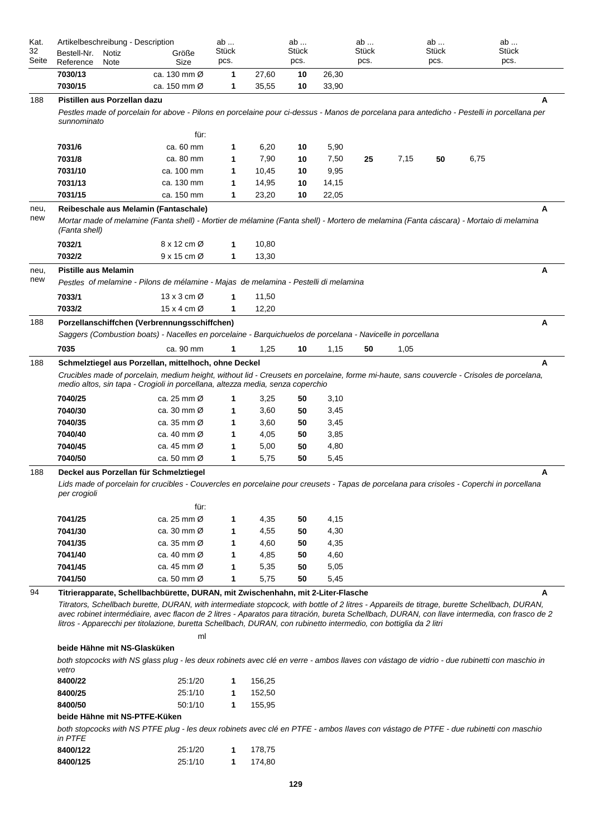| Kat.  | Artikelbeschreibung - Description                                                                                                                                                                                                                                                                                                                                                                                                                                                                        |                          | ab           |        | ab    |       | ab    |      | ab    |      | ab           |
|-------|----------------------------------------------------------------------------------------------------------------------------------------------------------------------------------------------------------------------------------------------------------------------------------------------------------------------------------------------------------------------------------------------------------------------------------------------------------------------------------------------------------|--------------------------|--------------|--------|-------|-------|-------|------|-------|------|--------------|
| 32    | Bestell-Nr.<br>Notiz                                                                                                                                                                                                                                                                                                                                                                                                                                                                                     | Größe                    | Stück        |        | Stück |       | Stück |      | Stück |      | <b>Stück</b> |
| Seite | Reference<br>Note                                                                                                                                                                                                                                                                                                                                                                                                                                                                                        | Size                     | pcs.         |        | pcs.  |       | pcs.  |      | pcs.  |      | pcs.         |
|       | 7030/13                                                                                                                                                                                                                                                                                                                                                                                                                                                                                                  | ca. 130 mm Ø             | 1            | 27,60  | 10    | 26,30 |       |      |       |      |              |
|       | 7030/15                                                                                                                                                                                                                                                                                                                                                                                                                                                                                                  | ca. 150 mm $\varnothing$ | 1            | 35,55  | 10    | 33,90 |       |      |       |      |              |
| 188   | Pistillen aus Porzellan dazu                                                                                                                                                                                                                                                                                                                                                                                                                                                                             |                          |              |        |       |       |       |      |       |      | A            |
|       | Pestles made of porcelain for above - Pilons en porcelaine pour ci-dessus - Manos de porcelana para antedicho - Pestelli in porcellana per<br>sunnominato                                                                                                                                                                                                                                                                                                                                                |                          |              |        |       |       |       |      |       |      |              |
|       |                                                                                                                                                                                                                                                                                                                                                                                                                                                                                                          | für:                     |              |        |       |       |       |      |       |      |              |
|       | 7031/6                                                                                                                                                                                                                                                                                                                                                                                                                                                                                                   | ca. 60 mm                | 1            | 6,20   | 10    | 5,90  |       |      |       |      |              |
|       | 7031/8                                                                                                                                                                                                                                                                                                                                                                                                                                                                                                   | ca. 80 mm                | 1            | 7,90   | 10    | 7,50  | 25    | 7,15 | 50    | 6,75 |              |
|       | 7031/10                                                                                                                                                                                                                                                                                                                                                                                                                                                                                                  | ca. 100 mm               | 1            | 10,45  | 10    | 9,95  |       |      |       |      |              |
|       | 7031/13                                                                                                                                                                                                                                                                                                                                                                                                                                                                                                  | ca. 130 mm               | 1            | 14,95  | 10    | 14,15 |       |      |       |      |              |
|       | 7031/15                                                                                                                                                                                                                                                                                                                                                                                                                                                                                                  | ca. 150 mm               | 1            | 23,20  | 10    | 22,05 |       |      |       |      |              |
| neu,  | Reibeschale aus Melamin (Fantaschale)                                                                                                                                                                                                                                                                                                                                                                                                                                                                    |                          |              |        |       |       |       |      |       |      | A            |
| new   | Mortar made of melamine (Fanta shell) - Mortier de mélamine (Fanta shell) - Mortero de melamina (Fanta cáscara) - Mortaio di melamina<br>(Fanta shell)                                                                                                                                                                                                                                                                                                                                                   |                          |              |        |       |       |       |      |       |      |              |
|       | 7032/1                                                                                                                                                                                                                                                                                                                                                                                                                                                                                                   | 8 x 12 cm Ø              | 1            | 10,80  |       |       |       |      |       |      |              |
|       | 7032/2                                                                                                                                                                                                                                                                                                                                                                                                                                                                                                   | $9x15$ cm $\varnothing$  | 1            | 13,30  |       |       |       |      |       |      |              |
| neu,  | <b>Pistille aus Melamin</b>                                                                                                                                                                                                                                                                                                                                                                                                                                                                              |                          |              |        |       |       |       |      |       |      | Α            |
| new   | Pestles of melamine - Pilons de mélamine - Majas de melamina - Pestelli di melamina                                                                                                                                                                                                                                                                                                                                                                                                                      |                          |              |        |       |       |       |      |       |      |              |
|       | 7033/1                                                                                                                                                                                                                                                                                                                                                                                                                                                                                                   | 13 x 3 cm $\varnothing$  | 1            | 11,50  |       |       |       |      |       |      |              |
|       | 7033/2                                                                                                                                                                                                                                                                                                                                                                                                                                                                                                   | 15 x 4 cm Ø              | 1            | 12,20  |       |       |       |      |       |      |              |
| 188   | Porzellanschiffchen (Verbrennungsschiffchen)                                                                                                                                                                                                                                                                                                                                                                                                                                                             |                          |              |        |       |       |       |      |       |      | Α            |
|       | Saggers (Combustion boats) - Nacelles en porcelaine - Barquichuelos de porcelana - Navicelle in porcellana                                                                                                                                                                                                                                                                                                                                                                                               |                          |              |        |       |       |       |      |       |      |              |
|       | 7035                                                                                                                                                                                                                                                                                                                                                                                                                                                                                                     | ca. 90 mm                | 1            | 1,25   | 10    | 1,15  | 50    | 1,05 |       |      |              |
| 188   | Schmelztiegel aus Porzellan, mittelhoch, ohne Deckel                                                                                                                                                                                                                                                                                                                                                                                                                                                     |                          |              |        |       |       |       |      |       |      | A            |
|       | Crucibles made of porcelain, medium height, without lid - Creusets en porcelaine, forme mi-haute, sans couvercle - Crisoles de porcelana,<br>medio altos, sin tapa - Crogioli in porcellana, altezza media, senza coperchio                                                                                                                                                                                                                                                                              |                          |              |        |       |       |       |      |       |      |              |
|       | 7040/25                                                                                                                                                                                                                                                                                                                                                                                                                                                                                                  | ca. 25 mm Ø              | 1            | 3,25   | 50    | 3,10  |       |      |       |      |              |
|       | 7040/30                                                                                                                                                                                                                                                                                                                                                                                                                                                                                                  | ca. 30 mm Ø              | 1            | 3,60   | 50    | 3,45  |       |      |       |      |              |
|       | 7040/35                                                                                                                                                                                                                                                                                                                                                                                                                                                                                                  | ca. 35 mm Ø              | 1            | 3,60   | 50    | 3,45  |       |      |       |      |              |
|       | 7040/40                                                                                                                                                                                                                                                                                                                                                                                                                                                                                                  | ca. 40 mm Ø              | 1            | 4,05   | 50    | 3,85  |       |      |       |      |              |
|       | 7040/45                                                                                                                                                                                                                                                                                                                                                                                                                                                                                                  | ca. 45 mm Ø              | 1            | 5,00   | 50    | 4,80  |       |      |       |      |              |
|       | 7040/50                                                                                                                                                                                                                                                                                                                                                                                                                                                                                                  | ca. 50 mm Ø              | 1            | 5,75   | 50    | 5,45  |       |      |       |      |              |
| 188   | Deckel aus Porzellan für Schmelztiegel                                                                                                                                                                                                                                                                                                                                                                                                                                                                   |                          |              |        |       |       |       |      |       |      | Α            |
|       | Lids made of porcelain for crucibles - Couvercles en porcelaine pour creusets - Tapas de porcelana para crisoles - Coperchi in porcellana<br>per crogioli                                                                                                                                                                                                                                                                                                                                                |                          |              |        |       |       |       |      |       |      |              |
|       |                                                                                                                                                                                                                                                                                                                                                                                                                                                                                                          | für:                     |              |        |       |       |       |      |       |      |              |
|       | 7041/25                                                                                                                                                                                                                                                                                                                                                                                                                                                                                                  | ca. 25 mm Ø              | 1            | 4,35   | 50    | 4,15  |       |      |       |      |              |
|       | 7041/30                                                                                                                                                                                                                                                                                                                                                                                                                                                                                                  | ca. 30 mm Ø              | 1            | 4,55   | 50    | 4,30  |       |      |       |      |              |
|       | 7041/35                                                                                                                                                                                                                                                                                                                                                                                                                                                                                                  | ca. 35 mm $\varnothing$  | 1            | 4,60   | 50    | 4,35  |       |      |       |      |              |
|       | 7041/40                                                                                                                                                                                                                                                                                                                                                                                                                                                                                                  | ca. 40 mm Ø              | 1            | 4,85   | 50    | 4,60  |       |      |       |      |              |
|       | 7041/45                                                                                                                                                                                                                                                                                                                                                                                                                                                                                                  | ca. 45 mm Ø              | 1            | 5,35   | 50    | 5,05  |       |      |       |      |              |
|       | 7041/50                                                                                                                                                                                                                                                                                                                                                                                                                                                                                                  | ca. 50 mm Ø              | 1            | 5,75   | 50    | 5,45  |       |      |       |      |              |
| 94    | Titrierapparate, Schellbachbürette, DURAN, mit Zwischenhahn, mit 2-Liter-Flasche<br>Titrators, Schellbach burette, DURAN, with intermediate stopcock, with bottle of 2 litres - Appareils de titrage, burette Schellbach, DURAN,<br>avec robinet intermédiaire, avec flacon de 2 litres - Aparatos para titración, bureta Schellbach, DURAN, con llave intermedia, con frasco de 2<br>litros - Apparecchi per titolazione, buretta Schellbach, DURAN, con rubinetto intermedio, con bottiglia da 2 litri |                          |              |        |       |       |       |      |       |      | A            |
|       |                                                                                                                                                                                                                                                                                                                                                                                                                                                                                                          | ml                       |              |        |       |       |       |      |       |      |              |
|       | beide Hähne mit NS-Glasküken                                                                                                                                                                                                                                                                                                                                                                                                                                                                             |                          |              |        |       |       |       |      |       |      |              |
|       | both stopcocks with NS glass plug - les deux robinets avec clé en verre - ambos llaves con vástago de vidrio - due rubinetti con maschio in<br>vetro                                                                                                                                                                                                                                                                                                                                                     |                          |              |        |       |       |       |      |       |      |              |
|       | 8400/22                                                                                                                                                                                                                                                                                                                                                                                                                                                                                                  | 25:1/20                  | 1            | 156,25 |       |       |       |      |       |      |              |
|       | 8400/25                                                                                                                                                                                                                                                                                                                                                                                                                                                                                                  | 25:1/10                  | $\mathbf 1$  | 152,50 |       |       |       |      |       |      |              |
|       | 8400/50                                                                                                                                                                                                                                                                                                                                                                                                                                                                                                  | 50:1/10                  | 1            | 155,95 |       |       |       |      |       |      |              |
|       | beide Hähne mit NS-PTFE-Küken<br>both stopcocks with NS PTFE plug - les deux robinets avec clé en PTFE - ambos llaves con vástago de PTFE - due rubinetti con maschio                                                                                                                                                                                                                                                                                                                                    |                          |              |        |       |       |       |      |       |      |              |
|       | in PTFE                                                                                                                                                                                                                                                                                                                                                                                                                                                                                                  |                          |              |        |       |       |       |      |       |      |              |
|       | 8400/122                                                                                                                                                                                                                                                                                                                                                                                                                                                                                                 | 25:1/20                  | $\mathbf{1}$ | 178,75 |       |       |       |      |       |      |              |
|       | 8400/125                                                                                                                                                                                                                                                                                                                                                                                                                                                                                                 | 25:1/10                  | $\mathbf{1}$ | 174,80 |       |       |       |      |       |      |              |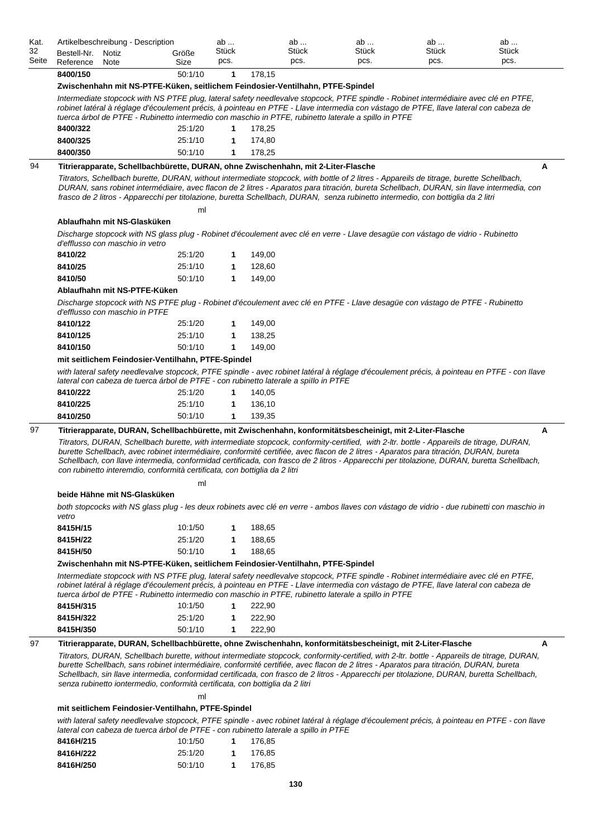| Kat.  | Artikelbeschreibung - Description                                                                                                                                                                                                                                                                                                                                                                                                                                                                                                                                                                                            |         | ab           | ab     | ab    | ab    | ab    |
|-------|------------------------------------------------------------------------------------------------------------------------------------------------------------------------------------------------------------------------------------------------------------------------------------------------------------------------------------------------------------------------------------------------------------------------------------------------------------------------------------------------------------------------------------------------------------------------------------------------------------------------------|---------|--------------|--------|-------|-------|-------|
| 32    | Bestell-Nr.<br>Notiz                                                                                                                                                                                                                                                                                                                                                                                                                                                                                                                                                                                                         | Größe   | Stück        | Stück  | Stück | Stück | Stück |
| Seite | Reference<br>Note                                                                                                                                                                                                                                                                                                                                                                                                                                                                                                                                                                                                            | Size    | pcs.         | pcs.   | pcs.  | pcs.  | pcs.  |
|       | 8400/150                                                                                                                                                                                                                                                                                                                                                                                                                                                                                                                                                                                                                     | 50:1/10 | 1            | 178,15 |       |       |       |
|       | Zwischenhahn mit NS-PTFE-Küken, seitlichem Feindosier-Ventilhahn, PTFE-Spindel                                                                                                                                                                                                                                                                                                                                                                                                                                                                                                                                               |         |              |        |       |       |       |
|       | Intermediate stopcock with NS PTFE plug, lateral safety needlevalve stopcock, PTFE spindle - Robinet intermédiaire avec clé en PTFE,<br>robinet latéral à réglage d'écoulement précis, à pointeau en PTFE - Llave intermedia con vástago de PTFE, llave lateral con cabeza de<br>tuerca árbol de PTFE - Rubinetto intermedio con maschio in PTFE, rubinetto laterale a spillo in PTFE                                                                                                                                                                                                                                        |         |              |        |       |       |       |
|       | 8400/322                                                                                                                                                                                                                                                                                                                                                                                                                                                                                                                                                                                                                     | 25:1/20 | 1            | 178,25 |       |       |       |
|       | 8400/325                                                                                                                                                                                                                                                                                                                                                                                                                                                                                                                                                                                                                     | 25:1/10 | 1            | 174,80 |       |       |       |
|       | 8400/350                                                                                                                                                                                                                                                                                                                                                                                                                                                                                                                                                                                                                     | 50:1/10 | 1            | 178,25 |       |       |       |
| 94    | Titrierapparate, Schellbachbürette, DURAN, ohne Zwischenhahn, mit 2-Liter-Flasche<br>Titrators, Schellbach burette, DURAN, without intermediate stopcock, with bottle of 2 litres - Appareils de titrage, burette Schellbach,<br>DURAN, sans robinet intermédiaire, avec flacon de 2 litres - Aparatos para titración, bureta Schellbach, DURAN, sin llave intermedia, con<br>frasco de 2 litros - Apparecchi per titolazione, buretta Schellbach, DURAN, senza rubinetto intermedio, con bottiglia da 2 litri                                                                                                               | ml      |              |        |       |       | Α     |
|       | Ablaufhahn mit NS-Glasküken                                                                                                                                                                                                                                                                                                                                                                                                                                                                                                                                                                                                  |         |              |        |       |       |       |
|       | Discharge stopcock with NS glass plug - Robinet d'écoulement avec clé en verre - Llave desagüe con vástago de vidrio - Rubinetto<br>d'efflusso con maschio in vetro                                                                                                                                                                                                                                                                                                                                                                                                                                                          |         |              |        |       |       |       |
|       | 8410/22                                                                                                                                                                                                                                                                                                                                                                                                                                                                                                                                                                                                                      | 25:1/20 | 1            | 149,00 |       |       |       |
|       | 8410/25                                                                                                                                                                                                                                                                                                                                                                                                                                                                                                                                                                                                                      | 25:1/10 | 1            | 128,60 |       |       |       |
|       | 8410/50                                                                                                                                                                                                                                                                                                                                                                                                                                                                                                                                                                                                                      | 50:1/10 | 1            | 149,00 |       |       |       |
|       | Ablaufhahn mit NS-PTFE-Küken                                                                                                                                                                                                                                                                                                                                                                                                                                                                                                                                                                                                 |         |              |        |       |       |       |
|       | Discharge stopcock with NS PTFE plug - Robinet d'écoulement avec clé en PTFE - Llave desagüe con vástago de PTFE - Rubinetto<br>d'efflusso con maschio in PTFE                                                                                                                                                                                                                                                                                                                                                                                                                                                               |         |              |        |       |       |       |
|       | 8410/122                                                                                                                                                                                                                                                                                                                                                                                                                                                                                                                                                                                                                     | 25:1/20 | 1            | 149,00 |       |       |       |
|       | 8410/125                                                                                                                                                                                                                                                                                                                                                                                                                                                                                                                                                                                                                     | 25:1/10 | 1            | 138,25 |       |       |       |
|       | 8410/150                                                                                                                                                                                                                                                                                                                                                                                                                                                                                                                                                                                                                     | 50:1/10 | 1            | 149,00 |       |       |       |
|       | mit seitlichem Feindosier-Ventilhahn, PTFE-Spindel                                                                                                                                                                                                                                                                                                                                                                                                                                                                                                                                                                           |         |              |        |       |       |       |
|       | with lateral safety needlevalve stopcock, PTFE spindle - avec robinet latéral à réglage d'écoulement précis, à pointeau en PTFE - con llave                                                                                                                                                                                                                                                                                                                                                                                                                                                                                  |         |              |        |       |       |       |
|       | lateral con cabeza de tuerca árbol de PTFE - con rubinetto laterale a spillo in PTFE<br>8410/222                                                                                                                                                                                                                                                                                                                                                                                                                                                                                                                             | 25:1/20 | 1            | 140,05 |       |       |       |
|       |                                                                                                                                                                                                                                                                                                                                                                                                                                                                                                                                                                                                                              | 25:1/10 |              | 136,10 |       |       |       |
|       | 8410/225                                                                                                                                                                                                                                                                                                                                                                                                                                                                                                                                                                                                                     |         | 1            |        |       |       |       |
|       | 8410/250                                                                                                                                                                                                                                                                                                                                                                                                                                                                                                                                                                                                                     | 50:1/10 | 1            | 139,35 |       |       |       |
| 97    | Titrierapparate, DURAN, Schellbachbürette, mit Zwischenhahn, konformitätsbescheinigt, mit 2-Liter-Flasche<br>Titrators, DURAN, Schellbach burette, with intermediate stopcock, conformity-certified, with 2-ltr. bottle - Appareils de titrage, DURAN,<br>burette Schellbach, avec robinet intermédiaire, conformité certifiée, avec flacon de 2 litres - Aparatos para titración, DURAN, bureta<br>Schellbach, con llave intermedia, conformidad certificada, con frasco de 2 litros - Apparecchi per titolazione, DURAN, buretta Schellbach,<br>con rubinetto interemdio, conformità certificata, con bottiglia da 2 litri |         |              |        |       |       | A     |
|       |                                                                                                                                                                                                                                                                                                                                                                                                                                                                                                                                                                                                                              | ml      |              |        |       |       |       |
|       | beide Hähne mit NS-Glasküken<br>both stopcocks with NS glass plug - les deux robinets avec clé en verre - ambos llaves con vástago de vidrio - due rubinetti con maschio in<br>vetro                                                                                                                                                                                                                                                                                                                                                                                                                                         |         |              |        |       |       |       |
|       | 8415H/15                                                                                                                                                                                                                                                                                                                                                                                                                                                                                                                                                                                                                     | 10:1/50 | 1            | 188,65 |       |       |       |
|       | 8415H/22                                                                                                                                                                                                                                                                                                                                                                                                                                                                                                                                                                                                                     | 25:1/20 | 1            | 188,65 |       |       |       |
|       | 8415H/50                                                                                                                                                                                                                                                                                                                                                                                                                                                                                                                                                                                                                     | 50:1/10 | $\mathbf{1}$ | 188,65 |       |       |       |
|       |                                                                                                                                                                                                                                                                                                                                                                                                                                                                                                                                                                                                                              |         |              |        |       |       |       |
|       | Zwischenhahn mit NS-PTFE-Küken, seitlichem Feindosier-Ventilhahn, PTFE-Spindel<br>Intermediate stopcock with NS PTFE plug, lateral safety needlevalve stopcock, PTFE spindle - Robinet intermédiaire avec clé en PTFE,                                                                                                                                                                                                                                                                                                                                                                                                       |         |              |        |       |       |       |
|       | robinet latéral à réglage d'écoulement précis, à pointeau en PTFE - Llave intermedia con vástago de PTFE, llave lateral con cabeza de<br>tuerca árbol de PTFE - Rubinetto intermedio con maschio in PTFE, rubinetto laterale a spillo in PTFE<br>8415H/315                                                                                                                                                                                                                                                                                                                                                                   | 10:1/50 | 1            | 222,90 |       |       |       |
|       | 8415H/322                                                                                                                                                                                                                                                                                                                                                                                                                                                                                                                                                                                                                    | 25:1/20 | 1            | 222,90 |       |       |       |
|       | 8415H/350                                                                                                                                                                                                                                                                                                                                                                                                                                                                                                                                                                                                                    | 50:1/10 | 1            | 222,90 |       |       |       |
|       |                                                                                                                                                                                                                                                                                                                                                                                                                                                                                                                                                                                                                              |         |              |        |       |       |       |
| 97    | Titrierapparate, DURAN, Schellbachbürette, ohne Zwischenhahn, konformitätsbescheinigt, mit 2-Liter-Flasche                                                                                                                                                                                                                                                                                                                                                                                                                                                                                                                   |         |              |        |       |       | A     |
|       | Titrators, DURAN, Schellbach burette, without intermediate stopcock, conformity-certified, with 2-ltr. bottle - Appareils de titrage, DURAN,<br>burette Schellbach, sans robinet intermédiaire, conformité certifiée, avec flacon de 2 litres - Aparatos para titración, DURAN, bureta<br>Schellbach, sin llave intermedia, conformidad certificada, con frasco de 2 litros - Apparecchi per titolazione, DURAN, buretta Schellbach,<br>senza rubinetto iontermedio, conformità certificata, con bottiglia da 2 litri                                                                                                        | ml      |              |        |       |       |       |
|       | mit seitlichem Feindosier-Ventilhahn, PTFE-Spindel                                                                                                                                                                                                                                                                                                                                                                                                                                                                                                                                                                           |         |              |        |       |       |       |
|       |                                                                                                                                                                                                                                                                                                                                                                                                                                                                                                                                                                                                                              |         |              |        |       |       |       |
|       | with lateral safety needlevalve stopcock, PTFE spindle - avec robinet latéral à réglage d'écoulement précis, à pointeau en PTFE - con llave<br>lateral con cabeza de tuerca árbol de PTFE - con rubinetto laterale a spillo in PTFE                                                                                                                                                                                                                                                                                                                                                                                          |         |              |        |       |       |       |

| 8416H/215 | 10:1/50 | 176.85 |
|-----------|---------|--------|
| 8416H/222 | 25:1/20 | 176.85 |
| 8416H/250 | 50:1/10 | 176.85 |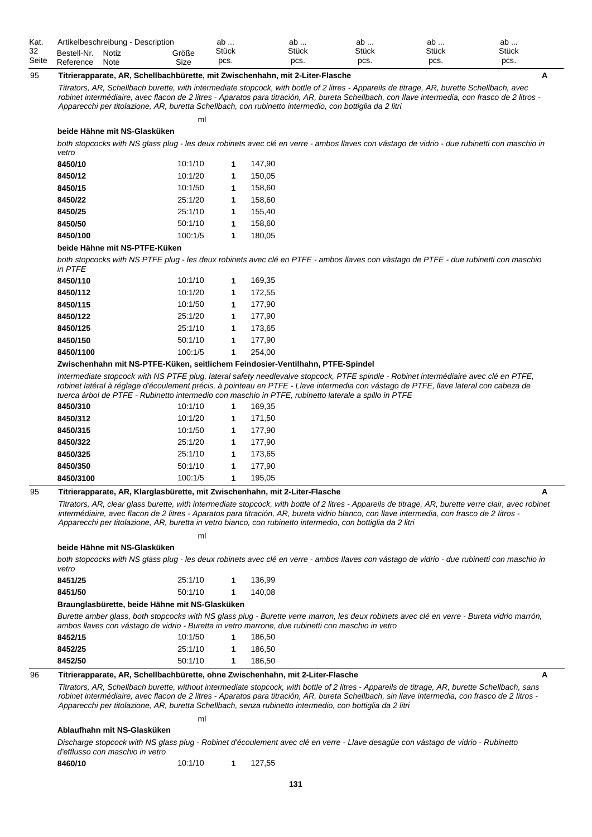| Kat.  | Artikelbeschreibung - Description |       |       | av           | av           | ab           | ab           | ab           |
|-------|-----------------------------------|-------|-------|--------------|--------------|--------------|--------------|--------------|
| -32   | Bestell-Nr.                       | Notiz | Größe | <b>Stück</b> | <b>Stück</b> | <b>Stück</b> | <b>Stück</b> | <b>Stück</b> |
| Seite | Reference                         | Note  | Size  | pcs.         | pcs.         | pcs.         | DCS.         | pcs.         |

## 95 **Titrierapparate, AR, Schellbachbürette, mit Zwischenhahn, mit 2-Liter-Flasche A**

ml

*Titrators, AR, Schellbach burette, with intermediate stopcock, with bottle of 2 litres - Appareils de titrage, AR, burette Schellbach, avec robinet intermédiaire, avec flacon de 2 litres - Aparatos para titración, AR, bureta Schellbach, con Ilave intermedia, con frasco de 2 litros - Apparecchi per titolazione, AR, buretta Schellbach, con rubinetto intermedio, con bottiglia da 2 litri*

**beide Hähne mit NS-Glasküken**

*both stopcocks with NS glass plug - les deux robinets avec clé en verre - ambos llaves con vástago de vidrio - due rubinetti con maschio in vetro*

| 8450/10  | 10:1/10 | 1 | 147.90 |
|----------|---------|---|--------|
| 8450/12  | 10:1/20 | 1 | 150.05 |
| 8450/15  | 10:1/50 | 1 | 158,60 |
| 8450/22  | 25:1/20 | 1 | 158.60 |
| 8450/25  | 25:1/10 | 1 | 155.40 |
| 8450/50  | 50:1/10 | 1 | 158.60 |
| 8450/100 | 100:1/5 | 1 | 180.05 |
|          |         |   |        |

### **beide Hähne mit NS-PTFE-Küken**

*both stopcocks with NS PTFE plug - les deux robinets avec clé en PTFE - ambos llaves con vàstago de PTFE - due rubinetti con maschio in PTFE*

| 8450/110  | 10:1/10 | 1 | 169.35 |
|-----------|---------|---|--------|
| 8450/112  | 10:1/20 | 1 | 172.55 |
| 8450/115  | 10:1/50 | 1 | 177.90 |
| 8450/122  | 25:1/20 | 1 | 177.90 |
| 8450/125  | 25:1/10 | 1 | 173.65 |
| 8450/150  | 50:1/10 | 1 | 177.90 |
| 8450/1100 | 100:1/5 | 1 | 254.00 |

#### **Zwischenhahn mit NS-PTFE-Küken, seitlichem Feindosier-Ventilhahn, PTFE-Spindel**

*Intermediate stopcock with NS PTFE plug, lateral safety needlevalve stopcock, PTFE spindle - Robinet intermédiaire avec clé en PTFE, robinet latéral à réglage d'écoulement précis, à pointeau en PTFE - Llave intermedia con vástago de PTFE, llave lateral con cabeza de tuerca árbol de PTFE - Rubinetto intermedio con maschio in PTFE, rubinetto laterale a spillo in PTFE*

| 8450/310  | 10:1/10 | 1 | 169.35 |
|-----------|---------|---|--------|
| 8450/312  | 10:1/20 | 1 | 171.50 |
| 8450/315  | 10:1/50 | 1 | 177.90 |
| 8450/322  | 25:1/20 | 1 | 177.90 |
| 8450/325  | 25:1/10 | 1 | 173.65 |
| 8450/350  | 50:1/10 | 1 | 177.90 |
| 8450/3100 | 100:1/5 | 1 | 195.05 |

### 95 **Titrierapparate, AR, Klarglasbürette, mit Zwischenhahn, mit 2-Liter-Flasche A**

ml

*Titrators, AR, clear glass burette, with intermediate stopcock, with bottle of 2 litres - Appareils de titrage, AR, burette verre clair, avec robinet intermédiaire, avec flacon de 2 litres - Aparatos para titración, AR, bureta vidrio blanco, con llave intermedia, con frasco de 2 Iitros - Apparecchi per titolazione, AR, buretta in vetro bianco, con rubinetto intermedio, con bottiglia da 2 litri*

| beide Hähne mit NS-Glasküken |  |  |
|------------------------------|--|--|
|                              |  |  |

*both stopcocks with NS glass plug - les deux robinets avec clé en verre - ambos Ilaves con vástago de vidrio - due rubinetti con maschio in vetro*

| 8451/25 | 25:1/10 | 136.99 |
|---------|---------|--------|
| 8451/50 | 50:1/10 | 140.08 |

**Braunglasbürette, beide Hähne mit NS-Glasküken**

*Burette amber glass, both stopcocks with NS glass plug - Burette verre marron, les deux robinets avec clé en verre - Bureta vidrio marrón, ambos llaves con vástago de vidrio - Buretta in vetro marrone, due rubinetti con maschio in vetro*

| 8452/15 | 10:1/50 | 1 | 186.50 |
|---------|---------|---|--------|
| 8452/25 | 25:1/10 |   | 186.50 |
| 8452/50 | 50:1/10 |   | 186.50 |

# 96 **Titrierapparate, AR, Schellbachbürette, ohne Zwischenhahn, mit 2-Liter-Flasche A**

ml

*Titrators, AR, Schellbach burette, without intermediate stopcock, with bottle of 2 litres - Appareils de titrage, AR, burette Schellbach, sans robinet intermédiaire, avec flacon de 2 litres - Aparatos para titración, AR, bureta Schellbach, sin llave intermedia, con frasco de 2 Iitros - Apparecchi per titolazione, AR, buretta Schellbach, senza rubinetto intermedio, con bottiglia da 2 litri*

# **Ablaufhahn mit NS-Glasküken**

*Discharge stopcock with NS glass plug - Robinet d'écoulement avec clé en verre - Llave desagüe con vástago de vidrio - Rubinetto d'efflusso con maschio in vetro*

**8460/10** 10:1/10 **1** 127,55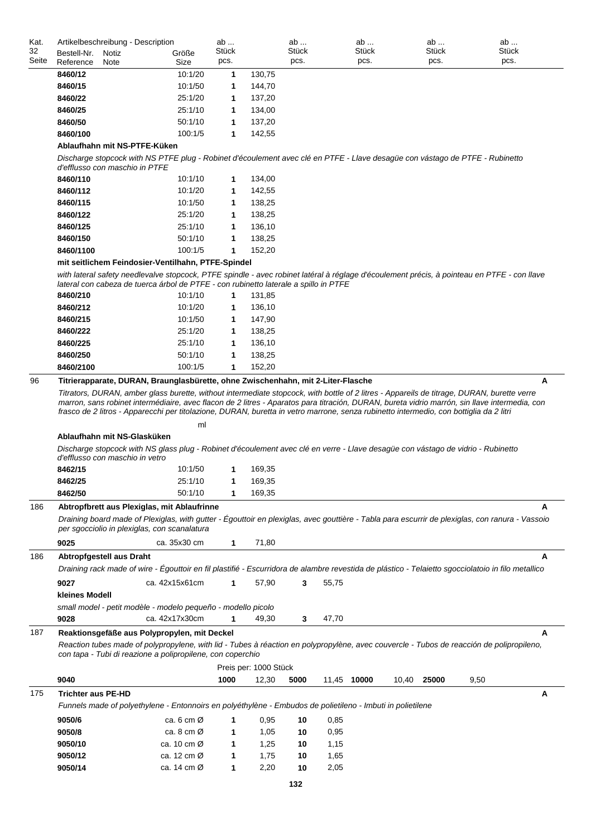| Kat.<br>32 | Artikelbeschreibung - Description         |                                                                                                                                                                                                                                                | ab<br>Stück  |                       | ab<br>Stück | ab<br>Stück |       | ab<br>Stück |      | ab<br>Stück |
|------------|-------------------------------------------|------------------------------------------------------------------------------------------------------------------------------------------------------------------------------------------------------------------------------------------------|--------------|-----------------------|-------------|-------------|-------|-------------|------|-------------|
| Seite      | Bestell-Nr.<br>Notiz<br>Reference<br>Note | Größe<br>Size                                                                                                                                                                                                                                  | pcs.         |                       | pcs.        | pcs.        |       | pcs.        |      | pcs.        |
|            | 8460/12                                   | 10:1/20                                                                                                                                                                                                                                        | 1            | 130,75                |             |             |       |             |      |             |
|            | 8460/15                                   | 10:1/50                                                                                                                                                                                                                                        | 1            | 144,70                |             |             |       |             |      |             |
|            | 8460/22                                   | 25:1/20                                                                                                                                                                                                                                        | 1            | 137,20                |             |             |       |             |      |             |
|            | 8460/25                                   | 25:1/10                                                                                                                                                                                                                                        | 1            | 134,00                |             |             |       |             |      |             |
|            | 8460/50                                   | 50:1/10                                                                                                                                                                                                                                        | 1            | 137,20                |             |             |       |             |      |             |
|            | 8460/100                                  | 100:1/5                                                                                                                                                                                                                                        | 1            | 142,55                |             |             |       |             |      |             |
|            | Ablaufhahn mit NS-PTFE-Küken              |                                                                                                                                                                                                                                                |              |                       |             |             |       |             |      |             |
|            | d'efflusso con maschio in PTFE            | Discharge stopcock with NS PTFE plug - Robinet d'écoulement avec clé en PTFE - Llave desagüe con vástago de PTFE - Rubinetto                                                                                                                   |              |                       |             |             |       |             |      |             |
|            | 8460/110                                  | 10:1/10                                                                                                                                                                                                                                        | 1            | 134,00                |             |             |       |             |      |             |
|            | 8460/112                                  | 10:1/20                                                                                                                                                                                                                                        | 1            | 142,55                |             |             |       |             |      |             |
|            | 8460/115                                  | 10:1/50                                                                                                                                                                                                                                        | 1            | 138,25                |             |             |       |             |      |             |
|            | 8460/122                                  | 25:1/20                                                                                                                                                                                                                                        | 1            | 138,25                |             |             |       |             |      |             |
|            | 8460/125<br>8460/150                      | 25:1/10<br>50:1/10                                                                                                                                                                                                                             | 1<br>1       | 136,10<br>138,25      |             |             |       |             |      |             |
|            | 8460/1100                                 | 100:1/5                                                                                                                                                                                                                                        | 1            | 152,20                |             |             |       |             |      |             |
|            |                                           | mit seitlichem Feindosier-Ventilhahn, PTFE-Spindel                                                                                                                                                                                             |              |                       |             |             |       |             |      |             |
|            |                                           | with lateral safety needlevalve stopcock, PTFE spindle - avec robinet latéral à réglage d'écoulement précis, à pointeau en PTFE - con llave                                                                                                    |              |                       |             |             |       |             |      |             |
|            |                                           | lateral con cabeza de tuerca árbol de PTFE - con rubinetto laterale a spillo in PTFE                                                                                                                                                           |              |                       |             |             |       |             |      |             |
|            | 8460/210                                  | 10:1/10                                                                                                                                                                                                                                        | $\mathbf{1}$ | 131,85                |             |             |       |             |      |             |
|            | 8460/212                                  | 10:1/20                                                                                                                                                                                                                                        | 1            | 136,10                |             |             |       |             |      |             |
|            | 8460/215                                  | 10:1/50                                                                                                                                                                                                                                        | 1            | 147,90                |             |             |       |             |      |             |
|            | 8460/222                                  | 25:1/20                                                                                                                                                                                                                                        | 1            | 138,25                |             |             |       |             |      |             |
|            | 8460/225                                  | 25:1/10                                                                                                                                                                                                                                        | 1            | 136,10                |             |             |       |             |      |             |
|            | 8460/250                                  | 50:1/10                                                                                                                                                                                                                                        | 1            | 138,25                |             |             |       |             |      |             |
| 96         | 8460/2100                                 | 100:1/5<br>Titrierapparate, DURAN, Braunglasbürette, ohne Zwischenhahn, mit 2-Liter-Flasche                                                                                                                                                    | $\mathbf{1}$ | 152,20                |             |             |       |             |      | А           |
|            | Ablaufhahn mit NS-Glasküken               | frasco de 2 litros - Apparecchi per titolazione, DURAN, buretta in vetro marrone, senza rubinetto intermedio, con bottiglia da 2 litri<br>ml                                                                                                   |              |                       |             |             |       |             |      |             |
|            | d'efflusso con maschio in vetro           | Discharge stopcock with NS glass plug - Robinet d'écoulement avec clé en verre - Llave desagüe con vástago de vidrio - Rubinetto                                                                                                               |              |                       |             |             |       |             |      |             |
|            | 8462/15                                   | 10:1/50                                                                                                                                                                                                                                        | 1            | 169,35                |             |             |       |             |      |             |
|            | 8462/25                                   | 25:1/10                                                                                                                                                                                                                                        |              | 169,35                |             |             |       |             |      |             |
|            | 8462/50                                   | 50:1/10                                                                                                                                                                                                                                        | 1            | 169,35                |             |             |       |             |      |             |
| 186        |                                           | Abtropfbrett aus Plexiglas, mit Ablaufrinne<br>Draining board made of Plexiglas, with gutter - Égouttoir en plexiglas, avec gouttière - Tabla para escurrir de plexiglas, con ranura - Vassoio<br>per sgocciolio in plexiglas, con scanalatura |              |                       |             |             |       |             |      | А           |
|            | 9025                                      | ca. 35x30 cm                                                                                                                                                                                                                                   | 1            | 71,80                 |             |             |       |             |      |             |
| 186        | Abtropfgestell aus Draht                  |                                                                                                                                                                                                                                                |              |                       |             |             |       |             |      | А           |
|            |                                           | Draining rack made of wire - Égouttoir en fil plastifié - Escurridora de alambre revestida de plástico - Telaietto sgocciolatoio in filo metallico                                                                                             |              |                       |             |             |       |             |      |             |
|            | 9027                                      | ca. 42x15x61cm                                                                                                                                                                                                                                 | 1            | 57,90                 | 3<br>55,75  |             |       |             |      |             |
|            | kleines Modell                            |                                                                                                                                                                                                                                                |              |                       |             |             |       |             |      |             |
|            | 9028                                      | small model - petit modèle - modelo pequeño - modello picolo<br>ca. 42x17x30cm                                                                                                                                                                 | 1            | 49,30                 | 3<br>47,70  |             |       |             |      |             |
| 187        |                                           | Reaktionsgefäße aus Polypropylen, mit Deckel                                                                                                                                                                                                   |              |                       |             |             |       |             |      | А           |
|            |                                           | Reaction tubes made of polypropylene, with lid - Tubes à réaction en polypropylène, avec couvercle - Tubos de reacción de polipropileno,<br>con tapa - Tubi di reazione a polipropilene, con coperchio                                         |              |                       |             |             |       |             |      |             |
|            |                                           |                                                                                                                                                                                                                                                |              | Preis per: 1000 Stück |             |             |       |             |      |             |
|            | 9040                                      |                                                                                                                                                                                                                                                | 1000         | 12,30                 | 5000        | 11,45 10000 | 10,40 | 25000       | 9,50 |             |
| 175        | <b>Trichter aus PE-HD</b>                 | Funnels made of polyethylene - Entonnoirs en polyéthylène - Embudos de polietileno - Imbuti in polietilene                                                                                                                                     |              |                       |             |             |       |             |      | А           |
|            | 9050/6                                    | ca. 6 cm $\varnothing$                                                                                                                                                                                                                         | 1            | 0,95                  | 10<br>0,85  |             |       |             |      |             |
|            | 9050/8                                    | ca. 8 cm $\varnothing$                                                                                                                                                                                                                         | 1            | 1,05                  | 0,95<br>10  |             |       |             |      |             |
|            | 9050/10                                   | ca. 10 cm $\varnothing$                                                                                                                                                                                                                        | 1            | 1,25                  | 1,15<br>10  |             |       |             |      |             |
|            | 9050/12                                   | ca. 12 cm $\varnothing$                                                                                                                                                                                                                        | 1            | 1,75                  | 1,65<br>10  |             |       |             |      |             |
|            | 9050/14                                   | ca. 14 cm $\varnothing$                                                                                                                                                                                                                        | 1            | 2,20                  | 10<br>2,05  |             |       |             |      |             |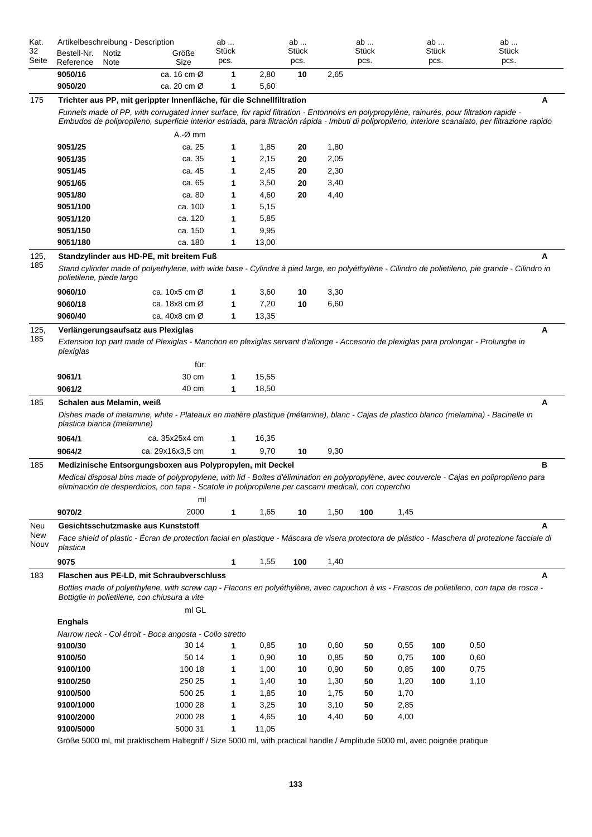| Kat.<br>32<br>Seite | Artikelbeschreibung - Description<br>Bestell-Nr.<br>Notiz<br>Reference<br>Note                                                                                                                        | Größe<br>Size                                                                                                                             | ab<br><b>Stück</b><br>pcs. |              | ab<br>Stück<br>pcs. |      | ab<br>Stück<br>pcs. |      | ab<br>Stück<br>pcs. | ab<br>Stück<br>pcs.                                                                                                                                   |  |  |  |
|---------------------|-------------------------------------------------------------------------------------------------------------------------------------------------------------------------------------------------------|-------------------------------------------------------------------------------------------------------------------------------------------|----------------------------|--------------|---------------------|------|---------------------|------|---------------------|-------------------------------------------------------------------------------------------------------------------------------------------------------|--|--|--|
|                     | 9050/16<br>9050/20                                                                                                                                                                                    | ca. 16 cm Ø<br>ca. 20 cm Ø                                                                                                                | 1<br>1                     | 2,80<br>5,60 | 10                  | 2,65 |                     |      |                     |                                                                                                                                                       |  |  |  |
| 175                 |                                                                                                                                                                                                       | Trichter aus PP, mit gerippter Innenfläche, für die Schnellfiltration                                                                     |                            |              |                     |      |                     |      |                     | A                                                                                                                                                     |  |  |  |
|                     |                                                                                                                                                                                                       | Funnels made of PP, with corrugated inner surface, for rapid filtration - Entonnoirs en polypropylène, rainurés, pour filtration rapide - |                            |              |                     |      |                     |      |                     | Embudos de polipropileno, superficie interior estriada, para filtración rápida - Imbuti di polipropileno, interiore scanalato, per filtrazione rapido |  |  |  |
|                     |                                                                                                                                                                                                       | $A.-Ø$ mm                                                                                                                                 |                            |              |                     |      |                     |      |                     |                                                                                                                                                       |  |  |  |
|                     | 9051/25                                                                                                                                                                                               | ca. 25                                                                                                                                    | 1                          | 1,85         | 20                  | 1,80 |                     |      |                     |                                                                                                                                                       |  |  |  |
|                     | 9051/35                                                                                                                                                                                               | ca. 35                                                                                                                                    | 1                          | 2,15         | 20                  | 2,05 |                     |      |                     |                                                                                                                                                       |  |  |  |
|                     | 9051/45                                                                                                                                                                                               | ca. 45                                                                                                                                    | 1                          | 2,45         | 20                  | 2,30 |                     |      |                     |                                                                                                                                                       |  |  |  |
|                     | 9051/65                                                                                                                                                                                               | ca. 65                                                                                                                                    | 1                          | 3,50         | 20                  | 3,40 |                     |      |                     |                                                                                                                                                       |  |  |  |
|                     | 9051/80                                                                                                                                                                                               | ca. 80                                                                                                                                    | 1                          | 4,60         | 20                  | 4,40 |                     |      |                     |                                                                                                                                                       |  |  |  |
|                     | 9051/100                                                                                                                                                                                              | ca. 100                                                                                                                                   | 1                          | 5,15         |                     |      |                     |      |                     |                                                                                                                                                       |  |  |  |
|                     | 9051/120                                                                                                                                                                                              | ca. 120                                                                                                                                   | 1                          | 5,85         |                     |      |                     |      |                     |                                                                                                                                                       |  |  |  |
|                     | 9051/150                                                                                                                                                                                              | ca. 150                                                                                                                                   | 1                          | 9,95         |                     |      |                     |      |                     |                                                                                                                                                       |  |  |  |
|                     | 9051/180                                                                                                                                                                                              | ca. 180                                                                                                                                   | 1                          | 13,00        |                     |      |                     |      |                     |                                                                                                                                                       |  |  |  |
| 125,                |                                                                                                                                                                                                       | Standzylinder aus HD-PE, mit breitem Fuß                                                                                                  |                            |              |                     |      |                     |      |                     | А                                                                                                                                                     |  |  |  |
| 185                 | polietilene, piede largo                                                                                                                                                                              |                                                                                                                                           |                            |              |                     |      |                     |      |                     | Stand cylinder made of polyethylene, with wide base - Cylindre à pied large, en polyéthylène - Cilindro de polietileno, pie grande - Cilindro in      |  |  |  |
|                     | 9060/10                                                                                                                                                                                               | ca. $10x5$ cm $\varnothing$                                                                                                               | 1                          | 3,60         | 10                  | 3,30 |                     |      |                     |                                                                                                                                                       |  |  |  |
|                     | 9060/18                                                                                                                                                                                               | ca. 18x8 cm Ø                                                                                                                             | 1                          | 7,20         | 10                  | 6,60 |                     |      |                     |                                                                                                                                                       |  |  |  |
|                     | 9060/40                                                                                                                                                                                               | ca. $40x8$ cm $\varnothing$                                                                                                               | 1                          | 13,35        |                     |      |                     |      |                     |                                                                                                                                                       |  |  |  |
| 125,                | Verlängerungsaufsatz aus Plexiglas                                                                                                                                                                    |                                                                                                                                           |                            |              |                     |      |                     |      |                     | Α                                                                                                                                                     |  |  |  |
| 185                 | Extension top part made of Plexiglas - Manchon en plexiglas servant d'allonge - Accesorio de plexiglas para prolongar - Prolunghe in<br>plexiglas<br>für:                                             |                                                                                                                                           |                            |              |                     |      |                     |      |                     |                                                                                                                                                       |  |  |  |
|                     |                                                                                                                                                                                                       |                                                                                                                                           |                            |              |                     |      |                     |      |                     |                                                                                                                                                       |  |  |  |
|                     | 9061/1                                                                                                                                                                                                | 30 cm                                                                                                                                     | 1                          | 15,55        |                     |      |                     |      |                     |                                                                                                                                                       |  |  |  |
|                     | 9061/2                                                                                                                                                                                                | 40 cm                                                                                                                                     | 1                          | 18,50        |                     |      |                     |      |                     |                                                                                                                                                       |  |  |  |
| 185                 | Schalen aus Melamin, weiß<br>A<br>Dishes made of melamine, white - Plateaux en matière plastique (mélamine), blanc - Cajas de plastico blanco (melamina) - Bacinelle in<br>plastica bianca (melamine) |                                                                                                                                           |                            |              |                     |      |                     |      |                     |                                                                                                                                                       |  |  |  |
|                     | 9064/1                                                                                                                                                                                                | ca. 35x25x4 cm                                                                                                                            | 1                          | 16,35        |                     |      |                     |      |                     |                                                                                                                                                       |  |  |  |
|                     | 9064/2                                                                                                                                                                                                | ca. 29x16x3,5 cm                                                                                                                          | 1                          | 9,70         | 10                  | 9,30 |                     |      |                     |                                                                                                                                                       |  |  |  |
| 185                 |                                                                                                                                                                                                       | Medizinische Entsorgungsboxen aus Polypropylen, mit Deckel                                                                                |                            |              |                     |      |                     |      |                     | в                                                                                                                                                     |  |  |  |
|                     |                                                                                                                                                                                                       | eliminación de desperdicios, con tapa - Scatole in polipropilene per cascami medicali, con coperchio                                      |                            |              |                     |      |                     |      |                     | Medical disposal bins made of polypropylene, with lid - Boîtes d'élimination en polypropylène, avec couvercle - Cajas en polipropileno para           |  |  |  |
|                     |                                                                                                                                                                                                       | ml                                                                                                                                        |                            |              |                     |      |                     |      |                     |                                                                                                                                                       |  |  |  |
|                     | 9070/2                                                                                                                                                                                                | 2000                                                                                                                                      | 1                          | 1,65         | 10                  | 1,50 | 100                 | 1,45 |                     |                                                                                                                                                       |  |  |  |
| Neu                 |                                                                                                                                                                                                       | Gesichtsschutzmaske aus Kunststoff                                                                                                        |                            |              |                     |      |                     |      |                     | А                                                                                                                                                     |  |  |  |
| New<br>Nouv         | plastica                                                                                                                                                                                              |                                                                                                                                           |                            |              |                     |      |                     |      |                     | Face shield of plastic - Écran de protection facial en plastique - Máscara de visera protectora de plástico - Maschera di protezione facciale di      |  |  |  |
|                     | 9075                                                                                                                                                                                                  |                                                                                                                                           | 1                          | 1,55         | 100                 | 1,40 |                     |      |                     |                                                                                                                                                       |  |  |  |
| 183                 |                                                                                                                                                                                                       | Flaschen aus PE-LD, mit Schraubverschluss<br>Bottiglie in polietilene, con chiusura a vite                                                |                            |              |                     |      |                     |      |                     | Α<br>Bottles made of polyethylene, with screw cap - Flacons en polyéthylène, avec capuchon à vis - Frascos de polietileno, con tapa de rosca -        |  |  |  |
|                     | <b>Enghals</b>                                                                                                                                                                                        | ml GL                                                                                                                                     |                            |              |                     |      |                     |      |                     |                                                                                                                                                       |  |  |  |
|                     |                                                                                                                                                                                                       |                                                                                                                                           |                            |              |                     |      |                     |      |                     |                                                                                                                                                       |  |  |  |
|                     |                                                                                                                                                                                                       | Narrow neck - Col étroit - Boca angosta - Collo stretto                                                                                   |                            |              |                     |      |                     |      |                     |                                                                                                                                                       |  |  |  |
|                     | 9100/30                                                                                                                                                                                               | 30 14                                                                                                                                     | 1                          | 0,85         | 10                  | 0,60 | 50                  | 0,55 | 100                 | 0,50                                                                                                                                                  |  |  |  |
|                     | 9100/50                                                                                                                                                                                               | 50 14                                                                                                                                     | 1                          | 0,90         | 10                  | 0,85 | 50                  | 0,75 | 100                 | 0,60                                                                                                                                                  |  |  |  |
|                     | 9100/100                                                                                                                                                                                              | 100 18                                                                                                                                    | 1                          | 1,00         | 10                  | 0,90 | 50                  | 0,85 | 100                 | 0,75                                                                                                                                                  |  |  |  |
|                     | 9100/250                                                                                                                                                                                              | 250 25                                                                                                                                    | 1                          | 1,40         | 10                  | 1,30 | 50                  | 1,20 | 100                 | 1,10                                                                                                                                                  |  |  |  |
|                     | 9100/500                                                                                                                                                                                              | 500 25                                                                                                                                    | 1                          | 1,85         | 10                  | 1,75 | 50                  | 1,70 |                     |                                                                                                                                                       |  |  |  |
|                     | 9100/1000                                                                                                                                                                                             | 1000 28                                                                                                                                   | 1                          | 3,25         | 10                  | 3,10 | 50                  | 2,85 |                     |                                                                                                                                                       |  |  |  |
|                     | 9100/2000                                                                                                                                                                                             | 2000 28                                                                                                                                   | 1                          | 4,65         | 10                  | 4,40 | 50                  | 4,00 |                     |                                                                                                                                                       |  |  |  |
|                     | 9100/5000                                                                                                                                                                                             | 5000 31                                                                                                                                   | 1                          | 11,05        |                     |      |                     |      |                     |                                                                                                                                                       |  |  |  |
|                     |                                                                                                                                                                                                       | Größe 5000 ml, mit praktischem Haltegriff / Size 5000 ml, with practical handle / Amplitude 5000 ml, avec poignée pratique                |                            |              |                     |      |                     |      |                     |                                                                                                                                                       |  |  |  |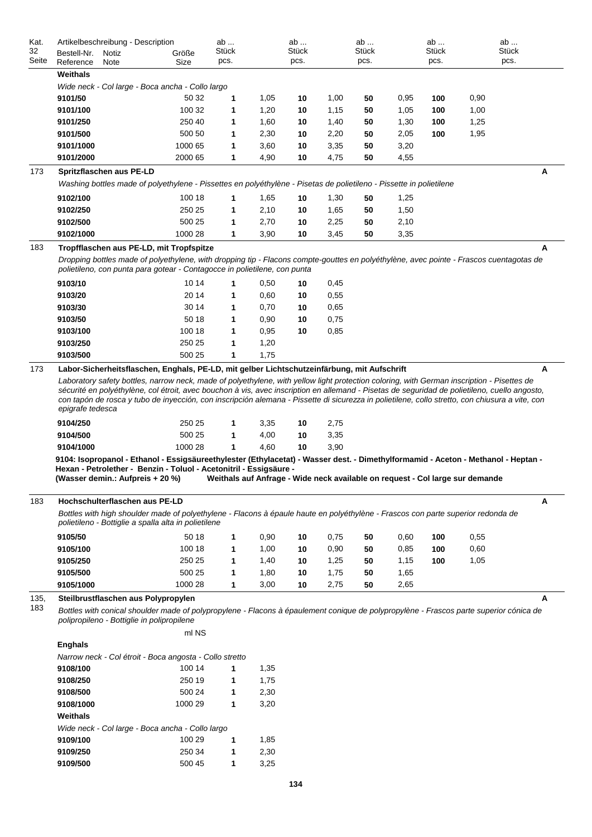| Kat.                                                                                                                                                                                                                                                                    | Artikelbeschreibung - Description                                                                                                                                                                                                                                                                                                                                                                                                                                  |         | ab           |              | ab    |      | ab    |      | ab    |                                                                               | ab    |   |
|-------------------------------------------------------------------------------------------------------------------------------------------------------------------------------------------------------------------------------------------------------------------------|--------------------------------------------------------------------------------------------------------------------------------------------------------------------------------------------------------------------------------------------------------------------------------------------------------------------------------------------------------------------------------------------------------------------------------------------------------------------|---------|--------------|--------------|-------|------|-------|------|-------|-------------------------------------------------------------------------------|-------|---|
| 32                                                                                                                                                                                                                                                                      | Bestell-Nr.<br>Notiz                                                                                                                                                                                                                                                                                                                                                                                                                                               | Größe   | <b>Stück</b> |              | Stück |      | Stück |      | Stück |                                                                               | Stück |   |
| Seite                                                                                                                                                                                                                                                                   | Reference<br>Note                                                                                                                                                                                                                                                                                                                                                                                                                                                  | Size    | pcs.         |              | pcs.  |      | pcs.  |      | pcs.  |                                                                               | pcs.  |   |
|                                                                                                                                                                                                                                                                         | Weithals                                                                                                                                                                                                                                                                                                                                                                                                                                                           |         |              |              |       |      |       |      |       |                                                                               |       |   |
|                                                                                                                                                                                                                                                                         | Wide neck - Col large - Boca ancha - Collo largo                                                                                                                                                                                                                                                                                                                                                                                                                   |         |              |              |       |      |       |      |       |                                                                               |       |   |
|                                                                                                                                                                                                                                                                         | 9101/50                                                                                                                                                                                                                                                                                                                                                                                                                                                            | 50 32   | 1            | 1,05         | 10    | 1,00 | 50    | 0,95 | 100   | 0,90                                                                          |       |   |
|                                                                                                                                                                                                                                                                         | 9101/100                                                                                                                                                                                                                                                                                                                                                                                                                                                           | 100 32  | 1            | 1,20         | 10    | 1,15 | 50    | 1,05 | 100   | 1,00                                                                          |       |   |
|                                                                                                                                                                                                                                                                         | 9101/250                                                                                                                                                                                                                                                                                                                                                                                                                                                           | 250 40  | 1            | 1,60         | 10    | 1,40 | 50    | 1,30 | 100   | 1,25                                                                          |       |   |
|                                                                                                                                                                                                                                                                         | 9101/500                                                                                                                                                                                                                                                                                                                                                                                                                                                           | 500 50  |              | 2,30         |       |      | 50    |      | 100   | 1,95                                                                          |       |   |
|                                                                                                                                                                                                                                                                         |                                                                                                                                                                                                                                                                                                                                                                                                                                                                    |         | 1            |              | 10    | 2,20 |       | 2,05 |       |                                                                               |       |   |
|                                                                                                                                                                                                                                                                         | 9101/1000                                                                                                                                                                                                                                                                                                                                                                                                                                                          | 1000 65 | 1            | 3,60         | 10    | 3,35 | 50    | 3,20 |       |                                                                               |       |   |
|                                                                                                                                                                                                                                                                         | 9101/2000                                                                                                                                                                                                                                                                                                                                                                                                                                                          | 2000 65 | 1            | 4,90         | 10    | 4,75 | 50    | 4,55 |       |                                                                               |       |   |
| 173                                                                                                                                                                                                                                                                     | Spritzflaschen aus PE-LD                                                                                                                                                                                                                                                                                                                                                                                                                                           |         |              |              |       |      |       |      |       |                                                                               |       | Α |
|                                                                                                                                                                                                                                                                         | Washing bottles made of polyethylene - Pissettes en polyéthylène - Pisetas de polietileno - Pissette in polietilene                                                                                                                                                                                                                                                                                                                                                |         |              |              |       |      |       |      |       |                                                                               |       |   |
|                                                                                                                                                                                                                                                                         | 9102/100                                                                                                                                                                                                                                                                                                                                                                                                                                                           | 100 18  | 1            | 1,65         | 10    | 1,30 | 50    | 1,25 |       |                                                                               |       |   |
|                                                                                                                                                                                                                                                                         | 9102/250                                                                                                                                                                                                                                                                                                                                                                                                                                                           | 250 25  | 1            | 2,10         | 10    | 1,65 | 50    | 1,50 |       |                                                                               |       |   |
|                                                                                                                                                                                                                                                                         | 9102/500                                                                                                                                                                                                                                                                                                                                                                                                                                                           | 500 25  | 1            | 2,70         | 10    | 2,25 | 50    | 2,10 |       |                                                                               |       |   |
|                                                                                                                                                                                                                                                                         | 9102/1000                                                                                                                                                                                                                                                                                                                                                                                                                                                          | 1000 28 | 1            | 3,90         | 10    | 3,45 | 50    | 3,35 |       |                                                                               |       |   |
|                                                                                                                                                                                                                                                                         |                                                                                                                                                                                                                                                                                                                                                                                                                                                                    |         |              |              |       |      |       |      |       |                                                                               |       |   |
| 183<br>Tropfflaschen aus PE-LD, mit Tropfspitze<br>Dropping bottles made of polyethylene, with dropping tip - Flacons compte-gouttes en polyéthylène, avec pointe - Frascos cuentagotas de<br>polietileno, con punta para gotear - Contagocce in polietilene, con punta |                                                                                                                                                                                                                                                                                                                                                                                                                                                                    |         |              |              |       |      |       |      |       |                                                                               | Α     |   |
|                                                                                                                                                                                                                                                                         | 9103/10                                                                                                                                                                                                                                                                                                                                                                                                                                                            | 10 14   | 1            | 0,50         | 10    | 0,45 |       |      |       |                                                                               |       |   |
|                                                                                                                                                                                                                                                                         | 9103/20                                                                                                                                                                                                                                                                                                                                                                                                                                                            | 20 14   | 1            | 0,60         | 10    | 0,55 |       |      |       |                                                                               |       |   |
|                                                                                                                                                                                                                                                                         | 9103/30                                                                                                                                                                                                                                                                                                                                                                                                                                                            | 30 14   | 1            | 0,70         |       | 0,65 |       |      |       |                                                                               |       |   |
|                                                                                                                                                                                                                                                                         |                                                                                                                                                                                                                                                                                                                                                                                                                                                                    |         |              |              | 10    |      |       |      |       |                                                                               |       |   |
|                                                                                                                                                                                                                                                                         | 9103/50                                                                                                                                                                                                                                                                                                                                                                                                                                                            | 50 18   | 1            | 0,90         | 10    | 0,75 |       |      |       |                                                                               |       |   |
|                                                                                                                                                                                                                                                                         | 9103/100                                                                                                                                                                                                                                                                                                                                                                                                                                                           | 100 18  | 1            | 0,95         | 10    | 0,85 |       |      |       |                                                                               |       |   |
|                                                                                                                                                                                                                                                                         | 9103/250                                                                                                                                                                                                                                                                                                                                                                                                                                                           | 250 25  | 1            | 1,20         |       |      |       |      |       |                                                                               |       |   |
|                                                                                                                                                                                                                                                                         | 9103/500                                                                                                                                                                                                                                                                                                                                                                                                                                                           | 500 25  | 1            | 1,75         |       |      |       |      |       |                                                                               |       |   |
|                                                                                                                                                                                                                                                                         | Laboratory safety bottles, narrow neck, made of polyethylene, with yellow light protection coloring, with German inscription - Pisettes de<br>sécurité en polyéthylène, col étroit, avec bouchon à vis, avec inscription en allemand - Pisetas de seguridad de polietileno, cuello angosto,<br>con tapón de rosca y tubo de inyección, con inscripción alemana - Pissette di sicurezza in polietilene, collo stretto, con chiusura a vite, con<br>epigrafe tedesca |         |              |              |       |      |       |      |       |                                                                               |       |   |
|                                                                                                                                                                                                                                                                         | 9104/250                                                                                                                                                                                                                                                                                                                                                                                                                                                           | 250 25  | 1            | 3,35         | 10    | 2,75 |       |      |       |                                                                               |       |   |
|                                                                                                                                                                                                                                                                         | 9104/500                                                                                                                                                                                                                                                                                                                                                                                                                                                           | 500 25  | 1            | 4,00         | 10    | 3,35 |       |      |       |                                                                               |       |   |
|                                                                                                                                                                                                                                                                         | 9104/1000                                                                                                                                                                                                                                                                                                                                                                                                                                                          | 1000 28 | 1            | 4,60         | 10    | 3,90 |       |      |       |                                                                               |       |   |
|                                                                                                                                                                                                                                                                         | 9104: Isopropanol - Ethanol - Essigsäureethylester (Ethylacetat) - Wasser dest. - Dimethylformamid - Aceton - Methanol - Heptan -<br>Hexan - Petrolether - Benzin - Toluol - Acetonitril - Essigsäure -<br>(Wasser demin.: Aufpreis + 20 %)                                                                                                                                                                                                                        |         |              |              |       |      |       |      |       | Weithals auf Anfrage - Wide neck available on request - Col large sur demande |       |   |
| 183                                                                                                                                                                                                                                                                     | Hochschulterflaschen aus PE-LD                                                                                                                                                                                                                                                                                                                                                                                                                                     |         |              |              |       |      |       |      |       |                                                                               |       | А |
|                                                                                                                                                                                                                                                                         | Bottles with high shoulder made of polyethylene - Flacons à épaule haute en polyéthylène - Frascos con parte superior redonda de                                                                                                                                                                                                                                                                                                                                   |         |              |              |       |      |       |      |       |                                                                               |       |   |
|                                                                                                                                                                                                                                                                         | polietileno - Bottiglie a spalla alta in polietilene                                                                                                                                                                                                                                                                                                                                                                                                               |         |              |              |       |      |       |      |       |                                                                               |       |   |
|                                                                                                                                                                                                                                                                         | 9105/50                                                                                                                                                                                                                                                                                                                                                                                                                                                            | 50 18   | $\mathbf{1}$ | 0,90         | 10    | 0,75 | 50    | 0,60 | 100   | 0,55                                                                          |       |   |
|                                                                                                                                                                                                                                                                         | 9105/100                                                                                                                                                                                                                                                                                                                                                                                                                                                           | 100 18  | 1            | 1,00         | 10    | 0,90 | 50    | 0,85 | 100   | 0,60                                                                          |       |   |
|                                                                                                                                                                                                                                                                         | 9105/250                                                                                                                                                                                                                                                                                                                                                                                                                                                           | 250 25  | 1            | 1,40         | 10    | 1,25 | 50    | 1,15 | 100   | 1,05                                                                          |       |   |
|                                                                                                                                                                                                                                                                         | 9105/500                                                                                                                                                                                                                                                                                                                                                                                                                                                           | 500 25  | 1            | 1,80         | 10    | 1,75 | 50    | 1,65 |       |                                                                               |       |   |
|                                                                                                                                                                                                                                                                         | 9105/1000                                                                                                                                                                                                                                                                                                                                                                                                                                                          | 1000 28 | 1            | 3,00         | 10    | 2,75 | 50    | 2,65 |       |                                                                               |       |   |
|                                                                                                                                                                                                                                                                         |                                                                                                                                                                                                                                                                                                                                                                                                                                                                    |         |              |              |       |      |       |      |       |                                                                               |       |   |
| 135,<br>183                                                                                                                                                                                                                                                             | Steilbrustflaschen aus Polypropylen<br>Bottles with conical shoulder made of polypropylene - Flacons à épaulement conique de polypropylène - Frascos parte superior cónica de<br>polipropileno - Bottiglie in polipropilene                                                                                                                                                                                                                                        | ml NS   |              |              |       |      |       |      |       |                                                                               |       | A |
|                                                                                                                                                                                                                                                                         | <b>Enghals</b>                                                                                                                                                                                                                                                                                                                                                                                                                                                     |         |              |              |       |      |       |      |       |                                                                               |       |   |
|                                                                                                                                                                                                                                                                         | Narrow neck - Col étroit - Boca angosta - Collo stretto                                                                                                                                                                                                                                                                                                                                                                                                            |         |              |              |       |      |       |      |       |                                                                               |       |   |
|                                                                                                                                                                                                                                                                         | 9108/100                                                                                                                                                                                                                                                                                                                                                                                                                                                           | 100 14  | 1            | 1,35         |       |      |       |      |       |                                                                               |       |   |
|                                                                                                                                                                                                                                                                         | 9108/250                                                                                                                                                                                                                                                                                                                                                                                                                                                           | 250 19  | 1            | 1,75         |       |      |       |      |       |                                                                               |       |   |
|                                                                                                                                                                                                                                                                         | 9108/500                                                                                                                                                                                                                                                                                                                                                                                                                                                           | 500 24  | 1            | 2,30         |       |      |       |      |       |                                                                               |       |   |
|                                                                                                                                                                                                                                                                         | 9108/1000                                                                                                                                                                                                                                                                                                                                                                                                                                                          | 1000 29 | 1            | 3,20         |       |      |       |      |       |                                                                               |       |   |
|                                                                                                                                                                                                                                                                         | Weithals                                                                                                                                                                                                                                                                                                                                                                                                                                                           |         |              |              |       |      |       |      |       |                                                                               |       |   |
|                                                                                                                                                                                                                                                                         | Wide neck - Col large - Boca ancha - Collo largo<br>9109/100                                                                                                                                                                                                                                                                                                                                                                                                       | 100 29  | 1            | 1,85         |       |      |       |      |       |                                                                               |       |   |
|                                                                                                                                                                                                                                                                         | 9109/250                                                                                                                                                                                                                                                                                                                                                                                                                                                           | 250 34  | 1            |              |       |      |       |      |       |                                                                               |       |   |
|                                                                                                                                                                                                                                                                         | 9109/500                                                                                                                                                                                                                                                                                                                                                                                                                                                           | 500 45  | 1            | 2,30<br>3,25 |       |      |       |      |       |                                                                               |       |   |
|                                                                                                                                                                                                                                                                         |                                                                                                                                                                                                                                                                                                                                                                                                                                                                    |         |              |              |       |      |       |      |       |                                                                               |       |   |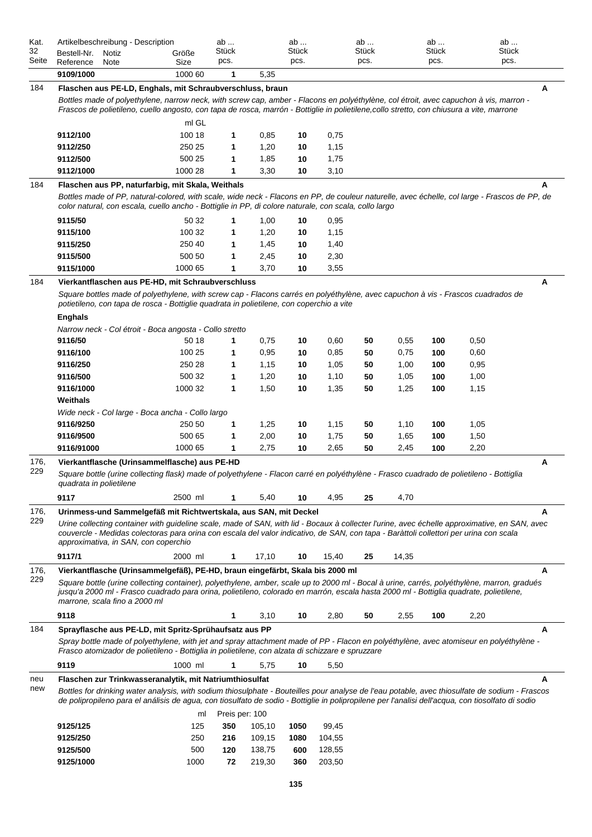| Kat.        | Artikelbeschreibung - Description                                                                                                                                                                                                                                                 |         | ab             |        | ab    |        | ab    |       | ab    |      | ab    |  |
|-------------|-----------------------------------------------------------------------------------------------------------------------------------------------------------------------------------------------------------------------------------------------------------------------------------|---------|----------------|--------|-------|--------|-------|-------|-------|------|-------|--|
| 32<br>Seite | Bestell-Nr.<br>Notiz                                                                                                                                                                                                                                                              | Größe   | Stück          |        | Stück |        | Stück |       | Stück |      | Stück |  |
|             | Reference<br>Note                                                                                                                                                                                                                                                                 | Size    | pcs.           |        | pcs.  |        | pcs.  |       | pcs.  |      | pcs.  |  |
|             | 9109/1000                                                                                                                                                                                                                                                                         | 1000 60 | 1              | 5,35   |       |        |       |       |       |      |       |  |
| 184         | Flaschen aus PE-LD, Enghals, mit Schraubverschluss, braun                                                                                                                                                                                                                         |         |                |        |       |        |       |       |       |      | A     |  |
|             | Bottles made of polyethylene, narrow neck, with screw cap, amber - Flacons en polyéthylène, col étroit, avec capuchon à vis, marron -<br>Frascos de polietileno, cuello angosto, con tapa de rosca, marrón - Bottiglie in polietilene,collo stretto, con chiusura a vite, marrone |         |                |        |       |        |       |       |       |      |       |  |
|             |                                                                                                                                                                                                                                                                                   | ml GL   |                |        |       |        |       |       |       |      |       |  |
|             | 9112/100                                                                                                                                                                                                                                                                          | 100 18  | 1              | 0,85   | 10    | 0,75   |       |       |       |      |       |  |
|             | 9112/250                                                                                                                                                                                                                                                                          | 250 25  | 1              | 1,20   | 10    | 1,15   |       |       |       |      |       |  |
|             | 9112/500                                                                                                                                                                                                                                                                          | 500 25  | 1              | 1,85   | 10    | 1,75   |       |       |       |      |       |  |
|             | 9112/1000                                                                                                                                                                                                                                                                         | 1000 28 | 1              | 3,30   | 10    | 3,10   |       |       |       |      |       |  |
|             |                                                                                                                                                                                                                                                                                   |         |                |        |       |        |       |       |       |      |       |  |
| 184         | Flaschen aus PP, naturfarbig, mit Skala, Weithals                                                                                                                                                                                                                                 |         |                |        |       |        |       |       |       |      | А     |  |
|             | Bottles made of PP, natural-colored, with scale, wide neck - Flacons en PP, de couleur naturelle, avec échelle, col large - Frascos de PP, de<br>color natural, con escala, cuello ancho - Bottiglie in PP, di colore naturale, con scala, collo largo                            |         |                |        |       |        |       |       |       |      |       |  |
|             |                                                                                                                                                                                                                                                                                   |         |                |        |       |        |       |       |       |      |       |  |
|             | 9115/50                                                                                                                                                                                                                                                                           | 50 32   | 1              | 1,00   | 10    | 0,95   |       |       |       |      |       |  |
|             | 9115/100                                                                                                                                                                                                                                                                          | 100 32  | 1              | 1,20   | 10    | 1,15   |       |       |       |      |       |  |
|             | 9115/250                                                                                                                                                                                                                                                                          | 250 40  | 1              | 1,45   | 10    | 1,40   |       |       |       |      |       |  |
|             | 9115/500                                                                                                                                                                                                                                                                          | 500 50  | 1              | 2,45   | 10    | 2,30   |       |       |       |      |       |  |
|             | 9115/1000                                                                                                                                                                                                                                                                         | 1000 65 | 1              | 3,70   | 10    | 3,55   |       |       |       |      |       |  |
| 184         | Vierkantflaschen aus PE-HD, mit Schraubverschluss                                                                                                                                                                                                                                 |         |                |        |       |        |       |       |       |      | Α     |  |
|             | Square bottles made of polyethylene, with screw cap - Flacons carrés en polyéthylène, avec capuchon à vis - Frascos cuadrados de<br>potietileno, con tapa de rosca - Bottiglie quadrata in polietilene, con coperchio a vite                                                      |         |                |        |       |        |       |       |       |      |       |  |
|             |                                                                                                                                                                                                                                                                                   |         |                |        |       |        |       |       |       |      |       |  |
|             | <b>Enghals</b>                                                                                                                                                                                                                                                                    |         |                |        |       |        |       |       |       |      |       |  |
|             | Narrow neck - Col étroit - Boca angosta - Collo stretto                                                                                                                                                                                                                           |         |                |        |       |        |       |       |       |      |       |  |
|             | 9116/50                                                                                                                                                                                                                                                                           | 50 18   | 1              | 0,75   | 10    | 0,60   | 50    | 0,55  | 100   | 0,50 |       |  |
|             | 9116/100                                                                                                                                                                                                                                                                          | 100 25  | 1              | 0,95   | 10    | 0,85   | 50    | 0,75  | 100   | 0,60 |       |  |
|             | 9116/250                                                                                                                                                                                                                                                                          | 250 28  | 1              | 1,15   | 10    | 1,05   | 50    | 1,00  | 100   | 0,95 |       |  |
|             | 9116/500                                                                                                                                                                                                                                                                          | 500 32  | 1              | 1,20   | 10    | 1,10   | 50    | 1,05  | 100   | 1,00 |       |  |
|             | 9116/1000                                                                                                                                                                                                                                                                         | 1000 32 | 1              | 1,50   | 10    | 1,35   | 50    | 1,25  | 100   | 1,15 |       |  |
|             | Weithals                                                                                                                                                                                                                                                                          |         |                |        |       |        |       |       |       |      |       |  |
|             | Wide neck - Col large - Boca ancha - Collo largo                                                                                                                                                                                                                                  |         |                |        |       |        |       |       |       |      |       |  |
|             | 9116/9250                                                                                                                                                                                                                                                                         | 250 50  | 1              | 1,25   | 10    | 1,15   | 50    | 1,10  | 100   | 1,05 |       |  |
|             | 9116/9500                                                                                                                                                                                                                                                                         | 500 65  | 1              | 2,00   | 10    | 1,75   | 50    | 1,65  | 100   | 1,50 |       |  |
|             | 9116/91000                                                                                                                                                                                                                                                                        | 1000 65 | 1              | 2,75   | 10    | 2,65   | 50    | 2,45  | 100   | 2,20 |       |  |
| 176,<br>229 | Vierkantflasche (Urinsammelflasche) aus PE-HD<br>Α                                                                                                                                                                                                                                |         |                |        |       |        |       |       |       |      |       |  |
|             | Square bottle (urine collecting flask) made of polyethylene - Flacon carré en polyéthylène - Frasco cuadrado de polietileno - Bottiglia                                                                                                                                           |         |                |        |       |        |       |       |       |      |       |  |
|             | quadrata in polietilene                                                                                                                                                                                                                                                           |         |                |        |       |        |       |       |       |      |       |  |
|             | 9117                                                                                                                                                                                                                                                                              | 2500 ml | 1              | 5,40   | 10    | 4,95   | 25    | 4,70  |       |      |       |  |
| 176,        | Urinmess-und Sammelgefäß mit Richtwertskala, aus SAN, mit Deckel                                                                                                                                                                                                                  |         |                |        |       |        |       |       |       |      | A     |  |
| 229         | Urine collecting container with guideline scale, made of SAN, with lid - Bocaux à collecter l'urine, avec échelle approximative, en SAN, avec                                                                                                                                     |         |                |        |       |        |       |       |       |      |       |  |
|             | couvercle - Medidas colectoras para orina con escala del valor indicativo, de SAN, con tapa - Baràttoli collettori per urina con scala<br>approximativa, in SAN, con coperchio                                                                                                    |         |                |        |       |        |       |       |       |      |       |  |
|             |                                                                                                                                                                                                                                                                                   |         |                |        |       |        |       |       |       |      |       |  |
|             | 9117/1                                                                                                                                                                                                                                                                            | 2000 ml | 1              | 17,10  | 10    | 15,40  | 25    | 14,35 |       |      |       |  |
| 176,        | Vierkantflasche (Urinsammelgefäß), PE-HD, braun eingefärbt, Skala bis 2000 ml                                                                                                                                                                                                     |         |                |        |       |        |       |       |       |      | A     |  |
| 229         | Square bottle (urine collecting container), polyethylene, amber, scale up to 2000 ml - Bocal à urine, carrés, polyéthylène, marron, gradués                                                                                                                                       |         |                |        |       |        |       |       |       |      |       |  |
|             | jusqu'a 2000 ml - Frasco cuadrado para orina, polietileno, colorado en marrón, escala hasta 2000 ml - Bottiglia quadrate, polietilene,<br>marrone, scala fino a 2000 ml                                                                                                           |         |                |        |       |        |       |       |       |      |       |  |
|             |                                                                                                                                                                                                                                                                                   |         |                |        |       |        |       |       |       |      |       |  |
|             | 9118                                                                                                                                                                                                                                                                              |         | 1              | 3,10   | 10    | 2,80   | 50    | 2,55  | 100   | 2,20 |       |  |
| 184         | Sprayflasche aus PE-LD, mit Spritz-Sprühaufsatz aus PP                                                                                                                                                                                                                            |         |                |        |       |        |       |       |       |      | Α     |  |
|             | Spray bottle made of polyethylene, with jet and spray attachment made of PP - Flacon en polyéthylène, avec atomiseur en polyéthylène -<br>Frasco atomizador de polietileno - Bottiglia in polietilene, con alzata di schizzare e spruzzare                                        |         |                |        |       |        |       |       |       |      |       |  |
|             |                                                                                                                                                                                                                                                                                   |         |                |        |       |        |       |       |       |      |       |  |
|             | 9119                                                                                                                                                                                                                                                                              | 1000 ml | 1              | 5,75   | 10    | 5,50   |       |       |       |      |       |  |
| neu         | Flaschen zur Trinkwasseranalytik, mit Natriumthiosulfat                                                                                                                                                                                                                           |         |                |        |       |        |       |       |       |      | A     |  |
| new         | Bottles for drinking water analysis, with sodium thiosulphate - Bouteilles pour analyse de l'eau potable, avec thiosulfate de sodium - Frascos                                                                                                                                    |         |                |        |       |        |       |       |       |      |       |  |
|             | de polipropileno para el análisis de agua, con tiosulfato de sodio - Bottiglie in polipropilene per l'analisi dell'acqua, con tiosolfato di sodio                                                                                                                                 |         |                |        |       |        |       |       |       |      |       |  |
|             |                                                                                                                                                                                                                                                                                   | ml      | Preis per: 100 |        |       |        |       |       |       |      |       |  |
|             | 9125/125                                                                                                                                                                                                                                                                          | 125     | 350            | 105,10 | 1050  | 99,45  |       |       |       |      |       |  |
|             | 9125/250                                                                                                                                                                                                                                                                          | 250     | 216            | 109,15 | 1080  | 104,55 |       |       |       |      |       |  |
|             | 9125/500                                                                                                                                                                                                                                                                          | 500     | 120            | 138,75 | 600   | 128,55 |       |       |       |      |       |  |
|             | 9125/1000                                                                                                                                                                                                                                                                         | 1000    | 72             | 219,30 | 360   | 203,50 |       |       |       |      |       |  |
|             |                                                                                                                                                                                                                                                                                   |         |                |        |       |        |       |       |       |      |       |  |
|             |                                                                                                                                                                                                                                                                                   |         |                |        | 135   |        |       |       |       |      |       |  |